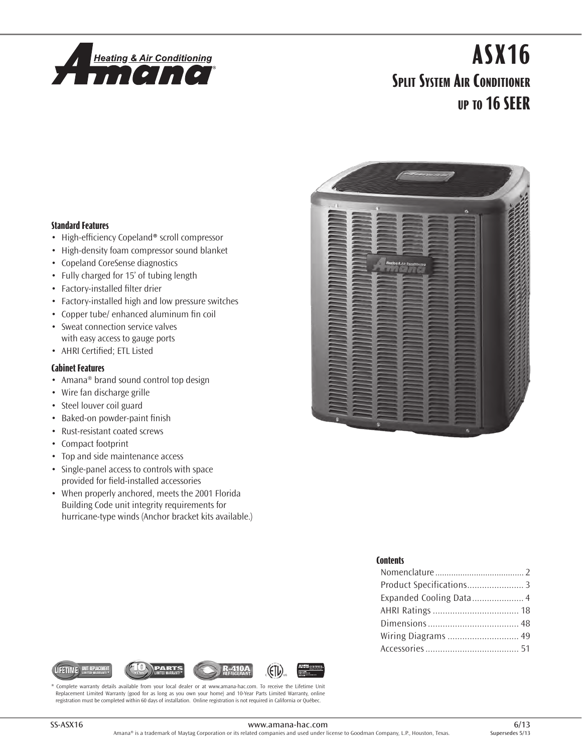

# **ASX16 Split System Air Conditioner up to 16 SEER**

#### **Standard Features**

- High-efficiency Copeland® scroll compressor
- High-density foam compressor sound blanket
- • Copeland CoreSense diagnostics
- • Fully charged for 15' of tubing length
- Factory-installed filter drier
- Factory-installed high and low pressure switches
- • Copper tube/ enhanced aluminum fin coil
- Sweat connection service valves with easy access to gauge ports
- • AHRI Certified; ETL Listed

#### **Cabinet Features**

- Amana® brand sound control top design
- • Wire fan discharge grille
- • Steel louver coil guard
- Baked-on powder-paint finish
- • Rust-resistant coated screws
- • Compact footprint
- Top and side maintenance access
- Single-panel access to controls with space provided for field-installed accessories
- When properly anchored, meets the 2001 Florida Building Code unit integrity requirements for hurricane-type winds (Anchor bracket kits available.)



#### **Contents**

| Product Specifications 3 |  |
|--------------------------|--|
| Expanded Cooling Data 4  |  |
|                          |  |
|                          |  |
| Wiring Diagrams  49      |  |
|                          |  |
|                          |  |









\* Complete warranty details available from your local dealer or at www.amana-hac.com. To receive the Lifetime Unit<br>Replacement Limited Warranty (good for as long as you own your home) and 10-Year Parts Limited Warranty, on registration must be completed within 60 days of installation. Online registration is not required in California or Québec.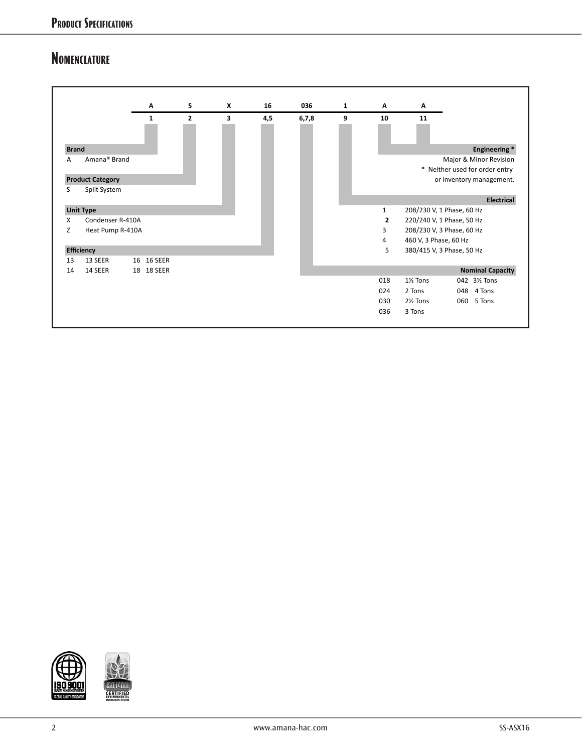#### **Nomenclature**



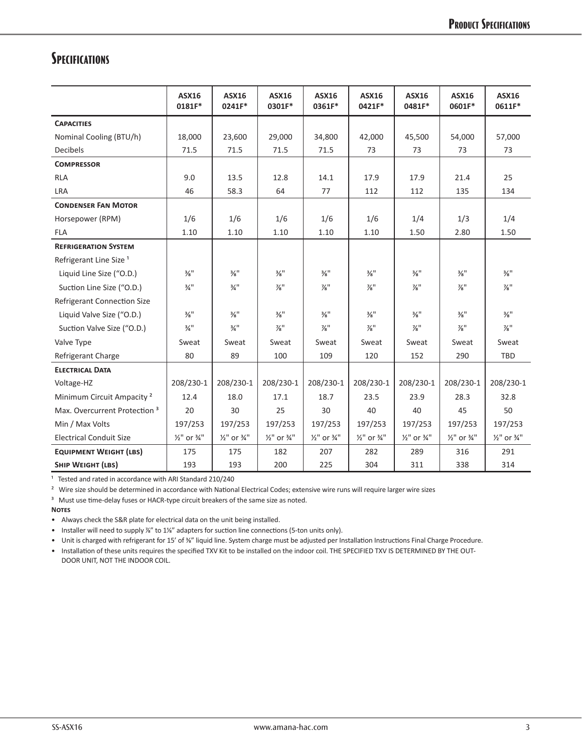#### **Specifications**

|                                          | <b>ASX16</b><br>0181F*      | <b>ASX16</b><br>0241F*      | <b>ASX16</b><br>0301F*      | <b>ASX16</b><br>0361F*             | ASX16<br>0421F*             | <b>ASX16</b><br>0481F*             | <b>ASX16</b><br>0601F*             | ASX16<br>0611F*             |
|------------------------------------------|-----------------------------|-----------------------------|-----------------------------|------------------------------------|-----------------------------|------------------------------------|------------------------------------|-----------------------------|
| <b>CAPACITIES</b>                        |                             |                             |                             |                                    |                             |                                    |                                    |                             |
| Nominal Cooling (BTU/h)                  | 18,000                      | 23,600                      | 29,000                      | 34,800                             | 42,000                      | 45,500                             | 54,000                             | 57,000                      |
| Decibels                                 | 71.5                        | 71.5                        | 71.5                        | 71.5                               | 73                          | 73                                 | 73                                 | 73                          |
| <b>COMPRESSOR</b>                        |                             |                             |                             |                                    |                             |                                    |                                    |                             |
| <b>RLA</b>                               | 9.0                         | 13.5                        | 12.8                        | 14.1                               | 17.9                        | 17.9                               | 21.4                               | 25                          |
| <b>LRA</b>                               | 46                          | 58.3                        | 64                          | 77                                 | 112                         | 112                                | 135                                | 134                         |
| <b>CONDENSER FAN MOTOR</b>               |                             |                             |                             |                                    |                             |                                    |                                    |                             |
| Horsepower (RPM)                         | 1/6                         | 1/6                         | 1/6                         | 1/6                                | 1/6                         | 1/4                                | 1/3                                | 1/4                         |
| <b>FLA</b>                               | 1.10                        | 1.10                        | 1.10                        | 1.10                               | 1.10                        | 1.50                               | 2.80                               | 1.50                        |
| <b>REFRIGERATION SYSTEM</b>              |                             |                             |                             |                                    |                             |                                    |                                    |                             |
| Refrigerant Line Size <sup>1</sup>       |                             |                             |                             |                                    |                             |                                    |                                    |                             |
| Liquid Line Size ("O.D.)                 | $\frac{3}{8}$ <sup>11</sup> | $\frac{3}{8}$ <sup>11</sup> | $\frac{3}{8}$ <sup>11</sup> | $\frac{3}{8}$ <sup>11</sup>        | $\frac{3}{8}$ <sup>11</sup> | $\frac{3}{8}$ <sup>11</sup>        | $\frac{3}{8}$ <sup>11</sup>        | $\frac{3}{8}$ <sup>11</sup> |
| Suction Line Size ("O.D.)                | $\frac{3}{4}$ <sup>11</sup> | $\frac{3}{4}$ <sup>11</sup> | $\frac{7}{8}$ "             | $\frac{7}{8}$ <sup>11</sup>        | $\frac{7}{8}$ "             | $\frac{7}{8}$ "                    | $\frac{7}{8}$ "                    | $\frac{7}{8}$ "             |
| Refrigerant Connection Size              |                             |                             |                             |                                    |                             |                                    |                                    |                             |
| Liquid Valve Size ("O.D.)                | $\frac{3}{8}$ <sup>11</sup> | $\frac{3}{8}$ <sup>11</sup> | $\frac{3}{8}$ <sup>11</sup> | $\frac{3}{8}$ <sup>11</sup>        | $\frac{3}{8}$ <sup>11</sup> | $\frac{3}{8}$ <sup>11</sup>        | $\frac{3}{8}$ <sup>11</sup>        | $\frac{3}{8}$ <sup>11</sup> |
| Suction Valve Size ("O.D.)               | $\frac{3}{4}$ <sup>11</sup> | $\frac{3}{4}$ <sup>11</sup> | $\frac{7}{8}$ "             | $\frac{7}{8}$ "                    | $\frac{7}{8}$ "             | $\frac{7}{8}$ "                    | $\frac{7}{8}$ "                    | $\frac{7}{8}$ "             |
| Valve Type                               | Sweat                       | Sweat                       | Sweat                       | Sweat                              | Sweat                       | Sweat                              | Sweat                              | Sweat                       |
| Refrigerant Charge                       | 80                          | 89                          | 100                         | 109                                | 120                         | 152                                | 290                                | TBD                         |
| <b>ELECTRICAL DATA</b>                   |                             |                             |                             |                                    |                             |                                    |                                    |                             |
| Voltage-HZ                               | 208/230-1                   | 208/230-1                   | 208/230-1                   | 208/230-1                          | 208/230-1                   | 208/230-1                          | 208/230-1                          | 208/230-1                   |
| Minimum Circuit Ampacity <sup>2</sup>    | 12.4                        | 18.0                        | 17.1                        | 18.7                               | 23.5                        | 23.9                               | 28.3                               | 32.8                        |
| Max. Overcurrent Protection <sup>3</sup> | 20                          | 30                          | 25                          | 30                                 | 40                          | 40                                 | 45                                 | 50                          |
| Min / Max Volts                          | 197/253                     | 197/253                     | 197/253                     | 197/253                            | 197/253                     | 197/253                            | 197/253                            | 197/253                     |
| <b>Electrical Conduit Size</b>           | 1/ <sub>2</sub> " or 3/4"   | 1/ <sub>2</sub> " or 3/4"   | 1/ <sub>2</sub> " or 3/4"   | $\frac{1}{2}$ " or $\frac{3}{4}$ " | 1/ <sub>2</sub> " or 3/4"   | $\frac{1}{2}$ " or $\frac{3}{4}$ " | $\frac{1}{2}$ " or $\frac{3}{4}$ " | 1/ <sub>2</sub> " or 3/4"   |
| <b>EQUIPMENT WEIGHT (LBS)</b>            | 175                         | 175                         | 182                         | 207                                | 282                         | 289                                | 316                                | 291                         |
| <b>SHIP WEIGHT (LBS)</b>                 | 193                         | 193                         | 200                         | 225                                | 304                         | 311                                | 338                                | 314                         |

<sup>1</sup> Tested and rated in accordance with ARI Standard 210/240

<sup>2</sup> Wire size should be determined in accordance with National Electrical Codes; extensive wire runs will require larger wire sizes

<sup>3</sup> Must use time-delay fuses or HACR-type circuit breakers of the same size as noted.

#### **Notes**

• Always check the S&R plate for electrical data on the unit being installed.

• Installer will need to supply %" to 1%" adapters for suction line connections (5-ton units only).

• Unit is charged with refrigerant for 15' of ⅜" liquid line. System charge must be adjusted per Installation Instructions Final Charge Procedure.

• Installation of these units requires the specified TXV Kit to be installed on the indoor coil. THE SPECIFIED TXV IS DETERMINED BY THE OUT-

DOOR UNIT, NOT THE INDOOR COIL.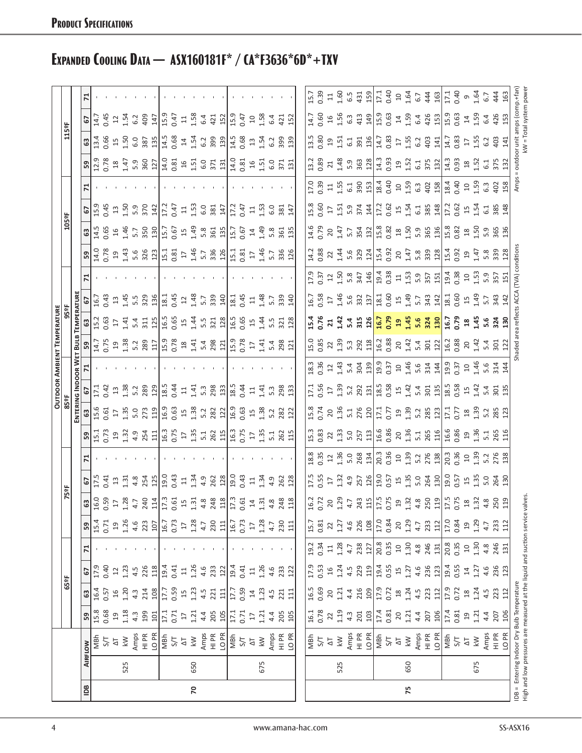|               |     |                                                                       |                         |                 |                         |                 |                         |        |                                                                   |                                                                                                                                                                                                                                                                                                                        |                                                                                                                                                                                                                                                                                                                    | <b>OUTDOOR AMBIENT TEMPERATURE</b> |                                                                                                                                                                                                                                                                                                                      |                                                                                                                                                                                                                                                                                                                     |                                                                                                                                                                                                                                                                                                                                                |                                                                                            |  |                                                                                                   |                                                                                                                                                                                                                                                                                                            |                                                                                                   |                                                                                                                |
|---------------|-----|-----------------------------------------------------------------------|-------------------------|-----------------|-------------------------|-----------------|-------------------------|--------|-------------------------------------------------------------------|------------------------------------------------------------------------------------------------------------------------------------------------------------------------------------------------------------------------------------------------------------------------------------------------------------------------|--------------------------------------------------------------------------------------------------------------------------------------------------------------------------------------------------------------------------------------------------------------------------------------------------------------------|------------------------------------|----------------------------------------------------------------------------------------------------------------------------------------------------------------------------------------------------------------------------------------------------------------------------------------------------------------------|---------------------------------------------------------------------------------------------------------------------------------------------------------------------------------------------------------------------------------------------------------------------------------------------------------------------|------------------------------------------------------------------------------------------------------------------------------------------------------------------------------------------------------------------------------------------------------------------------------------------------------------------------------------------------|--------------------------------------------------------------------------------------------|--|---------------------------------------------------------------------------------------------------|------------------------------------------------------------------------------------------------------------------------------------------------------------------------------------------------------------------------------------------------------------------------------------------------------------|---------------------------------------------------------------------------------------------------|----------------------------------------------------------------------------------------------------------------|
|               |     |                                                                       |                         | 65°F            |                         |                 |                         | 75°F   |                                                                   |                                                                                                                                                                                                                                                                                                                        |                                                                                                                                                                                                                                                                                                                    |                                    |                                                                                                                                                                                                                                                                                                                      |                                                                                                                                                                                                                                                                                                                     |                                                                                                                                                                                                                                                                                                                                                |                                                                                            |  |                                                                                                   | 115°F                                                                                                                                                                                                                                                                                                      |                                                                                                   |                                                                                                                |
|               |     |                                                                       |                         |                 |                         |                 |                         |        |                                                                   |                                                                                                                                                                                                                                                                                                                        |                                                                                                                                                                                                                                                                                                                    |                                    |                                                                                                                                                                                                                                                                                                                      |                                                                                                                                                                                                                                                                                                                     |                                                                                                                                                                                                                                                                                                                                                |                                                                                            |  |                                                                                                   |                                                                                                                                                                                                                                                                                                            |                                                                                                   |                                                                                                                |
| $\frac{8}{2}$ |     | AIRFLOW                                                               | 59                      | යි              | 67                      |                 | 59                      |        |                                                                   |                                                                                                                                                                                                                                                                                                                        |                                                                                                                                                                                                                                                                                                                    |                                    |                                                                                                                                                                                                                                                                                                                      |                                                                                                                                                                                                                                                                                                                     |                                                                                                                                                                                                                                                                                                                                                |                                                                                            |  |                                                                                                   |                                                                                                                                                                                                                                                                                                            |                                                                                                   |                                                                                                                |
|               |     | MBh                                                                   | 15.8                    | 16.4            | 17.9                    |                 | 15.4                    |        |                                                                   | $B$ $\frac{1}{2}$ $\frac{1}{2}$ $\frac{3}{2}$ $\frac{3}{2}$ $\frac{4}{3}$ $\frac{3}{4}$ $\frac{1}{2}$ $\frac{1}{2}$ $\frac{3}{2}$ $\frac{5}{2}$ $\frac{5}{2}$ $\frac{3}{2}$ $\frac{3}{2}$ $\frac{1}{2}$ $\frac{1}{2}$ $\frac{3}{2}$ $\frac{3}{2}$ $\frac{1}{2}$ $\frac{1}{2}$ $\frac{3}{2}$ $\frac{1}{2}$ $\frac{1}{2$ | <b>8</b> $\frac{6}{12}$ $\frac{6}{5}$ $\frac{1}{2}$ $\frac{3}{12}$ $\frac{3}{12}$ $\frac{3}{12}$ $\frac{3}{12}$ $\frac{3}{12}$ $\frac{3}{12}$ $\frac{3}{12}$ $\frac{3}{12}$ $\frac{3}{12}$ $\frac{3}{12}$ $\frac{3}{12}$ $\frac{3}{12}$ $\frac{3}{12}$ $\frac{3}{12}$ $\frac{3}{12}$ $\frac{3}{12}$ $\frac{3}{12}$ |                                    | $3\frac{1}{2}$ $\frac{3}{2}$ $\frac{3}{2}$ $\frac{1}{2}$ $\frac{1}{3}$ $\frac{1}{3}$ $\frac{1}{2}$ $\frac{1}{6}$ $\frac{1}{6}$ $\frac{1}{2}$ $\frac{1}{3}$ $\frac{1}{2}$ $\frac{1}{3}$ $\frac{1}{2}$ $\frac{1}{3}$ $\frac{1}{2}$ $\frac{1}{3}$ $\frac{1}{2}$ $\frac{1}{3}$ $\frac{1}{2}$ $\frac{1}{3}$ $\frac{1}{2}$ | $\frac{6}{2}$ $\frac{1}{2}$ $\frac{3}{2}$ $\frac{4}{3}$ $\frac{4}{3}$ $\frac{5}{2}$ $\frac{8}{3}$ $\frac{8}{2}$ $\frac{1}{2}$ $\frac{3}{4}$ $\frac{2}{3}$ $\frac{3}{4}$ $\frac{3}{4}$ $\frac{1}{2}$ $\frac{3}{4}$ $\frac{3}{4}$ $\frac{3}{4}$ $\frac{3}{4}$ $\frac{3}{4}$ $\frac{3}{4}$ $\frac{3}{4}$ $\frac{3}{4}$ |                                                                                                                                                                                                                                                                                                                                                | $3\frac{1}{2}$ 5 5 6 7 6 7 6 7 6 7 7 7 8 7 7 7 8 7 7 7 8 7 7 7 8 7 7 7 7 8 7 7 7 8 7 7 8 7 |  | <mark>ង</mark> ប្លី ន ដ ិ ដ ិ ន ប្រាំ ដ ិ ន ដ ិ ដ ិ ន ដ ី ដ ិ ន ដ ី ន ន ដ ី ន ន ដ ី ន ន ដ ី ន ន ដ | $3\frac{1}{3}$ 3 $\frac{1}{3}$ 9 $\frac{1}{3}$ 3 $\frac{1}{3}$ $\frac{1}{3}$ 3 $\frac{1}{3}$ 3 $\frac{1}{3}$ 3 $\frac{1}{3}$ 3 $\frac{1}{3}$ 3 $\frac{1}{3}$ 3 $\frac{1}{3}$ 3 $\frac{1}{3}$ 3 $\frac{1}{3}$ 3 $\frac{1}{3}$ 3 $\frac{1}{3}$ 3 $\frac{1}{3}$ 3 $\frac{1}{3}$ 3 $\frac{1}{3}$ 3 $\frac{1}{$ |                                                                                                   |                                                                                                                |
|               |     | $\Delta\mathsf{T}$<br>5/7                                             | 0.68<br>$\overline{c}$  | 0.57<br>16      | 0.40<br>$\overline{12}$ |                 | 0.71<br>$\overline{c}$  |        |                                                                   |                                                                                                                                                                                                                                                                                                                        |                                                                                                                                                                                                                                                                                                                    |                                    |                                                                                                                                                                                                                                                                                                                      |                                                                                                                                                                                                                                                                                                                     |                                                                                                                                                                                                                                                                                                                                                |                                                                                            |  |                                                                                                   |                                                                                                                                                                                                                                                                                                            |                                                                                                   |                                                                                                                |
|               | 525 | $\lesssim$                                                            | 1.18                    | 1.20            | 1.23                    |                 | 1.26                    |        |                                                                   |                                                                                                                                                                                                                                                                                                                        |                                                                                                                                                                                                                                                                                                                    |                                    |                                                                                                                                                                                                                                                                                                                      |                                                                                                                                                                                                                                                                                                                     |                                                                                                                                                                                                                                                                                                                                                |                                                                                            |  |                                                                                                   |                                                                                                                                                                                                                                                                                                            |                                                                                                   |                                                                                                                |
|               |     |                                                                       | 4.3                     | 4.3             | 4.5                     |                 | 4.6                     |        |                                                                   |                                                                                                                                                                                                                                                                                                                        |                                                                                                                                                                                                                                                                                                                    |                                    |                                                                                                                                                                                                                                                                                                                      |                                                                                                                                                                                                                                                                                                                     |                                                                                                                                                                                                                                                                                                                                                |                                                                                            |  |                                                                                                   |                                                                                                                                                                                                                                                                                                            |                                                                                                   |                                                                                                                |
|               |     | Amps<br>H PR<br>LO PR                                                 | 199                     | 214             | 226                     |                 | 223                     |        |                                                                   |                                                                                                                                                                                                                                                                                                                        |                                                                                                                                                                                                                                                                                                                    |                                    |                                                                                                                                                                                                                                                                                                                      |                                                                                                                                                                                                                                                                                                                     |                                                                                                                                                                                                                                                                                                                                                |                                                                                            |  |                                                                                                   |                                                                                                                                                                                                                                                                                                            |                                                                                                   |                                                                                                                |
|               |     |                                                                       | 101                     | 108             | 118                     |                 | 107                     |        |                                                                   |                                                                                                                                                                                                                                                                                                                        |                                                                                                                                                                                                                                                                                                                    |                                    |                                                                                                                                                                                                                                                                                                                      |                                                                                                                                                                                                                                                                                                                     |                                                                                                                                                                                                                                                                                                                                                |                                                                                            |  |                                                                                                   |                                                                                                                                                                                                                                                                                                            |                                                                                                   |                                                                                                                |
|               |     | 도 있<br>이후                                                             | 17.1                    | 17.7            | 19.4                    |                 | 16.7<br>0.73            |        |                                                                   |                                                                                                                                                                                                                                                                                                                        |                                                                                                                                                                                                                                                                                                                    |                                    |                                                                                                                                                                                                                                                                                                                      |                                                                                                                                                                                                                                                                                                                     |                                                                                                                                                                                                                                                                                                                                                |                                                                                            |  |                                                                                                   |                                                                                                                                                                                                                                                                                                            |                                                                                                   |                                                                                                                |
|               |     |                                                                       | 0.71                    | 0.59            | 0.41                    |                 |                         |        |                                                                   |                                                                                                                                                                                                                                                                                                                        |                                                                                                                                                                                                                                                                                                                    |                                    |                                                                                                                                                                                                                                                                                                                      |                                                                                                                                                                                                                                                                                                                     |                                                                                                                                                                                                                                                                                                                                                |                                                                                            |  |                                                                                                   |                                                                                                                                                                                                                                                                                                            |                                                                                                   |                                                                                                                |
|               |     |                                                                       | $\overline{17}$         | 15              | $\Xi$                   |                 | $\overline{\mathbb{L}}$ |        |                                                                   |                                                                                                                                                                                                                                                                                                                        |                                                                                                                                                                                                                                                                                                                    |                                    |                                                                                                                                                                                                                                                                                                                      |                                                                                                                                                                                                                                                                                                                     |                                                                                                                                                                                                                                                                                                                                                |                                                                                            |  |                                                                                                   |                                                                                                                                                                                                                                                                                                            |                                                                                                   |                                                                                                                |
| 70            | 650 | $\overline{\mathsf{k}}$                                               | 1.21                    | 1.23            | 1.26                    |                 | $1.28$<br>4.7           |        |                                                                   |                                                                                                                                                                                                                                                                                                                        |                                                                                                                                                                                                                                                                                                                    |                                    |                                                                                                                                                                                                                                                                                                                      |                                                                                                                                                                                                                                                                                                                     |                                                                                                                                                                                                                                                                                                                                                |                                                                                            |  |                                                                                                   |                                                                                                                                                                                                                                                                                                            |                                                                                                   |                                                                                                                |
|               |     |                                                                       | 4.4                     | 4.5             | 4.6                     |                 |                         |        |                                                                   |                                                                                                                                                                                                                                                                                                                        |                                                                                                                                                                                                                                                                                                                    |                                    |                                                                                                                                                                                                                                                                                                                      |                                                                                                                                                                                                                                                                                                                     |                                                                                                                                                                                                                                                                                                                                                |                                                                                            |  |                                                                                                   |                                                                                                                                                                                                                                                                                                            |                                                                                                   |                                                                                                                |
|               |     | Amps<br>H PR<br>LO PR                                                 | 205                     | 221             | 233                     |                 | 230                     |        |                                                                   |                                                                                                                                                                                                                                                                                                                        |                                                                                                                                                                                                                                                                                                                    |                                    |                                                                                                                                                                                                                                                                                                                      |                                                                                                                                                                                                                                                                                                                     |                                                                                                                                                                                                                                                                                                                                                |                                                                                            |  |                                                                                                   |                                                                                                                                                                                                                                                                                                            |                                                                                                   |                                                                                                                |
|               |     |                                                                       | 105                     | 11              | 122                     |                 | 111                     |        |                                                                   |                                                                                                                                                                                                                                                                                                                        |                                                                                                                                                                                                                                                                                                                    |                                    |                                                                                                                                                                                                                                                                                                                      |                                                                                                                                                                                                                                                                                                                     |                                                                                                                                                                                                                                                                                                                                                |                                                                                            |  |                                                                                                   |                                                                                                                                                                                                                                                                                                            |                                                                                                   |                                                                                                                |
|               |     | $\frac{25}{14}$                                                       | 17.1<br>0.71            | 17.7<br>0.59    | 19.4                    |                 | 16.7<br>0.73            |        |                                                                   |                                                                                                                                                                                                                                                                                                                        |                                                                                                                                                                                                                                                                                                                    |                                    |                                                                                                                                                                                                                                                                                                                      |                                                                                                                                                                                                                                                                                                                     |                                                                                                                                                                                                                                                                                                                                                |                                                                                            |  |                                                                                                   |                                                                                                                                                                                                                                                                                                            |                                                                                                   |                                                                                                                |
|               |     |                                                                       |                         |                 | 0.41                    |                 |                         |        |                                                                   |                                                                                                                                                                                                                                                                                                                        |                                                                                                                                                                                                                                                                                                                    |                                    |                                                                                                                                                                                                                                                                                                                      |                                                                                                                                                                                                                                                                                                                     |                                                                                                                                                                                                                                                                                                                                                |                                                                                            |  |                                                                                                   |                                                                                                                                                                                                                                                                                                            |                                                                                                   |                                                                                                                |
|               |     | $\Delta\mathsf{T}$                                                    | $\overline{\mathbb{L}}$ | $\overline{1}$  | $\Xi$                   |                 | $\overline{\mathbb{L}}$ |        |                                                                   |                                                                                                                                                                                                                                                                                                                        |                                                                                                                                                                                                                                                                                                                    |                                    |                                                                                                                                                                                                                                                                                                                      |                                                                                                                                                                                                                                                                                                                     |                                                                                                                                                                                                                                                                                                                                                |                                                                                            |  |                                                                                                   |                                                                                                                                                                                                                                                                                                            |                                                                                                   |                                                                                                                |
|               | 675 | $\overline{\mathsf{k}}$                                               | 1.21                    | 1.23            | 1.26                    |                 | 1.28                    |        |                                                                   |                                                                                                                                                                                                                                                                                                                        |                                                                                                                                                                                                                                                                                                                    |                                    |                                                                                                                                                                                                                                                                                                                      |                                                                                                                                                                                                                                                                                                                     |                                                                                                                                                                                                                                                                                                                                                |                                                                                            |  |                                                                                                   |                                                                                                                                                                                                                                                                                                            |                                                                                                   |                                                                                                                |
|               |     | Amps                                                                  | 4.4                     | 4.5             | 4.6                     |                 | 4.7                     |        |                                                                   |                                                                                                                                                                                                                                                                                                                        |                                                                                                                                                                                                                                                                                                                    |                                    |                                                                                                                                                                                                                                                                                                                      |                                                                                                                                                                                                                                                                                                                     |                                                                                                                                                                                                                                                                                                                                                |                                                                                            |  |                                                                                                   |                                                                                                                                                                                                                                                                                                            |                                                                                                   |                                                                                                                |
|               |     | HI PR                                                                 | 205                     | 221             | 233                     |                 | 230                     |        |                                                                   |                                                                                                                                                                                                                                                                                                                        |                                                                                                                                                                                                                                                                                                                    |                                    |                                                                                                                                                                                                                                                                                                                      |                                                                                                                                                                                                                                                                                                                     |                                                                                                                                                                                                                                                                                                                                                |                                                                                            |  |                                                                                                   |                                                                                                                                                                                                                                                                                                            |                                                                                                   |                                                                                                                |
|               |     | LO <sub>PR</sub>                                                      | 105                     | 11              | 122                     |                 | $\Xi$                   |        |                                                                   |                                                                                                                                                                                                                                                                                                                        |                                                                                                                                                                                                                                                                                                                    |                                    |                                                                                                                                                                                                                                                                                                                      |                                                                                                                                                                                                                                                                                                                     |                                                                                                                                                                                                                                                                                                                                                |                                                                                            |  |                                                                                                   |                                                                                                                                                                                                                                                                                                            |                                                                                                   |                                                                                                                |
|               |     |                                                                       |                         |                 |                         |                 |                         |        |                                                                   |                                                                                                                                                                                                                                                                                                                        |                                                                                                                                                                                                                                                                                                                    |                                    |                                                                                                                                                                                                                                                                                                                      |                                                                                                                                                                                                                                                                                                                     |                                                                                                                                                                                                                                                                                                                                                |                                                                                            |  |                                                                                                   |                                                                                                                                                                                                                                                                                                            |                                                                                                   |                                                                                                                |
|               |     | MBh                                                                   | 16.1                    | 16.5            | 17.9                    | 19.2            | 15.7                    |        |                                                                   |                                                                                                                                                                                                                                                                                                                        |                                                                                                                                                                                                                                                                                                                    |                                    |                                                                                                                                                                                                                                                                                                                      |                                                                                                                                                                                                                                                                                                                     |                                                                                                                                                                                                                                                                                                                                                |                                                                                            |  |                                                                                                   |                                                                                                                                                                                                                                                                                                            |                                                                                                   |                                                                                                                |
|               |     | 5/7                                                                   | 0.78                    | 0.69            | 0.53                    | 0.34            | 0.81                    |        |                                                                   |                                                                                                                                                                                                                                                                                                                        |                                                                                                                                                                                                                                                                                                                    |                                    |                                                                                                                                                                                                                                                                                                                      |                                                                                                                                                                                                                                                                                                                     |                                                                                                                                                                                                                                                                                                                                                |                                                                                            |  |                                                                                                   |                                                                                                                                                                                                                                                                                                            |                                                                                                   |                                                                                                                |
|               |     | $\overline{\Delta}$                                                   | 22                      | 20              | $\frac{9}{2}$           | $\Xi$           | 22                      |        |                                                                   |                                                                                                                                                                                                                                                                                                                        |                                                                                                                                                                                                                                                                                                                    |                                    |                                                                                                                                                                                                                                                                                                                      |                                                                                                                                                                                                                                                                                                                     |                                                                                                                                                                                                                                                                                                                                                |                                                                                            |  |                                                                                                   |                                                                                                                                                                                                                                                                                                            |                                                                                                   |                                                                                                                |
|               | 525 | $\overline{\mathsf{k}}$                                               | 1.19                    | 1.21            | 1.24                    | $1.28$<br>$4.7$ | 1.27                    |        |                                                                   |                                                                                                                                                                                                                                                                                                                        |                                                                                                                                                                                                                                                                                                                    |                                    |                                                                                                                                                                                                                                                                                                                      |                                                                                                                                                                                                                                                                                                                     |                                                                                                                                                                                                                                                                                                                                                |                                                                                            |  |                                                                                                   |                                                                                                                                                                                                                                                                                                            |                                                                                                   |                                                                                                                |
|               |     | Amps<br>H PR<br>LO PR                                                 | $4.\overline{3}$        | 4.4             | 4.5                     |                 | 4.6                     |        |                                                                   |                                                                                                                                                                                                                                                                                                                        |                                                                                                                                                                                                                                                                                                                    |                                    |                                                                                                                                                                                                                                                                                                                      |                                                                                                                                                                                                                                                                                                                     |                                                                                                                                                                                                                                                                                                                                                |                                                                                            |  |                                                                                                   |                                                                                                                                                                                                                                                                                                            |                                                                                                   |                                                                                                                |
|               |     |                                                                       | 201                     | 216             | 229                     | 238<br>127      | 226                     |        |                                                                   |                                                                                                                                                                                                                                                                                                                        |                                                                                                                                                                                                                                                                                                                    |                                    |                                                                                                                                                                                                                                                                                                                      |                                                                                                                                                                                                                                                                                                                     |                                                                                                                                                                                                                                                                                                                                                |                                                                                            |  |                                                                                                   |                                                                                                                                                                                                                                                                                                            |                                                                                                   |                                                                                                                |
|               |     |                                                                       | 103                     | 109             | 119                     |                 | 108                     |        |                                                                   |                                                                                                                                                                                                                                                                                                                        |                                                                                                                                                                                                                                                                                                                    |                                    |                                                                                                                                                                                                                                                                                                                      |                                                                                                                                                                                                                                                                                                                     |                                                                                                                                                                                                                                                                                                                                                |                                                                                            |  |                                                                                                   |                                                                                                                                                                                                                                                                                                            |                                                                                                   |                                                                                                                |
|               |     | MBh<br>S/T                                                            | 17.4<br>0.81            | 17.9<br>0.72    | 19.4<br>0.55            | 20.8<br>0.35    | 17.0                    |        |                                                                   |                                                                                                                                                                                                                                                                                                                        |                                                                                                                                                                                                                                                                                                                    |                                    |                                                                                                                                                                                                                                                                                                                      |                                                                                                                                                                                                                                                                                                                     |                                                                                                                                                                                                                                                                                                                                                |                                                                                            |  |                                                                                                   |                                                                                                                                                                                                                                                                                                            |                                                                                                   |                                                                                                                |
|               |     |                                                                       |                         |                 |                         |                 | 0.84                    |        |                                                                   |                                                                                                                                                                                                                                                                                                                        |                                                                                                                                                                                                                                                                                                                    |                                    |                                                                                                                                                                                                                                                                                                                      |                                                                                                                                                                                                                                                                                                                     |                                                                                                                                                                                                                                                                                                                                                |                                                                                            |  |                                                                                                   |                                                                                                                                                                                                                                                                                                            |                                                                                                   |                                                                                                                |
|               |     | $\overline{\Delta}$                                                   | $20$                    | $^{28}$         | 15                      | $\Xi$           | 20                      |        |                                                                   |                                                                                                                                                                                                                                                                                                                        |                                                                                                                                                                                                                                                                                                                    |                                    |                                                                                                                                                                                                                                                                                                                      |                                                                                                                                                                                                                                                                                                                     |                                                                                                                                                                                                                                                                                                                                                |                                                                                            |  |                                                                                                   |                                                                                                                                                                                                                                                                                                            |                                                                                                   |                                                                                                                |
| 15            | 650 | $k$ W                                                                 | 1.21                    | 1.24            | 1.27                    | 1.30            | 1.29                    |        |                                                                   |                                                                                                                                                                                                                                                                                                                        |                                                                                                                                                                                                                                                                                                                    |                                    |                                                                                                                                                                                                                                                                                                                      |                                                                                                                                                                                                                                                                                                                     |                                                                                                                                                                                                                                                                                                                                                |                                                                                            |  |                                                                                                   |                                                                                                                                                                                                                                                                                                            |                                                                                                   |                                                                                                                |
|               |     | Amps<br>HI PR                                                         | 4.4                     | 4.5             | 4.6                     | 4.8             | 4.7                     |        |                                                                   |                                                                                                                                                                                                                                                                                                                        |                                                                                                                                                                                                                                                                                                                    |                                    |                                                                                                                                                                                                                                                                                                                      |                                                                                                                                                                                                                                                                                                                     |                                                                                                                                                                                                                                                                                                                                                |                                                                                            |  |                                                                                                   |                                                                                                                                                                                                                                                                                                            |                                                                                                   |                                                                                                                |
|               |     |                                                                       | 207                     | 223             | 236<br>123              | 246<br>131      | 233                     |        |                                                                   |                                                                                                                                                                                                                                                                                                                        |                                                                                                                                                                                                                                                                                                                    |                                    |                                                                                                                                                                                                                                                                                                                      |                                                                                                                                                                                                                                                                                                                     |                                                                                                                                                                                                                                                                                                                                                |                                                                                            |  |                                                                                                   |                                                                                                                                                                                                                                                                                                            |                                                                                                   |                                                                                                                |
|               |     | LO <sub>PR</sub>                                                      | 106                     | 17.9<br>112     |                         |                 | 17.0<br>112             |        | rs<br>1981 - 1982 1983 1983 1984<br>1983 1984 1985 1986 1986 1981 |                                                                                                                                                                                                                                                                                                                        |                                                                                                                                                                                                                                                                                                                    |                                    | ដូន ដូង ដូ <mark>ន ទី ទី ទី ទី នី នី ងី មី</mark> ថ្មី ទី ទី ដូ នី ងី ងី ងី                                                                                                                                                                                                                                          |                                                                                                                                                                                                                                                                                                                     | $\begin{array}{ccc}\n 1 & 8 & 8 & 1 \\  1 & 1 & 8 & 1 \\  2 & 3 & 5 & 1 \\  3 & 4 & 5 & 1 \\  4 & 5 & 6 & 1 \\  5 & 6 & 1 & 1 \\  6 & 1 & 1 & 1 \\  7 & 1 & 1 & 1 \\  8 & 1 & 1 & 1 \\  9 & 1 & 1 & 1 \\  10 & 1 & 1 & 1 \\  11 & 1 & 1 & 1 \\  12 & 1 & 1 & 1 & 1 \\  13 & 1 & 1 & 1 & 1 \\  14 & 1 & 1 & 1 & 1 \\  15 & 1 & 1 & 1 & 1 \\  1$ |                                                                                            |  |                                                                                                   |                                                                                                                                                                                                                                                                                                            | r<br>ក្នុខ ម កូ ឆ ដ ឡូត្រូ ឆ ដ ឆ ដ ន ដ ន ន ដ ន ទ ។<br>ក្នុង ន ដ ន ន ន ន ន ន ន ន ន ន ន ន ន ន ន ន ន | ri su de re a alla de re de re de la de la de la de la de la de la de la de la de la de la de la de la de la d |
|               |     | MBh                                                                   | 17.4                    |                 | 19.4                    | 20.8            |                         |        |                                                                   |                                                                                                                                                                                                                                                                                                                        |                                                                                                                                                                                                                                                                                                                    |                                    |                                                                                                                                                                                                                                                                                                                      |                                                                                                                                                                                                                                                                                                                     |                                                                                                                                                                                                                                                                                                                                                |                                                                                            |  |                                                                                                   |                                                                                                                                                                                                                                                                                                            |                                                                                                   |                                                                                                                |
|               |     | 5/7                                                                   | 0.81                    | 0.72            | 0.55                    | 0.35            | 0.84                    |        |                                                                   |                                                                                                                                                                                                                                                                                                                        |                                                                                                                                                                                                                                                                                                                    |                                    |                                                                                                                                                                                                                                                                                                                      |                                                                                                                                                                                                                                                                                                                     |                                                                                                                                                                                                                                                                                                                                                |                                                                                            |  |                                                                                                   |                                                                                                                                                                                                                                                                                                            |                                                                                                   |                                                                                                                |
|               |     | $\overline{a}$                                                        | $\overline{c}$          | $^{28}$         | $\overline{1}$          | $\Box$          | $\Xi$                   |        |                                                                   |                                                                                                                                                                                                                                                                                                                        |                                                                                                                                                                                                                                                                                                                    |                                    |                                                                                                                                                                                                                                                                                                                      |                                                                                                                                                                                                                                                                                                                     |                                                                                                                                                                                                                                                                                                                                                |                                                                                            |  |                                                                                                   |                                                                                                                                                                                                                                                                                                            |                                                                                                   |                                                                                                                |
|               | 675 | $\leq$                                                                | 1.21                    | 1.24            | 1.27                    | 1.30            | 1.29                    |        |                                                                   |                                                                                                                                                                                                                                                                                                                        |                                                                                                                                                                                                                                                                                                                    |                                    |                                                                                                                                                                                                                                                                                                                      |                                                                                                                                                                                                                                                                                                                     |                                                                                                                                                                                                                                                                                                                                                |                                                                                            |  |                                                                                                   |                                                                                                                                                                                                                                                                                                            |                                                                                                   |                                                                                                                |
|               |     | Amps<br>HI PR                                                         | 4.4                     | 4.5             | 4.6                     | 4.8             | 4.7                     |        |                                                                   |                                                                                                                                                                                                                                                                                                                        |                                                                                                                                                                                                                                                                                                                    |                                    |                                                                                                                                                                                                                                                                                                                      |                                                                                                                                                                                                                                                                                                                     |                                                                                                                                                                                                                                                                                                                                                |                                                                                            |  |                                                                                                   |                                                                                                                                                                                                                                                                                                            |                                                                                                   |                                                                                                                |
|               |     | LO PR                                                                 | 207                     | 223             | 236<br>123              | 246<br>131      | 233<br>112              |        |                                                                   |                                                                                                                                                                                                                                                                                                                        |                                                                                                                                                                                                                                                                                                                    |                                    |                                                                                                                                                                                                                                                                                                                      |                                                                                                                                                                                                                                                                                                                     |                                                                                                                                                                                                                                                                                                                                                |                                                                                            |  |                                                                                                   |                                                                                                                                                                                                                                                                                                            |                                                                                                   |                                                                                                                |
|               |     |                                                                       | 106                     | $\overline{11}$ |                         |                 |                         |        |                                                                   |                                                                                                                                                                                                                                                                                                                        |                                                                                                                                                                                                                                                                                                                    |                                    |                                                                                                                                                                                                                                                                                                                      |                                                                                                                                                                                                                                                                                                                     |                                                                                                                                                                                                                                                                                                                                                |                                                                                            |  |                                                                                                   |                                                                                                                                                                                                                                                                                                            |                                                                                                   |                                                                                                                |
|               |     | IDB = Entering Indoor Dry Bulb Temperature                            |                         |                 |                         |                 |                         |        |                                                                   |                                                                                                                                                                                                                                                                                                                        |                                                                                                                                                                                                                                                                                                                    |                                    |                                                                                                                                                                                                                                                                                                                      |                                                                                                                                                                                                                                                                                                                     |                                                                                                                                                                                                                                                                                                                                                |                                                                                            |  |                                                                                                   | r unit amps (comp.+fan<br>:W = Total system powe                                                                                                                                                                                                                                                           |                                                                                                   |                                                                                                                |
|               |     | High and low pressures are measured at the liquid and suction service |                         |                 |                         |                 |                         | valves |                                                                   |                                                                                                                                                                                                                                                                                                                        |                                                                                                                                                                                                                                                                                                                    |                                    |                                                                                                                                                                                                                                                                                                                      |                                                                                                                                                                                                                                                                                                                     |                                                                                                                                                                                                                                                                                                                                                |                                                                                            |  |                                                                                                   |                                                                                                                                                                                                                                                                                                            |                                                                                                   |                                                                                                                |

#### **Expanded Cooling Data — ASX160181F\* / CA\*F3636\*6D\*+TXV**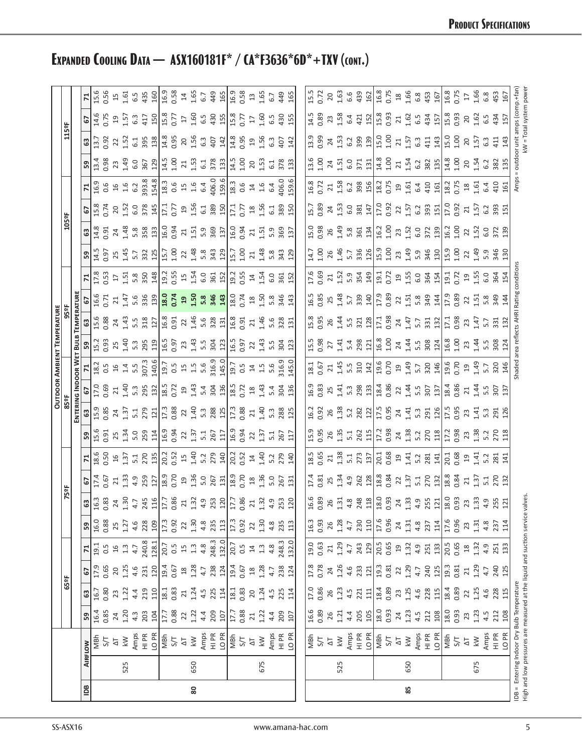|    |     |                                                                             |                   |            |                |                |                     |                                                                                                                                                                                               |                  |           |                                                                                 |                                                                                                                                                                                                                                      | <b>OUTDOOR</b>                                           |                                                                                                                                                                                                                                                                                                                                                                                        | <b>AMBIENT TEMPERATURE</b>                                                                                                                                                                                 |                                                                                                                                                                                                                                                                                                                               |                   |                                                                                                                                                                                                                               |                                                                                                                                                      |       |                                                                                                               |                                                                                                                                                                                                                                                                                                             |                                                                                     |                                                                                                                                                                                                                                                                                                                                                                                                                                                                                                                                                                                                                                          |                  |  |
|----|-----|-----------------------------------------------------------------------------|-------------------|------------|----------------|----------------|---------------------|-----------------------------------------------------------------------------------------------------------------------------------------------------------------------------------------------|------------------|-----------|---------------------------------------------------------------------------------|--------------------------------------------------------------------------------------------------------------------------------------------------------------------------------------------------------------------------------------|----------------------------------------------------------|----------------------------------------------------------------------------------------------------------------------------------------------------------------------------------------------------------------------------------------------------------------------------------------------------------------------------------------------------------------------------------------|------------------------------------------------------------------------------------------------------------------------------------------------------------------------------------------------------------|-------------------------------------------------------------------------------------------------------------------------------------------------------------------------------------------------------------------------------------------------------------------------------------------------------------------------------|-------------------|-------------------------------------------------------------------------------------------------------------------------------------------------------------------------------------------------------------------------------|------------------------------------------------------------------------------------------------------------------------------------------------------|-------|---------------------------------------------------------------------------------------------------------------|-------------------------------------------------------------------------------------------------------------------------------------------------------------------------------------------------------------------------------------------------------------------------------------------------------------|-------------------------------------------------------------------------------------|------------------------------------------------------------------------------------------------------------------------------------------------------------------------------------------------------------------------------------------------------------------------------------------------------------------------------------------------------------------------------------------------------------------------------------------------------------------------------------------------------------------------------------------------------------------------------------------------------------------------------------------|------------------|--|
|    |     |                                                                             |                   |            | 65°F           |                |                     |                                                                                                                                                                                               | 75°F             |           |                                                                                 |                                                                                                                                                                                                                                      |                                                          |                                                                                                                                                                                                                                                                                                                                                                                        |                                                                                                                                                                                                            |                                                                                                                                                                                                                                                                                                                               |                   |                                                                                                                                                                                                                               |                                                                                                                                                      | 105°F |                                                                                                               |                                                                                                                                                                                                                                                                                                             |                                                                                     | 115ºF                                                                                                                                                                                                                                                                                                                                                                                                                                                                                                                                                                                                                                    |                  |  |
|    |     |                                                                             |                   |            |                |                |                     |                                                                                                                                                                                               |                  |           |                                                                                 |                                                                                                                                                                                                                                      |                                                          | OR WI                                                                                                                                                                                                                                                                                                                                                                                  |                                                                                                                                                                                                            |                                                                                                                                                                                                                                                                                                                               |                   |                                                                                                                                                                                                                               |                                                                                                                                                      |       |                                                                                                               |                                                                                                                                                                                                                                                                                                             |                                                                                     |                                                                                                                                                                                                                                                                                                                                                                                                                                                                                                                                                                                                                                          |                  |  |
| Вq |     | AIRFLOW                                                                     | 59                | 63         | 5              |                | 59                  |                                                                                                                                                                                               |                  |           |                                                                                 |                                                                                                                                                                                                                                      |                                                          |                                                                                                                                                                                                                                                                                                                                                                                        |                                                                                                                                                                                                            |                                                                                                                                                                                                                                                                                                                               |                   |                                                                                                                                                                                                                               |                                                                                                                                                      |       |                                                                                                               |                                                                                                                                                                                                                                                                                                             |                                                                                     | $\overline{67}$                                                                                                                                                                                                                                                                                                                                                                                                                                                                                                                                                                                                                          |                  |  |
|    |     | MBh                                                                         | 16.4              | 16.7       | 17.9           | 19.1           | 16.0                |                                                                                                                                                                                               | $rac{67}{17.4}$  |           |                                                                                 |                                                                                                                                                                                                                                      |                                                          |                                                                                                                                                                                                                                                                                                                                                                                        |                                                                                                                                                                                                            |                                                                                                                                                                                                                                                                                                                               | $\frac{6}{16.71}$ |                                                                                                                                                                                                                               |                                                                                                                                                      |       | $\frac{67}{15.8}$                                                                                             |                                                                                                                                                                                                                                                                                                             |                                                                                     | 14.6<br>D.75                                                                                                                                                                                                                                                                                                                                                                                                                                                                                                                                                                                                                             |                  |  |
|    |     | 5/7                                                                         | 0.85              | 0.80       | 0.65           | 0.5            | 0.88                |                                                                                                                                                                                               |                  |           |                                                                                 |                                                                                                                                                                                                                                      |                                                          |                                                                                                                                                                                                                                                                                                                                                                                        |                                                                                                                                                                                                            |                                                                                                                                                                                                                                                                                                                               |                   |                                                                                                                                                                                                                               |                                                                                                                                                      |       |                                                                                                               |                                                                                                                                                                                                                                                                                                             |                                                                                     |                                                                                                                                                                                                                                                                                                                                                                                                                                                                                                                                                                                                                                          |                  |  |
|    |     | $\overline{\mathcal{L}}$                                                    | $\overline{24}$   | 23         | 20             | $\mathfrak{g}$ | 25                  |                                                                                                                                                                                               |                  |           |                                                                                 |                                                                                                                                                                                                                                      |                                                          |                                                                                                                                                                                                                                                                                                                                                                                        |                                                                                                                                                                                                            |                                                                                                                                                                                                                                                                                                                               |                   |                                                                                                                                                                                                                               |                                                                                                                                                      |       |                                                                                                               |                                                                                                                                                                                                                                                                                                             |                                                                                     |                                                                                                                                                                                                                                                                                                                                                                                                                                                                                                                                                                                                                                          |                  |  |
|    | 525 | $\leq$                                                                      | 1.20              | 1.22       | 1.25           | $1.3$<br>$4.7$ | 1.27                |                                                                                                                                                                                               |                  |           |                                                                                 |                                                                                                                                                                                                                                      |                                                          |                                                                                                                                                                                                                                                                                                                                                                                        |                                                                                                                                                                                                            |                                                                                                                                                                                                                                                                                                                               |                   |                                                                                                                                                                                                                               |                                                                                                                                                      |       |                                                                                                               |                                                                                                                                                                                                                                                                                                             |                                                                                     |                                                                                                                                                                                                                                                                                                                                                                                                                                                                                                                                                                                                                                          |                  |  |
|    |     | Amps                                                                        | $4.\overline{3}$  | 4.4        | 4.6            |                | 4.6                 |                                                                                                                                                                                               |                  |           |                                                                                 |                                                                                                                                                                                                                                      |                                                          |                                                                                                                                                                                                                                                                                                                                                                                        |                                                                                                                                                                                                            |                                                                                                                                                                                                                                                                                                                               |                   |                                                                                                                                                                                                                               |                                                                                                                                                      |       |                                                                                                               |                                                                                                                                                                                                                                                                                                             |                                                                                     |                                                                                                                                                                                                                                                                                                                                                                                                                                                                                                                                                                                                                                          |                  |  |
|    |     | HI PR                                                                       | 203               | 219        | 231            | 240.8          | 228                 | $\frac{a}{a}$ a $\frac{a}{a}$ a $\frac{a}{a}$ a $\frac{a}{a}$ a $\frac{a}{a}$ a $\frac{a}{a}$ a $\frac{a}{a}$ a $\frac{a}{a}$ a $\frac{a}{a}$ a $\frac{a}{a}$ a $\frac{a}{a}$ a $\frac{a}{a}$ |                  |           | <mark>ង</mark> ដ្រី ដូង ដូន ងូ ដ្បូង ទី ង ដូ ដូ ងូ ដូន្ទ្រី ង ដូ ដូ ងូ ងូ ដូ ងូ |                                                                                                                                                                                                                                      |                                                          | $\frac{1}{3}$<br>$\frac{1}{3}$<br>$\frac{1}{3}$<br>$\frac{1}{3}$<br>$\frac{1}{3}$<br>$\frac{1}{3}$<br>$\frac{1}{3}$<br>$\frac{1}{3}$<br>$\frac{1}{3}$<br>$\frac{1}{3}$<br>$\frac{1}{3}$<br>$\frac{1}{3}$<br>$\frac{1}{3}$<br>$\frac{1}{3}$<br>$\frac{1}{3}$<br>$\frac{1}{3}$<br>$\frac{1}{3}$<br>$\frac{1}{3}$<br>$\frac{1}{3}$<br>$\frac{1}{3}$<br>$\frac{1}{3}$<br>$\frac{1}{3}$<br> |                                                                                                                                                                                                            | $\vert$ 8 $\vert$ 6 $\vert$ 6 $\vert$ 6 $\vert$ 6 $\vert$ 6 $\vert$ 6 $\vert$ 6 $\vert$ 6 $\vert$ 6 $\vert$ 6 $\vert$ 6 $\vert$ 6 $\vert$ 6 $\vert$ 6 $\vert$ 6 $\vert$ 6 $\vert$ 6 $\vert$ 6 $\vert$ 6 $\vert$ 6 $\vert$ 6 $\vert$ 6 $\vert$ 6 $\vert$ 6 $\vert$ 6 $\vert$ 6 $\vert$ 6 $\vert$ 6 $\vert$ 6 $\vert$ 6 $\vert$ |                   | $1/2$ $3/3$ $2/3$ $4/3$ $5/3$ $5/4$ $5/3$ $6/3$ $6/3$ $6/3$ $6/3$ $6/3$ $6/3$ $6/3$ $6/3$ $6/3$ $6/3$ $6/3$ $6/3$ $6/3$ $6/3$ $6/3$ $6/3$ $6/3$ $6/3$ $6/3$ $6/3$ $6/3$ $6/3$ $6/3$ $6/3$ $6/3$ $6/3$ $6/3$ $6/3$ $6/3$ $6/3$ | <mark>ទ</mark> ាដ៏ ខ្លួន ដូច ងង្កាដ៍ ខ្ញុំ នូន ងូ ងូ ង្កាដូ ខ្ញុំ ង ដូ នូ ង ង្ក<br>នាដ៏ ខ្ញុំ ង ដូ ច ង ដ្បូ ខ្ញុំ នូ ន ង ន ន ង ដ្បូ ខ្ញុំ ដូ ន ង ង ភ |       |                                                                                                               | $\frac{1}{12}$ $\frac{1}{12}$ $\frac{3}{12}$ $\frac{1}{12}$ $\frac{1}{12}$ $\frac{1}{12}$ $\frac{1}{12}$ $\frac{1}{12}$ $\frac{1}{12}$ $\frac{1}{12}$ $\frac{1}{12}$ $\frac{1}{12}$ $\frac{1}{12}$ $\frac{1}{12}$ $\frac{1}{12}$ $\frac{1}{12}$ $\frac{1}{12}$ $\frac{1}{12}$ $\frac{1}{12}$ $\frac{1}{12}$ | <mark>ង</mark> ាជំនួន ដូច ខ្លួនទៅដូច ដូច ដូច ដូច ដូច ដូច ដូច ដូច                    | $\frac{15}{2}$ $\frac{15}{2}$ $\frac{3}{2}$ $\frac{15}{2}$ $\frac{15}{2}$ $\frac{15}{2}$ $\frac{15}{2}$ $\frac{15}{2}$ $\frac{15}{2}$ $\frac{15}{2}$ $\frac{15}{2}$ $\frac{15}{2}$ $\frac{15}{2}$ $\frac{15}{2}$ $\frac{15}{2}$ $\frac{15}{2}$ $\frac{15}{2}$ $\frac{15}{2}$ $\frac{15}{2}$ $\frac{15}{2}$ $\$<br>$\frac{3}{2}$ $\frac{13}{2}$ $\frac{3}{2}$ $\frac{3}{2}$ $\frac{13}{2}$ $\frac{13}{2}$ $\frac{3}{2}$ $\frac{3}{2}$ $\frac{3}{2}$ $\frac{3}{2}$ $\frac{3}{2}$ $\frac{3}{2}$ $\frac{3}{2}$ $\frac{3}{2}$ $\frac{3}{2}$ $\frac{3}{2}$ $\frac{3}{2}$ $\frac{3}{2}$ $\frac{3}{2}$ $\frac{3}{2}$ $\frac{3}{2}$ $\frac{3}{2}$ |                  |  |
|    |     | LO <sub>PR</sub>                                                            | 104               | 110        | 120            | 128.1          | 109                 |                                                                                                                                                                                               |                  |           |                                                                                 |                                                                                                                                                                                                                                      |                                                          |                                                                                                                                                                                                                                                                                                                                                                                        |                                                                                                                                                                                                            |                                                                                                                                                                                                                                                                                                                               |                   |                                                                                                                                                                                                                               |                                                                                                                                                      |       |                                                                                                               |                                                                                                                                                                                                                                                                                                             |                                                                                     |                                                                                                                                                                                                                                                                                                                                                                                                                                                                                                                                                                                                                                          |                  |  |
|    |     | NBP<br>S/T                                                                  | $\overline{17.7}$ | 18.1       | 19.4           | 20.7<br>0.5    | 17.3                |                                                                                                                                                                                               |                  |           |                                                                                 |                                                                                                                                                                                                                                      |                                                          |                                                                                                                                                                                                                                                                                                                                                                                        |                                                                                                                                                                                                            |                                                                                                                                                                                                                                                                                                                               |                   |                                                                                                                                                                                                                               |                                                                                                                                                      |       |                                                                                                               |                                                                                                                                                                                                                                                                                                             |                                                                                     |                                                                                                                                                                                                                                                                                                                                                                                                                                                                                                                                                                                                                                          |                  |  |
|    |     |                                                                             | 0.88              | 0.83       | 0.67           |                | 0.92                |                                                                                                                                                                                               |                  |           |                                                                                 |                                                                                                                                                                                                                                      |                                                          |                                                                                                                                                                                                                                                                                                                                                                                        |                                                                                                                                                                                                            |                                                                                                                                                                                                                                                                                                                               |                   |                                                                                                                                                                                                                               |                                                                                                                                                      |       |                                                                                                               |                                                                                                                                                                                                                                                                                                             |                                                                                     |                                                                                                                                                                                                                                                                                                                                                                                                                                                                                                                                                                                                                                          |                  |  |
|    |     | $\overline{\mathbb{Q}}$                                                     | 22                | 21         | $^{28}$        | 15             | 22                  |                                                                                                                                                                                               |                  |           |                                                                                 |                                                                                                                                                                                                                                      |                                                          |                                                                                                                                                                                                                                                                                                                                                                                        |                                                                                                                                                                                                            |                                                                                                                                                                                                                                                                                                                               |                   |                                                                                                                                                                                                                               |                                                                                                                                                      |       |                                                                                                               |                                                                                                                                                                                                                                                                                                             |                                                                                     |                                                                                                                                                                                                                                                                                                                                                                                                                                                                                                                                                                                                                                          |                  |  |
| 80 | 650 | $\leq$                                                                      | 1.22              | 1.24       | 1.28           |                | 1.30                |                                                                                                                                                                                               |                  |           |                                                                                 |                                                                                                                                                                                                                                      |                                                          |                                                                                                                                                                                                                                                                                                                                                                                        |                                                                                                                                                                                                            |                                                                                                                                                                                                                                                                                                                               |                   |                                                                                                                                                                                                                               |                                                                                                                                                      |       |                                                                                                               |                                                                                                                                                                                                                                                                                                             |                                                                                     |                                                                                                                                                                                                                                                                                                                                                                                                                                                                                                                                                                                                                                          |                  |  |
|    |     | Amps                                                                        | 4.4               | 4.5        | 4.7            | $1.3$<br>$4.8$ | 4.8                 |                                                                                                                                                                                               |                  |           |                                                                                 |                                                                                                                                                                                                                                      |                                                          |                                                                                                                                                                                                                                                                                                                                                                                        |                                                                                                                                                                                                            |                                                                                                                                                                                                                                                                                                                               |                   |                                                                                                                                                                                                                               |                                                                                                                                                      |       |                                                                                                               |                                                                                                                                                                                                                                                                                                             |                                                                                     |                                                                                                                                                                                                                                                                                                                                                                                                                                                                                                                                                                                                                                          |                  |  |
|    |     |                                                                             | 209               | 225        | 238            | 248.3          | 235                 |                                                                                                                                                                                               |                  |           |                                                                                 |                                                                                                                                                                                                                                      |                                                          |                                                                                                                                                                                                                                                                                                                                                                                        |                                                                                                                                                                                                            |                                                                                                                                                                                                                                                                                                                               |                   |                                                                                                                                                                                                                               |                                                                                                                                                      |       |                                                                                                               |                                                                                                                                                                                                                                                                                                             |                                                                                     |                                                                                                                                                                                                                                                                                                                                                                                                                                                                                                                                                                                                                                          |                  |  |
|    |     | HI PR<br>LO PR                                                              | 107               | 114        | 124            | 132.0          | 113                 |                                                                                                                                                                                               |                  |           |                                                                                 |                                                                                                                                                                                                                                      |                                                          |                                                                                                                                                                                                                                                                                                                                                                                        |                                                                                                                                                                                                            |                                                                                                                                                                                                                                                                                                                               |                   |                                                                                                                                                                                                                               |                                                                                                                                                      |       |                                                                                                               |                                                                                                                                                                                                                                                                                                             |                                                                                     |                                                                                                                                                                                                                                                                                                                                                                                                                                                                                                                                                                                                                                          |                  |  |
|    |     |                                                                             | 17.7              | 18.1       | 19.4           | 20.7           |                     |                                                                                                                                                                                               |                  |           |                                                                                 |                                                                                                                                                                                                                                      |                                                          |                                                                                                                                                                                                                                                                                                                                                                                        |                                                                                                                                                                                                            |                                                                                                                                                                                                                                                                                                                               |                   |                                                                                                                                                                                                                               |                                                                                                                                                      |       |                                                                                                               |                                                                                                                                                                                                                                                                                                             |                                                                                     |                                                                                                                                                                                                                                                                                                                                                                                                                                                                                                                                                                                                                                          |                  |  |
|    |     | MBh<br>S/T                                                                  | 0.88              | 0.83       | 0.67           | 0.5            | 17.3<br>0.92        |                                                                                                                                                                                               |                  |           |                                                                                 |                                                                                                                                                                                                                                      |                                                          |                                                                                                                                                                                                                                                                                                                                                                                        |                                                                                                                                                                                                            |                                                                                                                                                                                                                                                                                                                               |                   |                                                                                                                                                                                                                               |                                                                                                                                                      |       |                                                                                                               |                                                                                                                                                                                                                                                                                                             |                                                                                     |                                                                                                                                                                                                                                                                                                                                                                                                                                                                                                                                                                                                                                          |                  |  |
|    |     | $\overline{\mathbb{Q}}$                                                     | 21                | 20         | $\frac{8}{10}$ | $\overline{1}$ | 22                  |                                                                                                                                                                                               |                  |           |                                                                                 |                                                                                                                                                                                                                                      |                                                          |                                                                                                                                                                                                                                                                                                                                                                                        |                                                                                                                                                                                                            |                                                                                                                                                                                                                                                                                                                               |                   |                                                                                                                                                                                                                               |                                                                                                                                                      |       |                                                                                                               |                                                                                                                                                                                                                                                                                                             |                                                                                     |                                                                                                                                                                                                                                                                                                                                                                                                                                                                                                                                                                                                                                          |                  |  |
|    | 675 | kW                                                                          | 1.22              | 1.24       | 1.28           | $1.3\,$        | 1.30                |                                                                                                                                                                                               |                  |           |                                                                                 |                                                                                                                                                                                                                                      |                                                          |                                                                                                                                                                                                                                                                                                                                                                                        |                                                                                                                                                                                                            |                                                                                                                                                                                                                                                                                                                               |                   |                                                                                                                                                                                                                               |                                                                                                                                                      |       |                                                                                                               |                                                                                                                                                                                                                                                                                                             |                                                                                     |                                                                                                                                                                                                                                                                                                                                                                                                                                                                                                                                                                                                                                          |                  |  |
|    |     |                                                                             | 4.4               | 4.5        | 4.7            | 4.8            | 4.8                 |                                                                                                                                                                                               |                  |           |                                                                                 |                                                                                                                                                                                                                                      |                                                          |                                                                                                                                                                                                                                                                                                                                                                                        |                                                                                                                                                                                                            |                                                                                                                                                                                                                                                                                                                               |                   |                                                                                                                                                                                                                               |                                                                                                                                                      |       |                                                                                                               |                                                                                                                                                                                                                                                                                                             |                                                                                     | 1.60<br>6.5<br>4 30<br>4 31                                                                                                                                                                                                                                                                                                                                                                                                                                                                                                                                                                                                              |                  |  |
|    |     | Amps                                                                        |                   |            |                |                |                     |                                                                                                                                                                                               |                  |           |                                                                                 |                                                                                                                                                                                                                                      |                                                          |                                                                                                                                                                                                                                                                                                                                                                                        |                                                                                                                                                                                                            |                                                                                                                                                                                                                                                                                                                               |                   |                                                                                                                                                                                                                               |                                                                                                                                                      |       |                                                                                                               |                                                                                                                                                                                                                                                                                                             |                                                                                     |                                                                                                                                                                                                                                                                                                                                                                                                                                                                                                                                                                                                                                          |                  |  |
|    |     | HI PR                                                                       | 209               | 225        | 238            | 248.3          | 235                 |                                                                                                                                                                                               |                  |           |                                                                                 |                                                                                                                                                                                                                                      |                                                          |                                                                                                                                                                                                                                                                                                                                                                                        |                                                                                                                                                                                                            |                                                                                                                                                                                                                                                                                                                               |                   |                                                                                                                                                                                                                               |                                                                                                                                                      |       |                                                                                                               |                                                                                                                                                                                                                                                                                                             |                                                                                     | 407                                                                                                                                                                                                                                                                                                                                                                                                                                                                                                                                                                                                                                      | <b>449</b>       |  |
|    |     | LO <sub>PR</sub>                                                            | 107               | 114        | 124            | 132.0          | 113                 |                                                                                                                                                                                               |                  |           |                                                                                 |                                                                                                                                                                                                                                      | 136                                                      |                                                                                                                                                                                                                                                                                                                                                                                        | 123                                                                                                                                                                                                        |                                                                                                                                                                                                                                                                                                                               | 143               |                                                                                                                                                                                                                               |                                                                                                                                                      | 137   |                                                                                                               |                                                                                                                                                                                                                                                                                                             | $\overline{133}$                                                                    | 142                                                                                                                                                                                                                                                                                                                                                                                                                                                                                                                                                                                                                                      | 165              |  |
|    |     |                                                                             |                   |            |                |                |                     |                                                                                                                                                                                               |                  |           |                                                                                 |                                                                                                                                                                                                                                      |                                                          |                                                                                                                                                                                                                                                                                                                                                                                        |                                                                                                                                                                                                            |                                                                                                                                                                                                                                                                                                                               |                   |                                                                                                                                                                                                                               |                                                                                                                                                      |       |                                                                                                               |                                                                                                                                                                                                                                                                                                             |                                                                                     |                                                                                                                                                                                                                                                                                                                                                                                                                                                                                                                                                                                                                                          |                  |  |
|    |     |                                                                             | 16.6              | 17.0       | 17.8           | 19.0           | 16.3                |                                                                                                                                                                                               |                  |           |                                                                                 |                                                                                                                                                                                                                                      |                                                          |                                                                                                                                                                                                                                                                                                                                                                                        |                                                                                                                                                                                                            |                                                                                                                                                                                                                                                                                                                               |                   |                                                                                                                                                                                                                               |                                                                                                                                                      |       |                                                                                                               |                                                                                                                                                                                                                                                                                                             |                                                                                     | $\frac{14.5}{2}$                                                                                                                                                                                                                                                                                                                                                                                                                                                                                                                                                                                                                         |                  |  |
|    |     | ngw<br>S/T                                                                  | 0.89              | 0.86       | 0.78           | 0.63           | 0.93                |                                                                                                                                                                                               | $17.4$<br>$0.81$ |           |                                                                                 |                                                                                                                                                                                                                                      |                                                          |                                                                                                                                                                                                                                                                                                                                                                                        |                                                                                                                                                                                                            |                                                                                                                                                                                                                                                                                                                               |                   |                                                                                                                                                                                                                               |                                                                                                                                                      |       |                                                                                                               |                                                                                                                                                                                                                                                                                                             |                                                                                     |                                                                                                                                                                                                                                                                                                                                                                                                                                                                                                                                                                                                                                          | $15.5$<br>$2.72$ |  |
|    |     | $\overline{\Delta}$                                                         | 26                | 26         | 24             | 21             | 26                  |                                                                                                                                                                                               |                  |           |                                                                                 |                                                                                                                                                                                                                                      |                                                          |                                                                                                                                                                                                                                                                                                                                                                                        |                                                                                                                                                                                                            |                                                                                                                                                                                                                                                                                                                               |                   |                                                                                                                                                                                                                               |                                                                                                                                                      |       |                                                                                                               |                                                                                                                                                                                                                                                                                                             |                                                                                     |                                                                                                                                                                                                                                                                                                                                                                                                                                                                                                                                                                                                                                          |                  |  |
|    | 525 | $\leq$                                                                      | 1.21              | 1.23       | 1.26           | 1.29           | 1.28                |                                                                                                                                                                                               |                  |           |                                                                                 |                                                                                                                                                                                                                                      |                                                          |                                                                                                                                                                                                                                                                                                                                                                                        |                                                                                                                                                                                                            |                                                                                                                                                                                                                                                                                                                               |                   |                                                                                                                                                                                                                               |                                                                                                                                                      |       |                                                                                                               |                                                                                                                                                                                                                                                                                                             |                                                                                     |                                                                                                                                                                                                                                                                                                                                                                                                                                                                                                                                                                                                                                          |                  |  |
|    |     | Amps                                                                        | 4.4               | 4.5        | 4.6            | 4.7            | 4.7                 |                                                                                                                                                                                               |                  |           |                                                                                 |                                                                                                                                                                                                                                      |                                                          |                                                                                                                                                                                                                                                                                                                                                                                        |                                                                                                                                                                                                            |                                                                                                                                                                                                                                                                                                                               |                   |                                                                                                                                                                                                                               |                                                                                                                                                      |       |                                                                                                               |                                                                                                                                                                                                                                                                                                             |                                                                                     |                                                                                                                                                                                                                                                                                                                                                                                                                                                                                                                                                                                                                                          |                  |  |
|    |     | HI PR                                                                       | 205               | 221        | 233            | 243            | 230                 |                                                                                                                                                                                               |                  |           |                                                                                 |                                                                                                                                                                                                                                      |                                                          |                                                                                                                                                                                                                                                                                                                                                                                        |                                                                                                                                                                                                            |                                                                                                                                                                                                                                                                                                                               |                   |                                                                                                                                                                                                                               |                                                                                                                                                      |       |                                                                                                               |                                                                                                                                                                                                                                                                                                             |                                                                                     |                                                                                                                                                                                                                                                                                                                                                                                                                                                                                                                                                                                                                                          |                  |  |
|    |     | LO PR                                                                       | 105               | 111        | 121            | 129            | 110                 |                                                                                                                                                                                               |                  |           |                                                                                 |                                                                                                                                                                                                                                      |                                                          |                                                                                                                                                                                                                                                                                                                                                                                        |                                                                                                                                                                                                            |                                                                                                                                                                                                                                                                                                                               |                   |                                                                                                                                                                                                                               |                                                                                                                                                      |       |                                                                                                               |                                                                                                                                                                                                                                                                                                             |                                                                                     |                                                                                                                                                                                                                                                                                                                                                                                                                                                                                                                                                                                                                                          |                  |  |
|    |     | MBh                                                                         | 18.0              | 18.4       | 19.3           | 20.5           |                     |                                                                                                                                                                                               |                  |           |                                                                                 |                                                                                                                                                                                                                                      |                                                          |                                                                                                                                                                                                                                                                                                                                                                                        |                                                                                                                                                                                                            |                                                                                                                                                                                                                                                                                                                               |                   |                                                                                                                                                                                                                               |                                                                                                                                                      |       |                                                                                                               |                                                                                                                                                                                                                                                                                                             |                                                                                     |                                                                                                                                                                                                                                                                                                                                                                                                                                                                                                                                                                                                                                          |                  |  |
|    |     | 5/7                                                                         | 0.93              | 0.89       | 0.81           | 0.65           | 17.6<br>0.96        |                                                                                                                                                                                               |                  |           |                                                                                 |                                                                                                                                                                                                                                      |                                                          |                                                                                                                                                                                                                                                                                                                                                                                        |                                                                                                                                                                                                            |                                                                                                                                                                                                                                                                                                                               |                   |                                                                                                                                                                                                                               |                                                                                                                                                      |       |                                                                                                               |                                                                                                                                                                                                                                                                                                             |                                                                                     |                                                                                                                                                                                                                                                                                                                                                                                                                                                                                                                                                                                                                                          |                  |  |
|    |     | $\overline{\Delta}$                                                         | 24                | 23<br>1.25 | 22             | $\overline{a}$ | 24                  |                                                                                                                                                                                               |                  |           |                                                                                 |                                                                                                                                                                                                                                      |                                                          |                                                                                                                                                                                                                                                                                                                                                                                        |                                                                                                                                                                                                            |                                                                                                                                                                                                                                                                                                                               |                   |                                                                                                                                                                                                                               |                                                                                                                                                      |       |                                                                                                               |                                                                                                                                                                                                                                                                                                             |                                                                                     |                                                                                                                                                                                                                                                                                                                                                                                                                                                                                                                                                                                                                                          |                  |  |
| 85 | 650 | $\overline{\mathsf{k}}$                                                     | 1.23              |            | 1.29           | 1.32           | 1.31                |                                                                                                                                                                                               |                  |           |                                                                                 |                                                                                                                                                                                                                                      |                                                          |                                                                                                                                                                                                                                                                                                                                                                                        |                                                                                                                                                                                                            |                                                                                                                                                                                                                                                                                                                               |                   |                                                                                                                                                                                                                               |                                                                                                                                                      |       |                                                                                                               |                                                                                                                                                                                                                                                                                                             |                                                                                     |                                                                                                                                                                                                                                                                                                                                                                                                                                                                                                                                                                                                                                          |                  |  |
|    |     | Amps                                                                        | 4.5               | 4.6        | 4.7            | 4.9<br>251     | 4.8                 |                                                                                                                                                                                               |                  |           |                                                                                 |                                                                                                                                                                                                                                      |                                                          |                                                                                                                                                                                                                                                                                                                                                                                        |                                                                                                                                                                                                            |                                                                                                                                                                                                                                                                                                                               |                   |                                                                                                                                                                                                                               |                                                                                                                                                      |       |                                                                                                               |                                                                                                                                                                                                                                                                                                             |                                                                                     |                                                                                                                                                                                                                                                                                                                                                                                                                                                                                                                                                                                                                                          |                  |  |
|    |     | HI PR                                                                       | 212               | 228        | 240            |                | 237                 |                                                                                                                                                                                               |                  |           |                                                                                 |                                                                                                                                                                                                                                      |                                                          |                                                                                                                                                                                                                                                                                                                                                                                        |                                                                                                                                                                                                            |                                                                                                                                                                                                                                                                                                                               |                   |                                                                                                                                                                                                                               |                                                                                                                                                      |       |                                                                                                               |                                                                                                                                                                                                                                                                                                             |                                                                                     |                                                                                                                                                                                                                                                                                                                                                                                                                                                                                                                                                                                                                                          |                  |  |
|    |     | LO <sub>PR</sub>                                                            | 108               | 115        | 125            | 133            | 114                 |                                                                                                                                                                                               |                  |           |                                                                                 |                                                                                                                                                                                                                                      |                                                          |                                                                                                                                                                                                                                                                                                                                                                                        |                                                                                                                                                                                                            |                                                                                                                                                                                                                                                                                                                               |                   |                                                                                                                                                                                                                               |                                                                                                                                                      |       |                                                                                                               |                                                                                                                                                                                                                                                                                                             |                                                                                     |                                                                                                                                                                                                                                                                                                                                                                                                                                                                                                                                                                                                                                          |                  |  |
|    |     | MBh                                                                         | 18.0              | 18.4       | 19.3           | 20.5           | $\frac{17.6}{0.96}$ |                                                                                                                                                                                               |                  |           |                                                                                 | <u>ជុំ និង ដូច និង ដូច ងូតូម</u> ដូច និង ដូច និង ដូច និង ដូច និង ដូច និង ដូច និង ដូច និង ដូច និង ដូច និង ដូច និង ដូ<br>ក្នុង អូច និង ដូច និង ដូច និង ដូច និង ដូច និង ដូច និង ដូច និង ដូច និង ដូច និង ដូច និង ដូច និង ដូច និង ដូច និង | ទី និ ដ ដ ដ ន ដ ដ ន្ត្រី ដ ន ន ដ ដ ន ន ដ ដ ន ន ដ ដ ន ន ដ |                                                                                                                                                                                                                                                                                                                                                                                        | ri 80 S Z T 4 80 T    6 1 G T 4 T 5 80 T    6 1 G T 6 9 T    6 1 G T 6 9 T    6 1 G T 6 1 G T 6 1 G T 6 1 G T<br>T 6 9 S S T 4 G 80 T    6 1 G T 6 T 6 9 G T 6 1 G G G G T 6 T 6 1 G G G G G T 6 T 6 1 G G | ដូន ៩ វី ដូ ង ដូ នូ វី ដូ ដូ ង ដូ ដូ ង ដូ ដូ ង ដូ ដូ ង ដូ ដូ ង ដូ ដូ ង ដូ ដូ ង ដូ ដូ ង ង<br>ដូ នូ ៩ វី ដូ ង ដូ នូ វី ដូ ដូ ង ដូ ដូ ង ដូ ដូ ង ដូ ង ដូ ង ង                                                                                                                                                                      |                   |                                                                                                                                                                                                                               |                                                                                                                                                      |       | ri 8 x ri 8 x ri 5 8 x ri 6 x ri 6 x ri 6 x ri 6 x ri 6 x ri 6 x ri 6 x ri 6 x ri 6 x ri 6 x ri 6 x ri 6 x ri |                                                                                                                                                                                                                                                                                                             | ដូ ខ្ញុំ ដូ ខ្ញុំ ដូ ដូ ដូ ដូ ដូ ដូ ដូ ងូ ងូ ដូ ដូ នូ ងូ ដូ នូ ងូ ដូ នូ ងូ ដូ នូ ងូ | ជំនួន ។ ដូច និង ដូច ដូច ដូច ដូច ដូច ដូច ដូ                                                                                                                                                                                                                                                                                                                                                                                                                                                                                                                                                                                               |                  |  |
|    |     | 5/7                                                                         | 0.93              | 0.89       | 0.81           | 0.65           |                     |                                                                                                                                                                                               |                  |           |                                                                                 |                                                                                                                                                                                                                                      |                                                          |                                                                                                                                                                                                                                                                                                                                                                                        |                                                                                                                                                                                                            |                                                                                                                                                                                                                                                                                                                               |                   |                                                                                                                                                                                                                               |                                                                                                                                                      |       |                                                                                                               |                                                                                                                                                                                                                                                                                                             |                                                                                     |                                                                                                                                                                                                                                                                                                                                                                                                                                                                                                                                                                                                                                          |                  |  |
|    |     | $\overline{\Delta}$                                                         | 23                | 22         | 21             | $^{28}$        | 23                  |                                                                                                                                                                                               |                  |           |                                                                                 |                                                                                                                                                                                                                                      |                                                          |                                                                                                                                                                                                                                                                                                                                                                                        |                                                                                                                                                                                                            |                                                                                                                                                                                                                                                                                                                               |                   |                                                                                                                                                                                                                               |                                                                                                                                                      |       |                                                                                                               |                                                                                                                                                                                                                                                                                                             |                                                                                     | $20^{1.5}$                                                                                                                                                                                                                                                                                                                                                                                                                                                                                                                                                                                                                               |                  |  |
|    | 675 | $\leq$                                                                      | 1.23              | 1.25       | 1.29           | 1.32           | 1.31                |                                                                                                                                                                                               |                  |           |                                                                                 |                                                                                                                                                                                                                                      |                                                          |                                                                                                                                                                                                                                                                                                                                                                                        |                                                                                                                                                                                                            |                                                                                                                                                                                                                                                                                                                               |                   |                                                                                                                                                                                                                               |                                                                                                                                                      |       |                                                                                                               |                                                                                                                                                                                                                                                                                                             |                                                                                     |                                                                                                                                                                                                                                                                                                                                                                                                                                                                                                                                                                                                                                          |                  |  |
|    |     | Amps                                                                        | 4.5               | 4.6        | 4.7            | 4.9            | 4.8                 |                                                                                                                                                                                               |                  |           |                                                                                 |                                                                                                                                                                                                                                      |                                                          |                                                                                                                                                                                                                                                                                                                                                                                        |                                                                                                                                                                                                            |                                                                                                                                                                                                                                                                                                                               |                   |                                                                                                                                                                                                                               |                                                                                                                                                      |       |                                                                                                               |                                                                                                                                                                                                                                                                                                             |                                                                                     | ង ថ្មី ដូ ឆ្នំ ដូ<br>$rac{3}{41}$                                                                                                                                                                                                                                                                                                                                                                                                                                                                                                                                                                                                        |                  |  |
|    |     | $\frac{P}{T}$                                                               | 212               | 228        | 240            | 251            | 237                 |                                                                                                                                                                                               |                  |           |                                                                                 |                                                                                                                                                                                                                                      |                                                          |                                                                                                                                                                                                                                                                                                                                                                                        |                                                                                                                                                                                                            |                                                                                                                                                                                                                                                                                                                               |                   |                                                                                                                                                                                                                               |                                                                                                                                                      |       |                                                                                                               |                                                                                                                                                                                                                                                                                                             |                                                                                     |                                                                                                                                                                                                                                                                                                                                                                                                                                                                                                                                                                                                                                          |                  |  |
|    |     | LO PR                                                                       | 108               | 115        | 125            | 133            | 114                 |                                                                                                                                                                                               |                  | $\vec{H}$ |                                                                                 | 126                                                                                                                                                                                                                                  |                                                          |                                                                                                                                                                                                                                                                                                                                                                                        |                                                                                                                                                                                                            |                                                                                                                                                                                                                                                                                                                               |                   |                                                                                                                                                                                                                               |                                                                                                                                                      |       |                                                                                                               |                                                                                                                                                                                                                                                                                                             |                                                                                     |                                                                                                                                                                                                                                                                                                                                                                                                                                                                                                                                                                                                                                          |                  |  |
|    |     | IDB = Entering Indoor Dry Bulb Temperature                                  |                   |            |                |                |                     |                                                                                                                                                                                               |                  |           |                                                                                 |                                                                                                                                                                                                                                      |                                                          |                                                                                                                                                                                                                                                                                                                                                                                        |                                                                                                                                                                                                            | cts AHR                                                                                                                                                                                                                                                                                                                       | Rating            | conditic                                                                                                                                                                                                                      |                                                                                                                                                      |       |                                                                                                               |                                                                                                                                                                                                                                                                                                             | outdo                                                                               |                                                                                                                                                                                                                                                                                                                                                                                                                                                                                                                                                                                                                                          |                  |  |
|    |     | High and low pressures are measured at the liquid and suction service valve |                   |            |                |                |                     |                                                                                                                                                                                               |                  |           |                                                                                 |                                                                                                                                                                                                                                      |                                                          |                                                                                                                                                                                                                                                                                                                                                                                        |                                                                                                                                                                                                            |                                                                                                                                                                                                                                                                                                                               |                   |                                                                                                                                                                                                                               |                                                                                                                                                      |       |                                                                                                               |                                                                                                                                                                                                                                                                                                             |                                                                                     | $W = Total system$                                                                                                                                                                                                                                                                                                                                                                                                                                                                                                                                                                                                                       |                  |  |

# **Expanded Cooling Data — ASX160181F\* / CA\*F3636\*6D\*+TXV (cont.)**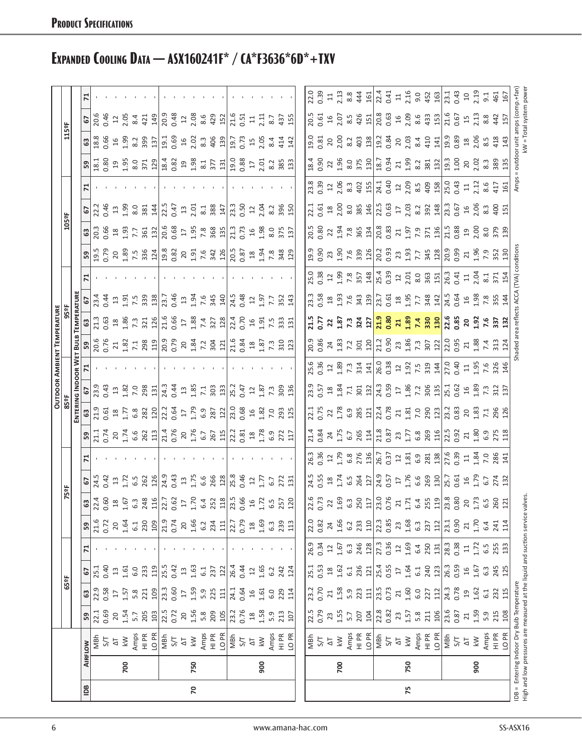|     |     |                                                                             |              |                         |                 |                    |                  |                                                                                                                                                                                                                                                                                                             |                                                                                                                                                                                                                                                                                                                      |                                                                                                                                                                                                                                                                                                               |                                                                                                                                                                                                                                                                                                                                                           |                                                                                                                                   |                                                                                                     | OUTDOOR AMBIENT TEMPERATURE<br>geoe                                                                                                                                                                                                                       |                                                                                                                                                        |                                                                                                                                                                                                                                                                                                                      |  |                                                                                                                                                                                                                                                                                              |                                                                                                                                                                                                                                                                                                                                                           |  |                                                                                                                                                                                                                                                                                                                              |                                                                                                                                                                                                                                                                                                                      |                     |
|-----|-----|-----------------------------------------------------------------------------|--------------|-------------------------|-----------------|--------------------|------------------|-------------------------------------------------------------------------------------------------------------------------------------------------------------------------------------------------------------------------------------------------------------------------------------------------------------|----------------------------------------------------------------------------------------------------------------------------------------------------------------------------------------------------------------------------------------------------------------------------------------------------------------------|---------------------------------------------------------------------------------------------------------------------------------------------------------------------------------------------------------------------------------------------------------------------------------------------------------------|-----------------------------------------------------------------------------------------------------------------------------------------------------------------------------------------------------------------------------------------------------------------------------------------------------------------------------------------------------------|-----------------------------------------------------------------------------------------------------------------------------------|-----------------------------------------------------------------------------------------------------|-----------------------------------------------------------------------------------------------------------------------------------------------------------------------------------------------------------------------------------------------------------|--------------------------------------------------------------------------------------------------------------------------------------------------------|----------------------------------------------------------------------------------------------------------------------------------------------------------------------------------------------------------------------------------------------------------------------------------------------------------------------|--|----------------------------------------------------------------------------------------------------------------------------------------------------------------------------------------------------------------------------------------------------------------------------------------------|-----------------------------------------------------------------------------------------------------------------------------------------------------------------------------------------------------------------------------------------------------------------------------------------------------------------------------------------------------------|--|------------------------------------------------------------------------------------------------------------------------------------------------------------------------------------------------------------------------------------------------------------------------------------------------------------------------------|----------------------------------------------------------------------------------------------------------------------------------------------------------------------------------------------------------------------------------------------------------------------------------------------------------------------|---------------------|
|     |     |                                                                             |              |                         | 65°F            |                    |                  | 75°F                                                                                                                                                                                                                                                                                                        |                                                                                                                                                                                                                                                                                                                      |                                                                                                                                                                                                                                                                                                               |                                                                                                                                                                                                                                                                                                                                                           |                                                                                                                                   |                                                                                                     |                                                                                                                                                                                                                                                           |                                                                                                                                                        |                                                                                                                                                                                                                                                                                                                      |  | 105°F                                                                                                                                                                                                                                                                                        |                                                                                                                                                                                                                                                                                                                                                           |  | 115°F                                                                                                                                                                                                                                                                                                                        |                                                                                                                                                                                                                                                                                                                      |                     |
|     |     |                                                                             |              |                         |                 |                    |                  |                                                                                                                                                                                                                                                                                                             |                                                                                                                                                                                                                                                                                                                      |                                                                                                                                                                                                                                                                                                               |                                                                                                                                                                                                                                                                                                                                                           |                                                                                                                                   |                                                                                                     | ᇒ                                                                                                                                                                                                                                                         |                                                                                                                                                        |                                                                                                                                                                                                                                                                                                                      |  |                                                                                                                                                                                                                                                                                              |                                                                                                                                                                                                                                                                                                                                                           |  |                                                                                                                                                                                                                                                                                                                              |                                                                                                                                                                                                                                                                                                                      |                     |
| ÎОВ |     | AIRFLOW                                                                     | 59           | යි                      | 5               | Σ                  | 59               |                                                                                                                                                                                                                                                                                                             |                                                                                                                                                                                                                                                                                                                      |                                                                                                                                                                                                                                                                                                               |                                                                                                                                                                                                                                                                                                                                                           |                                                                                                                                   |                                                                                                     |                                                                                                                                                                                                                                                           |                                                                                                                                                        |                                                                                                                                                                                                                                                                                                                      |  |                                                                                                                                                                                                                                                                                              |                                                                                                                                                                                                                                                                                                                                                           |  |                                                                                                                                                                                                                                                                                                                              |                                                                                                                                                                                                                                                                                                                      |                     |
|     |     |                                                                             | 22.1         | 22.9                    | 25.1            |                    | 21.6             |                                                                                                                                                                                                                                                                                                             |                                                                                                                                                                                                                                                                                                                      |                                                                                                                                                                                                                                                                                                               |                                                                                                                                                                                                                                                                                                                                                           |                                                                                                                                   |                                                                                                     |                                                                                                                                                                                                                                                           |                                                                                                                                                        |                                                                                                                                                                                                                                                                                                                      |  |                                                                                                                                                                                                                                                                                              |                                                                                                                                                                                                                                                                                                                                                           |  |                                                                                                                                                                                                                                                                                                                              |                                                                                                                                                                                                                                                                                                                      |                     |
|     |     | 5/7                                                                         | 0.69         | 0.58                    | 0.40            |                    | 0.72             |                                                                                                                                                                                                                                                                                                             |                                                                                                                                                                                                                                                                                                                      |                                                                                                                                                                                                                                                                                                               |                                                                                                                                                                                                                                                                                                                                                           |                                                                                                                                   |                                                                                                     |                                                                                                                                                                                                                                                           |                                                                                                                                                        |                                                                                                                                                                                                                                                                                                                      |  |                                                                                                                                                                                                                                                                                              |                                                                                                                                                                                                                                                                                                                                                           |  |                                                                                                                                                                                                                                                                                                                              |                                                                                                                                                                                                                                                                                                                      |                     |
|     |     | $\overline{\Delta}$                                                         | 20           | $\overline{17}$         | $13$            |                    | 20               |                                                                                                                                                                                                                                                                                                             |                                                                                                                                                                                                                                                                                                                      |                                                                                                                                                                                                                                                                                                               |                                                                                                                                                                                                                                                                                                                                                           |                                                                                                                                   |                                                                                                     |                                                                                                                                                                                                                                                           |                                                                                                                                                        |                                                                                                                                                                                                                                                                                                                      |  |                                                                                                                                                                                                                                                                                              |                                                                                                                                                                                                                                                                                                                                                           |  |                                                                                                                                                                                                                                                                                                                              |                                                                                                                                                                                                                                                                                                                      |                     |
|     | 700 | $\lesssim$                                                                  | 1.54         | 1.57                    | 1.61            |                    | 1.64             |                                                                                                                                                                                                                                                                                                             |                                                                                                                                                                                                                                                                                                                      |                                                                                                                                                                                                                                                                                                               |                                                                                                                                                                                                                                                                                                                                                           |                                                                                                                                   |                                                                                                     |                                                                                                                                                                                                                                                           |                                                                                                                                                        |                                                                                                                                                                                                                                                                                                                      |  |                                                                                                                                                                                                                                                                                              |                                                                                                                                                                                                                                                                                                                                                           |  |                                                                                                                                                                                                                                                                                                                              |                                                                                                                                                                                                                                                                                                                      |                     |
|     |     | Amps                                                                        | 5.7          | 5.8                     | 6.0             |                    | 6.1              |                                                                                                                                                                                                                                                                                                             |                                                                                                                                                                                                                                                                                                                      |                                                                                                                                                                                                                                                                                                               |                                                                                                                                                                                                                                                                                                                                                           |                                                                                                                                   |                                                                                                     |                                                                                                                                                                                                                                                           |                                                                                                                                                        |                                                                                                                                                                                                                                                                                                                      |  |                                                                                                                                                                                                                                                                                              |                                                                                                                                                                                                                                                                                                                                                           |  |                                                                                                                                                                                                                                                                                                                              |                                                                                                                                                                                                                                                                                                                      |                     |
|     |     | HI PR<br>LO PR                                                              | 205          | 221                     | 233             |                    | 230              |                                                                                                                                                                                                                                                                                                             |                                                                                                                                                                                                                                                                                                                      |                                                                                                                                                                                                                                                                                                               |                                                                                                                                                                                                                                                                                                                                                           |                                                                                                                                   |                                                                                                     |                                                                                                                                                                                                                                                           |                                                                                                                                                        |                                                                                                                                                                                                                                                                                                                      |  |                                                                                                                                                                                                                                                                                              |                                                                                                                                                                                                                                                                                                                                                           |  |                                                                                                                                                                                                                                                                                                                              |                                                                                                                                                                                                                                                                                                                      |                     |
|     |     |                                                                             | 103          | 109                     | 119             |                    | 109              |                                                                                                                                                                                                                                                                                                             |                                                                                                                                                                                                                                                                                                                      |                                                                                                                                                                                                                                                                                                               |                                                                                                                                                                                                                                                                                                                                                           |                                                                                                                                   |                                                                                                     |                                                                                                                                                                                                                                                           |                                                                                                                                                        |                                                                                                                                                                                                                                                                                                                      |  |                                                                                                                                                                                                                                                                                              |                                                                                                                                                                                                                                                                                                                                                           |  |                                                                                                                                                                                                                                                                                                                              |                                                                                                                                                                                                                                                                                                                      |                     |
|     |     | NBh<br>S/T                                                                  | 22.5<br>0.72 | 23.3                    | 25.5            |                    | 21.9<br>0.74     |                                                                                                                                                                                                                                                                                                             |                                                                                                                                                                                                                                                                                                                      |                                                                                                                                                                                                                                                                                                               |                                                                                                                                                                                                                                                                                                                                                           |                                                                                                                                   |                                                                                                     |                                                                                                                                                                                                                                                           |                                                                                                                                                        |                                                                                                                                                                                                                                                                                                                      |  |                                                                                                                                                                                                                                                                                              |                                                                                                                                                                                                                                                                                                                                                           |  |                                                                                                                                                                                                                                                                                                                              |                                                                                                                                                                                                                                                                                                                      |                     |
|     |     |                                                                             |              | 0.60                    | 0.42            |                    |                  |                                                                                                                                                                                                                                                                                                             |                                                                                                                                                                                                                                                                                                                      |                                                                                                                                                                                                                                                                                                               |                                                                                                                                                                                                                                                                                                                                                           |                                                                                                                                   |                                                                                                     |                                                                                                                                                                                                                                                           |                                                                                                                                                        |                                                                                                                                                                                                                                                                                                                      |  |                                                                                                                                                                                                                                                                                              |                                                                                                                                                                                                                                                                                                                                                           |  |                                                                                                                                                                                                                                                                                                                              |                                                                                                                                                                                                                                                                                                                      |                     |
|     |     | $\overline{\Delta}$                                                         | 20           | $\overline{\mathbb{L}}$ | $13$            |                    | 20               |                                                                                                                                                                                                                                                                                                             |                                                                                                                                                                                                                                                                                                                      |                                                                                                                                                                                                                                                                                                               |                                                                                                                                                                                                                                                                                                                                                           |                                                                                                                                   |                                                                                                     |                                                                                                                                                                                                                                                           |                                                                                                                                                        |                                                                                                                                                                                                                                                                                                                      |  |                                                                                                                                                                                                                                                                                              |                                                                                                                                                                                                                                                                                                                                                           |  |                                                                                                                                                                                                                                                                                                                              |                                                                                                                                                                                                                                                                                                                      |                     |
| 20  | 750 | $\leq$                                                                      | 1.56         | 1.59                    | 1.63            |                    | 1.66             |                                                                                                                                                                                                                                                                                                             |                                                                                                                                                                                                                                                                                                                      |                                                                                                                                                                                                                                                                                                               |                                                                                                                                                                                                                                                                                                                                                           |                                                                                                                                   |                                                                                                     |                                                                                                                                                                                                                                                           |                                                                                                                                                        |                                                                                                                                                                                                                                                                                                                      |  |                                                                                                                                                                                                                                                                                              |                                                                                                                                                                                                                                                                                                                                                           |  |                                                                                                                                                                                                                                                                                                                              |                                                                                                                                                                                                                                                                                                                      |                     |
|     |     |                                                                             | 5.8          | 5.9                     | 6.1             |                    | 6.2              |                                                                                                                                                                                                                                                                                                             |                                                                                                                                                                                                                                                                                                                      |                                                                                                                                                                                                                                                                                                               |                                                                                                                                                                                                                                                                                                                                                           |                                                                                                                                   |                                                                                                     |                                                                                                                                                                                                                                                           |                                                                                                                                                        |                                                                                                                                                                                                                                                                                                                      |  |                                                                                                                                                                                                                                                                                              |                                                                                                                                                                                                                                                                                                                                                           |  |                                                                                                                                                                                                                                                                                                                              |                                                                                                                                                                                                                                                                                                                      |                     |
|     |     |                                                                             | 209          | 225                     | 237             |                    | 234              |                                                                                                                                                                                                                                                                                                             |                                                                                                                                                                                                                                                                                                                      |                                                                                                                                                                                                                                                                                                               |                                                                                                                                                                                                                                                                                                                                                           |                                                                                                                                   |                                                                                                     |                                                                                                                                                                                                                                                           |                                                                                                                                                        |                                                                                                                                                                                                                                                                                                                      |  |                                                                                                                                                                                                                                                                                              |                                                                                                                                                                                                                                                                                                                                                           |  |                                                                                                                                                                                                                                                                                                                              |                                                                                                                                                                                                                                                                                                                      |                     |
|     |     | Amps<br>H PR<br>LO PR                                                       | 105          | 111                     | 122             |                    | 111              |                                                                                                                                                                                                                                                                                                             |                                                                                                                                                                                                                                                                                                                      |                                                                                                                                                                                                                                                                                                               |                                                                                                                                                                                                                                                                                                                                                           |                                                                                                                                   |                                                                                                     |                                                                                                                                                                                                                                                           |                                                                                                                                                        |                                                                                                                                                                                                                                                                                                                      |  |                                                                                                                                                                                                                                                                                              |                                                                                                                                                                                                                                                                                                                                                           |  |                                                                                                                                                                                                                                                                                                                              |                                                                                                                                                                                                                                                                                                                      |                     |
|     |     |                                                                             |              | 24.1                    | 26.4            |                    |                  | $3\frac{1}{2}$ $3\frac{1}{2}$ $3\frac{1}{2}$ $3\frac{1}{2}$ $3\frac{1}{2}$ $3\frac{1}{2}$ $5\frac{1}{2}$ $5\frac{1}{2}$ $3\frac{1}{2}$ $3\frac{1}{2}$ $3\frac{1}{2}$ $3\frac{1}{2}$ $3\frac{1}{2}$ $3\frac{1}{2}$ $3\frac{1}{2}$ $3\frac{1}{2}$ $3\frac{1}{2}$ $3\frac{1}{2}$ $3\frac{1}{2}$ $3\frac{1}{2}$ | $5\frac{1}{3}$ $\frac{3}{3}$ $\frac{3}{2}$ $\frac{3}{2}$ $\frac{1}{3}$ $\frac{3}{4}$ $\frac{3}{3}$ $\frac{3}{4}$ $\frac{3}{4}$ $\frac{3}{4}$ $\frac{3}{4}$ $\frac{3}{4}$ $\frac{3}{4}$ $\frac{3}{4}$ $\frac{3}{4}$ $\frac{3}{4}$ $\frac{3}{4}$ $\frac{3}{4}$ $\frac{3}{4}$ $\frac{3}{4}$ $\frac{3}{4}$ $\frac{3}{4}$ |                                                                                                                                                                                                                                                                                                               | $3\frac{1}{2}$ $\frac{1}{2}$ $\frac{1}{2}$ $\frac{2}{5}$ $\frac{3}{5}$ $\frac{5}{5}$ $\frac{3}{5}$ $\frac{1}{2}$ $\frac{1}{5}$ $\frac{3}{5}$ $\frac{3}{5}$ $\frac{5}{5}$ $\frac{5}{5}$ $\frac{5}{5}$ $\frac{1}{2}$ $\frac{1}{2}$ $\frac{1}{2}$ $\frac{3}{5}$ $\frac{3}{5}$ $\frac{3}{5}$ $\frac{3}{5}$ $\frac{3}{5}$ $\frac{3}{5}$ $\frac{3}{5}$ $\frac{$ | $\vert$ 8 $\vert$ 3 $\Xi$ 8 $\Xi$ 8 $\Xi$ 2 $\Xi$ 3 $\Xi$ 5 $\Xi$ 3 $\Xi$ 3 $\Xi$ 3 $\Xi$ 3 $\Xi$ 3 $\Xi$ 3 $\Xi$ 3 $\Xi$ 3 $\Xi$ | alsia si k sa sila si si k sa sila si k sa sila si k sa sila si k sa sila si k sa sila si k sa sila | $\vert$ B $\vert$ $\beta$ $\beta$ $\beta$ $\gamma$ $\alpha$ $\beta$ $\beta$ $\beta$ $\beta$ $\beta$ $\beta$ $\beta$ $\alpha$ $\beta$ $\gamma$ $\beta$ $\beta$ $\beta$ $\gamma$ $\beta$ $\beta$ $\gamma$ $\beta$ $\beta$ $\gamma$ $\beta$ $\beta$ $\gamma$ |                                                                                                                                                        | $5\frac{1}{3}$ $\frac{3}{4}$ $\frac{3}{4}$ $\frac{3}{4}$ $\frac{1}{5}$ $\frac{1}{6}$ $\frac{2}{3}$ $\frac{3}{5}$ $\frac{3}{5}$ $\frac{3}{5}$ $\frac{3}{5}$ $\frac{3}{5}$ $\frac{3}{5}$ $\frac{3}{5}$ $\frac{3}{5}$ $\frac{3}{5}$ $\frac{3}{5}$ $\frac{3}{5}$ $\frac{3}{5}$ $\frac{3}{5}$ $\frac{3}{5}$ $\frac{3}{5}$ |  | $3\frac{1}{2}$ $3\frac{1}{2}$ $3\frac{1}{2}$ $5\frac{1}{2}$ $5\frac{1}{2}$ $5\frac{1}{2}$ $5\frac{1}{2}$ $5\frac{1}{2}$ $5\frac{1}{2}$ $5\frac{1}{2}$ $5\frac{1}{2}$ $5\frac{1}{2}$ $5\frac{1}{2}$ $5\frac{1}{2}$ $5\frac{1}{2}$ $5\frac{1}{2}$ $5\frac{1}{2}$ $5\frac{1}{2}$ $5\frac{1}{2}$ | $\frac{6}{2}$ $\frac{13}{2}$ $\frac{3}{2}$ $\frac{3}{2}$ $\frac{3}{2}$ $\frac{3}{2}$ $\frac{3}{2}$ $\frac{4}{2}$ $\frac{11}{2}$ $\frac{5}{2}$ $\frac{3}{2}$ $\frac{3}{2}$ $\frac{3}{2}$ $\frac{3}{2}$ $\frac{3}{2}$ $\frac{3}{2}$ $\frac{3}{2}$ $\frac{3}{2}$ $\frac{3}{2}$ $\frac{3}{2}$ $\frac{3}{2}$ $\frac{3}{2}$ $\frac{3}{2}$ $\frac{3}{2}$ $\frac$ |  | $\frac{3}{8}$ $\frac{13}{8}$ $\frac{3}{8}$ $\frac{4}{9}$ $\frac{3}{8}$ $\frac{3}{8}$ $\frac{3}{8}$ $\frac{5}{12}$ $\frac{3}{8}$ $\frac{4}{9}$ $\frac{2}{12}$ $\frac{3}{8}$ $\frac{3}{8}$ $\frac{4}{9}$ $\frac{11}{12}$ $\frac{3}{8}$ $\frac{3}{8}$ $\frac{4}{9}$ $\frac{11}{12}$ $\frac{3}{8}$ $\frac{4}{8}$ $\frac{11}{12}$ | $5\frac{1}{2}$ $\frac{1}{2}$ $\frac{2}{3}$ $\frac{3}{4}$ $\frac{3}{4}$ $\frac{3}{4}$ $\frac{3}{4}$ $\frac{3}{4}$ $\frac{3}{4}$ $\frac{3}{4}$ $\frac{3}{4}$ $\frac{3}{4}$ $\frac{3}{4}$ $\frac{3}{4}$ $\frac{3}{4}$ $\frac{3}{4}$ $\frac{3}{4}$ $\frac{3}{4}$ $\frac{3}{4}$ $\frac{3}{4}$ $\frac{3}{4}$ $\frac{3}{4}$ |                     |
|     |     | $M_{\text{Bh}}$                                                             | 23.2<br>0.76 | 0.64                    | 0.44            |                    | 22.7<br>0.79     |                                                                                                                                                                                                                                                                                                             |                                                                                                                                                                                                                                                                                                                      |                                                                                                                                                                                                                                                                                                               |                                                                                                                                                                                                                                                                                                                                                           |                                                                                                                                   |                                                                                                     |                                                                                                                                                                                                                                                           |                                                                                                                                                        |                                                                                                                                                                                                                                                                                                                      |  |                                                                                                                                                                                                                                                                                              |                                                                                                                                                                                                                                                                                                                                                           |  |                                                                                                                                                                                                                                                                                                                              |                                                                                                                                                                                                                                                                                                                      |                     |
|     |     | $\overline{\Delta}$                                                         | $^{28}$      | $\frac{91}{2}$          | $\overline{12}$ |                    | $18$             |                                                                                                                                                                                                                                                                                                             |                                                                                                                                                                                                                                                                                                                      |                                                                                                                                                                                                                                                                                                               |                                                                                                                                                                                                                                                                                                                                                           |                                                                                                                                   |                                                                                                     |                                                                                                                                                                                                                                                           |                                                                                                                                                        |                                                                                                                                                                                                                                                                                                                      |  |                                                                                                                                                                                                                                                                                              |                                                                                                                                                                                                                                                                                                                                                           |  |                                                                                                                                                                                                                                                                                                                              |                                                                                                                                                                                                                                                                                                                      |                     |
|     | 900 | $\overline{\mathsf{k}}$ W                                                   | 1.58         | 1.61                    | 1.65            |                    | 1.69             |                                                                                                                                                                                                                                                                                                             |                                                                                                                                                                                                                                                                                                                      |                                                                                                                                                                                                                                                                                                               |                                                                                                                                                                                                                                                                                                                                                           |                                                                                                                                   |                                                                                                     |                                                                                                                                                                                                                                                           |                                                                                                                                                        |                                                                                                                                                                                                                                                                                                                      |  |                                                                                                                                                                                                                                                                                              |                                                                                                                                                                                                                                                                                                                                                           |  |                                                                                                                                                                                                                                                                                                                              |                                                                                                                                                                                                                                                                                                                      |                     |
|     |     | Amps                                                                        | 5.9          | 6.0                     | 6.2             |                    | $6.\overline{3}$ |                                                                                                                                                                                                                                                                                                             |                                                                                                                                                                                                                                                                                                                      |                                                                                                                                                                                                                                                                                                               |                                                                                                                                                                                                                                                                                                                                                           |                                                                                                                                   |                                                                                                     |                                                                                                                                                                                                                                                           |                                                                                                                                                        |                                                                                                                                                                                                                                                                                                                      |  |                                                                                                                                                                                                                                                                                              |                                                                                                                                                                                                                                                                                                                                                           |  |                                                                                                                                                                                                                                                                                                                              |                                                                                                                                                                                                                                                                                                                      |                     |
|     |     | HI PR                                                                       | 213          | 229                     | 242             |                    | 239              |                                                                                                                                                                                                                                                                                                             |                                                                                                                                                                                                                                                                                                                      |                                                                                                                                                                                                                                                                                                               |                                                                                                                                                                                                                                                                                                                                                           |                                                                                                                                   |                                                                                                     |                                                                                                                                                                                                                                                           |                                                                                                                                                        |                                                                                                                                                                                                                                                                                                                      |  |                                                                                                                                                                                                                                                                                              |                                                                                                                                                                                                                                                                                                                                                           |  |                                                                                                                                                                                                                                                                                                                              |                                                                                                                                                                                                                                                                                                                      |                     |
|     |     | LO PR                                                                       | 107          | 114                     | 124             |                    | 113              |                                                                                                                                                                                                                                                                                                             |                                                                                                                                                                                                                                                                                                                      |                                                                                                                                                                                                                                                                                                               |                                                                                                                                                                                                                                                                                                                                                           |                                                                                                                                   |                                                                                                     |                                                                                                                                                                                                                                                           |                                                                                                                                                        |                                                                                                                                                                                                                                                                                                                      |  |                                                                                                                                                                                                                                                                                              |                                                                                                                                                                                                                                                                                                                                                           |  |                                                                                                                                                                                                                                                                                                                              |                                                                                                                                                                                                                                                                                                                      |                     |
|     |     |                                                                             |              |                         |                 |                    |                  |                                                                                                                                                                                                                                                                                                             |                                                                                                                                                                                                                                                                                                                      |                                                                                                                                                                                                                                                                                                               |                                                                                                                                                                                                                                                                                                                                                           |                                                                                                                                   |                                                                                                     |                                                                                                                                                                                                                                                           |                                                                                                                                                        |                                                                                                                                                                                                                                                                                                                      |  |                                                                                                                                                                                                                                                                                              |                                                                                                                                                                                                                                                                                                                                                           |  |                                                                                                                                                                                                                                                                                                                              |                                                                                                                                                                                                                                                                                                                      |                     |
|     |     |                                                                             |              | 23.2                    | 25.1            |                    |                  |                                                                                                                                                                                                                                                                                                             |                                                                                                                                                                                                                                                                                                                      |                                                                                                                                                                                                                                                                                                               |                                                                                                                                                                                                                                                                                                                                                           |                                                                                                                                   |                                                                                                     |                                                                                                                                                                                                                                                           |                                                                                                                                                        |                                                                                                                                                                                                                                                                                                                      |  |                                                                                                                                                                                                                                                                                              |                                                                                                                                                                                                                                                                                                                                                           |  |                                                                                                                                                                                                                                                                                                                              |                                                                                                                                                                                                                                                                                                                      |                     |
|     |     | ng<br>S/T                                                                   | 22.5<br>0.79 | 0.70                    | 0.53            | 26.9<br>0.34       | 22.0<br>0.82     |                                                                                                                                                                                                                                                                                                             |                                                                                                                                                                                                                                                                                                                      |                                                                                                                                                                                                                                                                                                               |                                                                                                                                                                                                                                                                                                                                                           |                                                                                                                                   |                                                                                                     |                                                                                                                                                                                                                                                           |                                                                                                                                                        |                                                                                                                                                                                                                                                                                                                      |  |                                                                                                                                                                                                                                                                                              |                                                                                                                                                                                                                                                                                                                                                           |  |                                                                                                                                                                                                                                                                                                                              |                                                                                                                                                                                                                                                                                                                      |                     |
|     |     | $\overline{\Delta}$                                                         | 23           | 21                      | $\frac{8}{10}$  | $22$               | 24               | $25.8$ $25.8$ $35.8$ $21.8$ $25.8$ $21.7$ $35.8$ $21.8$ $32.8$ $21.8$ $21.8$ $21.8$ $21.8$ $21.8$ $21.8$ $21.8$ $21.8$ $21.8$ $21.8$ $21.8$ $21.8$ $21.8$ $21.8$ $21.8$ $21.8$ $21.8$ $21.8$ $21.8$ $21.8$ $21.8$ $21.8$ $21.$                                                                              |                                                                                                                                                                                                                                                                                                                      | $26.36$ $\frac{8}{12}$ $\frac{8}{25}$ $\frac{8}{25}$ $\frac{8}{25}$ $\frac{8}{25}$ $\frac{8}{25}$ $\frac{8}{25}$ $\frac{8}{25}$ $\frac{8}{25}$ $\frac{8}{25}$ $\frac{8}{25}$ $\frac{8}{25}$ $\frac{8}{25}$ $\frac{8}{25}$ $\frac{8}{25}$ $\frac{8}{25}$ $\frac{8}{25}$ $\frac{8}{25}$ $\frac{8}{25}$ $\frac{$ | $\frac{1}{2}$ $\frac{3}{2}$ $\frac{4}{3}$ $\frac{1}{2}$ $\frac{1}{2}$ $\frac{1}{2}$ $\frac{1}{2}$ $\frac{1}{2}$ $\frac{1}{2}$ $\frac{3}{2}$ $\frac{3}{2}$ $\frac{1}{2}$ $\frac{1}{2}$ $\frac{3}{2}$ $\frac{3}{2}$ $\frac{1}{2}$ $\frac{3}{2}$ $\frac{3}{2}$ $\frac{1}{2}$ $\frac{3}{2}$ $\frac{3}{2}$ $\frac{3}{2}$                                       |                                                                                                                                   |                                                                                                     |                                                                                                                                                                                                                                                           | ដូ <u>ទ្រ ។ ដូច ដូច <mark>ដូ</mark>ទ្រ និង ដូច ងូម និ</u> ទ្ធ និទ្ធ ដូច និង ដូច និ<br>ដូច អូច ដូច <mark>ដូច និង ដូច ងូម និ</mark> ទ្ធ និទ្ធ ដូច និង ដូ |                                                                                                                                                                                                                                                                                                                      |  |                                                                                                                                                                                                                                                                                              | $\frac{1}{21}$ $\frac{1}{2}$ $\frac{3}{2}$ $\frac{3}{2}$ $\frac{3}{2}$ $\frac{3}{2}$ $\frac{4}{2}$ $\frac{1}{2}$ $\frac{1}{2}$ $\frac{3}{2}$ $\frac{3}{2}$ $\frac{3}{2}$ $\frac{3}{2}$ $\frac{3}{2}$ $\frac{3}{2}$ $\frac{3}{2}$ $\frac{3}{2}$ $\frac{3}{2}$ $\frac{3}{2}$ $\frac{3}{2}$ $\frac{3}{2}$ $\frac{3}{2}$                                      |  |                                                                                                                                                                                                                                                                                                                              |                                                                                                                                                                                                                                                                                                                      |                     |
|     | 700 | $\lesssim$                                                                  | 1.55         | 1.58                    | 1.62            | 1.67               | 1.66             |                                                                                                                                                                                                                                                                                                             |                                                                                                                                                                                                                                                                                                                      |                                                                                                                                                                                                                                                                                                               |                                                                                                                                                                                                                                                                                                                                                           |                                                                                                                                   |                                                                                                     |                                                                                                                                                                                                                                                           |                                                                                                                                                        |                                                                                                                                                                                                                                                                                                                      |  |                                                                                                                                                                                                                                                                                              |                                                                                                                                                                                                                                                                                                                                                           |  |                                                                                                                                                                                                                                                                                                                              |                                                                                                                                                                                                                                                                                                                      |                     |
|     |     |                                                                             | 5.7          | 5.9                     | 6.1             | $6.\overline{3}$   | 6.2              |                                                                                                                                                                                                                                                                                                             |                                                                                                                                                                                                                                                                                                                      |                                                                                                                                                                                                                                                                                                               |                                                                                                                                                                                                                                                                                                                                                           |                                                                                                                                   |                                                                                                     |                                                                                                                                                                                                                                                           |                                                                                                                                                        |                                                                                                                                                                                                                                                                                                                      |  |                                                                                                                                                                                                                                                                                              |                                                                                                                                                                                                                                                                                                                                                           |  |                                                                                                                                                                                                                                                                                                                              |                                                                                                                                                                                                                                                                                                                      |                     |
|     |     | Amps<br>H PR<br>LO PR                                                       | 207          | 223                     | 236             | 246                | 233              |                                                                                                                                                                                                                                                                                                             |                                                                                                                                                                                                                                                                                                                      |                                                                                                                                                                                                                                                                                                               |                                                                                                                                                                                                                                                                                                                                                           |                                                                                                                                   |                                                                                                     |                                                                                                                                                                                                                                                           |                                                                                                                                                        |                                                                                                                                                                                                                                                                                                                      |  |                                                                                                                                                                                                                                                                                              |                                                                                                                                                                                                                                                                                                                                                           |  |                                                                                                                                                                                                                                                                                                                              |                                                                                                                                                                                                                                                                                                                      |                     |
|     |     |                                                                             | 104          | 11                      | 121             | $\frac{128}{27.3}$ | 110              |                                                                                                                                                                                                                                                                                                             |                                                                                                                                                                                                                                                                                                                      |                                                                                                                                                                                                                                                                                                               |                                                                                                                                                                                                                                                                                                                                                           |                                                                                                                                   |                                                                                                     |                                                                                                                                                                                                                                                           |                                                                                                                                                        |                                                                                                                                                                                                                                                                                                                      |  |                                                                                                                                                                                                                                                                                              |                                                                                                                                                                                                                                                                                                                                                           |  |                                                                                                                                                                                                                                                                                                                              |                                                                                                                                                                                                                                                                                                                      |                     |
|     |     | NBF<br>S/T                                                                  | 22.8         | 23.5<br>0.73            | 25.4<br>0.55    |                    | 22.3             |                                                                                                                                                                                                                                                                                                             |                                                                                                                                                                                                                                                                                                                      |                                                                                                                                                                                                                                                                                                               |                                                                                                                                                                                                                                                                                                                                                           |                                                                                                                                   |                                                                                                     |                                                                                                                                                                                                                                                           |                                                                                                                                                        |                                                                                                                                                                                                                                                                                                                      |  |                                                                                                                                                                                                                                                                                              |                                                                                                                                                                                                                                                                                                                                                           |  |                                                                                                                                                                                                                                                                                                                              |                                                                                                                                                                                                                                                                                                                      |                     |
|     |     |                                                                             |              |                         |                 |                    |                  |                                                                                                                                                                                                                                                                                                             |                                                                                                                                                                                                                                                                                                                      |                                                                                                                                                                                                                                                                                                               |                                                                                                                                                                                                                                                                                                                                                           |                                                                                                                                   |                                                                                                     |                                                                                                                                                                                                                                                           |                                                                                                                                                        |                                                                                                                                                                                                                                                                                                                      |  |                                                                                                                                                                                                                                                                                              |                                                                                                                                                                                                                                                                                                                                                           |  |                                                                                                                                                                                                                                                                                                                              |                                                                                                                                                                                                                                                                                                                      |                     |
|     |     | $\overline{\Delta}$                                                         | $23\,$       | 21                      | $\overline{17}$ | $22$               | 23               |                                                                                                                                                                                                                                                                                                             |                                                                                                                                                                                                                                                                                                                      |                                                                                                                                                                                                                                                                                                               |                                                                                                                                                                                                                                                                                                                                                           |                                                                                                                                   |                                                                                                     |                                                                                                                                                                                                                                                           |                                                                                                                                                        |                                                                                                                                                                                                                                                                                                                      |  |                                                                                                                                                                                                                                                                                              |                                                                                                                                                                                                                                                                                                                                                           |  |                                                                                                                                                                                                                                                                                                                              |                                                                                                                                                                                                                                                                                                                      |                     |
| 75  | 750 | $\overline{\mathsf{k}}$ W                                                   | 1.57         | 1.60                    | 1.64            | 1.69               | 1.68             |                                                                                                                                                                                                                                                                                                             |                                                                                                                                                                                                                                                                                                                      |                                                                                                                                                                                                                                                                                                               |                                                                                                                                                                                                                                                                                                                                                           |                                                                                                                                   |                                                                                                     |                                                                                                                                                                                                                                                           |                                                                                                                                                        |                                                                                                                                                                                                                                                                                                                      |  |                                                                                                                                                                                                                                                                                              |                                                                                                                                                                                                                                                                                                                                                           |  |                                                                                                                                                                                                                                                                                                                              |                                                                                                                                                                                                                                                                                                                      |                     |
|     |     | Amps<br>HI PR                                                               | 5.8          | 6.0                     | 6.1             | 6.4                | 6.3              |                                                                                                                                                                                                                                                                                                             |                                                                                                                                                                                                                                                                                                                      |                                                                                                                                                                                                                                                                                                               |                                                                                                                                                                                                                                                                                                                                                           |                                                                                                                                   |                                                                                                     |                                                                                                                                                                                                                                                           |                                                                                                                                                        |                                                                                                                                                                                                                                                                                                                      |  |                                                                                                                                                                                                                                                                                              |                                                                                                                                                                                                                                                                                                                                                           |  |                                                                                                                                                                                                                                                                                                                              |                                                                                                                                                                                                                                                                                                                      |                     |
|     |     |                                                                             | 211          | 227                     | 240             | <b>250</b><br>131  | 237              |                                                                                                                                                                                                                                                                                                             |                                                                                                                                                                                                                                                                                                                      |                                                                                                                                                                                                                                                                                                               |                                                                                                                                                                                                                                                                                                                                                           |                                                                                                                                   |                                                                                                     |                                                                                                                                                                                                                                                           |                                                                                                                                                        |                                                                                                                                                                                                                                                                                                                      |  |                                                                                                                                                                                                                                                                                              |                                                                                                                                                                                                                                                                                                                                                           |  |                                                                                                                                                                                                                                                                                                                              |                                                                                                                                                                                                                                                                                                                      |                     |
|     |     | LO PR                                                                       | 106          | 11 <sup>2</sup>         | 123             |                    | 112              |                                                                                                                                                                                                                                                                                                             |                                                                                                                                                                                                                                                                                                                      |                                                                                                                                                                                                                                                                                                               |                                                                                                                                                                                                                                                                                                                                                           |                                                                                                                                   |                                                                                                     |                                                                                                                                                                                                                                                           |                                                                                                                                                        |                                                                                                                                                                                                                                                                                                                      |  |                                                                                                                                                                                                                                                                                              |                                                                                                                                                                                                                                                                                                                                                           |  |                                                                                                                                                                                                                                                                                                                              |                                                                                                                                                                                                                                                                                                                      |                     |
|     |     | MBh                                                                         | 23.6         | 24.3                    | 26.3            | 28.3               | 23.1             |                                                                                                                                                                                                                                                                                                             |                                                                                                                                                                                                                                                                                                                      |                                                                                                                                                                                                                                                                                                               |                                                                                                                                                                                                                                                                                                                                                           |                                                                                                                                   |                                                                                                     |                                                                                                                                                                                                                                                           |                                                                                                                                                        |                                                                                                                                                                                                                                                                                                                      |  |                                                                                                                                                                                                                                                                                              |                                                                                                                                                                                                                                                                                                                                                           |  |                                                                                                                                                                                                                                                                                                                              |                                                                                                                                                                                                                                                                                                                      |                     |
|     |     | 5/7                                                                         | 0.87         | 0.78                    | 0.59            | 0.38               | 0.90             |                                                                                                                                                                                                                                                                                                             |                                                                                                                                                                                                                                                                                                                      |                                                                                                                                                                                                                                                                                                               |                                                                                                                                                                                                                                                                                                                                                           |                                                                                                                                   |                                                                                                     |                                                                                                                                                                                                                                                           |                                                                                                                                                        |                                                                                                                                                                                                                                                                                                                      |  |                                                                                                                                                                                                                                                                                              |                                                                                                                                                                                                                                                                                                                                                           |  |                                                                                                                                                                                                                                                                                                                              |                                                                                                                                                                                                                                                                                                                      |                     |
|     |     | $\overline{\Delta}$                                                         | 21           | $\overline{c}$          | $\frac{16}{1}$  | $\Xi$              | 21               |                                                                                                                                                                                                                                                                                                             |                                                                                                                                                                                                                                                                                                                      |                                                                                                                                                                                                                                                                                                               |                                                                                                                                                                                                                                                                                                                                                           |                                                                                                                                   |                                                                                                     |                                                                                                                                                                                                                                                           |                                                                                                                                                        |                                                                                                                                                                                                                                                                                                                      |  |                                                                                                                                                                                                                                                                                              |                                                                                                                                                                                                                                                                                                                                                           |  |                                                                                                                                                                                                                                                                                                                              |                                                                                                                                                                                                                                                                                                                      |                     |
|     | 900 | $\leq$                                                                      | 1.59         | 1.62                    | 1.67            | 1.72               | 1.70             |                                                                                                                                                                                                                                                                                                             |                                                                                                                                                                                                                                                                                                                      |                                                                                                                                                                                                                                                                                                               |                                                                                                                                                                                                                                                                                                                                                           |                                                                                                                                   |                                                                                                     |                                                                                                                                                                                                                                                           |                                                                                                                                                        |                                                                                                                                                                                                                                                                                                                      |  |                                                                                                                                                                                                                                                                                              |                                                                                                                                                                                                                                                                                                                                                           |  |                                                                                                                                                                                                                                                                                                                              |                                                                                                                                                                                                                                                                                                                      |                     |
|     |     | Amps                                                                        | 5.9          | 6.1                     | 6.3             | 6.5                | 6.4              |                                                                                                                                                                                                                                                                                                             |                                                                                                                                                                                                                                                                                                                      |                                                                                                                                                                                                                                                                                                               |                                                                                                                                                                                                                                                                                                                                                           |                                                                                                                                   |                                                                                                     |                                                                                                                                                                                                                                                           |                                                                                                                                                        |                                                                                                                                                                                                                                                                                                                      |  |                                                                                                                                                                                                                                                                                              |                                                                                                                                                                                                                                                                                                                                                           |  |                                                                                                                                                                                                                                                                                                                              |                                                                                                                                                                                                                                                                                                                      |                     |
|     |     | $\frac{P}{H}$                                                               | 215          | 232                     | 245             | 255                | 241              |                                                                                                                                                                                                                                                                                                             |                                                                                                                                                                                                                                                                                                                      |                                                                                                                                                                                                                                                                                                               |                                                                                                                                                                                                                                                                                                                                                           |                                                                                                                                   |                                                                                                     |                                                                                                                                                                                                                                                           |                                                                                                                                                        |                                                                                                                                                                                                                                                                                                                      |  |                                                                                                                                                                                                                                                                                              |                                                                                                                                                                                                                                                                                                                                                           |  |                                                                                                                                                                                                                                                                                                                              |                                                                                                                                                                                                                                                                                                                      |                     |
|     |     | LO <sub>PR</sub>                                                            | 108          | 115                     | 125             | 133                | 114              |                                                                                                                                                                                                                                                                                                             |                                                                                                                                                                                                                                                                                                                      |                                                                                                                                                                                                                                                                                                               |                                                                                                                                                                                                                                                                                                                                                           |                                                                                                                                   |                                                                                                     |                                                                                                                                                                                                                                                           |                                                                                                                                                        |                                                                                                                                                                                                                                                                                                                      |  |                                                                                                                                                                                                                                                                                              |                                                                                                                                                                                                                                                                                                                                                           |  |                                                                                                                                                                                                                                                                                                                              |                                                                                                                                                                                                                                                                                                                      |                     |
|     |     | IDB = Entering Indoor Dry Bulb Temperature                                  |              |                         |                 |                    |                  |                                                                                                                                                                                                                                                                                                             |                                                                                                                                                                                                                                                                                                                      |                                                                                                                                                                                                                                                                                                               |                                                                                                                                                                                                                                                                                                                                                           |                                                                                                                                   |                                                                                                     |                                                                                                                                                                                                                                                           |                                                                                                                                                        |                                                                                                                                                                                                                                                                                                                      |  |                                                                                                                                                                                                                                                                                              |                                                                                                                                                                                                                                                                                                                                                           |  |                                                                                                                                                                                                                                                                                                                              |                                                                                                                                                                                                                                                                                                                      | np.+fan)<br>n power |
|     |     | High and low pressures are measured at the liquid and suction service valve |              |                         |                 |                    |                  |                                                                                                                                                                                                                                                                                                             |                                                                                                                                                                                                                                                                                                                      |                                                                                                                                                                                                                                                                                                               |                                                                                                                                                                                                                                                                                                                                                           |                                                                                                                                   |                                                                                                     |                                                                                                                                                                                                                                                           |                                                                                                                                                        |                                                                                                                                                                                                                                                                                                                      |  |                                                                                                                                                                                                                                                                                              |                                                                                                                                                                                                                                                                                                                                                           |  |                                                                                                                                                                                                                                                                                                                              | tal system                                                                                                                                                                                                                                                                                                           |                     |

#### **Expanded Cooling Data — ASX160241F\* / CA\*F3636\*6D\*+TXV**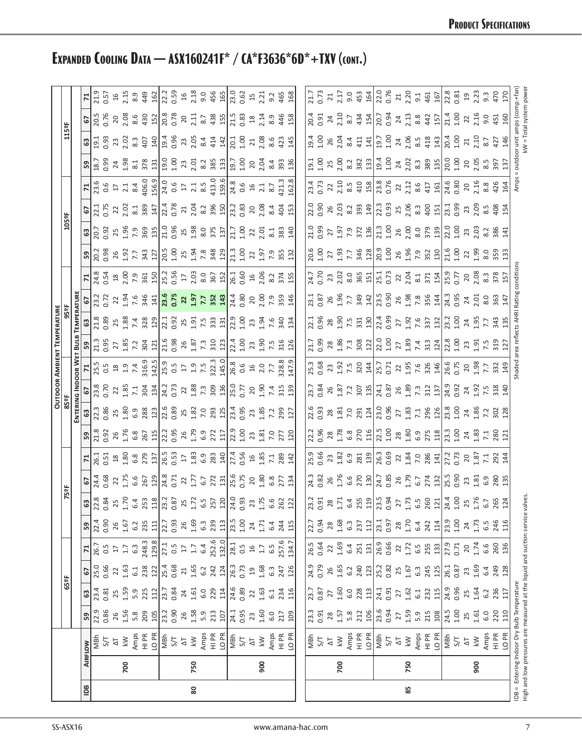|     |     |                                                                       |              |                   |                |                           |              |                                                                                                                                                                                                                                                                                                                      |               |                                                                                                                                                                                                                                  |                                                                                                                                                                                                                                                                                                                     |                                                                                                                                                                                                                                                                                                  |                                                                                                                                                                                                                                                                                                                     | AMBIENT TEM                                                                                                                                                                                                                                                                                                                                                                                                                                                                                    |                                                                                                                                     |                                                                                                                                                                                                                                                                                                            |                                                                                                                                                                                                                                                                                                                                                           |                                                                                                                                                                                                                                                                                                           |                                                                                                                                                                                                                                                                                                                       |                                                                                                                                                                                                                                                                                                                                   |                                                                                                                                                                                                                                                                                                                                                           |                                                                                                                                                                                                                                                                                                             |                                                                                                                                                                                                                                                                                                           |                                                                                                                                                                                                                                                                       |  |
|-----|-----|-----------------------------------------------------------------------|--------------|-------------------|----------------|---------------------------|--------------|----------------------------------------------------------------------------------------------------------------------------------------------------------------------------------------------------------------------------------------------------------------------------------------------------------------------|---------------|----------------------------------------------------------------------------------------------------------------------------------------------------------------------------------------------------------------------------------|---------------------------------------------------------------------------------------------------------------------------------------------------------------------------------------------------------------------------------------------------------------------------------------------------------------------|--------------------------------------------------------------------------------------------------------------------------------------------------------------------------------------------------------------------------------------------------------------------------------------------------|---------------------------------------------------------------------------------------------------------------------------------------------------------------------------------------------------------------------------------------------------------------------------------------------------------------------|------------------------------------------------------------------------------------------------------------------------------------------------------------------------------------------------------------------------------------------------------------------------------------------------------------------------------------------------------------------------------------------------------------------------------------------------------------------------------------------------|-------------------------------------------------------------------------------------------------------------------------------------|------------------------------------------------------------------------------------------------------------------------------------------------------------------------------------------------------------------------------------------------------------------------------------------------------------|-----------------------------------------------------------------------------------------------------------------------------------------------------------------------------------------------------------------------------------------------------------------------------------------------------------------------------------------------------------|-----------------------------------------------------------------------------------------------------------------------------------------------------------------------------------------------------------------------------------------------------------------------------------------------------------|-----------------------------------------------------------------------------------------------------------------------------------------------------------------------------------------------------------------------------------------------------------------------------------------------------------------------|-----------------------------------------------------------------------------------------------------------------------------------------------------------------------------------------------------------------------------------------------------------------------------------------------------------------------------------|-----------------------------------------------------------------------------------------------------------------------------------------------------------------------------------------------------------------------------------------------------------------------------------------------------------------------------------------------------------|-------------------------------------------------------------------------------------------------------------------------------------------------------------------------------------------------------------------------------------------------------------------------------------------------------------|-----------------------------------------------------------------------------------------------------------------------------------------------------------------------------------------------------------------------------------------------------------------------------------------------------------|-----------------------------------------------------------------------------------------------------------------------------------------------------------------------------------------------------------------------------------------------------------------------|--|
|     |     |                                                                       |              | 65°F              |                |                           |              | 75º                                                                                                                                                                                                                                                                                                                  |               |                                                                                                                                                                                                                                  |                                                                                                                                                                                                                                                                                                                     |                                                                                                                                                                                                                                                                                                  |                                                                                                                                                                                                                                                                                                                     |                                                                                                                                                                                                                                                                                                                                                                                                                                                                                                |                                                                                                                                     |                                                                                                                                                                                                                                                                                                            |                                                                                                                                                                                                                                                                                                                                                           |                                                                                                                                                                                                                                                                                                           |                                                                                                                                                                                                                                                                                                                       | 105°F                                                                                                                                                                                                                                                                                                                             |                                                                                                                                                                                                                                                                                                                                                           |                                                                                                                                                                                                                                                                                                             |                                                                                                                                                                                                                                                                                                           |                                                                                                                                                                                                                                                                       |  |
|     |     |                                                                       |              |                   |                |                           |              |                                                                                                                                                                                                                                                                                                                      |               |                                                                                                                                                                                                                                  |                                                                                                                                                                                                                                                                                                                     |                                                                                                                                                                                                                                                                                                  |                                                                                                                                                                                                                                                                                                                     |                                                                                                                                                                                                                                                                                                                                                                                                                                                                                                |                                                                                                                                     |                                                                                                                                                                                                                                                                                                            |                                                                                                                                                                                                                                                                                                                                                           |                                                                                                                                                                                                                                                                                                           |                                                                                                                                                                                                                                                                                                                       |                                                                                                                                                                                                                                                                                                                                   |                                                                                                                                                                                                                                                                                                                                                           |                                                                                                                                                                                                                                                                                                             |                                                                                                                                                                                                                                                                                                           |                                                                                                                                                                                                                                                                       |  |
| 1DB |     | AIRFLOW                                                               | 59           |                   | 5              |                           | 59           |                                                                                                                                                                                                                                                                                                                      |               |                                                                                                                                                                                                                                  |                                                                                                                                                                                                                                                                                                                     |                                                                                                                                                                                                                                                                                                  |                                                                                                                                                                                                                                                                                                                     |                                                                                                                                                                                                                                                                                                                                                                                                                                                                                                |                                                                                                                                     |                                                                                                                                                                                                                                                                                                            |                                                                                                                                                                                                                                                                                                                                                           |                                                                                                                                                                                                                                                                                                           |                                                                                                                                                                                                                                                                                                                       |                                                                                                                                                                                                                                                                                                                                   |                                                                                                                                                                                                                                                                                                                                                           |                                                                                                                                                                                                                                                                                                             |                                                                                                                                                                                                                                                                                                           |                                                                                                                                                                                                                                                                       |  |
|     |     | NBh                                                                   | 22.9         | 23.4              | 25.0           | 26.7                      |              |                                                                                                                                                                                                                                                                                                                      |               |                                                                                                                                                                                                                                  |                                                                                                                                                                                                                                                                                                                     |                                                                                                                                                                                                                                                                                                  |                                                                                                                                                                                                                                                                                                                     |                                                                                                                                                                                                                                                                                                                                                                                                                                                                                                |                                                                                                                                     |                                                                                                                                                                                                                                                                                                            |                                                                                                                                                                                                                                                                                                                                                           |                                                                                                                                                                                                                                                                                                           |                                                                                                                                                                                                                                                                                                                       |                                                                                                                                                                                                                                                                                                                                   |                                                                                                                                                                                                                                                                                                                                                           |                                                                                                                                                                                                                                                                                                             |                                                                                                                                                                                                                                                                                                           |                                                                                                                                                                                                                                                                       |  |
|     |     | 5/7                                                                   | 0.86         | 0.81              | 0.66           | 0.5                       | 0.90         |                                                                                                                                                                                                                                                                                                                      |               |                                                                                                                                                                                                                                  |                                                                                                                                                                                                                                                                                                                     |                                                                                                                                                                                                                                                                                                  |                                                                                                                                                                                                                                                                                                                     |                                                                                                                                                                                                                                                                                                                                                                                                                                                                                                |                                                                                                                                     |                                                                                                                                                                                                                                                                                                            |                                                                                                                                                                                                                                                                                                                                                           |                                                                                                                                                                                                                                                                                                           |                                                                                                                                                                                                                                                                                                                       |                                                                                                                                                                                                                                                                                                                                   |                                                                                                                                                                                                                                                                                                                                                           |                                                                                                                                                                                                                                                                                                             |                                                                                                                                                                                                                                                                                                           |                                                                                                                                                                                                                                                                       |  |
|     |     | $\overline{\Delta}$                                                   | 26           | 25                | 22             | $\overline{\mathfrak{U}}$ | 26           |                                                                                                                                                                                                                                                                                                                      |               |                                                                                                                                                                                                                                  |                                                                                                                                                                                                                                                                                                                     |                                                                                                                                                                                                                                                                                                  |                                                                                                                                                                                                                                                                                                                     |                                                                                                                                                                                                                                                                                                                                                                                                                                                                                                |                                                                                                                                     |                                                                                                                                                                                                                                                                                                            |                                                                                                                                                                                                                                                                                                                                                           |                                                                                                                                                                                                                                                                                                           |                                                                                                                                                                                                                                                                                                                       |                                                                                                                                                                                                                                                                                                                                   |                                                                                                                                                                                                                                                                                                                                                           |                                                                                                                                                                                                                                                                                                             |                                                                                                                                                                                                                                                                                                           |                                                                                                                                                                                                                                                                       |  |
|     | 700 | $\lesssim$                                                            | 1.56         | 1.59              | 1.63           | $\overline{1.7}$          | $-1.67$      |                                                                                                                                                                                                                                                                                                                      |               |                                                                                                                                                                                                                                  |                                                                                                                                                                                                                                                                                                                     |                                                                                                                                                                                                                                                                                                  |                                                                                                                                                                                                                                                                                                                     |                                                                                                                                                                                                                                                                                                                                                                                                                                                                                                |                                                                                                                                     |                                                                                                                                                                                                                                                                                                            |                                                                                                                                                                                                                                                                                                                                                           |                                                                                                                                                                                                                                                                                                           |                                                                                                                                                                                                                                                                                                                       |                                                                                                                                                                                                                                                                                                                                   |                                                                                                                                                                                                                                                                                                                                                           |                                                                                                                                                                                                                                                                                                             |                                                                                                                                                                                                                                                                                                           |                                                                                                                                                                                                                                                                       |  |
|     |     | Amps                                                                  |              | 5.9               | 6.1            | 6.3                       | 6.2          |                                                                                                                                                                                                                                                                                                                      |               |                                                                                                                                                                                                                                  |                                                                                                                                                                                                                                                                                                                     |                                                                                                                                                                                                                                                                                                  |                                                                                                                                                                                                                                                                                                                     |                                                                                                                                                                                                                                                                                                                                                                                                                                                                                                |                                                                                                                                     |                                                                                                                                                                                                                                                                                                            |                                                                                                                                                                                                                                                                                                                                                           |                                                                                                                                                                                                                                                                                                           |                                                                                                                                                                                                                                                                                                                       |                                                                                                                                                                                                                                                                                                                                   |                                                                                                                                                                                                                                                                                                                                                           |                                                                                                                                                                                                                                                                                                             |                                                                                                                                                                                                                                                                                                           |                                                                                                                                                                                                                                                                       |  |
|     |     | HI PR                                                                 | 5.8<br>209   | 225               | 238            |                           | 235          |                                                                                                                                                                                                                                                                                                                      |               |                                                                                                                                                                                                                                  |                                                                                                                                                                                                                                                                                                                     |                                                                                                                                                                                                                                                                                                  |                                                                                                                                                                                                                                                                                                                     |                                                                                                                                                                                                                                                                                                                                                                                                                                                                                                |                                                                                                                                     |                                                                                                                                                                                                                                                                                                            |                                                                                                                                                                                                                                                                                                                                                           |                                                                                                                                                                                                                                                                                                           |                                                                                                                                                                                                                                                                                                                       |                                                                                                                                                                                                                                                                                                                                   |                                                                                                                                                                                                                                                                                                                                                           |                                                                                                                                                                                                                                                                                                             |                                                                                                                                                                                                                                                                                                           |                                                                                                                                                                                                                                                                       |  |
|     |     | LO PR                                                                 | 105          | 112               | 122            | 248.3<br>129.8            | 111          |                                                                                                                                                                                                                                                                                                                      |               |                                                                                                                                                                                                                                  |                                                                                                                                                                                                                                                                                                                     |                                                                                                                                                                                                                                                                                                  |                                                                                                                                                                                                                                                                                                                     |                                                                                                                                                                                                                                                                                                                                                                                                                                                                                                |                                                                                                                                     |                                                                                                                                                                                                                                                                                                            |                                                                                                                                                                                                                                                                                                                                                           |                                                                                                                                                                                                                                                                                                           |                                                                                                                                                                                                                                                                                                                       |                                                                                                                                                                                                                                                                                                                                   |                                                                                                                                                                                                                                                                                                                                                           |                                                                                                                                                                                                                                                                                                             |                                                                                                                                                                                                                                                                                                           |                                                                                                                                                                                                                                                                       |  |
|     |     | 로 있다<br>지                                                             | 23.2         | $\overline{23.7}$ | 25.4           | $27.1$<br>0.5<br>17       | 22.7         | $3\frac{1}{2}$ $\frac{3}{2}$ $\frac{3}{2}$ $\frac{3}{2}$ $\frac{1}{2}$ $\frac{3}{2}$ $\frac{3}{2}$ $\frac{3}{2}$ $\frac{3}{2}$ $\frac{3}{2}$ $\frac{3}{2}$ $\frac{3}{2}$ $\frac{3}{2}$ $\frac{3}{2}$ $\frac{3}{2}$ $\frac{3}{2}$ $\frac{3}{2}$ $\frac{3}{2}$ $\frac{3}{2}$ $\frac{3}{2}$ $\frac{3}{2}$ $\frac{3}{2}$ | $\frac{6}{3}$ | $\frac{1}{2}$ a search and search and search and search and search and search and search and search and search and search and search and search and search and search and search and search and search and search and search and | $\frac{1}{2}$ $\frac{1}{2}$ $\frac{1}{2}$ $\frac{1}{2}$ $\frac{1}{2}$ $\frac{1}{2}$ $\frac{1}{2}$ $\frac{1}{2}$ $\frac{1}{2}$ $\frac{1}{2}$ $\frac{1}{2}$ $\frac{1}{2}$ $\frac{1}{2}$ $\frac{1}{2}$ $\frac{1}{2}$ $\frac{1}{2}$ $\frac{1}{2}$ $\frac{1}{2}$ $\frac{1}{2}$ $\frac{1}{2}$ $\frac{1}{2}$ $\frac{1}{2}$ | $\frac{15}{2}$ 3 $\frac{13}{2}$ 3 $\frac{25}{2}$ 3 $\frac{25}{2}$ 3 $\frac{25}{2}$ 3 $\frac{25}{2}$ 3 $\frac{25}{2}$ 5 $\frac{25}{2}$ 3 $\frac{25}{2}$ 5 $\frac{25}{2}$ 5 $\frac{25}{2}$ 5 $\frac{25}{2}$ 5 $\frac{25}{2}$ 5 $\frac{25}{2}$ 5 $\frac{25}{2}$ 5 $\frac{25}{2}$ 5 $\frac{25}{2}$ 5 | $\frac{1}{2}$ $\frac{1}{2}$ $\frac{1}{2}$ $\frac{1}{2}$ $\frac{1}{2}$ $\frac{1}{2}$ $\frac{1}{2}$ $\frac{1}{2}$ $\frac{1}{2}$ $\frac{1}{2}$ $\frac{1}{2}$ $\frac{1}{2}$ $\frac{1}{2}$ $\frac{1}{2}$ $\frac{1}{2}$ $\frac{1}{2}$ $\frac{1}{2}$ $\frac{1}{2}$ $\frac{1}{2}$ $\frac{1}{2}$ $\frac{1}{2}$ $\frac{1}{2}$ | $\frac{8}{6} \begin{bmatrix} 1 \\ 1 \end{bmatrix} \begin{bmatrix} 5 \\ 1 \end{bmatrix} \begin{bmatrix} 5 \\ 1 \end{bmatrix} \begin{bmatrix} 5 \\ 1 \end{bmatrix} \begin{bmatrix} 5 \\ 1 \end{bmatrix} \begin{bmatrix} 5 \\ 1 \end{bmatrix} \begin{bmatrix} 5 \\ 1 \end{bmatrix} \begin{bmatrix} 5 \\ 1 \end{bmatrix} \begin{bmatrix} 5 \\ 1 \end{bmatrix} \begin{bmatrix} 5 \\ 1 \end{bmatrix} \begin{bmatrix} 5 \\ 1 \end{bmatrix} \begin{bmatrix} 5 \\ 1 \end{bmatrix} \begin{bmatrix} 5 \\$ | <u>ទ្យស្រ្តី ដូច ដូច ដ្ឋាដូច និង ដូច ងូច ដូច ងូច ដូច ងូ</u><br>នូ <mark>ប</mark> ្រើដូច អូច ដូច ដូច និង ដូច ដូច ដូច ដូច ដូច ដូច ដូច | $\frac{5}{6}$ 3 3 3 3 3 3 4 8 9 9 1 3 9 5 5 5 6 9 9 1 3 9 8 7 8 9 1 3 9 8 9 9 1 3 9 8 9 9 1 3 9 8 9 9 1 3 9 8 9 1 3 9 8 9 1 3 9 8 9 1 3 9 8 9 1 3 9 8 9 1 3 9 8 9 1 3 9 8 9 1 3 9 8 9 1 3 9 8 9 1 3 9 8 9 1 3 9 8 9 1 3 9 8 9 1 3                                                                          | $\frac{1}{2}$ $\frac{1}{2}$ $\frac{1}{2}$ $\frac{1}{2}$ $\frac{1}{2}$ $\frac{1}{2}$ $\frac{1}{2}$ $\frac{1}{2}$ $\frac{1}{2}$ $\frac{1}{2}$ $\frac{1}{2}$ $\frac{1}{2}$ $\frac{1}{2}$ $\frac{1}{2}$ $\frac{1}{2}$ $\frac{1}{2}$ $\frac{1}{2}$ $\frac{1}{2}$ $\frac{1}{2}$ $\frac{1}{2}$ $\frac{1}{2}$ $\frac{1}{2}$ $\frac{1}{2}$ $\frac{1}{2}$ $\frac{1$ | $7\frac{13}{35}$ $\frac{35}{35}$ $\frac{35}{35}$ $\frac{55}{35}$ $\frac{13}{35}$ $\frac{13}{35}$ $\frac{13}{35}$ $\frac{13}{35}$ $\frac{13}{35}$ $\frac{13}{35}$ $\frac{13}{35}$ $\frac{13}{35}$ $\frac{13}{35}$ $\frac{13}{35}$ $\frac{13}{35}$ $\frac{13}{35}$ $\frac{13}{35}$ $\frac{13}{35}$ $\frac{$ | $30\frac{3}{2}$ $\frac{8}{2}$ $\frac{8}{2}$ $\frac{1}{2}$ $\frac{1}{2}$ $\frac{1}{2}$ $\frac{1}{2}$ $\frac{1}{2}$ $\frac{1}{2}$ $\frac{1}{2}$ $\frac{3}{2}$ $\frac{3}{2}$ $\frac{3}{2}$ $\frac{3}{2}$ $\frac{3}{2}$ $\frac{3}{2}$ $\frac{3}{2}$ $\frac{3}{2}$ $\frac{3}{2}$ $\frac{3}{2}$ $\frac{3}{2}$ $\frac{3}{2}$ | $\frac{3}{2}$ $\frac{1}{2}$ $\frac{3}{2}$ $\frac{3}{2}$ $\frac{4}{2}$ $\frac{5}{2}$ $\frac{6}{2}$ $\frac{3}{2}$ $\frac{5}{2}$ $\frac{3}{2}$ $\frac{5}{2}$ $\frac{3}{2}$ $\frac{5}{2}$ $\frac{3}{2}$ $\frac{5}{2}$ $\frac{1}{2}$ $\frac{1}{2}$ $\frac{1}{2}$ $\frac{5}{2}$ $\frac{2}{2}$ $\frac{3}{2}$ $\frac{3}{2}$ $\frac{4}{2}$ | $\frac{6}{2}$ $\frac{1}{2}$ $\frac{1}{2}$ $\frac{1}{2}$ $\frac{1}{2}$ $\frac{1}{2}$ $\frac{1}{2}$ $\frac{1}{3}$ $\frac{1}{2}$ $\frac{1}{2}$ $\frac{1}{2}$ $\frac{1}{2}$ $\frac{1}{2}$ $\frac{1}{2}$ $\frac{1}{2}$ $\frac{1}{2}$ $\frac{1}{2}$ $\frac{1}{2}$ $\frac{1}{2}$ $\frac{1}{2}$ $\frac{1}{2}$ $\frac{1}{2}$ $\frac{1}{2}$ $\frac{1}{2}$ $\frac{1$ | $\frac{1}{3}$                                                                                                                                                                                                                                                                                               | $\frac{1}{2}$ a $\frac{1}{2}$ a $\frac{1}{2}$ a $\frac{1}{2}$ a $\frac{1}{2}$ a $\frac{1}{2}$ a $\frac{1}{2}$ a $\frac{1}{2}$ a $\frac{1}{2}$ a $\frac{1}{2}$ a $\frac{1}{2}$ a $\frac{1}{2}$ a $\frac{1}{2}$ a $\frac{1}{2}$ a $\frac{1}{2}$ a $\frac{1}{2}$ a $\frac{1}{2}$ a $\frac{1}{2}$ a $\frac{1$ | $1\sqrt{3}$ is a state of $\frac{1}{2}$ is a state of $\frac{1}{2}$ is a state of $\frac{1}{2}$ is a state of $\frac{1}{2}$ is a state of $\frac{1}{2}$ is a state of $\frac{1}{2}$ is a state of $\frac{1}{2}$ is a state of $\frac{1}{2}$ is a state of $\frac{1}{$ |  |
|     |     |                                                                       | 0.90         | 0.84              | 0.68           |                           | 0.93         |                                                                                                                                                                                                                                                                                                                      |               |                                                                                                                                                                                                                                  |                                                                                                                                                                                                                                                                                                                     |                                                                                                                                                                                                                                                                                                  |                                                                                                                                                                                                                                                                                                                     |                                                                                                                                                                                                                                                                                                                                                                                                                                                                                                |                                                                                                                                     |                                                                                                                                                                                                                                                                                                            |                                                                                                                                                                                                                                                                                                                                                           |                                                                                                                                                                                                                                                                                                           |                                                                                                                                                                                                                                                                                                                       |                                                                                                                                                                                                                                                                                                                                   |                                                                                                                                                                                                                                                                                                                                                           |                                                                                                                                                                                                                                                                                                             |                                                                                                                                                                                                                                                                                                           |                                                                                                                                                                                                                                                                       |  |
|     |     |                                                                       | 26           | 24                | 21             |                           | 26           |                                                                                                                                                                                                                                                                                                                      |               |                                                                                                                                                                                                                                  |                                                                                                                                                                                                                                                                                                                     |                                                                                                                                                                                                                                                                                                  |                                                                                                                                                                                                                                                                                                                     |                                                                                                                                                                                                                                                                                                                                                                                                                                                                                                |                                                                                                                                     |                                                                                                                                                                                                                                                                                                            |                                                                                                                                                                                                                                                                                                                                                           |                                                                                                                                                                                                                                                                                                           |                                                                                                                                                                                                                                                                                                                       |                                                                                                                                                                                                                                                                                                                                   |                                                                                                                                                                                                                                                                                                                                                           |                                                                                                                                                                                                                                                                                                             |                                                                                                                                                                                                                                                                                                           |                                                                                                                                                                                                                                                                       |  |
| 80  | 750 | $\leq$                                                                | 1.58         | 1.61              | 1.65           | $1.7\,$                   | 1.69         |                                                                                                                                                                                                                                                                                                                      |               |                                                                                                                                                                                                                                  |                                                                                                                                                                                                                                                                                                                     |                                                                                                                                                                                                                                                                                                  |                                                                                                                                                                                                                                                                                                                     |                                                                                                                                                                                                                                                                                                                                                                                                                                                                                                |                                                                                                                                     |                                                                                                                                                                                                                                                                                                            |                                                                                                                                                                                                                                                                                                                                                           |                                                                                                                                                                                                                                                                                                           |                                                                                                                                                                                                                                                                                                                       |                                                                                                                                                                                                                                                                                                                                   |                                                                                                                                                                                                                                                                                                                                                           |                                                                                                                                                                                                                                                                                                             |                                                                                                                                                                                                                                                                                                           |                                                                                                                                                                                                                                                                       |  |
|     |     | Amps                                                                  | 5.9          | 6.0               | 6.2            | 6.4                       | 6.3          |                                                                                                                                                                                                                                                                                                                      |               |                                                                                                                                                                                                                                  |                                                                                                                                                                                                                                                                                                                     |                                                                                                                                                                                                                                                                                                  |                                                                                                                                                                                                                                                                                                                     |                                                                                                                                                                                                                                                                                                                                                                                                                                                                                                |                                                                                                                                     |                                                                                                                                                                                                                                                                                                            |                                                                                                                                                                                                                                                                                                                                                           |                                                                                                                                                                                                                                                                                                           |                                                                                                                                                                                                                                                                                                                       |                                                                                                                                                                                                                                                                                                                                   |                                                                                                                                                                                                                                                                                                                                                           |                                                                                                                                                                                                                                                                                                             |                                                                                                                                                                                                                                                                                                           |                                                                                                                                                                                                                                                                       |  |
|     |     |                                                                       | 213          | 229               | 242            | 252.6                     | 239          |                                                                                                                                                                                                                                                                                                                      |               |                                                                                                                                                                                                                                  |                                                                                                                                                                                                                                                                                                                     |                                                                                                                                                                                                                                                                                                  |                                                                                                                                                                                                                                                                                                                     |                                                                                                                                                                                                                                                                                                                                                                                                                                                                                                |                                                                                                                                     |                                                                                                                                                                                                                                                                                                            |                                                                                                                                                                                                                                                                                                                                                           |                                                                                                                                                                                                                                                                                                           |                                                                                                                                                                                                                                                                                                                       |                                                                                                                                                                                                                                                                                                                                   |                                                                                                                                                                                                                                                                                                                                                           |                                                                                                                                                                                                                                                                                                             |                                                                                                                                                                                                                                                                                                           |                                                                                                                                                                                                                                                                       |  |
|     |     | HI PR<br>LO PR                                                        | 107          | 114               | 124            | 132.0                     | 113          |                                                                                                                                                                                                                                                                                                                      |               |                                                                                                                                                                                                                                  |                                                                                                                                                                                                                                                                                                                     |                                                                                                                                                                                                                                                                                                  |                                                                                                                                                                                                                                                                                                                     |                                                                                                                                                                                                                                                                                                                                                                                                                                                                                                |                                                                                                                                     |                                                                                                                                                                                                                                                                                                            |                                                                                                                                                                                                                                                                                                                                                           |                                                                                                                                                                                                                                                                                                           |                                                                                                                                                                                                                                                                                                                       |                                                                                                                                                                                                                                                                                                                                   |                                                                                                                                                                                                                                                                                                                                                           |                                                                                                                                                                                                                                                                                                             |                                                                                                                                                                                                                                                                                                           |                                                                                                                                                                                                                                                                       |  |
|     |     |                                                                       |              | 24.6              | 26.3           | 28.1                      |              |                                                                                                                                                                                                                                                                                                                      |               |                                                                                                                                                                                                                                  |                                                                                                                                                                                                                                                                                                                     |                                                                                                                                                                                                                                                                                                  |                                                                                                                                                                                                                                                                                                                     |                                                                                                                                                                                                                                                                                                                                                                                                                                                                                                |                                                                                                                                     |                                                                                                                                                                                                                                                                                                            |                                                                                                                                                                                                                                                                                                                                                           |                                                                                                                                                                                                                                                                                                           |                                                                                                                                                                                                                                                                                                                       |                                                                                                                                                                                                                                                                                                                                   |                                                                                                                                                                                                                                                                                                                                                           |                                                                                                                                                                                                                                                                                                             |                                                                                                                                                                                                                                                                                                           |                                                                                                                                                                                                                                                                       |  |
|     |     | MBh<br>S/T                                                            | 24.1<br>0.95 | 0.89              | 0.73           | 0.5                       | 23.5<br>1.00 |                                                                                                                                                                                                                                                                                                                      |               |                                                                                                                                                                                                                                  |                                                                                                                                                                                                                                                                                                                     |                                                                                                                                                                                                                                                                                                  |                                                                                                                                                                                                                                                                                                                     |                                                                                                                                                                                                                                                                                                                                                                                                                                                                                                |                                                                                                                                     |                                                                                                                                                                                                                                                                                                            |                                                                                                                                                                                                                                                                                                                                                           |                                                                                                                                                                                                                                                                                                           |                                                                                                                                                                                                                                                                                                                       |                                                                                                                                                                                                                                                                                                                                   |                                                                                                                                                                                                                                                                                                                                                           |                                                                                                                                                                                                                                                                                                             |                                                                                                                                                                                                                                                                                                           |                                                                                                                                                                                                                                                                       |  |
|     |     | $\overline{\Delta}$                                                   | 23           | 22                | $\overline{a}$ | $\mathfrak{g}$            |              |                                                                                                                                                                                                                                                                                                                      |               |                                                                                                                                                                                                                                  |                                                                                                                                                                                                                                                                                                                     |                                                                                                                                                                                                                                                                                                  |                                                                                                                                                                                                                                                                                                                     |                                                                                                                                                                                                                                                                                                                                                                                                                                                                                                |                                                                                                                                     |                                                                                                                                                                                                                                                                                                            |                                                                                                                                                                                                                                                                                                                                                           |                                                                                                                                                                                                                                                                                                           |                                                                                                                                                                                                                                                                                                                       |                                                                                                                                                                                                                                                                                                                                   |                                                                                                                                                                                                                                                                                                                                                           |                                                                                                                                                                                                                                                                                                             |                                                                                                                                                                                                                                                                                                           |                                                                                                                                                                                                                                                                       |  |
|     |     |                                                                       |              |                   |                |                           | 24           |                                                                                                                                                                                                                                                                                                                      |               |                                                                                                                                                                                                                                  |                                                                                                                                                                                                                                                                                                                     |                                                                                                                                                                                                                                                                                                  |                                                                                                                                                                                                                                                                                                                     |                                                                                                                                                                                                                                                                                                                                                                                                                                                                                                |                                                                                                                                     |                                                                                                                                                                                                                                                                                                            |                                                                                                                                                                                                                                                                                                                                                           |                                                                                                                                                                                                                                                                                                           |                                                                                                                                                                                                                                                                                                                       |                                                                                                                                                                                                                                                                                                                                   |                                                                                                                                                                                                                                                                                                                                                           |                                                                                                                                                                                                                                                                                                             |                                                                                                                                                                                                                                                                                                           |                                                                                                                                                                                                                                                                       |  |
|     | 900 | $\geq$                                                                | 1.60         | 1.63              | 1.68           | $1.7$ $6.5$               | 1.71         |                                                                                                                                                                                                                                                                                                                      |               |                                                                                                                                                                                                                                  |                                                                                                                                                                                                                                                                                                                     |                                                                                                                                                                                                                                                                                                  |                                                                                                                                                                                                                                                                                                                     |                                                                                                                                                                                                                                                                                                                                                                                                                                                                                                |                                                                                                                                     |                                                                                                                                                                                                                                                                                                            |                                                                                                                                                                                                                                                                                                                                                           |                                                                                                                                                                                                                                                                                                           |                                                                                                                                                                                                                                                                                                                       |                                                                                                                                                                                                                                                                                                                                   |                                                                                                                                                                                                                                                                                                                                                           |                                                                                                                                                                                                                                                                                                             |                                                                                                                                                                                                                                                                                                           |                                                                                                                                                                                                                                                                       |  |
|     |     | Amps                                                                  | 6.0          | 61                | 6.3            |                           | 6.4          |                                                                                                                                                                                                                                                                                                                      |               |                                                                                                                                                                                                                                  |                                                                                                                                                                                                                                                                                                                     |                                                                                                                                                                                                                                                                                                  |                                                                                                                                                                                                                                                                                                                     |                                                                                                                                                                                                                                                                                                                                                                                                                                                                                                |                                                                                                                                     |                                                                                                                                                                                                                                                                                                            |                                                                                                                                                                                                                                                                                                                                                           |                                                                                                                                                                                                                                                                                                           |                                                                                                                                                                                                                                                                                                                       |                                                                                                                                                                                                                                                                                                                                   |                                                                                                                                                                                                                                                                                                                                                           |                                                                                                                                                                                                                                                                                                             |                                                                                                                                                                                                                                                                                                           |                                                                                                                                                                                                                                                                       |  |
|     |     | HI PR                                                                 | 217          | 234               | 247            | 257.6<br>134.7            | 244          |                                                                                                                                                                                                                                                                                                                      |               |                                                                                                                                                                                                                                  |                                                                                                                                                                                                                                                                                                                     |                                                                                                                                                                                                                                                                                                  |                                                                                                                                                                                                                                                                                                                     |                                                                                                                                                                                                                                                                                                                                                                                                                                                                                                |                                                                                                                                     |                                                                                                                                                                                                                                                                                                            |                                                                                                                                                                                                                                                                                                                                                           |                                                                                                                                                                                                                                                                                                           |                                                                                                                                                                                                                                                                                                                       |                                                                                                                                                                                                                                                                                                                                   |                                                                                                                                                                                                                                                                                                                                                           |                                                                                                                                                                                                                                                                                                             |                                                                                                                                                                                                                                                                                                           |                                                                                                                                                                                                                                                                       |  |
|     |     | LO <sub>PR</sub>                                                      | 109          | 116               | 126            |                           | 115          |                                                                                                                                                                                                                                                                                                                      |               |                                                                                                                                                                                                                                  |                                                                                                                                                                                                                                                                                                                     |                                                                                                                                                                                                                                                                                                  |                                                                                                                                                                                                                                                                                                                     |                                                                                                                                                                                                                                                                                                                                                                                                                                                                                                |                                                                                                                                     |                                                                                                                                                                                                                                                                                                            |                                                                                                                                                                                                                                                                                                                                                           |                                                                                                                                                                                                                                                                                                           |                                                                                                                                                                                                                                                                                                                       |                                                                                                                                                                                                                                                                                                                                   |                                                                                                                                                                                                                                                                                                                                                           |                                                                                                                                                                                                                                                                                                             | 136                                                                                                                                                                                                                                                                                                       |                                                                                                                                                                                                                                                                       |  |
|     |     |                                                                       |              |                   |                |                           |              |                                                                                                                                                                                                                                                                                                                      |               |                                                                                                                                                                                                                                  |                                                                                                                                                                                                                                                                                                                     |                                                                                                                                                                                                                                                                                                  |                                                                                                                                                                                                                                                                                                                     |                                                                                                                                                                                                                                                                                                                                                                                                                                                                                                |                                                                                                                                     |                                                                                                                                                                                                                                                                                                            |                                                                                                                                                                                                                                                                                                                                                           |                                                                                                                                                                                                                                                                                                           |                                                                                                                                                                                                                                                                                                                       |                                                                                                                                                                                                                                                                                                                                   |                                                                                                                                                                                                                                                                                                                                                           |                                                                                                                                                                                                                                                                                                             |                                                                                                                                                                                                                                                                                                           |                                                                                                                                                                                                                                                                       |  |
|     |     |                                                                       | 23.3         | 23.7              | 24.9           | 26.5                      | 22.7         |                                                                                                                                                                                                                                                                                                                      |               |                                                                                                                                                                                                                                  |                                                                                                                                                                                                                                                                                                                     |                                                                                                                                                                                                                                                                                                  |                                                                                                                                                                                                                                                                                                                     |                                                                                                                                                                                                                                                                                                                                                                                                                                                                                                |                                                                                                                                     |                                                                                                                                                                                                                                                                                                            |                                                                                                                                                                                                                                                                                                                                                           |                                                                                                                                                                                                                                                                                                           |                                                                                                                                                                                                                                                                                                                       |                                                                                                                                                                                                                                                                                                                                   |                                                                                                                                                                                                                                                                                                                                                           |                                                                                                                                                                                                                                                                                                             |                                                                                                                                                                                                                                                                                                           |                                                                                                                                                                                                                                                                       |  |
|     |     | 지<br>S/T                                                              | 0.91         | 0.87              | 0.79           | 0.64                      | 0.94         |                                                                                                                                                                                                                                                                                                                      |               |                                                                                                                                                                                                                                  |                                                                                                                                                                                                                                                                                                                     |                                                                                                                                                                                                                                                                                                  |                                                                                                                                                                                                                                                                                                                     |                                                                                                                                                                                                                                                                                                                                                                                                                                                                                                |                                                                                                                                     |                                                                                                                                                                                                                                                                                                            |                                                                                                                                                                                                                                                                                                                                                           |                                                                                                                                                                                                                                                                                                           |                                                                                                                                                                                                                                                                                                                       |                                                                                                                                                                                                                                                                                                                                   |                                                                                                                                                                                                                                                                                                                                                           |                                                                                                                                                                                                                                                                                                             |                                                                                                                                                                                                                                                                                                           |                                                                                                                                                                                                                                                                       |  |
|     |     | $\overline{\Delta}$                                                   | $28$         | 27                | 26             | 22                        | 28           |                                                                                                                                                                                                                                                                                                                      |               |                                                                                                                                                                                                                                  |                                                                                                                                                                                                                                                                                                                     |                                                                                                                                                                                                                                                                                                  |                                                                                                                                                                                                                                                                                                                     |                                                                                                                                                                                                                                                                                                                                                                                                                                                                                                |                                                                                                                                     |                                                                                                                                                                                                                                                                                                            |                                                                                                                                                                                                                                                                                                                                                           |                                                                                                                                                                                                                                                                                                           |                                                                                                                                                                                                                                                                                                                       |                                                                                                                                                                                                                                                                                                                                   |                                                                                                                                                                                                                                                                                                                                                           |                                                                                                                                                                                                                                                                                                             |                                                                                                                                                                                                                                                                                                           |                                                                                                                                                                                                                                                                       |  |
|     | 700 | $\leq$                                                                | 1.57         | $-1.60$           | 1.65           | 1.69                      | 1.68         |                                                                                                                                                                                                                                                                                                                      |               |                                                                                                                                                                                                                                  |                                                                                                                                                                                                                                                                                                                     |                                                                                                                                                                                                                                                                                                  |                                                                                                                                                                                                                                                                                                                     |                                                                                                                                                                                                                                                                                                                                                                                                                                                                                                |                                                                                                                                     |                                                                                                                                                                                                                                                                                                            |                                                                                                                                                                                                                                                                                                                                                           |                                                                                                                                                                                                                                                                                                           |                                                                                                                                                                                                                                                                                                                       |                                                                                                                                                                                                                                                                                                                                   |                                                                                                                                                                                                                                                                                                                                                           |                                                                                                                                                                                                                                                                                                             |                                                                                                                                                                                                                                                                                                           |                                                                                                                                                                                                                                                                       |  |
|     |     | Amps                                                                  | 5.8          | 6.0               | 6.2            | 6.4                       | 6.3          |                                                                                                                                                                                                                                                                                                                      |               |                                                                                                                                                                                                                                  |                                                                                                                                                                                                                                                                                                                     |                                                                                                                                                                                                                                                                                                  |                                                                                                                                                                                                                                                                                                                     |                                                                                                                                                                                                                                                                                                                                                                                                                                                                                                |                                                                                                                                     |                                                                                                                                                                                                                                                                                                            |                                                                                                                                                                                                                                                                                                                                                           |                                                                                                                                                                                                                                                                                                           |                                                                                                                                                                                                                                                                                                                       |                                                                                                                                                                                                                                                                                                                                   |                                                                                                                                                                                                                                                                                                                                                           |                                                                                                                                                                                                                                                                                                             |                                                                                                                                                                                                                                                                                                           |                                                                                                                                                                                                                                                                       |  |
|     |     | HI PR                                                                 | 212          | 228               | 240            | 251                       | 237          |                                                                                                                                                                                                                                                                                                                      |               |                                                                                                                                                                                                                                  |                                                                                                                                                                                                                                                                                                                     |                                                                                                                                                                                                                                                                                                  |                                                                                                                                                                                                                                                                                                                     |                                                                                                                                                                                                                                                                                                                                                                                                                                                                                                |                                                                                                                                     |                                                                                                                                                                                                                                                                                                            |                                                                                                                                                                                                                                                                                                                                                           |                                                                                                                                                                                                                                                                                                           |                                                                                                                                                                                                                                                                                                                       |                                                                                                                                                                                                                                                                                                                                   |                                                                                                                                                                                                                                                                                                                                                           |                                                                                                                                                                                                                                                                                                             |                                                                                                                                                                                                                                                                                                           |                                                                                                                                                                                                                                                                       |  |
|     |     | LO PR                                                                 | 106          | 113               | 123            | 131                       | 112          |                                                                                                                                                                                                                                                                                                                      |               |                                                                                                                                                                                                                                  |                                                                                                                                                                                                                                                                                                                     |                                                                                                                                                                                                                                                                                                  |                                                                                                                                                                                                                                                                                                                     |                                                                                                                                                                                                                                                                                                                                                                                                                                                                                                |                                                                                                                                     |                                                                                                                                                                                                                                                                                                            |                                                                                                                                                                                                                                                                                                                                                           |                                                                                                                                                                                                                                                                                                           |                                                                                                                                                                                                                                                                                                                       |                                                                                                                                                                                                                                                                                                                                   |                                                                                                                                                                                                                                                                                                                                                           |                                                                                                                                                                                                                                                                                                             |                                                                                                                                                                                                                                                                                                           |                                                                                                                                                                                                                                                                       |  |
|     |     |                                                                       |              | 24.1              | 25.2           | 26.9                      |              |                                                                                                                                                                                                                                                                                                                      |               |                                                                                                                                                                                                                                  |                                                                                                                                                                                                                                                                                                                     |                                                                                                                                                                                                                                                                                                  |                                                                                                                                                                                                                                                                                                                     |                                                                                                                                                                                                                                                                                                                                                                                                                                                                                                |                                                                                                                                     |                                                                                                                                                                                                                                                                                                            |                                                                                                                                                                                                                                                                                                                                                           |                                                                                                                                                                                                                                                                                                           |                                                                                                                                                                                                                                                                                                                       |                                                                                                                                                                                                                                                                                                                                   |                                                                                                                                                                                                                                                                                                                                                           |                                                                                                                                                                                                                                                                                                             |                                                                                                                                                                                                                                                                                                           |                                                                                                                                                                                                                                                                       |  |
|     |     | MBh<br>$5/T$                                                          | 23.6<br>0.94 | 0.91              | 0.82           | 0.66                      | 23.1<br>0.97 |                                                                                                                                                                                                                                                                                                                      |               |                                                                                                                                                                                                                                  |                                                                                                                                                                                                                                                                                                                     |                                                                                                                                                                                                                                                                                                  |                                                                                                                                                                                                                                                                                                                     |                                                                                                                                                                                                                                                                                                                                                                                                                                                                                                |                                                                                                                                     |                                                                                                                                                                                                                                                                                                            |                                                                                                                                                                                                                                                                                                                                                           |                                                                                                                                                                                                                                                                                                           |                                                                                                                                                                                                                                                                                                                       |                                                                                                                                                                                                                                                                                                                                   |                                                                                                                                                                                                                                                                                                                                                           |                                                                                                                                                                                                                                                                                                             |                                                                                                                                                                                                                                                                                                           |                                                                                                                                                                                                                                                                       |  |
|     |     | $\overline{\Delta}$                                                   | 27           | 27                |                | 22                        | $28$         |                                                                                                                                                                                                                                                                                                                      |               |                                                                                                                                                                                                                                  |                                                                                                                                                                                                                                                                                                                     |                                                                                                                                                                                                                                                                                                  |                                                                                                                                                                                                                                                                                                                     |                                                                                                                                                                                                                                                                                                                                                                                                                                                                                                |                                                                                                                                     |                                                                                                                                                                                                                                                                                                            |                                                                                                                                                                                                                                                                                                                                                           |                                                                                                                                                                                                                                                                                                           |                                                                                                                                                                                                                                                                                                                       |                                                                                                                                                                                                                                                                                                                                   |                                                                                                                                                                                                                                                                                                                                                           |                                                                                                                                                                                                                                                                                                             |                                                                                                                                                                                                                                                                                                           |                                                                                                                                                                                                                                                                       |  |
| 85  | 750 | $\lesssim$                                                            | 1.59         | 1.62              | $25$<br>1.67   | 1.72                      | 1.70         |                                                                                                                                                                                                                                                                                                                      |               |                                                                                                                                                                                                                                  |                                                                                                                                                                                                                                                                                                                     |                                                                                                                                                                                                                                                                                                  |                                                                                                                                                                                                                                                                                                                     |                                                                                                                                                                                                                                                                                                                                                                                                                                                                                                |                                                                                                                                     |                                                                                                                                                                                                                                                                                                            |                                                                                                                                                                                                                                                                                                                                                           |                                                                                                                                                                                                                                                                                                           |                                                                                                                                                                                                                                                                                                                       |                                                                                                                                                                                                                                                                                                                                   |                                                                                                                                                                                                                                                                                                                                                           |                                                                                                                                                                                                                                                                                                             |                                                                                                                                                                                                                                                                                                           |                                                                                                                                                                                                                                                                       |  |
|     |     |                                                                       | 5.9          | 6.1               | 6.3            |                           | 6.4          |                                                                                                                                                                                                                                                                                                                      |               |                                                                                                                                                                                                                                  |                                                                                                                                                                                                                                                                                                                     |                                                                                                                                                                                                                                                                                                  |                                                                                                                                                                                                                                                                                                                     |                                                                                                                                                                                                                                                                                                                                                                                                                                                                                                |                                                                                                                                     |                                                                                                                                                                                                                                                                                                            |                                                                                                                                                                                                                                                                                                                                                           |                                                                                                                                                                                                                                                                                                           |                                                                                                                                                                                                                                                                                                                       |                                                                                                                                                                                                                                                                                                                                   |                                                                                                                                                                                                                                                                                                                                                           |                                                                                                                                                                                                                                                                                                             |                                                                                                                                                                                                                                                                                                           |                                                                                                                                                                                                                                                                       |  |
|     |     | Amps<br>HI PR<br>LO PR                                                | 215          | 232               | 245            | 6.5<br>255                | 242          |                                                                                                                                                                                                                                                                                                                      |               |                                                                                                                                                                                                                                  |                                                                                                                                                                                                                                                                                                                     |                                                                                                                                                                                                                                                                                                  |                                                                                                                                                                                                                                                                                                                     |                                                                                                                                                                                                                                                                                                                                                                                                                                                                                                |                                                                                                                                     |                                                                                                                                                                                                                                                                                                            |                                                                                                                                                                                                                                                                                                                                                           |                                                                                                                                                                                                                                                                                                           |                                                                                                                                                                                                                                                                                                                       |                                                                                                                                                                                                                                                                                                                                   |                                                                                                                                                                                                                                                                                                                                                           |                                                                                                                                                                                                                                                                                                             |                                                                                                                                                                                                                                                                                                           |                                                                                                                                                                                                                                                                       |  |
|     |     |                                                                       | 108          | 115               | 125            | 133                       | 114          |                                                                                                                                                                                                                                                                                                                      |               |                                                                                                                                                                                                                                  |                                                                                                                                                                                                                                                                                                                     |                                                                                                                                                                                                                                                                                                  |                                                                                                                                                                                                                                                                                                                     |                                                                                                                                                                                                                                                                                                                                                                                                                                                                                                |                                                                                                                                     |                                                                                                                                                                                                                                                                                                            |                                                                                                                                                                                                                                                                                                                                                           |                                                                                                                                                                                                                                                                                                           |                                                                                                                                                                                                                                                                                                                       |                                                                                                                                                                                                                                                                                                                                   |                                                                                                                                                                                                                                                                                                                                                           |                                                                                                                                                                                                                                                                                                             |                                                                                                                                                                                                                                                                                                           |                                                                                                                                                                                                                                                                       |  |
|     |     | 5/7                                                                   | 24.5<br>1.00 | 24.9              | 26.1<br>0.87   | 27.9<br>0.71              | 23.9<br>1.00 | $\frac{1}{2}$ $\frac{1}{2}$ $\frac{1}{2}$ $\frac{1}{2}$ $\frac{1}{2}$ $\frac{1}{2}$ $\frac{1}{2}$ $\frac{1}{2}$ $\frac{1}{2}$ $\frac{1}{2}$ $\frac{1}{2}$ $\frac{1}{2}$ $\frac{1}{2}$ $\frac{1}{2}$ $\frac{1}{2}$ $\frac{1}{2}$ $\frac{1}{2}$ $\frac{1}{2}$ $\frac{1}{2}$ $\frac{1}{2}$ $\frac{1}{2}$ $\frac{1}{2}$  |               |                                                                                                                                                                                                                                  | 있음 & 있음 등 전 시설 등 & 영양 정 제임 등 없습니다.<br>X1 등 & 정 정 제 정 정 정 정 정 정 제 정 정 정 정 정 정 정                                                                                                                                                                                                                                      |                                                                                                                                                                                                                                                                                                  |                                                                                                                                                                                                                                                                                                                     |                                                                                                                                                                                                                                                                                                                                                                                                                                                                                                |                                                                                                                                     | $\frac{13}{23}$ $\frac{8}{5}$ $\frac{8}{5}$ $\frac{15}{12}$ $\frac{13}{12}$ $\frac{13}{12}$ $\frac{13}{12}$ $\frac{13}{12}$ $\frac{13}{12}$ $\frac{13}{12}$ $\frac{13}{12}$ $\frac{13}{12}$ $\frac{13}{12}$ $\frac{13}{12}$ $\frac{13}{12}$ $\frac{13}{12}$ $\frac{13}{12}$ $\frac{13}{12}$ $\frac{13}{12$ | $\frac{3}{2}$ $\frac{3}{2}$ $\frac{3}{2}$ $\frac{3}{2}$ $\frac{3}{2}$ $\frac{3}{2}$ $\frac{3}{2}$ $\frac{3}{2}$ $\frac{3}{2}$ $\frac{3}{2}$ $\frac{3}{2}$ $\frac{3}{2}$ $\frac{3}{2}$ $\frac{3}{2}$ $\frac{3}{2}$ $\frac{3}{2}$ $\frac{3}{2}$ $\frac{3}{2}$ $\frac{3}{2}$ $\frac{3}{2}$ $\frac{3}{2}$ $\frac{3}{2}$                                       | 3 2 3 3 3 3 5 5 7 3 4 5 5 7 9 9 9 9 9 9 7 9                                                                                                                                                                                                                                                               |                                                                                                                                                                                                                                                                                                                       | 2006 2016 2020 2020 2030 2031 2032 3034                                                                                                                                                                                                                                                                                           |                                                                                                                                                                                                                                                                                                                                                           | $\frac{3}{10}$ $\frac{3}{10}$ $\frac{3}{10}$ $\frac{3}{10}$ $\frac{3}{10}$ $\frac{3}{10}$ $\frac{3}{10}$ $\frac{3}{10}$ $\frac{3}{10}$ $\frac{3}{10}$ $\frac{3}{10}$ $\frac{3}{10}$ $\frac{3}{10}$ $\frac{3}{10}$ $\frac{3}{10}$ $\frac{3}{10}$ $\frac{3}{10}$ $\frac{3}{10}$ $\frac{3}{10}$ $\frac{3}{10}$ |                                                                                                                                                                                                                                                                                                           |                                                                                                                                                                                                                                                                       |  |
|     |     |                                                                       |              | 0.96              |                |                           |              |                                                                                                                                                                                                                                                                                                                      |               |                                                                                                                                                                                                                                  |                                                                                                                                                                                                                                                                                                                     |                                                                                                                                                                                                                                                                                                  |                                                                                                                                                                                                                                                                                                                     |                                                                                                                                                                                                                                                                                                                                                                                                                                                                                                |                                                                                                                                     |                                                                                                                                                                                                                                                                                                            |                                                                                                                                                                                                                                                                                                                                                           |                                                                                                                                                                                                                                                                                                           |                                                                                                                                                                                                                                                                                                                       |                                                                                                                                                                                                                                                                                                                                   |                                                                                                                                                                                                                                                                                                                                                           |                                                                                                                                                                                                                                                                                                             |                                                                                                                                                                                                                                                                                                           |                                                                                                                                                                                                                                                                       |  |
|     |     | $\overline{\Delta}$                                                   | 25           | 25                | 23             | 20                        | 24           |                                                                                                                                                                                                                                                                                                                      |               |                                                                                                                                                                                                                                  |                                                                                                                                                                                                                                                                                                                     |                                                                                                                                                                                                                                                                                                  |                                                                                                                                                                                                                                                                                                                     |                                                                                                                                                                                                                                                                                                                                                                                                                                                                                                |                                                                                                                                     |                                                                                                                                                                                                                                                                                                            |                                                                                                                                                                                                                                                                                                                                                           |                                                                                                                                                                                                                                                                                                           |                                                                                                                                                                                                                                                                                                                       |                                                                                                                                                                                                                                                                                                                                   |                                                                                                                                                                                                                                                                                                                                                           |                                                                                                                                                                                                                                                                                                             |                                                                                                                                                                                                                                                                                                           |                                                                                                                                                                                                                                                                       |  |
|     | 900 | $\overline{\mathsf{k}}$                                               | 1.61         | 1.64              | 1.69           | 1.74                      | 1.73         |                                                                                                                                                                                                                                                                                                                      |               |                                                                                                                                                                                                                                  |                                                                                                                                                                                                                                                                                                                     |                                                                                                                                                                                                                                                                                                  |                                                                                                                                                                                                                                                                                                                     |                                                                                                                                                                                                                                                                                                                                                                                                                                                                                                |                                                                                                                                     |                                                                                                                                                                                                                                                                                                            |                                                                                                                                                                                                                                                                                                                                                           |                                                                                                                                                                                                                                                                                                           |                                                                                                                                                                                                                                                                                                                       |                                                                                                                                                                                                                                                                                                                                   |                                                                                                                                                                                                                                                                                                                                                           |                                                                                                                                                                                                                                                                                                             |                                                                                                                                                                                                                                                                                                           |                                                                                                                                                                                                                                                                       |  |
|     |     | Amps                                                                  | 6.0          | 6.2               | 6.4            | 6.6                       | 6.5          |                                                                                                                                                                                                                                                                                                                      |               |                                                                                                                                                                                                                                  |                                                                                                                                                                                                                                                                                                                     |                                                                                                                                                                                                                                                                                                  |                                                                                                                                                                                                                                                                                                                     |                                                                                                                                                                                                                                                                                                                                                                                                                                                                                                |                                                                                                                                     |                                                                                                                                                                                                                                                                                                            |                                                                                                                                                                                                                                                                                                                                                           |                                                                                                                                                                                                                                                                                                           |                                                                                                                                                                                                                                                                                                                       |                                                                                                                                                                                                                                                                                                                                   |                                                                                                                                                                                                                                                                                                                                                           |                                                                                                                                                                                                                                                                                                             |                                                                                                                                                                                                                                                                                                           |                                                                                                                                                                                                                                                                       |  |
|     |     | HI PR                                                                 | 220          | 236               | 249            | 260                       | 246          |                                                                                                                                                                                                                                                                                                                      |               |                                                                                                                                                                                                                                  |                                                                                                                                                                                                                                                                                                                     |                                                                                                                                                                                                                                                                                                  |                                                                                                                                                                                                                                                                                                                     |                                                                                                                                                                                                                                                                                                                                                                                                                                                                                                |                                                                                                                                     |                                                                                                                                                                                                                                                                                                            |                                                                                                                                                                                                                                                                                                                                                           |                                                                                                                                                                                                                                                                                                           |                                                                                                                                                                                                                                                                                                                       |                                                                                                                                                                                                                                                                                                                                   |                                                                                                                                                                                                                                                                                                                                                           |                                                                                                                                                                                                                                                                                                             |                                                                                                                                                                                                                                                                                                           |                                                                                                                                                                                                                                                                       |  |
|     |     | LO PR                                                                 | 110          | 117               | 128            | 136                       | 116          |                                                                                                                                                                                                                                                                                                                      |               |                                                                                                                                                                                                                                  |                                                                                                                                                                                                                                                                                                                     |                                                                                                                                                                                                                                                                                                  |                                                                                                                                                                                                                                                                                                                     |                                                                                                                                                                                                                                                                                                                                                                                                                                                                                                |                                                                                                                                     |                                                                                                                                                                                                                                                                                                            |                                                                                                                                                                                                                                                                                                                                                           |                                                                                                                                                                                                                                                                                                           |                                                                                                                                                                                                                                                                                                                       |                                                                                                                                                                                                                                                                                                                                   |                                                                                                                                                                                                                                                                                                                                                           |                                                                                                                                                                                                                                                                                                             |                                                                                                                                                                                                                                                                                                           |                                                                                                                                                                                                                                                                       |  |
|     |     | IDB = Entering Indoor Dry Bulb Temperature                            |              |                   |                |                           |              |                                                                                                                                                                                                                                                                                                                      |               |                                                                                                                                                                                                                                  |                                                                                                                                                                                                                                                                                                                     |                                                                                                                                                                                                                                                                                                  |                                                                                                                                                                                                                                                                                                                     |                                                                                                                                                                                                                                                                                                                                                                                                                                                                                                |                                                                                                                                     |                                                                                                                                                                                                                                                                                                            |                                                                                                                                                                                                                                                                                                                                                           |                                                                                                                                                                                                                                                                                                           |                                                                                                                                                                                                                                                                                                                       |                                                                                                                                                                                                                                                                                                                                   |                                                                                                                                                                                                                                                                                                                                                           |                                                                                                                                                                                                                                                                                                             |                                                                                                                                                                                                                                                                                                           |                                                                                                                                                                                                                                                                       |  |
|     |     | High and low pressures are measured at the liquid and suction service |              |                   |                |                           |              |                                                                                                                                                                                                                                                                                                                      |               |                                                                                                                                                                                                                                  |                                                                                                                                                                                                                                                                                                                     |                                                                                                                                                                                                                                                                                                  |                                                                                                                                                                                                                                                                                                                     |                                                                                                                                                                                                                                                                                                                                                                                                                                                                                                |                                                                                                                                     |                                                                                                                                                                                                                                                                                                            |                                                                                                                                                                                                                                                                                                                                                           |                                                                                                                                                                                                                                                                                                           |                                                                                                                                                                                                                                                                                                                       |                                                                                                                                                                                                                                                                                                                                   |                                                                                                                                                                                                                                                                                                                                                           |                                                                                                                                                                                                                                                                                                             |                                                                                                                                                                                                                                                                                                           |                                                                                                                                                                                                                                                                       |  |

#### **Expanded Cooling Data — ASX160241F\* / CA\*F3636\*6D\*+TXV (cont.)**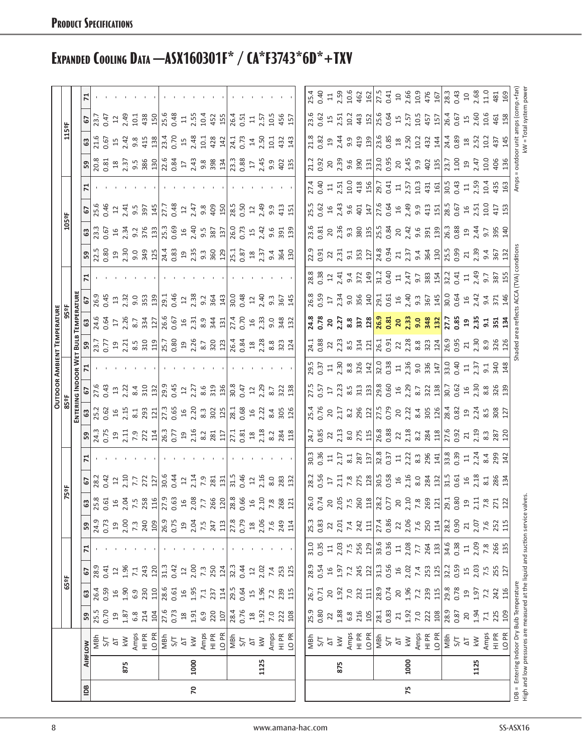|    |                            |                                      |                                                                                                                                                                                                                                                                              | 65°F                                                                                                                    |                     |                                                                                                                                                                                                                                                                                                                                                                              | 75ºF                                                                                                                                                                                                                                                                                                                                             |                                                                                                                                                                                                                                                                                                                                            |                                                                                                                                                                                                                                                                                                                                          |                                                                                                                                                                                                                                                                                                                                           |                                                                                                                                                                                                                                                                                                                      |                                                                                                                                                                                                                                                                                                                                                                                                                                     |                                                                                                                                                                                                                                                                                                                                                                          |  |                                                                                                                                                                                                                                                                                                                                                           | 105°F                                                                                                                                                                                                                                                                                                                |                                                                                                                                                                                                                                |                                                                                                                                                                                                                                                                                                                                                                                                                                                                                                                                                     | 115°F                                                                                                                                                                                                                                                                                                          |                                                                                                                                                                                                                                   |  |
|----|----------------------------|--------------------------------------|------------------------------------------------------------------------------------------------------------------------------------------------------------------------------------------------------------------------------------------------------------------------------|-------------------------------------------------------------------------------------------------------------------------|---------------------|------------------------------------------------------------------------------------------------------------------------------------------------------------------------------------------------------------------------------------------------------------------------------------------------------------------------------------------------------------------------------|--------------------------------------------------------------------------------------------------------------------------------------------------------------------------------------------------------------------------------------------------------------------------------------------------------------------------------------------------|--------------------------------------------------------------------------------------------------------------------------------------------------------------------------------------------------------------------------------------------------------------------------------------------------------------------------------------------|------------------------------------------------------------------------------------------------------------------------------------------------------------------------------------------------------------------------------------------------------------------------------------------------------------------------------------------|-------------------------------------------------------------------------------------------------------------------------------------------------------------------------------------------------------------------------------------------------------------------------------------------------------------------------------------------|----------------------------------------------------------------------------------------------------------------------------------------------------------------------------------------------------------------------------------------------------------------------------------------------------------------------|-------------------------------------------------------------------------------------------------------------------------------------------------------------------------------------------------------------------------------------------------------------------------------------------------------------------------------------------------------------------------------------------------------------------------------------|--------------------------------------------------------------------------------------------------------------------------------------------------------------------------------------------------------------------------------------------------------------------------------------------------------------------------------------------------------------------------|--|-----------------------------------------------------------------------------------------------------------------------------------------------------------------------------------------------------------------------------------------------------------------------------------------------------------------------------------------------------------|----------------------------------------------------------------------------------------------------------------------------------------------------------------------------------------------------------------------------------------------------------------------------------------------------------------------|--------------------------------------------------------------------------------------------------------------------------------------------------------------------------------------------------------------------------------|-----------------------------------------------------------------------------------------------------------------------------------------------------------------------------------------------------------------------------------------------------------------------------------------------------------------------------------------------------------------------------------------------------------------------------------------------------------------------------------------------------------------------------------------------------|----------------------------------------------------------------------------------------------------------------------------------------------------------------------------------------------------------------------------------------------------------------------------------------------------------------|-----------------------------------------------------------------------------------------------------------------------------------------------------------------------------------------------------------------------------------|--|
|    |                            |                                      |                                                                                                                                                                                                                                                                              |                                                                                                                         |                     |                                                                                                                                                                                                                                                                                                                                                                              |                                                                                                                                                                                                                                                                                                                                                  |                                                                                                                                                                                                                                                                                                                                            |                                                                                                                                                                                                                                                                                                                                          |                                                                                                                                                                                                                                                                                                                                           |                                                                                                                                                                                                                                                                                                                      |                                                                                                                                                                                                                                                                                                                                                                                                                                     |                                                                                                                                                                                                                                                                                                                                                                          |  |                                                                                                                                                                                                                                                                                                                                                           |                                                                                                                                                                                                                                                                                                                      |                                                                                                                                                                                                                                |                                                                                                                                                                                                                                                                                                                                                                                                                                                                                                                                                     |                                                                                                                                                                                                                                                                                                                |                                                                                                                                                                                                                                   |  |
| Ξ  |                            | AIRFLOW                              |                                                                                                                                                                                                                                                                              |                                                                                                                         |                     | $\mathbb{S}$                                                                                                                                                                                                                                                                                                                                                                 |                                                                                                                                                                                                                                                                                                                                                  |                                                                                                                                                                                                                                                                                                                                            |                                                                                                                                                                                                                                                                                                                                          |                                                                                                                                                                                                                                                                                                                                           |                                                                                                                                                                                                                                                                                                                      |                                                                                                                                                                                                                                                                                                                                                                                                                                     |                                                                                                                                                                                                                                                                                                                                                                          |  |                                                                                                                                                                                                                                                                                                                                                           |                                                                                                                                                                                                                                                                                                                      |                                                                                                                                                                                                                                |                                                                                                                                                                                                                                                                                                                                                                                                                                                                                                                                                     |                                                                                                                                                                                                                                                                                                                |                                                                                                                                                                                                                                   |  |
|    |                            | 지 출                                  | $\frac{59}{25.5}$                                                                                                                                                                                                                                                            |                                                                                                                         | $\frac{28.9}{0.41}$ |                                                                                                                                                                                                                                                                                                                                                                              |                                                                                                                                                                                                                                                                                                                                                  |                                                                                                                                                                                                                                                                                                                                            |                                                                                                                                                                                                                                                                                                                                          |                                                                                                                                                                                                                                                                                                                                           |                                                                                                                                                                                                                                                                                                                      |                                                                                                                                                                                                                                                                                                                                                                                                                                     |                                                                                                                                                                                                                                                                                                                                                                          |  |                                                                                                                                                                                                                                                                                                                                                           |                                                                                                                                                                                                                                                                                                                      |                                                                                                                                                                                                                                |                                                                                                                                                                                                                                                                                                                                                                                                                                                                                                                                                     |                                                                                                                                                                                                                                                                                                                |                                                                                                                                                                                                                                   |  |
|    |                            |                                      |                                                                                                                                                                                                                                                                              |                                                                                                                         |                     |                                                                                                                                                                                                                                                                                                                                                                              |                                                                                                                                                                                                                                                                                                                                                  |                                                                                                                                                                                                                                                                                                                                            |                                                                                                                                                                                                                                                                                                                                          |                                                                                                                                                                                                                                                                                                                                           |                                                                                                                                                                                                                                                                                                                      |                                                                                                                                                                                                                                                                                                                                                                                                                                     |                                                                                                                                                                                                                                                                                                                                                                          |  |                                                                                                                                                                                                                                                                                                                                                           |                                                                                                                                                                                                                                                                                                                      |                                                                                                                                                                                                                                |                                                                                                                                                                                                                                                                                                                                                                                                                                                                                                                                                     |                                                                                                                                                                                                                                                                                                                |                                                                                                                                                                                                                                   |  |
|    |                            |                                      |                                                                                                                                                                                                                                                                              |                                                                                                                         |                     |                                                                                                                                                                                                                                                                                                                                                                              |                                                                                                                                                                                                                                                                                                                                                  |                                                                                                                                                                                                                                                                                                                                            |                                                                                                                                                                                                                                                                                                                                          |                                                                                                                                                                                                                                                                                                                                           |                                                                                                                                                                                                                                                                                                                      |                                                                                                                                                                                                                                                                                                                                                                                                                                     |                                                                                                                                                                                                                                                                                                                                                                          |  |                                                                                                                                                                                                                                                                                                                                                           |                                                                                                                                                                                                                                                                                                                      |                                                                                                                                                                                                                                |                                                                                                                                                                                                                                                                                                                                                                                                                                                                                                                                                     |                                                                                                                                                                                                                                                                                                                |                                                                                                                                                                                                                                   |  |
|    | 875                        |                                      |                                                                                                                                                                                                                                                                              |                                                                                                                         |                     |                                                                                                                                                                                                                                                                                                                                                                              |                                                                                                                                                                                                                                                                                                                                                  |                                                                                                                                                                                                                                                                                                                                            |                                                                                                                                                                                                                                                                                                                                          |                                                                                                                                                                                                                                                                                                                                           |                                                                                                                                                                                                                                                                                                                      |                                                                                                                                                                                                                                                                                                                                                                                                                                     |                                                                                                                                                                                                                                                                                                                                                                          |  |                                                                                                                                                                                                                                                                                                                                                           |                                                                                                                                                                                                                                                                                                                      |                                                                                                                                                                                                                                |                                                                                                                                                                                                                                                                                                                                                                                                                                                                                                                                                     |                                                                                                                                                                                                                                                                                                                |                                                                                                                                                                                                                                   |  |
|    |                            |                                      |                                                                                                                                                                                                                                                                              |                                                                                                                         |                     |                                                                                                                                                                                                                                                                                                                                                                              |                                                                                                                                                                                                                                                                                                                                                  |                                                                                                                                                                                                                                                                                                                                            |                                                                                                                                                                                                                                                                                                                                          |                                                                                                                                                                                                                                                                                                                                           |                                                                                                                                                                                                                                                                                                                      |                                                                                                                                                                                                                                                                                                                                                                                                                                     |                                                                                                                                                                                                                                                                                                                                                                          |  |                                                                                                                                                                                                                                                                                                                                                           |                                                                                                                                                                                                                                                                                                                      |                                                                                                                                                                                                                                |                                                                                                                                                                                                                                                                                                                                                                                                                                                                                                                                                     |                                                                                                                                                                                                                                                                                                                |                                                                                                                                                                                                                                   |  |
|    |                            |                                      |                                                                                                                                                                                                                                                                              |                                                                                                                         |                     |                                                                                                                                                                                                                                                                                                                                                                              |                                                                                                                                                                                                                                                                                                                                                  |                                                                                                                                                                                                                                                                                                                                            |                                                                                                                                                                                                                                                                                                                                          |                                                                                                                                                                                                                                                                                                                                           |                                                                                                                                                                                                                                                                                                                      |                                                                                                                                                                                                                                                                                                                                                                                                                                     |                                                                                                                                                                                                                                                                                                                                                                          |  |                                                                                                                                                                                                                                                                                                                                                           |                                                                                                                                                                                                                                                                                                                      |                                                                                                                                                                                                                                |                                                                                                                                                                                                                                                                                                                                                                                                                                                                                                                                                     |                                                                                                                                                                                                                                                                                                                |                                                                                                                                                                                                                                   |  |
|    |                            |                                      |                                                                                                                                                                                                                                                                              |                                                                                                                         |                     |                                                                                                                                                                                                                                                                                                                                                                              |                                                                                                                                                                                                                                                                                                                                                  |                                                                                                                                                                                                                                                                                                                                            |                                                                                                                                                                                                                                                                                                                                          |                                                                                                                                                                                                                                                                                                                                           |                                                                                                                                                                                                                                                                                                                      |                                                                                                                                                                                                                                                                                                                                                                                                                                     |                                                                                                                                                                                                                                                                                                                                                                          |  |                                                                                                                                                                                                                                                                                                                                                           |                                                                                                                                                                                                                                                                                                                      |                                                                                                                                                                                                                                |                                                                                                                                                                                                                                                                                                                                                                                                                                                                                                                                                     |                                                                                                                                                                                                                                                                                                                |                                                                                                                                                                                                                                   |  |
|    |                            |                                      |                                                                                                                                                                                                                                                                              |                                                                                                                         |                     |                                                                                                                                                                                                                                                                                                                                                                              |                                                                                                                                                                                                                                                                                                                                                  |                                                                                                                                                                                                                                                                                                                                            |                                                                                                                                                                                                                                                                                                                                          |                                                                                                                                                                                                                                                                                                                                           |                                                                                                                                                                                                                                                                                                                      |                                                                                                                                                                                                                                                                                                                                                                                                                                     |                                                                                                                                                                                                                                                                                                                                                                          |  |                                                                                                                                                                                                                                                                                                                                                           |                                                                                                                                                                                                                                                                                                                      |                                                                                                                                                                                                                                |                                                                                                                                                                                                                                                                                                                                                                                                                                                                                                                                                     |                                                                                                                                                                                                                                                                                                                |                                                                                                                                                                                                                                   |  |
|    |                            |                                      |                                                                                                                                                                                                                                                                              |                                                                                                                         |                     |                                                                                                                                                                                                                                                                                                                                                                              |                                                                                                                                                                                                                                                                                                                                                  |                                                                                                                                                                                                                                                                                                                                            |                                                                                                                                                                                                                                                                                                                                          |                                                                                                                                                                                                                                                                                                                                           |                                                                                                                                                                                                                                                                                                                      |                                                                                                                                                                                                                                                                                                                                                                                                                                     |                                                                                                                                                                                                                                                                                                                                                                          |  |                                                                                                                                                                                                                                                                                                                                                           |                                                                                                                                                                                                                                                                                                                      |                                                                                                                                                                                                                                |                                                                                                                                                                                                                                                                                                                                                                                                                                                                                                                                                     |                                                                                                                                                                                                                                                                                                                |                                                                                                                                                                                                                                   |  |
|    |                            |                                      |                                                                                                                                                                                                                                                                              |                                                                                                                         |                     |                                                                                                                                                                                                                                                                                                                                                                              |                                                                                                                                                                                                                                                                                                                                                  |                                                                                                                                                                                                                                                                                                                                            |                                                                                                                                                                                                                                                                                                                                          |                                                                                                                                                                                                                                                                                                                                           |                                                                                                                                                                                                                                                                                                                      |                                                                                                                                                                                                                                                                                                                                                                                                                                     |                                                                                                                                                                                                                                                                                                                                                                          |  |                                                                                                                                                                                                                                                                                                                                                           |                                                                                                                                                                                                                                                                                                                      |                                                                                                                                                                                                                                |                                                                                                                                                                                                                                                                                                                                                                                                                                                                                                                                                     |                                                                                                                                                                                                                                                                                                                |                                                                                                                                                                                                                                   |  |
| 20 | 1000                       |                                      |                                                                                                                                                                                                                                                                              |                                                                                                                         |                     |                                                                                                                                                                                                                                                                                                                                                                              |                                                                                                                                                                                                                                                                                                                                                  |                                                                                                                                                                                                                                                                                                                                            |                                                                                                                                                                                                                                                                                                                                          |                                                                                                                                                                                                                                                                                                                                           |                                                                                                                                                                                                                                                                                                                      |                                                                                                                                                                                                                                                                                                                                                                                                                                     |                                                                                                                                                                                                                                                                                                                                                                          |  |                                                                                                                                                                                                                                                                                                                                                           |                                                                                                                                                                                                                                                                                                                      |                                                                                                                                                                                                                                |                                                                                                                                                                                                                                                                                                                                                                                                                                                                                                                                                     |                                                                                                                                                                                                                                                                                                                |                                                                                                                                                                                                                                   |  |
|    |                            |                                      |                                                                                                                                                                                                                                                                              |                                                                                                                         |                     |                                                                                                                                                                                                                                                                                                                                                                              |                                                                                                                                                                                                                                                                                                                                                  |                                                                                                                                                                                                                                                                                                                                            |                                                                                                                                                                                                                                                                                                                                          |                                                                                                                                                                                                                                                                                                                                           |                                                                                                                                                                                                                                                                                                                      |                                                                                                                                                                                                                                                                                                                                                                                                                                     |                                                                                                                                                                                                                                                                                                                                                                          |  |                                                                                                                                                                                                                                                                                                                                                           |                                                                                                                                                                                                                                                                                                                      |                                                                                                                                                                                                                                |                                                                                                                                                                                                                                                                                                                                                                                                                                                                                                                                                     |                                                                                                                                                                                                                                                                                                                |                                                                                                                                                                                                                                   |  |
|    |                            |                                      | $\begin{array}{c} 23.53 & 23.54 & 24.55 & 25.54 \\ 25.53 & 25.54 & 25.54 & 25.54 \\ 25.53 & 25.54 & 25.54 & 25.54 \\ 25.53 & 25.54 & 25.54 & 25.54 \\ 25.53 & 25.54 & 25.54 & 25.54 \\ 25.53 & 25.54 & 25.54 & 25.54 \\ 25.53 & 25.54 & 25.54 & 25.54 \\ 25.53 & 25.54 & 25$ |                                                                                                                         |                     | $\left[\frac{1}{21} \frac{1}{22} \frac{1}{22} \frac{1}{22} \frac{1}{22} \frac{1}{22} \frac{1}{22} \frac{1}{22} \frac{1}{22} \frac{1}{22} \frac{1}{22} \frac{1}{22} \frac{1}{22} \frac{1}{22} \frac{1}{22} \frac{1}{22} \frac{1}{22} \frac{1}{22} \frac{1}{22} \frac{1}{22} \frac{1}{22} \frac{1}{22} \frac{1}{22} \frac{1}{22} \frac{1}{22} \frac{1}{22} \frac{1}{22} \frac$ | $3\frac{1}{2}$ $\frac{1}{2}$ $\frac{1}{2}$ $\frac{1}{2}$ $\frac{1}{2}$ $\frac{1}{2}$ $\frac{1}{2}$ $\frac{1}{2}$ $\frac{1}{2}$ $\frac{1}{2}$ $\frac{1}{2}$ $\frac{1}{2}$ $\frac{1}{2}$ $\frac{1}{2}$ $\frac{1}{2}$ $\frac{1}{2}$ $\frac{1}{2}$ $\frac{1}{2}$ $\frac{1}{2}$ $\frac{1}{2}$ $\frac{1}{2}$ $\frac{1}{2}$ $\frac{1}{2}$ $\frac{1}{2}$ | $\frac{6}{8}$ $\frac{12}{8}$ $\frac{3}{8}$ $\frac{12}{12}$ $\frac{12}{12}$ $\frac{12}{8}$ $\frac{3}{8}$ $\frac{4}{8}$ $\frac{12}{12}$ $\frac{5}{8}$ $\frac{5}{8}$ $\frac{11}{12}$ $\frac{12}{12}$ $\frac{3}{8}$ $\frac{12}{12}$ $\frac{12}{12}$ $\frac{12}{12}$ $\frac{12}{12}$ $\frac{12}{12}$ $\frac{12}{12}$ $\frac{12}{12}$ $\frac{12$ | $\mathbf{B}$ <sub>2</sub> $\mathbf{S}$ $\mathbf{S}$ $\mathbf{S}$ $\mathbf{S}$ $\mathbf{S}$ $\mathbf{S}$ $\mathbf{S}$ $\mathbf{S}$ $\mathbf{S}$ $\mathbf{S}$ $\mathbf{S}$ $\mathbf{S}$ $\mathbf{S}$ $\mathbf{S}$ $\mathbf{S}$ $\mathbf{S}$ $\mathbf{S}$ $\mathbf{S}$ $\mathbf{S}$ $\mathbf{S}$ $\mathbf{S}$ $\mathbf{S}$ $\mathbf{S}$ $\$ | $3\frac{1}{2}$ $3\frac{1}{2}$ $3\frac{1}{2}$ $3\frac{1}{2}$ $3\frac{1}{2}$ $3\frac{1}{2}$ $3\frac{1}{2}$ $3\frac{1}{2}$ $3\frac{1}{2}$ $3\frac{1}{2}$ $3\frac{1}{2}$ $3\frac{1}{2}$ $3\frac{1}{2}$ $3\frac{1}{2}$ $3\frac{1}{2}$ $3\frac{1}{2}$ $3\frac{1}{2}$ $3\frac{1}{2}$ $3\frac{1}{2}$ $3\frac{1}{2}$ $3\frac{1}{2}$ $3\frac{1}{2}$ | $5\frac{1}{2}$ $\frac{1}{2}$ $\frac{3}{2}$ $\frac{3}{2}$ $\frac{3}{2}$ $\frac{3}{2}$ $\frac{3}{2}$ $\frac{1}{2}$ $\frac{3}{2}$ $\frac{3}{2}$ $\frac{3}{2}$ $\frac{3}{2}$ $\frac{3}{2}$ $\frac{3}{2}$ $\frac{3}{2}$ $\frac{3}{2}$ $\frac{3}{2}$ $\frac{3}{2}$ $\frac{3}{2}$ $\frac{3}{2}$ $\frac{3}{2}$ $\frac{3}{2}$ | $\mathbf{B}$ $\left[\mathbf{Z},\mathbf{Z},\mathbf{Z},\mathbf{Z}\right]$ $\left[\mathbf{Z},\mathbf{Z},\mathbf{Z},\mathbf{Z}\right]$ $\left[\mathbf{Z},\mathbf{Z},\mathbf{Z},\mathbf{Z}\right]$ $\left[\mathbf{Z},\mathbf{Z},\mathbf{Z},\mathbf{Z}\right]$ $\left[\mathbf{Z},\mathbf{Z},\mathbf{Z},\mathbf{Z}\right]$ $\left[\mathbf{Z},\mathbf{Z},\mathbf{Z},\mathbf{Z}\right]$ $\left[\mathbf{Z},\mathbf{Z},\mathbf{Z},\mathbf{Z}\$ | $3\frac{1}{2}$<br>$3\frac{1}{2}$<br>$5\frac{1}{2}$<br>$2\frac{1}{2}$<br>$3\frac{1}{2}$<br>$5\frac{1}{2}$<br>$5\frac{1}{2}$<br>$5\frac{1}{2}$<br>$5\frac{1}{2}$<br>$5\frac{1}{2}$<br>$5\frac{1}{2}$<br>$5\frac{1}{2}$<br>$5\frac{1}{2}$<br>$5\frac{1}{2}$<br>$5\frac{1}{2}$<br>$5\frac{1}{2}$<br>$5\frac{1}{2}$<br>$5\frac{1}{2}$<br>$5\frac{1}{2}$<br>$5\frac{1}{2}$<br> |  | $3\frac{1}{2}$ $\frac{1}{2}$ $\frac{1}{2}$ $\frac{1}{2}$ $\frac{1}{2}$ $\frac{1}{2}$ $\frac{1}{3}$ $\frac{1}{3}$ $\frac{1}{2}$ $\frac{1}{3}$ $\frac{1}{2}$ $\frac{1}{3}$ $\frac{1}{2}$ $\frac{1}{3}$ $\frac{1}{2}$ $\frac{1}{3}$ $\frac{1}{2}$ $\frac{1}{3}$ $\frac{1}{2}$ $\frac{1}{3}$ $\frac{1}{2}$ $\frac{1}{3}$ $\frac{1}{2}$ $\frac{1}{3}$ $\frac{$ | $3\frac{1}{2}$ $\frac{3}{2}$ $\frac{3}{2}$ $\frac{3}{2}$ $\frac{3}{2}$ $\frac{3}{2}$ $\frac{3}{2}$ $\frac{3}{2}$ $\frac{3}{2}$ $\frac{3}{2}$ $\frac{3}{2}$ $\frac{3}{2}$ $\frac{3}{2}$ $\frac{3}{2}$ $\frac{3}{2}$ $\frac{3}{2}$ $\frac{3}{2}$ $\frac{3}{2}$ $\frac{3}{2}$ $\frac{3}{2}$ $\frac{3}{2}$ $\frac{3}{2}$ | $55.69$ $-5.39$ $-5.59$ $-5.39$ $-5.39$ $-5.39$ $-5.39$ $-5.39$ $-5.39$ $-5.39$ $-5.39$ $-5.39$ $-5.39$ $-5.39$ $-5.39$ $-5.39$ $-5.39$ $-5.39$ $-5.39$ $-5.39$ $-5.39$ $-5.39$ $-5.39$ $-5.39$ $-5.39$ $-5.39$ $-5.39$ $-5.3$ | $3\frac{1}{2}$ $5$ $5$ $7$ $3$ $8$ $3$ $4$ $2\frac{1}{2}$ $3$ $6$ $2\frac{1}{2}$ $3$ $3$ $4$ $2\frac{1}{2}$ $3$ $3$ $4$ $5$ $1$ $1$ $2\frac{1}{2}$ $3$ $4$ $5$ $1$ $1$ $2\frac{1}{2}$ $3$ $4$ $5$ $1$<br>$3\frac{8}{20}$ $\frac{8}{25}$ $\frac{8}{25}$ $\frac{8}{25}$ $\frac{8}{25}$ $\frac{8}{25}$ $\frac{8}{25}$ $\frac{8}{25}$ $\frac{8}{25}$ $\frac{8}{25}$ $\frac{8}{25}$ $\frac{8}{25}$ $\frac{8}{25}$ $\frac{8}{25}$ $\frac{8}{25}$ $\frac{8}{25}$ $\frac{8}{25}$ $\frac{8}{25}$ $\frac{8}{25}$ $\frac{8}{25}$ $\frac{8}{25}$ $\frac{8}{25}$ | $\frac{6}{2}$ $\frac{17}{2}$ $\frac{17}{2}$ $\frac{17}{2}$ $\frac{17}{2}$ $\frac{17}{2}$ $\frac{17}{2}$ $\frac{17}{2}$ $\frac{17}{2}$ $\frac{17}{2}$ $\frac{17}{2}$ $\frac{17}{2}$ $\frac{17}{2}$ $\frac{17}{2}$ $\frac{17}{2}$ $\frac{17}{2}$ $\frac{17}{2}$ $\frac{17}{2}$ $\frac{17}{2}$ $\frac{17}{2}$ $\$ |                                                                                                                                                                                                                                   |  |
|    |                            |                                      |                                                                                                                                                                                                                                                                              |                                                                                                                         |                     |                                                                                                                                                                                                                                                                                                                                                                              |                                                                                                                                                                                                                                                                                                                                                  |                                                                                                                                                                                                                                                                                                                                            |                                                                                                                                                                                                                                                                                                                                          |                                                                                                                                                                                                                                                                                                                                           |                                                                                                                                                                                                                                                                                                                      |                                                                                                                                                                                                                                                                                                                                                                                                                                     |                                                                                                                                                                                                                                                                                                                                                                          |  |                                                                                                                                                                                                                                                                                                                                                           |                                                                                                                                                                                                                                                                                                                      |                                                                                                                                                                                                                                |                                                                                                                                                                                                                                                                                                                                                                                                                                                                                                                                                     |                                                                                                                                                                                                                                                                                                                |                                                                                                                                                                                                                                   |  |
|    |                            |                                      |                                                                                                                                                                                                                                                                              |                                                                                                                         |                     |                                                                                                                                                                                                                                                                                                                                                                              |                                                                                                                                                                                                                                                                                                                                                  |                                                                                                                                                                                                                                                                                                                                            |                                                                                                                                                                                                                                                                                                                                          |                                                                                                                                                                                                                                                                                                                                           |                                                                                                                                                                                                                                                                                                                      |                                                                                                                                                                                                                                                                                                                                                                                                                                     |                                                                                                                                                                                                                                                                                                                                                                          |  |                                                                                                                                                                                                                                                                                                                                                           |                                                                                                                                                                                                                                                                                                                      |                                                                                                                                                                                                                                |                                                                                                                                                                                                                                                                                                                                                                                                                                                                                                                                                     |                                                                                                                                                                                                                                                                                                                |                                                                                                                                                                                                                                   |  |
|    |                            |                                      |                                                                                                                                                                                                                                                                              |                                                                                                                         |                     |                                                                                                                                                                                                                                                                                                                                                                              |                                                                                                                                                                                                                                                                                                                                                  |                                                                                                                                                                                                                                                                                                                                            |                                                                                                                                                                                                                                                                                                                                          |                                                                                                                                                                                                                                                                                                                                           |                                                                                                                                                                                                                                                                                                                      |                                                                                                                                                                                                                                                                                                                                                                                                                                     |                                                                                                                                                                                                                                                                                                                                                                          |  |                                                                                                                                                                                                                                                                                                                                                           |                                                                                                                                                                                                                                                                                                                      |                                                                                                                                                                                                                                |                                                                                                                                                                                                                                                                                                                                                                                                                                                                                                                                                     |                                                                                                                                                                                                                                                                                                                |                                                                                                                                                                                                                                   |  |
|    |                            |                                      |                                                                                                                                                                                                                                                                              |                                                                                                                         |                     |                                                                                                                                                                                                                                                                                                                                                                              |                                                                                                                                                                                                                                                                                                                                                  |                                                                                                                                                                                                                                                                                                                                            |                                                                                                                                                                                                                                                                                                                                          |                                                                                                                                                                                                                                                                                                                                           |                                                                                                                                                                                                                                                                                                                      |                                                                                                                                                                                                                                                                                                                                                                                                                                     |                                                                                                                                                                                                                                                                                                                                                                          |  |                                                                                                                                                                                                                                                                                                                                                           |                                                                                                                                                                                                                                                                                                                      |                                                                                                                                                                                                                                |                                                                                                                                                                                                                                                                                                                                                                                                                                                                                                                                                     |                                                                                                                                                                                                                                                                                                                |                                                                                                                                                                                                                                   |  |
|    | 1125                       |                                      |                                                                                                                                                                                                                                                                              |                                                                                                                         |                     |                                                                                                                                                                                                                                                                                                                                                                              |                                                                                                                                                                                                                                                                                                                                                  |                                                                                                                                                                                                                                                                                                                                            |                                                                                                                                                                                                                                                                                                                                          |                                                                                                                                                                                                                                                                                                                                           |                                                                                                                                                                                                                                                                                                                      |                                                                                                                                                                                                                                                                                                                                                                                                                                     |                                                                                                                                                                                                                                                                                                                                                                          |  |                                                                                                                                                                                                                                                                                                                                                           |                                                                                                                                                                                                                                                                                                                      |                                                                                                                                                                                                                                |                                                                                                                                                                                                                                                                                                                                                                                                                                                                                                                                                     |                                                                                                                                                                                                                                                                                                                |                                                                                                                                                                                                                                   |  |
|    |                            |                                      |                                                                                                                                                                                                                                                                              |                                                                                                                         |                     |                                                                                                                                                                                                                                                                                                                                                                              |                                                                                                                                                                                                                                                                                                                                                  |                                                                                                                                                                                                                                                                                                                                            |                                                                                                                                                                                                                                                                                                                                          |                                                                                                                                                                                                                                                                                                                                           |                                                                                                                                                                                                                                                                                                                      |                                                                                                                                                                                                                                                                                                                                                                                                                                     |                                                                                                                                                                                                                                                                                                                                                                          |  |                                                                                                                                                                                                                                                                                                                                                           |                                                                                                                                                                                                                                                                                                                      |                                                                                                                                                                                                                                |                                                                                                                                                                                                                                                                                                                                                                                                                                                                                                                                                     |                                                                                                                                                                                                                                                                                                                |                                                                                                                                                                                                                                   |  |
|    |                            |                                      |                                                                                                                                                                                                                                                                              |                                                                                                                         |                     |                                                                                                                                                                                                                                                                                                                                                                              |                                                                                                                                                                                                                                                                                                                                                  |                                                                                                                                                                                                                                                                                                                                            |                                                                                                                                                                                                                                                                                                                                          |                                                                                                                                                                                                                                                                                                                                           |                                                                                                                                                                                                                                                                                                                      |                                                                                                                                                                                                                                                                                                                                                                                                                                     |                                                                                                                                                                                                                                                                                                                                                                          |  |                                                                                                                                                                                                                                                                                                                                                           |                                                                                                                                                                                                                                                                                                                      |                                                                                                                                                                                                                                |                                                                                                                                                                                                                                                                                                                                                                                                                                                                                                                                                     |                                                                                                                                                                                                                                                                                                                |                                                                                                                                                                                                                                   |  |
|    |                            |                                      |                                                                                                                                                                                                                                                                              |                                                                                                                         |                     |                                                                                                                                                                                                                                                                                                                                                                              |                                                                                                                                                                                                                                                                                                                                                  |                                                                                                                                                                                                                                                                                                                                            |                                                                                                                                                                                                                                                                                                                                          |                                                                                                                                                                                                                                                                                                                                           |                                                                                                                                                                                                                                                                                                                      |                                                                                                                                                                                                                                                                                                                                                                                                                                     |                                                                                                                                                                                                                                                                                                                                                                          |  |                                                                                                                                                                                                                                                                                                                                                           |                                                                                                                                                                                                                                                                                                                      |                                                                                                                                                                                                                                |                                                                                                                                                                                                                                                                                                                                                                                                                                                                                                                                                     |                                                                                                                                                                                                                                                                                                                |                                                                                                                                                                                                                                   |  |
|    |                            |                                      |                                                                                                                                                                                                                                                                              |                                                                                                                         |                     |                                                                                                                                                                                                                                                                                                                                                                              |                                                                                                                                                                                                                                                                                                                                                  |                                                                                                                                                                                                                                                                                                                                            |                                                                                                                                                                                                                                                                                                                                          |                                                                                                                                                                                                                                                                                                                                           |                                                                                                                                                                                                                                                                                                                      |                                                                                                                                                                                                                                                                                                                                                                                                                                     |                                                                                                                                                                                                                                                                                                                                                                          |  |                                                                                                                                                                                                                                                                                                                                                           |                                                                                                                                                                                                                                                                                                                      |                                                                                                                                                                                                                                |                                                                                                                                                                                                                                                                                                                                                                                                                                                                                                                                                     |                                                                                                                                                                                                                                                                                                                |                                                                                                                                                                                                                                   |  |
|    |                            |                                      |                                                                                                                                                                                                                                                                              |                                                                                                                         |                     |                                                                                                                                                                                                                                                                                                                                                                              |                                                                                                                                                                                                                                                                                                                                                  |                                                                                                                                                                                                                                                                                                                                            |                                                                                                                                                                                                                                                                                                                                          |                                                                                                                                                                                                                                                                                                                                           |                                                                                                                                                                                                                                                                                                                      |                                                                                                                                                                                                                                                                                                                                                                                                                                     |                                                                                                                                                                                                                                                                                                                                                                          |  |                                                                                                                                                                                                                                                                                                                                                           |                                                                                                                                                                                                                                                                                                                      |                                                                                                                                                                                                                                |                                                                                                                                                                                                                                                                                                                                                                                                                                                                                                                                                     |                                                                                                                                                                                                                                                                                                                |                                                                                                                                                                                                                                   |  |
|    |                            |                                      |                                                                                                                                                                                                                                                                              |                                                                                                                         |                     |                                                                                                                                                                                                                                                                                                                                                                              |                                                                                                                                                                                                                                                                                                                                                  |                                                                                                                                                                                                                                                                                                                                            |                                                                                                                                                                                                                                                                                                                                          |                                                                                                                                                                                                                                                                                                                                           |                                                                                                                                                                                                                                                                                                                      |                                                                                                                                                                                                                                                                                                                                                                                                                                     |                                                                                                                                                                                                                                                                                                                                                                          |  |                                                                                                                                                                                                                                                                                                                                                           |                                                                                                                                                                                                                                                                                                                      |                                                                                                                                                                                                                                |                                                                                                                                                                                                                                                                                                                                                                                                                                                                                                                                                     |                                                                                                                                                                                                                                                                                                                |                                                                                                                                                                                                                                   |  |
|    |                            |                                      |                                                                                                                                                                                                                                                                              |                                                                                                                         |                     |                                                                                                                                                                                                                                                                                                                                                                              |                                                                                                                                                                                                                                                                                                                                                  |                                                                                                                                                                                                                                                                                                                                            |                                                                                                                                                                                                                                                                                                                                          |                                                                                                                                                                                                                                                                                                                                           |                                                                                                                                                                                                                                                                                                                      |                                                                                                                                                                                                                                                                                                                                                                                                                                     |                                                                                                                                                                                                                                                                                                                                                                          |  |                                                                                                                                                                                                                                                                                                                                                           |                                                                                                                                                                                                                                                                                                                      |                                                                                                                                                                                                                                |                                                                                                                                                                                                                                                                                                                                                                                                                                                                                                                                                     |                                                                                                                                                                                                                                                                                                                |                                                                                                                                                                                                                                   |  |
|    | 875                        |                                      |                                                                                                                                                                                                                                                                              |                                                                                                                         |                     |                                                                                                                                                                                                                                                                                                                                                                              |                                                                                                                                                                                                                                                                                                                                                  |                                                                                                                                                                                                                                                                                                                                            |                                                                                                                                                                                                                                                                                                                                          |                                                                                                                                                                                                                                                                                                                                           |                                                                                                                                                                                                                                                                                                                      |                                                                                                                                                                                                                                                                                                                                                                                                                                     |                                                                                                                                                                                                                                                                                                                                                                          |  |                                                                                                                                                                                                                                                                                                                                                           |                                                                                                                                                                                                                                                                                                                      |                                                                                                                                                                                                                                |                                                                                                                                                                                                                                                                                                                                                                                                                                                                                                                                                     |                                                                                                                                                                                                                                                                                                                |                                                                                                                                                                                                                                   |  |
|    |                            |                                      |                                                                                                                                                                                                                                                                              |                                                                                                                         |                     |                                                                                                                                                                                                                                                                                                                                                                              |                                                                                                                                                                                                                                                                                                                                                  |                                                                                                                                                                                                                                                                                                                                            |                                                                                                                                                                                                                                                                                                                                          |                                                                                                                                                                                                                                                                                                                                           |                                                                                                                                                                                                                                                                                                                      |                                                                                                                                                                                                                                                                                                                                                                                                                                     |                                                                                                                                                                                                                                                                                                                                                                          |  |                                                                                                                                                                                                                                                                                                                                                           |                                                                                                                                                                                                                                                                                                                      |                                                                                                                                                                                                                                |                                                                                                                                                                                                                                                                                                                                                                                                                                                                                                                                                     |                                                                                                                                                                                                                                                                                                                |                                                                                                                                                                                                                                   |  |
|    |                            |                                      |                                                                                                                                                                                                                                                                              |                                                                                                                         |                     |                                                                                                                                                                                                                                                                                                                                                                              |                                                                                                                                                                                                                                                                                                                                                  |                                                                                                                                                                                                                                                                                                                                            |                                                                                                                                                                                                                                                                                                                                          |                                                                                                                                                                                                                                                                                                                                           |                                                                                                                                                                                                                                                                                                                      |                                                                                                                                                                                                                                                                                                                                                                                                                                     |                                                                                                                                                                                                                                                                                                                                                                          |  |                                                                                                                                                                                                                                                                                                                                                           |                                                                                                                                                                                                                                                                                                                      |                                                                                                                                                                                                                                |                                                                                                                                                                                                                                                                                                                                                                                                                                                                                                                                                     |                                                                                                                                                                                                                                                                                                                |                                                                                                                                                                                                                                   |  |
|    |                            |                                      |                                                                                                                                                                                                                                                                              |                                                                                                                         |                     |                                                                                                                                                                                                                                                                                                                                                                              |                                                                                                                                                                                                                                                                                                                                                  |                                                                                                                                                                                                                                                                                                                                            |                                                                                                                                                                                                                                                                                                                                          |                                                                                                                                                                                                                                                                                                                                           |                                                                                                                                                                                                                                                                                                                      |                                                                                                                                                                                                                                                                                                                                                                                                                                     |                                                                                                                                                                                                                                                                                                                                                                          |  |                                                                                                                                                                                                                                                                                                                                                           |                                                                                                                                                                                                                                                                                                                      |                                                                                                                                                                                                                                |                                                                                                                                                                                                                                                                                                                                                                                                                                                                                                                                                     |                                                                                                                                                                                                                                                                                                                |                                                                                                                                                                                                                                   |  |
|    |                            |                                      |                                                                                                                                                                                                                                                                              |                                                                                                                         |                     |                                                                                                                                                                                                                                                                                                                                                                              |                                                                                                                                                                                                                                                                                                                                                  |                                                                                                                                                                                                                                                                                                                                            |                                                                                                                                                                                                                                                                                                                                          |                                                                                                                                                                                                                                                                                                                                           |                                                                                                                                                                                                                                                                                                                      |                                                                                                                                                                                                                                                                                                                                                                                                                                     |                                                                                                                                                                                                                                                                                                                                                                          |  |                                                                                                                                                                                                                                                                                                                                                           |                                                                                                                                                                                                                                                                                                                      |                                                                                                                                                                                                                                |                                                                                                                                                                                                                                                                                                                                                                                                                                                                                                                                                     |                                                                                                                                                                                                                                                                                                                |                                                                                                                                                                                                                                   |  |
|    |                            |                                      |                                                                                                                                                                                                                                                                              |                                                                                                                         |                     |                                                                                                                                                                                                                                                                                                                                                                              |                                                                                                                                                                                                                                                                                                                                                  |                                                                                                                                                                                                                                                                                                                                            |                                                                                                                                                                                                                                                                                                                                          |                                                                                                                                                                                                                                                                                                                                           |                                                                                                                                                                                                                                                                                                                      |                                                                                                                                                                                                                                                                                                                                                                                                                                     |                                                                                                                                                                                                                                                                                                                                                                          |  |                                                                                                                                                                                                                                                                                                                                                           |                                                                                                                                                                                                                                                                                                                      |                                                                                                                                                                                                                                |                                                                                                                                                                                                                                                                                                                                                                                                                                                                                                                                                     |                                                                                                                                                                                                                                                                                                                |                                                                                                                                                                                                                                   |  |
|    |                            |                                      |                                                                                                                                                                                                                                                                              |                                                                                                                         |                     |                                                                                                                                                                                                                                                                                                                                                                              |                                                                                                                                                                                                                                                                                                                                                  |                                                                                                                                                                                                                                                                                                                                            |                                                                                                                                                                                                                                                                                                                                          |                                                                                                                                                                                                                                                                                                                                           |                                                                                                                                                                                                                                                                                                                      |                                                                                                                                                                                                                                                                                                                                                                                                                                     |                                                                                                                                                                                                                                                                                                                                                                          |  |                                                                                                                                                                                                                                                                                                                                                           |                                                                                                                                                                                                                                                                                                                      |                                                                                                                                                                                                                                |                                                                                                                                                                                                                                                                                                                                                                                                                                                                                                                                                     |                                                                                                                                                                                                                                                                                                                |                                                                                                                                                                                                                                   |  |
| 75 | 1000                       |                                      |                                                                                                                                                                                                                                                                              |                                                                                                                         |                     |                                                                                                                                                                                                                                                                                                                                                                              |                                                                                                                                                                                                                                                                                                                                                  |                                                                                                                                                                                                                                                                                                                                            |                                                                                                                                                                                                                                                                                                                                          |                                                                                                                                                                                                                                                                                                                                           |                                                                                                                                                                                                                                                                                                                      |                                                                                                                                                                                                                                                                                                                                                                                                                                     |                                                                                                                                                                                                                                                                                                                                                                          |  |                                                                                                                                                                                                                                                                                                                                                           |                                                                                                                                                                                                                                                                                                                      |                                                                                                                                                                                                                                |                                                                                                                                                                                                                                                                                                                                                                                                                                                                                                                                                     |                                                                                                                                                                                                                                                                                                                |                                                                                                                                                                                                                                   |  |
|    |                            |                                      |                                                                                                                                                                                                                                                                              |                                                                                                                         |                     |                                                                                                                                                                                                                                                                                                                                                                              |                                                                                                                                                                                                                                                                                                                                                  |                                                                                                                                                                                                                                                                                                                                            |                                                                                                                                                                                                                                                                                                                                          |                                                                                                                                                                                                                                                                                                                                           |                                                                                                                                                                                                                                                                                                                      |                                                                                                                                                                                                                                                                                                                                                                                                                                     |                                                                                                                                                                                                                                                                                                                                                                          |  |                                                                                                                                                                                                                                                                                                                                                           |                                                                                                                                                                                                                                                                                                                      |                                                                                                                                                                                                                                |                                                                                                                                                                                                                                                                                                                                                                                                                                                                                                                                                     |                                                                                                                                                                                                                                                                                                                |                                                                                                                                                                                                                                   |  |
|    |                            |                                      |                                                                                                                                                                                                                                                                              |                                                                                                                         |                     |                                                                                                                                                                                                                                                                                                                                                                              |                                                                                                                                                                                                                                                                                                                                                  |                                                                                                                                                                                                                                                                                                                                            |                                                                                                                                                                                                                                                                                                                                          |                                                                                                                                                                                                                                                                                                                                           |                                                                                                                                                                                                                                                                                                                      |                                                                                                                                                                                                                                                                                                                                                                                                                                     |                                                                                                                                                                                                                                                                                                                                                                          |  |                                                                                                                                                                                                                                                                                                                                                           |                                                                                                                                                                                                                                                                                                                      |                                                                                                                                                                                                                                |                                                                                                                                                                                                                                                                                                                                                                                                                                                                                                                                                     |                                                                                                                                                                                                                                                                                                                |                                                                                                                                                                                                                                   |  |
|    |                            |                                      |                                                                                                                                                                                                                                                                              |                                                                                                                         |                     |                                                                                                                                                                                                                                                                                                                                                                              |                                                                                                                                                                                                                                                                                                                                                  |                                                                                                                                                                                                                                                                                                                                            |                                                                                                                                                                                                                                                                                                                                          |                                                                                                                                                                                                                                                                                                                                           |                                                                                                                                                                                                                                                                                                                      |                                                                                                                                                                                                                                                                                                                                                                                                                                     |                                                                                                                                                                                                                                                                                                                                                                          |  |                                                                                                                                                                                                                                                                                                                                                           |                                                                                                                                                                                                                                                                                                                      |                                                                                                                                                                                                                                |                                                                                                                                                                                                                                                                                                                                                                                                                                                                                                                                                     |                                                                                                                                                                                                                                                                                                                |                                                                                                                                                                                                                                   |  |
|    |                            |                                      |                                                                                                                                                                                                                                                                              | 26.75<br>26.75 26.75 26.75 26.75 26.75 27.75 27.75 27.75 27.75 27.75 27.75 27.75 27.75 27.75 27.75 27.75 27.75 27.75 27 |                     |                                                                                                                                                                                                                                                                                                                                                                              |                                                                                                                                                                                                                                                                                                                                                  |                                                                                                                                                                                                                                                                                                                                            |                                                                                                                                                                                                                                                                                                                                          |                                                                                                                                                                                                                                                                                                                                           |                                                                                                                                                                                                                                                                                                                      |                                                                                                                                                                                                                                                                                                                                                                                                                                     |                                                                                                                                                                                                                                                                                                                                                                          |  |                                                                                                                                                                                                                                                                                                                                                           |                                                                                                                                                                                                                                                                                                                      |                                                                                                                                                                                                                                |                                                                                                                                                                                                                                                                                                                                                                                                                                                                                                                                                     |                                                                                                                                                                                                                                                                                                                |                                                                                                                                                                                                                                   |  |
|    |                            |                                      |                                                                                                                                                                                                                                                                              |                                                                                                                         |                     |                                                                                                                                                                                                                                                                                                                                                                              |                                                                                                                                                                                                                                                                                                                                                  |                                                                                                                                                                                                                                                                                                                                            |                                                                                                                                                                                                                                                                                                                                          |                                                                                                                                                                                                                                                                                                                                           |                                                                                                                                                                                                                                                                                                                      |                                                                                                                                                                                                                                                                                                                                                                                                                                     |                                                                                                                                                                                                                                                                                                                                                                          |  |                                                                                                                                                                                                                                                                                                                                                           |                                                                                                                                                                                                                                                                                                                      |                                                                                                                                                                                                                                |                                                                                                                                                                                                                                                                                                                                                                                                                                                                                                                                                     |                                                                                                                                                                                                                                                                                                                |                                                                                                                                                                                                                                   |  |
|    |                            |                                      |                                                                                                                                                                                                                                                                              |                                                                                                                         |                     |                                                                                                                                                                                                                                                                                                                                                                              |                                                                                                                                                                                                                                                                                                                                                  |                                                                                                                                                                                                                                                                                                                                            |                                                                                                                                                                                                                                                                                                                                          |                                                                                                                                                                                                                                                                                                                                           |                                                                                                                                                                                                                                                                                                                      |                                                                                                                                                                                                                                                                                                                                                                                                                                     |                                                                                                                                                                                                                                                                                                                                                                          |  |                                                                                                                                                                                                                                                                                                                                                           |                                                                                                                                                                                                                                                                                                                      |                                                                                                                                                                                                                                |                                                                                                                                                                                                                                                                                                                                                                                                                                                                                                                                                     |                                                                                                                                                                                                                                                                                                                |                                                                                                                                                                                                                                   |  |
|    | 1125                       |                                      |                                                                                                                                                                                                                                                                              |                                                                                                                         |                     |                                                                                                                                                                                                                                                                                                                                                                              |                                                                                                                                                                                                                                                                                                                                                  |                                                                                                                                                                                                                                                                                                                                            |                                                                                                                                                                                                                                                                                                                                          |                                                                                                                                                                                                                                                                                                                                           |                                                                                                                                                                                                                                                                                                                      |                                                                                                                                                                                                                                                                                                                                                                                                                                     |                                                                                                                                                                                                                                                                                                                                                                          |  |                                                                                                                                                                                                                                                                                                                                                           |                                                                                                                                                                                                                                                                                                                      |                                                                                                                                                                                                                                |                                                                                                                                                                                                                                                                                                                                                                                                                                                                                                                                                     |                                                                                                                                                                                                                                                                                                                |                                                                                                                                                                                                                                   |  |
|    |                            |                                      |                                                                                                                                                                                                                                                                              |                                                                                                                         |                     |                                                                                                                                                                                                                                                                                                                                                                              |                                                                                                                                                                                                                                                                                                                                                  |                                                                                                                                                                                                                                                                                                                                            |                                                                                                                                                                                                                                                                                                                                          |                                                                                                                                                                                                                                                                                                                                           |                                                                                                                                                                                                                                                                                                                      |                                                                                                                                                                                                                                                                                                                                                                                                                                     |                                                                                                                                                                                                                                                                                                                                                                          |  |                                                                                                                                                                                                                                                                                                                                                           |                                                                                                                                                                                                                                                                                                                      |                                                                                                                                                                                                                                |                                                                                                                                                                                                                                                                                                                                                                                                                                                                                                                                                     |                                                                                                                                                                                                                                                                                                                |                                                                                                                                                                                                                                   |  |
|    |                            | <b>KN<br/>Amps<br/>H PR</b><br>LO PR |                                                                                                                                                                                                                                                                              |                                                                                                                         |                     |                                                                                                                                                                                                                                                                                                                                                                              |                                                                                                                                                                                                                                                                                                                                                  | 0.8<br>  0.5   0.7   1.8   10.8   0.8   0.9   0.9   0.9   0.9   0.9   0.9   0.9   0.9   0.9   0.9   0.9   0.9   0.9                                                                                                                                                                                                                        | $\frac{1}{21}$ $\frac{1}{23}$ $\frac{1}{21}$ $\frac{1}{23}$ $\frac{1}{25}$ $\frac{1}{25}$ $\frac{1}{25}$ $\frac{1}{25}$ $\frac{1}{25}$ $\frac{1}{25}$ $\frac{1}{25}$ $\frac{1}{25}$ $\frac{1}{25}$ $\frac{1}{25}$ $\frac{1}{25}$ $\frac{1}{25}$ $\frac{1}{25}$ $\frac{1}{25}$ $\frac{1}{25}$ $\frac{1}{25}$                              |                                                                                                                                                                                                                                                                                                                                           |                                                                                                                                                                                                                                                                                                                      | $\frac{1}{2}$ $\frac{2}{3}$ $\frac{8}{3}$ $\frac{1}{2}$ $\frac{1}{3}$ $\frac{1}{3}$ $\frac{1}{3}$ $\frac{1}{3}$ $\frac{1}{3}$ $\frac{3}{3}$ $\frac{3}{3}$ $\frac{1}{3}$ $\frac{1}{3}$ $\frac{3}{3}$ $\frac{3}{3}$ $\frac{1}{3}$ $\frac{1}{3}$ $\frac{3}{3}$ $\frac{3}{3}$ $\frac{1}{3}$ $\frac{1}{3}$                                                                                                                               | ន្លះ ខុ ខុ ខ្លះ ខេ ឌី <mark>ខ្លះ ខ្លះ ខេ ឌី ដី</mark> ខ្លែ ៦ ដូ ខ្លះ ខ្លះ <u>ដូ</u> ខ្លែ គឺ ខ្លែ គឺ ខ្លែ គឺ <u>ដ</u> ូ                                                                                                                                                                                                                                                   |  | $\frac{2}{3}$ 5 2 $\frac{2}{3}$ 5 $\frac{1}{3}$ 5 $\frac{1}{3}$ 6 $\frac{3}{2}$ 7 $\frac{3}{2}$ 5 $\frac{4}{3}$ 5 $\frac{5}{3}$ 6 $\frac{1}{3}$ 6 $\frac{1}{3}$ 6 $\frac{3}{2}$ 7 $\frac{4}{3}$ 6 $\frac{5}{3}$ 7 $\frac{3}{3}$ 7 $\frac{4}{3}$ 6 $\frac{5}{3}$ 7 $\frac{3}{4}$ 6 $\frac{1}{5}$                                                           |                                                                                                                                                                                                                                                                                                                      |                                                                                                                                                                                                                                | $\begin{array}{c} 23 & 23 & 24 & 25 & 26 \\ 21 & 23 & 24 & 25 & 26 \\ 23 & 24 & 25 & 26 & 26 \\ 24 & 25 & 26 & 27 & 26 \\ 25 & 26 & 27 & 28 & 26 \\ 26 & 27 & 28 & 27 & 26 \\ 27 & 28 & 29 & 26 & 26 \\ 28 & 29 & 29 & 26 & 26 \\ 29 & 29 & 29 & 26 & 26 \\ 21 & 29 & 29 & 26 & 26 \\ 21 & 29 & 29 & $                                                                                                                                                                                                                                              | $3.685$ the state of the state of the state of the state of the state of the state of the state of the state of the state of the state of the state of the state of the state of the state of the state of the state of the s                                                                                  | $25.4$<br>$25.4$ $25.4$ $25.4$ $25.4$ $25.4$ $25.4$ $25.4$ $25.4$ $25.4$ $25.4$ $25.4$ $25.4$ $25.4$ $25.4$ $25.4$ $25.4$ $25.4$ $25.4$ $25.4$ $25.4$ $25.4$ $25.4$ $25.4$ $25.4$ $25.4$ $25.4$ $25.4$ $25.4$ $25.4$ $25.4$ $25.$ |  |
|    |                            |                                      |                                                                                                                                                                                                                                                                              | 116                                                                                                                     |                     |                                                                                                                                                                                                                                                                                                                                                                              |                                                                                                                                                                                                                                                                                                                                                  |                                                                                                                                                                                                                                                                                                                                            |                                                                                                                                                                                                                                                                                                                                          |                                                                                                                                                                                                                                                                                                                                           |                                                                                                                                                                                                                                                                                                                      |                                                                                                                                                                                                                                                                                                                                                                                                                                     |                                                                                                                                                                                                                                                                                                                                                                          |  |                                                                                                                                                                                                                                                                                                                                                           |                                                                                                                                                                                                                                                                                                                      |                                                                                                                                                                                                                                |                                                                                                                                                                                                                                                                                                                                                                                                                                                                                                                                                     |                                                                                                                                                                                                                                                                                                                |                                                                                                                                                                                                                                   |  |
|    | $DB =$ Entering Indoor Dry |                                      | Bulb Ten                                                                                                                                                                                                                                                                     |                                                                                                                         |                     |                                                                                                                                                                                                                                                                                                                                                                              |                                                                                                                                                                                                                                                                                                                                                  |                                                                                                                                                                                                                                                                                                                                            |                                                                                                                                                                                                                                                                                                                                          |                                                                                                                                                                                                                                                                                                                                           |                                                                                                                                                                                                                                                                                                                      |                                                                                                                                                                                                                                                                                                                                                                                                                                     |                                                                                                                                                                                                                                                                                                                                                                          |  |                                                                                                                                                                                                                                                                                                                                                           |                                                                                                                                                                                                                                                                                                                      |                                                                                                                                                                                                                                |                                                                                                                                                                                                                                                                                                                                                                                                                                                                                                                                                     |                                                                                                                                                                                                                                                                                                                |                                                                                                                                                                                                                                   |  |

# **Expanded Cooling Data —ASX160301F\* / CA\*F3743\*6D\*+TXV**

High and low pressures are measured at the liquid and suction service valves.

High and low pressures are measured at the liquid and suction service valves. kW = Total system power

kW = Total system power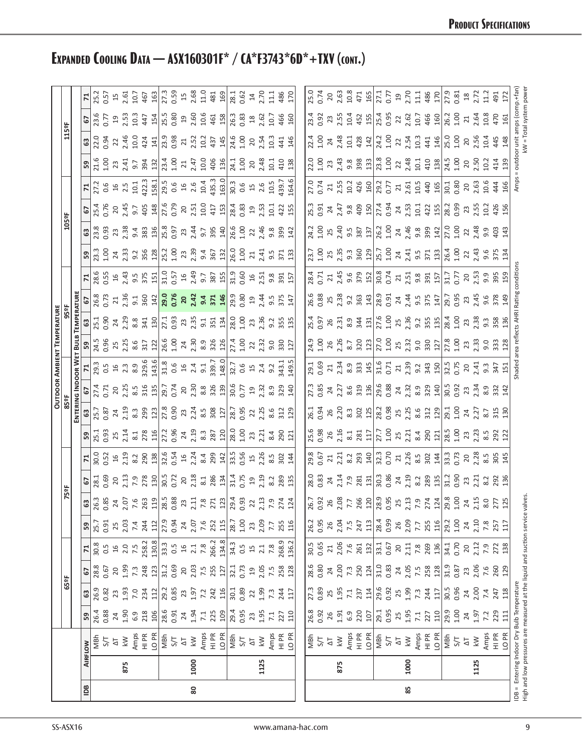|     |      |                                                                                                                                                                                                                                                                                                                                                                                                                                                            |                                  |                                    | 65°F                          |                                            |                                          | 75°F |                                                                                                                                                                                                                                                                                                                     |                                                                                                                                                                                                                                                                                                                                                        |                                                                                                                                                                                                                                                                                                                                                           |                                                                                                                                                                                                                                                                                                                                           |                |                                                                                                                                                                                                                                                                                                                                   |                                                                                                                                                                                                                                                                                                                                                             |                                                                                                                                                                                                                                                                                                                       |                                                                                                                                                                                                                                                                                                                      |                                                                                                                                                                                                                                                                                                            |                                                                                                                                                                                                                                                                                                                     |               |                                                                                                                                                                                                                                                                                               |                                                                                                                                                                                                                                                                                                                     |                                                                                                                                                                                                                                                                                                                |                                                                                                                                                                                                                                                                                                                                                           |
|-----|------|------------------------------------------------------------------------------------------------------------------------------------------------------------------------------------------------------------------------------------------------------------------------------------------------------------------------------------------------------------------------------------------------------------------------------------------------------------|----------------------------------|------------------------------------|-------------------------------|--------------------------------------------|------------------------------------------|------|---------------------------------------------------------------------------------------------------------------------------------------------------------------------------------------------------------------------------------------------------------------------------------------------------------------------|--------------------------------------------------------------------------------------------------------------------------------------------------------------------------------------------------------------------------------------------------------------------------------------------------------------------------------------------------------|-----------------------------------------------------------------------------------------------------------------------------------------------------------------------------------------------------------------------------------------------------------------------------------------------------------------------------------------------------------|-------------------------------------------------------------------------------------------------------------------------------------------------------------------------------------------------------------------------------------------------------------------------------------------------------------------------------------------|----------------|-----------------------------------------------------------------------------------------------------------------------------------------------------------------------------------------------------------------------------------------------------------------------------------------------------------------------------------|-------------------------------------------------------------------------------------------------------------------------------------------------------------------------------------------------------------------------------------------------------------------------------------------------------------------------------------------------------------|-----------------------------------------------------------------------------------------------------------------------------------------------------------------------------------------------------------------------------------------------------------------------------------------------------------------------|----------------------------------------------------------------------------------------------------------------------------------------------------------------------------------------------------------------------------------------------------------------------------------------------------------------------|------------------------------------------------------------------------------------------------------------------------------------------------------------------------------------------------------------------------------------------------------------------------------------------------------------|---------------------------------------------------------------------------------------------------------------------------------------------------------------------------------------------------------------------------------------------------------------------------------------------------------------------|---------------|-----------------------------------------------------------------------------------------------------------------------------------------------------------------------------------------------------------------------------------------------------------------------------------------------|---------------------------------------------------------------------------------------------------------------------------------------------------------------------------------------------------------------------------------------------------------------------------------------------------------------------|----------------------------------------------------------------------------------------------------------------------------------------------------------------------------------------------------------------------------------------------------------------------------------------------------------------|-----------------------------------------------------------------------------------------------------------------------------------------------------------------------------------------------------------------------------------------------------------------------------------------------------------------------------------------------------------|
|     |      |                                                                                                                                                                                                                                                                                                                                                                                                                                                            |                                  |                                    |                               |                                            |                                          |      |                                                                                                                                                                                                                                                                                                                     |                                                                                                                                                                                                                                                                                                                                                        |                                                                                                                                                                                                                                                                                                                                                           |                                                                                                                                                                                                                                                                                                                                           |                |                                                                                                                                                                                                                                                                                                                                   |                                                                                                                                                                                                                                                                                                                                                             |                                                                                                                                                                                                                                                                                                                       |                                                                                                                                                                                                                                                                                                                      |                                                                                                                                                                                                                                                                                                            |                                                                                                                                                                                                                                                                                                                     |               |                                                                                                                                                                                                                                                                                               |                                                                                                                                                                                                                                                                                                                     |                                                                                                                                                                                                                                                                                                                |                                                                                                                                                                                                                                                                                                                                                           |
| 1DB |      | AIRFLOW                                                                                                                                                                                                                                                                                                                                                                                                                                                    | 59                               | 63                                 | 67                            | $\overline{r}$                             | 59                                       |      |                                                                                                                                                                                                                                                                                                                     |                                                                                                                                                                                                                                                                                                                                                        |                                                                                                                                                                                                                                                                                                                                                           |                                                                                                                                                                                                                                                                                                                                           |                |                                                                                                                                                                                                                                                                                                                                   |                                                                                                                                                                                                                                                                                                                                                             |                                                                                                                                                                                                                                                                                                                       |                                                                                                                                                                                                                                                                                                                      |                                                                                                                                                                                                                                                                                                            |                                                                                                                                                                                                                                                                                                                     |               |                                                                                                                                                                                                                                                                                               |                                                                                                                                                                                                                                                                                                                     |                                                                                                                                                                                                                                                                                                                |                                                                                                                                                                                                                                                                                                                                                           |
|     |      | ngw<br>S/T                                                                                                                                                                                                                                                                                                                                                                                                                                                 | 26.4                             | 26.9                               | $\frac{8.8}{2}$               | $\frac{8}{30}$ 5.                          | $\frac{1}{25}$                           |      |                                                                                                                                                                                                                                                                                                                     |                                                                                                                                                                                                                                                                                                                                                        |                                                                                                                                                                                                                                                                                                                                                           |                                                                                                                                                                                                                                                                                                                                           |                |                                                                                                                                                                                                                                                                                                                                   |                                                                                                                                                                                                                                                                                                                                                             |                                                                                                                                                                                                                                                                                                                       |                                                                                                                                                                                                                                                                                                                      |                                                                                                                                                                                                                                                                                                            |                                                                                                                                                                                                                                                                                                                     |               |                                                                                                                                                                                                                                                                                               |                                                                                                                                                                                                                                                                                                                     |                                                                                                                                                                                                                                                                                                                |                                                                                                                                                                                                                                                                                                                                                           |
|     |      |                                                                                                                                                                                                                                                                                                                                                                                                                                                            | 0.88                             | 0.82                               | 0.67                          |                                            | 0.91                                     |      |                                                                                                                                                                                                                                                                                                                     |                                                                                                                                                                                                                                                                                                                                                        |                                                                                                                                                                                                                                                                                                                                                           |                                                                                                                                                                                                                                                                                                                                           |                |                                                                                                                                                                                                                                                                                                                                   |                                                                                                                                                                                                                                                                                                                                                             |                                                                                                                                                                                                                                                                                                                       |                                                                                                                                                                                                                                                                                                                      |                                                                                                                                                                                                                                                                                                            |                                                                                                                                                                                                                                                                                                                     |               |                                                                                                                                                                                                                                                                                               |                                                                                                                                                                                                                                                                                                                     |                                                                                                                                                                                                                                                                                                                |                                                                                                                                                                                                                                                                                                                                                           |
|     | 875  | $\lesssim$<br>$\overline{\mathcal{L}}$                                                                                                                                                                                                                                                                                                                                                                                                                     | 06.1<br>$\overline{24}$          | $\frac{93}{2}$<br>23               | 20                            | $\mathfrak{g}$                             | 2.03<br>25                               |      |                                                                                                                                                                                                                                                                                                                     |                                                                                                                                                                                                                                                                                                                                                        |                                                                                                                                                                                                                                                                                                                                                           |                                                                                                                                                                                                                                                                                                                                           |                |                                                                                                                                                                                                                                                                                                                                   |                                                                                                                                                                                                                                                                                                                                                             |                                                                                                                                                                                                                                                                                                                       |                                                                                                                                                                                                                                                                                                                      |                                                                                                                                                                                                                                                                                                            |                                                                                                                                                                                                                                                                                                                     |               |                                                                                                                                                                                                                                                                                               |                                                                                                                                                                                                                                                                                                                     |                                                                                                                                                                                                                                                                                                                |                                                                                                                                                                                                                                                                                                                                                           |
|     |      |                                                                                                                                                                                                                                                                                                                                                                                                                                                            | 6.9                              | 7.0                                | $1.99$<br>7.3                 |                                            | 7.4                                      |      |                                                                                                                                                                                                                                                                                                                     |                                                                                                                                                                                                                                                                                                                                                        |                                                                                                                                                                                                                                                                                                                                                           |                                                                                                                                                                                                                                                                                                                                           |                |                                                                                                                                                                                                                                                                                                                                   |                                                                                                                                                                                                                                                                                                                                                             |                                                                                                                                                                                                                                                                                                                       |                                                                                                                                                                                                                                                                                                                      |                                                                                                                                                                                                                                                                                                            |                                                                                                                                                                                                                                                                                                                     |               |                                                                                                                                                                                                                                                                                               |                                                                                                                                                                                                                                                                                                                     |                                                                                                                                                                                                                                                                                                                |                                                                                                                                                                                                                                                                                                                                                           |
|     |      |                                                                                                                                                                                                                                                                                                                                                                                                                                                            | 218                              | 234                                | 248                           |                                            | 244                                      |      |                                                                                                                                                                                                                                                                                                                     |                                                                                                                                                                                                                                                                                                                                                        |                                                                                                                                                                                                                                                                                                                                                           |                                                                                                                                                                                                                                                                                                                                           |                |                                                                                                                                                                                                                                                                                                                                   |                                                                                                                                                                                                                                                                                                                                                             |                                                                                                                                                                                                                                                                                                                       |                                                                                                                                                                                                                                                                                                                      |                                                                                                                                                                                                                                                                                                            |                                                                                                                                                                                                                                                                                                                     |               |                                                                                                                                                                                                                                                                                               |                                                                                                                                                                                                                                                                                                                     |                                                                                                                                                                                                                                                                                                                |                                                                                                                                                                                                                                                                                                                                                           |
|     |      | $\begin{array}{c}\n\text{Amps} \\ \text{H} \\ \text{L} \\ \text{O} \\ \text{N} \\ \text{M} \\ \text{S/T} \\ \text{A} \\ \text{T}\n\end{array}$                                                                                                                                                                                                                                                                                                             | 106                              | 112                                | 123                           |                                            | 112                                      |      | $\frac{6}{8}$ $\frac{13}{8}$ $\frac{36}{8}$ $\approx$ $\frac{7}{8}$ $\frac{37}{8}$ $\approx$ $\frac{26}{8}$ $\approx$ $\frac{26}{8}$ $\approx$ $\frac{26}{8}$ $\approx$ $\frac{26}{8}$ $\approx$ $\frac{26}{8}$ $\approx$ $\frac{26}{8}$ $\approx$ $\frac{26}{8}$ $\approx$ $\frac{26}{8}$ $\approx$ $\frac{26}{8}$ | $7\frac{1}{8}$ $\frac{2}{5}$ $\frac{2}{5}$ $\frac{4}{3}$ $\frac{3}{8}$ $\frac{3}{8}$ $\frac{5}{8}$ $\frac{81}{10}$ $\frac{5}{8}$ $\frac{4}{5}$ $\frac{3}{8}$ $\frac{3}{8}$ $\frac{3}{8}$ $\frac{3}{8}$ $\frac{3}{8}$ $\frac{3}{8}$ $\frac{3}{8}$ $\frac{3}{8}$ $\frac{3}{8}$ $\frac{3}{8}$ $\frac{3}{8}$ $\frac{3}{8}$ $\frac{3}{8}$ $\frac{3}{8}$ $\$ | $\frac{1}{2}$ $\frac{1}{2}$ $\frac{1}{2}$ $\frac{1}{2}$ $\frac{1}{2}$ $\frac{1}{2}$ $\frac{1}{2}$ $\frac{1}{2}$ $\frac{1}{2}$ $\frac{1}{2}$ $\frac{1}{2}$ $\frac{1}{2}$ $\frac{1}{2}$ $\frac{1}{2}$ $\frac{1}{2}$ $\frac{1}{2}$ $\frac{1}{2}$ $\frac{1}{2}$ $\frac{1}{2}$ $\frac{1}{2}$ $\frac{1}{2}$ $\frac{1}{2}$ $\frac{1}{2}$ $\frac{1}{2}$ $\frac{1$ | $\frac{6}{22}$ $\frac{1}{22}$ $\frac{1}{22}$ $\frac{1}{22}$ $\frac{1}{22}$ $\frac{1}{22}$ $\frac{1}{22}$ $\frac{1}{22}$ $\frac{1}{22}$ $\frac{1}{22}$ $\frac{1}{22}$ $\frac{1}{22}$ $\frac{1}{22}$ $\frac{1}{22}$ $\frac{1}{22}$ $\frac{1}{22}$ $\frac{1}{22}$ $\frac{1}{22}$ $\frac{1}{22}$ $\frac{1}{22}$ $\frac{1}{22}$ $\frac{1}{22}$ | $\frac{1}{32}$ | $\frac{1}{3}$ $\frac{1}{3}$ $\frac{1}{3}$ $\frac{2}{3}$ $\frac{3}{5}$ $\frac{3}{5}$ $\frac{3}{5}$ $\frac{3}{5}$ $\frac{1}{2}$ $\frac{1}{3}$ $\frac{3}{5}$ $\frac{3}{5}$ $\frac{3}{5}$ $\frac{3}{5}$ $\frac{3}{5}$ $\frac{3}{5}$ $\frac{3}{5}$ $\frac{3}{5}$ $\frac{3}{5}$ $\frac{3}{5}$ $\frac{3}{5}$ $\frac{3}{5}$ $\frac{3}{5}$ | <b><math>\frac{3}{10}</math></b> $\frac{13}{10}$ $\frac{3}{10}$ $\frac{3}{10}$ $\frac{3}{10}$ $\frac{3}{10}$ $\frac{3}{10}$ $\frac{3}{10}$ $\frac{3}{10}$ $\frac{3}{10}$ $\frac{3}{10}$ $\frac{3}{10}$ $\frac{3}{10}$ $\frac{3}{10}$ $\frac{3}{10}$ $\frac{3}{10}$ $\frac{3}{10}$ $\frac{3}{10}$ $\frac{3}{10}$ $\frac{3}{10}$ $\frac{3}{10}$ $\frac{3}{10$ | $7\frac{1}{8}$ $\frac{6}{5}$ $\frac{6}{5}$ $\frac{6}{3}$ $\frac{3}{5}$ $\frac{1}{5}$ $\frac{1}{12}$ $\frac{1}{5}$ $\frac{6}{5}$ $\frac{6}{7}$ $\frac{3}{5}$ $\frac{5}{7}$ $\frac{3}{8}$ $\frac{1}{12}$ $\frac{1}{12}$ $\frac{6}{5}$ $\frac{6}{7}$ $\frac{1}{3}$ $\frac{3}{8}$ $\frac{1}{12}$ $\frac{1}{12}$ $\frac{1$ | $3\frac{1}{2}$ $\frac{3}{2}$ $\frac{3}{2}$ $\frac{3}{2}$ $\frac{3}{2}$ $\frac{3}{2}$ $\frac{3}{2}$ $\frac{3}{2}$ $\frac{3}{2}$ $\frac{3}{2}$ $\frac{3}{2}$ $\frac{3}{2}$ $\frac{3}{2}$ $\frac{3}{2}$ $\frac{3}{2}$ $\frac{3}{2}$ $\frac{3}{2}$ $\frac{3}{2}$ $\frac{3}{2}$ $\frac{3}{2}$ $\frac{3}{2}$ $\frac{3}{2}$ | $3\frac{8}{23}$ $\frac{8}{23}$ $\frac{8}{23}$ $\frac{4}{23}$ $\frac{8}{23}$ $\frac{8}{23}$ $\frac{81}{23}$ $\frac{81}{23}$ $\frac{81}{23}$ $\frac{81}{23}$ $\frac{81}{23}$ $\frac{81}{23}$ $\frac{81}{23}$ $\frac{81}{23}$ $\frac{81}{23}$ $\frac{81}{23}$ $\frac{81}{23}$ $\frac{81}{23}$ $\frac{81}{23}$ | $\frac{1}{2}$ $\frac{1}{2}$ $\frac{1}{2}$ $\frac{1}{2}$ $\frac{1}{2}$ $\frac{1}{2}$ $\frac{1}{2}$ $\frac{1}{2}$ $\frac{1}{2}$ $\frac{1}{2}$ $\frac{1}{2}$ $\frac{1}{2}$ $\frac{1}{2}$ $\frac{1}{2}$ $\frac{1}{2}$ $\frac{1}{2}$ $\frac{1}{2}$ $\frac{1}{2}$ $\frac{1}{2}$ $\frac{1}{2}$ $\frac{1}{2}$ $\frac{1}{2}$ | $\frac{1}{2}$ | $\frac{1}{2}$ and $\frac{1}{2}$ and $\frac{1}{2}$ and $\frac{1}{2}$ and $\frac{1}{2}$ and $\frac{1}{2}$ and $\frac{1}{2}$ and $\frac{1}{2}$ and $\frac{1}{2}$ and $\frac{1}{2}$ and $\frac{1}{2}$ and $\frac{1}{2}$ and $\frac{1}{2}$ and $\frac{1}{2}$ and $\frac{1}{2}$ and $\frac{1}{2}$ a |                                                                                                                                                                                                                                                                                                                     | $\frac{6}{3}$ $\frac{16}{3}$ $\frac{16}{2}$ $\frac{16}{3}$ $\frac{16}{3}$ $\frac{16}{3}$ $\frac{16}{3}$ $\frac{16}{3}$ $\frac{16}{3}$ $\frac{16}{3}$ $\frac{16}{3}$ $\frac{16}{3}$ $\frac{16}{3}$ $\frac{16}{3}$ $\frac{16}{3}$ $\frac{16}{3}$ $\frac{16}{3}$ $\frac{16}{3}$ $\frac{16}{3}$ $\frac{16}{3}$ $\$ | $7\frac{1}{3}$ $\frac{1}{3}$ $\frac{1}{5}$ $\frac{1}{2}$ $\frac{1}{4}$ $\frac{1}{5}$ $\frac{1}{6}$ $\frac{1}{2}$ $\frac{1}{6}$ $\frac{1}{2}$ $\frac{1}{6}$ $\frac{1}{2}$ $\frac{1}{6}$ $\frac{1}{2}$ $\frac{1}{6}$ $\frac{1}{2}$ $\frac{1}{6}$ $\frac{1}{2}$ $\frac{1}{6}$ $\frac{1}{2}$ $\frac{1}{6}$ $\frac{1}{2}$ $\frac{1}{6}$ $\frac{1}{2}$ $\frac{$ |
|     |      |                                                                                                                                                                                                                                                                                                                                                                                                                                                            |                                  | 29.2                               | 31.2                          |                                            |                                          |      |                                                                                                                                                                                                                                                                                                                     |                                                                                                                                                                                                                                                                                                                                                        |                                                                                                                                                                                                                                                                                                                                                           |                                                                                                                                                                                                                                                                                                                                           |                |                                                                                                                                                                                                                                                                                                                                   |                                                                                                                                                                                                                                                                                                                                                             |                                                                                                                                                                                                                                                                                                                       |                                                                                                                                                                                                                                                                                                                      |                                                                                                                                                                                                                                                                                                            |                                                                                                                                                                                                                                                                                                                     |               |                                                                                                                                                                                                                                                                                               |                                                                                                                                                                                                                                                                                                                     |                                                                                                                                                                                                                                                                                                                |                                                                                                                                                                                                                                                                                                                                                           |
|     |      |                                                                                                                                                                                                                                                                                                                                                                                                                                                            | 28.6<br>0.91                     | 0.85                               | 0.69                          |                                            | 27.9<br>0.94                             |      |                                                                                                                                                                                                                                                                                                                     |                                                                                                                                                                                                                                                                                                                                                        |                                                                                                                                                                                                                                                                                                                                                           |                                                                                                                                                                                                                                                                                                                                           |                |                                                                                                                                                                                                                                                                                                                                   |                                                                                                                                                                                                                                                                                                                                                             |                                                                                                                                                                                                                                                                                                                       |                                                                                                                                                                                                                                                                                                                      |                                                                                                                                                                                                                                                                                                            |                                                                                                                                                                                                                                                                                                                     |               |                                                                                                                                                                                                                                                                                               |                                                                                                                                                                                                                                                                                                                     |                                                                                                                                                                                                                                                                                                                |                                                                                                                                                                                                                                                                                                                                                           |
|     |      |                                                                                                                                                                                                                                                                                                                                                                                                                                                            | $24$<br>$1.94$<br>$7.1$<br>$225$ | 23<br>1.97<br>7.2<br>242           | 20<br>2.03<br>7.5<br>25<br>27 |                                            | $24$<br>$7.5$<br>$7.5$<br>$2.5$<br>$1.5$ |      |                                                                                                                                                                                                                                                                                                                     |                                                                                                                                                                                                                                                                                                                                                        |                                                                                                                                                                                                                                                                                                                                                           |                                                                                                                                                                                                                                                                                                                                           |                |                                                                                                                                                                                                                                                                                                                                   |                                                                                                                                                                                                                                                                                                                                                             |                                                                                                                                                                                                                                                                                                                       |                                                                                                                                                                                                                                                                                                                      |                                                                                                                                                                                                                                                                                                            |                                                                                                                                                                                                                                                                                                                     |               |                                                                                                                                                                                                                                                                                               |                                                                                                                                                                                                                                                                                                                     |                                                                                                                                                                                                                                                                                                                |                                                                                                                                                                                                                                                                                                                                                           |
| 80  | 1000 |                                                                                                                                                                                                                                                                                                                                                                                                                                                            |                                  |                                    |                               |                                            |                                          |      |                                                                                                                                                                                                                                                                                                                     |                                                                                                                                                                                                                                                                                                                                                        |                                                                                                                                                                                                                                                                                                                                                           |                                                                                                                                                                                                                                                                                                                                           |                |                                                                                                                                                                                                                                                                                                                                   |                                                                                                                                                                                                                                                                                                                                                             |                                                                                                                                                                                                                                                                                                                       |                                                                                                                                                                                                                                                                                                                      |                                                                                                                                                                                                                                                                                                            |                                                                                                                                                                                                                                                                                                                     |               |                                                                                                                                                                                                                                                                                               |                                                                                                                                                                                                                                                                                                                     |                                                                                                                                                                                                                                                                                                                |                                                                                                                                                                                                                                                                                                                                                           |
|     |      |                                                                                                                                                                                                                                                                                                                                                                                                                                                            |                                  |                                    |                               |                                            |                                          |      |                                                                                                                                                                                                                                                                                                                     |                                                                                                                                                                                                                                                                                                                                                        |                                                                                                                                                                                                                                                                                                                                                           |                                                                                                                                                                                                                                                                                                                                           |                |                                                                                                                                                                                                                                                                                                                                   |                                                                                                                                                                                                                                                                                                                                                             |                                                                                                                                                                                                                                                                                                                       |                                                                                                                                                                                                                                                                                                                      |                                                                                                                                                                                                                                                                                                            |                                                                                                                                                                                                                                                                                                                     |               |                                                                                                                                                                                                                                                                                               |                                                                                                                                                                                                                                                                                                                     |                                                                                                                                                                                                                                                                                                                |                                                                                                                                                                                                                                                                                                                                                           |
|     |      |                                                                                                                                                                                                                                                                                                                                                                                                                                                            |                                  |                                    |                               |                                            |                                          |      |                                                                                                                                                                                                                                                                                                                     |                                                                                                                                                                                                                                                                                                                                                        |                                                                                                                                                                                                                                                                                                                                                           |                                                                                                                                                                                                                                                                                                                                           |                |                                                                                                                                                                                                                                                                                                                                   |                                                                                                                                                                                                                                                                                                                                                             |                                                                                                                                                                                                                                                                                                                       |                                                                                                                                                                                                                                                                                                                      |                                                                                                                                                                                                                                                                                                            |                                                                                                                                                                                                                                                                                                                     |               |                                                                                                                                                                                                                                                                                               |                                                                                                                                                                                                                                                                                                                     |                                                                                                                                                                                                                                                                                                                |                                                                                                                                                                                                                                                                                                                                                           |
|     |      |                                                                                                                                                                                                                                                                                                                                                                                                                                                            | 109                              | 116                                |                               |                                            |                                          |      |                                                                                                                                                                                                                                                                                                                     |                                                                                                                                                                                                                                                                                                                                                        |                                                                                                                                                                                                                                                                                                                                                           |                                                                                                                                                                                                                                                                                                                                           |                |                                                                                                                                                                                                                                                                                                                                   |                                                                                                                                                                                                                                                                                                                                                             |                                                                                                                                                                                                                                                                                                                       |                                                                                                                                                                                                                                                                                                                      |                                                                                                                                                                                                                                                                                                            |                                                                                                                                                                                                                                                                                                                     |               |                                                                                                                                                                                                                                                                                               |                                                                                                                                                                                                                                                                                                                     |                                                                                                                                                                                                                                                                                                                |                                                                                                                                                                                                                                                                                                                                                           |
|     |      | $\begin{array}{r} \n\hline\n\text{K} \\ \hline\n\text{K} \\ \text{H} \\ \hline\n\text{H} \\ \text{H} \\ \hline\n\text{H} \\ \text{H} \\ \hline\n\text{H} \\ \text{H} \\ \hline\n\text{H} \\ \text{H} \\ \text{H} \\ \text{H} \\ \text{H} \\ \text{H} \\ \text{H} \\ \text{H} \\ \text{H} \\ \text{H} \\ \text{H} \\ \text{H} \\ \text{H} \\ \text{H} \\ \text{H} \\ \text{H} \\ \text{H} \\ \text{H} \\ \text{H} \\ \text{H} \\ \text{H} \\ \text{H} \\ \$ | 29.4<br>0.95                     | 30.1<br>0.89                       | 32.1<br>0.73                  |                                            | $\sqrt{28.7}$                            |      |                                                                                                                                                                                                                                                                                                                     |                                                                                                                                                                                                                                                                                                                                                        |                                                                                                                                                                                                                                                                                                                                                           |                                                                                                                                                                                                                                                                                                                                           |                |                                                                                                                                                                                                                                                                                                                                   |                                                                                                                                                                                                                                                                                                                                                             |                                                                                                                                                                                                                                                                                                                       |                                                                                                                                                                                                                                                                                                                      |                                                                                                                                                                                                                                                                                                            |                                                                                                                                                                                                                                                                                                                     |               |                                                                                                                                                                                                                                                                                               |                                                                                                                                                                                                                                                                                                                     |                                                                                                                                                                                                                                                                                                                |                                                                                                                                                                                                                                                                                                                                                           |
|     |      |                                                                                                                                                                                                                                                                                                                                                                                                                                                            |                                  |                                    |                               |                                            | 1.00                                     |      |                                                                                                                                                                                                                                                                                                                     |                                                                                                                                                                                                                                                                                                                                                        |                                                                                                                                                                                                                                                                                                                                                           |                                                                                                                                                                                                                                                                                                                                           |                |                                                                                                                                                                                                                                                                                                                                   |                                                                                                                                                                                                                                                                                                                                                             |                                                                                                                                                                                                                                                                                                                       |                                                                                                                                                                                                                                                                                                                      |                                                                                                                                                                                                                                                                                                            |                                                                                                                                                                                                                                                                                                                     |               |                                                                                                                                                                                                                                                                                               |                                                                                                                                                                                                                                                                                                                     |                                                                                                                                                                                                                                                                                                                |                                                                                                                                                                                                                                                                                                                                                           |
|     |      | $\overline{\Delta}$                                                                                                                                                                                                                                                                                                                                                                                                                                        | 23                               | 22                                 | $\overline{a}$                |                                            | 23                                       |      |                                                                                                                                                                                                                                                                                                                     |                                                                                                                                                                                                                                                                                                                                                        |                                                                                                                                                                                                                                                                                                                                                           |                                                                                                                                                                                                                                                                                                                                           |                |                                                                                                                                                                                                                                                                                                                                   |                                                                                                                                                                                                                                                                                                                                                             |                                                                                                                                                                                                                                                                                                                       |                                                                                                                                                                                                                                                                                                                      |                                                                                                                                                                                                                                                                                                            |                                                                                                                                                                                                                                                                                                                     |               |                                                                                                                                                                                                                                                                                               |                                                                                                                                                                                                                                                                                                                     |                                                                                                                                                                                                                                                                                                                |                                                                                                                                                                                                                                                                                                                                                           |
|     | 1125 | $\overline{\mathsf{k}}$                                                                                                                                                                                                                                                                                                                                                                                                                                    | 1.95                             | $^{0.15}$                          | 2.05                          |                                            | 2.09                                     |      |                                                                                                                                                                                                                                                                                                                     |                                                                                                                                                                                                                                                                                                                                                        |                                                                                                                                                                                                                                                                                                                                                           |                                                                                                                                                                                                                                                                                                                                           |                |                                                                                                                                                                                                                                                                                                                                   |                                                                                                                                                                                                                                                                                                                                                             |                                                                                                                                                                                                                                                                                                                       |                                                                                                                                                                                                                                                                                                                      |                                                                                                                                                                                                                                                                                                            |                                                                                                                                                                                                                                                                                                                     |               |                                                                                                                                                                                                                                                                                               |                                                                                                                                                                                                                                                                                                                     |                                                                                                                                                                                                                                                                                                                |                                                                                                                                                                                                                                                                                                                                                           |
|     |      |                                                                                                                                                                                                                                                                                                                                                                                                                                                            | $\overline{71}$                  | $7.\overline{3}$                   | 7.5                           |                                            | 7.7                                      |      |                                                                                                                                                                                                                                                                                                                     |                                                                                                                                                                                                                                                                                                                                                        |                                                                                                                                                                                                                                                                                                                                                           |                                                                                                                                                                                                                                                                                                                                           |                |                                                                                                                                                                                                                                                                                                                                   |                                                                                                                                                                                                                                                                                                                                                             |                                                                                                                                                                                                                                                                                                                       |                                                                                                                                                                                                                                                                                                                      |                                                                                                                                                                                                                                                                                                            |                                                                                                                                                                                                                                                                                                                     |               |                                                                                                                                                                                                                                                                                               |                                                                                                                                                                                                                                                                                                                     |                                                                                                                                                                                                                                                                                                                |                                                                                                                                                                                                                                                                                                                                                           |
|     |      | Amps<br>H PR<br>LO PR                                                                                                                                                                                                                                                                                                                                                                                                                                      | 227                              | 244                                | 258                           | 268.9<br>136.2                             | 255                                      |      |                                                                                                                                                                                                                                                                                                                     |                                                                                                                                                                                                                                                                                                                                                        |                                                                                                                                                                                                                                                                                                                                                           |                                                                                                                                                                                                                                                                                                                                           |                |                                                                                                                                                                                                                                                                                                                                   |                                                                                                                                                                                                                                                                                                                                                             |                                                                                                                                                                                                                                                                                                                       |                                                                                                                                                                                                                                                                                                                      |                                                                                                                                                                                                                                                                                                            |                                                                                                                                                                                                                                                                                                                     |               |                                                                                                                                                                                                                                                                                               |                                                                                                                                                                                                                                                                                                                     |                                                                                                                                                                                                                                                                                                                |                                                                                                                                                                                                                                                                                                                                                           |
|     |      |                                                                                                                                                                                                                                                                                                                                                                                                                                                            | 110                              | 117                                | 128                           |                                            | 116                                      |      |                                                                                                                                                                                                                                                                                                                     |                                                                                                                                                                                                                                                                                                                                                        |                                                                                                                                                                                                                                                                                                                                                           |                                                                                                                                                                                                                                                                                                                                           |                |                                                                                                                                                                                                                                                                                                                                   |                                                                                                                                                                                                                                                                                                                                                             |                                                                                                                                                                                                                                                                                                                       |                                                                                                                                                                                                                                                                                                                      |                                                                                                                                                                                                                                                                                                            |                                                                                                                                                                                                                                                                                                                     |               |                                                                                                                                                                                                                                                                                               |                                                                                                                                                                                                                                                                                                                     |                                                                                                                                                                                                                                                                                                                |                                                                                                                                                                                                                                                                                                                                                           |
|     |      |                                                                                                                                                                                                                                                                                                                                                                                                                                                            |                                  |                                    |                               |                                            |                                          |      |                                                                                                                                                                                                                                                                                                                     |                                                                                                                                                                                                                                                                                                                                                        |                                                                                                                                                                                                                                                                                                                                                           |                                                                                                                                                                                                                                                                                                                                           |                |                                                                                                                                                                                                                                                                                                                                   |                                                                                                                                                                                                                                                                                                                                                             |                                                                                                                                                                                                                                                                                                                       |                                                                                                                                                                                                                                                                                                                      |                                                                                                                                                                                                                                                                                                            |                                                                                                                                                                                                                                                                                                                     |               |                                                                                                                                                                                                                                                                                               |                                                                                                                                                                                                                                                                                                                     |                                                                                                                                                                                                                                                                                                                |                                                                                                                                                                                                                                                                                                                                                           |
|     |      |                                                                                                                                                                                                                                                                                                                                                                                                                                                            | 26.8<br>0.92                     | 27.3<br>0.89                       | 28.6<br>0.80                  |                                            | 26.2                                     |      |                                                                                                                                                                                                                                                                                                                     |                                                                                                                                                                                                                                                                                                                                                        |                                                                                                                                                                                                                                                                                                                                                           |                                                                                                                                                                                                                                                                                                                                           |                |                                                                                                                                                                                                                                                                                                                                   |                                                                                                                                                                                                                                                                                                                                                             |                                                                                                                                                                                                                                                                                                                       |                                                                                                                                                                                                                                                                                                                      |                                                                                                                                                                                                                                                                                                            |                                                                                                                                                                                                                                                                                                                     |               |                                                                                                                                                                                                                                                                                               |                                                                                                                                                                                                                                                                                                                     |                                                                                                                                                                                                                                                                                                                |                                                                                                                                                                                                                                                                                                                                                           |
|     |      | NBh<br>S/T                                                                                                                                                                                                                                                                                                                                                                                                                                                 |                                  |                                    |                               | $30.5$<br>$0.65$<br>$21$                   | 0.95                                     |      |                                                                                                                                                                                                                                                                                                                     |                                                                                                                                                                                                                                                                                                                                                        |                                                                                                                                                                                                                                                                                                                                                           |                                                                                                                                                                                                                                                                                                                                           |                |                                                                                                                                                                                                                                                                                                                                   |                                                                                                                                                                                                                                                                                                                                                             |                                                                                                                                                                                                                                                                                                                       |                                                                                                                                                                                                                                                                                                                      |                                                                                                                                                                                                                                                                                                            |                                                                                                                                                                                                                                                                                                                     |               |                                                                                                                                                                                                                                                                                               |                                                                                                                                                                                                                                                                                                                     |                                                                                                                                                                                                                                                                                                                |                                                                                                                                                                                                                                                                                                                                                           |
|     |      | $\overline{\Delta}$                                                                                                                                                                                                                                                                                                                                                                                                                                        | 26                               | 25                                 | $24$<br>$2.00$<br>$7.3$       |                                            | 26                                       |      |                                                                                                                                                                                                                                                                                                                     |                                                                                                                                                                                                                                                                                                                                                        |                                                                                                                                                                                                                                                                                                                                                           |                                                                                                                                                                                                                                                                                                                                           |                |                                                                                                                                                                                                                                                                                                                                   |                                                                                                                                                                                                                                                                                                                                                             |                                                                                                                                                                                                                                                                                                                       |                                                                                                                                                                                                                                                                                                                      |                                                                                                                                                                                                                                                                                                            |                                                                                                                                                                                                                                                                                                                     |               |                                                                                                                                                                                                                                                                                               |                                                                                                                                                                                                                                                                                                                     |                                                                                                                                                                                                                                                                                                                |                                                                                                                                                                                                                                                                                                                                                           |
|     | 875  |                                                                                                                                                                                                                                                                                                                                                                                                                                                            | 1.91                             | 1.95                               |                               | 2.06<br>7.6                                | $2.04$<br>7.5                            |      |                                                                                                                                                                                                                                                                                                                     |                                                                                                                                                                                                                                                                                                                                                        |                                                                                                                                                                                                                                                                                                                                                           |                                                                                                                                                                                                                                                                                                                                           |                |                                                                                                                                                                                                                                                                                                                                   |                                                                                                                                                                                                                                                                                                                                                             |                                                                                                                                                                                                                                                                                                                       |                                                                                                                                                                                                                                                                                                                      |                                                                                                                                                                                                                                                                                                            |                                                                                                                                                                                                                                                                                                                     |               |                                                                                                                                                                                                                                                                                               |                                                                                                                                                                                                                                                                                                                     |                                                                                                                                                                                                                                                                                                                |                                                                                                                                                                                                                                                                                                                                                           |
|     |      |                                                                                                                                                                                                                                                                                                                                                                                                                                                            | 6.9<br>220                       | 7.1                                |                               |                                            |                                          |      |                                                                                                                                                                                                                                                                                                                     |                                                                                                                                                                                                                                                                                                                                                        |                                                                                                                                                                                                                                                                                                                                                           |                                                                                                                                                                                                                                                                                                                                           |                |                                                                                                                                                                                                                                                                                                                                   |                                                                                                                                                                                                                                                                                                                                                             |                                                                                                                                                                                                                                                                                                                       |                                                                                                                                                                                                                                                                                                                      |                                                                                                                                                                                                                                                                                                            |                                                                                                                                                                                                                                                                                                                     |               |                                                                                                                                                                                                                                                                                               |                                                                                                                                                                                                                                                                                                                     |                                                                                                                                                                                                                                                                                                                |                                                                                                                                                                                                                                                                                                                                                           |
|     |      |                                                                                                                                                                                                                                                                                                                                                                                                                                                            |                                  | 237                                | 250<br>124                    | $261$<br>$\frac{23}{33}$<br>$\frac{1}{36}$ | 247                                      |      |                                                                                                                                                                                                                                                                                                                     |                                                                                                                                                                                                                                                                                                                                                        |                                                                                                                                                                                                                                                                                                                                                           |                                                                                                                                                                                                                                                                                                                                           |                |                                                                                                                                                                                                                                                                                                                                   |                                                                                                                                                                                                                                                                                                                                                             |                                                                                                                                                                                                                                                                                                                       |                                                                                                                                                                                                                                                                                                                      |                                                                                                                                                                                                                                                                                                            |                                                                                                                                                                                                                                                                                                                     |               |                                                                                                                                                                                                                                                                                               |                                                                                                                                                                                                                                                                                                                     |                                                                                                                                                                                                                                                                                                                |                                                                                                                                                                                                                                                                                                                                                           |
|     |      |                                                                                                                                                                                                                                                                                                                                                                                                                                                            | 107                              | 114                                |                               |                                            | 13                                       |      |                                                                                                                                                                                                                                                                                                                     |                                                                                                                                                                                                                                                                                                                                                        |                                                                                                                                                                                                                                                                                                                                                           |                                                                                                                                                                                                                                                                                                                                           |                |                                                                                                                                                                                                                                                                                                                                   |                                                                                                                                                                                                                                                                                                                                                             |                                                                                                                                                                                                                                                                                                                       |                                                                                                                                                                                                                                                                                                                      |                                                                                                                                                                                                                                                                                                            |                                                                                                                                                                                                                                                                                                                     |               |                                                                                                                                                                                                                                                                                               |                                                                                                                                                                                                                                                                                                                     |                                                                                                                                                                                                                                                                                                                |                                                                                                                                                                                                                                                                                                                                                           |
|     |      |                                                                                                                                                                                                                                                                                                                                                                                                                                                            | 29.1<br>0.95                     | 29.6                               | 31.0<br>0.83                  |                                            | $\frac{28.4}{0.99}$                      |      |                                                                                                                                                                                                                                                                                                                     |                                                                                                                                                                                                                                                                                                                                                        |                                                                                                                                                                                                                                                                                                                                                           |                                                                                                                                                                                                                                                                                                                                           |                |                                                                                                                                                                                                                                                                                                                                   |                                                                                                                                                                                                                                                                                                                                                             |                                                                                                                                                                                                                                                                                                                       |                                                                                                                                                                                                                                                                                                                      |                                                                                                                                                                                                                                                                                                            |                                                                                                                                                                                                                                                                                                                     |               |                                                                                                                                                                                                                                                                                               |                                                                                                                                                                                                                                                                                                                     |                                                                                                                                                                                                                                                                                                                |                                                                                                                                                                                                                                                                                                                                                           |
|     |      |                                                                                                                                                                                                                                                                                                                                                                                                                                                            |                                  | 0.92                               |                               |                                            |                                          |      |                                                                                                                                                                                                                                                                                                                     |                                                                                                                                                                                                                                                                                                                                                        |                                                                                                                                                                                                                                                                                                                                                           |                                                                                                                                                                                                                                                                                                                                           |                |                                                                                                                                                                                                                                                                                                                                   |                                                                                                                                                                                                                                                                                                                                                             |                                                                                                                                                                                                                                                                                                                       |                                                                                                                                                                                                                                                                                                                      |                                                                                                                                                                                                                                                                                                            |                                                                                                                                                                                                                                                                                                                     |               |                                                                                                                                                                                                                                                                                               |                                                                                                                                                                                                                                                                                                                     |                                                                                                                                                                                                                                                                                                                |                                                                                                                                                                                                                                                                                                                                                           |
|     |      |                                                                                                                                                                                                                                                                                                                                                                                                                                                            |                                  |                                    |                               | $20$                                       | 26                                       |      |                                                                                                                                                                                                                                                                                                                     |                                                                                                                                                                                                                                                                                                                                                        |                                                                                                                                                                                                                                                                                                                                                           |                                                                                                                                                                                                                                                                                                                                           |                |                                                                                                                                                                                                                                                                                                                                   |                                                                                                                                                                                                                                                                                                                                                             |                                                                                                                                                                                                                                                                                                                       |                                                                                                                                                                                                                                                                                                                      |                                                                                                                                                                                                                                                                                                            |                                                                                                                                                                                                                                                                                                                     |               |                                                                                                                                                                                                                                                                                               |                                                                                                                                                                                                                                                                                                                     |                                                                                                                                                                                                                                                                                                                |                                                                                                                                                                                                                                                                                                                                                           |
| 85  | 1000 | $\lesssim$                                                                                                                                                                                                                                                                                                                                                                                                                                                 | $25$<br>$1.95$<br>$7.1$          | $25$<br>$1.99$<br>$7.\overline{3}$ | $24$<br>$2.05$<br>7.5         | 2.11                                       | 2.09                                     |      |                                                                                                                                                                                                                                                                                                                     |                                                                                                                                                                                                                                                                                                                                                        |                                                                                                                                                                                                                                                                                                                                                           |                                                                                                                                                                                                                                                                                                                                           |                |                                                                                                                                                                                                                                                                                                                                   |                                                                                                                                                                                                                                                                                                                                                             |                                                                                                                                                                                                                                                                                                                       |                                                                                                                                                                                                                                                                                                                      |                                                                                                                                                                                                                                                                                                            |                                                                                                                                                                                                                                                                                                                     |               |                                                                                                                                                                                                                                                                                               |                                                                                                                                                                                                                                                                                                                     |                                                                                                                                                                                                                                                                                                                |                                                                                                                                                                                                                                                                                                                                                           |
|     |      |                                                                                                                                                                                                                                                                                                                                                                                                                                                            |                                  |                                    |                               |                                            | 7.7<br>255                               |      |                                                                                                                                                                                                                                                                                                                     |                                                                                                                                                                                                                                                                                                                                                        |                                                                                                                                                                                                                                                                                                                                                           |                                                                                                                                                                                                                                                                                                                                           |                |                                                                                                                                                                                                                                                                                                                                   |                                                                                                                                                                                                                                                                                                                                                             |                                                                                                                                                                                                                                                                                                                       |                                                                                                                                                                                                                                                                                                                      |                                                                                                                                                                                                                                                                                                            |                                                                                                                                                                                                                                                                                                                     |               |                                                                                                                                                                                                                                                                                               |                                                                                                                                                                                                                                                                                                                     |                                                                                                                                                                                                                                                                                                                |                                                                                                                                                                                                                                                                                                                                                           |
|     |      | Amps<br>HI PR<br>LO PR                                                                                                                                                                                                                                                                                                                                                                                                                                     | 227                              | 244                                | 258                           | $7.89$ $1.8$                               |                                          |      |                                                                                                                                                                                                                                                                                                                     |                                                                                                                                                                                                                                                                                                                                                        |                                                                                                                                                                                                                                                                                                                                                           |                                                                                                                                                                                                                                                                                                                                           |                |                                                                                                                                                                                                                                                                                                                                   |                                                                                                                                                                                                                                                                                                                                                             |                                                                                                                                                                                                                                                                                                                       |                                                                                                                                                                                                                                                                                                                      |                                                                                                                                                                                                                                                                                                            |                                                                                                                                                                                                                                                                                                                     |               |                                                                                                                                                                                                                                                                                               |                                                                                                                                                                                                                                                                                                                     |                                                                                                                                                                                                                                                                                                                |                                                                                                                                                                                                                                                                                                                                                           |
|     |      |                                                                                                                                                                                                                                                                                                                                                                                                                                                            | 110                              | 117                                |                               |                                            | 116                                      |      |                                                                                                                                                                                                                                                                                                                     |                                                                                                                                                                                                                                                                                                                                                        |                                                                                                                                                                                                                                                                                                                                                           |                                                                                                                                                                                                                                                                                                                                           |                |                                                                                                                                                                                                                                                                                                                                   |                                                                                                                                                                                                                                                                                                                                                             |                                                                                                                                                                                                                                                                                                                       |                                                                                                                                                                                                                                                                                                                      |                                                                                                                                                                                                                                                                                                            |                                                                                                                                                                                                                                                                                                                     |               |                                                                                                                                                                                                                                                                                               |                                                                                                                                                                                                                                                                                                                     |                                                                                                                                                                                                                                                                                                                |                                                                                                                                                                                                                                                                                                                                                           |
|     |      | MBh<br>S/T                                                                                                                                                                                                                                                                                                                                                                                                                                                 | 29.9                             | 30.5                               | 31.9                          | 34.1<br>0.70                               | $\frac{2}{3}$                            |      |                                                                                                                                                                                                                                                                                                                     |                                                                                                                                                                                                                                                                                                                                                        |                                                                                                                                                                                                                                                                                                                                                           |                                                                                                                                                                                                                                                                                                                                           |                |                                                                                                                                                                                                                                                                                                                                   |                                                                                                                                                                                                                                                                                                                                                             |                                                                                                                                                                                                                                                                                                                       |                                                                                                                                                                                                                                                                                                                      |                                                                                                                                                                                                                                                                                                            |                                                                                                                                                                                                                                                                                                                     |               |                                                                                                                                                                                                                                                                                               |                                                                                                                                                                                                                                                                                                                     |                                                                                                                                                                                                                                                                                                                |                                                                                                                                                                                                                                                                                                                                                           |
|     |      |                                                                                                                                                                                                                                                                                                                                                                                                                                                            | 1.00                             | 0.96                               | 0.87                          |                                            | 1.00                                     |      |                                                                                                                                                                                                                                                                                                                     |                                                                                                                                                                                                                                                                                                                                                        |                                                                                                                                                                                                                                                                                                                                                           |                                                                                                                                                                                                                                                                                                                                           |                |                                                                                                                                                                                                                                                                                                                                   |                                                                                                                                                                                                                                                                                                                                                             |                                                                                                                                                                                                                                                                                                                       |                                                                                                                                                                                                                                                                                                                      |                                                                                                                                                                                                                                                                                                            |                                                                                                                                                                                                                                                                                                                     |               |                                                                                                                                                                                                                                                                                               |                                                                                                                                                                                                                                                                                                                     |                                                                                                                                                                                                                                                                                                                |                                                                                                                                                                                                                                                                                                                                                           |
|     |      | $\overline{D}$                                                                                                                                                                                                                                                                                                                                                                                                                                             | 24                               | 24                                 | $23$<br>$2.06$                | 20                                         | 24                                       |      |                                                                                                                                                                                                                                                                                                                     |                                                                                                                                                                                                                                                                                                                                                        |                                                                                                                                                                                                                                                                                                                                                           |                                                                                                                                                                                                                                                                                                                                           |                |                                                                                                                                                                                                                                                                                                                                   |                                                                                                                                                                                                                                                                                                                                                             |                                                                                                                                                                                                                                                                                                                       |                                                                                                                                                                                                                                                                                                                      |                                                                                                                                                                                                                                                                                                            |                                                                                                                                                                                                                                                                                                                     |               |                                                                                                                                                                                                                                                                                               |                                                                                                                                                                                                                                                                                                                     |                                                                                                                                                                                                                                                                                                                |                                                                                                                                                                                                                                                                                                                                                           |
|     | 1125 | $\overline{\mathsf{k}}$ W                                                                                                                                                                                                                                                                                                                                                                                                                                  | 1.97                             | 2.00                               |                               | 2.12                                       | 2.10                                     |      |                                                                                                                                                                                                                                                                                                                     |                                                                                                                                                                                                                                                                                                                                                        |                                                                                                                                                                                                                                                                                                                                                           |                                                                                                                                                                                                                                                                                                                                           |                |                                                                                                                                                                                                                                                                                                                                   |                                                                                                                                                                                                                                                                                                                                                             |                                                                                                                                                                                                                                                                                                                       |                                                                                                                                                                                                                                                                                                                      |                                                                                                                                                                                                                                                                                                            |                                                                                                                                                                                                                                                                                                                     |               |                                                                                                                                                                                                                                                                                               |                                                                                                                                                                                                                                                                                                                     |                                                                                                                                                                                                                                                                                                                |                                                                                                                                                                                                                                                                                                                                                           |
|     |      | Amps<br>HI PR                                                                                                                                                                                                                                                                                                                                                                                                                                              | 7.2<br>229                       | 7.4                                | 7.6                           | 7.9                                        | 7.8                                      |      |                                                                                                                                                                                                                                                                                                                     |                                                                                                                                                                                                                                                                                                                                                        |                                                                                                                                                                                                                                                                                                                                                           |                                                                                                                                                                                                                                                                                                                                           |                |                                                                                                                                                                                                                                                                                                                                   |                                                                                                                                                                                                                                                                                                                                                             |                                                                                                                                                                                                                                                                                                                       |                                                                                                                                                                                                                                                                                                                      |                                                                                                                                                                                                                                                                                                            |                                                                                                                                                                                                                                                                                                                     |               |                                                                                                                                                                                                                                                                                               |                                                                                                                                                                                                                                                                                                                     |                                                                                                                                                                                                                                                                                                                |                                                                                                                                                                                                                                                                                                                                                           |
|     |      | LO <sub>PR</sub>                                                                                                                                                                                                                                                                                                                                                                                                                                           | $\frac{11}{11}$                  | 118<br>247                         | 260<br>129                    | 272<br>138                                 | 257<br>117                               |      |                                                                                                                                                                                                                                                                                                                     | $28.5$ $25.7$ $22.3$ $35.8$ $21.7$ $35.8$ $37.8$ $38.8$ $37.8$ $38.8$ $39.8$ $39.8$ $39.8$ $39.8$ $39.8$ $39.8$ $39.8$ $39.8$ $39.8$ $39.8$ $39.8$ $39.8$ $39.8$ $39.8$ $39.8$ $39.8$ $39.8$ $39.8$ $39.8$ $39.8$ $39.8$ $39.$                                                                                                                         |                                                                                                                                                                                                                                                                                                                                                           | $\frac{2}{3}$ $\frac{2}{3}$ $\frac{3}{4}$ $\frac{1}{2}$ $\frac{1}{3}$ $\frac{2}{3}$ $\frac{2}{3}$ $\frac{3}{4}$ $\frac{3}{2}$ $\frac{3}{4}$ $\frac{3}{2}$ $\frac{3}{4}$ $\frac{3}{2}$ $\frac{3}{2}$ $\frac{3}{4}$ $\frac{3}{4}$ $\frac{3}{4}$ $\frac{3}{4}$ $\frac{3}{4}$ $\frac{3}{4}$ $\frac{3}{4}$ $\frac{3}{4}$                       |                |                                                                                                                                                                                                                                                                                                                                   | 15.00 x 15.00 x 15.00 x 16.00 x 16.00 x 16.00 x 16.00 x 16.00 x 16.00 x 16.00 x 16.00 x 16.00 x 16.00 x 16.00<br>15.00 x 16.00 x 16.00 x 16.00 x 16.00 x 16.00 x 16.00 x 16.00 x 16.00 x 16.00 x 16.00 x 16.00 x 16.00 x 16.00                                                                                                                              |                                                                                                                                                                                                                                                                                                                       | 2010 2020 2020 2021 2022 2032 2034 2034 2034 2034 2035 2036 2036 2036 2036 2037 2038 2034 2036 2036 2036 2036                                                                                                                                                                                                        |                                                                                                                                                                                                                                                                                                            |                                                                                                                                                                                                                                                                                                                     |               |                                                                                                                                                                                                                                                                                               | $\frac{1}{2}$ $\frac{1}{2}$ $\frac{1}{3}$ $\frac{1}{4}$ $\frac{1}{3}$ $\frac{1}{3}$ $\frac{1}{2}$ $\frac{1}{2}$ $\frac{1}{3}$ $\frac{1}{2}$ $\frac{1}{3}$ $\frac{1}{4}$ $\frac{1}{2}$ $\frac{1}{3}$ $\frac{1}{2}$ $\frac{1}{3}$ $\frac{1}{4}$ $\frac{1}{2}$ $\frac{1}{3}$ $\frac{1}{2}$ $\frac{1}{3}$ $\frac{1}{2}$ |                                                                                                                                                                                                                                                                                                                |                                                                                                                                                                                                                                                                                                                                                           |
|     |      |                                                                                                                                                                                                                                                                                                                                                                                                                                                            |                                  |                                    |                               |                                            |                                          |      |                                                                                                                                                                                                                                                                                                                     |                                                                                                                                                                                                                                                                                                                                                        |                                                                                                                                                                                                                                                                                                                                                           |                                                                                                                                                                                                                                                                                                                                           |                |                                                                                                                                                                                                                                                                                                                                   |                                                                                                                                                                                                                                                                                                                                                             |                                                                                                                                                                                                                                                                                                                       |                                                                                                                                                                                                                                                                                                                      |                                                                                                                                                                                                                                                                                                            |                                                                                                                                                                                                                                                                                                                     |               |                                                                                                                                                                                                                                                                                               |                                                                                                                                                                                                                                                                                                                     |                                                                                                                                                                                                                                                                                                                |                                                                                                                                                                                                                                                                                                                                                           |
|     |      | DB = Entering Indoor Dry Bulb Temperature                                                                                                                                                                                                                                                                                                                                                                                                                  |                                  |                                    |                               |                                            |                                          |      |                                                                                                                                                                                                                                                                                                                     |                                                                                                                                                                                                                                                                                                                                                        |                                                                                                                                                                                                                                                                                                                                                           |                                                                                                                                                                                                                                                                                                                                           |                |                                                                                                                                                                                                                                                                                                                                   |                                                                                                                                                                                                                                                                                                                                                             |                                                                                                                                                                                                                                                                                                                       |                                                                                                                                                                                                                                                                                                                      |                                                                                                                                                                                                                                                                                                            |                                                                                                                                                                                                                                                                                                                     |               |                                                                                                                                                                                                                                                                                               |                                                                                                                                                                                                                                                                                                                     |                                                                                                                                                                                                                                                                                                                | p.+fan<br>powe                                                                                                                                                                                                                                                                                                                                            |
|     |      | High and low pressures are measured at the liquid and suction service valve                                                                                                                                                                                                                                                                                                                                                                                |                                  |                                    |                               |                                            |                                          |      |                                                                                                                                                                                                                                                                                                                     |                                                                                                                                                                                                                                                                                                                                                        |                                                                                                                                                                                                                                                                                                                                                           |                                                                                                                                                                                                                                                                                                                                           |                |                                                                                                                                                                                                                                                                                                                                   |                                                                                                                                                                                                                                                                                                                                                             |                                                                                                                                                                                                                                                                                                                       |                                                                                                                                                                                                                                                                                                                      |                                                                                                                                                                                                                                                                                                            |                                                                                                                                                                                                                                                                                                                     |               |                                                                                                                                                                                                                                                                                               |                                                                                                                                                                                                                                                                                                                     |                                                                                                                                                                                                                                                                                                                |                                                                                                                                                                                                                                                                                                                                                           |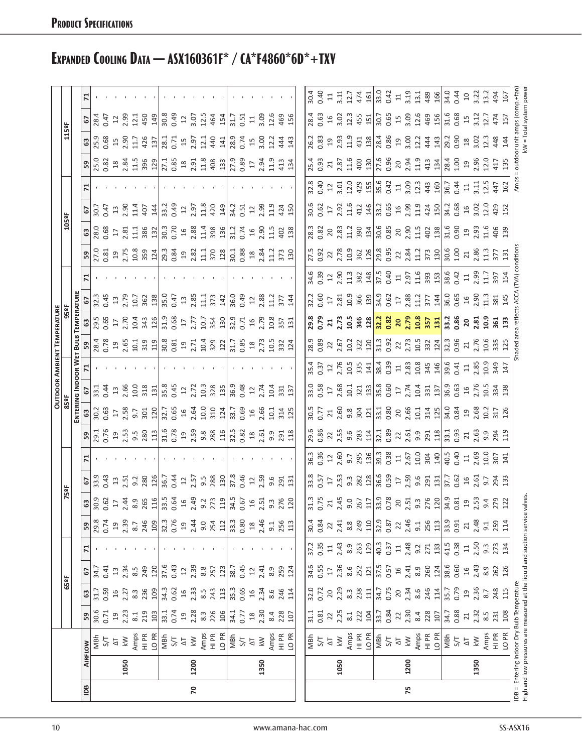|    |      |                                                                                                                                                                                                                                                                                                                                                                                                                                                                                          |                                    |                    |                                                                                                                                            |                          |                   |                                                                                                                                                                                                                                                                                                                                                           |                                                      |               |                         |                                                                                                                                                                                                                                                                                                                     |                     |                                                                                                                | <b>OUTDOOR AMBIENT TEMPERATURE</b>                                                                                                                                                                                               |                                                                                                                                                                                                                                                                                                                                    |                                                                                                                                                                                                                                                                              |                                                                                                                                                                                                                                                                                                                      |                                                                                                                                                                                                                               |                                                                                                                                                                                                                                                                                                           |                                        |      |                                                                                             |                                                                                                                                                                                                                                                             |            |  |
|----|------|------------------------------------------------------------------------------------------------------------------------------------------------------------------------------------------------------------------------------------------------------------------------------------------------------------------------------------------------------------------------------------------------------------------------------------------------------------------------------------------|------------------------------------|--------------------|--------------------------------------------------------------------------------------------------------------------------------------------|--------------------------|-------------------|-----------------------------------------------------------------------------------------------------------------------------------------------------------------------------------------------------------------------------------------------------------------------------------------------------------------------------------------------------------|------------------------------------------------------|---------------|-------------------------|---------------------------------------------------------------------------------------------------------------------------------------------------------------------------------------------------------------------------------------------------------------------------------------------------------------------|---------------------|----------------------------------------------------------------------------------------------------------------|----------------------------------------------------------------------------------------------------------------------------------------------------------------------------------------------------------------------------------|------------------------------------------------------------------------------------------------------------------------------------------------------------------------------------------------------------------------------------------------------------------------------------------------------------------------------------|------------------------------------------------------------------------------------------------------------------------------------------------------------------------------------------------------------------------------------------------------------------------------|----------------------------------------------------------------------------------------------------------------------------------------------------------------------------------------------------------------------------------------------------------------------------------------------------------------------|-------------------------------------------------------------------------------------------------------------------------------------------------------------------------------------------------------------------------------|-----------------------------------------------------------------------------------------------------------------------------------------------------------------------------------------------------------------------------------------------------------------------------------------------------------|----------------------------------------|------|---------------------------------------------------------------------------------------------|-------------------------------------------------------------------------------------------------------------------------------------------------------------------------------------------------------------------------------------------------------------|------------|--|
|    |      |                                                                                                                                                                                                                                                                                                                                                                                                                                                                                          |                                    |                    | 65°F                                                                                                                                       |                          |                   |                                                                                                                                                                                                                                                                                                                                                           | 75ºF                                                 |               |                         |                                                                                                                                                                                                                                                                                                                     |                     |                                                                                                                |                                                                                                                                                                                                                                  |                                                                                                                                                                                                                                                                                                                                    |                                                                                                                                                                                                                                                                              |                                                                                                                                                                                                                                                                                                                      |                                                                                                                                                                                                                               | 105°F                                                                                                                                                                                                                                                                                                     |                                        |      |                                                                                             | 115°F                                                                                                                                                                                                                                                       |            |  |
|    |      |                                                                                                                                                                                                                                                                                                                                                                                                                                                                                          |                                    |                    |                                                                                                                                            |                          |                   |                                                                                                                                                                                                                                                                                                                                                           |                                                      |               |                         |                                                                                                                                                                                                                                                                                                                     |                     | <b>INDOOR W</b>                                                                                                | BuuB                                                                                                                                                                                                                             | <b>TEMPERATUR</b>                                                                                                                                                                                                                                                                                                                  |                                                                                                                                                                                                                                                                              |                                                                                                                                                                                                                                                                                                                      |                                                                                                                                                                                                                               |                                                                                                                                                                                                                                                                                                           |                                        |      |                                                                                             |                                                                                                                                                                                                                                                             |            |  |
| ÎО |      | AIRFLOW                                                                                                                                                                                                                                                                                                                                                                                                                                                                                  | 59                                 | ය                  | 67                                                                                                                                         | 5                        | 59                |                                                                                                                                                                                                                                                                                                                                                           | 5                                                    |               | 59                      | 63                                                                                                                                                                                                                                                                                                                  |                     |                                                                                                                | $\frac{5}{28}$                                                                                                                                                                                                                   |                                                                                                                                                                                                                                                                                                                                    |                                                                                                                                                                                                                                                                              |                                                                                                                                                                                                                                                                                                                      |                                                                                                                                                                                                                               |                                                                                                                                                                                                                                                                                                           | 29                                     |      | ය                                                                                           | $rac{67}{284}$                                                                                                                                                                                                                                              |            |  |
|    |      | NBh                                                                                                                                                                                                                                                                                                                                                                                                                                                                                      | $\frac{16}{30.71}$                 | 31.7               | 34.7                                                                                                                                       |                          | $\frac{8}{29.74}$ |                                                                                                                                                                                                                                                                                                                                                           | $\frac{9}{33}$                                       |               | $\overline{\mathsf{a}}$ | ခြင်                                                                                                                                                                                                                                                                                                                | $\frac{33.1}{2}$    |                                                                                                                |                                                                                                                                                                                                                                  | ခြို့                                                                                                                                                                                                                                                                                                                              | 32.3                                                                                                                                                                                                                                                                         |                                                                                                                                                                                                                                                                                                                      | $\frac{3}{27.81}$                                                                                                                                                                                                             | $\frac{300}{200}$                                                                                                                                                                                                                                                                                         | ခြ                                     |      | ္သိ<br>  5.82<br>  5.82                                                                     |                                                                                                                                                                                                                                                             |            |  |
|    |      | 5/7                                                                                                                                                                                                                                                                                                                                                                                                                                                                                      |                                    | 0.59               | 0.41                                                                                                                                       |                          |                   |                                                                                                                                                                                                                                                                                                                                                           | 0.43                                                 |               | 0.76                    | 0.63                                                                                                                                                                                                                                                                                                                | 0.44                |                                                                                                                | 0.78                                                                                                                                                                                                                             | 0.65                                                                                                                                                                                                                                                                                                                               | 0.45                                                                                                                                                                                                                                                                         |                                                                                                                                                                                                                                                                                                                      |                                                                                                                                                                                                                               |                                                                                                                                                                                                                                                                                                           | 0.47                                   |      |                                                                                             | 0.47                                                                                                                                                                                                                                                        |            |  |
|    |      | $\frac{\sqrt{1}}{2}$                                                                                                                                                                                                                                                                                                                                                                                                                                                                     | $\overline{1}9$                    | 16                 | $\mathfrak{Q}% _{A}^{(n)}=\mathfrak{Q}_{A}\!\left( a,b\right) ,\qquad \qquad \mathfrak{Q}_{B}^{(n)}=\mathfrak{Q}_{B}\!\left( a,b\right) ,$ |                          | $\overline{1}9$   |                                                                                                                                                                                                                                                                                                                                                           | 13.51                                                |               |                         | $\overline{\mathfrak{u}}$                                                                                                                                                                                                                                                                                           | $13$                |                                                                                                                | $\Xi$                                                                                                                                                                                                                            | $\overline{\mathbb{L}}$                                                                                                                                                                                                                                                                                                            | $13$                                                                                                                                                                                                                                                                         |                                                                                                                                                                                                                                                                                                                      |                                                                                                                                                                                                                               | $\overline{\mathbb{L}}$                                                                                                                                                                                                                                                                                   | $\Xi$                                  |      |                                                                                             | $\overline{1}$<br><u>ງ.68</u><br>2.50                                                                                                                                                                                                                       |            |  |
|    | 1050 |                                                                                                                                                                                                                                                                                                                                                                                                                                                                                          | 2.23                               | 2.27               | 2.34                                                                                                                                       |                          | 2.39              |                                                                                                                                                                                                                                                                                                                                                           |                                                      |               |                         | 2.58                                                                                                                                                                                                                                                                                                                | 2.66                |                                                                                                                |                                                                                                                                                                                                                                  | 2.70                                                                                                                                                                                                                                                                                                                               | 2.79                                                                                                                                                                                                                                                                         |                                                                                                                                                                                                                                                                                                                      |                                                                                                                                                                                                                               |                                                                                                                                                                                                                                                                                                           |                                        |      |                                                                                             |                                                                                                                                                                                                                                                             |            |  |
|    |      | Amps                                                                                                                                                                                                                                                                                                                                                                                                                                                                                     | 8.1                                | $8.\overline{3}$   | 8.5                                                                                                                                        |                          | 8.7               | $\frac{3}{8}$ $\frac{3}{8}$ $\frac{3}{8}$ $\frac{5}{1}$ $\frac{4}{8}$ $\frac{3}{8}$ $\frac{5}{8}$ $\frac{4}{10}$ $\frac{3}{8}$ $\frac{5}{8}$ $\frac{4}{10}$ $\frac{3}{8}$ $\frac{3}{8}$ $\frac{3}{8}$ $\frac{3}{8}$ $\frac{3}{8}$ $\frac{3}{8}$ $\frac{3}{8}$ $\frac{3}{8}$ $\frac{3}{8}$ $\frac{3}{8}$ $\frac{3}{8}$ $\frac{3}{8}$ $\frac{3}{8}$ $\frac$ | 9.2                                                  |               |                         | $9.7$<br>301                                                                                                                                                                                                                                                                                                        | 10.0                |                                                                                                                | co di sulla di sulla di sulla di sulla di sulla di sulla di sulla di sulla di sulla di sulla di sulla di sulla<br>Controlla di sulla di sulla di sulla di sulla di sulla di sulla di sulla di sulla di sulla di sulla di sulla d | $\begin{array}{c}\n 13.73 \\  15.75 \\  16.75 \\  17.75 \\  18.75 \\  19.75 \\  19.75 \\  19.75 \\  19.75 \\  19.75 \\  19.75 \\  19.75 \\  19.75 \\  19.75 \\  19.75 \\  19.75 \\  19.75 \\  19.75 \\  19.75 \\  19.75 \\  19.75 \\  19.75 \\  19.75 \\  19.75 \\  19.75 \\  19.75 \\  19.75 \\  19.75 \\  19.75 \\  19.75 \\  1$ | 10.7                                                                                                                                                                                                                                                                         |                                                                                                                                                                                                                                                                                                                      | n 5 3 3 3 4 3 3 4 5 6 7 6 7 7 8 9 9 7 7 7 9 9 7 7 9 9 9 7 7 7 9 9 9 7 7 9 9 9 7 7 7 9 9 9 7 7 7 9 9                                                                                                                           | $2.81$<br>$1.1$                                                                                                                                                                                                                                                                                           | $2.90$<br>11.4                         |      |                                                                                             | $2.99$<br>$12.1$<br>$\Xi$                                                                                                                                                                                                                                   |            |  |
|    |      | HI PR                                                                                                                                                                                                                                                                                                                                                                                                                                                                                    | 219                                | 236                | 249                                                                                                                                        |                          | 246               |                                                                                                                                                                                                                                                                                                                                                           | 280                                                  |               |                         |                                                                                                                                                                                                                                                                                                                     |                     |                                                                                                                |                                                                                                                                                                                                                                  |                                                                                                                                                                                                                                                                                                                                    |                                                                                                                                                                                                                                                                              |                                                                                                                                                                                                                                                                                                                      |                                                                                                                                                                                                                               |                                                                                                                                                                                                                                                                                                           | 407                                    |      |                                                                                             | 450                                                                                                                                                                                                                                                         |            |  |
|    |      | LO PR                                                                                                                                                                                                                                                                                                                                                                                                                                                                                    | 103                                | 109                | 120                                                                                                                                        |                          | 109               |                                                                                                                                                                                                                                                                                                                                                           | 126                                                  |               |                         | 120                                                                                                                                                                                                                                                                                                                 | $\frac{313}{131}$   |                                                                                                                |                                                                                                                                                                                                                                  |                                                                                                                                                                                                                                                                                                                                    | $\frac{362}{135.0}$                                                                                                                                                                                                                                                          |                                                                                                                                                                                                                                                                                                                      |                                                                                                                                                                                                                               | $\frac{88}{30}$ $\frac{20}{30}$ $\frac{25}{30}$ $\frac{48}{30}$ $\frac{45}{30}$ $\frac{80}{30}$ $\frac{45}{30}$ $\frac{80}{30}$ $\frac{1}{30}$ $\frac{24}{30}$                                                                                                                                            | 144                                    |      | $\frac{25}{25}$<br>$\frac{27}{25}$<br>$\frac{25}{25}$<br>$\frac{27}{25}$<br>$\frac{27}{25}$ | $\frac{1}{2}$ $\frac{1}{2}$ $\frac{1}{2}$ $\frac{1}{2}$ $\frac{1}{2}$ $\frac{1}{2}$ $\frac{1}{2}$ $\frac{1}{2}$ $\frac{1}{2}$ $\frac{1}{2}$ $\frac{1}{2}$ $\frac{1}{2}$ $\frac{1}{2}$ $\frac{1}{2}$ $\frac{1}{2}$ $\frac{1}{2}$ $\frac{1}{2}$ $\frac{1}{2}$ |            |  |
|    |      | 지<br>아이<br>인                                                                                                                                                                                                                                                                                                                                                                                                                                                                             | $\frac{33.1}{0.74}$                | 34.3<br>0.62       | 37.6                                                                                                                                       |                          | 32.3<br>0.76      |                                                                                                                                                                                                                                                                                                                                                           | 36.7                                                 |               |                         |                                                                                                                                                                                                                                                                                                                     | 35.8<br>0.45        |                                                                                                                |                                                                                                                                                                                                                                  |                                                                                                                                                                                                                                                                                                                                    |                                                                                                                                                                                                                                                                              |                                                                                                                                                                                                                                                                                                                      |                                                                                                                                                                                                                               |                                                                                                                                                                                                                                                                                                           | 33.2<br>0.49                           |      |                                                                                             |                                                                                                                                                                                                                                                             |            |  |
|    |      |                                                                                                                                                                                                                                                                                                                                                                                                                                                                                          |                                    |                    | 0.43                                                                                                                                       |                          |                   |                                                                                                                                                                                                                                                                                                                                                           |                                                      |               |                         |                                                                                                                                                                                                                                                                                                                     |                     |                                                                                                                |                                                                                                                                                                                                                                  |                                                                                                                                                                                                                                                                                                                                    |                                                                                                                                                                                                                                                                              |                                                                                                                                                                                                                                                                                                                      |                                                                                                                                                                                                                               |                                                                                                                                                                                                                                                                                                           |                                        |      |                                                                                             |                                                                                                                                                                                                                                                             |            |  |
|    |      |                                                                                                                                                                                                                                                                                                                                                                                                                                                                                          |                                    | $\overline{a}$     | $22$                                                                                                                                       |                          | $\Xi$             |                                                                                                                                                                                                                                                                                                                                                           |                                                      |               |                         |                                                                                                                                                                                                                                                                                                                     |                     |                                                                                                                |                                                                                                                                                                                                                                  |                                                                                                                                                                                                                                                                                                                                    | $13\,$                                                                                                                                                                                                                                                                       |                                                                                                                                                                                                                                                                                                                      |                                                                                                                                                                                                                               |                                                                                                                                                                                                                                                                                                           | $22$                                   |      |                                                                                             |                                                                                                                                                                                                                                                             |            |  |
| 20 | 1200 | $\lesssim$                                                                                                                                                                                                                                                                                                                                                                                                                                                                               | 2.28                               |                    | 2.39                                                                                                                                       |                          | 2.44              |                                                                                                                                                                                                                                                                                                                                                           |                                                      |               |                         |                                                                                                                                                                                                                                                                                                                     | $\frac{12}{2.72}$   |                                                                                                                |                                                                                                                                                                                                                                  |                                                                                                                                                                                                                                                                                                                                    |                                                                                                                                                                                                                                                                              |                                                                                                                                                                                                                                                                                                                      |                                                                                                                                                                                                                               |                                                                                                                                                                                                                                                                                                           |                                        |      |                                                                                             |                                                                                                                                                                                                                                                             |            |  |
|    |      |                                                                                                                                                                                                                                                                                                                                                                                                                                                                                          | $8.\overline{3}$                   |                    | 8.8                                                                                                                                        |                          |                   |                                                                                                                                                                                                                                                                                                                                                           |                                                      |               |                         |                                                                                                                                                                                                                                                                                                                     |                     |                                                                                                                |                                                                                                                                                                                                                                  |                                                                                                                                                                                                                                                                                                                                    |                                                                                                                                                                                                                                                                              |                                                                                                                                                                                                                                                                                                                      |                                                                                                                                                                                                                               |                                                                                                                                                                                                                                                                                                           |                                        |      |                                                                                             |                                                                                                                                                                                                                                                             |            |  |
|    |      | Amps<br>H PR<br>LO PR                                                                                                                                                                                                                                                                                                                                                                                                                                                                    | 226                                | 2.33<br>8.5<br>243 | 257                                                                                                                                        |                          | $9.0$<br>254      |                                                                                                                                                                                                                                                                                                                                                           | $0.44$<br>$2.5$<br>$0.5$<br>$0.88$<br>$0.5$<br>$0.8$ |               |                         |                                                                                                                                                                                                                                                                                                                     | 10.3<br>32.8<br>115 |                                                                                                                |                                                                                                                                                                                                                                  |                                                                                                                                                                                                                                                                                                                                    |                                                                                                                                                                                                                                                                              |                                                                                                                                                                                                                                                                                                                      |                                                                                                                                                                                                                               |                                                                                                                                                                                                                                                                                                           |                                        |      |                                                                                             |                                                                                                                                                                                                                                                             |            |  |
|    |      |                                                                                                                                                                                                                                                                                                                                                                                                                                                                                          | 106                                | 113                | 123                                                                                                                                        |                          | 112               |                                                                                                                                                                                                                                                                                                                                                           |                                                      |               |                         |                                                                                                                                                                                                                                                                                                                     |                     |                                                                                                                |                                                                                                                                                                                                                                  |                                                                                                                                                                                                                                                                                                                                    |                                                                                                                                                                                                                                                                              |                                                                                                                                                                                                                                                                                                                      |                                                                                                                                                                                                                               |                                                                                                                                                                                                                                                                                                           |                                        |      |                                                                                             |                                                                                                                                                                                                                                                             |            |  |
|    |      |                                                                                                                                                                                                                                                                                                                                                                                                                                                                                          |                                    |                    | 38.7                                                                                                                                       |                          |                   |                                                                                                                                                                                                                                                                                                                                                           |                                                      |               |                         | $\sqrt{3.5}$ $\frac{3.5}{2.5}$ $\frac{3.5}{2.5}$ $\frac{3.5}{2.5}$ $\frac{3.5}{2.5}$ $\frac{3.5}{2.5}$ $\frac{3.5}{2.5}$ $\frac{3.5}{2.5}$ $\frac{3.5}{2.5}$ $\frac{3.5}{2.5}$ $\frac{3.5}{2.5}$ $\frac{3.5}{2.5}$ $\frac{3.5}{2.5}$ $\frac{3.5}{2.5}$ $\frac{3.5}{2.5}$ $\frac{3.5}{2.5}$                          |                     |                                                                                                                |                                                                                                                                                                                                                                  |                                                                                                                                                                                                                                                                                                                                    | 28372828                                                                                                                                                                                                                                                                     |                                                                                                                                                                                                                                                                                                                      |                                                                                                                                                                                                                               |                                                                                                                                                                                                                                                                                                           | $2.328$<br>$2.342$<br>$3.51$<br>$3.51$ |      | $rac{4180}{180}$                                                                            |                                                                                                                                                                                                                                                             |            |  |
|    |      | MBh<br>S/T                                                                                                                                                                                                                                                                                                                                                                                                                                                                               | 34.1<br>0.77                       | 35.3<br>0.65       | 0.45                                                                                                                                       |                          | 33.3<br>0.80      |                                                                                                                                                                                                                                                                                                                                                           | 37.8                                                 |               |                         |                                                                                                                                                                                                                                                                                                                     | $\frac{36.9}{0.48}$ |                                                                                                                |                                                                                                                                                                                                                                  |                                                                                                                                                                                                                                                                                                                                    |                                                                                                                                                                                                                                                                              |                                                                                                                                                                                                                                                                                                                      |                                                                                                                                                                                                                               |                                                                                                                                                                                                                                                                                                           |                                        |      |                                                                                             |                                                                                                                                                                                                                                                             |            |  |
|    |      | $\overline{\Delta}$                                                                                                                                                                                                                                                                                                                                                                                                                                                                      | $^{28}$                            | 16                 | $22$                                                                                                                                       |                          | $^{28}$           |                                                                                                                                                                                                                                                                                                                                                           |                                                      |               |                         |                                                                                                                                                                                                                                                                                                                     | $2 \overline{2}$    |                                                                                                                |                                                                                                                                                                                                                                  |                                                                                                                                                                                                                                                                                                                                    |                                                                                                                                                                                                                                                                              |                                                                                                                                                                                                                                                                                                                      |                                                                                                                                                                                                                               |                                                                                                                                                                                                                                                                                                           |                                        |      |                                                                                             |                                                                                                                                                                                                                                                             |            |  |
|    | 1350 | $\kappa$                                                                                                                                                                                                                                                                                                                                                                                                                                                                                 | 2.30                               | 2.34               | 2.41                                                                                                                                       |                          | 2.46              |                                                                                                                                                                                                                                                                                                                                                           | $12^{25}$                                            |               |                         | $16$<br>$2.66$                                                                                                                                                                                                                                                                                                      | 2.74                |                                                                                                                |                                                                                                                                                                                                                                  | 2.79                                                                                                                                                                                                                                                                                                                               | $\frac{12}{2.88}$                                                                                                                                                                                                                                                            |                                                                                                                                                                                                                                                                                                                      |                                                                                                                                                                                                                               |                                                                                                                                                                                                                                                                                                           |                                        |      | 15 <sub>3.00</sub>                                                                          | $\frac{11}{3.09}$                                                                                                                                                                                                                                           |            |  |
|    |      | Amps                                                                                                                                                                                                                                                                                                                                                                                                                                                                                     | 8.4                                | 8.6                | 8.9                                                                                                                                        |                          | 9.1               |                                                                                                                                                                                                                                                                                                                                                           | 9.6                                                  |               |                         | $\Xi$                                                                                                                                                                                                                                                                                                               | 10.4                |                                                                                                                |                                                                                                                                                                                                                                  | 0.8                                                                                                                                                                                                                                                                                                                                | 11.2                                                                                                                                                                                                                                                                         |                                                                                                                                                                                                                                                                                                                      |                                                                                                                                                                                                                               | $1.50$<br>$2.51$<br>$1.5$                                                                                                                                                                                                                                                                                 | $1299$<br>$119$                        |      |                                                                                             | 2.6<br>2.2                                                                                                                                                                                                                                                  |            |  |
|    |      | HI PR                                                                                                                                                                                                                                                                                                                                                                                                                                                                                    | 228                                | 246                | 259                                                                                                                                        |                          | 256               |                                                                                                                                                                                                                                                                                                                                                           | 291                                                  |               |                         | 314                                                                                                                                                                                                                                                                                                                 | 331                 |                                                                                                                |                                                                                                                                                                                                                                  | $\frac{57}{131}$                                                                                                                                                                                                                                                                                                                   | 377                                                                                                                                                                                                                                                                          |                                                                                                                                                                                                                                                                                                                      |                                                                                                                                                                                                                               | $\frac{2}{3}$ $\frac{2}{3}$                                                                                                                                                                                                                                                                               | $424$<br>150                           |      | 44                                                                                          | 469<br>156                                                                                                                                                                                                                                                  |            |  |
|    |      | LO <sub>PR</sub>                                                                                                                                                                                                                                                                                                                                                                                                                                                                         | 107                                | 114                | 124                                                                                                                                        |                          | 113               |                                                                                                                                                                                                                                                                                                                                                           | $\overline{131}$                                     |               |                         | 125                                                                                                                                                                                                                                                                                                                 | 137                 |                                                                                                                |                                                                                                                                                                                                                                  |                                                                                                                                                                                                                                                                                                                                    | $\overline{4}$                                                                                                                                                                                                                                                               |                                                                                                                                                                                                                                                                                                                      |                                                                                                                                                                                                                               |                                                                                                                                                                                                                                                                                                           |                                        |      |                                                                                             | 143                                                                                                                                                                                                                                                         |            |  |
|    |      |                                                                                                                                                                                                                                                                                                                                                                                                                                                                                          |                                    |                    |                                                                                                                                            |                          |                   |                                                                                                                                                                                                                                                                                                                                                           |                                                      |               |                         |                                                                                                                                                                                                                                                                                                                     |                     |                                                                                                                |                                                                                                                                                                                                                                  |                                                                                                                                                                                                                                                                                                                                    |                                                                                                                                                                                                                                                                              |                                                                                                                                                                                                                                                                                                                      |                                                                                                                                                                                                                               |                                                                                                                                                                                                                                                                                                           |                                        |      |                                                                                             |                                                                                                                                                                                                                                                             |            |  |
|    |      | ng<br>S/T                                                                                                                                                                                                                                                                                                                                                                                                                                                                                |                                    | 32.0<br>0.72       | 34.6<br>0.55<br>17                                                                                                                         |                          | $30.4$<br>0.84    |                                                                                                                                                                                                                                                                                                                                                           | 33.8<br>Q.57<br>17                                   |               |                         | $30.5$<br>$0.77$                                                                                                                                                                                                                                                                                                    |                     |                                                                                                                |                                                                                                                                                                                                                                  | 29.8<br>0.79                                                                                                                                                                                                                                                                                                                       |                                                                                                                                                                                                                                                                              |                                                                                                                                                                                                                                                                                                                      |                                                                                                                                                                                                                               |                                                                                                                                                                                                                                                                                                           | 30.6<br>0.62<br>17                     |      |                                                                                             |                                                                                                                                                                                                                                                             | 30.4       |  |
|    |      |                                                                                                                                                                                                                                                                                                                                                                                                                                                                                          |                                    |                    |                                                                                                                                            | $\frac{37.2}{0.35}$      |                   |                                                                                                                                                                                                                                                                                                                                                           |                                                      |               |                         |                                                                                                                                                                                                                                                                                                                     |                     |                                                                                                                |                                                                                                                                                                                                                                  |                                                                                                                                                                                                                                                                                                                                    |                                                                                                                                                                                                                                                                              |                                                                                                                                                                                                                                                                                                                      |                                                                                                                                                                                                                               |                                                                                                                                                                                                                                                                                                           |                                        |      |                                                                                             |                                                                                                                                                                                                                                                             |            |  |
|    |      |                                                                                                                                                                                                                                                                                                                                                                                                                                                                                          | $31.1$<br>$0.81$<br>$21$<br>$2.25$ | 20                 |                                                                                                                                            |                          | 22                |                                                                                                                                                                                                                                                                                                                                                           |                                                      |               |                         |                                                                                                                                                                                                                                                                                                                     |                     |                                                                                                                |                                                                                                                                                                                                                                  |                                                                                                                                                                                                                                                                                                                                    |                                                                                                                                                                                                                                                                              |                                                                                                                                                                                                                                                                                                                      |                                                                                                                                                                                                                               |                                                                                                                                                                                                                                                                                                           |                                        |      |                                                                                             |                                                                                                                                                                                                                                                             |            |  |
|    | 1050 |                                                                                                                                                                                                                                                                                                                                                                                                                                                                                          |                                    | 2.29               | 2.36                                                                                                                                       |                          | 2.41              |                                                                                                                                                                                                                                                                                                                                                           |                                                      |               |                         |                                                                                                                                                                                                                                                                                                                     |                     |                                                                                                                |                                                                                                                                                                                                                                  |                                                                                                                                                                                                                                                                                                                                    |                                                                                                                                                                                                                                                                              |                                                                                                                                                                                                                                                                                                                      |                                                                                                                                                                                                                               |                                                                                                                                                                                                                                                                                                           |                                        |      |                                                                                             |                                                                                                                                                                                                                                                             |            |  |
|    |      | $\begin{array}{c}\n\overline{41} \\ \overline{11} \\ \overline{11} \\ \overline{11} \\ \overline{11} \\ \overline{11} \\ \overline{11} \\ \overline{11} \\ \overline{11} \\ \overline{11} \\ \overline{11} \\ \overline{11} \\ \overline{11} \\ \overline{11} \\ \overline{11} \\ \overline{11} \\ \overline{11} \\ \overline{11} \\ \overline{11} \\ \overline{11} \\ \overline{11} \\ \overline{11} \\ \overline{11} \\ \overline{11} \\ \overline{11} \\ \overline{11} \\ \overline{$ | 8.1                                | $8.\overline{3}$   | 8.6                                                                                                                                        | 2.43<br>8.9<br>263<br>12 | 8.8<br>249<br>110 |                                                                                                                                                                                                                                                                                                                                                           |                                                      |               |                         |                                                                                                                                                                                                                                                                                                                     |                     |                                                                                                                |                                                                                                                                                                                                                                  |                                                                                                                                                                                                                                                                                                                                    |                                                                                                                                                                                                                                                                              |                                                                                                                                                                                                                                                                                                                      |                                                                                                                                                                                                                               |                                                                                                                                                                                                                                                                                                           |                                        |      |                                                                                             |                                                                                                                                                                                                                                                             |            |  |
|    |      |                                                                                                                                                                                                                                                                                                                                                                                                                                                                                          | 222                                | 238                | 252                                                                                                                                        |                          |                   |                                                                                                                                                                                                                                                                                                                                                           |                                                      |               |                         |                                                                                                                                                                                                                                                                                                                     |                     |                                                                                                                |                                                                                                                                                                                                                                  |                                                                                                                                                                                                                                                                                                                                    |                                                                                                                                                                                                                                                                              |                                                                                                                                                                                                                                                                                                                      |                                                                                                                                                                                                                               |                                                                                                                                                                                                                                                                                                           |                                        |      |                                                                                             |                                                                                                                                                                                                                                                             |            |  |
|    |      |                                                                                                                                                                                                                                                                                                                                                                                                                                                                                          | 104                                | 11                 | 121                                                                                                                                        |                          |                   |                                                                                                                                                                                                                                                                                                                                                           |                                                      |               |                         |                                                                                                                                                                                                                                                                                                                     |                     |                                                                                                                |                                                                                                                                                                                                                                  |                                                                                                                                                                                                                                                                                                                                    |                                                                                                                                                                                                                                                                              |                                                                                                                                                                                                                                                                                                                      |                                                                                                                                                                                                                               |                                                                                                                                                                                                                                                                                                           |                                        |      |                                                                                             |                                                                                                                                                                                                                                                             |            |  |
|    |      |                                                                                                                                                                                                                                                                                                                                                                                                                                                                                          | 33.7                               | 34.7<br>0.75       | 37.5<br>0.57                                                                                                                               | 40.37                    | 32.9<br>0.87      |                                                                                                                                                                                                                                                                                                                                                           |                                                      |               |                         |                                                                                                                                                                                                                                                                                                                     |                     |                                                                                                                |                                                                                                                                                                                                                                  |                                                                                                                                                                                                                                                                                                                                    |                                                                                                                                                                                                                                                                              |                                                                                                                                                                                                                                                                                                                      |                                                                                                                                                                                                                               |                                                                                                                                                                                                                                                                                                           |                                        |      |                                                                                             |                                                                                                                                                                                                                                                             |            |  |
|    |      | 통<br>2 고 주                                                                                                                                                                                                                                                                                                                                                                                                                                                                               |                                    |                    |                                                                                                                                            |                          |                   |                                                                                                                                                                                                                                                                                                                                                           |                                                      |               |                         |                                                                                                                                                                                                                                                                                                                     |                     |                                                                                                                |                                                                                                                                                                                                                                  |                                                                                                                                                                                                                                                                                                                                    |                                                                                                                                                                                                                                                                              |                                                                                                                                                                                                                                                                                                                      |                                                                                                                                                                                                                               |                                                                                                                                                                                                                                                                                                           |                                        |      |                                                                                             |                                                                                                                                                                                                                                                             |            |  |
|    |      |                                                                                                                                                                                                                                                                                                                                                                                                                                                                                          | 22<br>2.30                         | 20                 | $\frac{91}{2}$                                                                                                                             | $\Xi$                    | 22                |                                                                                                                                                                                                                                                                                                                                                           |                                                      |               |                         |                                                                                                                                                                                                                                                                                                                     |                     |                                                                                                                |                                                                                                                                                                                                                                  |                                                                                                                                                                                                                                                                                                                                    |                                                                                                                                                                                                                                                                              |                                                                                                                                                                                                                                                                                                                      |                                                                                                                                                                                                                               |                                                                                                                                                                                                                                                                                                           |                                        |      |                                                                                             |                                                                                                                                                                                                                                                             |            |  |
| 75 | 1200 |                                                                                                                                                                                                                                                                                                                                                                                                                                                                                          |                                    | $2.34$<br>8.6      | 2.41                                                                                                                                       | 2.48                     | 2.46              |                                                                                                                                                                                                                                                                                                                                                           |                                                      |               |                         |                                                                                                                                                                                                                                                                                                                     |                     |                                                                                                                |                                                                                                                                                                                                                                  |                                                                                                                                                                                                                                                                                                                                    |                                                                                                                                                                                                                                                                              |                                                                                                                                                                                                                                                                                                                      |                                                                                                                                                                                                                               |                                                                                                                                                                                                                                                                                                           |                                        |      |                                                                                             |                                                                                                                                                                                                                                                             |            |  |
|    |      | Amps<br>HI PR                                                                                                                                                                                                                                                                                                                                                                                                                                                                            |                                    | 246                | 260<br>8.9                                                                                                                                 | 271<br>9.2               | 256<br>9.1        |                                                                                                                                                                                                                                                                                                                                                           |                                                      |               |                         |                                                                                                                                                                                                                                                                                                                     |                     |                                                                                                                |                                                                                                                                                                                                                                  |                                                                                                                                                                                                                                                                                                                                    |                                                                                                                                                                                                                                                                              |                                                                                                                                                                                                                                                                                                                      |                                                                                                                                                                                                                               |                                                                                                                                                                                                                                                                                                           |                                        |      |                                                                                             |                                                                                                                                                                                                                                                             |            |  |
|    |      | LO <sub>PR</sub>                                                                                                                                                                                                                                                                                                                                                                                                                                                                         | 8.4<br>228<br>107                  | 114                | 124                                                                                                                                        | 133                      | 113               | $\begin{array}{l} 31.62 \ 22.73 \ 23.74 \ 25.75 \ 26.75 \ 27.75 \ 28.75 \ 29.75 \ 20.75 \ 21.75 \ 22.75 \ 23.75 \ 24.75 \ 25.75 \ 26.75 \ 27.75 \ 28.75 \ 29.75 \ 21.75 \ 22.75 \ 23.75 \ 24.75 \ 25.75 \ 26.75 \ 27.75 \ 28.75 \ 29.75 \ 20.75 \ 21.75 \ 22.75 \ 23$                                                                                     |                                                      |               |                         | $\frac{1}{2}$ $\frac{1}{2}$ $\frac{1}{2}$ $\frac{1}{2}$ $\frac{1}{2}$ $\frac{1}{2}$ $\frac{1}{2}$ $\frac{1}{2}$ $\frac{1}{2}$ $\frac{1}{2}$ $\frac{1}{2}$ $\frac{1}{2}$ $\frac{1}{2}$ $\frac{1}{2}$ $\frac{1}{2}$ $\frac{1}{2}$ $\frac{1}{2}$ $\frac{1}{2}$ $\frac{1}{2}$ $\frac{1}{2}$ $\frac{1}{2}$ $\frac{1}{2}$ |                     | 35 25 26 26 26 26 26 26 26 26 26 27 28 28 29 20 21 22 22 23 24 25 26 27 28 29 20 21 22 22 23 23 24 26 27 28 29 |                                                                                                                                                                                                                                  |                                                                                                                                                                                                                                                                                                                                    | $\begin{array}{c} 22.68 & 24.69 & 24.60 & 24.60 \\ 24.60 & 24.60 & 24.60 & 24.60 \\ 24.60 & 24.60 & 24.60 & 24.60 \\ 24.60 & 24.60 & 24.60 & 24.60 \\ 24.60 & 24.60 & 24.60 & 24.60 \\ 24.60 & 24.60 & 24.60 & 24.60 \\ 24.60 & 24.60 & 24.60 & 24.60 \\ 24.60 & 24.60 & 24$ | $\begin{array}{cccccccccc} 3 & 3 & 2 & 3 & 3 & 3 & 4 & 5 & 6 & 7 & 8 & 8 & 8 & 7 & 8 & 7 & 8 & 8 & 7 & 8 & 7 & 8 & 8 & 7 & 8 & 7 & 8 & 8 & 7 & 8 & 8 & 7 & 8 & 7 & 8 & 8 & 7 & 8 & 7 & 8 & 8 & 7 & 8 & 8 & 7 & 8 & 8 & 7 & 8 & 8 & 7 & 8 & 8 & 7 & 8 & 8 & 7 & 8 & 8 & 7 & 8 & 8 & 7 & 8 & 8 & 9 & 8 & 9 & 8 & 9 & $ | $2,5$ $3,8$ $2,8$ $3,8$ $3,8$ $3,7$ $3,8$ $1,8$ $1,8$ $1,8$ $1,8$ $1,8$ $1,8$ $1,8$ $1,8$ $1,8$ $1,8$ $1,8$ $1,8$ $1,8$ $1,8$ $1,8$ $1,8$ $1,8$ $1,8$ $1,8$ $1,8$ $1,8$ $1,8$ $1,8$ $1,8$ $1,8$ $1,8$ $1,8$ $1,8$ $1,8$ $1,8$ | $\frac{28}{36}$ $\frac{28}{36}$ $\frac{28}{36}$ $\frac{11}{36}$ $\frac{28}{36}$ $\frac{28}{36}$ $\frac{28}{36}$ $\frac{28}{36}$ $\frac{28}{36}$ $\frac{28}{36}$ $\frac{28}{36}$ $\frac{28}{36}$ $\frac{28}{36}$ $\frac{28}{36}$ $\frac{28}{36}$ $\frac{28}{36}$ $\frac{28}{36}$ $\frac{28}{36}$ $\frac{2$ |                                        |      |                                                                                             |                                                                                                                                                                                                                                                             |            |  |
|    |      | MBh                                                                                                                                                                                                                                                                                                                                                                                                                                                                                      |                                    | 35.7               |                                                                                                                                            |                          |                   |                                                                                                                                                                                                                                                                                                                                                           |                                                      |               |                         |                                                                                                                                                                                                                                                                                                                     |                     |                                                                                                                |                                                                                                                                                                                                                                  |                                                                                                                                                                                                                                                                                                                                    |                                                                                                                                                                                                                                                                              |                                                                                                                                                                                                                                                                                                                      |                                                                                                                                                                                                                               |                                                                                                                                                                                                                                                                                                           |                                        |      |                                                                                             |                                                                                                                                                                                                                                                             |            |  |
|    |      | 5/7                                                                                                                                                                                                                                                                                                                                                                                                                                                                                      | 34.7<br>0.88                       | 0.79               | 38.6<br>0.60                                                                                                                               | 41.5<br>0.38             | 33.9<br>0.91      |                                                                                                                                                                                                                                                                                                                                                           |                                                      |               |                         |                                                                                                                                                                                                                                                                                                                     |                     |                                                                                                                |                                                                                                                                                                                                                                  |                                                                                                                                                                                                                                                                                                                                    |                                                                                                                                                                                                                                                                              |                                                                                                                                                                                                                                                                                                                      |                                                                                                                                                                                                                               |                                                                                                                                                                                                                                                                                                           |                                        |      |                                                                                             |                                                                                                                                                                                                                                                             |            |  |
|    |      | $\overline{\mathcal{L}}$                                                                                                                                                                                                                                                                                                                                                                                                                                                                 | 21                                 | $\overline{c}$     | $\frac{1}{6}$                                                                                                                              | $\Xi$                    | 21                |                                                                                                                                                                                                                                                                                                                                                           |                                                      |               |                         | 2.68                                                                                                                                                                                                                                                                                                                |                     |                                                                                                                | 21.76                                                                                                                                                                                                                            |                                                                                                                                                                                                                                                                                                                                    | $16$<br>$2.90$                                                                                                                                                                                                                                                               |                                                                                                                                                                                                                                                                                                                      |                                                                                                                                                                                                                               |                                                                                                                                                                                                                                                                                                           |                                        |      |                                                                                             |                                                                                                                                                                                                                                                             | $10^{10}$  |  |
|    | 1350 | $\overline{\mathsf{k}}$ W                                                                                                                                                                                                                                                                                                                                                                                                                                                                | 2.32                               | 2.36               | 2.43                                                                                                                                       | 2.50                     | 2.48              |                                                                                                                                                                                                                                                                                                                                                           |                                                      |               |                         |                                                                                                                                                                                                                                                                                                                     |                     |                                                                                                                |                                                                                                                                                                                                                                  | 2.81                                                                                                                                                                                                                                                                                                                               |                                                                                                                                                                                                                                                                              |                                                                                                                                                                                                                                                                                                                      |                                                                                                                                                                                                                               |                                                                                                                                                                                                                                                                                                           |                                        |      | $2.36$<br>$2.30$                                                                            | $\frac{18}{3.02}$                                                                                                                                                                                                                                           |            |  |
|    |      | Amps<br>HI PR                                                                                                                                                                                                                                                                                                                                                                                                                                                                            | 8.5                                | 8.7                | 8.9                                                                                                                                        | 9.3                      | 9.1               |                                                                                                                                                                                                                                                                                                                                                           |                                                      |               |                         |                                                                                                                                                                                                                                                                                                                     |                     |                                                                                                                | $10.6$<br>335                                                                                                                                                                                                                    |                                                                                                                                                                                                                                                                                                                                    | $\frac{3}{2}$                                                                                                                                                                                                                                                                |                                                                                                                                                                                                                                                                                                                      |                                                                                                                                                                                                                               |                                                                                                                                                                                                                                                                                                           |                                        |      |                                                                                             |                                                                                                                                                                                                                                                             | 13.2       |  |
|    |      |                                                                                                                                                                                                                                                                                                                                                                                                                                                                                          | 231                                | 248                | 262<br>126                                                                                                                                 | 273                      | 259               |                                                                                                                                                                                                                                                                                                                                                           |                                                      |               |                         | 10.7<br>317<br>126                                                                                                                                                                                                                                                                                                  | 10.5<br>334<br>138  | 10.9<br>345<br>147                                                                                             |                                                                                                                                                                                                                                  | <u>ទី ឌី ដ</u>                                                                                                                                                                                                                                                                                                                     | 381                                                                                                                                                                                                                                                                          | 397                                                                                                                                                                                                                                                                                                                  | 377                                                                                                                                                                                                                           | $9,93,19,6$<br>$49,93$                                                                                                                                                                                                                                                                                    |                                        |      | 417                                                                                         | $12.74$<br>$474$<br>12.3<br>448<br>144                                                                                                                                                                                                                      | 494<br>167 |  |
|    |      | LO <sub>PR</sub>                                                                                                                                                                                                                                                                                                                                                                                                                                                                         | 108                                | 115                |                                                                                                                                            | 134                      | 114               |                                                                                                                                                                                                                                                                                                                                                           |                                                      | $\frac{1}{4}$ |                         |                                                                                                                                                                                                                                                                                                                     |                     |                                                                                                                |                                                                                                                                                                                                                                  |                                                                                                                                                                                                                                                                                                                                    | 145                                                                                                                                                                                                                                                                          | - 154                                                                                                                                                                                                                                                                                                                | $\overline{131}$                                                                                                                                                                                                              |                                                                                                                                                                                                                                                                                                           |                                        | 162  |                                                                                             |                                                                                                                                                                                                                                                             |            |  |
|    |      | DB = Entering Indoor Dry Bulb Temperature                                                                                                                                                                                                                                                                                                                                                                                                                                                |                                    |                    |                                                                                                                                            |                          |                   |                                                                                                                                                                                                                                                                                                                                                           |                                                      |               |                         |                                                                                                                                                                                                                                                                                                                     |                     |                                                                                                                | haded ai                                                                                                                                                                                                                         | ea reflects ACCA                                                                                                                                                                                                                                                                                                                   |                                                                                                                                                                                                                                                                              | (TVA) condition                                                                                                                                                                                                                                                                                                      |                                                                                                                                                                                                                               |                                                                                                                                                                                                                                                                                                           |                                        | Amps |                                                                                             |                                                                                                                                                                                                                                                             | ip.+fan)   |  |
|    |      | High and low pressures are measured at the liquid and suction service valves                                                                                                                                                                                                                                                                                                                                                                                                             |                                    |                    |                                                                                                                                            |                          |                   |                                                                                                                                                                                                                                                                                                                                                           |                                                      |               |                         |                                                                                                                                                                                                                                                                                                                     |                     |                                                                                                                |                                                                                                                                                                                                                                  |                                                                                                                                                                                                                                                                                                                                    |                                                                                                                                                                                                                                                                              |                                                                                                                                                                                                                                                                                                                      |                                                                                                                                                                                                                               |                                                                                                                                                                                                                                                                                                           |                                        |      |                                                                                             | W = Total system powe                                                                                                                                                                                                                                       |            |  |

#### **Expanded Cooling Data — ASX160361F\* / CA\*F4860\*6D\*+TXV**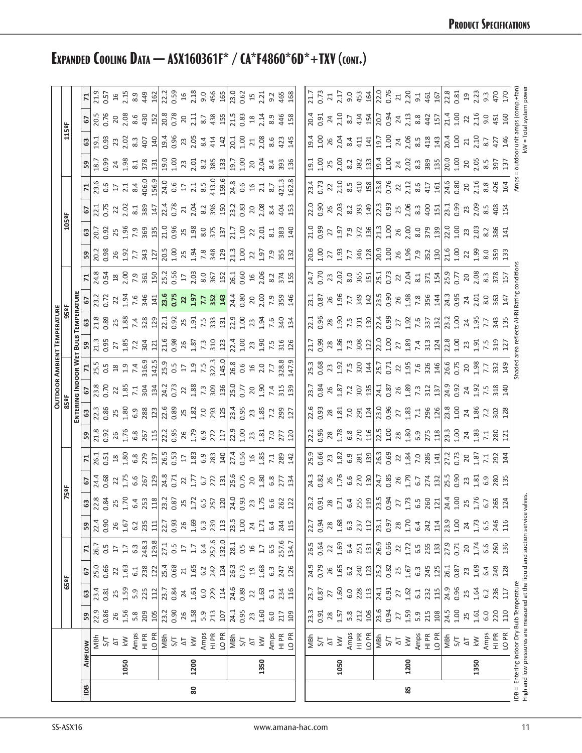|     |      |                                                                       |                |                |                |                                           |                  |                                                                                                                                                                                                                                                                                                                     |                                                                                                                                                                                                                                                                                                                      |               |                                                                                                                                                                                                                                                                                                                                                             |                                                                                                                                                                                                                                                                                                                                     |                                                                                                                                                                                                                                                                                                                      | AMBI                                                                                                                                                                                                                                                                                               |                                                                         |                                                                                                                                                                                                                                                                                                            |                                                                                                                                                                                                                                                                                                                                                           |                                                                                                                                                                                                                                                                                                                     |                                                                                                                            |                                                                                                                                                                                                                                                                                                                                                           |                                                                                                                                                                                                                                                                                                                                                           |                                                                                                                                                                                                                                                                                                                          |                                                                                                                                                                                                                                                                                            |                                                                                                                                                                                                                                                                                                                       |  |
|-----|------|-----------------------------------------------------------------------|----------------|----------------|----------------|-------------------------------------------|------------------|---------------------------------------------------------------------------------------------------------------------------------------------------------------------------------------------------------------------------------------------------------------------------------------------------------------------|----------------------------------------------------------------------------------------------------------------------------------------------------------------------------------------------------------------------------------------------------------------------------------------------------------------------|---------------|-------------------------------------------------------------------------------------------------------------------------------------------------------------------------------------------------------------------------------------------------------------------------------------------------------------------------------------------------------------|-------------------------------------------------------------------------------------------------------------------------------------------------------------------------------------------------------------------------------------------------------------------------------------------------------------------------------------|----------------------------------------------------------------------------------------------------------------------------------------------------------------------------------------------------------------------------------------------------------------------------------------------------------------------|----------------------------------------------------------------------------------------------------------------------------------------------------------------------------------------------------------------------------------------------------------------------------------------------------|-------------------------------------------------------------------------|------------------------------------------------------------------------------------------------------------------------------------------------------------------------------------------------------------------------------------------------------------------------------------------------------------|-----------------------------------------------------------------------------------------------------------------------------------------------------------------------------------------------------------------------------------------------------------------------------------------------------------------------------------------------------------|---------------------------------------------------------------------------------------------------------------------------------------------------------------------------------------------------------------------------------------------------------------------------------------------------------------------|----------------------------------------------------------------------------------------------------------------------------|-----------------------------------------------------------------------------------------------------------------------------------------------------------------------------------------------------------------------------------------------------------------------------------------------------------------------------------------------------------|-----------------------------------------------------------------------------------------------------------------------------------------------------------------------------------------------------------------------------------------------------------------------------------------------------------------------------------------------------------|--------------------------------------------------------------------------------------------------------------------------------------------------------------------------------------------------------------------------------------------------------------------------------------------------------------------------|--------------------------------------------------------------------------------------------------------------------------------------------------------------------------------------------------------------------------------------------------------------------------------------------|-----------------------------------------------------------------------------------------------------------------------------------------------------------------------------------------------------------------------------------------------------------------------------------------------------------------------|--|
|     |      |                                                                       |                | 65°F           |                |                                           |                  | 75º                                                                                                                                                                                                                                                                                                                 |                                                                                                                                                                                                                                                                                                                      |               |                                                                                                                                                                                                                                                                                                                                                             |                                                                                                                                                                                                                                                                                                                                     |                                                                                                                                                                                                                                                                                                                      |                                                                                                                                                                                                                                                                                                    |                                                                         |                                                                                                                                                                                                                                                                                                            |                                                                                                                                                                                                                                                                                                                                                           |                                                                                                                                                                                                                                                                                                                     |                                                                                                                            |                                                                                                                                                                                                                                                                                                                                                           |                                                                                                                                                                                                                                                                                                                                                           |                                                                                                                                                                                                                                                                                                                          |                                                                                                                                                                                                                                                                                            |                                                                                                                                                                                                                                                                                                                       |  |
|     |      |                                                                       |                |                |                |                                           |                  |                                                                                                                                                                                                                                                                                                                     |                                                                                                                                                                                                                                                                                                                      |               |                                                                                                                                                                                                                                                                                                                                                             |                                                                                                                                                                                                                                                                                                                                     |                                                                                                                                                                                                                                                                                                                      |                                                                                                                                                                                                                                                                                                    |                                                                         |                                                                                                                                                                                                                                                                                                            |                                                                                                                                                                                                                                                                                                                                                           |                                                                                                                                                                                                                                                                                                                     |                                                                                                                            |                                                                                                                                                                                                                                                                                                                                                           |                                                                                                                                                                                                                                                                                                                                                           |                                                                                                                                                                                                                                                                                                                          |                                                                                                                                                                                                                                                                                            |                                                                                                                                                                                                                                                                                                                       |  |
| ÎОВ |      | AIRFLOW                                                               | 59             | 63             | 67             |                                           | 59               |                                                                                                                                                                                                                                                                                                                     |                                                                                                                                                                                                                                                                                                                      |               |                                                                                                                                                                                                                                                                                                                                                             |                                                                                                                                                                                                                                                                                                                                     |                                                                                                                                                                                                                                                                                                                      |                                                                                                                                                                                                                                                                                                    |                                                                         |                                                                                                                                                                                                                                                                                                            |                                                                                                                                                                                                                                                                                                                                                           |                                                                                                                                                                                                                                                                                                                     |                                                                                                                            |                                                                                                                                                                                                                                                                                                                                                           |                                                                                                                                                                                                                                                                                                                                                           |                                                                                                                                                                                                                                                                                                                          |                                                                                                                                                                                                                                                                                            |                                                                                                                                                                                                                                                                                                                       |  |
|     |      | MB <sub>r</sub>                                                       | 22.9           |                | 25.0           | 26.7                                      | $22.4$<br>0.90   |                                                                                                                                                                                                                                                                                                                     |                                                                                                                                                                                                                                                                                                                      |               |                                                                                                                                                                                                                                                                                                                                                             |                                                                                                                                                                                                                                                                                                                                     |                                                                                                                                                                                                                                                                                                                      |                                                                                                                                                                                                                                                                                                    |                                                                         |                                                                                                                                                                                                                                                                                                            |                                                                                                                                                                                                                                                                                                                                                           |                                                                                                                                                                                                                                                                                                                     |                                                                                                                            |                                                                                                                                                                                                                                                                                                                                                           |                                                                                                                                                                                                                                                                                                                                                           |                                                                                                                                                                                                                                                                                                                          |                                                                                                                                                                                                                                                                                            | $rac{67}{205}$                                                                                                                                                                                                                                                                                                        |  |
|     |      | 5/7                                                                   | 0.86           | 0.81           | 0.66           | $0.5$ $17$                                |                  |                                                                                                                                                                                                                                                                                                                     |                                                                                                                                                                                                                                                                                                                      |               |                                                                                                                                                                                                                                                                                                                                                             |                                                                                                                                                                                                                                                                                                                                     |                                                                                                                                                                                                                                                                                                                      |                                                                                                                                                                                                                                                                                                    |                                                                         |                                                                                                                                                                                                                                                                                                            |                                                                                                                                                                                                                                                                                                                                                           |                                                                                                                                                                                                                                                                                                                     |                                                                                                                            |                                                                                                                                                                                                                                                                                                                                                           |                                                                                                                                                                                                                                                                                                                                                           |                                                                                                                                                                                                                                                                                                                          |                                                                                                                                                                                                                                                                                            |                                                                                                                                                                                                                                                                                                                       |  |
|     |      | $\overline{\Delta}$                                                   | $26$<br>$1.56$ | $25$<br>$1.59$ | 22             |                                           |                  |                                                                                                                                                                                                                                                                                                                     |                                                                                                                                                                                                                                                                                                                      |               |                                                                                                                                                                                                                                                                                                                                                             |                                                                                                                                                                                                                                                                                                                                     |                                                                                                                                                                                                                                                                                                                      |                                                                                                                                                                                                                                                                                                    |                                                                         |                                                                                                                                                                                                                                                                                                            |                                                                                                                                                                                                                                                                                                                                                           |                                                                                                                                                                                                                                                                                                                     |                                                                                                                            |                                                                                                                                                                                                                                                                                                                                                           |                                                                                                                                                                                                                                                                                                                                                           |                                                                                                                                                                                                                                                                                                                          |                                                                                                                                                                                                                                                                                            |                                                                                                                                                                                                                                                                                                                       |  |
|     | 1050 | $\overline{\mathsf{k}\mathsf{W}}$                                     |                |                | 1.63           | $1.7\,$                                   | -161             |                                                                                                                                                                                                                                                                                                                     |                                                                                                                                                                                                                                                                                                                      |               |                                                                                                                                                                                                                                                                                                                                                             |                                                                                                                                                                                                                                                                                                                                     |                                                                                                                                                                                                                                                                                                                      |                                                                                                                                                                                                                                                                                                    |                                                                         |                                                                                                                                                                                                                                                                                                            |                                                                                                                                                                                                                                                                                                                                                           |                                                                                                                                                                                                                                                                                                                     |                                                                                                                            |                                                                                                                                                                                                                                                                                                                                                           |                                                                                                                                                                                                                                                                                                                                                           |                                                                                                                                                                                                                                                                                                                          |                                                                                                                                                                                                                                                                                            |                                                                                                                                                                                                                                                                                                                       |  |
|     |      | Amps<br>HI PR                                                         | 5.8<br>209     | 5.9<br>225     | 6.1            |                                           | 6.2              |                                                                                                                                                                                                                                                                                                                     |                                                                                                                                                                                                                                                                                                                      |               |                                                                                                                                                                                                                                                                                                                                                             |                                                                                                                                                                                                                                                                                                                                     |                                                                                                                                                                                                                                                                                                                      |                                                                                                                                                                                                                                                                                                    |                                                                         |                                                                                                                                                                                                                                                                                                            |                                                                                                                                                                                                                                                                                                                                                           |                                                                                                                                                                                                                                                                                                                     |                                                                                                                            |                                                                                                                                                                                                                                                                                                                                                           |                                                                                                                                                                                                                                                                                                                                                           |                                                                                                                                                                                                                                                                                                                          |                                                                                                                                                                                                                                                                                            |                                                                                                                                                                                                                                                                                                                       |  |
|     |      |                                                                       |                |                | 238            | 6.3<br>248.3<br>129.8                     | 235              | $\frac{1}{3}$ $\frac{1}{3}$ $\frac{3}{3}$ $\frac{3}{3}$ $\frac{1}{3}$ $\frac{1}{3}$ $\frac{1}{3}$ $\frac{1}{3}$ $\frac{1}{3}$ $\frac{1}{3}$ $\frac{1}{3}$ $\frac{1}{3}$ $\frac{1}{3}$ $\frac{1}{3}$ $\frac{1}{3}$ $\frac{1}{3}$ $\frac{1}{3}$ $\frac{1}{3}$ $\frac{1}{3}$ $\frac{1}{3}$ $\frac{1}{3}$ $\frac{1}{3}$ | $5\frac{1}{3}$ $\frac{2}{3}$ $\frac{2}{3}$ $\frac{2}{3}$ $\frac{2}{3}$ $\frac{2}{3}$ $\frac{2}{3}$ $\frac{2}{3}$ $\frac{2}{3}$ $\frac{2}{3}$ $\frac{2}{3}$ $\frac{2}{3}$ $\frac{2}{3}$ $\frac{2}{3}$ $\frac{2}{3}$ $\frac{2}{3}$ $\frac{2}{3}$ $\frac{2}{3}$ $\frac{2}{3}$ $\frac{2}{3}$ $\frac{2}{3}$ $\frac{2}{3}$ | $\frac{1}{2}$ | $\frac{1}{2}$<br>$\frac{1}{2}$ $\frac{1}{2}$ $\frac{1}{2}$ $\frac{1}{2}$ $\frac{1}{2}$ $\frac{1}{2}$ $\frac{1}{2}$ $\frac{1}{2}$ $\frac{1}{2}$ $\frac{1}{2}$ $\frac{1}{2}$ $\frac{1}{2}$ $\frac{1}{2}$ $\frac{1}{2}$ $\frac{1}{2}$ $\frac{1}{2}$ $\frac{1}{2}$ $\frac{1}{2}$ $\frac{1}{2}$ $\frac{1}{2}$ $\frac{1}{2}$ $\frac{1}{2}$ $\frac{1}{2}$ $\frac{$ | $\mathbb{E}[\mathbf{a}]$ $\mathbb{S}$ $\mathbb{S}$ $\mathbb{S}$ $\mathbb{S}$ $\mathbb{S}$ $\mathbb{S}$ $\mathbb{S}$ $\mathbb{S}$ $\mathbb{S}$ $\mathbb{S}$ $\mathbb{S}$ $\mathbb{S}$ $\mathbb{S}$ $\mathbb{S}$ $\mathbb{S}$ $\mathbb{S}$ $\mathbb{S}$ $\mathbb{S}$ $\mathbb{S}$ $\mathbb{S}$ $\mathbb{S}$ $\mathbb{S}$ $\mathbb{S}$ | $5\frac{1}{2}$ $\frac{1}{2}$ $\frac{1}{2}$ $\frac{1}{2}$ $\frac{1}{2}$ $\frac{1}{2}$ $\frac{1}{2}$ $\frac{1}{2}$ $\frac{1}{2}$ $\frac{1}{2}$ $\frac{1}{2}$ $\frac{1}{2}$ $\frac{1}{2}$ $\frac{1}{2}$ $\frac{1}{2}$ $\frac{1}{2}$ $\frac{1}{2}$ $\frac{1}{2}$ $\frac{1}{2}$ $\frac{1}{2}$ $\frac{1}{2}$ $\frac{1}{2}$ | $\frac{8}{6}$ = $\frac{1}{1}$ = $\frac{1}{10}$ = $\frac{1}{10}$ = $\frac{1}{10}$ = $\frac{1}{10}$ = $\frac{1}{10}$ = $\frac{1}{10}$ = $\frac{1}{10}$ = $\frac{1}{10}$ = $\frac{1}{10}$ = $\frac{1}{10}$ = $\frac{1}{10}$ = $\frac{1}{10}$ = $\frac{1}{10}$ = $\frac{1}{10}$ = $\frac{1}{10}$ = $\$ | <mark>ទ</mark> ្យង្រដ្ឋ ដូច និង ដូច និង ដូច និង ដូច និង ដូច និង ដូច និង |                                                                                                                                                                                                                                                                                                            | $\frac{1}{2}$ $\frac{1}{2}$ $\frac{1}{2}$ $\frac{1}{2}$ $\frac{1}{2}$ $\frac{1}{2}$ $\frac{1}{2}$ $\frac{1}{2}$ $\frac{1}{2}$ $\frac{1}{2}$ $\frac{1}{2}$ $\frac{1}{2}$ $\frac{1}{2}$ $\frac{1}{2}$ $\frac{1}{2}$ $\frac{1}{2}$ $\frac{1}{2}$ $\frac{1}{2}$ $\frac{1}{2}$ $\frac{1}{2}$ $\frac{1}{2}$ $\frac{1}{2}$ $\frac{1}{2}$ $\frac{1}{2}$ $\frac{1$ | $\frac{1}{3}$ $\frac{1}{3}$ $\frac{3}{2}$ $\frac{3}{2}$ $\frac{5}{2}$ $\frac{5}{2}$ $\frac{1}{2}$ $\frac{1}{2}$ $\frac{1}{2}$ $\frac{1}{2}$ $\frac{1}{2}$ $\frac{1}{2}$ $\frac{1}{2}$ $\frac{1}{2}$ $\frac{1}{2}$ $\frac{1}{2}$ $\frac{1}{2}$ $\frac{1}{2}$ $\frac{1}{2}$ $\frac{1}{2}$ $\frac{1}{2}$ $\frac{1}{2}$ | <mark>ង</mark>  2 និ ង ដូ ដ ង ដ] 2 ទី ង ដូ ន ង ដ្យ ដ ទី ង ដូ ដ ង ង ដ<br>ស្កាប្ដី ន ង ដី ដ ង ដ ន ង ដ ន ន ង ដ ដ ទី ង ដ ន ង ដ | $\frac{3}{2}$ $\frac{1}{2}$ $\frac{3}{2}$ $\frac{3}{2}$ $\frac{4}{2}$ $\frac{5}{2}$ $\frac{6}{2}$ $\frac{3}{2}$ $\frac{5}{2}$ $\frac{3}{2}$ $\frac{5}{2}$ $\frac{3}{2}$ $\frac{5}{2}$ $\frac{3}{2}$ $\frac{5}{2}$ $\frac{3}{2}$ $\frac{3}{2}$ $\frac{5}{2}$ $\frac{3}{2}$ $\frac{3}{2}$ $\frac{3}{2}$ $\frac{3}{2}$ $\frac{3}{2}$ $\frac{3}{2}$ $\frac{3$ | $5\frac{1}{2}$ $\frac{1}{2}$ $\frac{1}{2}$ $\frac{1}{2}$ $\frac{1}{2}$ $\frac{1}{2}$ $\frac{1}{2}$ $\frac{1}{2}$ $\frac{1}{2}$ $\frac{1}{2}$ $\frac{1}{2}$ $\frac{1}{2}$ $\frac{1}{2}$ $\frac{1}{2}$ $\frac{1}{2}$ $\frac{1}{2}$ $\frac{1}{2}$ $\frac{1}{2}$ $\frac{1}{2}$ $\frac{1}{2}$ $\frac{1}{2}$ $\frac{1}{2}$ $\frac{1}{2}$ $\frac{1}{2}$ $\frac{$ | $\frac{1}{3}$                                                                                                                                                                                                                                                                                                            | $\mathbf{B}$   $\vec{B}$ $\vec{B}$ $\vec{S}$ $\vec{A}$ $\vec{B}$ $\vec{B}$ $\vec{C}$ $\vec{B}$ $\vec{C}$ $\vec{B}$ $\vec{C}$ $\vec{C}$ $\vec{C}$ $\vec{C}$ $\vec{C}$ $\vec{C}$ $\vec{C}$ $\vec{C}$ $\vec{C}$ $\vec{C}$ $\vec{C}$ $\vec{C}$ $\vec{C}$ $\vec{C}$ $\vec{C}$ $\vec{C}$ $\vec{$ | $3\frac{1}{2}$ $\frac{3}{2}$ $\frac{3}{2}$ $\frac{4}{2}$ $\frac{5}{2}$ $\frac{4}{2}$ $\frac{1}{2}$ $\frac{3}{2}$ $\frac{4}{2}$ $\frac{5}{2}$ $\frac{4}{2}$ $\frac{1}{2}$ $\frac{1}{2}$ $\frac{5}{2}$ $\frac{2}{2}$ $\frac{4}{2}$ $\frac{3}{2}$ $\frac{6}{2}$ $\frac{4}{2}$ $\frac{3}{2}$ $\frac{4}{2}$ $\frac{3}{2}$  |  |
|     |      | LO PR                                                                 | 105            | 112            | 122            |                                           | 111              |                                                                                                                                                                                                                                                                                                                     |                                                                                                                                                                                                                                                                                                                      |               |                                                                                                                                                                                                                                                                                                                                                             |                                                                                                                                                                                                                                                                                                                                     |                                                                                                                                                                                                                                                                                                                      |                                                                                                                                                                                                                                                                                                    |                                                                         |                                                                                                                                                                                                                                                                                                            |                                                                                                                                                                                                                                                                                                                                                           |                                                                                                                                                                                                                                                                                                                     |                                                                                                                            |                                                                                                                                                                                                                                                                                                                                                           |                                                                                                                                                                                                                                                                                                                                                           |                                                                                                                                                                                                                                                                                                                          |                                                                                                                                                                                                                                                                                            |                                                                                                                                                                                                                                                                                                                       |  |
|     |      | 하지                                                                    | 23.2           | 23.7           | 25.4           | $27.1$<br>0.5                             | 22.7<br>0.93     |                                                                                                                                                                                                                                                                                                                     |                                                                                                                                                                                                                                                                                                                      |               |                                                                                                                                                                                                                                                                                                                                                             |                                                                                                                                                                                                                                                                                                                                     |                                                                                                                                                                                                                                                                                                                      |                                                                                                                                                                                                                                                                                                    |                                                                         |                                                                                                                                                                                                                                                                                                            |                                                                                                                                                                                                                                                                                                                                                           |                                                                                                                                                                                                                                                                                                                     |                                                                                                                            |                                                                                                                                                                                                                                                                                                                                                           |                                                                                                                                                                                                                                                                                                                                                           |                                                                                                                                                                                                                                                                                                                          |                                                                                                                                                                                                                                                                                            |                                                                                                                                                                                                                                                                                                                       |  |
|     |      |                                                                       | 0.90           | 0.84           | 0.68           |                                           |                  |                                                                                                                                                                                                                                                                                                                     |                                                                                                                                                                                                                                                                                                                      |               |                                                                                                                                                                                                                                                                                                                                                             |                                                                                                                                                                                                                                                                                                                                     |                                                                                                                                                                                                                                                                                                                      |                                                                                                                                                                                                                                                                                                    |                                                                         |                                                                                                                                                                                                                                                                                                            |                                                                                                                                                                                                                                                                                                                                                           |                                                                                                                                                                                                                                                                                                                     |                                                                                                                            |                                                                                                                                                                                                                                                                                                                                                           |                                                                                                                                                                                                                                                                                                                                                           |                                                                                                                                                                                                                                                                                                                          |                                                                                                                                                                                                                                                                                            |                                                                                                                                                                                                                                                                                                                       |  |
|     |      |                                                                       | $26$<br>$1.58$ | 24             | 21             | $\overline{\Omega}$                       | 26               |                                                                                                                                                                                                                                                                                                                     |                                                                                                                                                                                                                                                                                                                      |               |                                                                                                                                                                                                                                                                                                                                                             |                                                                                                                                                                                                                                                                                                                                     |                                                                                                                                                                                                                                                                                                                      |                                                                                                                                                                                                                                                                                                    |                                                                         |                                                                                                                                                                                                                                                                                                            |                                                                                                                                                                                                                                                                                                                                                           |                                                                                                                                                                                                                                                                                                                     |                                                                                                                            |                                                                                                                                                                                                                                                                                                                                                           |                                                                                                                                                                                                                                                                                                                                                           |                                                                                                                                                                                                                                                                                                                          |                                                                                                                                                                                                                                                                                            |                                                                                                                                                                                                                                                                                                                       |  |
| 80  | 1200 | $\lesssim$                                                            |                | 1.61           | 1.65           | $\overline{1.7}$                          | 1.69             |                                                                                                                                                                                                                                                                                                                     |                                                                                                                                                                                                                                                                                                                      |               |                                                                                                                                                                                                                                                                                                                                                             |                                                                                                                                                                                                                                                                                                                                     |                                                                                                                                                                                                                                                                                                                      |                                                                                                                                                                                                                                                                                                    |                                                                         |                                                                                                                                                                                                                                                                                                            |                                                                                                                                                                                                                                                                                                                                                           |                                                                                                                                                                                                                                                                                                                     |                                                                                                                            |                                                                                                                                                                                                                                                                                                                                                           |                                                                                                                                                                                                                                                                                                                                                           |                                                                                                                                                                                                                                                                                                                          |                                                                                                                                                                                                                                                                                            |                                                                                                                                                                                                                                                                                                                       |  |
|     |      | Amps                                                                  | 5.9            | 6.0            | 6.2            | 6.4                                       | 6.3              |                                                                                                                                                                                                                                                                                                                     |                                                                                                                                                                                                                                                                                                                      |               |                                                                                                                                                                                                                                                                                                                                                             |                                                                                                                                                                                                                                                                                                                                     |                                                                                                                                                                                                                                                                                                                      |                                                                                                                                                                                                                                                                                                    |                                                                         |                                                                                                                                                                                                                                                                                                            |                                                                                                                                                                                                                                                                                                                                                           |                                                                                                                                                                                                                                                                                                                     |                                                                                                                            |                                                                                                                                                                                                                                                                                                                                                           |                                                                                                                                                                                                                                                                                                                                                           |                                                                                                                                                                                                                                                                                                                          |                                                                                                                                                                                                                                                                                            |                                                                                                                                                                                                                                                                                                                       |  |
|     |      | HI PR                                                                 | 213            | 229            | 242            | 252.6                                     | 239              |                                                                                                                                                                                                                                                                                                                     |                                                                                                                                                                                                                                                                                                                      |               |                                                                                                                                                                                                                                                                                                                                                             |                                                                                                                                                                                                                                                                                                                                     |                                                                                                                                                                                                                                                                                                                      |                                                                                                                                                                                                                                                                                                    |                                                                         |                                                                                                                                                                                                                                                                                                            |                                                                                                                                                                                                                                                                                                                                                           |                                                                                                                                                                                                                                                                                                                     |                                                                                                                            |                                                                                                                                                                                                                                                                                                                                                           |                                                                                                                                                                                                                                                                                                                                                           |                                                                                                                                                                                                                                                                                                                          |                                                                                                                                                                                                                                                                                            |                                                                                                                                                                                                                                                                                                                       |  |
|     |      | LO <sub>PR</sub>                                                      | 107            | 114            | 124            | 132.0                                     | 113              |                                                                                                                                                                                                                                                                                                                     |                                                                                                                                                                                                                                                                                                                      |               |                                                                                                                                                                                                                                                                                                                                                             |                                                                                                                                                                                                                                                                                                                                     |                                                                                                                                                                                                                                                                                                                      |                                                                                                                                                                                                                                                                                                    |                                                                         |                                                                                                                                                                                                                                                                                                            |                                                                                                                                                                                                                                                                                                                                                           |                                                                                                                                                                                                                                                                                                                     |                                                                                                                            |                                                                                                                                                                                                                                                                                                                                                           |                                                                                                                                                                                                                                                                                                                                                           |                                                                                                                                                                                                                                                                                                                          |                                                                                                                                                                                                                                                                                            |                                                                                                                                                                                                                                                                                                                       |  |
|     |      |                                                                       |                |                | 26.3           | 28.1                                      |                  |                                                                                                                                                                                                                                                                                                                     |                                                                                                                                                                                                                                                                                                                      |               |                                                                                                                                                                                                                                                                                                                                                             |                                                                                                                                                                                                                                                                                                                                     |                                                                                                                                                                                                                                                                                                                      |                                                                                                                                                                                                                                                                                                    |                                                                         |                                                                                                                                                                                                                                                                                                            |                                                                                                                                                                                                                                                                                                                                                           |                                                                                                                                                                                                                                                                                                                     |                                                                                                                            |                                                                                                                                                                                                                                                                                                                                                           |                                                                                                                                                                                                                                                                                                                                                           |                                                                                                                                                                                                                                                                                                                          |                                                                                                                                                                                                                                                                                            |                                                                                                                                                                                                                                                                                                                       |  |
|     |      | ngv<br>2년                                                             | 24.1<br>0.95   | 24.6<br>0.89   | 0.73           | 0.5                                       | 23.5<br>1.00     |                                                                                                                                                                                                                                                                                                                     |                                                                                                                                                                                                                                                                                                                      |               |                                                                                                                                                                                                                                                                                                                                                             |                                                                                                                                                                                                                                                                                                                                     |                                                                                                                                                                                                                                                                                                                      |                                                                                                                                                                                                                                                                                                    |                                                                         |                                                                                                                                                                                                                                                                                                            |                                                                                                                                                                                                                                                                                                                                                           |                                                                                                                                                                                                                                                                                                                     |                                                                                                                            |                                                                                                                                                                                                                                                                                                                                                           |                                                                                                                                                                                                                                                                                                                                                           |                                                                                                                                                                                                                                                                                                                          |                                                                                                                                                                                                                                                                                            |                                                                                                                                                                                                                                                                                                                       |  |
|     |      | $\overline{\mathcal{L}}$                                              | 23             | 22             | $\overline{a}$ | $\overline{a}$                            | 24               |                                                                                                                                                                                                                                                                                                                     |                                                                                                                                                                                                                                                                                                                      |               |                                                                                                                                                                                                                                                                                                                                                             |                                                                                                                                                                                                                                                                                                                                     |                                                                                                                                                                                                                                                                                                                      |                                                                                                                                                                                                                                                                                                    |                                                                         |                                                                                                                                                                                                                                                                                                            |                                                                                                                                                                                                                                                                                                                                                           |                                                                                                                                                                                                                                                                                                                     |                                                                                                                            |                                                                                                                                                                                                                                                                                                                                                           |                                                                                                                                                                                                                                                                                                                                                           |                                                                                                                                                                                                                                                                                                                          |                                                                                                                                                                                                                                                                                            |                                                                                                                                                                                                                                                                                                                       |  |
|     | 1350 | $\overline{\mathsf{k}}$ W                                             | 1.60           | 1.63           | 1.68           | $1.7\,$                                   | 1.71             |                                                                                                                                                                                                                                                                                                                     |                                                                                                                                                                                                                                                                                                                      |               |                                                                                                                                                                                                                                                                                                                                                             |                                                                                                                                                                                                                                                                                                                                     |                                                                                                                                                                                                                                                                                                                      |                                                                                                                                                                                                                                                                                                    |                                                                         |                                                                                                                                                                                                                                                                                                            |                                                                                                                                                                                                                                                                                                                                                           |                                                                                                                                                                                                                                                                                                                     |                                                                                                                            |                                                                                                                                                                                                                                                                                                                                                           |                                                                                                                                                                                                                                                                                                                                                           |                                                                                                                                                                                                                                                                                                                          |                                                                                                                                                                                                                                                                                            |                                                                                                                                                                                                                                                                                                                       |  |
|     |      | Amps                                                                  | 6.0            | 6.1            | 6.3            | 6.5                                       | 6.4              |                                                                                                                                                                                                                                                                                                                     |                                                                                                                                                                                                                                                                                                                      |               |                                                                                                                                                                                                                                                                                                                                                             |                                                                                                                                                                                                                                                                                                                                     |                                                                                                                                                                                                                                                                                                                      |                                                                                                                                                                                                                                                                                                    |                                                                         |                                                                                                                                                                                                                                                                                                            |                                                                                                                                                                                                                                                                                                                                                           |                                                                                                                                                                                                                                                                                                                     |                                                                                                                            |                                                                                                                                                                                                                                                                                                                                                           |                                                                                                                                                                                                                                                                                                                                                           |                                                                                                                                                                                                                                                                                                                          |                                                                                                                                                                                                                                                                                            |                                                                                                                                                                                                                                                                                                                       |  |
|     |      | HI PR                                                                 | 217            | 234            | 247            |                                           | 244              |                                                                                                                                                                                                                                                                                                                     |                                                                                                                                                                                                                                                                                                                      |               |                                                                                                                                                                                                                                                                                                                                                             |                                                                                                                                                                                                                                                                                                                                     |                                                                                                                                                                                                                                                                                                                      |                                                                                                                                                                                                                                                                                                    |                                                                         |                                                                                                                                                                                                                                                                                                            |                                                                                                                                                                                                                                                                                                                                                           |                                                                                                                                                                                                                                                                                                                     |                                                                                                                            |                                                                                                                                                                                                                                                                                                                                                           |                                                                                                                                                                                                                                                                                                                                                           |                                                                                                                                                                                                                                                                                                                          |                                                                                                                                                                                                                                                                                            |                                                                                                                                                                                                                                                                                                                       |  |
|     |      | LO <sub>PR</sub>                                                      | 109            | 116            | 126            | 257.6<br>134.7                            | 115              |                                                                                                                                                                                                                                                                                                                     |                                                                                                                                                                                                                                                                                                                      |               |                                                                                                                                                                                                                                                                                                                                                             |                                                                                                                                                                                                                                                                                                                                     |                                                                                                                                                                                                                                                                                                                      |                                                                                                                                                                                                                                                                                                    |                                                                         |                                                                                                                                                                                                                                                                                                            |                                                                                                                                                                                                                                                                                                                                                           |                                                                                                                                                                                                                                                                                                                     |                                                                                                                            |                                                                                                                                                                                                                                                                                                                                                           |                                                                                                                                                                                                                                                                                                                                                           |                                                                                                                                                                                                                                                                                                                          | 136                                                                                                                                                                                                                                                                                        |                                                                                                                                                                                                                                                                                                                       |  |
|     |      |                                                                       |                |                |                |                                           |                  |                                                                                                                                                                                                                                                                                                                     |                                                                                                                                                                                                                                                                                                                      |               |                                                                                                                                                                                                                                                                                                                                                             |                                                                                                                                                                                                                                                                                                                                     |                                                                                                                                                                                                                                                                                                                      |                                                                                                                                                                                                                                                                                                    |                                                                         |                                                                                                                                                                                                                                                                                                            |                                                                                                                                                                                                                                                                                                                                                           |                                                                                                                                                                                                                                                                                                                     |                                                                                                                            |                                                                                                                                                                                                                                                                                                                                                           |                                                                                                                                                                                                                                                                                                                                                           |                                                                                                                                                                                                                                                                                                                          |                                                                                                                                                                                                                                                                                            |                                                                                                                                                                                                                                                                                                                       |  |
|     |      |                                                                       | 23.3           | 23.7           |                |                                           |                  |                                                                                                                                                                                                                                                                                                                     |                                                                                                                                                                                                                                                                                                                      |               |                                                                                                                                                                                                                                                                                                                                                             |                                                                                                                                                                                                                                                                                                                                     |                                                                                                                                                                                                                                                                                                                      |                                                                                                                                                                                                                                                                                                    |                                                                         |                                                                                                                                                                                                                                                                                                            |                                                                                                                                                                                                                                                                                                                                                           |                                                                                                                                                                                                                                                                                                                     |                                                                                                                            |                                                                                                                                                                                                                                                                                                                                                           |                                                                                                                                                                                                                                                                                                                                                           |                                                                                                                                                                                                                                                                                                                          |                                                                                                                                                                                                                                                                                            |                                                                                                                                                                                                                                                                                                                       |  |
|     |      | 지종<br>S/T                                                             |                |                | 24.9<br>0.79   | 26.5<br>0.64                              | 22.7<br>0.94     |                                                                                                                                                                                                                                                                                                                     |                                                                                                                                                                                                                                                                                                                      |               |                                                                                                                                                                                                                                                                                                                                                             |                                                                                                                                                                                                                                                                                                                                     |                                                                                                                                                                                                                                                                                                                      |                                                                                                                                                                                                                                                                                                    |                                                                         |                                                                                                                                                                                                                                                                                                            |                                                                                                                                                                                                                                                                                                                                                           |                                                                                                                                                                                                                                                                                                                     |                                                                                                                            |                                                                                                                                                                                                                                                                                                                                                           |                                                                                                                                                                                                                                                                                                                                                           |                                                                                                                                                                                                                                                                                                                          |                                                                                                                                                                                                                                                                                            |                                                                                                                                                                                                                                                                                                                       |  |
|     |      |                                                                       | 0.91           | 0.87           |                |                                           |                  |                                                                                                                                                                                                                                                                                                                     |                                                                                                                                                                                                                                                                                                                      |               |                                                                                                                                                                                                                                                                                                                                                             |                                                                                                                                                                                                                                                                                                                                     |                                                                                                                                                                                                                                                                                                                      |                                                                                                                                                                                                                                                                                                    |                                                                         |                                                                                                                                                                                                                                                                                                            |                                                                                                                                                                                                                                                                                                                                                           |                                                                                                                                                                                                                                                                                                                     |                                                                                                                            |                                                                                                                                                                                                                                                                                                                                                           |                                                                                                                                                                                                                                                                                                                                                           |                                                                                                                                                                                                                                                                                                                          |                                                                                                                                                                                                                                                                                            |                                                                                                                                                                                                                                                                                                                       |  |
|     |      | $\overline{\Delta}$                                                   | $28$           | 27             | 26             | 22                                        | 28               |                                                                                                                                                                                                                                                                                                                     |                                                                                                                                                                                                                                                                                                                      |               |                                                                                                                                                                                                                                                                                                                                                             |                                                                                                                                                                                                                                                                                                                                     |                                                                                                                                                                                                                                                                                                                      |                                                                                                                                                                                                                                                                                                    |                                                                         |                                                                                                                                                                                                                                                                                                            |                                                                                                                                                                                                                                                                                                                                                           |                                                                                                                                                                                                                                                                                                                     |                                                                                                                            |                                                                                                                                                                                                                                                                                                                                                           |                                                                                                                                                                                                                                                                                                                                                           |                                                                                                                                                                                                                                                                                                                          |                                                                                                                                                                                                                                                                                            |                                                                                                                                                                                                                                                                                                                       |  |
|     | 1050 | $\kappa$ $\!$                                                         | 1.57           | 1.60           | 1.65           | 1.69                                      | 1.68             |                                                                                                                                                                                                                                                                                                                     |                                                                                                                                                                                                                                                                                                                      |               |                                                                                                                                                                                                                                                                                                                                                             |                                                                                                                                                                                                                                                                                                                                     |                                                                                                                                                                                                                                                                                                                      |                                                                                                                                                                                                                                                                                                    |                                                                         |                                                                                                                                                                                                                                                                                                            |                                                                                                                                                                                                                                                                                                                                                           |                                                                                                                                                                                                                                                                                                                     |                                                                                                                            |                                                                                                                                                                                                                                                                                                                                                           |                                                                                                                                                                                                                                                                                                                                                           |                                                                                                                                                                                                                                                                                                                          |                                                                                                                                                                                                                                                                                            |                                                                                                                                                                                                                                                                                                                       |  |
|     |      | Amps<br>HI PR                                                         | 5.8            | 6.0            | 6.2            | 6.4                                       | $6.\overline{3}$ |                                                                                                                                                                                                                                                                                                                     |                                                                                                                                                                                                                                                                                                                      |               |                                                                                                                                                                                                                                                                                                                                                             |                                                                                                                                                                                                                                                                                                                                     |                                                                                                                                                                                                                                                                                                                      |                                                                                                                                                                                                                                                                                                    |                                                                         |                                                                                                                                                                                                                                                                                                            |                                                                                                                                                                                                                                                                                                                                                           |                                                                                                                                                                                                                                                                                                                     |                                                                                                                            |                                                                                                                                                                                                                                                                                                                                                           |                                                                                                                                                                                                                                                                                                                                                           |                                                                                                                                                                                                                                                                                                                          |                                                                                                                                                                                                                                                                                            |                                                                                                                                                                                                                                                                                                                       |  |
|     |      |                                                                       | 212            | 228            | 240            | 251                                       | 237              |                                                                                                                                                                                                                                                                                                                     |                                                                                                                                                                                                                                                                                                                      |               |                                                                                                                                                                                                                                                                                                                                                             |                                                                                                                                                                                                                                                                                                                                     |                                                                                                                                                                                                                                                                                                                      |                                                                                                                                                                                                                                                                                                    |                                                                         |                                                                                                                                                                                                                                                                                                            |                                                                                                                                                                                                                                                                                                                                                           |                                                                                                                                                                                                                                                                                                                     |                                                                                                                            |                                                                                                                                                                                                                                                                                                                                                           |                                                                                                                                                                                                                                                                                                                                                           |                                                                                                                                                                                                                                                                                                                          |                                                                                                                                                                                                                                                                                            |                                                                                                                                                                                                                                                                                                                       |  |
|     |      | LO PR                                                                 | 106            | 113            | 123            | 131                                       | 112              |                                                                                                                                                                                                                                                                                                                     |                                                                                                                                                                                                                                                                                                                      |               |                                                                                                                                                                                                                                                                                                                                                             |                                                                                                                                                                                                                                                                                                                                     |                                                                                                                                                                                                                                                                                                                      |                                                                                                                                                                                                                                                                                                    |                                                                         |                                                                                                                                                                                                                                                                                                            |                                                                                                                                                                                                                                                                                                                                                           |                                                                                                                                                                                                                                                                                                                     |                                                                                                                            |                                                                                                                                                                                                                                                                                                                                                           |                                                                                                                                                                                                                                                                                                                                                           |                                                                                                                                                                                                                                                                                                                          |                                                                                                                                                                                                                                                                                            |                                                                                                                                                                                                                                                                                                                       |  |
|     |      | 지<br>S/T                                                              | 23.6<br>0.94   | 24.1           | 25.2           | 26.9                                      | 23.1             |                                                                                                                                                                                                                                                                                                                     |                                                                                                                                                                                                                                                                                                                      |               |                                                                                                                                                                                                                                                                                                                                                             |                                                                                                                                                                                                                                                                                                                                     |                                                                                                                                                                                                                                                                                                                      |                                                                                                                                                                                                                                                                                                    |                                                                         |                                                                                                                                                                                                                                                                                                            |                                                                                                                                                                                                                                                                                                                                                           |                                                                                                                                                                                                                                                                                                                     |                                                                                                                            |                                                                                                                                                                                                                                                                                                                                                           |                                                                                                                                                                                                                                                                                                                                                           |                                                                                                                                                                                                                                                                                                                          |                                                                                                                                                                                                                                                                                            |                                                                                                                                                                                                                                                                                                                       |  |
|     |      |                                                                       |                | 0.91           | 0.82           | 0.66                                      | 0.97             |                                                                                                                                                                                                                                                                                                                     |                                                                                                                                                                                                                                                                                                                      |               |                                                                                                                                                                                                                                                                                                                                                             |                                                                                                                                                                                                                                                                                                                                     |                                                                                                                                                                                                                                                                                                                      |                                                                                                                                                                                                                                                                                                    |                                                                         |                                                                                                                                                                                                                                                                                                            |                                                                                                                                                                                                                                                                                                                                                           |                                                                                                                                                                                                                                                                                                                     |                                                                                                                            |                                                                                                                                                                                                                                                                                                                                                           |                                                                                                                                                                                                                                                                                                                                                           |                                                                                                                                                                                                                                                                                                                          |                                                                                                                                                                                                                                                                                            |                                                                                                                                                                                                                                                                                                                       |  |
|     |      | $\Delta \mathsf{T}$                                                   | 27             | 27             | 25             |                                           | 28               |                                                                                                                                                                                                                                                                                                                     |                                                                                                                                                                                                                                                                                                                      |               |                                                                                                                                                                                                                                                                                                                                                             |                                                                                                                                                                                                                                                                                                                                     |                                                                                                                                                                                                                                                                                                                      |                                                                                                                                                                                                                                                                                                    |                                                                         |                                                                                                                                                                                                                                                                                                            |                                                                                                                                                                                                                                                                                                                                                           |                                                                                                                                                                                                                                                                                                                     |                                                                                                                            |                                                                                                                                                                                                                                                                                                                                                           |                                                                                                                                                                                                                                                                                                                                                           |                                                                                                                                                                                                                                                                                                                          |                                                                                                                                                                                                                                                                                            |                                                                                                                                                                                                                                                                                                                       |  |
| 85  | 1200 | $\lesssim$                                                            | 1.59           | 1.62           | 1.67           | $22$<br>$1.72$<br>$6.5$<br>$253$<br>$133$ | 1.70             |                                                                                                                                                                                                                                                                                                                     |                                                                                                                                                                                                                                                                                                                      |               |                                                                                                                                                                                                                                                                                                                                                             |                                                                                                                                                                                                                                                                                                                                     |                                                                                                                                                                                                                                                                                                                      |                                                                                                                                                                                                                                                                                                    |                                                                         |                                                                                                                                                                                                                                                                                                            |                                                                                                                                                                                                                                                                                                                                                           |                                                                                                                                                                                                                                                                                                                     |                                                                                                                            |                                                                                                                                                                                                                                                                                                                                                           |                                                                                                                                                                                                                                                                                                                                                           |                                                                                                                                                                                                                                                                                                                          |                                                                                                                                                                                                                                                                                            |                                                                                                                                                                                                                                                                                                                       |  |
|     |      |                                                                       | 5.9            | 6.1            | 6.3            |                                           | 6.4              |                                                                                                                                                                                                                                                                                                                     |                                                                                                                                                                                                                                                                                                                      |               |                                                                                                                                                                                                                                                                                                                                                             |                                                                                                                                                                                                                                                                                                                                     |                                                                                                                                                                                                                                                                                                                      |                                                                                                                                                                                                                                                                                                    |                                                                         |                                                                                                                                                                                                                                                                                                            |                                                                                                                                                                                                                                                                                                                                                           |                                                                                                                                                                                                                                                                                                                     |                                                                                                                            |                                                                                                                                                                                                                                                                                                                                                           |                                                                                                                                                                                                                                                                                                                                                           |                                                                                                                                                                                                                                                                                                                          |                                                                                                                                                                                                                                                                                            |                                                                                                                                                                                                                                                                                                                       |  |
|     |      | Amps<br>HI PR<br>LO PR                                                | 215            | 232            | 245            |                                           | 242              |                                                                                                                                                                                                                                                                                                                     |                                                                                                                                                                                                                                                                                                                      |               |                                                                                                                                                                                                                                                                                                                                                             |                                                                                                                                                                                                                                                                                                                                     |                                                                                                                                                                                                                                                                                                                      |                                                                                                                                                                                                                                                                                                    |                                                                         |                                                                                                                                                                                                                                                                                                            |                                                                                                                                                                                                                                                                                                                                                           |                                                                                                                                                                                                                                                                                                                     |                                                                                                                            |                                                                                                                                                                                                                                                                                                                                                           |                                                                                                                                                                                                                                                                                                                                                           |                                                                                                                                                                                                                                                                                                                          |                                                                                                                                                                                                                                                                                            |                                                                                                                                                                                                                                                                                                                       |  |
|     |      |                                                                       | 108            | 115            | 125            |                                           | 114              |                                                                                                                                                                                                                                                                                                                     |                                                                                                                                                                                                                                                                                                                      |               |                                                                                                                                                                                                                                                                                                                                                             |                                                                                                                                                                                                                                                                                                                                     |                                                                                                                                                                                                                                                                                                                      |                                                                                                                                                                                                                                                                                                    |                                                                         |                                                                                                                                                                                                                                                                                                            |                                                                                                                                                                                                                                                                                                                                                           |                                                                                                                                                                                                                                                                                                                     |                                                                                                                            |                                                                                                                                                                                                                                                                                                                                                           |                                                                                                                                                                                                                                                                                                                                                           |                                                                                                                                                                                                                                                                                                                          |                                                                                                                                                                                                                                                                                            |                                                                                                                                                                                                                                                                                                                       |  |
|     |      | MBh<br>S/T                                                            | 24.5<br>1.00   | 24.9<br>0.96   | 26.1<br>0.87   | 27.9<br>0.71                              | 23.9<br>1.00     | $\frac{1}{2}$ $\frac{1}{2}$ $\frac{1}{2}$ $\frac{1}{2}$ $\frac{1}{2}$ $\frac{1}{2}$ $\frac{1}{2}$ $\frac{1}{2}$ $\frac{1}{2}$ $\frac{1}{2}$ $\frac{1}{2}$ $\frac{1}{2}$ $\frac{1}{2}$ $\frac{1}{2}$ $\frac{1}{2}$ $\frac{1}{2}$ $\frac{1}{2}$ $\frac{1}{2}$ $\frac{1}{2}$ $\frac{1}{2}$ $\frac{1}{2}$ $\frac{1}{2}$ | 3 ខ្លួន ដូច ខ្លួន ខ្លែង ដូច ខ្លួន ដូច ខ្លួន ដូច ខ្លួន ដូច ខ្លួន ដូច ខ្លួន ដូច ខ្លួន ដូច ខ្លួន ដូច ខ្លួន ដូ                                                                                                                                                                                                           |               | 있음 & 있음 등 전 시설 등 & 영양 정 제임 등 없습니다.<br>X1 등 & 정 정 제 정 정 정 정 정 정 제 정 정 정 정 정 정 정                                                                                                                                                                                                                                                                              |                                                                                                                                                                                                                                                                                                                                     |                                                                                                                                                                                                                                                                                                                      | 2008 2012 2023 2024 2025 2026 2027 2029 2030 2031 2032 2033 2034 2035 2036 2036 2037 2038 2034 2035 2036 2037<br>2023 2034 2035 2036 2036 2037 2038 2039 2031 2032 2033 2034 2035 2036 2037 2038 2031 2032 2033 2034 2035 2036                                                                     |                                                                         | $\frac{13}{23}$ $\frac{8}{5}$ $\frac{8}{5}$ $\frac{15}{12}$ $\frac{13}{12}$ $\frac{13}{12}$ $\frac{13}{12}$ $\frac{13}{12}$ $\frac{13}{12}$ $\frac{13}{12}$ $\frac{13}{12}$ $\frac{13}{12}$ $\frac{13}{12}$ $\frac{13}{12}$ $\frac{13}{12}$ $\frac{13}{12}$ $\frac{13}{12}$ $\frac{13}{12}$ $\frac{13}{12$ | $\frac{3}{2}$ $\frac{3}{2}$ $\frac{3}{2}$ $\frac{4}{2}$ $\frac{1}{2}$ $\frac{3}{2}$ $\frac{3}{2}$ $\frac{3}{2}$ $\frac{3}{2}$ $\frac{3}{2}$ $\frac{4}{2}$ $\frac{3}{2}$ $\frac{4}{2}$ $\frac{3}{2}$ $\frac{5}{2}$ $\frac{3}{2}$ $\frac{4}{2}$ $\frac{3}{2}$ $\frac{5}{2}$ $\frac{3}{2}$ $\frac{3}{2}$ $\frac{4}{2}$                                       |                                                                                                                                                                                                                                                                                                                     |                                                                                                                            |                                                                                                                                                                                                                                                                                                                                                           | $23.9$ $8.9$ $3.3$ $3.4$ $1/3.9$ $3.5$ $3.6$ $3.3$ $3.4$ $1/3.9$ $3.3$ $3.4$ $3.4$ $3.5$ $3.4$ $3.4$ $3.5$ $3.5$ $3.5$ $3.5$ $3.5$ $3.5$ $3.5$ $3.5$ $3.5$ $3.5$ $3.5$ $3.5$ $3.5$ $3.5$ $3.5$ $3.5$ $3.5$ $3.5$ $3.5$ $3.5$ $3.5$                                                                                                                        | $\begin{array}{cccccc}\n3.75 & 2 & 3 & 3 & 4 & 11 \\ 2.75 & 3 & 5 & 3 & 4 & 11 \\ 3.75 & 3 & 5 & 4 & 11 \\ 4.75 & 3 & 5 & 4 & 11 \\ 5.75 & 3 & 5 & 11 & 11 \\ 6.75 & 3 & 5 & 11 & 11 \\ 7.75 & 3 & 5 & 11 & 11 \\ 8.75 & 3 & 5 & 11 & 11 \\ 9.75 & 3 & 5 & 11 & 11 \\ 10.75 & 3 & 5 & 11 & 11 \\ 11.75 & 3 & 5 & 11 & 1$ |                                                                                                                                                                                                                                                                                            | $25.5$ $\frac{4}{3}$ $\frac{5}{3}$ $\frac{1}{2}$ $\frac{3}{2}$ $\frac{4}{3}$ $\frac{1}{2}$ $\frac{5}{3}$ $\frac{4}{3}$ $\frac{3}{2}$ $\frac{3}{2}$ $\frac{4}{3}$ $\frac{5}{2}$ $\frac{3}{2}$ $\frac{4}{3}$ $\frac{5}{2}$ $\frac{3}{2}$ $\frac{4}{3}$ $\frac{5}{2}$ $\frac{3}{2}$ $\frac{4}{3}$ $\frac{5}{2}$ $\frac{$ |  |
|     |      |                                                                       |                |                |                |                                           |                  |                                                                                                                                                                                                                                                                                                                     |                                                                                                                                                                                                                                                                                                                      |               |                                                                                                                                                                                                                                                                                                                                                             |                                                                                                                                                                                                                                                                                                                                     |                                                                                                                                                                                                                                                                                                                      |                                                                                                                                                                                                                                                                                                    |                                                                         |                                                                                                                                                                                                                                                                                                            |                                                                                                                                                                                                                                                                                                                                                           |                                                                                                                                                                                                                                                                                                                     |                                                                                                                            |                                                                                                                                                                                                                                                                                                                                                           |                                                                                                                                                                                                                                                                                                                                                           |                                                                                                                                                                                                                                                                                                                          |                                                                                                                                                                                                                                                                                            |                                                                                                                                                                                                                                                                                                                       |  |
|     |      | $\overline{\Delta}$                                                   | 25             | 25             | 23             | 20                                        | 24               |                                                                                                                                                                                                                                                                                                                     |                                                                                                                                                                                                                                                                                                                      |               |                                                                                                                                                                                                                                                                                                                                                             |                                                                                                                                                                                                                                                                                                                                     |                                                                                                                                                                                                                                                                                                                      |                                                                                                                                                                                                                                                                                                    |                                                                         |                                                                                                                                                                                                                                                                                                            |                                                                                                                                                                                                                                                                                                                                                           |                                                                                                                                                                                                                                                                                                                     |                                                                                                                            |                                                                                                                                                                                                                                                                                                                                                           |                                                                                                                                                                                                                                                                                                                                                           |                                                                                                                                                                                                                                                                                                                          |                                                                                                                                                                                                                                                                                            |                                                                                                                                                                                                                                                                                                                       |  |
|     | 1350 | $\leq$                                                                | 1.61           | 1.64           | 1.69           | 1.74                                      | 1.73             |                                                                                                                                                                                                                                                                                                                     |                                                                                                                                                                                                                                                                                                                      |               |                                                                                                                                                                                                                                                                                                                                                             |                                                                                                                                                                                                                                                                                                                                     |                                                                                                                                                                                                                                                                                                                      |                                                                                                                                                                                                                                                                                                    |                                                                         |                                                                                                                                                                                                                                                                                                            |                                                                                                                                                                                                                                                                                                                                                           |                                                                                                                                                                                                                                                                                                                     |                                                                                                                            |                                                                                                                                                                                                                                                                                                                                                           |                                                                                                                                                                                                                                                                                                                                                           |                                                                                                                                                                                                                                                                                                                          |                                                                                                                                                                                                                                                                                            |                                                                                                                                                                                                                                                                                                                       |  |
|     |      | Amps                                                                  | 6.0            | 6.2            | 6.4            | 6.6                                       | $6.\overline{5}$ |                                                                                                                                                                                                                                                                                                                     |                                                                                                                                                                                                                                                                                                                      |               |                                                                                                                                                                                                                                                                                                                                                             |                                                                                                                                                                                                                                                                                                                                     |                                                                                                                                                                                                                                                                                                                      |                                                                                                                                                                                                                                                                                                    |                                                                         |                                                                                                                                                                                                                                                                                                            |                                                                                                                                                                                                                                                                                                                                                           |                                                                                                                                                                                                                                                                                                                     |                                                                                                                            |                                                                                                                                                                                                                                                                                                                                                           |                                                                                                                                                                                                                                                                                                                                                           |                                                                                                                                                                                                                                                                                                                          |                                                                                                                                                                                                                                                                                            |                                                                                                                                                                                                                                                                                                                       |  |
|     |      | HI PR                                                                 | 220            | 236            | 249            | 260                                       | 246              |                                                                                                                                                                                                                                                                                                                     |                                                                                                                                                                                                                                                                                                                      |               |                                                                                                                                                                                                                                                                                                                                                             |                                                                                                                                                                                                                                                                                                                                     |                                                                                                                                                                                                                                                                                                                      |                                                                                                                                                                                                                                                                                                    |                                                                         |                                                                                                                                                                                                                                                                                                            |                                                                                                                                                                                                                                                                                                                                                           |                                                                                                                                                                                                                                                                                                                     |                                                                                                                            |                                                                                                                                                                                                                                                                                                                                                           |                                                                                                                                                                                                                                                                                                                                                           |                                                                                                                                                                                                                                                                                                                          |                                                                                                                                                                                                                                                                                            | 8.7<br>427<br>146                                                                                                                                                                                                                                                                                                     |  |
|     |      | LO PR                                                                 | 110            | 117            | 128            | 136                                       | 116              |                                                                                                                                                                                                                                                                                                                     |                                                                                                                                                                                                                                                                                                                      |               |                                                                                                                                                                                                                                                                                                                                                             |                                                                                                                                                                                                                                                                                                                                     |                                                                                                                                                                                                                                                                                                                      |                                                                                                                                                                                                                                                                                                    |                                                                         |                                                                                                                                                                                                                                                                                                            |                                                                                                                                                                                                                                                                                                                                                           |                                                                                                                                                                                                                                                                                                                     |                                                                                                                            |                                                                                                                                                                                                                                                                                                                                                           |                                                                                                                                                                                                                                                                                                                                                           |                                                                                                                                                                                                                                                                                                                          |                                                                                                                                                                                                                                                                                            |                                                                                                                                                                                                                                                                                                                       |  |
|     |      | IDB = Entering Indoor Dry Bulb Temperature                            |                |                |                |                                           |                  |                                                                                                                                                                                                                                                                                                                     |                                                                                                                                                                                                                                                                                                                      |               |                                                                                                                                                                                                                                                                                                                                                             |                                                                                                                                                                                                                                                                                                                                     |                                                                                                                                                                                                                                                                                                                      |                                                                                                                                                                                                                                                                                                    |                                                                         |                                                                                                                                                                                                                                                                                                            |                                                                                                                                                                                                                                                                                                                                                           |                                                                                                                                                                                                                                                                                                                     |                                                                                                                            |                                                                                                                                                                                                                                                                                                                                                           |                                                                                                                                                                                                                                                                                                                                                           |                                                                                                                                                                                                                                                                                                                          |                                                                                                                                                                                                                                                                                            |                                                                                                                                                                                                                                                                                                                       |  |
|     |      | High and low pressures are measured at the liquid and suction service |                |                |                |                                           |                  |                                                                                                                                                                                                                                                                                                                     |                                                                                                                                                                                                                                                                                                                      |               |                                                                                                                                                                                                                                                                                                                                                             |                                                                                                                                                                                                                                                                                                                                     |                                                                                                                                                                                                                                                                                                                      |                                                                                                                                                                                                                                                                                                    |                                                                         |                                                                                                                                                                                                                                                                                                            |                                                                                                                                                                                                                                                                                                                                                           |                                                                                                                                                                                                                                                                                                                     |                                                                                                                            |                                                                                                                                                                                                                                                                                                                                                           |                                                                                                                                                                                                                                                                                                                                                           |                                                                                                                                                                                                                                                                                                                          |                                                                                                                                                                                                                                                                                            |                                                                                                                                                                                                                                                                                                                       |  |

#### **Expanded Cooling Data — ASX160361F\* / CA\*F4860\*6D\*+TXV (cont.)**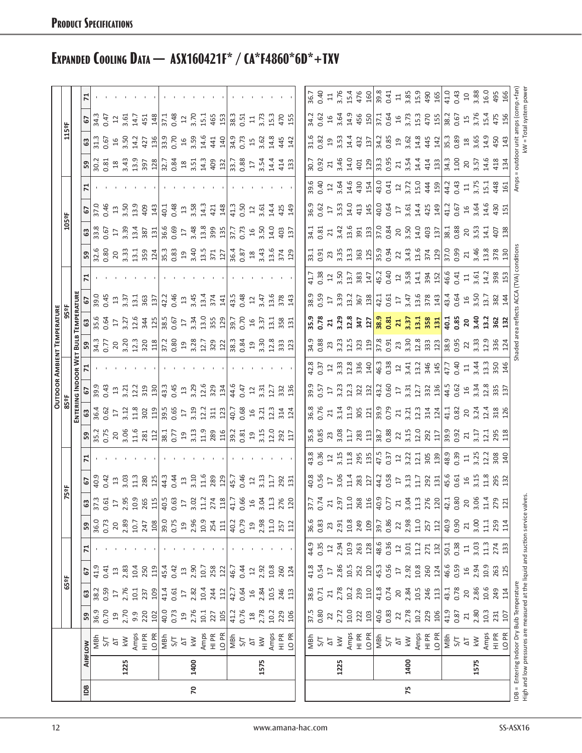|     |      |                                                                                                                            |                 |                         |                         |                  |                 |                                                                                                                                                                                                                                                                                                                      |                                                                                                                                                                                                                                                                |                                                                                                                                                                                                                                                                                                           |                                                                                                                                                                                                                                                                                                                        |                                                                                                         |                                                                                                               |                                                                                                                                                                                                                                                                    | <b>OUTDOOR AMBIENT TEMPERATURI</b>                                     |                          |                                         |                                                                                                                                                                                                                                                                                                 |                                                                                                                                                    |                |                                                                                                                                                                                                                                                                                                                                                           |                       |                                                                                                                                                                                                                                                                                                                     |              |
|-----|------|----------------------------------------------------------------------------------------------------------------------------|-----------------|-------------------------|-------------------------|------------------|-----------------|----------------------------------------------------------------------------------------------------------------------------------------------------------------------------------------------------------------------------------------------------------------------------------------------------------------------|----------------------------------------------------------------------------------------------------------------------------------------------------------------------------------------------------------------------------------------------------------------|-----------------------------------------------------------------------------------------------------------------------------------------------------------------------------------------------------------------------------------------------------------------------------------------------------------|------------------------------------------------------------------------------------------------------------------------------------------------------------------------------------------------------------------------------------------------------------------------------------------------------------------------|---------------------------------------------------------------------------------------------------------|---------------------------------------------------------------------------------------------------------------|--------------------------------------------------------------------------------------------------------------------------------------------------------------------------------------------------------------------------------------------------------------------|------------------------------------------------------------------------|--------------------------|-----------------------------------------|-------------------------------------------------------------------------------------------------------------------------------------------------------------------------------------------------------------------------------------------------------------------------------------------------|----------------------------------------------------------------------------------------------------------------------------------------------------|----------------|-----------------------------------------------------------------------------------------------------------------------------------------------------------------------------------------------------------------------------------------------------------------------------------------------------------------------------------------------------------|-----------------------|---------------------------------------------------------------------------------------------------------------------------------------------------------------------------------------------------------------------------------------------------------------------------------------------------------------------|--------------|
|     |      |                                                                                                                            |                 |                         | 65°F                    |                  |                 |                                                                                                                                                                                                                                                                                                                      | 75°F                                                                                                                                                                                                                                                           |                                                                                                                                                                                                                                                                                                           |                                                                                                                                                                                                                                                                                                                        |                                                                                                         |                                                                                                               |                                                                                                                                                                                                                                                                    |                                                                        |                          |                                         |                                                                                                                                                                                                                                                                                                 | 105°F                                                                                                                                              |                |                                                                                                                                                                                                                                                                                                                                                           | 115°F                 |                                                                                                                                                                                                                                                                                                                     |              |
|     |      |                                                                                                                            |                 |                         |                         |                  |                 |                                                                                                                                                                                                                                                                                                                      |                                                                                                                                                                                                                                                                |                                                                                                                                                                                                                                                                                                           |                                                                                                                                                                                                                                                                                                                        |                                                                                                         |                                                                                                               |                                                                                                                                                                                                                                                                    | ᇐ                                                                      | <b><i>TEMPERATUR</i></b> |                                         |                                                                                                                                                                                                                                                                                                 |                                                                                                                                                    |                |                                                                                                                                                                                                                                                                                                                                                           |                       |                                                                                                                                                                                                                                                                                                                     |              |
| ÎОВ |      | AIRFLOW                                                                                                                    | S9              | ශී                      | 5                       | $\mathbf{z}$     | 59              |                                                                                                                                                                                                                                                                                                                      |                                                                                                                                                                                                                                                                |                                                                                                                                                                                                                                                                                                           |                                                                                                                                                                                                                                                                                                                        |                                                                                                         |                                                                                                               |                                                                                                                                                                                                                                                                    |                                                                        |                          |                                         |                                                                                                                                                                                                                                                                                                 |                                                                                                                                                    | $rac{67}{370}$ |                                                                                                                                                                                                                                                                                                                                                           |                       |                                                                                                                                                                                                                                                                                                                     |              |
|     |      | MBh                                                                                                                        | 36.9            | 38.2                    | 41.9                    |                  | 36.0            |                                                                                                                                                                                                                                                                                                                      |                                                                                                                                                                                                                                                                |                                                                                                                                                                                                                                                                                                           |                                                                                                                                                                                                                                                                                                                        |                                                                                                         |                                                                                                               |                                                                                                                                                                                                                                                                    |                                                                        |                          |                                         |                                                                                                                                                                                                                                                                                                 |                                                                                                                                                    |                |                                                                                                                                                                                                                                                                                                                                                           |                       | $\frac{34.3}{0.47}$                                                                                                                                                                                                                                                                                                 |              |
|     |      | 5/7                                                                                                                        | 0.70            | 0.59                    | 0.41                    |                  | 0.73            |                                                                                                                                                                                                                                                                                                                      |                                                                                                                                                                                                                                                                |                                                                                                                                                                                                                                                                                                           |                                                                                                                                                                                                                                                                                                                        |                                                                                                         |                                                                                                               |                                                                                                                                                                                                                                                                    |                                                                        |                          |                                         |                                                                                                                                                                                                                                                                                                 |                                                                                                                                                    | 0.46           |                                                                                                                                                                                                                                                                                                                                                           |                       |                                                                                                                                                                                                                                                                                                                     |              |
|     |      | $\overline{\Delta}$                                                                                                        | $\overline{1}9$ | $\overline{17}$         | $\mathfrak{u}$          |                  | 20              |                                                                                                                                                                                                                                                                                                                      |                                                                                                                                                                                                                                                                |                                                                                                                                                                                                                                                                                                           |                                                                                                                                                                                                                                                                                                                        |                                                                                                         |                                                                                                               |                                                                                                                                                                                                                                                                    |                                                                        |                          |                                         |                                                                                                                                                                                                                                                                                                 |                                                                                                                                                    | $13$           |                                                                                                                                                                                                                                                                                                                                                           |                       |                                                                                                                                                                                                                                                                                                                     |              |
|     | 1225 | $\overline{\mathsf{k}}$                                                                                                    | 2.70            | 2.76                    | 2.83                    |                  | 2.89            |                                                                                                                                                                                                                                                                                                                      |                                                                                                                                                                                                                                                                |                                                                                                                                                                                                                                                                                                           |                                                                                                                                                                                                                                                                                                                        |                                                                                                         |                                                                                                               |                                                                                                                                                                                                                                                                    |                                                                        |                          |                                         |                                                                                                                                                                                                                                                                                                 |                                                                                                                                                    |                |                                                                                                                                                                                                                                                                                                                                                           |                       |                                                                                                                                                                                                                                                                                                                     |              |
|     |      |                                                                                                                            | 9.9             | 10.1                    | 10.4                    |                  | 10.7            | $3\frac{1}{2}$ $\frac{1}{2}$ $\frac{1}{2}$ $\frac{1}{2}$ $\frac{1}{2}$ $\frac{1}{2}$ $\frac{1}{2}$ $\frac{1}{2}$ $\frac{1}{2}$ $\frac{1}{2}$ $\frac{1}{2}$ $\frac{1}{2}$ $\frac{1}{2}$ $\frac{1}{2}$ $\frac{1}{2}$ $\frac{1}{2}$ $\frac{1}{2}$ $\frac{1}{2}$ $\frac{1}{2}$ $\frac{1}{2}$ $\frac{1}{2}$ $\frac{1}{2}$ | 0 3 3 3 3 3 4 4 5 3 3 4 5 8 9 6 7 8 9 7 8 9 7 8 9                                                                                                                                                                                                              |                                                                                                                                                                                                                                                                                                           | $\frac{1}{3}$<br>$\frac{1}{3}$ $\frac{1}{3}$ $\frac{1}{5}$ $\frac{1}{5}$ $\frac{1}{5}$ $\frac{1}{5}$ $\frac{1}{5}$ $\frac{1}{5}$ $\frac{1}{5}$ $\frac{1}{5}$ $\frac{1}{5}$ $\frac{1}{5}$ $\frac{1}{5}$ $\frac{1}{5}$ $\frac{1}{5}$ $\frac{1}{5}$ $\frac{1}{5}$ $\frac{1}{5}$ $\frac{1}{5}$ $\frac{1}{5}$ $\frac{1}{5}$ |                                                                                                         | s 3 g n 3 g n 3 g n 3 g n 3 g n 3 g n 4 g d n 3 g n 3 g n 4 g d 3 g n 4 g d 3 g n 4 g d 3 g n 4 g d 4 g d 4 g |                                                                                                                                                                                                                                                                    | "<br> ਮੁੱਟ ਰ ਤੂੰ ਹੋ ਬੱਚ ਹੋ ਕਿ ਕੇ ਕੇ ਕੀ ਕੀ ਕੀ ਕਿ ਕੇ ਕੇ ਕੇ ਕੇ ਕੇ ਕੀ ਕੀ ਕ |                          |                                         | $3\frac{12}{12}$ $3\frac{2}{12}$ $3\frac{11}{12}$ $3\frac{11}{12}$ $3\frac{12}{12}$ $3\frac{11}{12}$ $3\frac{11}{12}$ $3\frac{11}{12}$ $3\frac{11}{12}$ $3\frac{11}{12}$ $3\frac{11}{12}$ $3\frac{11}{12}$ $3\frac{11}{12}$ $3\frac{11}{12}$ $3\frac{11}{12}$ $3\frac{11}{12}$ $3\frac{11}{12}$ | <b>ធ</b> ន្ត្រី ក្នុង មួយ មាន ទី ក្នុង ដូច មួយ មួយ មួយ មួយ មួយ មួយ មួយ អ្នក<br>នាំងនេះ ក្នុង ដូច មាន ទី ក្នុង ដូច មាន ដូច មួយ មួយ មួយ អ្នក ដូច មួយ |                | $3\sqrt{3}$ $\approx$ $3\sqrt{3}$ $\approx$ $3\sqrt{2}$ $\approx$ $3\sqrt{2}$ $\approx$ $3\sqrt{2}$ $\approx$ $3\sqrt{2}$ $\approx$ $3\sqrt{2}$ $\approx$ $3\sqrt{2}$ $\approx$ $3\sqrt{2}$ $\approx$ $3\sqrt{2}$ $\approx$ $3\sqrt{2}$ $\approx$ $3\sqrt{2}$ $\approx$ $3\sqrt{2}$ $\approx$ $3\sqrt{2}$ $\approx$ $3\sqrt{2}$ $\approx$ $3\sqrt{2}$ $\$ |                       | $\frac{1}{2}$ $\frac{1}{2}$ $\frac{1}{2}$ $\frac{1}{2}$ $\frac{1}{2}$ $\frac{1}{2}$ $\frac{1}{2}$ $\frac{1}{2}$ $\frac{1}{2}$ $\frac{1}{2}$ $\frac{1}{2}$ $\frac{1}{2}$ $\frac{1}{2}$ $\frac{1}{2}$ $\frac{1}{2}$ $\frac{1}{2}$ $\frac{1}{2}$ $\frac{1}{2}$ $\frac{1}{2}$ $\frac{1}{2}$ $\frac{1}{2}$ $\frac{1}{2}$ |              |
|     |      |                                                                                                                            | 220             | 237                     | 250                     |                  | 247             |                                                                                                                                                                                                                                                                                                                      |                                                                                                                                                                                                                                                                |                                                                                                                                                                                                                                                                                                           |                                                                                                                                                                                                                                                                                                                        |                                                                                                         |                                                                                                               |                                                                                                                                                                                                                                                                    |                                                                        |                          |                                         |                                                                                                                                                                                                                                                                                                 |                                                                                                                                                    |                |                                                                                                                                                                                                                                                                                                                                                           |                       |                                                                                                                                                                                                                                                                                                                     |              |
|     |      | Amps<br>H P R<br>L D M<br>S S T                                                                                            | 102             | 109                     | 119                     |                  | 108             |                                                                                                                                                                                                                                                                                                                      |                                                                                                                                                                                                                                                                |                                                                                                                                                                                                                                                                                                           |                                                                                                                                                                                                                                                                                                                        |                                                                                                         |                                                                                                               |                                                                                                                                                                                                                                                                    |                                                                        |                          |                                         |                                                                                                                                                                                                                                                                                                 |                                                                                                                                                    |                |                                                                                                                                                                                                                                                                                                                                                           |                       |                                                                                                                                                                                                                                                                                                                     |              |
|     |      |                                                                                                                            | 40.0            | 41.4                    | 45.4                    |                  | 39.0            |                                                                                                                                                                                                                                                                                                                      |                                                                                                                                                                                                                                                                |                                                                                                                                                                                                                                                                                                           |                                                                                                                                                                                                                                                                                                                        |                                                                                                         |                                                                                                               |                                                                                                                                                                                                                                                                    |                                                                        |                          |                                         |                                                                                                                                                                                                                                                                                                 |                                                                                                                                                    |                |                                                                                                                                                                                                                                                                                                                                                           |                       |                                                                                                                                                                                                                                                                                                                     |              |
|     |      |                                                                                                                            | 0.73            | 0.61                    | 0.42                    |                  | 0.75            |                                                                                                                                                                                                                                                                                                                      |                                                                                                                                                                                                                                                                |                                                                                                                                                                                                                                                                                                           |                                                                                                                                                                                                                                                                                                                        |                                                                                                         |                                                                                                               |                                                                                                                                                                                                                                                                    |                                                                        |                          |                                         |                                                                                                                                                                                                                                                                                                 |                                                                                                                                                    |                |                                                                                                                                                                                                                                                                                                                                                           |                       |                                                                                                                                                                                                                                                                                                                     |              |
|     |      | $\overline{\Delta}$                                                                                                        | $\overline{a}$  | $\overline{\mathbb{L}}$ | $13$                    |                  | $\overline{c}$  |                                                                                                                                                                                                                                                                                                                      |                                                                                                                                                                                                                                                                |                                                                                                                                                                                                                                                                                                           |                                                                                                                                                                                                                                                                                                                        |                                                                                                         |                                                                                                               |                                                                                                                                                                                                                                                                    |                                                                        |                          |                                         |                                                                                                                                                                                                                                                                                                 |                                                                                                                                                    |                |                                                                                                                                                                                                                                                                                                                                                           |                       |                                                                                                                                                                                                                                                                                                                     |              |
| 20  | 1400 | $\lesssim$                                                                                                                 | 2.76            | 2.82                    | 2.90                    |                  | 2.96            |                                                                                                                                                                                                                                                                                                                      |                                                                                                                                                                                                                                                                |                                                                                                                                                                                                                                                                                                           |                                                                                                                                                                                                                                                                                                                        |                                                                                                         |                                                                                                               |                                                                                                                                                                                                                                                                    |                                                                        |                          |                                         |                                                                                                                                                                                                                                                                                                 |                                                                                                                                                    |                |                                                                                                                                                                                                                                                                                                                                                           |                       |                                                                                                                                                                                                                                                                                                                     |              |
|     |      |                                                                                                                            | 10.1            | 10.4                    | 10.7                    |                  | 10.9            |                                                                                                                                                                                                                                                                                                                      |                                                                                                                                                                                                                                                                |                                                                                                                                                                                                                                                                                                           |                                                                                                                                                                                                                                                                                                                        |                                                                                                         |                                                                                                               |                                                                                                                                                                                                                                                                    |                                                                        |                          |                                         |                                                                                                                                                                                                                                                                                                 |                                                                                                                                                    |                |                                                                                                                                                                                                                                                                                                                                                           |                       |                                                                                                                                                                                                                                                                                                                     |              |
|     |      | Amps<br>HI PR<br>LO PR                                                                                                     | 227             | 244                     | 258                     |                  | 254             |                                                                                                                                                                                                                                                                                                                      |                                                                                                                                                                                                                                                                |                                                                                                                                                                                                                                                                                                           |                                                                                                                                                                                                                                                                                                                        |                                                                                                         |                                                                                                               |                                                                                                                                                                                                                                                                    |                                                                        |                          |                                         |                                                                                                                                                                                                                                                                                                 |                                                                                                                                                    |                |                                                                                                                                                                                                                                                                                                                                                           |                       |                                                                                                                                                                                                                                                                                                                     |              |
|     |      |                                                                                                                            | 105             | 112                     | 122                     |                  | 111             |                                                                                                                                                                                                                                                                                                                      |                                                                                                                                                                                                                                                                |                                                                                                                                                                                                                                                                                                           |                                                                                                                                                                                                                                                                                                                        |                                                                                                         |                                                                                                               |                                                                                                                                                                                                                                                                    |                                                                        |                          |                                         |                                                                                                                                                                                                                                                                                                 |                                                                                                                                                    |                |                                                                                                                                                                                                                                                                                                                                                           |                       |                                                                                                                                                                                                                                                                                                                     |              |
|     |      |                                                                                                                            | 41.2            | 42.7                    | 46.7                    |                  |                 |                                                                                                                                                                                                                                                                                                                      |                                                                                                                                                                                                                                                                |                                                                                                                                                                                                                                                                                                           |                                                                                                                                                                                                                                                                                                                        |                                                                                                         |                                                                                                               |                                                                                                                                                                                                                                                                    |                                                                        |                          |                                         |                                                                                                                                                                                                                                                                                                 |                                                                                                                                                    |                |                                                                                                                                                                                                                                                                                                                                                           |                       |                                                                                                                                                                                                                                                                                                                     |              |
|     |      | MBh<br>S/T                                                                                                                 | 0.76            | 0.64                    | 0.44                    |                  | 40.2<br>0.79    |                                                                                                                                                                                                                                                                                                                      |                                                                                                                                                                                                                                                                |                                                                                                                                                                                                                                                                                                           |                                                                                                                                                                                                                                                                                                                        |                                                                                                         |                                                                                                               |                                                                                                                                                                                                                                                                    |                                                                        |                          |                                         |                                                                                                                                                                                                                                                                                                 |                                                                                                                                                    |                |                                                                                                                                                                                                                                                                                                                                                           |                       |                                                                                                                                                                                                                                                                                                                     |              |
|     |      | $\overline{\Delta}$                                                                                                        | $^{28}$         | $\frac{91}{2}$          | $22$                    |                  | $\overline{1}9$ |                                                                                                                                                                                                                                                                                                                      |                                                                                                                                                                                                                                                                |                                                                                                                                                                                                                                                                                                           |                                                                                                                                                                                                                                                                                                                        |                                                                                                         |                                                                                                               |                                                                                                                                                                                                                                                                    |                                                                        |                          |                                         |                                                                                                                                                                                                                                                                                                 |                                                                                                                                                    |                |                                                                                                                                                                                                                                                                                                                                                           |                       |                                                                                                                                                                                                                                                                                                                     |              |
|     | 1575 | $\leq$                                                                                                                     | 2.78            | 2.84                    | 2.92                    |                  | 2.98            |                                                                                                                                                                                                                                                                                                                      |                                                                                                                                                                                                                                                                |                                                                                                                                                                                                                                                                                                           |                                                                                                                                                                                                                                                                                                                        |                                                                                                         |                                                                                                               |                                                                                                                                                                                                                                                                    |                                                                        |                          | $43.48$<br>0.42<br>0.47<br>3.78<br>3.78 |                                                                                                                                                                                                                                                                                                 |                                                                                                                                                    |                |                                                                                                                                                                                                                                                                                                                                                           |                       |                                                                                                                                                                                                                                                                                                                     |              |
|     |      | Amps                                                                                                                       | 10.2            | 10.5                    | 10.8                    |                  | 11.0            |                                                                                                                                                                                                                                                                                                                      |                                                                                                                                                                                                                                                                |                                                                                                                                                                                                                                                                                                           |                                                                                                                                                                                                                                                                                                                        |                                                                                                         |                                                                                                               |                                                                                                                                                                                                                                                                    |                                                                        |                          |                                         |                                                                                                                                                                                                                                                                                                 |                                                                                                                                                    |                |                                                                                                                                                                                                                                                                                                                                                           |                       |                                                                                                                                                                                                                                                                                                                     |              |
|     |      | HI PR<br>LO PR                                                                                                             | 229             | 246                     | 260                     |                  | 257             |                                                                                                                                                                                                                                                                                                                      |                                                                                                                                                                                                                                                                |                                                                                                                                                                                                                                                                                                           |                                                                                                                                                                                                                                                                                                                        |                                                                                                         |                                                                                                               |                                                                                                                                                                                                                                                                    |                                                                        |                          |                                         |                                                                                                                                                                                                                                                                                                 |                                                                                                                                                    |                |                                                                                                                                                                                                                                                                                                                                                           |                       |                                                                                                                                                                                                                                                                                                                     |              |
|     |      |                                                                                                                            | 106             | 113                     | 124                     |                  | 112             |                                                                                                                                                                                                                                                                                                                      |                                                                                                                                                                                                                                                                |                                                                                                                                                                                                                                                                                                           |                                                                                                                                                                                                                                                                                                                        |                                                                                                         |                                                                                                               |                                                                                                                                                                                                                                                                    |                                                                        |                          |                                         |                                                                                                                                                                                                                                                                                                 |                                                                                                                                                    |                |                                                                                                                                                                                                                                                                                                                                                           |                       |                                                                                                                                                                                                                                                                                                                     |              |
|     |      |                                                                                                                            |                 |                         |                         |                  |                 |                                                                                                                                                                                                                                                                                                                      |                                                                                                                                                                                                                                                                |                                                                                                                                                                                                                                                                                                           |                                                                                                                                                                                                                                                                                                                        |                                                                                                         |                                                                                                               |                                                                                                                                                                                                                                                                    |                                                                        |                          |                                         |                                                                                                                                                                                                                                                                                                 |                                                                                                                                                    |                |                                                                                                                                                                                                                                                                                                                                                           |                       |                                                                                                                                                                                                                                                                                                                     |              |
|     |      |                                                                                                                            |                 | 38.6                    | 41.8                    | 44.9             | 36.6            |                                                                                                                                                                                                                                                                                                                      |                                                                                                                                                                                                                                                                |                                                                                                                                                                                                                                                                                                           |                                                                                                                                                                                                                                                                                                                        |                                                                                                         |                                                                                                               |                                                                                                                                                                                                                                                                    |                                                                        |                          |                                         |                                                                                                                                                                                                                                                                                                 |                                                                                                                                                    |                |                                                                                                                                                                                                                                                                                                                                                           |                       |                                                                                                                                                                                                                                                                                                                     |              |
|     |      | NBh<br>S/T                                                                                                                 | 37.5<br>0.80    | 0.71                    | 0.54                    | 0.35             | 0.83            |                                                                                                                                                                                                                                                                                                                      |                                                                                                                                                                                                                                                                |                                                                                                                                                                                                                                                                                                           |                                                                                                                                                                                                                                                                                                                        |                                                                                                         |                                                                                                               |                                                                                                                                                                                                                                                                    |                                                                        |                          |                                         |                                                                                                                                                                                                                                                                                                 |                                                                                                                                                    |                |                                                                                                                                                                                                                                                                                                                                                           |                       |                                                                                                                                                                                                                                                                                                                     | 36.7<br>0.40 |
|     |      | $\overline{\Delta}$                                                                                                        | 22              | $\overline{21}$         | $\overline{17}$         | $22$             | 23              |                                                                                                                                                                                                                                                                                                                      |                                                                                                                                                                                                                                                                |                                                                                                                                                                                                                                                                                                           |                                                                                                                                                                                                                                                                                                                        |                                                                                                         |                                                                                                               |                                                                                                                                                                                                                                                                    |                                                                        |                          |                                         |                                                                                                                                                                                                                                                                                                 |                                                                                                                                                    |                |                                                                                                                                                                                                                                                                                                                                                           |                       |                                                                                                                                                                                                                                                                                                                     |              |
|     | 1225 | $\lesssim$                                                                                                                 | 2.72            | 2.78                    | 2.86                    | 2.94             | 2.91            |                                                                                                                                                                                                                                                                                                                      |                                                                                                                                                                                                                                                                |                                                                                                                                                                                                                                                                                                           |                                                                                                                                                                                                                                                                                                                        |                                                                                                         |                                                                                                               |                                                                                                                                                                                                                                                                    |                                                                        |                          |                                         |                                                                                                                                                                                                                                                                                                 |                                                                                                                                                    |                |                                                                                                                                                                                                                                                                                                                                                           |                       |                                                                                                                                                                                                                                                                                                                     |              |
|     |      |                                                                                                                            | 10.0            | 10.2                    | 10.5                    | 10.9             | 10.8            |                                                                                                                                                                                                                                                                                                                      |                                                                                                                                                                                                                                                                |                                                                                                                                                                                                                                                                                                           |                                                                                                                                                                                                                                                                                                                        |                                                                                                         |                                                                                                               |                                                                                                                                                                                                                                                                    |                                                                        |                          |                                         |                                                                                                                                                                                                                                                                                                 |                                                                                                                                                    |                |                                                                                                                                                                                                                                                                                                                                                           |                       |                                                                                                                                                                                                                                                                                                                     |              |
|     |      |                                                                                                                            | 222             | 239                     | 252                     | 263              | 249             |                                                                                                                                                                                                                                                                                                                      |                                                                                                                                                                                                                                                                |                                                                                                                                                                                                                                                                                                           |                                                                                                                                                                                                                                                                                                                        |                                                                                                         |                                                                                                               |                                                                                                                                                                                                                                                                    |                                                                        |                          |                                         |                                                                                                                                                                                                                                                                                                 |                                                                                                                                                    |                |                                                                                                                                                                                                                                                                                                                                                           |                       |                                                                                                                                                                                                                                                                                                                     |              |
|     |      |                                                                                                                            | $103\,$         | 110                     | 120                     | 128              | 109             |                                                                                                                                                                                                                                                                                                                      |                                                                                                                                                                                                                                                                |                                                                                                                                                                                                                                                                                                           |                                                                                                                                                                                                                                                                                                                        |                                                                                                         |                                                                                                               |                                                                                                                                                                                                                                                                    |                                                                        |                          |                                         |                                                                                                                                                                                                                                                                                                 |                                                                                                                                                    |                |                                                                                                                                                                                                                                                                                                                                                           |                       |                                                                                                                                                                                                                                                                                                                     |              |
|     |      | Amps<br>HIPR<br>LO PIE<br>S/T                                                                                              | 40.6            | 41.8                    | 45.3                    | 48.6             | 39.7            |                                                                                                                                                                                                                                                                                                                      | $9.955$ $5.813$ $5.811$ $5.81$ $5.81$ $5.81$ $5.81$ $5.81$ $5.81$ $5.81$ $5.81$ $5.81$ $5.81$ $5.81$ $5.81$ $5.81$ $5.81$ $5.81$ $5.81$ $5.81$ $5.81$ $5.81$ $5.81$ $5.81$ $5.81$ $5.81$ $5.81$ $5.81$ $5.81$ $5.81$ $5.81$ $5.81$ $5.81$ $5.81$ $5.81$ $5.81$ | $\frac{33}{32}$ $\frac{25}{32}$ $\frac{11}{32}$ $\frac{25}{32}$ $\frac{11}{32}$ $\frac{11}{32}$ $\frac{11}{32}$ $\frac{11}{32}$ $\frac{11}{32}$ $\frac{11}{32}$ $\frac{11}{32}$ $\frac{11}{32}$ $\frac{11}{32}$ $\frac{11}{32}$ $\frac{11}{32}$ $\frac{11}{32}$ $\frac{11}{32}$ $\frac{11}{32}$ $\frac{1$ | ន្លំ ន្លំ ង ន្លំ ដូ ន្ល ដឿន ន្លំ ង ដូ ដូ ន្លំ ង ដូ ដូ ន្លំ ង ដូ ដូ ន្លែ ង ដូ ដូ ន្លែ ង<br>ន្លំ ន្លំ ង ន្លំ ដូ ន្លែ ង ដ្រូ ន្លំ ន្លំ ដូ ដូ ន្លំ ង ដូ ដូ ន្លែ ដូ ន្លែ ង ដូ ន្លែ ង                                                                                                                                        | ន្លំ S ដ ដ ដ ន ដ ន ដ ន ដ ដ ដ ដ ដ ដ ដ ន ន ង ដ ន ន ដ<br>ន S ដ ដ ដ ន ដ ន ដ ន ដ ដ ដ ដ ដ ដ ដ ដ ន ន ន ដ ដ ន ន |                                                                                                               | $(3.53 \n3.53 \n3.53 \n3.53 \n3.53 \n3.53 \n3.53 \n3.53 \n3.53 \n3.53 \n3.53 \n3.53 \n3.53 \n3.53 \n3.53 \n3.53 \n3.53 \n3.53 \n3.53 \n3.53 \n3.53 \n3.53 \n3.53 \n3.53 \n3.53 \n3.53 \n3.53 \n3.53 \n3.53 \n3.53 \n3.53 \n3.53 \n3.53 \n3.53 \n3.53 \n3.53 \n3.5$ |                                                                        |                          |                                         |                                                                                                                                                                                                                                                                                                 | <u> 색 용 업 및 및 명 명 명 명 명 명 명 명 명 명 명 명 명</u><br>객 요 명 법 및 및 법 용 명 명 명 명 명 명 명 명 명 명 명 명 명 명                                                         |                |                                                                                                                                                                                                                                                                                                                                                           |                       |                                                                                                                                                                                                                                                                                                                     |              |
|     |      |                                                                                                                            | 0.83            | 0.74                    | 0.56                    | 0.36             | 0.86            |                                                                                                                                                                                                                                                                                                                      |                                                                                                                                                                                                                                                                |                                                                                                                                                                                                                                                                                                           |                                                                                                                                                                                                                                                                                                                        |                                                                                                         |                                                                                                               |                                                                                                                                                                                                                                                                    |                                                                        |                          |                                         |                                                                                                                                                                                                                                                                                                 |                                                                                                                                                    |                |                                                                                                                                                                                                                                                                                                                                                           |                       |                                                                                                                                                                                                                                                                                                                     |              |
|     |      | $\overline{\Delta}$                                                                                                        | $\overline{2}$  | 20                      | $\overline{\mathbb{L}}$ | $2 \overline{1}$ | 22              |                                                                                                                                                                                                                                                                                                                      |                                                                                                                                                                                                                                                                |                                                                                                                                                                                                                                                                                                           |                                                                                                                                                                                                                                                                                                                        |                                                                                                         |                                                                                                               |                                                                                                                                                                                                                                                                    |                                                                        |                          |                                         |                                                                                                                                                                                                                                                                                                 |                                                                                                                                                    |                |                                                                                                                                                                                                                                                                                                                                                           |                       |                                                                                                                                                                                                                                                                                                                     |              |
| 75  | 1400 | $\overline{\mathsf{k}}$                                                                                                    | 2.78            | 2.84<br>10.5            | 2.92                    | 3.01             | 2.98            |                                                                                                                                                                                                                                                                                                                      |                                                                                                                                                                                                                                                                |                                                                                                                                                                                                                                                                                                           |                                                                                                                                                                                                                                                                                                                        |                                                                                                         |                                                                                                               |                                                                                                                                                                                                                                                                    |                                                                        |                          |                                         |                                                                                                                                                                                                                                                                                                 |                                                                                                                                                    |                |                                                                                                                                                                                                                                                                                                                                                           |                       |                                                                                                                                                                                                                                                                                                                     |              |
|     |      |                                                                                                                            |                 |                         | 10.8                    | 11.2             | 11.0            |                                                                                                                                                                                                                                                                                                                      |                                                                                                                                                                                                                                                                |                                                                                                                                                                                                                                                                                                           |                                                                                                                                                                                                                                                                                                                        |                                                                                                         |                                                                                                               |                                                                                                                                                                                                                                                                    |                                                                        |                          |                                         |                                                                                                                                                                                                                                                                                                 |                                                                                                                                                    |                |                                                                                                                                                                                                                                                                                                                                                           |                       |                                                                                                                                                                                                                                                                                                                     |              |
|     |      | Amps<br>HI PR<br>LO PR                                                                                                     | 229             | 246                     | 260                     | 271              | 257             |                                                                                                                                                                                                                                                                                                                      |                                                                                                                                                                                                                                                                |                                                                                                                                                                                                                                                                                                           |                                                                                                                                                                                                                                                                                                                        |                                                                                                         |                                                                                                               |                                                                                                                                                                                                                                                                    |                                                                        |                          |                                         |                                                                                                                                                                                                                                                                                                 |                                                                                                                                                    |                |                                                                                                                                                                                                                                                                                                                                                           |                       |                                                                                                                                                                                                                                                                                                                     |              |
|     |      |                                                                                                                            | 106             | 113                     | 124                     | 132              | 112             |                                                                                                                                                                                                                                                                                                                      |                                                                                                                                                                                                                                                                |                                                                                                                                                                                                                                                                                                           |                                                                                                                                                                                                                                                                                                                        |                                                                                                         |                                                                                                               |                                                                                                                                                                                                                                                                    |                                                                        |                          |                                         |                                                                                                                                                                                                                                                                                                 |                                                                                                                                                    |                |                                                                                                                                                                                                                                                                                                                                                           |                       |                                                                                                                                                                                                                                                                                                                     |              |
|     |      | MBh                                                                                                                        | 41.9            | 43.1                    | 46.6                    | 50.1             | 40.9            |                                                                                                                                                                                                                                                                                                                      |                                                                                                                                                                                                                                                                |                                                                                                                                                                                                                                                                                                           |                                                                                                                                                                                                                                                                                                                        |                                                                                                         |                                                                                                               |                                                                                                                                                                                                                                                                    |                                                                        |                          |                                         |                                                                                                                                                                                                                                                                                                 |                                                                                                                                                    |                |                                                                                                                                                                                                                                                                                                                                                           |                       |                                                                                                                                                                                                                                                                                                                     |              |
|     |      | 5/1                                                                                                                        | 0.87            | 0.78                    | 0.59                    | 0.38             | 0.90            |                                                                                                                                                                                                                                                                                                                      |                                                                                                                                                                                                                                                                |                                                                                                                                                                                                                                                                                                           |                                                                                                                                                                                                                                                                                                                        |                                                                                                         |                                                                                                               |                                                                                                                                                                                                                                                                    |                                                                        |                          |                                         |                                                                                                                                                                                                                                                                                                 |                                                                                                                                                    |                |                                                                                                                                                                                                                                                                                                                                                           |                       |                                                                                                                                                                                                                                                                                                                     |              |
|     |      | $\overline{\Delta}$                                                                                                        | 21              | 20                      | $\frac{1}{6}$           | 11               | $\overline{21}$ |                                                                                                                                                                                                                                                                                                                      |                                                                                                                                                                                                                                                                |                                                                                                                                                                                                                                                                                                           |                                                                                                                                                                                                                                                                                                                        |                                                                                                         |                                                                                                               |                                                                                                                                                                                                                                                                    |                                                                        |                          |                                         |                                                                                                                                                                                                                                                                                                 |                                                                                                                                                    |                |                                                                                                                                                                                                                                                                                                                                                           |                       |                                                                                                                                                                                                                                                                                                                     |              |
|     | 1575 | $\leq$                                                                                                                     | 2.80            | 2.86                    | 2.94                    | 3.03             | 3.00            |                                                                                                                                                                                                                                                                                                                      |                                                                                                                                                                                                                                                                |                                                                                                                                                                                                                                                                                                           |                                                                                                                                                                                                                                                                                                                        |                                                                                                         |                                                                                                               |                                                                                                                                                                                                                                                                    |                                                                        |                          |                                         |                                                                                                                                                                                                                                                                                                 |                                                                                                                                                    |                |                                                                                                                                                                                                                                                                                                                                                           |                       |                                                                                                                                                                                                                                                                                                                     |              |
|     |      |                                                                                                                            | 10.3            | 10.6                    | 10.9                    | $\frac{3}{11}$   | $\frac{11}{11}$ |                                                                                                                                                                                                                                                                                                                      |                                                                                                                                                                                                                                                                |                                                                                                                                                                                                                                                                                                           |                                                                                                                                                                                                                                                                                                                        |                                                                                                         |                                                                                                               |                                                                                                                                                                                                                                                                    |                                                                        |                          |                                         |                                                                                                                                                                                                                                                                                                 |                                                                                                                                                    |                |                                                                                                                                                                                                                                                                                                                                                           |                       |                                                                                                                                                                                                                                                                                                                     |              |
|     |      | Amps<br>HI PR<br>LO PR                                                                                                     | 231             | 249                     | 263<br>125              | 274              | 259             |                                                                                                                                                                                                                                                                                                                      |                                                                                                                                                                                                                                                                |                                                                                                                                                                                                                                                                                                           |                                                                                                                                                                                                                                                                                                                        |                                                                                                         |                                                                                                               |                                                                                                                                                                                                                                                                    |                                                                        |                          |                                         |                                                                                                                                                                                                                                                                                                 |                                                                                                                                                    |                |                                                                                                                                                                                                                                                                                                                                                           |                       |                                                                                                                                                                                                                                                                                                                     |              |
|     |      |                                                                                                                            | 107             | 114                     |                         | 133              | 114             |                                                                                                                                                                                                                                                                                                                      |                                                                                                                                                                                                                                                                |                                                                                                                                                                                                                                                                                                           |                                                                                                                                                                                                                                                                                                                        |                                                                                                         |                                                                                                               |                                                                                                                                                                                                                                                                    |                                                                        |                          |                                         |                                                                                                                                                                                                                                                                                                 |                                                                                                                                                    |                |                                                                                                                                                                                                                                                                                                                                                           |                       |                                                                                                                                                                                                                                                                                                                     |              |
|     |      | High and low pressures are measured at the liquid and suction service valves<br>IDB = Entering Indoor Dry Bulb Temperature |                 |                         |                         |                  |                 |                                                                                                                                                                                                                                                                                                                      |                                                                                                                                                                                                                                                                |                                                                                                                                                                                                                                                                                                           |                                                                                                                                                                                                                                                                                                                        |                                                                                                         |                                                                                                               |                                                                                                                                                                                                                                                                    |                                                                        |                          | ACCA                                    |                                                                                                                                                                                                                                                                                                 |                                                                                                                                                    |                |                                                                                                                                                                                                                                                                                                                                                           | W = Total system powe |                                                                                                                                                                                                                                                                                                                     |              |
|     |      |                                                                                                                            |                 |                         |                         |                  |                 |                                                                                                                                                                                                                                                                                                                      |                                                                                                                                                                                                                                                                |                                                                                                                                                                                                                                                                                                           |                                                                                                                                                                                                                                                                                                                        |                                                                                                         |                                                                                                               |                                                                                                                                                                                                                                                                    |                                                                        |                          |                                         |                                                                                                                                                                                                                                                                                                 |                                                                                                                                                    |                |                                                                                                                                                                                                                                                                                                                                                           |                       |                                                                                                                                                                                                                                                                                                                     |              |

**PRODUCT SPECIFICATIONS**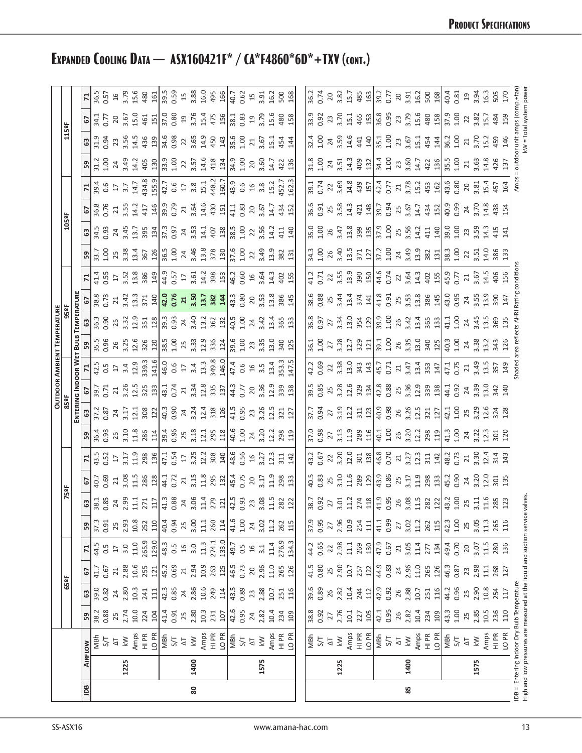|                |      |                                                                       |                          |              |              |                         |                  |                                                                                                                                                                                                                                                                                                                                                      |                                                                                                                               |                                                                                                      |                                                                                                                                                                                                                                                                                                                     |                                                                                                                                                                                                                                                                                                                     |                                                                                                                                                                                                                                                                                                                                                                                                                             |                                                   | <b>OUTDOOR AMBIENT TEMPERATURE</b> |                                                                                                                                                                                                                                                                                                                                                           |                                                                                                                                                                                                                                                                                                              |                                                                                                                                                                                                                               |                                                                                                                                                                                                                                |                                                                                                                                                                                                                                                                                                                     |                                                                                                                                                                                                                                                                                                                     |                                                                                                                |                                                                                                                                                                                                                                                                                                                                                                   |                                                                                                                                                                                                                                                                                                                                                                                                                                                                                                                |                                                                                                                                                                                                                                                                                                               |  |
|----------------|------|-----------------------------------------------------------------------|--------------------------|--------------|--------------|-------------------------|------------------|------------------------------------------------------------------------------------------------------------------------------------------------------------------------------------------------------------------------------------------------------------------------------------------------------------------------------------------------------|-------------------------------------------------------------------------------------------------------------------------------|------------------------------------------------------------------------------------------------------|---------------------------------------------------------------------------------------------------------------------------------------------------------------------------------------------------------------------------------------------------------------------------------------------------------------------|---------------------------------------------------------------------------------------------------------------------------------------------------------------------------------------------------------------------------------------------------------------------------------------------------------------------|-----------------------------------------------------------------------------------------------------------------------------------------------------------------------------------------------------------------------------------------------------------------------------------------------------------------------------------------------------------------------------------------------------------------------------|---------------------------------------------------|------------------------------------|-----------------------------------------------------------------------------------------------------------------------------------------------------------------------------------------------------------------------------------------------------------------------------------------------------------------------------------------------------------|--------------------------------------------------------------------------------------------------------------------------------------------------------------------------------------------------------------------------------------------------------------------------------------------------------------|-------------------------------------------------------------------------------------------------------------------------------------------------------------------------------------------------------------------------------|--------------------------------------------------------------------------------------------------------------------------------------------------------------------------------------------------------------------------------|---------------------------------------------------------------------------------------------------------------------------------------------------------------------------------------------------------------------------------------------------------------------------------------------------------------------|---------------------------------------------------------------------------------------------------------------------------------------------------------------------------------------------------------------------------------------------------------------------------------------------------------------------|----------------------------------------------------------------------------------------------------------------|-------------------------------------------------------------------------------------------------------------------------------------------------------------------------------------------------------------------------------------------------------------------------------------------------------------------------------------------------------------------|----------------------------------------------------------------------------------------------------------------------------------------------------------------------------------------------------------------------------------------------------------------------------------------------------------------------------------------------------------------------------------------------------------------------------------------------------------------------------------------------------------------|---------------------------------------------------------------------------------------------------------------------------------------------------------------------------------------------------------------------------------------------------------------------------------------------------------------|--|
|                |      |                                                                       |                          | 65°F         |              |                         |                  | 75°F                                                                                                                                                                                                                                                                                                                                                 |                                                                                                                               |                                                                                                      |                                                                                                                                                                                                                                                                                                                     |                                                                                                                                                                                                                                                                                                                     |                                                                                                                                                                                                                                                                                                                                                                                                                             |                                                   |                                    |                                                                                                                                                                                                                                                                                                                                                           |                                                                                                                                                                                                                                                                                                              |                                                                                                                                                                                                                               |                                                                                                                                                                                                                                | 105°F                                                                                                                                                                                                                                                                                                               |                                                                                                                                                                                                                                                                                                                     |                                                                                                                |                                                                                                                                                                                                                                                                                                                                                                   | 115°F                                                                                                                                                                                                                                                                                                                                                                                                                                                                                                          |                                                                                                                                                                                                                                                                                                               |  |
|                |      |                                                                       |                          |              |              |                         |                  |                                                                                                                                                                                                                                                                                                                                                      |                                                                                                                               |                                                                                                      |                                                                                                                                                                                                                                                                                                                     |                                                                                                                                                                                                                                                                                                                     |                                                                                                                                                                                                                                                                                                                                                                                                                             | OR WET                                            |                                    |                                                                                                                                                                                                                                                                                                                                                           |                                                                                                                                                                                                                                                                                                              |                                                                                                                                                                                                                               |                                                                                                                                                                                                                                |                                                                                                                                                                                                                                                                                                                     |                                                                                                                                                                                                                                                                                                                     |                                                                                                                |                                                                                                                                                                                                                                                                                                                                                                   |                                                                                                                                                                                                                                                                                                                                                                                                                                                                                                                |                                                                                                                                                                                                                                                                                                               |  |
| Вq             |      | AIRFLOW                                                               | 59                       | 63           | 6            |                         | 59               |                                                                                                                                                                                                                                                                                                                                                      | <b>67</b>                                                                                                                     |                                                                                                      | 59                                                                                                                                                                                                                                                                                                                  |                                                                                                                                                                                                                                                                                                                     |                                                                                                                                                                                                                                                                                                                                                                                                                             |                                                   |                                    |                                                                                                                                                                                                                                                                                                                                                           |                                                                                                                                                                                                                                                                                                              |                                                                                                                                                                                                                               |                                                                                                                                                                                                                                |                                                                                                                                                                                                                                                                                                                     |                                                                                                                                                                                                                                                                                                                     |                                                                                                                | 59                                                                                                                                                                                                                                                                                                                                                                | <b>67</b>                                                                                                                                                                                                                                                                                                                                                                                                                                                                                                      |                                                                                                                                                                                                                                                                                                               |  |
|                |      | NBh                                                                   | 38.2                     | 39.0         | 41.7         | 44.5                    | 37.3             |                                                                                                                                                                                                                                                                                                                                                      | 40.7                                                                                                                          | 43.5<br>0.52                                                                                         |                                                                                                                                                                                                                                                                                                                     | 37.2<br>0.87                                                                                                                                                                                                                                                                                                        | 39.71                                                                                                                                                                                                                                                                                                                                                                                                                       |                                                   |                                    | 36.                                                                                                                                                                                                                                                                                                                                                       | 38.                                                                                                                                                                                                                                                                                                          |                                                                                                                                                                                                                               | $\overline{33.7}$                                                                                                                                                                                                              | $\frac{63}{34}$                                                                                                                                                                                                                                                                                                     | 36.8<br>0.76                                                                                                                                                                                                                                                                                                        | 39.4<br>0.6                                                                                                    | $31.2$<br>$1.00$                                                                                                                                                                                                                                                                                                                                                  | 34.1<br>0.77<br>3.34                                                                                                                                                                                                                                                                                                                                                                                                                                                                                           | 36.5<br>0.57                                                                                                                                                                                                                                                                                                  |  |
|                |      | 5/7                                                                   |                          | 0.82         | 0.67         | 0.5                     | 0.91             |                                                                                                                                                                                                                                                                                                                                                      | 0.69                                                                                                                          |                                                                                                      |                                                                                                                                                                                                                                                                                                                     |                                                                                                                                                                                                                                                                                                                     |                                                                                                                                                                                                                                                                                                                                                                                                                             |                                                   |                                    | 0.90                                                                                                                                                                                                                                                                                                                                                      | 0.73                                                                                                                                                                                                                                                                                                         |                                                                                                                                                                                                                               | 001                                                                                                                                                                                                                            | 0.93                                                                                                                                                                                                                                                                                                                |                                                                                                                                                                                                                                                                                                                     |                                                                                                                |                                                                                                                                                                                                                                                                                                                                                                   |                                                                                                                                                                                                                                                                                                                                                                                                                                                                                                                |                                                                                                                                                                                                                                                                                                               |  |
|                |      | $\overline{\mathcal{L}}$                                              | $0.88$<br>$25$<br>$2.74$ | 24           | 21           | $\overline{\mathbb{L}}$ | 25               |                                                                                                                                                                                                                                                                                                                                                      | 21                                                                                                                            | $17\,$                                                                                               |                                                                                                                                                                                                                                                                                                                     |                                                                                                                                                                                                                                                                                                                     |                                                                                                                                                                                                                                                                                                                                                                                                                             |                                                   |                                    |                                                                                                                                                                                                                                                                                                                                                           |                                                                                                                                                                                                                                                                                                              |                                                                                                                                                                                                                               |                                                                                                                                                                                                                                |                                                                                                                                                                                                                                                                                                                     | 21                                                                                                                                                                                                                                                                                                                  |                                                                                                                |                                                                                                                                                                                                                                                                                                                                                                   | 20                                                                                                                                                                                                                                                                                                                                                                                                                                                                                                             | $\frac{16}{1}$                                                                                                                                                                                                                                                                                                |  |
|                | 1225 | $\leq$                                                                |                          | 2.80         | 2.88         | 3.0                     | 2.93             |                                                                                                                                                                                                                                                                                                                                                      |                                                                                                                               |                                                                                                      |                                                                                                                                                                                                                                                                                                                     |                                                                                                                                                                                                                                                                                                                     |                                                                                                                                                                                                                                                                                                                                                                                                                             |                                                   |                                    |                                                                                                                                                                                                                                                                                                                                                           | $\frac{21}{3.42}$                                                                                                                                                                                                                                                                                            |                                                                                                                                                                                                                               | 25<br>3.38                                                                                                                                                                                                                     |                                                                                                                                                                                                                                                                                                                     | 3.55                                                                                                                                                                                                                                                                                                                | $17$ $3.7$                                                                                                     |                                                                                                                                                                                                                                                                                                                                                                   |                                                                                                                                                                                                                                                                                                                                                                                                                                                                                                                |                                                                                                                                                                                                                                                                                                               |  |
|                |      |                                                                       | 10.0                     | 10.3         | 10.6         | $11.0$                  | 10.8             |                                                                                                                                                                                                                                                                                                                                                      |                                                                                                                               |                                                                                                      |                                                                                                                                                                                                                                                                                                                     |                                                                                                                                                                                                                                                                                                                     |                                                                                                                                                                                                                                                                                                                                                                                                                             |                                                   |                                    |                                                                                                                                                                                                                                                                                                                                                           |                                                                                                                                                                                                                                                                                                              |                                                                                                                                                                                                                               |                                                                                                                                                                                                                                |                                                                                                                                                                                                                                                                                                                     | 14.2                                                                                                                                                                                                                                                                                                                |                                                                                                                |                                                                                                                                                                                                                                                                                                                                                                   |                                                                                                                                                                                                                                                                                                                                                                                                                                                                                                                |                                                                                                                                                                                                                                                                                                               |  |
|                |      | Amps<br>HI PR                                                         | 224                      | 241          | 255          | 265.9<br>129.0          | 252              | $\frac{3}{8}$ $\frac{3}{8}$ $\frac{3}{8}$ $\frac{4}{8}$ $\frac{3}{8}$ $\frac{1}{12}$ $\frac{1}{12}$ $\frac{1}{12}$ $\frac{3}{8}$ $\frac{3}{8}$ $\frac{4}{8}$ $\frac{5}{12}$ $\frac{1}{12}$ $\frac{1}{12}$ $\frac{3}{8}$ $\frac{3}{8}$ $\frac{4}{8}$ $\frac{5}{12}$ $\frac{1}{12}$ $\frac{1}{12}$ $\frac{3}{8}$ $\frac{3}{8}$ $\frac{4}{12}$ $\frac{$ | $3.588$ $2.72$<br>$3.58$ $2.72$                                                                                               | 21 21 22 21 22 22 23 24 25 26 27 27 27 28 29 20 21 22 22 23 24 25 26 27 27 27 27 27 27 27 27 27 27 2 | $\frac{3}{5}$ $\frac{3}{5}$ $\frac{3}{5}$ $\frac{3}{5}$ $\frac{3}{5}$ $\frac{3}{5}$ $\frac{4}{5}$ $\frac{1}{5}$ $\frac{3}{5}$ $\frac{5}{5}$ $\frac{3}{5}$ $\frac{3}{5}$ $\frac{3}{5}$ $\frac{3}{5}$ $\frac{3}{5}$ $\frac{3}{5}$ $\frac{3}{5}$ $\frac{3}{5}$ $\frac{3}{5}$ $\frac{3}{5}$ $\frac{3}{5}$ $\frac{3}{5}$ | $\frac{1}{2}$ $\frac{1}{2}$ $\frac{1}{2}$ $\frac{1}{8}$ $\frac{1}{2}$ $\frac{1}{6}$ $\frac{1}{6}$ $\frac{1}{6}$ $\frac{1}{6}$ $\frac{1}{6}$ $\frac{1}{6}$ $\frac{1}{6}$ $\frac{1}{6}$ $\frac{1}{6}$ $\frac{1}{6}$ $\frac{1}{6}$ $\frac{1}{6}$ $\frac{1}{6}$ $\frac{1}{6}$ $\frac{1}{6}$ $\frac{1}{6}$ $\frac{1}{6}$ | $\frac{21}{3.26}$ $\frac{5}{12}$ $\frac{5}{32}$ $\frac{33}{21}$                                                                                                                                                                                                                                                                                                                                                             |                                                   |                                    |                                                                                                                                                                                                                                                                                                                                                           | $\frac{33}{27}$ $\frac{1}{27}$ $\frac{1}{27}$ $\frac{1}{67}$ $\frac{1}{67}$ $\frac{1}{67}$ $\frac{1}{67}$ $\frac{1}{67}$ $\frac{1}{67}$ $\frac{1}{67}$ $\frac{1}{67}$ $\frac{1}{67}$ $\frac{1}{67}$ $\frac{1}{67}$ $\frac{1}{67}$ $\frac{1}{67}$ $\frac{1}{67}$ $\frac{1}{67}$ $\frac{1}{67}$ $\frac{1}{67}$ | $4.5$ $5.2$ $3.8$ $8.9$ $9.9$ $1.5$ $1.5$ $1.5$ $1.5$ $1.5$ $1.5$ $1.5$ $1.5$ $1.5$ $1.5$ $1.5$ $1.5$ $1.5$ $1.5$ $1.5$ $1.5$ $1.5$ $1.5$ $1.5$ $1.5$ $1.5$ $1.5$ $1.5$ $1.5$ $1.5$ $1.5$ $1.5$ $1.5$ $1.5$ $1.5$ $1.5$ $1.5$ |                                                                                                                                                                                                                                | $\frac{1}{3}$ $\frac{3}{3}$ $\frac{1}{3}$ $\frac{1}{3}$ $\frac{2}{3}$ $\frac{1}{3}$ $\frac{1}{3}$ $\frac{1}{3}$ $\frac{1}{3}$ $\frac{1}{3}$ $\frac{1}{3}$ $\frac{1}{3}$ $\frac{1}{3}$ $\frac{1}{3}$ $\frac{1}{3}$ $\frac{1}{3}$ $\frac{1}{3}$ $\frac{1}{3}$ $\frac{1}{3}$ $\frac{1}{3}$ $\frac{1}{3}$ $\frac{1}{3}$ | 417                                                                                                                                                                                                                                                                                                                 |                                                                                                                | $24$<br>$3.49$<br>$4.2$<br>$4.5$<br>$4.5$                                                                                                                                                                                                                                                                                                                         | $\begin{array}{c}\n 3.356 \\  3.456 \\  4.56 \\  5.67 \\  6.76 \\  7.67 \\  7.67 \\  7.67 \\  7.67 \\  7.67 \\  7.67 \\  7.67 \\  7.67 \\  7.67 \\  7.67 \\  7.67 \\  7.67 \\  7.67 \\  7.67 \\  7.67 \\  7.67 \\  7.67 \\  7.67 \\  7.67 \\  7.67 \\  7.67 \\  7.67 \\  7.67 \\  7.67 \\  7.67 \\  7.67 \\  7.67 \\  7.67 \\  7.67 \\  7.67 \\ $                                                                                                                                                              | 3.79<br>15.6<br>480                                                                                                                                                                                                                                                                                           |  |
|                |      | LO <sub>PR</sub>                                                      | $_{104}$                 | 111          | 121          |                         | 110              |                                                                                                                                                                                                                                                                                                                                                      |                                                                                                                               |                                                                                                      |                                                                                                                                                                                                                                                                                                                     |                                                                                                                                                                                                                                                                                                                     |                                                                                                                                                                                                                                                                                                                                                                                                                             |                                                   |                                    |                                                                                                                                                                                                                                                                                                                                                           |                                                                                                                                                                                                                                                                                                              |                                                                                                                                                                                                                               |                                                                                                                                                                                                                                |                                                                                                                                                                                                                                                                                                                     |                                                                                                                                                                                                                                                                                                                     |                                                                                                                |                                                                                                                                                                                                                                                                                                                                                                   |                                                                                                                                                                                                                                                                                                                                                                                                                                                                                                                |                                                                                                                                                                                                                                                                                                               |  |
|                |      | NBh<br>S/T                                                            | 41.4                     | 42.3         | 45.2         | $48.3$<br>0.5           | 40.4             |                                                                                                                                                                                                                                                                                                                                                      |                                                                                                                               |                                                                                                      |                                                                                                                                                                                                                                                                                                                     |                                                                                                                                                                                                                                                                                                                     | $\left  \begin{smallmatrix} \vec{a} & \vec{c} & \vec{c} \\ \vec{a} & \vec{c} & \vec{c} \\ \vec{c} & \vec{c} & \vec{c} \\ \vec{c} & \vec{c} & \vec{c} \\ \vec{c} & \vec{c} & \vec{c} \end{smallmatrix} \right  \left. \begin{smallmatrix} \vec{a} & \vec{c} & \vec{c} \\ \vec{c} & \vec{c} & \vec{c} \\ \vec{c} & \vec{c} & \vec{c} \\ \vec{c} & \vec{c} & \vec{c} \\ \vec{c} & \vec{c} & \vec{c} \end{smallmatrix} \right $ |                                                   |                                    |                                                                                                                                                                                                                                                                                                                                                           |                                                                                                                                                                                                                                                                                                              |                                                                                                                                                                                                                               |                                                                                                                                                                                                                                |                                                                                                                                                                                                                                                                                                                     | $\frac{46}{3}$ $\frac{9}{2}$ $\frac{9}{2}$                                                                                                                                                                                                                                                                          |                                                                                                                | $\begin{array}{ l }\n\hline\n33 & 52 \\ 15 & 55 \\ 16 & 56 \\ 17 & 57 \\ 18 & 58 \\ 19 & 59 \\ 10 & 59 \\ 11 & 59 \\ 12 & 50 \\ 13 & 50 \\ 14 & 50 \\ 15 & 50 \\ 16 & 50 \\ 17 & 50 \\ 18 & 50 \\ 19 & 50 \\ 10 & 50 \\ 11 & 50 \\ 12 & 50 \\ 13 & 50 \\ 14 & 50 \\ 15 & 50 \\ 16 & 50 \\ 17 & 50 \\ 18 & 50 \\ 19 & 50 \\ 10 & 50 \\ 11 & 50 \\ 12 & 50 \\ 13 &$ |                                                                                                                                                                                                                                                                                                                                                                                                                                                                                                                | $\frac{15}{19}$ $\frac{15}{39}$ $\frac{5}{29}$ $\frac{8}{39}$ $\frac{6}{39}$ $\frac{6}{39}$ $\frac{6}{39}$ $\frac{6}{39}$ $\frac{6}{39}$ $\frac{6}{39}$ $\frac{6}{39}$ $\frac{6}{39}$ $\frac{6}{39}$ $\frac{6}{39}$ $\frac{6}{39}$ $\frac{6}{39}$ $\frac{6}{39}$ $\frac{6}{39}$ $\frac{6}{39}$ $\frac{6}{39}$ |  |
|                |      |                                                                       | 0.91                     | 0.85         | 0.69         |                         | 0.94             |                                                                                                                                                                                                                                                                                                                                                      |                                                                                                                               |                                                                                                      |                                                                                                                                                                                                                                                                                                                     |                                                                                                                                                                                                                                                                                                                     |                                                                                                                                                                                                                                                                                                                                                                                                                             |                                                   |                                    |                                                                                                                                                                                                                                                                                                                                                           |                                                                                                                                                                                                                                                                                                              |                                                                                                                                                                                                                               |                                                                                                                                                                                                                                |                                                                                                                                                                                                                                                                                                                     |                                                                                                                                                                                                                                                                                                                     |                                                                                                                |                                                                                                                                                                                                                                                                                                                                                                   |                                                                                                                                                                                                                                                                                                                                                                                                                                                                                                                |                                                                                                                                                                                                                                                                                                               |  |
|                |      | $\overline{\Delta}$                                                   | 25                       | 24           | 21           | $\frac{1}{6}$           | 25               |                                                                                                                                                                                                                                                                                                                                                      |                                                                                                                               |                                                                                                      |                                                                                                                                                                                                                                                                                                                     |                                                                                                                                                                                                                                                                                                                     |                                                                                                                                                                                                                                                                                                                                                                                                                             |                                                   |                                    |                                                                                                                                                                                                                                                                                                                                                           |                                                                                                                                                                                                                                                                                                              |                                                                                                                                                                                                                               |                                                                                                                                                                                                                                |                                                                                                                                                                                                                                                                                                                     |                                                                                                                                                                                                                                                                                                                     |                                                                                                                |                                                                                                                                                                                                                                                                                                                                                                   |                                                                                                                                                                                                                                                                                                                                                                                                                                                                                                                |                                                                                                                                                                                                                                                                                                               |  |
| $\pmb{80}$     | 1400 | $\leq$                                                                | 2.80                     | 2.86         | 2.94         | 3.0                     | 3.00             |                                                                                                                                                                                                                                                                                                                                                      |                                                                                                                               |                                                                                                      |                                                                                                                                                                                                                                                                                                                     |                                                                                                                                                                                                                                                                                                                     |                                                                                                                                                                                                                                                                                                                                                                                                                             |                                                   |                                    |                                                                                                                                                                                                                                                                                                                                                           |                                                                                                                                                                                                                                                                                                              |                                                                                                                                                                                                                               |                                                                                                                                                                                                                                |                                                                                                                                                                                                                                                                                                                     |                                                                                                                                                                                                                                                                                                                     |                                                                                                                |                                                                                                                                                                                                                                                                                                                                                                   |                                                                                                                                                                                                                                                                                                                                                                                                                                                                                                                |                                                                                                                                                                                                                                                                                                               |  |
|                |      | Amps                                                                  | 10.3                     | 10.6         | 10.9         | $11.3\,$                | 11.1             |                                                                                                                                                                                                                                                                                                                                                      |                                                                                                                               |                                                                                                      |                                                                                                                                                                                                                                                                                                                     |                                                                                                                                                                                                                                                                                                                     |                                                                                                                                                                                                                                                                                                                                                                                                                             |                                                   |                                    |                                                                                                                                                                                                                                                                                                                                                           |                                                                                                                                                                                                                                                                                                              |                                                                                                                                                                                                                               |                                                                                                                                                                                                                                |                                                                                                                                                                                                                                                                                                                     |                                                                                                                                                                                                                                                                                                                     |                                                                                                                |                                                                                                                                                                                                                                                                                                                                                                   |                                                                                                                                                                                                                                                                                                                                                                                                                                                                                                                |                                                                                                                                                                                                                                                                                                               |  |
|                |      |                                                                       | 231                      | 249          | 263          |                         | 260              |                                                                                                                                                                                                                                                                                                                                                      |                                                                                                                               |                                                                                                      |                                                                                                                                                                                                                                                                                                                     |                                                                                                                                                                                                                                                                                                                     |                                                                                                                                                                                                                                                                                                                                                                                                                             |                                                   |                                    |                                                                                                                                                                                                                                                                                                                                                           |                                                                                                                                                                                                                                                                                                              |                                                                                                                                                                                                                               |                                                                                                                                                                                                                                |                                                                                                                                                                                                                                                                                                                     |                                                                                                                                                                                                                                                                                                                     |                                                                                                                |                                                                                                                                                                                                                                                                                                                                                                   |                                                                                                                                                                                                                                                                                                                                                                                                                                                                                                                |                                                                                                                                                                                                                                                                                                               |  |
|                |      | HI PR<br>LO PR                                                        | 107                      | 114          | 125          | 274.1<br>133.0          | 114              |                                                                                                                                                                                                                                                                                                                                                      |                                                                                                                               |                                                                                                      |                                                                                                                                                                                                                                                                                                                     |                                                                                                                                                                                                                                                                                                                     |                                                                                                                                                                                                                                                                                                                                                                                                                             |                                                   |                                    |                                                                                                                                                                                                                                                                                                                                                           |                                                                                                                                                                                                                                                                                                              |                                                                                                                                                                                                                               |                                                                                                                                                                                                                                |                                                                                                                                                                                                                                                                                                                     |                                                                                                                                                                                                                                                                                                                     |                                                                                                                |                                                                                                                                                                                                                                                                                                                                                                   |                                                                                                                                                                                                                                                                                                                                                                                                                                                                                                                |                                                                                                                                                                                                                                                                                                               |  |
|                |      |                                                                       |                          | 43.5         |              | 49.7                    |                  |                                                                                                                                                                                                                                                                                                                                                      | $\frac{1}{3}$ $\frac{3}{1}$ $\frac{3}{2}$ $\frac{3}{2}$ $\frac{3}{4}$ $\frac{1}{4}$ $\frac{3}{4}$ $\frac{5}{5}$ $\frac{7}{1}$ |                                                                                                      |                                                                                                                                                                                                                                                                                                                     |                                                                                                                                                                                                                                                                                                                     |                                                                                                                                                                                                                                                                                                                                                                                                                             |                                                   |                                    |                                                                                                                                                                                                                                                                                                                                                           |                                                                                                                                                                                                                                                                                                              |                                                                                                                                                                                                                               |                                                                                                                                                                                                                                |                                                                                                                                                                                                                                                                                                                     | $\frac{1}{3}$ $\frac{1}{3}$ $\frac{1}{3}$ $\frac{1}{3}$ $\frac{1}{3}$ $\frac{1}{3}$ $\frac{1}{3}$ $\frac{1}{3}$ $\frac{1}{3}$ $\frac{1}{3}$ $\frac{1}{3}$ $\frac{1}{3}$ $\frac{1}{3}$ $\frac{1}{3}$ $\frac{1}{3}$ $\frac{1}{3}$ $\frac{1}{3}$ $\frac{1}{3}$ $\frac{1}{3}$ $\frac{1}{3}$ $\frac{1}{3}$ $\frac{1}{3}$ |                                                                                                                |                                                                                                                                                                                                                                                                                                                                                                   |                                                                                                                                                                                                                                                                                                                                                                                                                                                                                                                |                                                                                                                                                                                                                                                                                                               |  |
|                |      | MBh<br>S/T                                                            | 42.6<br>0.95             | 0.89         | 46.5<br>0.73 | 0.5                     | 41.6<br>1.00     |                                                                                                                                                                                                                                                                                                                                                      |                                                                                                                               |                                                                                                      |                                                                                                                                                                                                                                                                                                                     |                                                                                                                                                                                                                                                                                                                     |                                                                                                                                                                                                                                                                                                                                                                                                                             |                                                   |                                    |                                                                                                                                                                                                                                                                                                                                                           |                                                                                                                                                                                                                                                                                                              |                                                                                                                                                                                                                               |                                                                                                                                                                                                                                |                                                                                                                                                                                                                                                                                                                     |                                                                                                                                                                                                                                                                                                                     |                                                                                                                |                                                                                                                                                                                                                                                                                                                                                                   |                                                                                                                                                                                                                                                                                                                                                                                                                                                                                                                |                                                                                                                                                                                                                                                                                                               |  |
|                |      | $\overline{\Delta}$                                                   | 24                       | 23           | $20\,$       | $\frac{1}{2}$           | 24               |                                                                                                                                                                                                                                                                                                                                                      | 20                                                                                                                            |                                                                                                      |                                                                                                                                                                                                                                                                                                                     |                                                                                                                                                                                                                                                                                                                     |                                                                                                                                                                                                                                                                                                                                                                                                                             |                                                   |                                    |                                                                                                                                                                                                                                                                                                                                                           |                                                                                                                                                                                                                                                                                                              |                                                                                                                                                                                                                               |                                                                                                                                                                                                                                |                                                                                                                                                                                                                                                                                                                     | 20                                                                                                                                                                                                                                                                                                                  |                                                                                                                | 20                                                                                                                                                                                                                                                                                                                                                                | $21\,$                                                                                                                                                                                                                                                                                                                                                                                                                                                                                                         |                                                                                                                                                                                                                                                                                                               |  |
|                | 1575 | $\leq$                                                                | 2.82                     | 2.88         | 2.96         | 3.1                     | 3.02             |                                                                                                                                                                                                                                                                                                                                                      |                                                                                                                               |                                                                                                      |                                                                                                                                                                                                                                                                                                                     |                                                                                                                                                                                                                                                                                                                     |                                                                                                                                                                                                                                                                                                                                                                                                                             |                                                   |                                    | $24 \n3.42$                                                                                                                                                                                                                                                                                                                                               |                                                                                                                                                                                                                                                                                                              |                                                                                                                                                                                                                               | $22$<br>3.49                                                                                                                                                                                                                   | 22.56                                                                                                                                                                                                                                                                                                               | 3.67                                                                                                                                                                                                                                                                                                                |                                                                                                                |                                                                                                                                                                                                                                                                                                                                                                   |                                                                                                                                                                                                                                                                                                                                                                                                                                                                                                                |                                                                                                                                                                                                                                                                                                               |  |
|                |      |                                                                       |                          |              |              |                         |                  |                                                                                                                                                                                                                                                                                                                                                      | 3.17                                                                                                                          |                                                                                                      |                                                                                                                                                                                                                                                                                                                     |                                                                                                                                                                                                                                                                                                                     | $3.\overline{3}6$                                                                                                                                                                                                                                                                                                                                                                                                           |                                                   |                                    |                                                                                                                                                                                                                                                                                                                                                           | 20,38,68,45                                                                                                                                                                                                                                                                                                  |                                                                                                                                                                                                                               |                                                                                                                                                                                                                                |                                                                                                                                                                                                                                                                                                                     |                                                                                                                                                                                                                                                                                                                     |                                                                                                                | $3.60$<br>14.7                                                                                                                                                                                                                                                                                                                                                    | 3.67                                                                                                                                                                                                                                                                                                                                                                                                                                                                                                           |                                                                                                                                                                                                                                                                                                               |  |
|                |      | Amps                                                                  | 10.4                     | 10.7         | 11.0         | $11.4$                  | 11.2             |                                                                                                                                                                                                                                                                                                                                                      | $\frac{9}{2}$                                                                                                                 |                                                                                                      |                                                                                                                                                                                                                                                                                                                     |                                                                                                                                                                                                                                                                                                                     | $12.9$<br>339                                                                                                                                                                                                                                                                                                                                                                                                               |                                                   |                                    | 13.4                                                                                                                                                                                                                                                                                                                                                      |                                                                                                                                                                                                                                                                                                              |                                                                                                                                                                                                                               | 13.9                                                                                                                                                                                                                           | 14.2                                                                                                                                                                                                                                                                                                                | 14.7                                                                                                                                                                                                                                                                                                                |                                                                                                                |                                                                                                                                                                                                                                                                                                                                                                   | 15.1                                                                                                                                                                                                                                                                                                                                                                                                                                                                                                           |                                                                                                                                                                                                                                                                                                               |  |
|                |      | HI PR<br>LO PR                                                        | 234                      | 251          | 265          | 276.9<br>134.3          | 262              |                                                                                                                                                                                                                                                                                                                                                      | 298                                                                                                                           |                                                                                                      |                                                                                                                                                                                                                                                                                                                     |                                                                                                                                                                                                                                                                                                                     |                                                                                                                                                                                                                                                                                                                                                                                                                             |                                                   |                                    | 365                                                                                                                                                                                                                                                                                                                                                       |                                                                                                                                                                                                                                                                                                              | 402                                                                                                                                                                                                                           |                                                                                                                                                                                                                                | 41                                                                                                                                                                                                                                                                                                                  | 434                                                                                                                                                                                                                                                                                                                 |                                                                                                                | 422                                                                                                                                                                                                                                                                                                                                                               | $480$<br>$158$<br>454                                                                                                                                                                                                                                                                                                                                                                                                                                                                                          | 500                                                                                                                                                                                                                                                                                                           |  |
|                |      |                                                                       | 109                      | 116          | 126          |                         | 115              |                                                                                                                                                                                                                                                                                                                                                      | 133                                                                                                                           | 142                                                                                                  |                                                                                                                                                                                                                                                                                                                     | 127                                                                                                                                                                                                                                                                                                                 | 138                                                                                                                                                                                                                                                                                                                                                                                                                         |                                                   |                                    | 133                                                                                                                                                                                                                                                                                                                                                       |                                                                                                                                                                                                                                                                                                              | 155                                                                                                                                                                                                                           | $382$<br>131                                                                                                                                                                                                                   | 140                                                                                                                                                                                                                                                                                                                 | 152                                                                                                                                                                                                                                                                                                                 |                                                                                                                | 136                                                                                                                                                                                                                                                                                                                                                               | 144                                                                                                                                                                                                                                                                                                                                                                                                                                                                                                            | 168                                                                                                                                                                                                                                                                                                           |  |
|                |      |                                                                       |                          |              |              |                         |                  |                                                                                                                                                                                                                                                                                                                                                      |                                                                                                                               |                                                                                                      |                                                                                                                                                                                                                                                                                                                     |                                                                                                                                                                                                                                                                                                                     |                                                                                                                                                                                                                                                                                                                                                                                                                             |                                                   |                                    |                                                                                                                                                                                                                                                                                                                                                           |                                                                                                                                                                                                                                                                                                              |                                                                                                                                                                                                                               |                                                                                                                                                                                                                                |                                                                                                                                                                                                                                                                                                                     |                                                                                                                                                                                                                                                                                                                     |                                                                                                                |                                                                                                                                                                                                                                                                                                                                                                   |                                                                                                                                                                                                                                                                                                                                                                                                                                                                                                                |                                                                                                                                                                                                                                                                                                               |  |
|                |      |                                                                       | 38.8                     | 39.6         | 41.5         | 44.2                    | 37.9             |                                                                                                                                                                                                                                                                                                                                                      |                                                                                                                               |                                                                                                      |                                                                                                                                                                                                                                                                                                                     |                                                                                                                                                                                                                                                                                                                     | 39.5                                                                                                                                                                                                                                                                                                                                                                                                                        |                                                   |                                    |                                                                                                                                                                                                                                                                                                                                                           | 38.6                                                                                                                                                                                                                                                                                                         | 41.2                                                                                                                                                                                                                          |                                                                                                                                                                                                                                |                                                                                                                                                                                                                                                                                                                     |                                                                                                                                                                                                                                                                                                                     |                                                                                                                |                                                                                                                                                                                                                                                                                                                                                                   | 33.9                                                                                                                                                                                                                                                                                                                                                                                                                                                                                                           | 36.2<br>0.74                                                                                                                                                                                                                                                                                                  |  |
|                |      | ngw<br>S/T                                                            | 0.92                     | 0.89         | 0.80         | 0.65                    | 0.95             |                                                                                                                                                                                                                                                                                                                                                      | $40.5$<br>0.83                                                                                                                |                                                                                                      | 37.0<br>0.98                                                                                                                                                                                                                                                                                                        | 37.7<br>0.94                                                                                                                                                                                                                                                                                                        | 0.85                                                                                                                                                                                                                                                                                                                                                                                                                        |                                                   |                                    | 36.8<br>0.97                                                                                                                                                                                                                                                                                                                                              | 0.88                                                                                                                                                                                                                                                                                                         |                                                                                                                                                                                                                               |                                                                                                                                                                                                                                |                                                                                                                                                                                                                                                                                                                     | 36.6                                                                                                                                                                                                                                                                                                                |                                                                                                                | $31.8$<br>$1.00$                                                                                                                                                                                                                                                                                                                                                  | 0.92                                                                                                                                                                                                                                                                                                                                                                                                                                                                                                           |                                                                                                                                                                                                                                                                                                               |  |
|                |      | $\overline{\Delta}$                                                   | 27                       |              | 25           |                         | $\overline{27}$  |                                                                                                                                                                                                                                                                                                                                                      | 25                                                                                                                            |                                                                                                      | 27                                                                                                                                                                                                                                                                                                                  | 27                                                                                                                                                                                                                                                                                                                  | 25                                                                                                                                                                                                                                                                                                                                                                                                                          | $\begin{array}{c} 42.2 \\ 0.69 \\ 22 \end{array}$ | $36.1$<br>$1.00$<br>$27$           | 27                                                                                                                                                                                                                                                                                                                                                        | 25                                                                                                                                                                                                                                                                                                           |                                                                                                                                                                                                                               |                                                                                                                                                                                                                                |                                                                                                                                                                                                                                                                                                                     |                                                                                                                                                                                                                                                                                                                     |                                                                                                                |                                                                                                                                                                                                                                                                                                                                                                   |                                                                                                                                                                                                                                                                                                                                                                                                                                                                                                                | 20                                                                                                                                                                                                                                                                                                            |  |
|                | 1225 | kW                                                                    | 2.76                     | 26<br>2.82   | 2.90         | <sup>22</sup><br>2.98   | 2.96             |                                                                                                                                                                                                                                                                                                                                                      | 3.10                                                                                                                          |                                                                                                      |                                                                                                                                                                                                                                                                                                                     |                                                                                                                                                                                                                                                                                                                     |                                                                                                                                                                                                                                                                                                                                                                                                                             |                                                   |                                    |                                                                                                                                                                                                                                                                                                                                                           |                                                                                                                                                                                                                                                                                                              |                                                                                                                                                                                                                               |                                                                                                                                                                                                                                |                                                                                                                                                                                                                                                                                                                     |                                                                                                                                                                                                                                                                                                                     |                                                                                                                |                                                                                                                                                                                                                                                                                                                                                                   |                                                                                                                                                                                                                                                                                                                                                                                                                                                                                                                |                                                                                                                                                                                                                                                                                                               |  |
|                |      | Amps                                                                  | 10.1                     | 10.4         | 10.7         | 11.1                    | 10.9             |                                                                                                                                                                                                                                                                                                                                                      |                                                                                                                               |                                                                                                      |                                                                                                                                                                                                                                                                                                                     |                                                                                                                                                                                                                                                                                                                     |                                                                                                                                                                                                                                                                                                                                                                                                                             |                                                   |                                    |                                                                                                                                                                                                                                                                                                                                                           |                                                                                                                                                                                                                                                                                                              |                                                                                                                                                                                                                               |                                                                                                                                                                                                                                |                                                                                                                                                                                                                                                                                                                     |                                                                                                                                                                                                                                                                                                                     |                                                                                                                |                                                                                                                                                                                                                                                                                                                                                                   |                                                                                                                                                                                                                                                                                                                                                                                                                                                                                                                |                                                                                                                                                                                                                                                                                                               |  |
|                |      |                                                                       | 227                      | 244          | 257          | 269                     | 254              |                                                                                                                                                                                                                                                                                                                                                      |                                                                                                                               |                                                                                                      |                                                                                                                                                                                                                                                                                                                     |                                                                                                                                                                                                                                                                                                                     |                                                                                                                                                                                                                                                                                                                                                                                                                             |                                                   |                                    |                                                                                                                                                                                                                                                                                                                                                           |                                                                                                                                                                                                                                                                                                              |                                                                                                                                                                                                                               |                                                                                                                                                                                                                                |                                                                                                                                                                                                                                                                                                                     |                                                                                                                                                                                                                                                                                                                     |                                                                                                                |                                                                                                                                                                                                                                                                                                                                                                   |                                                                                                                                                                                                                                                                                                                                                                                                                                                                                                                |                                                                                                                                                                                                                                                                                                               |  |
|                |      | HIPR<br>LOP                                                           | 105                      | 112          | 122          | 130                     | $\Xi$            |                                                                                                                                                                                                                                                                                                                                                      | $\frac{11.6}{289}$<br>$\frac{129}{43.9}$<br>0.86                                                                              |                                                                                                      | 31 21 22 22 32 32 32 33 4 5 4 5 5 6 7 6 7 6 7 6 7 6 7 7 7 8 7 7 7 7 8 7                                                                                                                                                                                                                                             | $\begin{array}{c} 3.31 & 2.11 & 2.11 & 2.11 & 2.11 & 2.11 & 2.11 & 2.11 & 2.11 & 2.11 & 2.11 & 2.11 & 2.11 & 2.11 & 2.11 & 2.11 & 2.11 & 2.11 & 2.11 & 2.11 & 2.11 & 2.11 & 2.11 & 2.11 & 2.11 & 2.11 & 2.11 & 2.11 & 2.11 & 2.11 & 2.11 & 2.11 & 2.11 & 2.11 & 2.11 & 2.$                                          |                                                                                                                                                                                                                                                                                                                                                                                                                             |                                                   |                                    | $\frac{3}{3}$ $\frac{3}{3}$ $\frac{3}{3}$ $\frac{3}{3}$ $\frac{3}{3}$ $\frac{3}{3}$ $\frac{3}{3}$ $\frac{3}{4}$ $\frac{3}{4}$ $\frac{3}{4}$ $\frac{3}{4}$ $\frac{3}{4}$ $\frac{3}{4}$ $\frac{3}{4}$ $\frac{3}{4}$ $\frac{3}{4}$ $\frac{3}{4}$ $\frac{3}{4}$ $\frac{3}{4}$ $\frac{3}{4}$ $\frac{3}{4}$ $\frac{3}{4}$ $\frac{3}{4}$ $\frac{3}{4}$ $\frac{3$ | $\frac{4}{3}$ $\frac{4}{3}$ $\frac{4}{3}$ $\frac{4}{3}$ $\frac{4}{3}$ $\frac{4}{3}$ $\frac{4}{3}$ $\frac{4}{3}$ $\frac{4}{3}$ $\frac{4}{3}$ $\frac{4}{3}$ $\frac{4}{3}$ $\frac{5}{3}$ $\frac{6}{3}$ $\frac{8}{3}$ $\frac{8}{3}$ $\frac{6}{3}$ $\frac{1}{3}$ $\frac{6}{3}$ $\frac{6}{3}$                      |                                                                                                                                                                                                                               | $3.58$ $8.4$ $3.5$ $7.2$ $1.2$ $2.3$ $3.4$ $3.5$ $3.2$ $3.4$ $3.5$ $3.2$ $3.2$ $3.2$ $3.2$ $3.2$ $3.2$ $3.2$ $3.2$ $3.2$ $3.2$ $3.2$ $3.2$ $3.2$ $3.2$ $3.2$ $3.2$ $3.2$ $3.2$ $3.2$ $3.2$ $3.2$ $3.2$ $3.2$ $3.2$ $3.2$ $3.2$ |                                                                                                                                                                                                                                                                                                                     | $\frac{88.83}{20.53}$ $\frac{32.7}{20.53}$ $\frac{32.7}{20.53}$ $\frac{32.7}{20.53}$ $\frac{32.7}{20.53}$ $\frac{32.7}{20.53}$ $\frac{32.7}{20.53}$                                                                                                                                                                 | si 27 28 39 20 21 22 32 32 33 34 35 36 37 38 39 30 31 32 32 33 4 53 4 54 55 46 47 47 47 47 47 47 47 47 47 47 4 |                                                                                                                                                                                                                                                                                                                                                                   | $\begin{array}{c} 23 \\ 23 \\ 25 \\ 26 \\ 27 \\ 28 \\ 29 \\ 20 \\ 21 \\ 23 \\ 24 \\ 26 \\ 27 \\ 28 \\ 29 \\ 20 \\ 21 \\ 23 \\ 24 \\ 25 \\ 26 \\ 27 \\ 28 \\ 29 \\ 21 \\ 23 \\ 24 \\ 25 \\ 27 \\ 29 \\ 21 \\ 23 \\ 24 \\ 25 \\ 27 \\ 28 \\ 29 \\ 21 \\ 23 \\ 24 \\ 25 \\ 27 \\ 28 \\ 29 \\ 29 \\ 21 \\ 23 \\ 24 \\ 25 \\ 27 \\ 28 \\ 29 \\ 29 \\ $<br>$\frac{3}{2}$ $\frac{3}{2}$ $\frac{4}{3}$ $\frac{6}{3}$ $\frac{6}{4}$ $\frac{4}{4}$ $\frac{5}{4}$ $\frac{1}{2}$ $\frac{1}{2}$ $\frac{1}{2}$ $\frac{5}{2}$ |                                                                                                                                                                                                                                                                                                               |  |
|                |      |                                                                       |                          |              | 44.9         | 47.9                    |                  |                                                                                                                                                                                                                                                                                                                                                      |                                                                                                                               |                                                                                                      |                                                                                                                                                                                                                                                                                                                     |                                                                                                                                                                                                                                                                                                                     |                                                                                                                                                                                                                                                                                                                                                                                                                             |                                                   |                                    |                                                                                                                                                                                                                                                                                                                                                           |                                                                                                                                                                                                                                                                                                              |                                                                                                                                                                                                                               |                                                                                                                                                                                                                                |                                                                                                                                                                                                                                                                                                                     |                                                                                                                                                                                                                                                                                                                     |                                                                                                                |                                                                                                                                                                                                                                                                                                                                                                   |                                                                                                                                                                                                                                                                                                                                                                                                                                                                                                                |                                                                                                                                                                                                                                                                                                               |  |
|                |      | MBh<br>$5/7$                                                          | 42.1<br>0.95             | 42.9<br>0.92 | 0.83         | 0.67                    | 41.1<br>0.99     |                                                                                                                                                                                                                                                                                                                                                      |                                                                                                                               |                                                                                                      |                                                                                                                                                                                                                                                                                                                     |                                                                                                                                                                                                                                                                                                                     |                                                                                                                                                                                                                                                                                                                                                                                                                             |                                                   |                                    |                                                                                                                                                                                                                                                                                                                                                           |                                                                                                                                                                                                                                                                                                              |                                                                                                                                                                                                                               |                                                                                                                                                                                                                                |                                                                                                                                                                                                                                                                                                                     |                                                                                                                                                                                                                                                                                                                     |                                                                                                                |                                                                                                                                                                                                                                                                                                                                                                   |                                                                                                                                                                                                                                                                                                                                                                                                                                                                                                                |                                                                                                                                                                                                                                                                                                               |  |
|                |      | $\overline{\Delta}$                                                   | 26<br>2.82               | 26           | 24           | $\overline{21}$         | 27               |                                                                                                                                                                                                                                                                                                                                                      |                                                                                                                               |                                                                                                      |                                                                                                                                                                                                                                                                                                                     |                                                                                                                                                                                                                                                                                                                     |                                                                                                                                                                                                                                                                                                                                                                                                                             |                                                   |                                    |                                                                                                                                                                                                                                                                                                                                                           |                                                                                                                                                                                                                                                                                                              |                                                                                                                                                                                                                               |                                                                                                                                                                                                                                |                                                                                                                                                                                                                                                                                                                     |                                                                                                                                                                                                                                                                                                                     |                                                                                                                |                                                                                                                                                                                                                                                                                                                                                                   |                                                                                                                                                                                                                                                                                                                                                                                                                                                                                                                |                                                                                                                                                                                                                                                                                                               |  |
| 85             | 1400 | $\leq$                                                                |                          | 2.88         | 2.96         | 3.05                    | $3.02$<br>$11.2$ |                                                                                                                                                                                                                                                                                                                                                      | $25$<br>$3.17$                                                                                                                |                                                                                                      |                                                                                                                                                                                                                                                                                                                     |                                                                                                                                                                                                                                                                                                                     |                                                                                                                                                                                                                                                                                                                                                                                                                             |                                                   |                                    |                                                                                                                                                                                                                                                                                                                                                           |                                                                                                                                                                                                                                                                                                              |                                                                                                                                                                                                                               |                                                                                                                                                                                                                                |                                                                                                                                                                                                                                                                                                                     |                                                                                                                                                                                                                                                                                                                     |                                                                                                                |                                                                                                                                                                                                                                                                                                                                                                   | $\begin{bmatrix} 2 & 3 & 5 & 7 & 7 & 8 & 7 & 8 & 7 & 8 & 8 & 1 & 8 & 1 & 8 & 1 & 8 & 1 & 8 & 1 & 8 & 1 & 8 & 1 & 8 & 1 & 8 & 1 & 8 & 1 & 8 & 1 & 8 & 1 & 8 & 1 & 8 & 1 & 8 & 1 & 8 & 1 & 8 & 1 & 8 & 1 & 8 & 1 & 8 & 1 & 8 & 1 & 8 & 1 & 8 & 1 & 8 & 1 & 8 & 1 & 8 & 1 & 8 & 1 & 8 & 1 & 8 & 1 & 8 & 1 & 8 & $                                                                                                                                                                                                 |                                                                                                                                                                                                                                                                                                               |  |
|                |      | Amps                                                                  | 10.4                     | 10.7         | 11.0         | 11.4                    |                  |                                                                                                                                                                                                                                                                                                                                                      |                                                                                                                               |                                                                                                      |                                                                                                                                                                                                                                                                                                                     |                                                                                                                                                                                                                                                                                                                     |                                                                                                                                                                                                                                                                                                                                                                                                                             |                                                   |                                    |                                                                                                                                                                                                                                                                                                                                                           |                                                                                                                                                                                                                                                                                                              |                                                                                                                                                                                                                               |                                                                                                                                                                                                                                |                                                                                                                                                                                                                                                                                                                     |                                                                                                                                                                                                                                                                                                                     |                                                                                                                |                                                                                                                                                                                                                                                                                                                                                                   |                                                                                                                                                                                                                                                                                                                                                                                                                                                                                                                |                                                                                                                                                                                                                                                                                                               |  |
|                |      | HI PR<br>LO PR                                                        | 234                      | 251          | 265          | 277                     | 262              |                                                                                                                                                                                                                                                                                                                                                      |                                                                                                                               |                                                                                                      |                                                                                                                                                                                                                                                                                                                     |                                                                                                                                                                                                                                                                                                                     |                                                                                                                                                                                                                                                                                                                                                                                                                             |                                                   |                                    |                                                                                                                                                                                                                                                                                                                                                           |                                                                                                                                                                                                                                                                                                              |                                                                                                                                                                                                                               |                                                                                                                                                                                                                                |                                                                                                                                                                                                                                                                                                                     |                                                                                                                                                                                                                                                                                                                     |                                                                                                                |                                                                                                                                                                                                                                                                                                                                                                   |                                                                                                                                                                                                                                                                                                                                                                                                                                                                                                                |                                                                                                                                                                                                                                                                                                               |  |
|                |      |                                                                       | 109                      | 116          | 126          | 134                     | 115              |                                                                                                                                                                                                                                                                                                                                                      |                                                                                                                               |                                                                                                      |                                                                                                                                                                                                                                                                                                                     |                                                                                                                                                                                                                                                                                                                     |                                                                                                                                                                                                                                                                                                                                                                                                                             |                                                   |                                    |                                                                                                                                                                                                                                                                                                                                                           |                                                                                                                                                                                                                                                                                                              |                                                                                                                                                                                                                               |                                                                                                                                                                                                                                |                                                                                                                                                                                                                                                                                                                     |                                                                                                                                                                                                                                                                                                                     |                                                                                                                |                                                                                                                                                                                                                                                                                                                                                                   |                                                                                                                                                                                                                                                                                                                                                                                                                                                                                                                |                                                                                                                                                                                                                                                                                                               |  |
|                |      | MBh                                                                   | 43.3                     | 44.2         | 46.3         | $\sqrt{49.4}$           | 42.3<br>1.00     |                                                                                                                                                                                                                                                                                                                                                      | $\frac{9}{13} \frac{8}{3} \frac{21}{3} \frac{1}{3} \frac{3}{5}$                                                               |                                                                                                      |                                                                                                                                                                                                                                                                                                                     |                                                                                                                                                                                                                                                                                                                     |                                                                                                                                                                                                                                                                                                                                                                                                                             |                                                   |                                    |                                                                                                                                                                                                                                                                                                                                                           |                                                                                                                                                                                                                                                                                                              |                                                                                                                                                                                                                               |                                                                                                                                                                                                                                |                                                                                                                                                                                                                                                                                                                     |                                                                                                                                                                                                                                                                                                                     |                                                                                                                |                                                                                                                                                                                                                                                                                                                                                                   | $\frac{36.2}{36.1}$                                                                                                                                                                                                                                                                                                                                                                                                                                                                                            |                                                                                                                                                                                                                                                                                                               |  |
|                |      | 5/1                                                                   | 1.00                     | 0.96         | 0.87         | 0.70                    |                  |                                                                                                                                                                                                                                                                                                                                                      |                                                                                                                               |                                                                                                      |                                                                                                                                                                                                                                                                                                                     |                                                                                                                                                                                                                                                                                                                     |                                                                                                                                                                                                                                                                                                                                                                                                                             |                                                   |                                    |                                                                                                                                                                                                                                                                                                                                                           |                                                                                                                                                                                                                                                                                                              |                                                                                                                                                                                                                               |                                                                                                                                                                                                                                |                                                                                                                                                                                                                                                                                                                     |                                                                                                                                                                                                                                                                                                                     |                                                                                                                |                                                                                                                                                                                                                                                                                                                                                                   |                                                                                                                                                                                                                                                                                                                                                                                                                                                                                                                |                                                                                                                                                                                                                                                                                                               |  |
|                |      | $\overline{\Delta}$                                                   | 25                       | 25           | 23           | 20                      | 25               |                                                                                                                                                                                                                                                                                                                                                      | $24 \over 3.20$                                                                                                               | $\frac{21}{3.30}$                                                                                    |                                                                                                                                                                                                                                                                                                                     |                                                                                                                                                                                                                                                                                                                     |                                                                                                                                                                                                                                                                                                                                                                                                                             |                                                   |                                    | $24 \over 3.45$                                                                                                                                                                                                                                                                                                                                           | 24.55                                                                                                                                                                                                                                                                                                        | $\frac{21}{3.67}$                                                                                                                                                                                                             | $22^{3.51}$                                                                                                                                                                                                                    | 23.59                                                                                                                                                                                                                                                                                                               |                                                                                                                                                                                                                                                                                                                     |                                                                                                                |                                                                                                                                                                                                                                                                                                                                                                   | 22 3.82<br>21                                                                                                                                                                                                                                                                                                                                                                                                                                                                                                  |                                                                                                                                                                                                                                                                                                               |  |
|                | 1575 | $\leq$                                                                | 2.85                     | 2.90         | 2.98         | 3.07                    | 3.05             |                                                                                                                                                                                                                                                                                                                                                      |                                                                                                                               |                                                                                                      |                                                                                                                                                                                                                                                                                                                     |                                                                                                                                                                                                                                                                                                                     |                                                                                                                                                                                                                                                                                                                                                                                                                             |                                                   |                                    |                                                                                                                                                                                                                                                                                                                                                           |                                                                                                                                                                                                                                                                                                              |                                                                                                                                                                                                                               |                                                                                                                                                                                                                                |                                                                                                                                                                                                                                                                                                                     |                                                                                                                                                                                                                                                                                                                     |                                                                                                                |                                                                                                                                                                                                                                                                                                                                                                   | 3.70                                                                                                                                                                                                                                                                                                                                                                                                                                                                                                           |                                                                                                                                                                                                                                                                                                               |  |
|                |      | Amps                                                                  | 10.5                     | 10.8         | 11.1         | 11.5                    | 11.3             |                                                                                                                                                                                                                                                                                                                                                      | 2300                                                                                                                          | $\frac{1}{2}$ $\frac{1}{4}$                                                                          |                                                                                                                                                                                                                                                                                                                     | $12.4$<br>324<br>128                                                                                                                                                                                                                                                                                                | 13 4<br>24 4<br>24 4                                                                                                                                                                                                                                                                                                                                                                                                        | 13.5<br>357                                       |                                    | $\frac{13.5}{20}$                                                                                                                                                                                                                                                                                                                                         | $\frac{0}{2}$                                                                                                                                                                                                                                                                                                | 14.5                                                                                                                                                                                                                          | 14.0<br>386<br>133                                                                                                                                                                                                             | $\frac{3}{4}$                                                                                                                                                                                                                                                                                                       | 14.8<br>438<br>154                                                                                                                                                                                                                                                                                                  |                                                                                                                | 14.8<br>426                                                                                                                                                                                                                                                                                                                                                       | 15.7<br>15.2<br>459                                                                                                                                                                                                                                                                                                                                                                                                                                                                                            |                                                                                                                                                                                                                                                                                                               |  |
|                |      | HI PR                                                                 | 236                      | 254          | 268          | 280                     | 265              |                                                                                                                                                                                                                                                                                                                                                      |                                                                                                                               |                                                                                                      |                                                                                                                                                                                                                                                                                                                     |                                                                                                                                                                                                                                                                                                                     |                                                                                                                                                                                                                                                                                                                                                                                                                             |                                                   |                                    |                                                                                                                                                                                                                                                                                                                                                           |                                                                                                                                                                                                                                                                                                              | $rac{6}{4}$                                                                                                                                                                                                                   |                                                                                                                                                                                                                                | 415                                                                                                                                                                                                                                                                                                                 |                                                                                                                                                                                                                                                                                                                     |                                                                                                                |                                                                                                                                                                                                                                                                                                                                                                   | -84                                                                                                                                                                                                                                                                                                                                                                                                                                                                                                            | 505                                                                                                                                                                                                                                                                                                           |  |
|                |      | LO PR                                                                 | 110                      | 117          | 127          | 136                     | 116              |                                                                                                                                                                                                                                                                                                                                                      |                                                                                                                               |                                                                                                      |                                                                                                                                                                                                                                                                                                                     |                                                                                                                                                                                                                                                                                                                     |                                                                                                                                                                                                                                                                                                                                                                                                                             |                                                   |                                    |                                                                                                                                                                                                                                                                                                                                                           |                                                                                                                                                                                                                                                                                                              |                                                                                                                                                                                                                               |                                                                                                                                                                                                                                | $\frac{1}{4}$                                                                                                                                                                                                                                                                                                       |                                                                                                                                                                                                                                                                                                                     |                                                                                                                |                                                                                                                                                                                                                                                                                                                                                                   | 146                                                                                                                                                                                                                                                                                                                                                                                                                                                                                                            | 170<br><u>59</u>                                                                                                                                                                                                                                                                                              |  |
| $\overline{B}$ |      | Entering Indoor Dry Bulb Temperature                                  |                          |              |              |                         |                  |                                                                                                                                                                                                                                                                                                                                                      |                                                                                                                               |                                                                                                      |                                                                                                                                                                                                                                                                                                                     |                                                                                                                                                                                                                                                                                                                     |                                                                                                                                                                                                                                                                                                                                                                                                                             | Shaded                                            | ea reflects AHRI                   |                                                                                                                                                                                                                                                                                                                                                           | Rating                                                                                                                                                                                                                                                                                                       | conditio                                                                                                                                                                                                                      |                                                                                                                                                                                                                                |                                                                                                                                                                                                                                                                                                                     |                                                                                                                                                                                                                                                                                                                     | Amps                                                                                                           | outdoor unit a                                                                                                                                                                                                                                                                                                                                                    |                                                                                                                                                                                                                                                                                                                                                                                                                                                                                                                |                                                                                                                                                                                                                                                                                                               |  |
|                |      | High and low pressures are measured at the liquid and suction service |                          |              |              |                         |                  |                                                                                                                                                                                                                                                                                                                                                      |                                                                                                                               |                                                                                                      |                                                                                                                                                                                                                                                                                                                     |                                                                                                                                                                                                                                                                                                                     |                                                                                                                                                                                                                                                                                                                                                                                                                             |                                                   |                                    |                                                                                                                                                                                                                                                                                                                                                           |                                                                                                                                                                                                                                                                                                              |                                                                                                                                                                                                                               |                                                                                                                                                                                                                                |                                                                                                                                                                                                                                                                                                                     |                                                                                                                                                                                                                                                                                                                     |                                                                                                                |                                                                                                                                                                                                                                                                                                                                                                   | $W = Total system$                                                                                                                                                                                                                                                                                                                                                                                                                                                                                             |                                                                                                                                                                                                                                                                                                               |  |

#### **Expanded Cooling Data — ASX160421F\* / CA\*F4860\*6D\*+TXV (cont.)**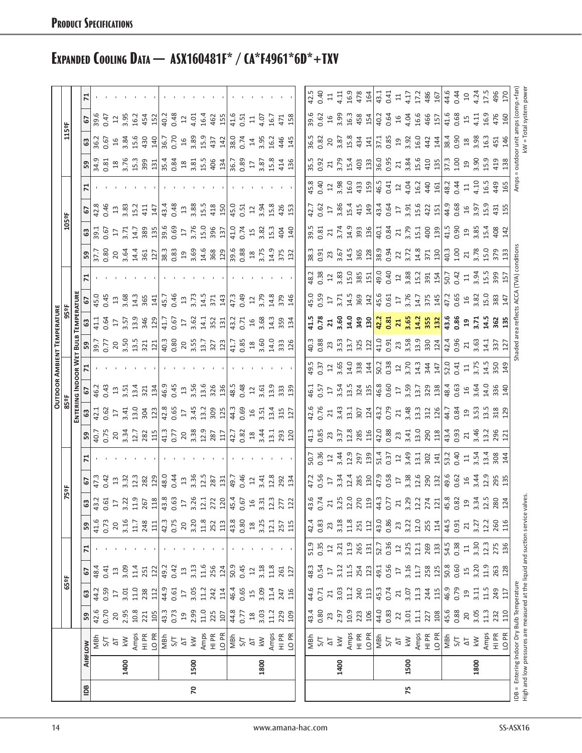|     |      |                                                                       |                |                 | 65°F       |              |              | 75ºF                                                                                                                                                                                                                                                                                                                                                                                                                                                           |                                                                                                                                                                                                                                                                                                                       |                                                                                                                                                                                                                                                                                                                                                        |                                                                                                                                                                                                                                                                                                             |                                                                                                                                                                                                                                                                                                                                                                                |  |                                                                                                                                                                                                                                                                                                                      |                                                                                                                                                                                                                                                                                                                     |                                                                                                                                                                                                                                                                                                                      |                                                                                                                                                                                                                                                                                                                                                                                      |                                                                                                                                                                                                                                     |                                                                                                                  | 115°F                                                                                                                                                                                                                            |                                                                                                                                                                                                                                |
|-----|------|-----------------------------------------------------------------------|----------------|-----------------|------------|--------------|--------------|----------------------------------------------------------------------------------------------------------------------------------------------------------------------------------------------------------------------------------------------------------------------------------------------------------------------------------------------------------------------------------------------------------------------------------------------------------------|-----------------------------------------------------------------------------------------------------------------------------------------------------------------------------------------------------------------------------------------------------------------------------------------------------------------------|--------------------------------------------------------------------------------------------------------------------------------------------------------------------------------------------------------------------------------------------------------------------------------------------------------------------------------------------------------|-------------------------------------------------------------------------------------------------------------------------------------------------------------------------------------------------------------------------------------------------------------------------------------------------------------|--------------------------------------------------------------------------------------------------------------------------------------------------------------------------------------------------------------------------------------------------------------------------------------------------------------------------------------------------------------------------------|--|----------------------------------------------------------------------------------------------------------------------------------------------------------------------------------------------------------------------------------------------------------------------------------------------------------------------|---------------------------------------------------------------------------------------------------------------------------------------------------------------------------------------------------------------------------------------------------------------------------------------------------------------------|----------------------------------------------------------------------------------------------------------------------------------------------------------------------------------------------------------------------------------------------------------------------------------------------------------------------|--------------------------------------------------------------------------------------------------------------------------------------------------------------------------------------------------------------------------------------------------------------------------------------------------------------------------------------------------------------------------------------|-------------------------------------------------------------------------------------------------------------------------------------------------------------------------------------------------------------------------------------|------------------------------------------------------------------------------------------------------------------|----------------------------------------------------------------------------------------------------------------------------------------------------------------------------------------------------------------------------------|--------------------------------------------------------------------------------------------------------------------------------------------------------------------------------------------------------------------------------|
|     |      |                                                                       |                |                 |            |              |              |                                                                                                                                                                                                                                                                                                                                                                                                                                                                |                                                                                                                                                                                                                                                                                                                       |                                                                                                                                                                                                                                                                                                                                                        |                                                                                                                                                                                                                                                                                                             |                                                                                                                                                                                                                                                                                                                                                                                |  |                                                                                                                                                                                                                                                                                                                      |                                                                                                                                                                                                                                                                                                                     |                                                                                                                                                                                                                                                                                                                      |                                                                                                                                                                                                                                                                                                                                                                                      |                                                                                                                                                                                                                                     |                                                                                                                  |                                                                                                                                                                                                                                  |                                                                                                                                                                                                                                |
| ÎОВ |      | AIRFLOW                                                               | 59             | යි              | 5          |              | 59           |                                                                                                                                                                                                                                                                                                                                                                                                                                                                |                                                                                                                                                                                                                                                                                                                       |                                                                                                                                                                                                                                                                                                                                                        |                                                                                                                                                                                                                                                                                                             |                                                                                                                                                                                                                                                                                                                                                                                |  |                                                                                                                                                                                                                                                                                                                      |                                                                                                                                                                                                                                                                                                                     |                                                                                                                                                                                                                                                                                                                      |                                                                                                                                                                                                                                                                                                                                                                                      |                                                                                                                                                                                                                                     |                                                                                                                  |                                                                                                                                                                                                                                  |                                                                                                                                                                                                                                |
|     |      | MBh                                                                   | 42.6           | 44.2            | 48.4       |              | 41.6         |                                                                                                                                                                                                                                                                                                                                                                                                                                                                |                                                                                                                                                                                                                                                                                                                       |                                                                                                                                                                                                                                                                                                                                                        |                                                                                                                                                                                                                                                                                                             |                                                                                                                                                                                                                                                                                                                                                                                |  |                                                                                                                                                                                                                                                                                                                      |                                                                                                                                                                                                                                                                                                                     |                                                                                                                                                                                                                                                                                                                      |                                                                                                                                                                                                                                                                                                                                                                                      |                                                                                                                                                                                                                                     |                                                                                                                  |                                                                                                                                                                                                                                  |                                                                                                                                                                                                                                |
|     |      | 5/7                                                                   | 0.70           | 0.59            | 0.41       |              | 0.73         |                                                                                                                                                                                                                                                                                                                                                                                                                                                                |                                                                                                                                                                                                                                                                                                                       |                                                                                                                                                                                                                                                                                                                                                        |                                                                                                                                                                                                                                                                                                             |                                                                                                                                                                                                                                                                                                                                                                                |  |                                                                                                                                                                                                                                                                                                                      |                                                                                                                                                                                                                                                                                                                     |                                                                                                                                                                                                                                                                                                                      |                                                                                                                                                                                                                                                                                                                                                                                      |                                                                                                                                                                                                                                     |                                                                                                                  |                                                                                                                                                                                                                                  |                                                                                                                                                                                                                                |
|     |      | $\overline{\Delta}$                                                   | 20             | $\overline{17}$ | $\Xi$      |              | 20           |                                                                                                                                                                                                                                                                                                                                                                                                                                                                |                                                                                                                                                                                                                                                                                                                       |                                                                                                                                                                                                                                                                                                                                                        |                                                                                                                                                                                                                                                                                                             |                                                                                                                                                                                                                                                                                                                                                                                |  |                                                                                                                                                                                                                                                                                                                      |                                                                                                                                                                                                                                                                                                                     |                                                                                                                                                                                                                                                                                                                      |                                                                                                                                                                                                                                                                                                                                                                                      |                                                                                                                                                                                                                                     |                                                                                                                  |                                                                                                                                                                                                                                  |                                                                                                                                                                                                                                |
|     | 1400 | $\overline{\mathsf{k}}$                                               | 2.95           | 3.01            | 3.09       |              | 3.16         |                                                                                                                                                                                                                                                                                                                                                                                                                                                                |                                                                                                                                                                                                                                                                                                                       |                                                                                                                                                                                                                                                                                                                                                        |                                                                                                                                                                                                                                                                                                             |                                                                                                                                                                                                                                                                                                                                                                                |  |                                                                                                                                                                                                                                                                                                                      |                                                                                                                                                                                                                                                                                                                     |                                                                                                                                                                                                                                                                                                                      |                                                                                                                                                                                                                                                                                                                                                                                      |                                                                                                                                                                                                                                     |                                                                                                                  |                                                                                                                                                                                                                                  |                                                                                                                                                                                                                                |
|     |      |                                                                       | 10.8           | 11.0            | 11.4       |              | 11.7         | $\begin{array}{l} \textbf{3}\ \textbf{1}\ \textbf{3}\ \textbf{2}\ \textbf{5}\ \textbf{7}\ \textbf{3}\ \textbf{1}\ \textbf{2}\ \textbf{3}\ \textbf{5}\ \textbf{6}\ \textbf{7}\ \textbf{8}\ \textbf{8}\ \textbf{9}\ \textbf{1}\ \textbf{4}\ \textbf{3}\ \textbf{6}\ \textbf{5}\ \textbf{7}\ \textbf{3}\ \textbf{1}\ \textbf{4}\ \textbf{5}\ \textbf{6}\ \textbf{6}\ \textbf{8}\ \textbf{9}\ \textbf{1}\ \textbf{1}\ \textbf{2}\ \textbf{3}\ \textbf{1}\ \textbf$ | $\frac{6}{3}$ $\frac{13}{2}$ $\frac{3}{2}$ $\frac{3}{2}$ $\frac{3}{2}$ $\frac{3}{2}$ $\frac{3}{2}$ $\frac{3}{2}$ $\frac{3}{2}$ $\frac{3}{2}$ $\frac{3}{2}$ $\frac{3}{2}$ $\frac{3}{2}$ $\frac{3}{2}$ $\frac{3}{2}$ $\frac{3}{2}$ $\frac{3}{2}$ $\frac{3}{2}$ $\frac{3}{2}$ $\frac{3}{2}$ $\frac{3}{2}$ $\frac{3}{2}$  | $B_0$ $\overline{B_0}$ $\overline{B_1}$ $\overline{B_2}$ $\overline{B_3}$ $\overline{B_4}$ $\overline{B_5}$ $\overline{B_6}$ $\overline{B_7}$ $\overline{B_8}$ $\overline{B_8}$ $\overline{B_1}$ $\overline{B_1}$ $\overline{B_2}$ $\overline{B_3}$ $\overline{B_4}$ $\overline{B_3}$ $\overline{B_3}$ $\overline{B_4}$ $\overline{B_5}$ $\overline{B$ | $3\frac{1}{2}$ $3\frac{1}{2}$ $5\frac{1}{2}$ $5\frac{1}{2}$ $5\frac{1}{2}$ $5\frac{1}{2}$ $5\frac{1}{2}$ $5\frac{1}{2}$ $5\frac{1}{2}$ $5\frac{1}{2}$ $5\frac{1}{2}$ $5\frac{1}{2}$ $5\frac{1}{2}$ $5\frac{1}{2}$ $5\frac{1}{2}$ $5\frac{1}{2}$ $5\frac{1}{2}$ $5\frac{1}{2}$ $5\frac{1}{2}$ $5\frac{1}{2}$ | $\frac{1}{6}$ $\frac{1}{6}$ $\frac{3}{6}$ $\frac{3}{6}$ $\frac{3}{6}$ $\frac{3}{6}$ $\frac{3}{6}$ $\frac{3}{6}$ $\frac{3}{6}$ $\frac{3}{6}$ $\frac{3}{6}$ $\frac{3}{6}$ $\frac{3}{6}$ $\frac{3}{6}$ $\frac{3}{6}$ $\frac{3}{6}$ $\frac{3}{6}$ $\frac{3}{6}$ $\frac{3}{6}$ $\frac{3}{6}$ $\frac{3}{6}$ $\frac{3}{6}$ $\frac{3}{6}$ $\frac{3}{6}$ $\frac{3$                      |  | $3\frac{1}{2}$ $\frac{1}{2}$ $\frac{3}{2}$ $\frac{1}{2}$ $\frac{5}{2}$ $\frac{3}{2}$ $\frac{4}{2}$ $\frac{3}{2}$ $\frac{1}{2}$ $\frac{5}{2}$ $\frac{2}{2}$ $\frac{3}{2}$ $\frac{4}{2}$ $\frac{3}{2}$ $\frac{3}{2}$ $\frac{4}{2}$ $\frac{3}{2}$ $\frac{4}{2}$ $\frac{3}{2}$ $\frac{4}{2}$ $\frac{3}{2}$ $\frac{4}{2}$ | $\frac{1}{2}$ $\frac{1}{2}$ $\frac{3}{2}$ $\frac{3}{2}$ $\frac{3}{2}$ $\frac{4}{2}$ $\frac{3}{2}$ $\frac{4}{2}$ $\frac{1}{2}$ $\frac{5}{2}$ $\frac{4}{2}$ $\frac{3}{2}$ $\frac{4}{2}$ $\frac{3}{2}$ $\frac{4}{2}$ $\frac{3}{2}$ $\frac{4}{2}$ $\frac{3}{2}$ $\frac{4}{2}$ $\frac{3}{2}$ $\frac{4}{2}$ $\frac{3}{2}$ | $3\frac{1}{2}$ $\frac{1}{2}$ $\frac{3}{2}$ $\frac{3}{2}$ $\frac{3}{2}$ $\frac{4}{3}$ $\frac{4}{3}$ $\frac{5}{2}$ $\frac{1}{2}$ $\frac{3}{2}$ $\frac{3}{2}$ $\frac{3}{2}$ $\frac{3}{2}$ $\frac{4}{2}$ $\frac{4}{2}$ $\frac{5}{2}$ $\frac{1}{2}$ $\frac{3}{2}$ $\frac{3}{2}$ $\frac{4}{2}$ $\frac{5}{2}$ $\frac{1}{2}$ | $3\overline{)}$ $\overline{3}$ $\overline{5}$ $\overline{5}$ $\overline{2}$ $\overline{1}$ $\overline{2}$ $\overline{3}$ $\overline{4}$ $\overline{3}$ $\overline{2}$ $\overline{3}$ $\overline{2}$ $\overline{3}$ $\overline{4}$ $\overline{3}$ $\overline{3}$ $\overline{1}$ $\overline{3}$ $\overline{3}$ $\overline{2}$ $\overline{3}$ $\overline{4}$ $\overline{3}$ $\overline$ |                                                                                                                                                                                                                                     | <mark>ង</mark> ) ភ្នំ ដូ ង ៉ូ ដូ ដូ ងូ ង៉ូ ដូ ងូ ង៉ូ ដូ ងូ ង៉ូ ដូ ងូ ង៉ូ ដូ ង៉ូ ដូ ង៉ូ ដូ ង៉ូ ដូ ង៉ូ ដូ ង៉ូ ដូ ង | $3\frac{1}{2}$ $3.5$ $5.4$ $3.4$ $3.5$ $5.5$ $6.5$ $6.5$ $6.5$ $6.5$ $6.5$ $6.5$ $6.5$ $6.5$ $6.5$ $6.5$ $6.5$ $6.5$ $6.5$ $6.5$ $6.5$ $6.5$ $6.5$ $6.5$ $6.5$ $6.5$ $6.5$ $6.5$ $6.5$ $6.5$ $6.5$ $6.5$ $6.5$ $6.5$ $6.5$ $6.5$ |                                                                                                                                                                                                                                |
|     |      |                                                                       | 221            | 238             | 251        |              | 248          |                                                                                                                                                                                                                                                                                                                                                                                                                                                                |                                                                                                                                                                                                                                                                                                                       |                                                                                                                                                                                                                                                                                                                                                        |                                                                                                                                                                                                                                                                                                             |                                                                                                                                                                                                                                                                                                                                                                                |  |                                                                                                                                                                                                                                                                                                                      |                                                                                                                                                                                                                                                                                                                     |                                                                                                                                                                                                                                                                                                                      |                                                                                                                                                                                                                                                                                                                                                                                      |                                                                                                                                                                                                                                     |                                                                                                                  |                                                                                                                                                                                                                                  |                                                                                                                                                                                                                                |
|     |      | Amps<br>HI PR<br>LO PR                                                | 105            | 112             | 122        |              | 111          |                                                                                                                                                                                                                                                                                                                                                                                                                                                                |                                                                                                                                                                                                                                                                                                                       |                                                                                                                                                                                                                                                                                                                                                        |                                                                                                                                                                                                                                                                                                             |                                                                                                                                                                                                                                                                                                                                                                                |  |                                                                                                                                                                                                                                                                                                                      |                                                                                                                                                                                                                                                                                                                     |                                                                                                                                                                                                                                                                                                                      |                                                                                                                                                                                                                                                                                                                                                                                      |                                                                                                                                                                                                                                     |                                                                                                                  |                                                                                                                                                                                                                                  |                                                                                                                                                                                                                                |
|     |      | MBh                                                                   | 43.3           | 44.9            | 49.2       |              |              |                                                                                                                                                                                                                                                                                                                                                                                                                                                                |                                                                                                                                                                                                                                                                                                                       |                                                                                                                                                                                                                                                                                                                                                        |                                                                                                                                                                                                                                                                                                             |                                                                                                                                                                                                                                                                                                                                                                                |  |                                                                                                                                                                                                                                                                                                                      |                                                                                                                                                                                                                                                                                                                     |                                                                                                                                                                                                                                                                                                                      |                                                                                                                                                                                                                                                                                                                                                                                      |                                                                                                                                                                                                                                     |                                                                                                                  |                                                                                                                                                                                                                                  |                                                                                                                                                                                                                                |
|     |      | 5/7                                                                   | 0.73           | 0.61            | 0.42       |              | 42.3<br>0.75 |                                                                                                                                                                                                                                                                                                                                                                                                                                                                |                                                                                                                                                                                                                                                                                                                       |                                                                                                                                                                                                                                                                                                                                                        |                                                                                                                                                                                                                                                                                                             |                                                                                                                                                                                                                                                                                                                                                                                |  |                                                                                                                                                                                                                                                                                                                      |                                                                                                                                                                                                                                                                                                                     |                                                                                                                                                                                                                                                                                                                      |                                                                                                                                                                                                                                                                                                                                                                                      |                                                                                                                                                                                                                                     |                                                                                                                  |                                                                                                                                                                                                                                  |                                                                                                                                                                                                                                |
|     |      | $\overline{\Delta}$                                                   | $\Xi$          | $\overline{17}$ | $\Xi$      |              | 20           |                                                                                                                                                                                                                                                                                                                                                                                                                                                                |                                                                                                                                                                                                                                                                                                                       |                                                                                                                                                                                                                                                                                                                                                        |                                                                                                                                                                                                                                                                                                             |                                                                                                                                                                                                                                                                                                                                                                                |  |                                                                                                                                                                                                                                                                                                                      |                                                                                                                                                                                                                                                                                                                     |                                                                                                                                                                                                                                                                                                                      |                                                                                                                                                                                                                                                                                                                                                                                      |                                                                                                                                                                                                                                     |                                                                                                                  |                                                                                                                                                                                                                                  |                                                                                                                                                                                                                                |
| 20  | 1500 | $\leq$                                                                | 2.99           | 3.05            | 3.13       |              | 3.20         |                                                                                                                                                                                                                                                                                                                                                                                                                                                                |                                                                                                                                                                                                                                                                                                                       |                                                                                                                                                                                                                                                                                                                                                        |                                                                                                                                                                                                                                                                                                             |                                                                                                                                                                                                                                                                                                                                                                                |  |                                                                                                                                                                                                                                                                                                                      |                                                                                                                                                                                                                                                                                                                     |                                                                                                                                                                                                                                                                                                                      |                                                                                                                                                                                                                                                                                                                                                                                      |                                                                                                                                                                                                                                     |                                                                                                                  |                                                                                                                                                                                                                                  |                                                                                                                                                                                                                                |
|     |      |                                                                       | 11.0           | 11.2            | 11.6       |              | 11.8         |                                                                                                                                                                                                                                                                                                                                                                                                                                                                |                                                                                                                                                                                                                                                                                                                       |                                                                                                                                                                                                                                                                                                                                                        |                                                                                                                                                                                                                                                                                                             |                                                                                                                                                                                                                                                                                                                                                                                |  |                                                                                                                                                                                                                                                                                                                      |                                                                                                                                                                                                                                                                                                                     |                                                                                                                                                                                                                                                                                                                      |                                                                                                                                                                                                                                                                                                                                                                                      |                                                                                                                                                                                                                                     |                                                                                                                  |                                                                                                                                                                                                                                  |                                                                                                                                                                                                                                |
|     |      | Amps<br>H PR<br>LO PR                                                 | 225            | 242             | 256        |              | 252          |                                                                                                                                                                                                                                                                                                                                                                                                                                                                |                                                                                                                                                                                                                                                                                                                       |                                                                                                                                                                                                                                                                                                                                                        |                                                                                                                                                                                                                                                                                                             |                                                                                                                                                                                                                                                                                                                                                                                |  |                                                                                                                                                                                                                                                                                                                      |                                                                                                                                                                                                                                                                                                                     |                                                                                                                                                                                                                                                                                                                      |                                                                                                                                                                                                                                                                                                                                                                                      |                                                                                                                                                                                                                                     |                                                                                                                  |                                                                                                                                                                                                                                  |                                                                                                                                                                                                                                |
|     |      |                                                                       | 107            | 114             | 124        |              | 113          |                                                                                                                                                                                                                                                                                                                                                                                                                                                                |                                                                                                                                                                                                                                                                                                                       |                                                                                                                                                                                                                                                                                                                                                        |                                                                                                                                                                                                                                                                                                             |                                                                                                                                                                                                                                                                                                                                                                                |  |                                                                                                                                                                                                                                                                                                                      |                                                                                                                                                                                                                                                                                                                     |                                                                                                                                                                                                                                                                                                                      |                                                                                                                                                                                                                                                                                                                                                                                      |                                                                                                                                                                                                                                     |                                                                                                                  |                                                                                                                                                                                                                                  |                                                                                                                                                                                                                                |
|     |      | MBh<br>S/T                                                            | 44.8<br>0.77   | 46.4            | 50.9       |              | 43.8         |                                                                                                                                                                                                                                                                                                                                                                                                                                                                |                                                                                                                                                                                                                                                                                                                       |                                                                                                                                                                                                                                                                                                                                                        |                                                                                                                                                                                                                                                                                                             |                                                                                                                                                                                                                                                                                                                                                                                |  |                                                                                                                                                                                                                                                                                                                      |                                                                                                                                                                                                                                                                                                                     |                                                                                                                                                                                                                                                                                                                      |                                                                                                                                                                                                                                                                                                                                                                                      |                                                                                                                                                                                                                                     |                                                                                                                  |                                                                                                                                                                                                                                  |                                                                                                                                                                                                                                |
|     |      |                                                                       |                | 0.65            | 0.45       |              | 0.80         |                                                                                                                                                                                                                                                                                                                                                                                                                                                                |                                                                                                                                                                                                                                                                                                                       |                                                                                                                                                                                                                                                                                                                                                        |                                                                                                                                                                                                                                                                                                             |                                                                                                                                                                                                                                                                                                                                                                                |  |                                                                                                                                                                                                                                                                                                                      |                                                                                                                                                                                                                                                                                                                     |                                                                                                                                                                                                                                                                                                                      |                                                                                                                                                                                                                                                                                                                                                                                      |                                                                                                                                                                                                                                     |                                                                                                                  |                                                                                                                                                                                                                                  |                                                                                                                                                                                                                                |
|     |      | $\overline{\Delta}$                                                   | $^{28}$        | $15$            | $\Xi$      |              | $^{28}$      |                                                                                                                                                                                                                                                                                                                                                                                                                                                                |                                                                                                                                                                                                                                                                                                                       |                                                                                                                                                                                                                                                                                                                                                        |                                                                                                                                                                                                                                                                                                             |                                                                                                                                                                                                                                                                                                                                                                                |  |                                                                                                                                                                                                                                                                                                                      |                                                                                                                                                                                                                                                                                                                     |                                                                                                                                                                                                                                                                                                                      |                                                                                                                                                                                                                                                                                                                                                                                      |                                                                                                                                                                                                                                     |                                                                                                                  |                                                                                                                                                                                                                                  |                                                                                                                                                                                                                                |
|     | 1800 | $\overline{\mathsf{k}}$ W                                             | 3.03           | 3.09            | 3.18       |              | 3.25         |                                                                                                                                                                                                                                                                                                                                                                                                                                                                |                                                                                                                                                                                                                                                                                                                       |                                                                                                                                                                                                                                                                                                                                                        |                                                                                                                                                                                                                                                                                                             |                                                                                                                                                                                                                                                                                                                                                                                |  |                                                                                                                                                                                                                                                                                                                      |                                                                                                                                                                                                                                                                                                                     |                                                                                                                                                                                                                                                                                                                      |                                                                                                                                                                                                                                                                                                                                                                                      |                                                                                                                                                                                                                                     |                                                                                                                  |                                                                                                                                                                                                                                  |                                                                                                                                                                                                                                |
|     |      | Amps                                                                  | 11.2           | 11.4            | 11.8       |              | 12.1         |                                                                                                                                                                                                                                                                                                                                                                                                                                                                |                                                                                                                                                                                                                                                                                                                       |                                                                                                                                                                                                                                                                                                                                                        |                                                                                                                                                                                                                                                                                                             |                                                                                                                                                                                                                                                                                                                                                                                |  |                                                                                                                                                                                                                                                                                                                      |                                                                                                                                                                                                                                                                                                                     |                                                                                                                                                                                                                                                                                                                      |                                                                                                                                                                                                                                                                                                                                                                                      |                                                                                                                                                                                                                                     |                                                                                                                  |                                                                                                                                                                                                                                  |                                                                                                                                                                                                                                |
|     |      | HI PR                                                                 | 229            | 247             | 261        |              | 257          |                                                                                                                                                                                                                                                                                                                                                                                                                                                                |                                                                                                                                                                                                                                                                                                                       |                                                                                                                                                                                                                                                                                                                                                        |                                                                                                                                                                                                                                                                                                             |                                                                                                                                                                                                                                                                                                                                                                                |  |                                                                                                                                                                                                                                                                                                                      |                                                                                                                                                                                                                                                                                                                     |                                                                                                                                                                                                                                                                                                                      |                                                                                                                                                                                                                                                                                                                                                                                      |                                                                                                                                                                                                                                     |                                                                                                                  |                                                                                                                                                                                                                                  |                                                                                                                                                                                                                                |
|     |      | LO PR                                                                 | 109            | 116             | 127        |              | 115          |                                                                                                                                                                                                                                                                                                                                                                                                                                                                |                                                                                                                                                                                                                                                                                                                       |                                                                                                                                                                                                                                                                                                                                                        |                                                                                                                                                                                                                                                                                                             |                                                                                                                                                                                                                                                                                                                                                                                |  |                                                                                                                                                                                                                                                                                                                      |                                                                                                                                                                                                                                                                                                                     |                                                                                                                                                                                                                                                                                                                      |                                                                                                                                                                                                                                                                                                                                                                                      |                                                                                                                                                                                                                                     |                                                                                                                  |                                                                                                                                                                                                                                  |                                                                                                                                                                                                                                |
|     |      |                                                                       |                |                 |            |              |              |                                                                                                                                                                                                                                                                                                                                                                                                                                                                |                                                                                                                                                                                                                                                                                                                       |                                                                                                                                                                                                                                                                                                                                                        |                                                                                                                                                                                                                                                                                                             |                                                                                                                                                                                                                                                                                                                                                                                |  |                                                                                                                                                                                                                                                                                                                      |                                                                                                                                                                                                                                                                                                                     |                                                                                                                                                                                                                                                                                                                      |                                                                                                                                                                                                                                                                                                                                                                                      |                                                                                                                                                                                                                                     |                                                                                                                  |                                                                                                                                                                                                                                  |                                                                                                                                                                                                                                |
|     |      | MBh                                                                   | 43.4           | 44.6            | 48.3       | 51.9         | 42.4         |                                                                                                                                                                                                                                                                                                                                                                                                                                                                |                                                                                                                                                                                                                                                                                                                       |                                                                                                                                                                                                                                                                                                                                                        |                                                                                                                                                                                                                                                                                                             |                                                                                                                                                                                                                                                                                                                                                                                |  |                                                                                                                                                                                                                                                                                                                      |                                                                                                                                                                                                                                                                                                                     |                                                                                                                                                                                                                                                                                                                      |                                                                                                                                                                                                                                                                                                                                                                                      |                                                                                                                                                                                                                                     |                                                                                                                  |                                                                                                                                                                                                                                  |                                                                                                                                                                                                                                |
|     |      | 5/7                                                                   | 0.80           | 0.71            | 0.54       | 0.35         |              |                                                                                                                                                                                                                                                                                                                                                                                                                                                                |                                                                                                                                                                                                                                                                                                                       |                                                                                                                                                                                                                                                                                                                                                        |                                                                                                                                                                                                                                                                                                             |                                                                                                                                                                                                                                                                                                                                                                                |  |                                                                                                                                                                                                                                                                                                                      |                                                                                                                                                                                                                                                                                                                     |                                                                                                                                                                                                                                                                                                                      |                                                                                                                                                                                                                                                                                                                                                                                      |                                                                                                                                                                                                                                     |                                                                                                                  |                                                                                                                                                                                                                                  |                                                                                                                                                                                                                                |
|     |      | $\overline{\Delta}$                                                   | 23             | 21              | $17\,$     | $22$         | 23           |                                                                                                                                                                                                                                                                                                                                                                                                                                                                |                                                                                                                                                                                                                                                                                                                       |                                                                                                                                                                                                                                                                                                                                                        |                                                                                                                                                                                                                                                                                                             |                                                                                                                                                                                                                                                                                                                                                                                |  |                                                                                                                                                                                                                                                                                                                      |                                                                                                                                                                                                                                                                                                                     |                                                                                                                                                                                                                                                                                                                      |                                                                                                                                                                                                                                                                                                                                                                                      |                                                                                                                                                                                                                                     |                                                                                                                  |                                                                                                                                                                                                                                  |                                                                                                                                                                                                                                |
|     | 1400 | KW                                                                    | 2.97           | 3.03            | 3.12       | 3.21         | 3.18         |                                                                                                                                                                                                                                                                                                                                                                                                                                                                |                                                                                                                                                                                                                                                                                                                       |                                                                                                                                                                                                                                                                                                                                                        |                                                                                                                                                                                                                                                                                                             |                                                                                                                                                                                                                                                                                                                                                                                |  |                                                                                                                                                                                                                                                                                                                      |                                                                                                                                                                                                                                                                                                                     |                                                                                                                                                                                                                                                                                                                      |                                                                                                                                                                                                                                                                                                                                                                                      |                                                                                                                                                                                                                                     |                                                                                                                  |                                                                                                                                                                                                                                  |                                                                                                                                                                                                                                |
|     |      | Amps<br>H PR<br>LO PR                                                 | 10.9           | 11.2            | 11.5       | 11.9         | 11.8         |                                                                                                                                                                                                                                                                                                                                                                                                                                                                |                                                                                                                                                                                                                                                                                                                       |                                                                                                                                                                                                                                                                                                                                                        |                                                                                                                                                                                                                                                                                                             |                                                                                                                                                                                                                                                                                                                                                                                |  |                                                                                                                                                                                                                                                                                                                      |                                                                                                                                                                                                                                                                                                                     |                                                                                                                                                                                                                                                                                                                      |                                                                                                                                                                                                                                                                                                                                                                                      |                                                                                                                                                                                                                                     |                                                                                                                  |                                                                                                                                                                                                                                  |                                                                                                                                                                                                                                |
|     |      |                                                                       | 223            | 240             | 254        | 265          | 251          |                                                                                                                                                                                                                                                                                                                                                                                                                                                                |                                                                                                                                                                                                                                                                                                                       |                                                                                                                                                                                                                                                                                                                                                        |                                                                                                                                                                                                                                                                                                             |                                                                                                                                                                                                                                                                                                                                                                                |  |                                                                                                                                                                                                                                                                                                                      |                                                                                                                                                                                                                                                                                                                     |                                                                                                                                                                                                                                                                                                                      |                                                                                                                                                                                                                                                                                                                                                                                      |                                                                                                                                                                                                                                     |                                                                                                                  |                                                                                                                                                                                                                                  |                                                                                                                                                                                                                                |
|     |      |                                                                       | 106            | 113             | 123        | 131          | 112          |                                                                                                                                                                                                                                                                                                                                                                                                                                                                |                                                                                                                                                                                                                                                                                                                       |                                                                                                                                                                                                                                                                                                                                                        |                                                                                                                                                                                                                                                                                                             |                                                                                                                                                                                                                                                                                                                                                                                |  |                                                                                                                                                                                                                                                                                                                      |                                                                                                                                                                                                                                                                                                                     |                                                                                                                                                                                                                                                                                                                      |                                                                                                                                                                                                                                                                                                                                                                                      |                                                                                                                                                                                                                                     |                                                                                                                  |                                                                                                                                                                                                                                  |                                                                                                                                                                                                                                |
|     |      | MBh<br>S/T                                                            | 44.0<br>0.83   | 45.3            | 49.1       | 52.7<br>0.36 | 43.0         |                                                                                                                                                                                                                                                                                                                                                                                                                                                                |                                                                                                                                                                                                                                                                                                                       |                                                                                                                                                                                                                                                                                                                                                        |                                                                                                                                                                                                                                                                                                             |                                                                                                                                                                                                                                                                                                                                                                                |  |                                                                                                                                                                                                                                                                                                                      |                                                                                                                                                                                                                                                                                                                     |                                                                                                                                                                                                                                                                                                                      |                                                                                                                                                                                                                                                                                                                                                                                      |                                                                                                                                                                                                                                     |                                                                                                                  |                                                                                                                                                                                                                                  |                                                                                                                                                                                                                                |
|     |      |                                                                       |                | 0.74            | 0.56       |              | 0.86         |                                                                                                                                                                                                                                                                                                                                                                                                                                                                |                                                                                                                                                                                                                                                                                                                       |                                                                                                                                                                                                                                                                                                                                                        |                                                                                                                                                                                                                                                                                                             |                                                                                                                                                                                                                                                                                                                                                                                |  |                                                                                                                                                                                                                                                                                                                      |                                                                                                                                                                                                                                                                                                                     |                                                                                                                                                                                                                                                                                                                      |                                                                                                                                                                                                                                                                                                                                                                                      |                                                                                                                                                                                                                                     |                                                                                                                  |                                                                                                                                                                                                                                  |                                                                                                                                                                                                                                |
|     |      | $\overline{\Delta}$                                                   | $\overline{2}$ | 21              | $17$       | $\Xi$        | 23           |                                                                                                                                                                                                                                                                                                                                                                                                                                                                |                                                                                                                                                                                                                                                                                                                       |                                                                                                                                                                                                                                                                                                                                                        |                                                                                                                                                                                                                                                                                                             |                                                                                                                                                                                                                                                                                                                                                                                |  |                                                                                                                                                                                                                                                                                                                      |                                                                                                                                                                                                                                                                                                                     |                                                                                                                                                                                                                                                                                                                      |                                                                                                                                                                                                                                                                                                                                                                                      |                                                                                                                                                                                                                                     |                                                                                                                  |                                                                                                                                                                                                                                  |                                                                                                                                                                                                                                |
| 75  | 1500 | $\overline{\mathsf{k}}$ W                                             | 3.01           | 3.07            | 3.16       | 3.25         | 3.22         |                                                                                                                                                                                                                                                                                                                                                                                                                                                                |                                                                                                                                                                                                                                                                                                                       |                                                                                                                                                                                                                                                                                                                                                        |                                                                                                                                                                                                                                                                                                             |                                                                                                                                                                                                                                                                                                                                                                                |  |                                                                                                                                                                                                                                                                                                                      |                                                                                                                                                                                                                                                                                                                     |                                                                                                                                                                                                                                                                                                                      |                                                                                                                                                                                                                                                                                                                                                                                      |                                                                                                                                                                                                                                     |                                                                                                                  |                                                                                                                                                                                                                                  |                                                                                                                                                                                                                                |
|     |      | Amps<br>HI PR                                                         | 11.1           | 11.3            | 11.7       | 12.1         | 12.0         |                                                                                                                                                                                                                                                                                                                                                                                                                                                                |                                                                                                                                                                                                                                                                                                                       |                                                                                                                                                                                                                                                                                                                                                        |                                                                                                                                                                                                                                                                                                             |                                                                                                                                                                                                                                                                                                                                                                                |  |                                                                                                                                                                                                                                                                                                                      |                                                                                                                                                                                                                                                                                                                     |                                                                                                                                                                                                                                                                                                                      |                                                                                                                                                                                                                                                                                                                                                                                      |                                                                                                                                                                                                                                     |                                                                                                                  |                                                                                                                                                                                                                                  |                                                                                                                                                                                                                                |
|     |      | LO <sub>PR</sub>                                                      | 108<br>227     | 244<br>115      | 258<br>125 | 269<br>133   | 255<br>114   |                                                                                                                                                                                                                                                                                                                                                                                                                                                                | $2.562$ $\frac{3}{2}$ $\frac{3}{2}$ $\frac{3}{2}$ $\frac{3}{2}$ $\frac{3}{2}$ $\frac{3}{2}$ $\frac{3}{2}$ $\frac{3}{2}$ $\frac{3}{2}$ $\frac{3}{2}$ $\frac{3}{2}$ $\frac{3}{2}$ $\frac{3}{2}$ $\frac{3}{2}$ $\frac{3}{2}$ $\frac{3}{2}$ $\frac{3}{2}$ $\frac{3}{2}$ $\frac{3}{2}$ $\frac{3}{2}$ $\frac{3}{2}$ $\frac$ |                                                                                                                                                                                                                                                                                                                                                        | $4.6$ $8.7$ $3.7$ $3.7$ $5.7$ $3.7$ $3.7$ $3.7$ $3.7$ $3.7$ $3.7$ $3.7$ $3.7$ $3.7$ $3.7$ $3.7$ $3.7$ $3.7$ $3.7$ $3.7$ $3.7$ $3.7$ $3.7$ $3.7$ $3.7$ $3.7$ $3.7$ $3.7$ $3.7$ $3.7$ $3.7$ $3.7$ $3.7$ $3.7$ $3.7$ $3.7$ $3.7$                                                                               | $45.5$ $\overline{5}$ $\overline{2}$ $\overline{3}$ $\overline{4}$ $\overline{3}$ $\overline{2}$ $\overline{4}$ $\overline{2}$ $\overline{3}$ $\overline{2}$ $\overline{4}$ $\overline{3}$ $\overline{4}$ $\overline{3}$ $\overline{4}$ $\overline{3}$ $\overline{4}$ $\overline{3}$ $\overline{4}$ $\overline{3}$ $\overline{4}$ $\overline{4}$ $\overline{5}$ $\overline{4}$ |  |                                                                                                                                                                                                                                                                                                                      | $45.9$ $25.7$ $7.7$ $45.9$ $31.6$ $45.2$ $5.7$ $5.7$ $5.7$ $5.7$ $5.7$ $5.7$ $5.7$ $5.7$ $5.7$ $5.7$ $5.7$ $5.7$ $5.7$ $5.7$ $5.7$ $5.7$ $5.7$ $5.7$ $5.7$ $5.7$ $5.7$ $5.7$ $5.7$ $5.7$ $5.7$ $5.7$ $5.7$ $5.7$ $5.7$ $5.7$                                                                                        |                                                                                                                                                                                                                                                                                                                      |                                                                                                                                                                                                                                                                                                                                                                                      | 2<br>2020 - 2021 - 2021 - 2021 - 2021 - 2021 - 2021 - 2021 - 2021 - 2021 - 2021 - 2021 - 2021 - 2021 - 2021 - 2021<br>2021 - 2021 - 2021 - 2021 - 2021 - 2021 - 2021 - 2021 - 2021 - 2021 - 2021 - 2021 - 2021 - 2021 - 2021 - 2021 |                                                                                                                  |                                                                                                                                                                                                                                  | $459$ $1198$ $84$ $114$ $125$ $88$ $9$ $142$ $382$ $142$ $382$ $142$ $382$ $142$ $382$ $142$ $382$ $142$ $382$ $142$ $382$ $142$ $382$ $142$ $382$ $142$ $382$ $142$ $382$ $142$ $382$ $142$ $382$ $142$ $382$ $142$ $382$ $1$ |
|     |      | MBh                                                                   | 45.6           | 46.9            | 50.8       | 54.5         | 44.5         |                                                                                                                                                                                                                                                                                                                                                                                                                                                                |                                                                                                                                                                                                                                                                                                                       |                                                                                                                                                                                                                                                                                                                                                        |                                                                                                                                                                                                                                                                                                             |                                                                                                                                                                                                                                                                                                                                                                                |  |                                                                                                                                                                                                                                                                                                                      |                                                                                                                                                                                                                                                                                                                     |                                                                                                                                                                                                                                                                                                                      |                                                                                                                                                                                                                                                                                                                                                                                      |                                                                                                                                                                                                                                     |                                                                                                                  |                                                                                                                                                                                                                                  |                                                                                                                                                                                                                                |
|     |      | 5/7                                                                   | 0.88           | 0.79            | 0.60       | 0.38         | 0.91         |                                                                                                                                                                                                                                                                                                                                                                                                                                                                |                                                                                                                                                                                                                                                                                                                       |                                                                                                                                                                                                                                                                                                                                                        |                                                                                                                                                                                                                                                                                                             |                                                                                                                                                                                                                                                                                                                                                                                |  |                                                                                                                                                                                                                                                                                                                      |                                                                                                                                                                                                                                                                                                                     |                                                                                                                                                                                                                                                                                                                      |                                                                                                                                                                                                                                                                                                                                                                                      |                                                                                                                                                                                                                                     |                                                                                                                  |                                                                                                                                                                                                                                  |                                                                                                                                                                                                                                |
|     |      | $\overline{\mathcal{L}}$                                              | 20             | $\overline{c}$  | 15         | $\Xi$        | 21           |                                                                                                                                                                                                                                                                                                                                                                                                                                                                |                                                                                                                                                                                                                                                                                                                       |                                                                                                                                                                                                                                                                                                                                                        |                                                                                                                                                                                                                                                                                                             |                                                                                                                                                                                                                                                                                                                                                                                |  |                                                                                                                                                                                                                                                                                                                      |                                                                                                                                                                                                                                                                                                                     |                                                                                                                                                                                                                                                                                                                      |                                                                                                                                                                                                                                                                                                                                                                                      |                                                                                                                                                                                                                                     |                                                                                                                  |                                                                                                                                                                                                                                  |                                                                                                                                                                                                                                |
|     | 1800 | $\leq$                                                                | 3.05           | 3.11            | 3.20       | 3.30         | 3.27         |                                                                                                                                                                                                                                                                                                                                                                                                                                                                |                                                                                                                                                                                                                                                                                                                       |                                                                                                                                                                                                                                                                                                                                                        |                                                                                                                                                                                                                                                                                                             |                                                                                                                                                                                                                                                                                                                                                                                |  |                                                                                                                                                                                                                                                                                                                      |                                                                                                                                                                                                                                                                                                                     |                                                                                                                                                                                                                                                                                                                      |                                                                                                                                                                                                                                                                                                                                                                                      |                                                                                                                                                                                                                                     |                                                                                                                  |                                                                                                                                                                                                                                  |                                                                                                                                                                                                                                |
|     |      | Amps<br>HI PR                                                         | 11.3           | 11.5            | 11.9       | 12.3         | 12.2         |                                                                                                                                                                                                                                                                                                                                                                                                                                                                |                                                                                                                                                                                                                                                                                                                       |                                                                                                                                                                                                                                                                                                                                                        |                                                                                                                                                                                                                                                                                                             |                                                                                                                                                                                                                                                                                                                                                                                |  |                                                                                                                                                                                                                                                                                                                      |                                                                                                                                                                                                                                                                                                                     |                                                                                                                                                                                                                                                                                                                      |                                                                                                                                                                                                                                                                                                                                                                                      |                                                                                                                                                                                                                                     |                                                                                                                  |                                                                                                                                                                                                                                  |                                                                                                                                                                                                                                |
|     |      |                                                                       | 232            | 249             | 263        | 275          | 260          |                                                                                                                                                                                                                                                                                                                                                                                                                                                                |                                                                                                                                                                                                                                                                                                                       |                                                                                                                                                                                                                                                                                                                                                        |                                                                                                                                                                                                                                                                                                             |                                                                                                                                                                                                                                                                                                                                                                                |  |                                                                                                                                                                                                                                                                                                                      |                                                                                                                                                                                                                                                                                                                     |                                                                                                                                                                                                                                                                                                                      |                                                                                                                                                                                                                                                                                                                                                                                      |                                                                                                                                                                                                                                     |                                                                                                                  |                                                                                                                                                                                                                                  |                                                                                                                                                                                                                                |
|     |      | LO PR                                                                 | $\frac{10}{2}$ | 117             | 128        | 136          | 116          |                                                                                                                                                                                                                                                                                                                                                                                                                                                                |                                                                                                                                                                                                                                                                                                                       |                                                                                                                                                                                                                                                                                                                                                        |                                                                                                                                                                                                                                                                                                             |                                                                                                                                                                                                                                                                                                                                                                                |  |                                                                                                                                                                                                                                                                                                                      |                                                                                                                                                                                                                                                                                                                     |                                                                                                                                                                                                                                                                                                                      |                                                                                                                                                                                                                                                                                                                                                                                      |                                                                                                                                                                                                                                     |                                                                                                                  |                                                                                                                                                                                                                                  |                                                                                                                                                                                                                                |
|     |      | IDB = Entering Indoor Dry Bulb Temperature                            |                |                 |            |              |              |                                                                                                                                                                                                                                                                                                                                                                                                                                                                |                                                                                                                                                                                                                                                                                                                       |                                                                                                                                                                                                                                                                                                                                                        |                                                                                                                                                                                                                                                                                                             |                                                                                                                                                                                                                                                                                                                                                                                |  |                                                                                                                                                                                                                                                                                                                      |                                                                                                                                                                                                                                                                                                                     |                                                                                                                                                                                                                                                                                                                      |                                                                                                                                                                                                                                                                                                                                                                                      |                                                                                                                                                                                                                                     |                                                                                                                  | r unit amps (comp.+fan)<br>W = Total system power                                                                                                                                                                                |                                                                                                                                                                                                                                |
|     |      | High and low pressures are measured at the liquid and suction service |                |                 |            |              |              | valves                                                                                                                                                                                                                                                                                                                                                                                                                                                         |                                                                                                                                                                                                                                                                                                                       |                                                                                                                                                                                                                                                                                                                                                        |                                                                                                                                                                                                                                                                                                             |                                                                                                                                                                                                                                                                                                                                                                                |  |                                                                                                                                                                                                                                                                                                                      |                                                                                                                                                                                                                                                                                                                     |                                                                                                                                                                                                                                                                                                                      |                                                                                                                                                                                                                                                                                                                                                                                      |                                                                                                                                                                                                                                     |                                                                                                                  |                                                                                                                                                                                                                                  |                                                                                                                                                                                                                                |

#### **Expanded Cooling Data — ASX160481F\* / CA\*F4961\*6D\*+TXV**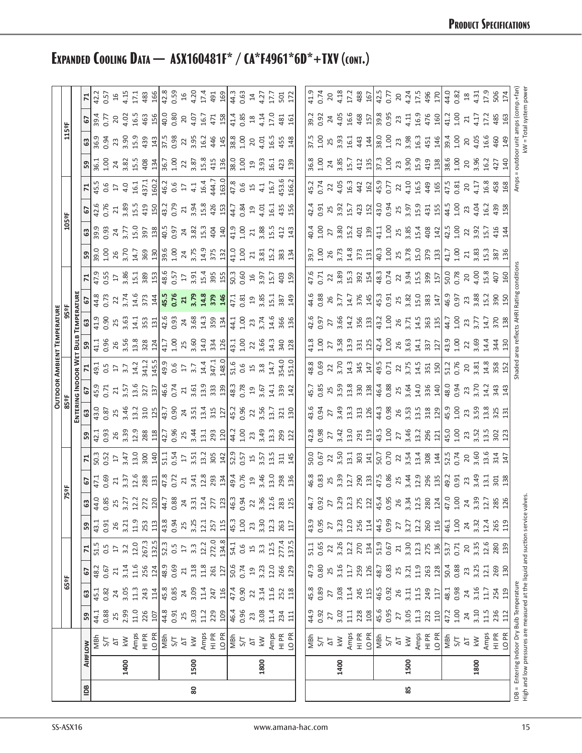| $4:7:8$ $3:8$ $6$ $6$ $7:8$ $3:8$ $6$ $6$ $7:8$ $7:8$ $8:8$ $10:8$ $10:8$ $10:8$ $10:8$ $10:8$ $10:8$ $10:8$ $10:8$ $10:8$ $10:8$ $10:8$ $10:8$ $10:8$ $10:8$ $10:8$ $10:8$ $10:8$ $10:8$ $10:8$ $10:8$ $10:8$ $10:8$ $10:8$<br>$4.78$ $2.8$ $5.7$ $3.7$ $5.8$ $6.7$ $7.7$ $3.7$ $5.8$ $6.7$ $7.7$ $5.8$ $6.7$ $7.7$ $5.8$ $6.7$ $7.7$ $5.8$ $6.7$ $6.7$ $7.7$ $5.8$ $6.7$ $6.7$ $7.7$ $5.8$ $6.7$ $6.7$ $7.7$ $7.8$ $7.7$ $7.8$ $7.7$ $7.8$ $7.8$ $7.7$ $7.8$<br>11.9<br>42.2<br>0.57<br>0.74<br>174<br>$\frac{1}{6}$<br>501<br>172<br>20<br>$\frac{1}{2}$<br>0.92<br>$24.9568$ $25.983$ $25.93$ $25.93$ $25.93$ $25.93$ $25.93$ $25.93$ $25.93$ $25.93$ $25.93$ $25.93$ $25.93$ $25.93$ $25.93$ $25.93$ $25.93$ $25.93$ $25.93$ $25.93$ $25.93$ $25.93$ $25.93$ $25.93$ $25.93$ $25.93$ $25.93$ $2$<br>4.17<br>17.2<br>485<br>39.4<br>0.77<br>39.2<br>163<br>$481$<br>$161$<br>$\overline{21}$<br>2010 10:00 10:00 10:00 10:00 10:00 10:00 10:00 10:00 10:00 10:00 10:00 10:00 10:00 10:00 10:00 10:00 10:00 10:<br>20:00 10:00 10:00 10:00 10:00 10:00 10:00 10:00 10:00 10:00 10:00 10:00 10:00 10:00 10:00 10:00 10:00 10:00 10<br>$\frac{3}{2}$ $\frac{3}{2}$ $\frac{3}{2}$ $\frac{3}{2}$ $\frac{3}{2}$ $\frac{3}{2}$ $\frac{3}{2}$ $\frac{3}{2}$ $\frac{3}{2}$ $\frac{3}{2}$ $\frac{3}{2}$ $\frac{3}{2}$ $\frac{3}{2}$ $\frac{3}{2}$ $\frac{3}{2}$ $\frac{3}{2}$ $\frac{3}{2}$ $\frac{3}{2}$ $\frac{3}{2}$ $\frac{3}{2}$ $\frac{3}{2}$ $\frac{3}{2}$<br>4.01<br>16.5<br>455<br>36.94<br>148<br>$\overline{20}$<br>$\frac{1}{2}$ $\frac{1}{2}$ $\frac{1}{2}$ $\frac{1}{2}$ $\frac{1}{2}$ $\frac{1}{2}$ $\frac{1}{2}$ $\frac{1}{2}$ $\frac{1}{2}$ $\frac{1}{2}$ $\frac{1}{2}$ $\frac{1}{2}$ $\frac{1}{2}$ $\frac{1}{2}$ $\frac{1}{2}$ $\frac{1}{2}$ $\frac{1}{2}$ $\frac{1}{2}$ $\frac{1}{2}$ $\frac{1}{2}$ $\frac{1}{2}$ $\frac{1}{2}$<br>$20^{0}$<br>$^{1.00}$<br><b>16.2</b><br>423<br>139<br>$\frac{5}{4}$<br><mark>ន</mark> ាន្ល<br>427<br>$\frac{1}{16}$ 15.5<br>$\frac{1}{3}$ 15.5<br>$\frac{1}{3}$ 15.7<br>$\frac{1}{3}$ 16.1<br>$\frac{1}{3}$ 16.1<br>$\frac{1}{3}$ 16.1<br>$\frac{1}{3}$ 16.1<br>$\frac{1}{3}$ 16.1<br>$\frac{1}{3}$ 16.1<br>$\frac{1}{3}$ 16.1<br>$\frac{1}{3}$ 16.1<br>$\frac{1}{3}$ 16.1<br>$\frac{1}{3}$ 16.1<br>$\frac{1}{3}$ 16<br>$4.1$<br>$16.7$<br>$153.1$<br>$166$<br>$\frac{1}{2}$ $\frac{3}{2}$ $\frac{3}{2}$ $\frac{1}{2}$ $\frac{1}{2}$ $\frac{1}{2}$ $\frac{1}{2}$ $\frac{1}{2}$ $\frac{1}{2}$ $\frac{1}{2}$ $\frac{1}{2}$ $\frac{1}{2}$ $\frac{1}{2}$ $\frac{1}{2}$ $\frac{1}{2}$ $\frac{1}{2}$ $\frac{1}{2}$ $\frac{1}{2}$ $\frac{1}{2}$ $\frac{1}{2}$ $\frac{1}{2}$ $\frac{1}{2}$<br>$rac{67}{42.6}$<br>ី - 3<br>មាន<br>$\begin{array}{c} 43 \\ 156 \end{array}$<br>105°F<br>$\frac{83}{22}$ $\frac{11}{22}$ $\frac{11}{22}$ $\frac{11}{22}$ $\frac{11}{22}$ $\frac{11}{22}$ $\frac{11}{22}$ $\frac{11}{22}$ $\frac{11}{22}$ $\frac{11}{22}$ $\frac{11}{22}$ $\frac{11}{22}$ $\frac{11}{22}$ $\frac{11}{22}$ $\frac{11}{22}$ $\frac{11}{22}$ $\frac{11}{22}$ $\frac{11}{22}$ $\frac{1$<br>$7.5$ $\frac{3}{2}$ $\frac{3}{2}$ $\frac{3}{2}$ $\frac{3}{2}$ $\frac{3}{2}$ $\frac{3}{2}$ $\frac{3}{2}$ $\frac{3}{2}$ $\frac{3}{2}$ $\frac{3}{2}$ $\frac{3}{2}$ $\frac{3}{2}$ $\frac{3}{2}$ $\frac{3}{2}$ $\frac{3}{2}$ $\frac{3}{2}$ $\frac{3}{2}$ $\frac{3}{2}$ $\frac{3}{2}$ $\frac{3}{2}$ $\frac{3}{2}$ $\frac{3$<br>$\begin{array}{c} 40.4 \\ 1.00 \\ 27 \end{array}$<br>$\frac{63}{39.93}$<br>15.7<br>144<br>143<br>$\frac{1}{3}$<br>$2\frac{3}{2}$ $\frac{4}{2}$ $\frac{5}{2}$ $\frac{6}{2}$ $\frac{1}{2}$ $\frac{1}{2}$ $\frac{6}{2}$ $\frac{1}{2}$ $\frac{1}{2}$ $\frac{1}{2}$ $\frac{3}{2}$ $\frac{3}{2}$ $\frac{3}{2}$ $\frac{4}{2}$ $\frac{1}{2}$ $\frac{1}{2}$ $\frac{5}{2}$ $\frac{3}{2}$ $\frac{3}{2}$ $\frac{4}{2}$ $\frac{1}{2}$ $\frac{1}{2}$<br>$4.88$ $8.77.7$ $8.41$ $4.3$ $5.8$ $3.2$ $6.8$ $1.3$ $6.8$ $3.2$ $6.8$ $3.2$ $6.8$ $3.2$ $6.8$ $3.2$ $6.8$ $3.2$ $6.8$ $3.2$ $3.2$ $3.2$ $3.2$ $3.2$ $3.2$ $3.2$ $3.2$ $3.2$ $3.2$ $3.2$ $3.2$ $3.2$ $3.2$ $3.2$ $3.2$ $3.2$<br>44.8<br>0.73<br>$45.5$ $\overline{5}$ $\overline{2}$ $\overline{4}$ $\overline{3}$ $\overline{4}$ $\overline{3}$ $\overline{4}$ $\overline{4}$ $\overline{5}$ $\overline{2}$ $\overline{4}$ $\overline{5}$ $\overline{2}$ $\overline{4}$ $\overline{5}$ $\overline{2}$ $\overline{5}$ $\overline{2}$ $\overline{5}$ $\overline{2}$ $\overline{2}$ $\overline{2}$ $\overline{2}$ $\overline{2}$<br>$\frac{1}{2}$ $\frac{1}{2}$ $\frac{1}{2}$ $\frac{1}{2}$ $\frac{1}{2}$ $\frac{1}{2}$ $\frac{1}{2}$ $\frac{1}{2}$ $\frac{1}{2}$ $\frac{1}{2}$ $\frac{1}{2}$ $\frac{1}{2}$ $\frac{1}{2}$ $\frac{1}{2}$ $\frac{1}{2}$ $\frac{1}{2}$ $\frac{1}{2}$ $\frac{1}{2}$ $\frac{1}{2}$ $\frac{1}{2}$ $\frac{1}{2}$ $\frac{1}{2}$<br>$41.9$<br>0.90<br>Вu<br>$1.96$ $8.93$ $8.8$ $2 1.5$ $5$ $8.9$ $3.6$ $3.4$ $8.1$ $3.6$ $3.4$ $3.4$ $3.4$ $3.4$ $3.4$ $3.4$ $3.4$ $3.4$ $3.4$ $3.4$ $3.4$ $3.4$ $3.4$ $3.4$ $3.4$ $3.4$ $3.4$ $3.4$ $3.4$ $3.4$ $3.4$ $3.4$ $3.4$ $3.4$ $3.4$ $3.4$ $3.$<br>NDOOR W<br>$49.5 + 7.7$ $3.71$ $3.71$ $3.71$ $3.71$ $3.71$ $3.71$ $3.71$ $3.71$ $3.71$ $3.71$ $3.71$ $3.71$ $3.71$ $3.71$ $3.71$ $3.71$ $3.71$ $3.71$ $3.71$ $3.71$ $3.71$ $3.71$ $3.71$ $3.71$ $3.71$ $3.71$ $3.71$ $3.71$ $3.71$ $3.71$<br>85 26 36 36 36 36 36 36 36 36 37 38 38 39 30 31 32 32 33 34 35 36 37 38 37 38 37 38 37 38 37 38 37 3<br>45.7<br>45.2<br>$\frac{1}{4}$<br>$\frac{43.6}{0.94}$<br><u>ទី ទី ។ ដូច មន្ត្រី ទី ។ ដូច មន្ត្រី មន្ត្រី មន្ត្រី មន្ត្រី មន្ត្រី</u><br>46.8<br>0.83<br>$\frac{1}{2}$ $\frac{1}{2}$ $\frac{1}{2}$ $\frac{1}{2}$ $\frac{1}{2}$ $\frac{1}{2}$ $\frac{1}{2}$ $\frac{1}{2}$ $\frac{1}{2}$ $\frac{1}{2}$ $\frac{1}{2}$ $\frac{1}{2}$ $\frac{1}{2}$ $\frac{1}{2}$ $\frac{1}{2}$ $\frac{1}{2}$ $\frac{1}{2}$ $\frac{1}{2}$ $\frac{1}{2}$ $\frac{1}{2}$ $\frac{1}{2}$ $\frac{1}{2}$<br>$rac{67}{47.1}$<br><u>ដូ</u> ឌី ឌី<br>136<br>75º<br>$3\frac{1}{3}$ $\frac{4}{3}$ $\frac{8}{3}$ $\frac{1}{2}$ $\frac{1}{2}$ $\frac{1}{2}$ $\frac{1}{3}$ $\frac{1}{3}$ $\frac{8}{3}$ $\frac{4}{3}$ $\frac{3}{3}$ $\frac{1}{2}$ $\frac{1}{2}$ $\frac{1}{3}$ $\frac{1}{3}$ $\frac{1}{3}$ $\frac{1}{3}$ $\frac{1}{3}$ $\frac{1}{3}$ $\frac{1}{3}$ $\frac{1}{3}$ $\frac{1}{3}$<br>$\frac{17}{43}$ $\frac{2}{52}$ $\frac{17}{23}$ $\frac{17}{23}$ $\frac{17}{23}$ $\frac{17}{23}$ $\frac{17}{23}$ $\frac{17}{23}$ $\frac{17}{23}$ $\frac{17}{23}$ $\frac{17}{23}$ $\frac{17}{23}$ $\frac{17}{23}$ $\frac{17}{23}$ $\frac{17}{23}$ $\frac{17}{23}$ $\frac{17}{23}$ $\frac{17}{23}$ $\frac{17$<br>3.25<br>3.23<br>12.0<br>3.30<br>44.5<br>0.99<br>3.32<br>12.4<br>11.9<br>43.8<br>0.94<br>45.3<br>1.00<br>3.27<br>12.2<br>$46.1$<br>$1.00$<br>12.1<br>115<br>12.3<br>43.9<br>0.95<br>256<br>116<br>0.91<br>3.21<br>253<br>113<br>257<br>114<br>260<br>265<br>119<br>43.1<br>25<br>263<br>26<br>23<br>117<br>27<br>24<br>27<br>59<br>272.0<br>134.8<br>267.3<br>277.4<br>137.5<br>132.5<br>12.2<br>$51.9$<br>$0.67$<br>$21$<br>12.0<br>12.5<br>$\frac{3}{52.5}$<br>$3.\overline{3}$<br>54.1<br>3.30<br>12.3<br>3.35<br>12.6<br>3.26<br>270<br>275<br>53.7<br>0.71<br>0.6<br>51.1<br>0.65<br>12.2<br>134<br>280<br>139<br>$0.5\,$ $\,$ $\!$<br>3.2<br>$\overline{\mathbb{L}}$<br>$3.\overline{3}$<br>$\overline{15}$<br>20<br>22<br>$\mathbf{r}$<br>3.18<br>11.8<br>11.6<br>0.69<br>50.6<br>3.23<br>$0.83$<br>25<br>3.14<br>48.9<br>0.74<br>12.0<br>3.16<br>11.7<br>48.7<br>11.9<br>50.4<br>0.88<br>3.25<br>47.9<br>0.80<br>259<br>3.21<br>256<br>261<br>127<br>126<br>263<br>128<br>12.1<br>269<br>130<br>0.67<br>124<br>266<br>129<br>48.2<br>$\overline{a}$<br>25<br>23<br>21<br>21<br>5<br>65°F<br>3.16<br>$24$<br>3.09<br>11.4<br>47.4<br>46.5<br>0.92<br>$\frac{8}{45.8}$<br>0.90<br>3.14<br>45.8<br>3.08<br>11.4<br>$3.11$<br>$11.5$<br>0.98<br>11.7<br>0.85<br>247<br>116<br>11.6<br>0.89<br>245<br>48.1<br>11.3<br>115<br>249<br>254<br>119<br>0.82<br>3.05<br>243<br>114<br>118<br>26<br>117<br>252<br>24<br>45.1<br>22<br>27<br>24<br>63<br>3.10<br>$25$<br>$3.03$<br>$11.2$<br>46.4<br>0.96<br>45.6<br>0.95<br>47.2<br>1.00<br>11.5<br>25<br>2.99<br>11.0<br>44.8<br>0.91<br>229<br>44.9<br>$3.05$<br>$11.3$<br>109<br>3.08<br>11.4<br>0.92<br>3.02<br>11.1<br>228<br>110<br>236<br>0.88<br>226<br>108<br>232<br>107<br>112<br>234<br>24<br>44.1<br>111<br>27<br>23<br>$\overline{27}$<br>59<br>프 <u>이</u><br>프리프<br>스트<br>Amps<br>LO PR<br>일환경<br>Amps<br>LO PR<br>$\begin{array}{c}\n\text{Amps} \\ \text{H} \\ \text{D} \\ \text{MBR} \\ \text{M} \\ \text{S/T} \\ \text{A} \\ \text{T}\n\end{array}$<br>Amps<br>HI PR<br>LO PR<br>HI PR<br>HI PR<br>Amps<br>Amps<br>HI PR<br>MBh<br>S/T<br>NBh<br>S/T<br>$\overline{\mathsf{k}}$<br>$\lesssim$<br>$\overline{\mathsf{k}}$ W<br>$\leq$<br>MBh<br>$\lesssim$<br>$\overline{\omega}$<br>$\overline{\Delta}$<br>$\overline{\Delta}$<br>$\leq$<br>$\overline{\mathcal{L}}$<br>5/7<br>AIRFLOW<br>1500<br>1800<br>1400<br>1500<br>1800<br>1400 | outdo<br>conditio<br>Rating<br>ea reflects AHR<br>Shaded<br>High and low pressures are measured at the liquid and suction service<br>= Entering Indoor Dry Bulb Temperature |  |  |  |  |  |  |  | <b>OUTDOOR AMBIENT TEMPERATURE</b> |  |  |  |  |       |  |
|------------------------------------------------------------------------------------------------------------------------------------------------------------------------------------------------------------------------------------------------------------------------------------------------------------------------------------------------------------------------------------------------------------------------------------------------------------------------------------------------------------------------------------------------------------------------------------------------------------------------------------------------------------------------------------------------------------------------------------------------------------------------------------------------------------------------------------------------------------------------------------------------------------------------------------------------------------------------------------------------------------------------------------------------------------------------------------------------------------------------------------------------------------------------------------------------------------------------------------------------------------------------------------------------------------------------------------------------------------------------------------------------------------------------------------------------------------------------------------------------------------------------------------------------------------------------------------------------------------------------------------------------------------------------------------------------------------------------------------------------------------------------------------------------------------------------------------------------------------------------------------------------------------------------------------------------------------------------------------------------------------------------------------------------------------------------------------------------------------------------------------------------------------------------------------------------------------------------------------------------------------------------------------------------------------------------------------------------------------------------------------------------------------------------------------------------------------------------------------------------------------------------------------------------------------------------------------------------------------------------------------------------------------------------------------------------------------------------------------------------------------------------------------------------------------------------------------------------------------------------------------------------------------------------------------------------------------------------------------------------------------------------------------------------------------------------------------------------------------------------------------------------------------------------------------------------------------------------------------------------------------------------------------------------------------------------------------------------------------------------------------------------------------------------------------------------------------------------------------------------------------------------------------------------------------------------------------------------------------------------------------------------------------------------------------------------------------------------------------------------------------------------------------------------------------------------------------------------------------------------------------------------------------------------------------------------------------------------------------------------------------------------------------------------------------------------------------------------------------------------------------------------------------------------------------------------------------------------------------------------------------------------------------------------------------------------------------------------------------------------------------------------------------------------------------------------------------------------------------------------------------------------------------------------------------------------------------------------------------------------------------------------------------------------------------------------------------------------------------------------------------------------------------------------------------------------------------------------------------------------------------------------------------------------------------------------------------------------------------------------------------------------------------------------------------------------------------------------------------------------------------------------------------------------------------------------------------------------------------------------------------------------------------------------------------------------------------------------------------------------------------------------------------------------------------------------------------------------------------------------------------------------------------------------------------------------------------------------------------------------------------------------------------------------------------------------------------------------------------------------------------------------------------------------------------------------------------------------------------------------------------------------------------------------------------------------------------------------------------------------------------------------------------------------------------------------------------------------------------------------------------------------------------------------------------------------------------------------------------------------------------------------------------------------------------------------------------------------------------------------------------------------------------------------------------------------------------------------------------------------------------------------------------------------------------------------------------------------------------------------------------------------------------------------------------------------------------------------------------------------------------------------------------------------------------------------------------------------------------------------------------------------------------------------------------------------------------------------------------------------------------------------------------------------------------------------------------------------------------------------------------------------------------------------------------------------------------------------------------------------------------------------------------------------------------------------------------------------------------------------------------------------------------------------------------------------------------------------------------------------------------------------------------------------------------------------------------------------------------------------------------------------------------------------------------------------------------------------------------------------------------------------------------------------------------------------------------------------------------------------------------------------------------------------------------------------------------------------------------------------------------------------------------------------------------------------------------------------------------------------------------------------------------------------------------------------------------------------------------------------------------------------------------------------------------------------------------------------------------------------------------------------------------------------------------------------------------------------------------------------------------------------------------------------------------------------------------------------------------------------------------------------------------------------------------------------------------------------------------------------------------------------------------------------------------------------------------------------------------------------------------------------------------------------------------------------------------------|-----------------------------------------------------------------------------------------------------------------------------------------------------------------------------|--|--|--|--|--|--|--|------------------------------------|--|--|--|--|-------|--|
|                                                                                                                                                                                                                                                                                                                                                                                                                                                                                                                                                                                                                                                                                                                                                                                                                                                                                                                                                                                                                                                                                                                                                                                                                                                                                                                                                                                                                                                                                                                                                                                                                                                                                                                                                                                                                                                                                                                                                                                                                                                                                                                                                                                                                                                                                                                                                                                                                                                                                                                                                                                                                                                                                                                                                                                                                                                                                                                                                                                                                                                                                                                                                                                                                                                                                                                                                                                                                                                                                                                                                                                                                                                                                                                                                                                                                                                                                                                                                                                                                                                                                                                                                                                                                                                                                                                                                                                                                                                                                                                                                                                                                                                                                                                                                                                                                                                                                                                                                                                                                                                                                                                                                                                                                                                                                                                                                                                                                                                                                                                                                                                                                                                                                                                                                                                                                                                                                                                                                                                                                                                                                                                                                                                                                                                                                                                                                                                                                                                                                                                                                                                                                                                                                                                                                                                                                                                                                                                                                                                                                                                                                                                                                                                                                                                                                                                                                                                                                                                                                                                                                                                                                                                                                                                                                                                                                                                                                                                                                                                                                                                                                                                                                                                                                                                                                                                                                                                                                                                                                                                                                                                                                                                                                                                                                                                                                                                                                                                                                                  |                                                                                                                                                                             |  |  |  |  |  |  |  |                                    |  |  |  |  | 115°F |  |
|                                                                                                                                                                                                                                                                                                                                                                                                                                                                                                                                                                                                                                                                                                                                                                                                                                                                                                                                                                                                                                                                                                                                                                                                                                                                                                                                                                                                                                                                                                                                                                                                                                                                                                                                                                                                                                                                                                                                                                                                                                                                                                                                                                                                                                                                                                                                                                                                                                                                                                                                                                                                                                                                                                                                                                                                                                                                                                                                                                                                                                                                                                                                                                                                                                                                                                                                                                                                                                                                                                                                                                                                                                                                                                                                                                                                                                                                                                                                                                                                                                                                                                                                                                                                                                                                                                                                                                                                                                                                                                                                                                                                                                                                                                                                                                                                                                                                                                                                                                                                                                                                                                                                                                                                                                                                                                                                                                                                                                                                                                                                                                                                                                                                                                                                                                                                                                                                                                                                                                                                                                                                                                                                                                                                                                                                                                                                                                                                                                                                                                                                                                                                                                                                                                                                                                                                                                                                                                                                                                                                                                                                                                                                                                                                                                                                                                                                                                                                                                                                                                                                                                                                                                                                                                                                                                                                                                                                                                                                                                                                                                                                                                                                                                                                                                                                                                                                                                                                                                                                                                                                                                                                                                                                                                                                                                                                                                                                                                                                                                  |                                                                                                                                                                             |  |  |  |  |  |  |  |                                    |  |  |  |  |       |  |
|                                                                                                                                                                                                                                                                                                                                                                                                                                                                                                                                                                                                                                                                                                                                                                                                                                                                                                                                                                                                                                                                                                                                                                                                                                                                                                                                                                                                                                                                                                                                                                                                                                                                                                                                                                                                                                                                                                                                                                                                                                                                                                                                                                                                                                                                                                                                                                                                                                                                                                                                                                                                                                                                                                                                                                                                                                                                                                                                                                                                                                                                                                                                                                                                                                                                                                                                                                                                                                                                                                                                                                                                                                                                                                                                                                                                                                                                                                                                                                                                                                                                                                                                                                                                                                                                                                                                                                                                                                                                                                                                                                                                                                                                                                                                                                                                                                                                                                                                                                                                                                                                                                                                                                                                                                                                                                                                                                                                                                                                                                                                                                                                                                                                                                                                                                                                                                                                                                                                                                                                                                                                                                                                                                                                                                                                                                                                                                                                                                                                                                                                                                                                                                                                                                                                                                                                                                                                                                                                                                                                                                                                                                                                                                                                                                                                                                                                                                                                                                                                                                                                                                                                                                                                                                                                                                                                                                                                                                                                                                                                                                                                                                                                                                                                                                                                                                                                                                                                                                                                                                                                                                                                                                                                                                                                                                                                                                                                                                                                                                  |                                                                                                                                                                             |  |  |  |  |  |  |  |                                    |  |  |  |  |       |  |
|                                                                                                                                                                                                                                                                                                                                                                                                                                                                                                                                                                                                                                                                                                                                                                                                                                                                                                                                                                                                                                                                                                                                                                                                                                                                                                                                                                                                                                                                                                                                                                                                                                                                                                                                                                                                                                                                                                                                                                                                                                                                                                                                                                                                                                                                                                                                                                                                                                                                                                                                                                                                                                                                                                                                                                                                                                                                                                                                                                                                                                                                                                                                                                                                                                                                                                                                                                                                                                                                                                                                                                                                                                                                                                                                                                                                                                                                                                                                                                                                                                                                                                                                                                                                                                                                                                                                                                                                                                                                                                                                                                                                                                                                                                                                                                                                                                                                                                                                                                                                                                                                                                                                                                                                                                                                                                                                                                                                                                                                                                                                                                                                                                                                                                                                                                                                                                                                                                                                                                                                                                                                                                                                                                                                                                                                                                                                                                                                                                                                                                                                                                                                                                                                                                                                                                                                                                                                                                                                                                                                                                                                                                                                                                                                                                                                                                                                                                                                                                                                                                                                                                                                                                                                                                                                                                                                                                                                                                                                                                                                                                                                                                                                                                                                                                                                                                                                                                                                                                                                                                                                                                                                                                                                                                                                                                                                                                                                                                                                                                  |                                                                                                                                                                             |  |  |  |  |  |  |  |                                    |  |  |  |  |       |  |
|                                                                                                                                                                                                                                                                                                                                                                                                                                                                                                                                                                                                                                                                                                                                                                                                                                                                                                                                                                                                                                                                                                                                                                                                                                                                                                                                                                                                                                                                                                                                                                                                                                                                                                                                                                                                                                                                                                                                                                                                                                                                                                                                                                                                                                                                                                                                                                                                                                                                                                                                                                                                                                                                                                                                                                                                                                                                                                                                                                                                                                                                                                                                                                                                                                                                                                                                                                                                                                                                                                                                                                                                                                                                                                                                                                                                                                                                                                                                                                                                                                                                                                                                                                                                                                                                                                                                                                                                                                                                                                                                                                                                                                                                                                                                                                                                                                                                                                                                                                                                                                                                                                                                                                                                                                                                                                                                                                                                                                                                                                                                                                                                                                                                                                                                                                                                                                                                                                                                                                                                                                                                                                                                                                                                                                                                                                                                                                                                                                                                                                                                                                                                                                                                                                                                                                                                                                                                                                                                                                                                                                                                                                                                                                                                                                                                                                                                                                                                                                                                                                                                                                                                                                                                                                                                                                                                                                                                                                                                                                                                                                                                                                                                                                                                                                                                                                                                                                                                                                                                                                                                                                                                                                                                                                                                                                                                                                                                                                                                                                  |                                                                                                                                                                             |  |  |  |  |  |  |  |                                    |  |  |  |  |       |  |
|                                                                                                                                                                                                                                                                                                                                                                                                                                                                                                                                                                                                                                                                                                                                                                                                                                                                                                                                                                                                                                                                                                                                                                                                                                                                                                                                                                                                                                                                                                                                                                                                                                                                                                                                                                                                                                                                                                                                                                                                                                                                                                                                                                                                                                                                                                                                                                                                                                                                                                                                                                                                                                                                                                                                                                                                                                                                                                                                                                                                                                                                                                                                                                                                                                                                                                                                                                                                                                                                                                                                                                                                                                                                                                                                                                                                                                                                                                                                                                                                                                                                                                                                                                                                                                                                                                                                                                                                                                                                                                                                                                                                                                                                                                                                                                                                                                                                                                                                                                                                                                                                                                                                                                                                                                                                                                                                                                                                                                                                                                                                                                                                                                                                                                                                                                                                                                                                                                                                                                                                                                                                                                                                                                                                                                                                                                                                                                                                                                                                                                                                                                                                                                                                                                                                                                                                                                                                                                                                                                                                                                                                                                                                                                                                                                                                                                                                                                                                                                                                                                                                                                                                                                                                                                                                                                                                                                                                                                                                                                                                                                                                                                                                                                                                                                                                                                                                                                                                                                                                                                                                                                                                                                                                                                                                                                                                                                                                                                                                                                  |                                                                                                                                                                             |  |  |  |  |  |  |  |                                    |  |  |  |  |       |  |
|                                                                                                                                                                                                                                                                                                                                                                                                                                                                                                                                                                                                                                                                                                                                                                                                                                                                                                                                                                                                                                                                                                                                                                                                                                                                                                                                                                                                                                                                                                                                                                                                                                                                                                                                                                                                                                                                                                                                                                                                                                                                                                                                                                                                                                                                                                                                                                                                                                                                                                                                                                                                                                                                                                                                                                                                                                                                                                                                                                                                                                                                                                                                                                                                                                                                                                                                                                                                                                                                                                                                                                                                                                                                                                                                                                                                                                                                                                                                                                                                                                                                                                                                                                                                                                                                                                                                                                                                                                                                                                                                                                                                                                                                                                                                                                                                                                                                                                                                                                                                                                                                                                                                                                                                                                                                                                                                                                                                                                                                                                                                                                                                                                                                                                                                                                                                                                                                                                                                                                                                                                                                                                                                                                                                                                                                                                                                                                                                                                                                                                                                                                                                                                                                                                                                                                                                                                                                                                                                                                                                                                                                                                                                                                                                                                                                                                                                                                                                                                                                                                                                                                                                                                                                                                                                                                                                                                                                                                                                                                                                                                                                                                                                                                                                                                                                                                                                                                                                                                                                                                                                                                                                                                                                                                                                                                                                                                                                                                                                                                  |                                                                                                                                                                             |  |  |  |  |  |  |  |                                    |  |  |  |  |       |  |
|                                                                                                                                                                                                                                                                                                                                                                                                                                                                                                                                                                                                                                                                                                                                                                                                                                                                                                                                                                                                                                                                                                                                                                                                                                                                                                                                                                                                                                                                                                                                                                                                                                                                                                                                                                                                                                                                                                                                                                                                                                                                                                                                                                                                                                                                                                                                                                                                                                                                                                                                                                                                                                                                                                                                                                                                                                                                                                                                                                                                                                                                                                                                                                                                                                                                                                                                                                                                                                                                                                                                                                                                                                                                                                                                                                                                                                                                                                                                                                                                                                                                                                                                                                                                                                                                                                                                                                                                                                                                                                                                                                                                                                                                                                                                                                                                                                                                                                                                                                                                                                                                                                                                                                                                                                                                                                                                                                                                                                                                                                                                                                                                                                                                                                                                                                                                                                                                                                                                                                                                                                                                                                                                                                                                                                                                                                                                                                                                                                                                                                                                                                                                                                                                                                                                                                                                                                                                                                                                                                                                                                                                                                                                                                                                                                                                                                                                                                                                                                                                                                                                                                                                                                                                                                                                                                                                                                                                                                                                                                                                                                                                                                                                                                                                                                                                                                                                                                                                                                                                                                                                                                                                                                                                                                                                                                                                                                                                                                                                                                  |                                                                                                                                                                             |  |  |  |  |  |  |  |                                    |  |  |  |  |       |  |
|                                                                                                                                                                                                                                                                                                                                                                                                                                                                                                                                                                                                                                                                                                                                                                                                                                                                                                                                                                                                                                                                                                                                                                                                                                                                                                                                                                                                                                                                                                                                                                                                                                                                                                                                                                                                                                                                                                                                                                                                                                                                                                                                                                                                                                                                                                                                                                                                                                                                                                                                                                                                                                                                                                                                                                                                                                                                                                                                                                                                                                                                                                                                                                                                                                                                                                                                                                                                                                                                                                                                                                                                                                                                                                                                                                                                                                                                                                                                                                                                                                                                                                                                                                                                                                                                                                                                                                                                                                                                                                                                                                                                                                                                                                                                                                                                                                                                                                                                                                                                                                                                                                                                                                                                                                                                                                                                                                                                                                                                                                                                                                                                                                                                                                                                                                                                                                                                                                                                                                                                                                                                                                                                                                                                                                                                                                                                                                                                                                                                                                                                                                                                                                                                                                                                                                                                                                                                                                                                                                                                                                                                                                                                                                                                                                                                                                                                                                                                                                                                                                                                                                                                                                                                                                                                                                                                                                                                                                                                                                                                                                                                                                                                                                                                                                                                                                                                                                                                                                                                                                                                                                                                                                                                                                                                                                                                                                                                                                                                                                  |                                                                                                                                                                             |  |  |  |  |  |  |  |                                    |  |  |  |  |       |  |
|                                                                                                                                                                                                                                                                                                                                                                                                                                                                                                                                                                                                                                                                                                                                                                                                                                                                                                                                                                                                                                                                                                                                                                                                                                                                                                                                                                                                                                                                                                                                                                                                                                                                                                                                                                                                                                                                                                                                                                                                                                                                                                                                                                                                                                                                                                                                                                                                                                                                                                                                                                                                                                                                                                                                                                                                                                                                                                                                                                                                                                                                                                                                                                                                                                                                                                                                                                                                                                                                                                                                                                                                                                                                                                                                                                                                                                                                                                                                                                                                                                                                                                                                                                                                                                                                                                                                                                                                                                                                                                                                                                                                                                                                                                                                                                                                                                                                                                                                                                                                                                                                                                                                                                                                                                                                                                                                                                                                                                                                                                                                                                                                                                                                                                                                                                                                                                                                                                                                                                                                                                                                                                                                                                                                                                                                                                                                                                                                                                                                                                                                                                                                                                                                                                                                                                                                                                                                                                                                                                                                                                                                                                                                                                                                                                                                                                                                                                                                                                                                                                                                                                                                                                                                                                                                                                                                                                                                                                                                                                                                                                                                                                                                                                                                                                                                                                                                                                                                                                                                                                                                                                                                                                                                                                                                                                                                                                                                                                                                                                  |                                                                                                                                                                             |  |  |  |  |  |  |  |                                    |  |  |  |  |       |  |
|                                                                                                                                                                                                                                                                                                                                                                                                                                                                                                                                                                                                                                                                                                                                                                                                                                                                                                                                                                                                                                                                                                                                                                                                                                                                                                                                                                                                                                                                                                                                                                                                                                                                                                                                                                                                                                                                                                                                                                                                                                                                                                                                                                                                                                                                                                                                                                                                                                                                                                                                                                                                                                                                                                                                                                                                                                                                                                                                                                                                                                                                                                                                                                                                                                                                                                                                                                                                                                                                                                                                                                                                                                                                                                                                                                                                                                                                                                                                                                                                                                                                                                                                                                                                                                                                                                                                                                                                                                                                                                                                                                                                                                                                                                                                                                                                                                                                                                                                                                                                                                                                                                                                                                                                                                                                                                                                                                                                                                                                                                                                                                                                                                                                                                                                                                                                                                                                                                                                                                                                                                                                                                                                                                                                                                                                                                                                                                                                                                                                                                                                                                                                                                                                                                                                                                                                                                                                                                                                                                                                                                                                                                                                                                                                                                                                                                                                                                                                                                                                                                                                                                                                                                                                                                                                                                                                                                                                                                                                                                                                                                                                                                                                                                                                                                                                                                                                                                                                                                                                                                                                                                                                                                                                                                                                                                                                                                                                                                                                                                  |                                                                                                                                                                             |  |  |  |  |  |  |  |                                    |  |  |  |  |       |  |
|                                                                                                                                                                                                                                                                                                                                                                                                                                                                                                                                                                                                                                                                                                                                                                                                                                                                                                                                                                                                                                                                                                                                                                                                                                                                                                                                                                                                                                                                                                                                                                                                                                                                                                                                                                                                                                                                                                                                                                                                                                                                                                                                                                                                                                                                                                                                                                                                                                                                                                                                                                                                                                                                                                                                                                                                                                                                                                                                                                                                                                                                                                                                                                                                                                                                                                                                                                                                                                                                                                                                                                                                                                                                                                                                                                                                                                                                                                                                                                                                                                                                                                                                                                                                                                                                                                                                                                                                                                                                                                                                                                                                                                                                                                                                                                                                                                                                                                                                                                                                                                                                                                                                                                                                                                                                                                                                                                                                                                                                                                                                                                                                                                                                                                                                                                                                                                                                                                                                                                                                                                                                                                                                                                                                                                                                                                                                                                                                                                                                                                                                                                                                                                                                                                                                                                                                                                                                                                                                                                                                                                                                                                                                                                                                                                                                                                                                                                                                                                                                                                                                                                                                                                                                                                                                                                                                                                                                                                                                                                                                                                                                                                                                                                                                                                                                                                                                                                                                                                                                                                                                                                                                                                                                                                                                                                                                                                                                                                                                                                  |                                                                                                                                                                             |  |  |  |  |  |  |  |                                    |  |  |  |  |       |  |
|                                                                                                                                                                                                                                                                                                                                                                                                                                                                                                                                                                                                                                                                                                                                                                                                                                                                                                                                                                                                                                                                                                                                                                                                                                                                                                                                                                                                                                                                                                                                                                                                                                                                                                                                                                                                                                                                                                                                                                                                                                                                                                                                                                                                                                                                                                                                                                                                                                                                                                                                                                                                                                                                                                                                                                                                                                                                                                                                                                                                                                                                                                                                                                                                                                                                                                                                                                                                                                                                                                                                                                                                                                                                                                                                                                                                                                                                                                                                                                                                                                                                                                                                                                                                                                                                                                                                                                                                                                                                                                                                                                                                                                                                                                                                                                                                                                                                                                                                                                                                                                                                                                                                                                                                                                                                                                                                                                                                                                                                                                                                                                                                                                                                                                                                                                                                                                                                                                                                                                                                                                                                                                                                                                                                                                                                                                                                                                                                                                                                                                                                                                                                                                                                                                                                                                                                                                                                                                                                                                                                                                                                                                                                                                                                                                                                                                                                                                                                                                                                                                                                                                                                                                                                                                                                                                                                                                                                                                                                                                                                                                                                                                                                                                                                                                                                                                                                                                                                                                                                                                                                                                                                                                                                                                                                                                                                                                                                                                                                                                  |                                                                                                                                                                             |  |  |  |  |  |  |  |                                    |  |  |  |  |       |  |
|                                                                                                                                                                                                                                                                                                                                                                                                                                                                                                                                                                                                                                                                                                                                                                                                                                                                                                                                                                                                                                                                                                                                                                                                                                                                                                                                                                                                                                                                                                                                                                                                                                                                                                                                                                                                                                                                                                                                                                                                                                                                                                                                                                                                                                                                                                                                                                                                                                                                                                                                                                                                                                                                                                                                                                                                                                                                                                                                                                                                                                                                                                                                                                                                                                                                                                                                                                                                                                                                                                                                                                                                                                                                                                                                                                                                                                                                                                                                                                                                                                                                                                                                                                                                                                                                                                                                                                                                                                                                                                                                                                                                                                                                                                                                                                                                                                                                                                                                                                                                                                                                                                                                                                                                                                                                                                                                                                                                                                                                                                                                                                                                                                                                                                                                                                                                                                                                                                                                                                                                                                                                                                                                                                                                                                                                                                                                                                                                                                                                                                                                                                                                                                                                                                                                                                                                                                                                                                                                                                                                                                                                                                                                                                                                                                                                                                                                                                                                                                                                                                                                                                                                                                                                                                                                                                                                                                                                                                                                                                                                                                                                                                                                                                                                                                                                                                                                                                                                                                                                                                                                                                                                                                                                                                                                                                                                                                                                                                                                                                  |                                                                                                                                                                             |  |  |  |  |  |  |  |                                    |  |  |  |  |       |  |
|                                                                                                                                                                                                                                                                                                                                                                                                                                                                                                                                                                                                                                                                                                                                                                                                                                                                                                                                                                                                                                                                                                                                                                                                                                                                                                                                                                                                                                                                                                                                                                                                                                                                                                                                                                                                                                                                                                                                                                                                                                                                                                                                                                                                                                                                                                                                                                                                                                                                                                                                                                                                                                                                                                                                                                                                                                                                                                                                                                                                                                                                                                                                                                                                                                                                                                                                                                                                                                                                                                                                                                                                                                                                                                                                                                                                                                                                                                                                                                                                                                                                                                                                                                                                                                                                                                                                                                                                                                                                                                                                                                                                                                                                                                                                                                                                                                                                                                                                                                                                                                                                                                                                                                                                                                                                                                                                                                                                                                                                                                                                                                                                                                                                                                                                                                                                                                                                                                                                                                                                                                                                                                                                                                                                                                                                                                                                                                                                                                                                                                                                                                                                                                                                                                                                                                                                                                                                                                                                                                                                                                                                                                                                                                                                                                                                                                                                                                                                                                                                                                                                                                                                                                                                                                                                                                                                                                                                                                                                                                                                                                                                                                                                                                                                                                                                                                                                                                                                                                                                                                                                                                                                                                                                                                                                                                                                                                                                                                                                                                  |                                                                                                                                                                             |  |  |  |  |  |  |  |                                    |  |  |  |  |       |  |
|                                                                                                                                                                                                                                                                                                                                                                                                                                                                                                                                                                                                                                                                                                                                                                                                                                                                                                                                                                                                                                                                                                                                                                                                                                                                                                                                                                                                                                                                                                                                                                                                                                                                                                                                                                                                                                                                                                                                                                                                                                                                                                                                                                                                                                                                                                                                                                                                                                                                                                                                                                                                                                                                                                                                                                                                                                                                                                                                                                                                                                                                                                                                                                                                                                                                                                                                                                                                                                                                                                                                                                                                                                                                                                                                                                                                                                                                                                                                                                                                                                                                                                                                                                                                                                                                                                                                                                                                                                                                                                                                                                                                                                                                                                                                                                                                                                                                                                                                                                                                                                                                                                                                                                                                                                                                                                                                                                                                                                                                                                                                                                                                                                                                                                                                                                                                                                                                                                                                                                                                                                                                                                                                                                                                                                                                                                                                                                                                                                                                                                                                                                                                                                                                                                                                                                                                                                                                                                                                                                                                                                                                                                                                                                                                                                                                                                                                                                                                                                                                                                                                                                                                                                                                                                                                                                                                                                                                                                                                                                                                                                                                                                                                                                                                                                                                                                                                                                                                                                                                                                                                                                                                                                                                                                                                                                                                                                                                                                                                                                  |                                                                                                                                                                             |  |  |  |  |  |  |  |                                    |  |  |  |  |       |  |
|                                                                                                                                                                                                                                                                                                                                                                                                                                                                                                                                                                                                                                                                                                                                                                                                                                                                                                                                                                                                                                                                                                                                                                                                                                                                                                                                                                                                                                                                                                                                                                                                                                                                                                                                                                                                                                                                                                                                                                                                                                                                                                                                                                                                                                                                                                                                                                                                                                                                                                                                                                                                                                                                                                                                                                                                                                                                                                                                                                                                                                                                                                                                                                                                                                                                                                                                                                                                                                                                                                                                                                                                                                                                                                                                                                                                                                                                                                                                                                                                                                                                                                                                                                                                                                                                                                                                                                                                                                                                                                                                                                                                                                                                                                                                                                                                                                                                                                                                                                                                                                                                                                                                                                                                                                                                                                                                                                                                                                                                                                                                                                                                                                                                                                                                                                                                                                                                                                                                                                                                                                                                                                                                                                                                                                                                                                                                                                                                                                                                                                                                                                                                                                                                                                                                                                                                                                                                                                                                                                                                                                                                                                                                                                                                                                                                                                                                                                                                                                                                                                                                                                                                                                                                                                                                                                                                                                                                                                                                                                                                                                                                                                                                                                                                                                                                                                                                                                                                                                                                                                                                                                                                                                                                                                                                                                                                                                                                                                                                                                  |                                                                                                                                                                             |  |  |  |  |  |  |  |                                    |  |  |  |  |       |  |
|                                                                                                                                                                                                                                                                                                                                                                                                                                                                                                                                                                                                                                                                                                                                                                                                                                                                                                                                                                                                                                                                                                                                                                                                                                                                                                                                                                                                                                                                                                                                                                                                                                                                                                                                                                                                                                                                                                                                                                                                                                                                                                                                                                                                                                                                                                                                                                                                                                                                                                                                                                                                                                                                                                                                                                                                                                                                                                                                                                                                                                                                                                                                                                                                                                                                                                                                                                                                                                                                                                                                                                                                                                                                                                                                                                                                                                                                                                                                                                                                                                                                                                                                                                                                                                                                                                                                                                                                                                                                                                                                                                                                                                                                                                                                                                                                                                                                                                                                                                                                                                                                                                                                                                                                                                                                                                                                                                                                                                                                                                                                                                                                                                                                                                                                                                                                                                                                                                                                                                                                                                                                                                                                                                                                                                                                                                                                                                                                                                                                                                                                                                                                                                                                                                                                                                                                                                                                                                                                                                                                                                                                                                                                                                                                                                                                                                                                                                                                                                                                                                                                                                                                                                                                                                                                                                                                                                                                                                                                                                                                                                                                                                                                                                                                                                                                                                                                                                                                                                                                                                                                                                                                                                                                                                                                                                                                                                                                                                                                                                  |                                                                                                                                                                             |  |  |  |  |  |  |  |                                    |  |  |  |  |       |  |
|                                                                                                                                                                                                                                                                                                                                                                                                                                                                                                                                                                                                                                                                                                                                                                                                                                                                                                                                                                                                                                                                                                                                                                                                                                                                                                                                                                                                                                                                                                                                                                                                                                                                                                                                                                                                                                                                                                                                                                                                                                                                                                                                                                                                                                                                                                                                                                                                                                                                                                                                                                                                                                                                                                                                                                                                                                                                                                                                                                                                                                                                                                                                                                                                                                                                                                                                                                                                                                                                                                                                                                                                                                                                                                                                                                                                                                                                                                                                                                                                                                                                                                                                                                                                                                                                                                                                                                                                                                                                                                                                                                                                                                                                                                                                                                                                                                                                                                                                                                                                                                                                                                                                                                                                                                                                                                                                                                                                                                                                                                                                                                                                                                                                                                                                                                                                                                                                                                                                                                                                                                                                                                                                                                                                                                                                                                                                                                                                                                                                                                                                                                                                                                                                                                                                                                                                                                                                                                                                                                                                                                                                                                                                                                                                                                                                                                                                                                                                                                                                                                                                                                                                                                                                                                                                                                                                                                                                                                                                                                                                                                                                                                                                                                                                                                                                                                                                                                                                                                                                                                                                                                                                                                                                                                                                                                                                                                                                                                                                                                  |                                                                                                                                                                             |  |  |  |  |  |  |  |                                    |  |  |  |  |       |  |
|                                                                                                                                                                                                                                                                                                                                                                                                                                                                                                                                                                                                                                                                                                                                                                                                                                                                                                                                                                                                                                                                                                                                                                                                                                                                                                                                                                                                                                                                                                                                                                                                                                                                                                                                                                                                                                                                                                                                                                                                                                                                                                                                                                                                                                                                                                                                                                                                                                                                                                                                                                                                                                                                                                                                                                                                                                                                                                                                                                                                                                                                                                                                                                                                                                                                                                                                                                                                                                                                                                                                                                                                                                                                                                                                                                                                                                                                                                                                                                                                                                                                                                                                                                                                                                                                                                                                                                                                                                                                                                                                                                                                                                                                                                                                                                                                                                                                                                                                                                                                                                                                                                                                                                                                                                                                                                                                                                                                                                                                                                                                                                                                                                                                                                                                                                                                                                                                                                                                                                                                                                                                                                                                                                                                                                                                                                                                                                                                                                                                                                                                                                                                                                                                                                                                                                                                                                                                                                                                                                                                                                                                                                                                                                                                                                                                                                                                                                                                                                                                                                                                                                                                                                                                                                                                                                                                                                                                                                                                                                                                                                                                                                                                                                                                                                                                                                                                                                                                                                                                                                                                                                                                                                                                                                                                                                                                                                                                                                                                                                  |                                                                                                                                                                             |  |  |  |  |  |  |  |                                    |  |  |  |  |       |  |
|                                                                                                                                                                                                                                                                                                                                                                                                                                                                                                                                                                                                                                                                                                                                                                                                                                                                                                                                                                                                                                                                                                                                                                                                                                                                                                                                                                                                                                                                                                                                                                                                                                                                                                                                                                                                                                                                                                                                                                                                                                                                                                                                                                                                                                                                                                                                                                                                                                                                                                                                                                                                                                                                                                                                                                                                                                                                                                                                                                                                                                                                                                                                                                                                                                                                                                                                                                                                                                                                                                                                                                                                                                                                                                                                                                                                                                                                                                                                                                                                                                                                                                                                                                                                                                                                                                                                                                                                                                                                                                                                                                                                                                                                                                                                                                                                                                                                                                                                                                                                                                                                                                                                                                                                                                                                                                                                                                                                                                                                                                                                                                                                                                                                                                                                                                                                                                                                                                                                                                                                                                                                                                                                                                                                                                                                                                                                                                                                                                                                                                                                                                                                                                                                                                                                                                                                                                                                                                                                                                                                                                                                                                                                                                                                                                                                                                                                                                                                                                                                                                                                                                                                                                                                                                                                                                                                                                                                                                                                                                                                                                                                                                                                                                                                                                                                                                                                                                                                                                                                                                                                                                                                                                                                                                                                                                                                                                                                                                                                                                  |                                                                                                                                                                             |  |  |  |  |  |  |  |                                    |  |  |  |  |       |  |
|                                                                                                                                                                                                                                                                                                                                                                                                                                                                                                                                                                                                                                                                                                                                                                                                                                                                                                                                                                                                                                                                                                                                                                                                                                                                                                                                                                                                                                                                                                                                                                                                                                                                                                                                                                                                                                                                                                                                                                                                                                                                                                                                                                                                                                                                                                                                                                                                                                                                                                                                                                                                                                                                                                                                                                                                                                                                                                                                                                                                                                                                                                                                                                                                                                                                                                                                                                                                                                                                                                                                                                                                                                                                                                                                                                                                                                                                                                                                                                                                                                                                                                                                                                                                                                                                                                                                                                                                                                                                                                                                                                                                                                                                                                                                                                                                                                                                                                                                                                                                                                                                                                                                                                                                                                                                                                                                                                                                                                                                                                                                                                                                                                                                                                                                                                                                                                                                                                                                                                                                                                                                                                                                                                                                                                                                                                                                                                                                                                                                                                                                                                                                                                                                                                                                                                                                                                                                                                                                                                                                                                                                                                                                                                                                                                                                                                                                                                                                                                                                                                                                                                                                                                                                                                                                                                                                                                                                                                                                                                                                                                                                                                                                                                                                                                                                                                                                                                                                                                                                                                                                                                                                                                                                                                                                                                                                                                                                                                                                                                  |                                                                                                                                                                             |  |  |  |  |  |  |  |                                    |  |  |  |  |       |  |
|                                                                                                                                                                                                                                                                                                                                                                                                                                                                                                                                                                                                                                                                                                                                                                                                                                                                                                                                                                                                                                                                                                                                                                                                                                                                                                                                                                                                                                                                                                                                                                                                                                                                                                                                                                                                                                                                                                                                                                                                                                                                                                                                                                                                                                                                                                                                                                                                                                                                                                                                                                                                                                                                                                                                                                                                                                                                                                                                                                                                                                                                                                                                                                                                                                                                                                                                                                                                                                                                                                                                                                                                                                                                                                                                                                                                                                                                                                                                                                                                                                                                                                                                                                                                                                                                                                                                                                                                                                                                                                                                                                                                                                                                                                                                                                                                                                                                                                                                                                                                                                                                                                                                                                                                                                                                                                                                                                                                                                                                                                                                                                                                                                                                                                                                                                                                                                                                                                                                                                                                                                                                                                                                                                                                                                                                                                                                                                                                                                                                                                                                                                                                                                                                                                                                                                                                                                                                                                                                                                                                                                                                                                                                                                                                                                                                                                                                                                                                                                                                                                                                                                                                                                                                                                                                                                                                                                                                                                                                                                                                                                                                                                                                                                                                                                                                                                                                                                                                                                                                                                                                                                                                                                                                                                                                                                                                                                                                                                                                                                  |                                                                                                                                                                             |  |  |  |  |  |  |  |                                    |  |  |  |  |       |  |
|                                                                                                                                                                                                                                                                                                                                                                                                                                                                                                                                                                                                                                                                                                                                                                                                                                                                                                                                                                                                                                                                                                                                                                                                                                                                                                                                                                                                                                                                                                                                                                                                                                                                                                                                                                                                                                                                                                                                                                                                                                                                                                                                                                                                                                                                                                                                                                                                                                                                                                                                                                                                                                                                                                                                                                                                                                                                                                                                                                                                                                                                                                                                                                                                                                                                                                                                                                                                                                                                                                                                                                                                                                                                                                                                                                                                                                                                                                                                                                                                                                                                                                                                                                                                                                                                                                                                                                                                                                                                                                                                                                                                                                                                                                                                                                                                                                                                                                                                                                                                                                                                                                                                                                                                                                                                                                                                                                                                                                                                                                                                                                                                                                                                                                                                                                                                                                                                                                                                                                                                                                                                                                                                                                                                                                                                                                                                                                                                                                                                                                                                                                                                                                                                                                                                                                                                                                                                                                                                                                                                                                                                                                                                                                                                                                                                                                                                                                                                                                                                                                                                                                                                                                                                                                                                                                                                                                                                                                                                                                                                                                                                                                                                                                                                                                                                                                                                                                                                                                                                                                                                                                                                                                                                                                                                                                                                                                                                                                                                                                  |                                                                                                                                                                             |  |  |  |  |  |  |  |                                    |  |  |  |  |       |  |
|                                                                                                                                                                                                                                                                                                                                                                                                                                                                                                                                                                                                                                                                                                                                                                                                                                                                                                                                                                                                                                                                                                                                                                                                                                                                                                                                                                                                                                                                                                                                                                                                                                                                                                                                                                                                                                                                                                                                                                                                                                                                                                                                                                                                                                                                                                                                                                                                                                                                                                                                                                                                                                                                                                                                                                                                                                                                                                                                                                                                                                                                                                                                                                                                                                                                                                                                                                                                                                                                                                                                                                                                                                                                                                                                                                                                                                                                                                                                                                                                                                                                                                                                                                                                                                                                                                                                                                                                                                                                                                                                                                                                                                                                                                                                                                                                                                                                                                                                                                                                                                                                                                                                                                                                                                                                                                                                                                                                                                                                                                                                                                                                                                                                                                                                                                                                                                                                                                                                                                                                                                                                                                                                                                                                                                                                                                                                                                                                                                                                                                                                                                                                                                                                                                                                                                                                                                                                                                                                                                                                                                                                                                                                                                                                                                                                                                                                                                                                                                                                                                                                                                                                                                                                                                                                                                                                                                                                                                                                                                                                                                                                                                                                                                                                                                                                                                                                                                                                                                                                                                                                                                                                                                                                                                                                                                                                                                                                                                                                                                  |                                                                                                                                                                             |  |  |  |  |  |  |  |                                    |  |  |  |  |       |  |
|                                                                                                                                                                                                                                                                                                                                                                                                                                                                                                                                                                                                                                                                                                                                                                                                                                                                                                                                                                                                                                                                                                                                                                                                                                                                                                                                                                                                                                                                                                                                                                                                                                                                                                                                                                                                                                                                                                                                                                                                                                                                                                                                                                                                                                                                                                                                                                                                                                                                                                                                                                                                                                                                                                                                                                                                                                                                                                                                                                                                                                                                                                                                                                                                                                                                                                                                                                                                                                                                                                                                                                                                                                                                                                                                                                                                                                                                                                                                                                                                                                                                                                                                                                                                                                                                                                                                                                                                                                                                                                                                                                                                                                                                                                                                                                                                                                                                                                                                                                                                                                                                                                                                                                                                                                                                                                                                                                                                                                                                                                                                                                                                                                                                                                                                                                                                                                                                                                                                                                                                                                                                                                                                                                                                                                                                                                                                                                                                                                                                                                                                                                                                                                                                                                                                                                                                                                                                                                                                                                                                                                                                                                                                                                                                                                                                                                                                                                                                                                                                                                                                                                                                                                                                                                                                                                                                                                                                                                                                                                                                                                                                                                                                                                                                                                                                                                                                                                                                                                                                                                                                                                                                                                                                                                                                                                                                                                                                                                                                                                  |                                                                                                                                                                             |  |  |  |  |  |  |  |                                    |  |  |  |  |       |  |
|                                                                                                                                                                                                                                                                                                                                                                                                                                                                                                                                                                                                                                                                                                                                                                                                                                                                                                                                                                                                                                                                                                                                                                                                                                                                                                                                                                                                                                                                                                                                                                                                                                                                                                                                                                                                                                                                                                                                                                                                                                                                                                                                                                                                                                                                                                                                                                                                                                                                                                                                                                                                                                                                                                                                                                                                                                                                                                                                                                                                                                                                                                                                                                                                                                                                                                                                                                                                                                                                                                                                                                                                                                                                                                                                                                                                                                                                                                                                                                                                                                                                                                                                                                                                                                                                                                                                                                                                                                                                                                                                                                                                                                                                                                                                                                                                                                                                                                                                                                                                                                                                                                                                                                                                                                                                                                                                                                                                                                                                                                                                                                                                                                                                                                                                                                                                                                                                                                                                                                                                                                                                                                                                                                                                                                                                                                                                                                                                                                                                                                                                                                                                                                                                                                                                                                                                                                                                                                                                                                                                                                                                                                                                                                                                                                                                                                                                                                                                                                                                                                                                                                                                                                                                                                                                                                                                                                                                                                                                                                                                                                                                                                                                                                                                                                                                                                                                                                                                                                                                                                                                                                                                                                                                                                                                                                                                                                                                                                                                                                  |                                                                                                                                                                             |  |  |  |  |  |  |  |                                    |  |  |  |  |       |  |
|                                                                                                                                                                                                                                                                                                                                                                                                                                                                                                                                                                                                                                                                                                                                                                                                                                                                                                                                                                                                                                                                                                                                                                                                                                                                                                                                                                                                                                                                                                                                                                                                                                                                                                                                                                                                                                                                                                                                                                                                                                                                                                                                                                                                                                                                                                                                                                                                                                                                                                                                                                                                                                                                                                                                                                                                                                                                                                                                                                                                                                                                                                                                                                                                                                                                                                                                                                                                                                                                                                                                                                                                                                                                                                                                                                                                                                                                                                                                                                                                                                                                                                                                                                                                                                                                                                                                                                                                                                                                                                                                                                                                                                                                                                                                                                                                                                                                                                                                                                                                                                                                                                                                                                                                                                                                                                                                                                                                                                                                                                                                                                                                                                                                                                                                                                                                                                                                                                                                                                                                                                                                                                                                                                                                                                                                                                                                                                                                                                                                                                                                                                                                                                                                                                                                                                                                                                                                                                                                                                                                                                                                                                                                                                                                                                                                                                                                                                                                                                                                                                                                                                                                                                                                                                                                                                                                                                                                                                                                                                                                                                                                                                                                                                                                                                                                                                                                                                                                                                                                                                                                                                                                                                                                                                                                                                                                                                                                                                                                                                  |                                                                                                                                                                             |  |  |  |  |  |  |  |                                    |  |  |  |  |       |  |
|                                                                                                                                                                                                                                                                                                                                                                                                                                                                                                                                                                                                                                                                                                                                                                                                                                                                                                                                                                                                                                                                                                                                                                                                                                                                                                                                                                                                                                                                                                                                                                                                                                                                                                                                                                                                                                                                                                                                                                                                                                                                                                                                                                                                                                                                                                                                                                                                                                                                                                                                                                                                                                                                                                                                                                                                                                                                                                                                                                                                                                                                                                                                                                                                                                                                                                                                                                                                                                                                                                                                                                                                                                                                                                                                                                                                                                                                                                                                                                                                                                                                                                                                                                                                                                                                                                                                                                                                                                                                                                                                                                                                                                                                                                                                                                                                                                                                                                                                                                                                                                                                                                                                                                                                                                                                                                                                                                                                                                                                                                                                                                                                                                                                                                                                                                                                                                                                                                                                                                                                                                                                                                                                                                                                                                                                                                                                                                                                                                                                                                                                                                                                                                                                                                                                                                                                                                                                                                                                                                                                                                                                                                                                                                                                                                                                                                                                                                                                                                                                                                                                                                                                                                                                                                                                                                                                                                                                                                                                                                                                                                                                                                                                                                                                                                                                                                                                                                                                                                                                                                                                                                                                                                                                                                                                                                                                                                                                                                                                                                  |                                                                                                                                                                             |  |  |  |  |  |  |  |                                    |  |  |  |  |       |  |
|                                                                                                                                                                                                                                                                                                                                                                                                                                                                                                                                                                                                                                                                                                                                                                                                                                                                                                                                                                                                                                                                                                                                                                                                                                                                                                                                                                                                                                                                                                                                                                                                                                                                                                                                                                                                                                                                                                                                                                                                                                                                                                                                                                                                                                                                                                                                                                                                                                                                                                                                                                                                                                                                                                                                                                                                                                                                                                                                                                                                                                                                                                                                                                                                                                                                                                                                                                                                                                                                                                                                                                                                                                                                                                                                                                                                                                                                                                                                                                                                                                                                                                                                                                                                                                                                                                                                                                                                                                                                                                                                                                                                                                                                                                                                                                                                                                                                                                                                                                                                                                                                                                                                                                                                                                                                                                                                                                                                                                                                                                                                                                                                                                                                                                                                                                                                                                                                                                                                                                                                                                                                                                                                                                                                                                                                                                                                                                                                                                                                                                                                                                                                                                                                                                                                                                                                                                                                                                                                                                                                                                                                                                                                                                                                                                                                                                                                                                                                                                                                                                                                                                                                                                                                                                                                                                                                                                                                                                                                                                                                                                                                                                                                                                                                                                                                                                                                                                                                                                                                                                                                                                                                                                                                                                                                                                                                                                                                                                                                                                  |                                                                                                                                                                             |  |  |  |  |  |  |  |                                    |  |  |  |  |       |  |
|                                                                                                                                                                                                                                                                                                                                                                                                                                                                                                                                                                                                                                                                                                                                                                                                                                                                                                                                                                                                                                                                                                                                                                                                                                                                                                                                                                                                                                                                                                                                                                                                                                                                                                                                                                                                                                                                                                                                                                                                                                                                                                                                                                                                                                                                                                                                                                                                                                                                                                                                                                                                                                                                                                                                                                                                                                                                                                                                                                                                                                                                                                                                                                                                                                                                                                                                                                                                                                                                                                                                                                                                                                                                                                                                                                                                                                                                                                                                                                                                                                                                                                                                                                                                                                                                                                                                                                                                                                                                                                                                                                                                                                                                                                                                                                                                                                                                                                                                                                                                                                                                                                                                                                                                                                                                                                                                                                                                                                                                                                                                                                                                                                                                                                                                                                                                                                                                                                                                                                                                                                                                                                                                                                                                                                                                                                                                                                                                                                                                                                                                                                                                                                                                                                                                                                                                                                                                                                                                                                                                                                                                                                                                                                                                                                                                                                                                                                                                                                                                                                                                                                                                                                                                                                                                                                                                                                                                                                                                                                                                                                                                                                                                                                                                                                                                                                                                                                                                                                                                                                                                                                                                                                                                                                                                                                                                                                                                                                                                                                  |                                                                                                                                                                             |  |  |  |  |  |  |  |                                    |  |  |  |  |       |  |
|                                                                                                                                                                                                                                                                                                                                                                                                                                                                                                                                                                                                                                                                                                                                                                                                                                                                                                                                                                                                                                                                                                                                                                                                                                                                                                                                                                                                                                                                                                                                                                                                                                                                                                                                                                                                                                                                                                                                                                                                                                                                                                                                                                                                                                                                                                                                                                                                                                                                                                                                                                                                                                                                                                                                                                                                                                                                                                                                                                                                                                                                                                                                                                                                                                                                                                                                                                                                                                                                                                                                                                                                                                                                                                                                                                                                                                                                                                                                                                                                                                                                                                                                                                                                                                                                                                                                                                                                                                                                                                                                                                                                                                                                                                                                                                                                                                                                                                                                                                                                                                                                                                                                                                                                                                                                                                                                                                                                                                                                                                                                                                                                                                                                                                                                                                                                                                                                                                                                                                                                                                                                                                                                                                                                                                                                                                                                                                                                                                                                                                                                                                                                                                                                                                                                                                                                                                                                                                                                                                                                                                                                                                                                                                                                                                                                                                                                                                                                                                                                                                                                                                                                                                                                                                                                                                                                                                                                                                                                                                                                                                                                                                                                                                                                                                                                                                                                                                                                                                                                                                                                                                                                                                                                                                                                                                                                                                                                                                                                                                  |                                                                                                                                                                             |  |  |  |  |  |  |  |                                    |  |  |  |  |       |  |
|                                                                                                                                                                                                                                                                                                                                                                                                                                                                                                                                                                                                                                                                                                                                                                                                                                                                                                                                                                                                                                                                                                                                                                                                                                                                                                                                                                                                                                                                                                                                                                                                                                                                                                                                                                                                                                                                                                                                                                                                                                                                                                                                                                                                                                                                                                                                                                                                                                                                                                                                                                                                                                                                                                                                                                                                                                                                                                                                                                                                                                                                                                                                                                                                                                                                                                                                                                                                                                                                                                                                                                                                                                                                                                                                                                                                                                                                                                                                                                                                                                                                                                                                                                                                                                                                                                                                                                                                                                                                                                                                                                                                                                                                                                                                                                                                                                                                                                                                                                                                                                                                                                                                                                                                                                                                                                                                                                                                                                                                                                                                                                                                                                                                                                                                                                                                                                                                                                                                                                                                                                                                                                                                                                                                                                                                                                                                                                                                                                                                                                                                                                                                                                                                                                                                                                                                                                                                                                                                                                                                                                                                                                                                                                                                                                                                                                                                                                                                                                                                                                                                                                                                                                                                                                                                                                                                                                                                                                                                                                                                                                                                                                                                                                                                                                                                                                                                                                                                                                                                                                                                                                                                                                                                                                                                                                                                                                                                                                                                                                  |                                                                                                                                                                             |  |  |  |  |  |  |  |                                    |  |  |  |  |       |  |
|                                                                                                                                                                                                                                                                                                                                                                                                                                                                                                                                                                                                                                                                                                                                                                                                                                                                                                                                                                                                                                                                                                                                                                                                                                                                                                                                                                                                                                                                                                                                                                                                                                                                                                                                                                                                                                                                                                                                                                                                                                                                                                                                                                                                                                                                                                                                                                                                                                                                                                                                                                                                                                                                                                                                                                                                                                                                                                                                                                                                                                                                                                                                                                                                                                                                                                                                                                                                                                                                                                                                                                                                                                                                                                                                                                                                                                                                                                                                                                                                                                                                                                                                                                                                                                                                                                                                                                                                                                                                                                                                                                                                                                                                                                                                                                                                                                                                                                                                                                                                                                                                                                                                                                                                                                                                                                                                                                                                                                                                                                                                                                                                                                                                                                                                                                                                                                                                                                                                                                                                                                                                                                                                                                                                                                                                                                                                                                                                                                                                                                                                                                                                                                                                                                                                                                                                                                                                                                                                                                                                                                                                                                                                                                                                                                                                                                                                                                                                                                                                                                                                                                                                                                                                                                                                                                                                                                                                                                                                                                                                                                                                                                                                                                                                                                                                                                                                                                                                                                                                                                                                                                                                                                                                                                                                                                                                                                                                                                                                                                  |                                                                                                                                                                             |  |  |  |  |  |  |  |                                    |  |  |  |  |       |  |
|                                                                                                                                                                                                                                                                                                                                                                                                                                                                                                                                                                                                                                                                                                                                                                                                                                                                                                                                                                                                                                                                                                                                                                                                                                                                                                                                                                                                                                                                                                                                                                                                                                                                                                                                                                                                                                                                                                                                                                                                                                                                                                                                                                                                                                                                                                                                                                                                                                                                                                                                                                                                                                                                                                                                                                                                                                                                                                                                                                                                                                                                                                                                                                                                                                                                                                                                                                                                                                                                                                                                                                                                                                                                                                                                                                                                                                                                                                                                                                                                                                                                                                                                                                                                                                                                                                                                                                                                                                                                                                                                                                                                                                                                                                                                                                                                                                                                                                                                                                                                                                                                                                                                                                                                                                                                                                                                                                                                                                                                                                                                                                                                                                                                                                                                                                                                                                                                                                                                                                                                                                                                                                                                                                                                                                                                                                                                                                                                                                                                                                                                                                                                                                                                                                                                                                                                                                                                                                                                                                                                                                                                                                                                                                                                                                                                                                                                                                                                                                                                                                                                                                                                                                                                                                                                                                                                                                                                                                                                                                                                                                                                                                                                                                                                                                                                                                                                                                                                                                                                                                                                                                                                                                                                                                                                                                                                                                                                                                                                                                  |                                                                                                                                                                             |  |  |  |  |  |  |  |                                    |  |  |  |  |       |  |
|                                                                                                                                                                                                                                                                                                                                                                                                                                                                                                                                                                                                                                                                                                                                                                                                                                                                                                                                                                                                                                                                                                                                                                                                                                                                                                                                                                                                                                                                                                                                                                                                                                                                                                                                                                                                                                                                                                                                                                                                                                                                                                                                                                                                                                                                                                                                                                                                                                                                                                                                                                                                                                                                                                                                                                                                                                                                                                                                                                                                                                                                                                                                                                                                                                                                                                                                                                                                                                                                                                                                                                                                                                                                                                                                                                                                                                                                                                                                                                                                                                                                                                                                                                                                                                                                                                                                                                                                                                                                                                                                                                                                                                                                                                                                                                                                                                                                                                                                                                                                                                                                                                                                                                                                                                                                                                                                                                                                                                                                                                                                                                                                                                                                                                                                                                                                                                                                                                                                                                                                                                                                                                                                                                                                                                                                                                                                                                                                                                                                                                                                                                                                                                                                                                                                                                                                                                                                                                                                                                                                                                                                                                                                                                                                                                                                                                                                                                                                                                                                                                                                                                                                                                                                                                                                                                                                                                                                                                                                                                                                                                                                                                                                                                                                                                                                                                                                                                                                                                                                                                                                                                                                                                                                                                                                                                                                                                                                                                                                                                  |                                                                                                                                                                             |  |  |  |  |  |  |  |                                    |  |  |  |  |       |  |
|                                                                                                                                                                                                                                                                                                                                                                                                                                                                                                                                                                                                                                                                                                                                                                                                                                                                                                                                                                                                                                                                                                                                                                                                                                                                                                                                                                                                                                                                                                                                                                                                                                                                                                                                                                                                                                                                                                                                                                                                                                                                                                                                                                                                                                                                                                                                                                                                                                                                                                                                                                                                                                                                                                                                                                                                                                                                                                                                                                                                                                                                                                                                                                                                                                                                                                                                                                                                                                                                                                                                                                                                                                                                                                                                                                                                                                                                                                                                                                                                                                                                                                                                                                                                                                                                                                                                                                                                                                                                                                                                                                                                                                                                                                                                                                                                                                                                                                                                                                                                                                                                                                                                                                                                                                                                                                                                                                                                                                                                                                                                                                                                                                                                                                                                                                                                                                                                                                                                                                                                                                                                                                                                                                                                                                                                                                                                                                                                                                                                                                                                                                                                                                                                                                                                                                                                                                                                                                                                                                                                                                                                                                                                                                                                                                                                                                                                                                                                                                                                                                                                                                                                                                                                                                                                                                                                                                                                                                                                                                                                                                                                                                                                                                                                                                                                                                                                                                                                                                                                                                                                                                                                                                                                                                                                                                                                                                                                                                                                                                  |                                                                                                                                                                             |  |  |  |  |  |  |  |                                    |  |  |  |  |       |  |
|                                                                                                                                                                                                                                                                                                                                                                                                                                                                                                                                                                                                                                                                                                                                                                                                                                                                                                                                                                                                                                                                                                                                                                                                                                                                                                                                                                                                                                                                                                                                                                                                                                                                                                                                                                                                                                                                                                                                                                                                                                                                                                                                                                                                                                                                                                                                                                                                                                                                                                                                                                                                                                                                                                                                                                                                                                                                                                                                                                                                                                                                                                                                                                                                                                                                                                                                                                                                                                                                                                                                                                                                                                                                                                                                                                                                                                                                                                                                                                                                                                                                                                                                                                                                                                                                                                                                                                                                                                                                                                                                                                                                                                                                                                                                                                                                                                                                                                                                                                                                                                                                                                                                                                                                                                                                                                                                                                                                                                                                                                                                                                                                                                                                                                                                                                                                                                                                                                                                                                                                                                                                                                                                                                                                                                                                                                                                                                                                                                                                                                                                                                                                                                                                                                                                                                                                                                                                                                                                                                                                                                                                                                                                                                                                                                                                                                                                                                                                                                                                                                                                                                                                                                                                                                                                                                                                                                                                                                                                                                                                                                                                                                                                                                                                                                                                                                                                                                                                                                                                                                                                                                                                                                                                                                                                                                                                                                                                                                                                                                  |                                                                                                                                                                             |  |  |  |  |  |  |  |                                    |  |  |  |  |       |  |
|                                                                                                                                                                                                                                                                                                                                                                                                                                                                                                                                                                                                                                                                                                                                                                                                                                                                                                                                                                                                                                                                                                                                                                                                                                                                                                                                                                                                                                                                                                                                                                                                                                                                                                                                                                                                                                                                                                                                                                                                                                                                                                                                                                                                                                                                                                                                                                                                                                                                                                                                                                                                                                                                                                                                                                                                                                                                                                                                                                                                                                                                                                                                                                                                                                                                                                                                                                                                                                                                                                                                                                                                                                                                                                                                                                                                                                                                                                                                                                                                                                                                                                                                                                                                                                                                                                                                                                                                                                                                                                                                                                                                                                                                                                                                                                                                                                                                                                                                                                                                                                                                                                                                                                                                                                                                                                                                                                                                                                                                                                                                                                                                                                                                                                                                                                                                                                                                                                                                                                                                                                                                                                                                                                                                                                                                                                                                                                                                                                                                                                                                                                                                                                                                                                                                                                                                                                                                                                                                                                                                                                                                                                                                                                                                                                                                                                                                                                                                                                                                                                                                                                                                                                                                                                                                                                                                                                                                                                                                                                                                                                                                                                                                                                                                                                                                                                                                                                                                                                                                                                                                                                                                                                                                                                                                                                                                                                                                                                                                                                  |                                                                                                                                                                             |  |  |  |  |  |  |  |                                    |  |  |  |  |       |  |
|                                                                                                                                                                                                                                                                                                                                                                                                                                                                                                                                                                                                                                                                                                                                                                                                                                                                                                                                                                                                                                                                                                                                                                                                                                                                                                                                                                                                                                                                                                                                                                                                                                                                                                                                                                                                                                                                                                                                                                                                                                                                                                                                                                                                                                                                                                                                                                                                                                                                                                                                                                                                                                                                                                                                                                                                                                                                                                                                                                                                                                                                                                                                                                                                                                                                                                                                                                                                                                                                                                                                                                                                                                                                                                                                                                                                                                                                                                                                                                                                                                                                                                                                                                                                                                                                                                                                                                                                                                                                                                                                                                                                                                                                                                                                                                                                                                                                                                                                                                                                                                                                                                                                                                                                                                                                                                                                                                                                                                                                                                                                                                                                                                                                                                                                                                                                                                                                                                                                                                                                                                                                                                                                                                                                                                                                                                                                                                                                                                                                                                                                                                                                                                                                                                                                                                                                                                                                                                                                                                                                                                                                                                                                                                                                                                                                                                                                                                                                                                                                                                                                                                                                                                                                                                                                                                                                                                                                                                                                                                                                                                                                                                                                                                                                                                                                                                                                                                                                                                                                                                                                                                                                                                                                                                                                                                                                                                                                                                                                                                  |                                                                                                                                                                             |  |  |  |  |  |  |  |                                    |  |  |  |  |       |  |
|                                                                                                                                                                                                                                                                                                                                                                                                                                                                                                                                                                                                                                                                                                                                                                                                                                                                                                                                                                                                                                                                                                                                                                                                                                                                                                                                                                                                                                                                                                                                                                                                                                                                                                                                                                                                                                                                                                                                                                                                                                                                                                                                                                                                                                                                                                                                                                                                                                                                                                                                                                                                                                                                                                                                                                                                                                                                                                                                                                                                                                                                                                                                                                                                                                                                                                                                                                                                                                                                                                                                                                                                                                                                                                                                                                                                                                                                                                                                                                                                                                                                                                                                                                                                                                                                                                                                                                                                                                                                                                                                                                                                                                                                                                                                                                                                                                                                                                                                                                                                                                                                                                                                                                                                                                                                                                                                                                                                                                                                                                                                                                                                                                                                                                                                                                                                                                                                                                                                                                                                                                                                                                                                                                                                                                                                                                                                                                                                                                                                                                                                                                                                                                                                                                                                                                                                                                                                                                                                                                                                                                                                                                                                                                                                                                                                                                                                                                                                                                                                                                                                                                                                                                                                                                                                                                                                                                                                                                                                                                                                                                                                                                                                                                                                                                                                                                                                                                                                                                                                                                                                                                                                                                                                                                                                                                                                                                                                                                                                                                  |                                                                                                                                                                             |  |  |  |  |  |  |  |                                    |  |  |  |  |       |  |
|                                                                                                                                                                                                                                                                                                                                                                                                                                                                                                                                                                                                                                                                                                                                                                                                                                                                                                                                                                                                                                                                                                                                                                                                                                                                                                                                                                                                                                                                                                                                                                                                                                                                                                                                                                                                                                                                                                                                                                                                                                                                                                                                                                                                                                                                                                                                                                                                                                                                                                                                                                                                                                                                                                                                                                                                                                                                                                                                                                                                                                                                                                                                                                                                                                                                                                                                                                                                                                                                                                                                                                                                                                                                                                                                                                                                                                                                                                                                                                                                                                                                                                                                                                                                                                                                                                                                                                                                                                                                                                                                                                                                                                                                                                                                                                                                                                                                                                                                                                                                                                                                                                                                                                                                                                                                                                                                                                                                                                                                                                                                                                                                                                                                                                                                                                                                                                                                                                                                                                                                                                                                                                                                                                                                                                                                                                                                                                                                                                                                                                                                                                                                                                                                                                                                                                                                                                                                                                                                                                                                                                                                                                                                                                                                                                                                                                                                                                                                                                                                                                                                                                                                                                                                                                                                                                                                                                                                                                                                                                                                                                                                                                                                                                                                                                                                                                                                                                                                                                                                                                                                                                                                                                                                                                                                                                                                                                                                                                                                                                  |                                                                                                                                                                             |  |  |  |  |  |  |  |                                    |  |  |  |  |       |  |
|                                                                                                                                                                                                                                                                                                                                                                                                                                                                                                                                                                                                                                                                                                                                                                                                                                                                                                                                                                                                                                                                                                                                                                                                                                                                                                                                                                                                                                                                                                                                                                                                                                                                                                                                                                                                                                                                                                                                                                                                                                                                                                                                                                                                                                                                                                                                                                                                                                                                                                                                                                                                                                                                                                                                                                                                                                                                                                                                                                                                                                                                                                                                                                                                                                                                                                                                                                                                                                                                                                                                                                                                                                                                                                                                                                                                                                                                                                                                                                                                                                                                                                                                                                                                                                                                                                                                                                                                                                                                                                                                                                                                                                                                                                                                                                                                                                                                                                                                                                                                                                                                                                                                                                                                                                                                                                                                                                                                                                                                                                                                                                                                                                                                                                                                                                                                                                                                                                                                                                                                                                                                                                                                                                                                                                                                                                                                                                                                                                                                                                                                                                                                                                                                                                                                                                                                                                                                                                                                                                                                                                                                                                                                                                                                                                                                                                                                                                                                                                                                                                                                                                                                                                                                                                                                                                                                                                                                                                                                                                                                                                                                                                                                                                                                                                                                                                                                                                                                                                                                                                                                                                                                                                                                                                                                                                                                                                                                                                                                                                  |                                                                                                                                                                             |  |  |  |  |  |  |  |                                    |  |  |  |  |       |  |
|                                                                                                                                                                                                                                                                                                                                                                                                                                                                                                                                                                                                                                                                                                                                                                                                                                                                                                                                                                                                                                                                                                                                                                                                                                                                                                                                                                                                                                                                                                                                                                                                                                                                                                                                                                                                                                                                                                                                                                                                                                                                                                                                                                                                                                                                                                                                                                                                                                                                                                                                                                                                                                                                                                                                                                                                                                                                                                                                                                                                                                                                                                                                                                                                                                                                                                                                                                                                                                                                                                                                                                                                                                                                                                                                                                                                                                                                                                                                                                                                                                                                                                                                                                                                                                                                                                                                                                                                                                                                                                                                                                                                                                                                                                                                                                                                                                                                                                                                                                                                                                                                                                                                                                                                                                                                                                                                                                                                                                                                                                                                                                                                                                                                                                                                                                                                                                                                                                                                                                                                                                                                                                                                                                                                                                                                                                                                                                                                                                                                                                                                                                                                                                                                                                                                                                                                                                                                                                                                                                                                                                                                                                                                                                                                                                                                                                                                                                                                                                                                                                                                                                                                                                                                                                                                                                                                                                                                                                                                                                                                                                                                                                                                                                                                                                                                                                                                                                                                                                                                                                                                                                                                                                                                                                                                                                                                                                                                                                                                                                  |                                                                                                                                                                             |  |  |  |  |  |  |  |                                    |  |  |  |  |       |  |
|                                                                                                                                                                                                                                                                                                                                                                                                                                                                                                                                                                                                                                                                                                                                                                                                                                                                                                                                                                                                                                                                                                                                                                                                                                                                                                                                                                                                                                                                                                                                                                                                                                                                                                                                                                                                                                                                                                                                                                                                                                                                                                                                                                                                                                                                                                                                                                                                                                                                                                                                                                                                                                                                                                                                                                                                                                                                                                                                                                                                                                                                                                                                                                                                                                                                                                                                                                                                                                                                                                                                                                                                                                                                                                                                                                                                                                                                                                                                                                                                                                                                                                                                                                                                                                                                                                                                                                                                                                                                                                                                                                                                                                                                                                                                                                                                                                                                                                                                                                                                                                                                                                                                                                                                                                                                                                                                                                                                                                                                                                                                                                                                                                                                                                                                                                                                                                                                                                                                                                                                                                                                                                                                                                                                                                                                                                                                                                                                                                                                                                                                                                                                                                                                                                                                                                                                                                                                                                                                                                                                                                                                                                                                                                                                                                                                                                                                                                                                                                                                                                                                                                                                                                                                                                                                                                                                                                                                                                                                                                                                                                                                                                                                                                                                                                                                                                                                                                                                                                                                                                                                                                                                                                                                                                                                                                                                                                                                                                                                                                  |                                                                                                                                                                             |  |  |  |  |  |  |  |                                    |  |  |  |  |       |  |
|                                                                                                                                                                                                                                                                                                                                                                                                                                                                                                                                                                                                                                                                                                                                                                                                                                                                                                                                                                                                                                                                                                                                                                                                                                                                                                                                                                                                                                                                                                                                                                                                                                                                                                                                                                                                                                                                                                                                                                                                                                                                                                                                                                                                                                                                                                                                                                                                                                                                                                                                                                                                                                                                                                                                                                                                                                                                                                                                                                                                                                                                                                                                                                                                                                                                                                                                                                                                                                                                                                                                                                                                                                                                                                                                                                                                                                                                                                                                                                                                                                                                                                                                                                                                                                                                                                                                                                                                                                                                                                                                                                                                                                                                                                                                                                                                                                                                                                                                                                                                                                                                                                                                                                                                                                                                                                                                                                                                                                                                                                                                                                                                                                                                                                                                                                                                                                                                                                                                                                                                                                                                                                                                                                                                                                                                                                                                                                                                                                                                                                                                                                                                                                                                                                                                                                                                                                                                                                                                                                                                                                                                                                                                                                                                                                                                                                                                                                                                                                                                                                                                                                                                                                                                                                                                                                                                                                                                                                                                                                                                                                                                                                                                                                                                                                                                                                                                                                                                                                                                                                                                                                                                                                                                                                                                                                                                                                                                                                                                                                  |                                                                                                                                                                             |  |  |  |  |  |  |  |                                    |  |  |  |  |       |  |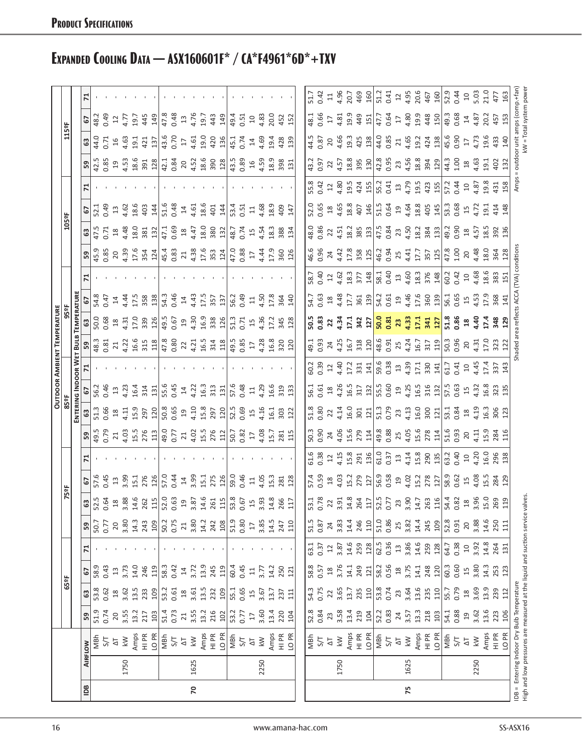|     |      |                                                                                                                     |                         |                 |                |                 |                 |                                                                                                                                                                                                                                                                                                              |                                                                                                                                                                                                                                |                                                                                                                                                                                                                                                                                                                                                             |  | <b>OUTDOOR AMBIENT TEMPERATURE</b> |                                                                                                                                                                                                                                                                                                                     |                                                                                                                                                    |  |                                                                                                                                                                                                                                                                                                                                                                                                                                                                |                                                                                                                                                                                                                                                                                                                     |                                                                                                                                                                                                                                                                                                                                                                                                                                     |                                                                                                                                                                                                                                                                                                             |                                                                                                                                                                                                                                                                                                                     |  |
|-----|------|---------------------------------------------------------------------------------------------------------------------|-------------------------|-----------------|----------------|-----------------|-----------------|--------------------------------------------------------------------------------------------------------------------------------------------------------------------------------------------------------------------------------------------------------------------------------------------------------------|--------------------------------------------------------------------------------------------------------------------------------------------------------------------------------------------------------------------------------|-------------------------------------------------------------------------------------------------------------------------------------------------------------------------------------------------------------------------------------------------------------------------------------------------------------------------------------------------------------|--|------------------------------------|---------------------------------------------------------------------------------------------------------------------------------------------------------------------------------------------------------------------------------------------------------------------------------------------------------------------|----------------------------------------------------------------------------------------------------------------------------------------------------|--|----------------------------------------------------------------------------------------------------------------------------------------------------------------------------------------------------------------------------------------------------------------------------------------------------------------------------------------------------------------------------------------------------------------------------------------------------------------|---------------------------------------------------------------------------------------------------------------------------------------------------------------------------------------------------------------------------------------------------------------------------------------------------------------------|-------------------------------------------------------------------------------------------------------------------------------------------------------------------------------------------------------------------------------------------------------------------------------------------------------------------------------------------------------------------------------------------------------------------------------------|-------------------------------------------------------------------------------------------------------------------------------------------------------------------------------------------------------------------------------------------------------------------------------------------------------------|---------------------------------------------------------------------------------------------------------------------------------------------------------------------------------------------------------------------------------------------------------------------------------------------------------------------|--|
|     |      |                                                                                                                     |                         |                 | 65°F           |                 |                 |                                                                                                                                                                                                                                                                                                              | 75°F                                                                                                                                                                                                                           |                                                                                                                                                                                                                                                                                                                                                             |  |                                    |                                                                                                                                                                                                                                                                                                                     |                                                                                                                                                    |  | 105°F                                                                                                                                                                                                                                                                                                                                                                                                                                                          |                                                                                                                                                                                                                                                                                                                     |                                                                                                                                                                                                                                                                                                                                                                                                                                     | 115°F                                                                                                                                                                                                                                                                                                       |                                                                                                                                                                                                                                                                                                                     |  |
|     |      |                                                                                                                     |                         |                 |                |                 |                 |                                                                                                                                                                                                                                                                                                              |                                                                                                                                                                                                                                |                                                                                                                                                                                                                                                                                                                                                             |  |                                    |                                                                                                                                                                                                                                                                                                                     |                                                                                                                                                    |  |                                                                                                                                                                                                                                                                                                                                                                                                                                                                |                                                                                                                                                                                                                                                                                                                     |                                                                                                                                                                                                                                                                                                                                                                                                                                     |                                                                                                                                                                                                                                                                                                             |                                                                                                                                                                                                                                                                                                                     |  |
| ÎОВ |      | AIRFLOW                                                                                                             | 59                      | යි              | 5              |                 | 59              |                                                                                                                                                                                                                                                                                                              |                                                                                                                                                                                                                                |                                                                                                                                                                                                                                                                                                                                                             |  |                                    |                                                                                                                                                                                                                                                                                                                     |                                                                                                                                                    |  |                                                                                                                                                                                                                                                                                                                                                                                                                                                                |                                                                                                                                                                                                                                                                                                                     |                                                                                                                                                                                                                                                                                                                                                                                                                                     |                                                                                                                                                                                                                                                                                                             |                                                                                                                                                                                                                                                                                                                     |  |
|     |      | MBh                                                                                                                 | 51.9                    | 53.8            | 58.9           |                 | 50.7            |                                                                                                                                                                                                                                                                                                              |                                                                                                                                                                                                                                |                                                                                                                                                                                                                                                                                                                                                             |  |                                    |                                                                                                                                                                                                                                                                                                                     |                                                                                                                                                    |  |                                                                                                                                                                                                                                                                                                                                                                                                                                                                |                                                                                                                                                                                                                                                                                                                     |                                                                                                                                                                                                                                                                                                                                                                                                                                     |                                                                                                                                                                                                                                                                                                             |                                                                                                                                                                                                                                                                                                                     |  |
|     |      | 5/7                                                                                                                 | 0.74                    | 0.62            | 0.43           |                 | 0.77            |                                                                                                                                                                                                                                                                                                              |                                                                                                                                                                                                                                |                                                                                                                                                                                                                                                                                                                                                             |  |                                    |                                                                                                                                                                                                                                                                                                                     |                                                                                                                                                    |  |                                                                                                                                                                                                                                                                                                                                                                                                                                                                |                                                                                                                                                                                                                                                                                                                     |                                                                                                                                                                                                                                                                                                                                                                                                                                     |                                                                                                                                                                                                                                                                                                             |                                                                                                                                                                                                                                                                                                                     |  |
|     |      | $\overline{\Delta}$                                                                                                 | 20                      | $^{28}$         | $\Xi$          |                 | 20              |                                                                                                                                                                                                                                                                                                              |                                                                                                                                                                                                                                |                                                                                                                                                                                                                                                                                                                                                             |  |                                    |                                                                                                                                                                                                                                                                                                                     |                                                                                                                                                    |  |                                                                                                                                                                                                                                                                                                                                                                                                                                                                |                                                                                                                                                                                                                                                                                                                     |                                                                                                                                                                                                                                                                                                                                                                                                                                     |                                                                                                                                                                                                                                                                                                             |                                                                                                                                                                                                                                                                                                                     |  |
|     | 1750 | $\overline{\mathsf{k}}$ W                                                                                           | 3.55                    | 3.62            | 3.73           |                 | 3.80            |                                                                                                                                                                                                                                                                                                              |                                                                                                                                                                                                                                |                                                                                                                                                                                                                                                                                                                                                             |  |                                    |                                                                                                                                                                                                                                                                                                                     |                                                                                                                                                    |  |                                                                                                                                                                                                                                                                                                                                                                                                                                                                |                                                                                                                                                                                                                                                                                                                     |                                                                                                                                                                                                                                                                                                                                                                                                                                     |                                                                                                                                                                                                                                                                                                             |                                                                                                                                                                                                                                                                                                                     |  |
|     |      | Amps<br>H PR<br><u>LO</u> PR                                                                                        | 13.2                    | 13.5            | 14.0           |                 | 14.3            | $\frac{3}{12}$ $\frac{13}{12}$ $\frac{3}{12}$ $\frac{3}{12}$ $\frac{3}{12}$ $\frac{3}{12}$ $\frac{3}{12}$ $\frac{3}{12}$ $\frac{3}{12}$ $\frac{3}{12}$ $\frac{3}{12}$ $\frac{3}{12}$ $\frac{3}{12}$ $\frac{3}{12}$ $\frac{3}{12}$ $\frac{3}{12}$ $\frac{3}{12}$ $\frac{3}{12}$ $\frac{3}{12}$ $\frac{3}{12}$ | $5.553$ $3.532$ $3.512$ $3.533$ $3.532$ $3.533$ $3.533$ $3.533$ $3.533$ $3.533$ $3.533$ $3.533$ $3.533$ $3.533$ $3.533$ $3.533$ $3.533$ $3.533$ $3.533$ $3.533$ $3.533$ $3.533$ $3.533$ $3.533$ $3.533$ $3.533$ $3.533$ $3.53$ | $\frac{1}{3}$<br>$\frac{1}{3}$ $\frac{1}{5}$ $\frac{1}{5}$ $\frac{1}{5}$ $\frac{1}{5}$ $\frac{1}{5}$ $\frac{1}{5}$ $\frac{1}{5}$ $\frac{1}{5}$ $\frac{1}{5}$ $\frac{1}{5}$ $\frac{1}{5}$ $\frac{1}{5}$ $\frac{1}{5}$ $\frac{1}{5}$ $\frac{1}{5}$ $\frac{1}{5}$ $\frac{1}{5}$ $\frac{1}{5}$ $\frac{1}{5}$ $\frac{1}{5}$ $\frac{1}{5}$ $\frac{1}{5}$ $\frac{$ |  |                                    |                                                                                                                                                                                                                                                                                                                     |                                                                                                                                                    |  | $\begin{array}{l} \textbf{a} \\ \textbf{b} \\ \textbf{c} \\ \textbf{c} \\ \textbf{d} \\ \textbf{e} \\ \textbf{e} \\ \textbf{e} \\ \textbf{e} \\ \textbf{e} \\ \textbf{e} \\ \textbf{e} \\ \textbf{e} \\ \textbf{e} \\ \textbf{e} \\ \textbf{e} \\ \textbf{e} \\ \textbf{e} \\ \textbf{e} \\ \textbf{e} \\ \textbf{e} \\ \textbf{e} \\ \textbf{e} \\ \textbf{e} \\ \textbf{e} \\ \textbf{e} \\ \textbf{e} \\ \textbf{e} \\ \textbf{e} \\ \textbf{e} \\ \textbf$ | $2\frac{1}{2}$ $2\frac{3}{2}$ $3\frac{3}{2}$ $3\frac{3}{2}$ $3\frac{4}{2}$ $3\frac{4}{2}$ $3\frac{4}{2}$ $3\frac{4}{2}$ $3\frac{4}{2}$ $3\frac{4}{2}$ $3\frac{4}{2}$ $3\frac{4}{2}$ $3\frac{4}{2}$ $3\frac{4}{2}$ $3\frac{4}{2}$ $3\frac{4}{2}$ $3\frac{4}{2}$ $3\frac{4}{2}$ $3\frac{4}{2}$ $3\frac{4}{2}$         | $B_0$ $\left(\frac{4}{3}, \frac{8}{3}\right)$ $\left(\frac{1}{3}, \frac{8}{3}\right)$ $\left(\frac{1}{3}, \frac{8}{3}\right)$ $\left(\frac{1}{3}, \frac{8}{3}\right)$ $\left(\frac{1}{3}, \frac{8}{3}\right)$ $\left(\frac{1}{3}, \frac{8}{3}\right)$ $\left(\frac{1}{3}, \frac{8}{3}\right)$ $\left(\frac{1}{3}, \frac{8}{3}\right)$ $\left(\frac{1}{3}, \frac{8}{3}\right)$ $\left(\frac{1}{3}, \frac{8}{3}\right)$ $\left(\frac$ | $3\frac{1}{3}$ $3\frac{1}{5}$ $3\frac{1}{2}$ $3\frac{1}{2}$ $3\frac{1}{2}$ $3\frac{1}{2}$ $3\frac{1}{2}$ $3\frac{1}{2}$ $3\frac{1}{2}$ $3\frac{1}{2}$ $3\frac{1}{2}$ $3\frac{1}{2}$ $3\frac{1}{2}$ $3\frac{1}{2}$ $3\frac{1}{2}$ $3\frac{1}{2}$ $3\frac{1}{2}$ $3\frac{1}{2}$ $3\frac{1}{2}$ $3\frac{1}{2}$ | $\frac{6}{3}$ $\frac{8}{3}$ $\frac{2}{3}$ $\frac{1}{2}$ $\frac{1}{2}$ $\frac{1}{2}$ $\frac{3}{2}$ $\frac{4}{3}$ $\frac{3}{2}$ $\frac{3}{2}$ $\frac{3}{2}$ $\frac{3}{2}$ $\frac{3}{2}$ $\frac{3}{2}$ $\frac{3}{2}$ $\frac{3}{2}$ $\frac{3}{2}$ $\frac{3}{2}$ $\frac{3}{2}$ $\frac{3}{2}$ $\frac{3}{2}$ $\frac{3}{2}$ |  |
|     |      |                                                                                                                     | 217                     | 233             | 246            |                 | 243             |                                                                                                                                                                                                                                                                                                              |                                                                                                                                                                                                                                |                                                                                                                                                                                                                                                                                                                                                             |  |                                    |                                                                                                                                                                                                                                                                                                                     |                                                                                                                                                    |  |                                                                                                                                                                                                                                                                                                                                                                                                                                                                |                                                                                                                                                                                                                                                                                                                     |                                                                                                                                                                                                                                                                                                                                                                                                                                     |                                                                                                                                                                                                                                                                                                             |                                                                                                                                                                                                                                                                                                                     |  |
|     |      |                                                                                                                     | 103                     | 109             | 119            |                 | 109             |                                                                                                                                                                                                                                                                                                              |                                                                                                                                                                                                                                |                                                                                                                                                                                                                                                                                                                                                             |  |                                    |                                                                                                                                                                                                                                                                                                                     |                                                                                                                                                    |  |                                                                                                                                                                                                                                                                                                                                                                                                                                                                |                                                                                                                                                                                                                                                                                                                     |                                                                                                                                                                                                                                                                                                                                                                                                                                     |                                                                                                                                                                                                                                                                                                             |                                                                                                                                                                                                                                                                                                                     |  |
|     |      | NBh<br>S/T                                                                                                          | 51.4                    | 53.2            | 58.3           |                 | 50.2<br>0.75    |                                                                                                                                                                                                                                                                                                              |                                                                                                                                                                                                                                |                                                                                                                                                                                                                                                                                                                                                             |  |                                    |                                                                                                                                                                                                                                                                                                                     |                                                                                                                                                    |  |                                                                                                                                                                                                                                                                                                                                                                                                                                                                |                                                                                                                                                                                                                                                                                                                     |                                                                                                                                                                                                                                                                                                                                                                                                                                     |                                                                                                                                                                                                                                                                                                             |                                                                                                                                                                                                                                                                                                                     |  |
|     |      |                                                                                                                     | 0.73                    | 0.61            | 0.42           |                 |                 |                                                                                                                                                                                                                                                                                                              |                                                                                                                                                                                                                                |                                                                                                                                                                                                                                                                                                                                                             |  |                                    |                                                                                                                                                                                                                                                                                                                     |                                                                                                                                                    |  |                                                                                                                                                                                                                                                                                                                                                                                                                                                                |                                                                                                                                                                                                                                                                                                                     |                                                                                                                                                                                                                                                                                                                                                                                                                                     |                                                                                                                                                                                                                                                                                                             |                                                                                                                                                                                                                                                                                                                     |  |
|     |      | $\overline{\omega}$                                                                                                 | $\overline{21}$         | $^{28}$         | $\overline{1}$ |                 | 21              |                                                                                                                                                                                                                                                                                                              |                                                                                                                                                                                                                                |                                                                                                                                                                                                                                                                                                                                                             |  |                                    |                                                                                                                                                                                                                                                                                                                     |                                                                                                                                                    |  |                                                                                                                                                                                                                                                                                                                                                                                                                                                                |                                                                                                                                                                                                                                                                                                                     |                                                                                                                                                                                                                                                                                                                                                                                                                                     |                                                                                                                                                                                                                                                                                                             |                                                                                                                                                                                                                                                                                                                     |  |
| 20  | 1625 | $\lesssim$                                                                                                          | 3.55                    | 3.61            | 3.72           |                 | 3.80            |                                                                                                                                                                                                                                                                                                              |                                                                                                                                                                                                                                |                                                                                                                                                                                                                                                                                                                                                             |  |                                    |                                                                                                                                                                                                                                                                                                                     |                                                                                                                                                    |  |                                                                                                                                                                                                                                                                                                                                                                                                                                                                |                                                                                                                                                                                                                                                                                                                     |                                                                                                                                                                                                                                                                                                                                                                                                                                     |                                                                                                                                                                                                                                                                                                             |                                                                                                                                                                                                                                                                                                                     |  |
|     |      |                                                                                                                     | 13.2                    | 13.5            | 13.9           |                 | 14.2            |                                                                                                                                                                                                                                                                                                              |                                                                                                                                                                                                                                |                                                                                                                                                                                                                                                                                                                                                             |  |                                    |                                                                                                                                                                                                                                                                                                                     |                                                                                                                                                    |  |                                                                                                                                                                                                                                                                                                                                                                                                                                                                |                                                                                                                                                                                                                                                                                                                     |                                                                                                                                                                                                                                                                                                                                                                                                                                     |                                                                                                                                                                                                                                                                                                             |                                                                                                                                                                                                                                                                                                                     |  |
|     |      | Amps<br>HI PR                                                                                                       | 216                     | 232             | 245            |                 | 242             |                                                                                                                                                                                                                                                                                                              |                                                                                                                                                                                                                                |                                                                                                                                                                                                                                                                                                                                                             |  |                                    |                                                                                                                                                                                                                                                                                                                     |                                                                                                                                                    |  |                                                                                                                                                                                                                                                                                                                                                                                                                                                                |                                                                                                                                                                                                                                                                                                                     |                                                                                                                                                                                                                                                                                                                                                                                                                                     |                                                                                                                                                                                                                                                                                                             |                                                                                                                                                                                                                                                                                                                     |  |
|     |      | LO PR                                                                                                               | 102                     | 109             | 119            |                 | 108             |                                                                                                                                                                                                                                                                                                              |                                                                                                                                                                                                                                |                                                                                                                                                                                                                                                                                                                                                             |  |                                    |                                                                                                                                                                                                                                                                                                                     |                                                                                                                                                    |  |                                                                                                                                                                                                                                                                                                                                                                                                                                                                |                                                                                                                                                                                                                                                                                                                     |                                                                                                                                                                                                                                                                                                                                                                                                                                     |                                                                                                                                                                                                                                                                                                             |                                                                                                                                                                                                                                                                                                                     |  |
|     |      | MBh                                                                                                                 | 53.2                    | 55.1            | 60.4           |                 | 51.9            |                                                                                                                                                                                                                                                                                                              |                                                                                                                                                                                                                                |                                                                                                                                                                                                                                                                                                                                                             |  |                                    |                                                                                                                                                                                                                                                                                                                     |                                                                                                                                                    |  |                                                                                                                                                                                                                                                                                                                                                                                                                                                                |                                                                                                                                                                                                                                                                                                                     |                                                                                                                                                                                                                                                                                                                                                                                                                                     |                                                                                                                                                                                                                                                                                                             |                                                                                                                                                                                                                                                                                                                     |  |
|     |      | 5/7                                                                                                                 | 0.77                    | 0.65            | 0.45           |                 | 0.80            |                                                                                                                                                                                                                                                                                                              |                                                                                                                                                                                                                                |                                                                                                                                                                                                                                                                                                                                                             |  |                                    |                                                                                                                                                                                                                                                                                                                     |                                                                                                                                                    |  |                                                                                                                                                                                                                                                                                                                                                                                                                                                                |                                                                                                                                                                                                                                                                                                                     |                                                                                                                                                                                                                                                                                                                                                                                                                                     |                                                                                                                                                                                                                                                                                                             |                                                                                                                                                                                                                                                                                                                     |  |
|     |      | $\overline{\Delta}$                                                                                                 | $\overline{\mathbb{L}}$ | 15              | $\Xi$          |                 | $\overline{17}$ |                                                                                                                                                                                                                                                                                                              |                                                                                                                                                                                                                                |                                                                                                                                                                                                                                                                                                                                                             |  |                                    |                                                                                                                                                                                                                                                                                                                     |                                                                                                                                                    |  |                                                                                                                                                                                                                                                                                                                                                                                                                                                                |                                                                                                                                                                                                                                                                                                                     |                                                                                                                                                                                                                                                                                                                                                                                                                                     |                                                                                                                                                                                                                                                                                                             |                                                                                                                                                                                                                                                                                                                     |  |
|     | 2250 | $\overline{\mathsf{k}}$ W                                                                                           | 3.60                    | 3.67            | 3.77           |                 | 3.85            |                                                                                                                                                                                                                                                                                                              |                                                                                                                                                                                                                                |                                                                                                                                                                                                                                                                                                                                                             |  |                                    |                                                                                                                                                                                                                                                                                                                     |                                                                                                                                                    |  |                                                                                                                                                                                                                                                                                                                                                                                                                                                                |                                                                                                                                                                                                                                                                                                                     |                                                                                                                                                                                                                                                                                                                                                                                                                                     |                                                                                                                                                                                                                                                                                                             |                                                                                                                                                                                                                                                                                                                     |  |
|     |      |                                                                                                                     | 13.4                    | 13.7            | 14.2           |                 | 14.5            |                                                                                                                                                                                                                                                                                                              |                                                                                                                                                                                                                                |                                                                                                                                                                                                                                                                                                                                                             |  |                                    |                                                                                                                                                                                                                                                                                                                     |                                                                                                                                                    |  |                                                                                                                                                                                                                                                                                                                                                                                                                                                                |                                                                                                                                                                                                                                                                                                                     |                                                                                                                                                                                                                                                                                                                                                                                                                                     |                                                                                                                                                                                                                                                                                                             |                                                                                                                                                                                                                                                                                                                     |  |
|     |      | Amps<br>HI PR                                                                                                       | 220                     | 237             | 250            |                 | 247             |                                                                                                                                                                                                                                                                                                              |                                                                                                                                                                                                                                |                                                                                                                                                                                                                                                                                                                                                             |  |                                    |                                                                                                                                                                                                                                                                                                                     |                                                                                                                                                    |  |                                                                                                                                                                                                                                                                                                                                                                                                                                                                |                                                                                                                                                                                                                                                                                                                     |                                                                                                                                                                                                                                                                                                                                                                                                                                     |                                                                                                                                                                                                                                                                                                             |                                                                                                                                                                                                                                                                                                                     |  |
|     |      | LO <sub>PR</sub>                                                                                                    | 104                     | $\overline{11}$ | 121            |                 | 110             |                                                                                                                                                                                                                                                                                                              |                                                                                                                                                                                                                                |                                                                                                                                                                                                                                                                                                                                                             |  |                                    |                                                                                                                                                                                                                                                                                                                     |                                                                                                                                                    |  |                                                                                                                                                                                                                                                                                                                                                                                                                                                                |                                                                                                                                                                                                                                                                                                                     |                                                                                                                                                                                                                                                                                                                                                                                                                                     |                                                                                                                                                                                                                                                                                                             |                                                                                                                                                                                                                                                                                                                     |  |
|     |      |                                                                                                                     |                         |                 |                |                 |                 |                                                                                                                                                                                                                                                                                                              |                                                                                                                                                                                                                                |                                                                                                                                                                                                                                                                                                                                                             |  |                                    |                                                                                                                                                                                                                                                                                                                     |                                                                                                                                                    |  |                                                                                                                                                                                                                                                                                                                                                                                                                                                                |                                                                                                                                                                                                                                                                                                                     |                                                                                                                                                                                                                                                                                                                                                                                                                                     |                                                                                                                                                                                                                                                                                                             |                                                                                                                                                                                                                                                                                                                     |  |
|     |      |                                                                                                                     | 52.8                    | 54.3            | 58.8           | 63.1            | 51.5            |                                                                                                                                                                                                                                                                                                              |                                                                                                                                                                                                                                |                                                                                                                                                                                                                                                                                                                                                             |  |                                    |                                                                                                                                                                                                                                                                                                                     |                                                                                                                                                    |  |                                                                                                                                                                                                                                                                                                                                                                                                                                                                |                                                                                                                                                                                                                                                                                                                     |                                                                                                                                                                                                                                                                                                                                                                                                                                     |                                                                                                                                                                                                                                                                                                             |                                                                                                                                                                                                                                                                                                                     |  |
|     |      | NBh<br>S/T                                                                                                          | 0.84                    | 0.75            | 0.57           | 0.37            | 0.87            |                                                                                                                                                                                                                                                                                                              |                                                                                                                                                                                                                                |                                                                                                                                                                                                                                                                                                                                                             |  |                                    |                                                                                                                                                                                                                                                                                                                     |                                                                                                                                                    |  |                                                                                                                                                                                                                                                                                                                                                                                                                                                                |                                                                                                                                                                                                                                                                                                                     |                                                                                                                                                                                                                                                                                                                                                                                                                                     |                                                                                                                                                                                                                                                                                                             |                                                                                                                                                                                                                                                                                                                     |  |
|     |      | $\Delta\top$                                                                                                        | 23                      | $\overline{2}$  | $^{28}$        | $22$            | 24              |                                                                                                                                                                                                                                                                                                              |                                                                                                                                                                                                                                |                                                                                                                                                                                                                                                                                                                                                             |  |                                    |                                                                                                                                                                                                                                                                                                                     |                                                                                                                                                    |  |                                                                                                                                                                                                                                                                                                                                                                                                                                                                |                                                                                                                                                                                                                                                                                                                     |                                                                                                                                                                                                                                                                                                                                                                                                                                     |                                                                                                                                                                                                                                                                                                             |                                                                                                                                                                                                                                                                                                                     |  |
|     | 1750 | KW                                                                                                                  | 3.58                    | 3.65            | 3.76           | 3.87            | 3.83            |                                                                                                                                                                                                                                                                                                              |                                                                                                                                                                                                                                |                                                                                                                                                                                                                                                                                                                                                             |  |                                    |                                                                                                                                                                                                                                                                                                                     |                                                                                                                                                    |  |                                                                                                                                                                                                                                                                                                                                                                                                                                                                |                                                                                                                                                                                                                                                                                                                     |                                                                                                                                                                                                                                                                                                                                                                                                                                     |                                                                                                                                                                                                                                                                                                             |                                                                                                                                                                                                                                                                                                                     |  |
|     |      |                                                                                                                     | 13.4                    | 13.7            | 14.1           | 14.6            | 14.4            |                                                                                                                                                                                                                                                                                                              |                                                                                                                                                                                                                                |                                                                                                                                                                                                                                                                                                                                                             |  |                                    |                                                                                                                                                                                                                                                                                                                     |                                                                                                                                                    |  |                                                                                                                                                                                                                                                                                                                                                                                                                                                                |                                                                                                                                                                                                                                                                                                                     |                                                                                                                                                                                                                                                                                                                                                                                                                                     |                                                                                                                                                                                                                                                                                                             |                                                                                                                                                                                                                                                                                                                     |  |
|     |      | Amps<br>HI PR                                                                                                       | 219                     | 235             | 249            | 259             | 246             |                                                                                                                                                                                                                                                                                                              |                                                                                                                                                                                                                                |                                                                                                                                                                                                                                                                                                                                                             |  |                                    |                                                                                                                                                                                                                                                                                                                     |                                                                                                                                                    |  |                                                                                                                                                                                                                                                                                                                                                                                                                                                                |                                                                                                                                                                                                                                                                                                                     |                                                                                                                                                                                                                                                                                                                                                                                                                                     |                                                                                                                                                                                                                                                                                                             |                                                                                                                                                                                                                                                                                                                     |  |
|     |      | LO PR                                                                                                               | 104                     | 110             | 121            | 128             | 110             |                                                                                                                                                                                                                                                                                                              |                                                                                                                                                                                                                                |                                                                                                                                                                                                                                                                                                                                                             |  |                                    |                                                                                                                                                                                                                                                                                                                     |                                                                                                                                                    |  |                                                                                                                                                                                                                                                                                                                                                                                                                                                                |                                                                                                                                                                                                                                                                                                                     |                                                                                                                                                                                                                                                                                                                                                                                                                                     |                                                                                                                                                                                                                                                                                                             |                                                                                                                                                                                                                                                                                                                     |  |
|     |      | MBh<br>S/T                                                                                                          | 52.2                    | 53.8            | 58.2           | 62.5            | 51.0            |                                                                                                                                                                                                                                                                                                              |                                                                                                                                                                                                                                |                                                                                                                                                                                                                                                                                                                                                             |  |                                    |                                                                                                                                                                                                                                                                                                                     |                                                                                                                                                    |  |                                                                                                                                                                                                                                                                                                                                                                                                                                                                |                                                                                                                                                                                                                                                                                                                     |                                                                                                                                                                                                                                                                                                                                                                                                                                     |                                                                                                                                                                                                                                                                                                             |                                                                                                                                                                                                                                                                                                                     |  |
|     |      |                                                                                                                     | 0.83                    | 0.74            | 0.56           | 0.36            | 0.86            |                                                                                                                                                                                                                                                                                                              |                                                                                                                                                                                                                                |                                                                                                                                                                                                                                                                                                                                                             |  |                                    |                                                                                                                                                                                                                                                                                                                     |                                                                                                                                                    |  |                                                                                                                                                                                                                                                                                                                                                                                                                                                                |                                                                                                                                                                                                                                                                                                                     |                                                                                                                                                                                                                                                                                                                                                                                                                                     |                                                                                                                                                                                                                                                                                                             |                                                                                                                                                                                                                                                                                                                     |  |
|     |      | $\overline{\Delta}$                                                                                                 | 24                      | 23              | $^{28}$        | $\Xi$           | 25              |                                                                                                                                                                                                                                                                                                              |                                                                                                                                                                                                                                |                                                                                                                                                                                                                                                                                                                                                             |  |                                    |                                                                                                                                                                                                                                                                                                                     |                                                                                                                                                    |  |                                                                                                                                                                                                                                                                                                                                                                                                                                                                |                                                                                                                                                                                                                                                                                                                     |                                                                                                                                                                                                                                                                                                                                                                                                                                     |                                                                                                                                                                                                                                                                                                             |                                                                                                                                                                                                                                                                                                                     |  |
| 75  | 1625 | $\overline{\mathsf{k}}$                                                                                             | 3.57                    | 3.64            | 3.75           | 3.86            | 3.82            |                                                                                                                                                                                                                                                                                                              |                                                                                                                                                                                                                                |                                                                                                                                                                                                                                                                                                                                                             |  |                                    |                                                                                                                                                                                                                                                                                                                     |                                                                                                                                                    |  |                                                                                                                                                                                                                                                                                                                                                                                                                                                                |                                                                                                                                                                                                                                                                                                                     |                                                                                                                                                                                                                                                                                                                                                                                                                                     |                                                                                                                                                                                                                                                                                                             |                                                                                                                                                                                                                                                                                                                     |  |
|     |      | Amps<br>HI PR                                                                                                       | 13.3                    | 13.6            | 14.1           | 14.6            | 14.4            |                                                                                                                                                                                                                                                                                                              |                                                                                                                                                                                                                                |                                                                                                                                                                                                                                                                                                                                                             |  |                                    |                                                                                                                                                                                                                                                                                                                     |                                                                                                                                                    |  |                                                                                                                                                                                                                                                                                                                                                                                                                                                                |                                                                                                                                                                                                                                                                                                                     |                                                                                                                                                                                                                                                                                                                                                                                                                                     |                                                                                                                                                                                                                                                                                                             |                                                                                                                                                                                                                                                                                                                     |  |
|     |      |                                                                                                                     | 218                     | 235             | 248            | 259<br>128      | 245             |                                                                                                                                                                                                                                                                                                              |                                                                                                                                                                                                                                |                                                                                                                                                                                                                                                                                                                                                             |  |                                    |                                                                                                                                                                                                                                                                                                                     |                                                                                                                                                    |  |                                                                                                                                                                                                                                                                                                                                                                                                                                                                |                                                                                                                                                                                                                                                                                                                     |                                                                                                                                                                                                                                                                                                                                                                                                                                     |                                                                                                                                                                                                                                                                                                             |                                                                                                                                                                                                                                                                                                                     |  |
|     |      | LO <sub>PR</sub>                                                                                                    | 103                     | 110             | 120            |                 | 109             |                                                                                                                                                                                                                                                                                                              |                                                                                                                                                                                                                                |                                                                                                                                                                                                                                                                                                                                                             |  |                                    |                                                                                                                                                                                                                                                                                                                     |                                                                                                                                                    |  |                                                                                                                                                                                                                                                                                                                                                                                                                                                                |                                                                                                                                                                                                                                                                                                                     |                                                                                                                                                                                                                                                                                                                                                                                                                                     |                                                                                                                                                                                                                                                                                                             |                                                                                                                                                                                                                                                                                                                     |  |
|     |      | MBh                                                                                                                 | 54.1                    | 55.7            | 60.3           | 64.7            | 52.8            |                                                                                                                                                                                                                                                                                                              |                                                                                                                                                                                                                                |                                                                                                                                                                                                                                                                                                                                                             |  |                                    |                                                                                                                                                                                                                                                                                                                     |                                                                                                                                                    |  |                                                                                                                                                                                                                                                                                                                                                                                                                                                                |                                                                                                                                                                                                                                                                                                                     |                                                                                                                                                                                                                                                                                                                                                                                                                                     |                                                                                                                                                                                                                                                                                                             |                                                                                                                                                                                                                                                                                                                     |  |
|     |      | 5/7                                                                                                                 | 0.88                    | 0.79            | 0.60           | 0.38            | 0.91            |                                                                                                                                                                                                                                                                                                              |                                                                                                                                                                                                                                |                                                                                                                                                                                                                                                                                                                                                             |  |                                    |                                                                                                                                                                                                                                                                                                                     |                                                                                                                                                    |  |                                                                                                                                                                                                                                                                                                                                                                                                                                                                |                                                                                                                                                                                                                                                                                                                     |                                                                                                                                                                                                                                                                                                                                                                                                                                     |                                                                                                                                                                                                                                                                                                             |                                                                                                                                                                                                                                                                                                                     |  |
|     |      | $\overline{\Delta}$                                                                                                 | $\overline{1}9$         | $^{28}$         | 15             | $\overline{10}$ | 20              |                                                                                                                                                                                                                                                                                                              |                                                                                                                                                                                                                                |                                                                                                                                                                                                                                                                                                                                                             |  |                                    |                                                                                                                                                                                                                                                                                                                     |                                                                                                                                                    |  |                                                                                                                                                                                                                                                                                                                                                                                                                                                                |                                                                                                                                                                                                                                                                                                                     |                                                                                                                                                                                                                                                                                                                                                                                                                                     |                                                                                                                                                                                                                                                                                                             |                                                                                                                                                                                                                                                                                                                     |  |
|     | 2250 | $\leq$                                                                                                              | 3.62                    | 3.69            | 3.80           | 3.92            | 3.88            |                                                                                                                                                                                                                                                                                                              |                                                                                                                                                                                                                                |                                                                                                                                                                                                                                                                                                                                                             |  |                                    |                                                                                                                                                                                                                                                                                                                     |                                                                                                                                                    |  |                                                                                                                                                                                                                                                                                                                                                                                                                                                                |                                                                                                                                                                                                                                                                                                                     |                                                                                                                                                                                                                                                                                                                                                                                                                                     |                                                                                                                                                                                                                                                                                                             |                                                                                                                                                                                                                                                                                                                     |  |
|     |      |                                                                                                                     | 13.6                    | 13.9            | 14.3           | 14.8            | 14.6            |                                                                                                                                                                                                                                                                                                              |                                                                                                                                                                                                                                |                                                                                                                                                                                                                                                                                                                                                             |  |                                    |                                                                                                                                                                                                                                                                                                                     |                                                                                                                                                    |  |                                                                                                                                                                                                                                                                                                                                                                                                                                                                |                                                                                                                                                                                                                                                                                                                     |                                                                                                                                                                                                                                                                                                                                                                                                                                     |                                                                                                                                                                                                                                                                                                             |                                                                                                                                                                                                                                                                                                                     |  |
|     |      | Amps<br>HI PR<br>LO PR                                                                                              | 223                     | 239             | 253            | 264             | 250             | $\begin{array}{l} 1.736\\ 1.782\\ 2.793\\ 3.731\\ 3.732\\ 4.75\\ 4.75\\ 4.75\\ 5.77\\ 5.77\\ 5.77\\ 5.77\\ 5.77\\ 5.77\\ 5.77\\ 5.77\\ 5.77\\ 5.77\\ 5.77\\ 5.77\\ 5.77\\ 5.77\\ 5.77\\ 5.77\\ 5.77\\ 5.77\\ 5.77\\ 5.77\\ 5.77\\ 5.77\\ 5.77\\ 5.77\\ 5.77\\ 5.77\\ 5.7$                                    | 5 3 3 3 3 5 5 6 6 7 4 5 6 7 8 9 8 9 5 7 8 7 8 7                                                                                                                                                                                |                                                                                                                                                                                                                                                                                                                                                             |  |                                    | $\frac{1}{4}$ $\frac{3}{8}$ $\frac{3}{4}$ $\frac{4}{5}$ $\frac{5}{8}$ $\frac{2}{8}$ $\frac{1}{8}$ $\frac{1}{6}$ $\frac{5}{8}$ $\frac{3}{4}$ $\frac{1}{2}$ $\frac{1}{6}$ $\frac{3}{8}$ $\frac{3}{8}$ $\frac{1}{2}$ $\frac{1}{6}$ $\frac{3}{8}$ $\frac{3}{4}$ $\frac{1}{2}$ $\frac{1}{6}$ $\frac{3}{8}$ $\frac{3}{4}$ | ន្ទ្រី ខ្លួន <u>ដូច ន្ទ្រី ខ្លួន ដូច ន</u> ្ទ្រី ខ្លួន ដូច និង ដូច និង អ្នក<br>ខ្លួន អ្នក ដូច <mark>ខ្យួន ដូច ដូច</mark> អ្នក ដូច និង អ្នក ដូច និង |  |                                                                                                                                                                                                                                                                                                                                                                                                                                                                | $\frac{1}{2}$ $\frac{1}{2}$ $\frac{1}{2}$ $\frac{1}{2}$ $\frac{1}{2}$ $\frac{1}{2}$ $\frac{1}{2}$ $\frac{1}{2}$ $\frac{1}{2}$ $\frac{1}{2}$ $\frac{1}{2}$ $\frac{1}{2}$ $\frac{1}{2}$ $\frac{1}{2}$ $\frac{1}{2}$ $\frac{1}{2}$ $\frac{1}{2}$ $\frac{1}{2}$ $\frac{1}{2}$ $\frac{1}{2}$ $\frac{1}{2}$ $\frac{1}{2}$ | $(3.5)$ 2 $(5.8)$ 8 $(8.8)$ 9 $(1.8)$ 8 $(3.8)$ 8 $(4.8)$ 8 $(5.8)$ 8 $(6.8)$ 9 $(7.8)$ 8 $(8.8)$ 9 $(1.8)$ 9 $(1.8)$ 9 $(1.8)$ 9 $(1.8)$ 9 $(1.8)$ 9 $(1.8)$ 9 $(1.8)$ 9 $(1.8)$ 9 $(1.8)$ 9 $(1.8)$ 9 $(1.8)$ 9 $(1.8)$ 9                                                                                                                                                                                                         |                                                                                                                                                                                                                                                                                                             | si se i se si si li se i se si se si se si se si se si se si se si se si se si se si se si se si se si se si s                                                                                                                                                                                                      |  |
|     |      |                                                                                                                     | 106                     | $\frac{12}{1}$  | 123            | 131             | $\Xi$           |                                                                                                                                                                                                                                                                                                              |                                                                                                                                                                                                                                |                                                                                                                                                                                                                                                                                                                                                             |  |                                    |                                                                                                                                                                                                                                                                                                                     |                                                                                                                                                    |  |                                                                                                                                                                                                                                                                                                                                                                                                                                                                |                                                                                                                                                                                                                                                                                                                     |                                                                                                                                                                                                                                                                                                                                                                                                                                     |                                                                                                                                                                                                                                                                                                             |                                                                                                                                                                                                                                                                                                                     |  |
|     |      | High and low pressures are measured at the liquid and suction service<br>IDB = Entering Indoor Dry Bulb Temperature |                         |                 |                |                 |                 |                                                                                                                                                                                                                                                                                                              |                                                                                                                                                                                                                                |                                                                                                                                                                                                                                                                                                                                                             |  |                                    |                                                                                                                                                                                                                                                                                                                     |                                                                                                                                                    |  |                                                                                                                                                                                                                                                                                                                                                                                                                                                                |                                                                                                                                                                                                                                                                                                                     |                                                                                                                                                                                                                                                                                                                                                                                                                                     |                                                                                                                                                                                                                                                                                                             |                                                                                                                                                                                                                                                                                                                     |  |

#### **Expanded Cooling Data — ASX160601F\* / CA\*F4961\*6D\*+TXV**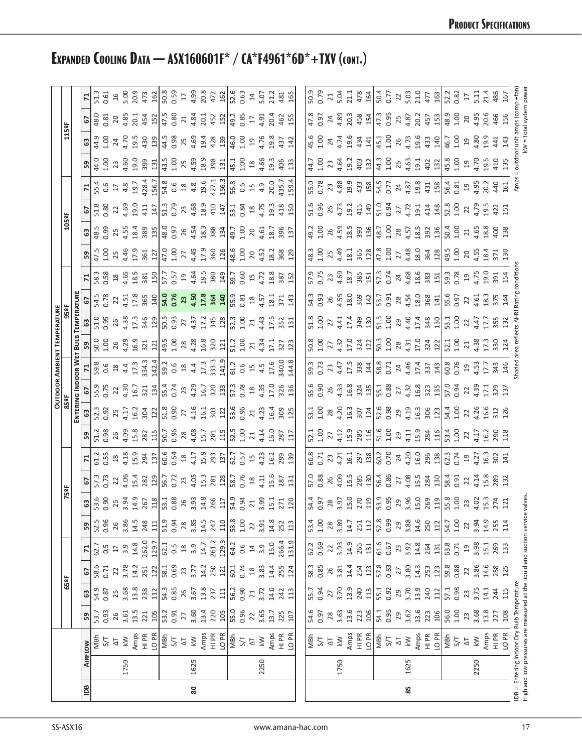|                                 |      |                                                                       |                 |                     |              |                                          |                  |                                                                                                                                                                                                                                                                                                 |                                                                                                                                                                                                                                                                                                                    |                                                                                                                                                                                                                                                                                                                                                                                                                                                                                                                                                                         |                                                                                                                                                                                                                                                                                                                                                                                                      |                                                                                                                                                                                                                                                                                                                       |                                                                                                       |                                                                                                                                                                                                                                                                                                         | <b>OUTDOOR AMBIENT TEMPERATURE</b>                                                                                                                                                                                                                                                                        |                                                                                                                                                                                                                                |                                                                                                                                                                                                                                                                                                               |                                                                                                                                                                                                                                                                                                               |                                                                  |                                                                                                                                                                                                                                                                           |                                                                           |                                      |                                               |                                                                                                                                                                 |                                                                                                                                                                                                                                                                                                                       |                                                                                                                                                                                                                                                                                                                                                   |
|---------------------------------|------|-----------------------------------------------------------------------|-----------------|---------------------|--------------|------------------------------------------|------------------|-------------------------------------------------------------------------------------------------------------------------------------------------------------------------------------------------------------------------------------------------------------------------------------------------|--------------------------------------------------------------------------------------------------------------------------------------------------------------------------------------------------------------------------------------------------------------------------------------------------------------------|-------------------------------------------------------------------------------------------------------------------------------------------------------------------------------------------------------------------------------------------------------------------------------------------------------------------------------------------------------------------------------------------------------------------------------------------------------------------------------------------------------------------------------------------------------------------------|------------------------------------------------------------------------------------------------------------------------------------------------------------------------------------------------------------------------------------------------------------------------------------------------------------------------------------------------------------------------------------------------------|-----------------------------------------------------------------------------------------------------------------------------------------------------------------------------------------------------------------------------------------------------------------------------------------------------------------------|-------------------------------------------------------------------------------------------------------|---------------------------------------------------------------------------------------------------------------------------------------------------------------------------------------------------------------------------------------------------------------------------------------------------------|-----------------------------------------------------------------------------------------------------------------------------------------------------------------------------------------------------------------------------------------------------------------------------------------------------------|--------------------------------------------------------------------------------------------------------------------------------------------------------------------------------------------------------------------------------|---------------------------------------------------------------------------------------------------------------------------------------------------------------------------------------------------------------------------------------------------------------------------------------------------------------|---------------------------------------------------------------------------------------------------------------------------------------------------------------------------------------------------------------------------------------------------------------------------------------------------------------|------------------------------------------------------------------|---------------------------------------------------------------------------------------------------------------------------------------------------------------------------------------------------------------------------------------------------------------------------|---------------------------------------------------------------------------|--------------------------------------|-----------------------------------------------|-----------------------------------------------------------------------------------------------------------------------------------------------------------------|-----------------------------------------------------------------------------------------------------------------------------------------------------------------------------------------------------------------------------------------------------------------------------------------------------------------------|---------------------------------------------------------------------------------------------------------------------------------------------------------------------------------------------------------------------------------------------------------------------------------------------------------------------------------------------------|
|                                 |      |                                                                       |                 |                     | 65°F         |                                          |                  |                                                                                                                                                                                                                                                                                                 | 75°F                                                                                                                                                                                                                                                                                                               |                                                                                                                                                                                                                                                                                                                                                                                                                                                                                                                                                                         |                                                                                                                                                                                                                                                                                                                                                                                                      |                                                                                                                                                                                                                                                                                                                       |                                                                                                       |                                                                                                                                                                                                                                                                                                         |                                                                                                                                                                                                                                                                                                           |                                                                                                                                                                                                                                |                                                                                                                                                                                                                                                                                                               |                                                                                                                                                                                                                                                                                                               |                                                                  | 105°F                                                                                                                                                                                                                                                                     |                                                                           |                                      |                                               | 115°F                                                                                                                                                           |                                                                                                                                                                                                                                                                                                                       |                                                                                                                                                                                                                                                                                                                                                   |
|                                 |      |                                                                       |                 |                     |              |                                          |                  |                                                                                                                                                                                                                                                                                                 |                                                                                                                                                                                                                                                                                                                    |                                                                                                                                                                                                                                                                                                                                                                                                                                                                                                                                                                         |                                                                                                                                                                                                                                                                                                                                                                                                      |                                                                                                                                                                                                                                                                                                                       | $\overline{a}$                                                                                        | OR WET                                                                                                                                                                                                                                                                                                  | Buua                                                                                                                                                                                                                                                                                                      | <b>TEMPERATURE</b>                                                                                                                                                                                                             |                                                                                                                                                                                                                                                                                                               |                                                                                                                                                                                                                                                                                                               |                                                                  |                                                                                                                                                                                                                                                                           |                                                                           |                                      |                                               |                                                                                                                                                                 |                                                                                                                                                                                                                                                                                                                       |                                                                                                                                                                                                                                                                                                                                                   |
| $\overline{a}$                  |      | AIRFLOW                                                               | 59              | 63                  | 5            |                                          | 59               |                                                                                                                                                                                                                                                                                                 | 67                                                                                                                                                                                                                                                                                                                 |                                                                                                                                                                                                                                                                                                                                                                                                                                                                                                                                                                         | 59                                                                                                                                                                                                                                                                                                                                                                                                   |                                                                                                                                                                                                                                                                                                                       |                                                                                                       |                                                                                                                                                                                                                                                                                                         |                                                                                                                                                                                                                                                                                                           | යි                                                                                                                                                                                                                             |                                                                                                                                                                                                                                                                                                               |                                                                                                                                                                                                                                                                                                               | ္တာ                                                              | <b>အ</b> မြီး                                                                                                                                                                                                                                                             | 57                                                                        |                                      | 59                                            |                                                                                                                                                                 | 57                                                                                                                                                                                                                                                                                                                    | $\mathbf{z}$                                                                                                                                                                                                                                                                                                                                      |
|                                 |      | NBh                                                                   | 53.7            | 54.9                | 58.6         | 62.7                                     | 52.5             |                                                                                                                                                                                                                                                                                                 | 57.3<br>0.73                                                                                                                                                                                                                                                                                                       |                                                                                                                                                                                                                                                                                                                                                                                                                                                                                                                                                                         | 51.2<br>0.98                                                                                                                                                                                                                                                                                                                                                                                         |                                                                                                                                                                                                                                                                                                                       | 55.                                                                                                   |                                                                                                                                                                                                                                                                                                         | 50 <sub>1</sub>                                                                                                                                                                                                                                                                                           | 51.                                                                                                                                                                                                                            | 54.                                                                                                                                                                                                                                                                                                           | 38<br>  38<br>  0.58                                                                                                                                                                                                                                                                                          | $\frac{1}{47.5}$                                                 |                                                                                                                                                                                                                                                                           | 51.8                                                                      | 55.4<br>0.6                          | 44.0<br>1.00                                  | $44.9$<br>1.00                                                                                                                                                  | 48.0                                                                                                                                                                                                                                                                                                                  | 51.3                                                                                                                                                                                                                                                                                                                                              |
|                                 |      | 5/7                                                                   | 0.93            | 0.87                | 0.71         | 0.5                                      | 0.96             |                                                                                                                                                                                                                                                                                                 |                                                                                                                                                                                                                                                                                                                    |                                                                                                                                                                                                                                                                                                                                                                                                                                                                                                                                                                         |                                                                                                                                                                                                                                                                                                                                                                                                      | 0.92                                                                                                                                                                                                                                                                                                                  | 0.75                                                                                                  |                                                                                                                                                                                                                                                                                                         |                                                                                                                                                                                                                                                                                                           | 0.95                                                                                                                                                                                                                           | 0.78                                                                                                                                                                                                                                                                                                          |                                                                                                                                                                                                                                                                                                               | 001                                                              | 0.99                                                                                                                                                                                                                                                                      |                                                                           |                                      |                                               |                                                                                                                                                                 | 0.81                                                                                                                                                                                                                                                                                                                  |                                                                                                                                                                                                                                                                                                                                                   |
|                                 |      | $\Xi$                                                                 |                 |                     | 22           | $\overline{\mathbb{L}}$                  | 26               |                                                                                                                                                                                                                                                                                                 |                                                                                                                                                                                                                                                                                                                    |                                                                                                                                                                                                                                                                                                                                                                                                                                                                                                                                                                         |                                                                                                                                                                                                                                                                                                                                                                                                      | 25                                                                                                                                                                                                                                                                                                                    |                                                                                                       |                                                                                                                                                                                                                                                                                                         |                                                                                                                                                                                                                                                                                                           | 26                                                                                                                                                                                                                             |                                                                                                                                                                                                                                                                                                               |                                                                                                                                                                                                                                                                                                               |                                                                  |                                                                                                                                                                                                                                                                           | 22                                                                        |                                      | 23                                            |                                                                                                                                                                 |                                                                                                                                                                                                                                                                                                                       |                                                                                                                                                                                                                                                                                                                                                   |
|                                 | 1750 | $\lesssim$                                                            | $rac{26}{3.61}$ | $25$ 3.68           | 3.78         | 3.9                                      | 3.86             |                                                                                                                                                                                                                                                                                                 |                                                                                                                                                                                                                                                                                                                    |                                                                                                                                                                                                                                                                                                                                                                                                                                                                                                                                                                         |                                                                                                                                                                                                                                                                                                                                                                                                      | 4.17                                                                                                                                                                                                                                                                                                                  | $22_{4.30}$                                                                                           |                                                                                                                                                                                                                                                                                                         |                                                                                                                                                                                                                                                                                                           |                                                                                                                                                                                                                                |                                                                                                                                                                                                                                                                                                               |                                                                                                                                                                                                                                                                                                               |                                                                  |                                                                                                                                                                                                                                                                           | 4.69                                                                      |                                      |                                               |                                                                                                                                                                 |                                                                                                                                                                                                                                                                                                                       |                                                                                                                                                                                                                                                                                                                                                   |
|                                 |      |                                                                       | 13.5            | 13.8                | 14.2         | 14.8                                     | 14.5             |                                                                                                                                                                                                                                                                                                 | 22<br>4.06<br>15.4<br>282<br>129                                                                                                                                                                                                                                                                                   | $\frac{21}{35}$ $\frac{25}{35}$ $\frac{25}{35}$ $\frac{21}{35}$                                                                                                                                                                                                                                                                                                                                                                                                                                                                                                         |                                                                                                                                                                                                                                                                                                                                                                                                      |                                                                                                                                                                                                                                                                                                                       | $16.7$<br>$32.3$                                                                                      |                                                                                                                                                                                                                                                                                                         |                                                                                                                                                                                                                                                                                                           | $4.38$<br>$17.3$<br>$540$<br>$129$                                                                                                                                                                                             | $23.538$<br>$4.58$<br>$58$<br>$58$<br>$19$                                                                                                                                                                                                                                                                    |                                                                                                                                                                                                                                                                                                               | $254.46$<br>$4.351$<br>$5.21$<br>$5.27$<br>$5.27$                |                                                                                                                                                                                                                                                                           | 19.0                                                                      |                                      | $4.60$<br>$19.0$<br>$393$<br>$131$            | $24.70$<br>4.70<br>430<br>431                                                                                                                                   | $\begin{array}{c}\n 26 \\  43 \\  20 \\  45 \\  45 \\  \hline\n 45 \\  56 \\  68 \\  7\n\end{array}$                                                                                                                                                                                                                  | $16.00$<br>5.00                                                                                                                                                                                                                                                                                                                                   |
|                                 |      | Amps<br>HI PR                                                         | 221             | 238                 | 251          |                                          | 248              |                                                                                                                                                                                                                                                                                                 |                                                                                                                                                                                                                                                                                                                    |                                                                                                                                                                                                                                                                                                                                                                                                                                                                                                                                                                         |                                                                                                                                                                                                                                                                                                                                                                                                      |                                                                                                                                                                                                                                                                                                                       |                                                                                                       |                                                                                                                                                                                                                                                                                                         |                                                                                                                                                                                                                                                                                                           |                                                                                                                                                                                                                                |                                                                                                                                                                                                                                                                                                               |                                                                                                                                                                                                                                                                                                               |                                                                  |                                                                                                                                                                                                                                                                           |                                                                           |                                      |                                               |                                                                                                                                                                 |                                                                                                                                                                                                                                                                                                                       | 473                                                                                                                                                                                                                                                                                                                                               |
|                                 |      | LO PR                                                                 | 105             | 112                 | 122          | 262.0<br>129.7                           | 111              |                                                                                                                                                                                                                                                                                                 |                                                                                                                                                                                                                                                                                                                    |                                                                                                                                                                                                                                                                                                                                                                                                                                                                                                                                                                         |                                                                                                                                                                                                                                                                                                                                                                                                      | $16.2$<br>$304$<br>$12$                                                                                                                                                                                                                                                                                               |                                                                                                       |                                                                                                                                                                                                                                                                                                         |                                                                                                                                                                                                                                                                                                           |                                                                                                                                                                                                                                |                                                                                                                                                                                                                                                                                                               |                                                                                                                                                                                                                                                                                                               |                                                                  |                                                                                                                                                                                                                                                                           | 411<br>147                                                                |                                      |                                               |                                                                                                                                                                 |                                                                                                                                                                                                                                                                                                                       |                                                                                                                                                                                                                                                                                                                                                   |
|                                 |      | 동성                                                                    | 53.2            | 54.3                | 58.1         | $62.1$<br>$0.5$                          | 51.9             |                                                                                                                                                                                                                                                                                                 |                                                                                                                                                                                                                                                                                                                    |                                                                                                                                                                                                                                                                                                                                                                                                                                                                                                                                                                         |                                                                                                                                                                                                                                                                                                                                                                                                      |                                                                                                                                                                                                                                                                                                                       |                                                                                                       |                                                                                                                                                                                                                                                                                                         |                                                                                                                                                                                                                                                                                                           |                                                                                                                                                                                                                                |                                                                                                                                                                                                                                                                                                               |                                                                                                                                                                                                                                                                                                               |                                                                  |                                                                                                                                                                                                                                                                           | 51.3                                                                      |                                      | $\frac{15}{43.00}$                            |                                                                                                                                                                 |                                                                                                                                                                                                                                                                                                                       |                                                                                                                                                                                                                                                                                                                                                   |
|                                 |      |                                                                       | 0.91            | 0.85                | 0.69         |                                          | 0.94             |                                                                                                                                                                                                                                                                                                 |                                                                                                                                                                                                                                                                                                                    |                                                                                                                                                                                                                                                                                                                                                                                                                                                                                                                                                                         |                                                                                                                                                                                                                                                                                                                                                                                                      |                                                                                                                                                                                                                                                                                                                       |                                                                                                       |                                                                                                                                                                                                                                                                                                         |                                                                                                                                                                                                                                                                                                           |                                                                                                                                                                                                                                |                                                                                                                                                                                                                                                                                                               |                                                                                                                                                                                                                                                                                                               |                                                                  |                                                                                                                                                                                                                                                                           |                                                                           |                                      |                                               |                                                                                                                                                                 |                                                                                                                                                                                                                                                                                                                       |                                                                                                                                                                                                                                                                                                                                                   |
|                                 |      |                                                                       | 27              |                     |              |                                          | 28               |                                                                                                                                                                                                                                                                                                 |                                                                                                                                                                                                                                                                                                                    |                                                                                                                                                                                                                                                                                                                                                                                                                                                                                                                                                                         |                                                                                                                                                                                                                                                                                                                                                                                                      |                                                                                                                                                                                                                                                                                                                       |                                                                                                       |                                                                                                                                                                                                                                                                                                         |                                                                                                                                                                                                                                                                                                           |                                                                                                                                                                                                                                |                                                                                                                                                                                                                                                                                                               |                                                                                                                                                                                                                                                                                                               |                                                                  |                                                                                                                                                                                                                                                                           | 23                                                                        |                                      |                                               |                                                                                                                                                                 |                                                                                                                                                                                                                                                                                                                       |                                                                                                                                                                                                                                                                                                                                                   |
| 80                              | 1625 | $\leq$                                                                | 3.60            | 26<br>3.67          | 23.77        | $\begin{array}{c} 18 \\ 3.9 \end{array}$ | 3.85             |                                                                                                                                                                                                                                                                                                 |                                                                                                                                                                                                                                                                                                                    |                                                                                                                                                                                                                                                                                                                                                                                                                                                                                                                                                                         |                                                                                                                                                                                                                                                                                                                                                                                                      |                                                                                                                                                                                                                                                                                                                       |                                                                                                       |                                                                                                                                                                                                                                                                                                         |                                                                                                                                                                                                                                                                                                           |                                                                                                                                                                                                                                |                                                                                                                                                                                                                                                                                                               |                                                                                                                                                                                                                                                                                                               |                                                                  |                                                                                                                                                                                                                                                                           |                                                                           |                                      |                                               |                                                                                                                                                                 |                                                                                                                                                                                                                                                                                                                       |                                                                                                                                                                                                                                                                                                                                                   |
|                                 |      |                                                                       | 13.4            | 13.8                | 14.2         | $14.7\,$                                 | 14.5             |                                                                                                                                                                                                                                                                                                 |                                                                                                                                                                                                                                                                                                                    |                                                                                                                                                                                                                                                                                                                                                                                                                                                                                                                                                                         |                                                                                                                                                                                                                                                                                                                                                                                                      |                                                                                                                                                                                                                                                                                                                       |                                                                                                       |                                                                                                                                                                                                                                                                                                         |                                                                                                                                                                                                                                                                                                           |                                                                                                                                                                                                                                |                                                                                                                                                                                                                                                                                                               |                                                                                                                                                                                                                                                                                                               |                                                                  |                                                                                                                                                                                                                                                                           |                                                                           |                                      |                                               |                                                                                                                                                                 | 4.84<br>20.1                                                                                                                                                                                                                                                                                                          |                                                                                                                                                                                                                                                                                                                                                   |
|                                 |      |                                                                       | 220             | 237                 | 250          | 261.2                                    | 247              |                                                                                                                                                                                                                                                                                                 |                                                                                                                                                                                                                                                                                                                    |                                                                                                                                                                                                                                                                                                                                                                                                                                                                                                                                                                         |                                                                                                                                                                                                                                                                                                                                                                                                      |                                                                                                                                                                                                                                                                                                                       |                                                                                                       |                                                                                                                                                                                                                                                                                                         |                                                                                                                                                                                                                                                                                                           |                                                                                                                                                                                                                                |                                                                                                                                                                                                                                                                                                               |                                                                                                                                                                                                                                                                                                               |                                                                  |                                                                                                                                                                                                                                                                           |                                                                           |                                      |                                               |                                                                                                                                                                 |                                                                                                                                                                                                                                                                                                                       |                                                                                                                                                                                                                                                                                                                                                   |
|                                 |      | Amps<br>H PR<br><u>IO</u> PR                                          | 105             | $\frac{11}{2}$      | 121          | 129.3                                    | 110              |                                                                                                                                                                                                                                                                                                 |                                                                                                                                                                                                                                                                                                                    |                                                                                                                                                                                                                                                                                                                                                                                                                                                                                                                                                                         |                                                                                                                                                                                                                                                                                                                                                                                                      |                                                                                                                                                                                                                                                                                                                       |                                                                                                       |                                                                                                                                                                                                                                                                                                         |                                                                                                                                                                                                                                                                                                           |                                                                                                                                                                                                                                |                                                                                                                                                                                                                                                                                                               |                                                                                                                                                                                                                                                                                                               |                                                                  |                                                                                                                                                                                                                                                                           |                                                                           |                                      |                                               |                                                                                                                                                                 |                                                                                                                                                                                                                                                                                                                       |                                                                                                                                                                                                                                                                                                                                                   |
|                                 |      |                                                                       |                 | $\frac{36.2}{56.3}$ | 60.1         | 64.2                                     |                  | $\frac{3}{12}$ $\frac{12}{12}$ $\frac{3}{12}$ $\frac{3}{12}$ $\frac{3}{12}$ $\frac{3}{12}$ $\frac{3}{12}$ $\frac{3}{12}$ $\frac{3}{12}$ $\frac{3}{12}$ $\frac{3}{12}$ $\frac{3}{12}$ $\frac{3}{12}$ $\frac{3}{12}$ $\frac{13}{12}$ $\frac{3}{12}$ $\frac{3}{12}$ $\frac{13}{12}$ $\frac{3}{12}$ | $\sqrt{5.7}$ $\frac{2}{3}$ $\frac{3}{4}$ $\frac{3}{4}$ $\frac{3}{8}$ $\frac{3}{8}$ $\frac{3}{8}$ $\frac{3}{5}$ $\frac{3}{5}$ $\frac{3}{5}$ $\frac{3}{5}$ $\frac{3}{5}$ $\frac{3}{5}$ $\frac{3}{5}$ $\frac{3}{5}$ $\frac{3}{5}$ $\frac{3}{5}$ $\frac{3}{5}$ $\frac{3}{5}$ $\frac{3}{5}$ $\frac{3}{5}$ $\frac{3}{5}$ | $\begin{array}{l} \mid \!\!\! \begin{array}{l} \mid \!\!\! \begin{array}{l} \scriptstyle \bigcirc \ \!\!\! \begin{array}{l} \scriptstyle \circ \ \end{array} \!\!\! \end{array} & \!\!\! \begin{array}{l} \scriptstyle \circ \ \!\!\! \begin{array}{l} \scriptstyle \circ \ \end{array} \!\!\! \end{array} & \!\!\! \begin{array}{l} \scriptstyle \circ \ \!\!\! \begin{array}{l} \scriptstyle \circ \ \end{array} \!\!\! \end{array} & \!\!\! \begin{array}{l} \scriptstyle \circ \ \!\!\! \begin{array}{l} \scriptstyle \circ \ \end{array} & \!\!\! \begin{array}{l$ | $\begin{array}{c}\n 26 \\  4.9 \\  28 \\  38 \\  29 \\  11 \\  50 \\  60 \\  75 \\  88 \\  75 \\  75 \\  81 \\  10 \\  10 \\  11 \\  12 \\  13 \\  14 \\  15 \\  16 \\  17 \\  19 \\  10 \\  13 \\  14 \\  15 \\  16 \\  17 \\  18 \\  19 \\  10 \\  13 \\  14 \\  15 \\  16 \\  17 \\  18 \\  19 \\  19 \\  13 \\  14 \\  15 \\  16 \\  17 \\  18 \\  19 \\  19 \\  13 \\  14 \\  15 \\  16 \\  17$ | $\frac{38}{30}$<br>$\frac{37}{40}$<br>$\frac{47}{40}$ $\frac{38}{40}$ $\frac{21}{40}$ $\frac{66}{40}$ $\frac{37}{40}$                                                                                                                                                                                                 | $\begin{array}{c}\n5.74 \\ 0.74 \\ 0.2 \\ 4.29 \\ 16.7 \\ 18.7 \\ 19.7 \\ 10.78 \\ 0.78\n\end{array}$ |                                                                                                                                                                                                                                                                                                         | $1.00$<br>$1.00$<br>$1.00$<br>$1.00$<br>$1.00$<br>$1.00$<br>$1.00$<br>$1.00$<br>$1.00$<br>$1.00$<br>$1.00$                                                                                                                                                                                                |                                                                                                                                                                                                                                | $\begin{array}{c} 1,0.6 \\ 0.76 \\ 0.78 \\ 0.31 \\ 0.81 \\ 0.81 \\ 0.81 \\ 0.81 \\ 0.81 \\ 0.81 \\ 0.81 \\ 0.81 \\ 0.81 \\ 0.81 \\ 0.81 \\ 0.81 \\ 0.81 \\ 0.81 \\ 0.81 \\ 0.83 \\ 0.83 \\ 0.83 \\ 0.83 \\ 0.83 \\ 0.83 \\ 0.83 \\ 0.83 \\ 0.83 \\ 0.83 \\ 0.83 \\ 0.83 \\ 0.83 \\ 0.83 \\ 0.83 \\ 0.83 \\ 0$ |                                                                                                                                                                                                                                                                                                               | $4.45$<br>$17.9$<br>$80$<br>$94$<br>$94$<br>$96$<br>$14$<br>$92$ |                                                                                                                                                                                                                                                                           | $4.68$<br>$18.9$<br>$42 \frac{1}{1}$<br>$17.84$                           |                                      | $4.59$<br>$18.9$<br>$38$<br>$145.1$<br>$1.00$ | $\frac{12}{43}$ $\frac{28}{43}$ $\frac{24}{43}$ $\frac{28}{43}$ $\frac{29}{43}$ $\frac{29}{43}$ $\frac{29}{43}$ $\frac{29}{43}$ $\frac{29}{43}$ $\frac{29}{43}$ | $452$<br>$192$<br>$193$<br>$55$<br>$17$                                                                                                                                                                                                                                                                               | $\frac{10}{10}$ $\frac{10}{10}$ $\frac{10}{10}$ $\frac{10}{10}$ $\frac{10}{10}$ $\frac{10}{10}$ $\frac{10}{10}$ $\frac{10}{10}$ $\frac{10}{10}$ $\frac{10}{10}$ $\frac{10}{10}$                                                                                                                                                                   |
|                                 |      | MBh<br>$5/7$                                                          | 55.0<br>0.96    |                     | 0.74         | 0.6                                      | 53.8<br>1.00     |                                                                                                                                                                                                                                                                                                 |                                                                                                                                                                                                                                                                                                                    |                                                                                                                                                                                                                                                                                                                                                                                                                                                                                                                                                                         |                                                                                                                                                                                                                                                                                                                                                                                                      |                                                                                                                                                                                                                                                                                                                       |                                                                                                       |                                                                                                                                                                                                                                                                                                         |                                                                                                                                                                                                                                                                                                           |                                                                                                                                                                                                                                |                                                                                                                                                                                                                                                                                                               |                                                                                                                                                                                                                                                                                                               |                                                                  |                                                                                                                                                                                                                                                                           |                                                                           |                                      |                                               |                                                                                                                                                                 |                                                                                                                                                                                                                                                                                                                       |                                                                                                                                                                                                                                                                                                                                                   |
|                                 |      | $\overline{\Delta}$                                                   | 22              | 21                  | $^{28}$      | $\overline{a}$                           | 22               |                                                                                                                                                                                                                                                                                                 | $^{28}$                                                                                                                                                                                                                                                                                                            |                                                                                                                                                                                                                                                                                                                                                                                                                                                                                                                                                                         |                                                                                                                                                                                                                                                                                                                                                                                                      |                                                                                                                                                                                                                                                                                                                       | $\frac{\infty}{2}$                                                                                    |                                                                                                                                                                                                                                                                                                         | $21\,$                                                                                                                                                                                                                                                                                                    | 21                                                                                                                                                                                                                             |                                                                                                                                                                                                                                                                                                               |                                                                                                                                                                                                                                                                                                               |                                                                  | 20                                                                                                                                                                                                                                                                        |                                                                           |                                      | $^{26}$                                       |                                                                                                                                                                 |                                                                                                                                                                                                                                                                                                                       |                                                                                                                                                                                                                                                                                                                                                   |
|                                 | 2250 | $\leq$                                                                | 3.65            | 3.72                | 3.83         | 3.9                                      | 3.91             |                                                                                                                                                                                                                                                                                                 | 4.11                                                                                                                                                                                                                                                                                                               |                                                                                                                                                                                                                                                                                                                                                                                                                                                                                                                                                                         |                                                                                                                                                                                                                                                                                                                                                                                                      |                                                                                                                                                                                                                                                                                                                       | 4.35                                                                                                  |                                                                                                                                                                                                                                                                                                         |                                                                                                                                                                                                                                                                                                           | 4.43                                                                                                                                                                                                                           | $18^{4.57}$                                                                                                                                                                                                                                                                                                   |                                                                                                                                                                                                                                                                                                               |                                                                  | 4.61                                                                                                                                                                                                                                                                      | $18^{4.75}$                                                               |                                      |                                               |                                                                                                                                                                 |                                                                                                                                                                                                                                                                                                                       |                                                                                                                                                                                                                                                                                                                                                   |
|                                 |      |                                                                       | 13.7            | 14.0                | 14.4         | 15.0                                     | 14.8             |                                                                                                                                                                                                                                                                                                 |                                                                                                                                                                                                                                                                                                                    |                                                                                                                                                                                                                                                                                                                                                                                                                                                                                                                                                                         | 4.14<br>16.0<br>287                                                                                                                                                                                                                                                                                                                                                                                  | 4.23<br>16.4<br>30 25                                                                                                                                                                                                                                                                                                 |                                                                                                       |                                                                                                                                                                                                                                                                                                         | 4.34<br>17.1                                                                                                                                                                                                                                                                                              |                                                                                                                                                                                                                                |                                                                                                                                                                                                                                                                                                               |                                                                                                                                                                                                                                                                                                               | 20<br>4.52<br>18.2                                               |                                                                                                                                                                                                                                                                           | 19.3                                                                      |                                      | $4.66$<br>19.3                                |                                                                                                                                                                 | $4.91$<br>20.4                                                                                                                                                                                                                                                                                                        | $5.07$<br>21.2                                                                                                                                                                                                                                                                                                                                    |
|                                 |      | Amps                                                                  |                 |                     |              |                                          |                  |                                                                                                                                                                                                                                                                                                 | 15.6                                                                                                                                                                                                                                                                                                               |                                                                                                                                                                                                                                                                                                                                                                                                                                                                                                                                                                         |                                                                                                                                                                                                                                                                                                                                                                                                      |                                                                                                                                                                                                                                                                                                                       | 17.0                                                                                                  |                                                                                                                                                                                                                                                                                                         |                                                                                                                                                                                                                                                                                                           | 17.5                                                                                                                                                                                                                           | $\frac{18.1}{371}$                                                                                                                                                                                                                                                                                            |                                                                                                                                                                                                                                                                                                               |                                                                  | 18.7                                                                                                                                                                                                                                                                      |                                                                           |                                      |                                               |                                                                                                                                                                 |                                                                                                                                                                                                                                                                                                                       |                                                                                                                                                                                                                                                                                                                                                   |
|                                 |      | HIPR<br>LO PR                                                         | 225             | 242                 | 255          | 266.4<br>131.9                           | 252              |                                                                                                                                                                                                                                                                                                 | 287<br>131                                                                                                                                                                                                                                                                                                         |                                                                                                                                                                                                                                                                                                                                                                                                                                                                                                                                                                         |                                                                                                                                                                                                                                                                                                                                                                                                      |                                                                                                                                                                                                                                                                                                                       | 326                                                                                                   | 340.0<br>144.8                                                                                                                                                                                                                                                                                          | 327                                                                                                                                                                                                                                                                                                       | 352                                                                                                                                                                                                                            |                                                                                                                                                                                                                                                                                                               |                                                                                                                                                                                                                                                                                                               | 368<br>129                                                       | 396                                                                                                                                                                                                                                                                       | 418                                                                       |                                      | 406                                           | 437                                                                                                                                                             | $\begin{array}{c} 462 \\ 155 \end{array}$                                                                                                                                                                                                                                                                             | 481                                                                                                                                                                                                                                                                                                                                               |
|                                 |      |                                                                       | 107             | 113                 | 124          |                                          | 113              |                                                                                                                                                                                                                                                                                                 |                                                                                                                                                                                                                                                                                                                    |                                                                                                                                                                                                                                                                                                                                                                                                                                                                                                                                                                         | 117                                                                                                                                                                                                                                                                                                                                                                                                  |                                                                                                                                                                                                                                                                                                                       | 136                                                                                                   |                                                                                                                                                                                                                                                                                                         | 123                                                                                                                                                                                                                                                                                                       | 131                                                                                                                                                                                                                            | 143                                                                                                                                                                                                                                                                                                           |                                                                                                                                                                                                                                                                                                               |                                                                  | 137                                                                                                                                                                                                                                                                       | 150                                                                       |                                      | $\frac{23}{2}$                                | 142                                                                                                                                                             |                                                                                                                                                                                                                                                                                                                       | 165                                                                                                                                                                                                                                                                                                                                               |
|                                 |      |                                                                       |                 |                     |              |                                          |                  |                                                                                                                                                                                                                                                                                                 |                                                                                                                                                                                                                                                                                                                    |                                                                                                                                                                                                                                                                                                                                                                                                                                                                                                                                                                         |                                                                                                                                                                                                                                                                                                                                                                                                      |                                                                                                                                                                                                                                                                                                                       |                                                                                                       |                                                                                                                                                                                                                                                                                                         |                                                                                                                                                                                                                                                                                                           |                                                                                                                                                                                                                                |                                                                                                                                                                                                                                                                                                               |                                                                                                                                                                                                                                                                                                               |                                                                  |                                                                                                                                                                                                                                                                           |                                                                           |                                      |                                               |                                                                                                                                                                 |                                                                                                                                                                                                                                                                                                                       |                                                                                                                                                                                                                                                                                                                                                   |
|                                 |      |                                                                       | 54.6<br>0.97    | 55.7                | 58.3         |                                          |                  |                                                                                                                                                                                                                                                                                                 | 57.0                                                                                                                                                                                                                                                                                                               |                                                                                                                                                                                                                                                                                                                                                                                                                                                                                                                                                                         |                                                                                                                                                                                                                                                                                                                                                                                                      | 53.1<br>1.00                                                                                                                                                                                                                                                                                                          |                                                                                                       |                                                                                                                                                                                                                                                                                                         |                                                                                                                                                                                                                                                                                                           |                                                                                                                                                                                                                                | 54.3                                                                                                                                                                                                                                                                                                          | 57.9                                                                                                                                                                                                                                                                                                          | 48.3<br>1.00                                                     |                                                                                                                                                                                                                                                                           | 51.6                                                                      |                                      |                                               |                                                                                                                                                                 | 47.8                                                                                                                                                                                                                                                                                                                  | 50.9<br>0.79                                                                                                                                                                                                                                                                                                                                      |
|                                 |      | ngw<br>S/T                                                            |                 | 0.94                | 0.85         | 62.2<br>0.69                             | 53.4<br>1.00     |                                                                                                                                                                                                                                                                                                 | 0.88                                                                                                                                                                                                                                                                                                               |                                                                                                                                                                                                                                                                                                                                                                                                                                                                                                                                                                         |                                                                                                                                                                                                                                                                                                                                                                                                      |                                                                                                                                                                                                                                                                                                                       | 55.6<br>0.90                                                                                          |                                                                                                                                                                                                                                                                                                         | 50.8<br>1.00<br>27                                                                                                                                                                                                                                                                                        | $51.8$<br>$1.00$                                                                                                                                                                                                               | 0.93                                                                                                                                                                                                                                                                                                          |                                                                                                                                                                                                                                                                                                               |                                                                  | 49.2<br>1.00                                                                                                                                                                                                                                                              | 0.96                                                                      | 55.0<br>0.78                         | 44.7<br>1.00                                  | $45.6$<br>$1.00$                                                                                                                                                | 0.97                                                                                                                                                                                                                                                                                                                  |                                                                                                                                                                                                                                                                                                                                                   |
|                                 |      | $\overline{\Delta}$                                                   | 28              | 27                  | 26           |                                          | $28$             |                                                                                                                                                                                                                                                                                                 | 26                                                                                                                                                                                                                                                                                                                 | 60.8<br>0.71<br>23                                                                                                                                                                                                                                                                                                                                                                                                                                                                                                                                                      | $\frac{52.1}{1.00}$                                                                                                                                                                                                                                                                                                                                                                                  | 28                                                                                                                                                                                                                                                                                                                    | 26                                                                                                    | 59.3<br>0.73<br>23                                                                                                                                                                                                                                                                                      |                                                                                                                                                                                                                                                                                                           | 27                                                                                                                                                                                                                             | 26                                                                                                                                                                                                                                                                                                            | 0.75                                                                                                                                                                                                                                                                                                          | 25                                                               | 26                                                                                                                                                                                                                                                                        | 26                                                                        | 23                                   | 23                                            | 24                                                                                                                                                              | 24                                                                                                                                                                                                                                                                                                                    | $\overline{21}$                                                                                                                                                                                                                                                                                                                                   |
|                                 | 1750 | $\overline{\mathsf{k}}$ W                                             | 3.63<br>13.6    | 3.70                | 3.81         | $22$ 3.93                                | 3.89             |                                                                                                                                                                                                                                                                                                 |                                                                                                                                                                                                                                                                                                                    |                                                                                                                                                                                                                                                                                                                                                                                                                                                                                                                                                                         |                                                                                                                                                                                                                                                                                                                                                                                                      |                                                                                                                                                                                                                                                                                                                       |                                                                                                       |                                                                                                                                                                                                                                                                                                         |                                                                                                                                                                                                                                                                                                           |                                                                                                                                                                                                                                |                                                                                                                                                                                                                                                                                                               |                                                                                                                                                                                                                                                                                                               |                                                                  |                                                                                                                                                                                                                                                                           |                                                                           |                                      | 4.64                                          | $4.74$<br>19.6                                                                                                                                                  | $4.89$<br>$20.3$                                                                                                                                                                                                                                                                                                      |                                                                                                                                                                                                                                                                                                                                                   |
|                                 |      | Amps                                                                  |                 | 13.9                | 14.4         | 14.9                                     | 14.7             |                                                                                                                                                                                                                                                                                                 |                                                                                                                                                                                                                                                                                                                    |                                                                                                                                                                                                                                                                                                                                                                                                                                                                                                                                                                         |                                                                                                                                                                                                                                                                                                                                                                                                      |                                                                                                                                                                                                                                                                                                                       |                                                                                                       |                                                                                                                                                                                                                                                                                                         |                                                                                                                                                                                                                                                                                                           |                                                                                                                                                                                                                                |                                                                                                                                                                                                                                                                                                               |                                                                                                                                                                                                                                                                                                               |                                                                  |                                                                                                                                                                                                                                                                           |                                                                           |                                      |                                               |                                                                                                                                                                 |                                                                                                                                                                                                                                                                                                                       |                                                                                                                                                                                                                                                                                                                                                   |
|                                 |      |                                                                       | 223             | 240                 | 254          | 265                                      | 251              |                                                                                                                                                                                                                                                                                                 |                                                                                                                                                                                                                                                                                                                    |                                                                                                                                                                                                                                                                                                                                                                                                                                                                                                                                                                         |                                                                                                                                                                                                                                                                                                                                                                                                      |                                                                                                                                                                                                                                                                                                                       |                                                                                                       |                                                                                                                                                                                                                                                                                                         |                                                                                                                                                                                                                                                                                                           |                                                                                                                                                                                                                                |                                                                                                                                                                                                                                                                                                               |                                                                                                                                                                                                                                                                                                               |                                                                  |                                                                                                                                                                                                                                                                           |                                                                           |                                      |                                               | 434                                                                                                                                                             |                                                                                                                                                                                                                                                                                                                       |                                                                                                                                                                                                                                                                                                                                                   |
|                                 |      | H PR<br>이용<br>S/T                                                     | 106             | 113                 | 123          | 131                                      | 112              |                                                                                                                                                                                                                                                                                                 | $4.09$<br>$15.5$<br>$285$<br>$130$                                                                                                                                                                                                                                                                                 | $4.21$ $55$ $\frac{81}{10}$                                                                                                                                                                                                                                                                                                                                                                                                                                                                                                                                             |                                                                                                                                                                                                                                                                                                                                                                                                      |                                                                                                                                                                                                                                                                                                                       | $4.33$<br>$16.8$<br>$15.3$<br>$15.3$<br>$15.3$<br>$0.8$<br><br>$27$                                   |                                                                                                                                                                                                                                                                                                         |                                                                                                                                                                                                                                                                                                           | $4.79$ $3.8$ $1.3$ $1.3$ $1.3$ $1.3$ $1.3$ $1.3$ $1.3$ $1.3$ $1.3$ $1.3$ $1.3$ $1.3$ $1.3$ $1.3$ $1.3$ $1.3$ $1.3$ $1.3$ $1.3$ $1.3$ $1.3$ $1.3$ $1.3$ $1.3$ $1.3$ $1.3$ $1.3$ $1.3$ $1.3$ $1.3$ $1.3$ $1.3$ $1.3$ $1.3$ $1.3$ |                                                                                                                                                                                                                                                                                                               |                                                                                                                                                                                                                                                                                                               |                                                                  |                                                                                                                                                                                                                                                                           | $4.73$<br>$19.2$<br>$4.19$<br>$19$                                        |                                      | 33.2                                          |                                                                                                                                                                 |                                                                                                                                                                                                                                                                                                                       |                                                                                                                                                                                                                                                                                                                                                   |
|                                 |      |                                                                       |                 | 55.1                |              |                                          |                  |                                                                                                                                                                                                                                                                                                 |                                                                                                                                                                                                                                                                                                                    |                                                                                                                                                                                                                                                                                                                                                                                                                                                                                                                                                                         |                                                                                                                                                                                                                                                                                                                                                                                                      |                                                                                                                                                                                                                                                                                                                       |                                                                                                       |                                                                                                                                                                                                                                                                                                         |                                                                                                                                                                                                                                                                                                           |                                                                                                                                                                                                                                |                                                                                                                                                                                                                                                                                                               |                                                                                                                                                                                                                                                                                                               |                                                                  |                                                                                                                                                                                                                                                                           |                                                                           |                                      |                                               |                                                                                                                                                                 |                                                                                                                                                                                                                                                                                                                       |                                                                                                                                                                                                                                                                                                                                                   |
|                                 |      |                                                                       | 54.1<br>0.95    | 0.92                | 57.8<br>0.83 | 61.6<br>0.67                             | 52.8<br>0.99     |                                                                                                                                                                                                                                                                                                 | 56.4<br>0.86                                                                                                                                                                                                                                                                                                       |                                                                                                                                                                                                                                                                                                                                                                                                                                                                                                                                                                         |                                                                                                                                                                                                                                                                                                                                                                                                      |                                                                                                                                                                                                                                                                                                                       |                                                                                                       |                                                                                                                                                                                                                                                                                                         |                                                                                                                                                                                                                                                                                                           |                                                                                                                                                                                                                                |                                                                                                                                                                                                                                                                                                               |                                                                                                                                                                                                                                                                                                               |                                                                  |                                                                                                                                                                                                                                                                           |                                                                           |                                      |                                               | $\frac{14}{45}$ .00                                                                                                                                             |                                                                                                                                                                                                                                                                                                                       |                                                                                                                                                                                                                                                                                                                                                   |
|                                 |      | $\Delta\mathsf{T}$                                                    | 29              |                     | 27           |                                          | 29               |                                                                                                                                                                                                                                                                                                 | 27                                                                                                                                                                                                                                                                                                                 |                                                                                                                                                                                                                                                                                                                                                                                                                                                                                                                                                                         |                                                                                                                                                                                                                                                                                                                                                                                                      |                                                                                                                                                                                                                                                                                                                       |                                                                                                       |                                                                                                                                                                                                                                                                                                         |                                                                                                                                                                                                                                                                                                           |                                                                                                                                                                                                                                |                                                                                                                                                                                                                                                                                                               |                                                                                                                                                                                                                                                                                                               |                                                                  |                                                                                                                                                                                                                                                                           |                                                                           |                                      |                                               |                                                                                                                                                                 |                                                                                                                                                                                                                                                                                                                       |                                                                                                                                                                                                                                                                                                                                                   |
| 85                              | 1625 | $\lesssim$                                                            | 3.62            | 29<br>3.70<br>13.9  | 3.80         | $23$<br>$3.92$<br>$14.8$                 | 3.88<br>14.6     |                                                                                                                                                                                                                                                                                                 | $4.08$<br>$15.5$<br>$284$<br>$130$                                                                                                                                                                                                                                                                                 |                                                                                                                                                                                                                                                                                                                                                                                                                                                                                                                                                                         |                                                                                                                                                                                                                                                                                                                                                                                                      |                                                                                                                                                                                                                                                                                                                       |                                                                                                       |                                                                                                                                                                                                                                                                                                         |                                                                                                                                                                                                                                                                                                           |                                                                                                                                                                                                                                |                                                                                                                                                                                                                                                                                                               |                                                                                                                                                                                                                                                                                                               |                                                                  |                                                                                                                                                                                                                                                                           |                                                                           |                                      |                                               | $\begin{array}{c} 26 \\ 4.73 \\ 19.6 \\ 43 \\ 340 \\ \end{array}$                                                                                               |                                                                                                                                                                                                                                                                                                                       |                                                                                                                                                                                                                                                                                                                                                   |
|                                 |      |                                                                       | 13.6            |                     | 14.3         |                                          |                  |                                                                                                                                                                                                                                                                                                 |                                                                                                                                                                                                                                                                                                                    |                                                                                                                                                                                                                                                                                                                                                                                                                                                                                                                                                                         |                                                                                                                                                                                                                                                                                                                                                                                                      |                                                                                                                                                                                                                                                                                                                       |                                                                                                       |                                                                                                                                                                                                                                                                                                         |                                                                                                                                                                                                                                                                                                           |                                                                                                                                                                                                                                |                                                                                                                                                                                                                                                                                                               |                                                                                                                                                                                                                                                                                                               |                                                                  |                                                                                                                                                                                                                                                                           |                                                                           |                                      |                                               |                                                                                                                                                                 |                                                                                                                                                                                                                                                                                                                       |                                                                                                                                                                                                                                                                                                                                                   |
|                                 |      | Amps<br>HI PR<br>LO PR                                                | 223             | 240                 | 253          | 264<br>131                               | 250              |                                                                                                                                                                                                                                                                                                 |                                                                                                                                                                                                                                                                                                                    |                                                                                                                                                                                                                                                                                                                                                                                                                                                                                                                                                                         |                                                                                                                                                                                                                                                                                                                                                                                                      |                                                                                                                                                                                                                                                                                                                       |                                                                                                       |                                                                                                                                                                                                                                                                                                         |                                                                                                                                                                                                                                                                                                           |                                                                                                                                                                                                                                |                                                                                                                                                                                                                                                                                                               |                                                                                                                                                                                                                                                                                                               |                                                                  |                                                                                                                                                                                                                                                                           |                                                                           |                                      |                                               |                                                                                                                                                                 |                                                                                                                                                                                                                                                                                                                       |                                                                                                                                                                                                                                                                                                                                                   |
|                                 |      |                                                                       | 106             | 112                 | 123          |                                          | 112              |                                                                                                                                                                                                                                                                                                 |                                                                                                                                                                                                                                                                                                                    |                                                                                                                                                                                                                                                                                                                                                                                                                                                                                                                                                                         |                                                                                                                                                                                                                                                                                                                                                                                                      |                                                                                                                                                                                                                                                                                                                       |                                                                                                       |                                                                                                                                                                                                                                                                                                         |                                                                                                                                                                                                                                                                                                           |                                                                                                                                                                                                                                |                                                                                                                                                                                                                                                                                                               |                                                                                                                                                                                                                                                                                                               |                                                                  |                                                                                                                                                                                                                                                                           |                                                                           |                                      |                                               |                                                                                                                                                                 |                                                                                                                                                                                                                                                                                                                       |                                                                                                                                                                                                                                                                                                                                                   |
|                                 |      | MBh<br>$5/7$                                                          | 56.0<br>1.00    | 57.1<br>0.98        | 59.8<br>0.88 | 63.8<br>0.71                             | $54.7$<br>$1.00$ |                                                                                                                                                                                                                                                                                                 | $\frac{36}{30}$                                                                                                                                                                                                                                                                                                    | $\begin{array}{c} 0.76 & 0.76 \\ 0.76 & 0.76 \\ 0.77 & 0.76 \\ 0.78 & 0.76 \\ 0.79 & 0.76 \\ 0.79 & 0.76 \\ 0.79 & 0.76 \\ 0.79 & 0.76 \\ 0.79 & 0.76 \\ 0.71 & 0.76 \\ 0.71 & 0.76 \\ 0.73 & 0.76 \\ 0.75 & 0.76 \\ 0.77 & 0.76 \\ 0.79 & 0.76 \\ 0.79 & 0.76 \\ 0.79 & 0.76 \\ 0.79 & 0.$                                                                                                                                                                                                                                                                             | $\frac{1}{3}$ $\frac{3}{3}$ $\frac{8}{3}$ $\frac{1}{3}$ $\frac{1}{3}$ $\frac{1}{3}$ $\frac{1}{3}$ $\frac{3}{3}$ $\frac{4}{3}$ $\frac{1}{3}$ $\frac{1}{3}$ $\frac{3}{3}$ $\frac{4}{3}$ $\frac{1}{3}$ $\frac{1}{3}$ $\frac{3}{2}$ $\frac{3}{4}$ $\frac{1}{3}$ $\frac{1}{3}$ $\frac{3}{4}$ $\frac{1}{2}$ $\frac{1}{3}$                                                                                  | $4.3$ $\frac{3}{2}$ $\frac{2}{3}$ $\frac{4}{2}$ $\frac{1}{6}$ $\frac{2}{3}$ $\frac{3}{2}$ $\frac{3}{4}$ $\frac{3}{4}$ $\frac{3}{4}$ $\frac{3}{4}$ $\frac{3}{4}$ $\frac{3}{4}$ $\frac{3}{4}$ $\frac{3}{4}$ $\frac{3}{4}$ $\frac{3}{4}$ $\frac{3}{4}$ $\frac{3}{4}$ $\frac{3}{4}$ $\frac{3}{4}$ $\frac{3}{4}$ $\frac{3$ | $4.32 \times 2.3$<br>$4.3 \times 2.3$<br>$5.3 \times 2.3$<br>$5.3 \times 2.3$                         | $\begin{array}{cccc}\n4.45 & 0.76 & 0.76 \\ 7.5 & 0.8 & 0.74 & 0.75 \\ 8.6 & 0.7 & 0.74 & 0.75 \\ 9.6 & 0.7 & 0.75 & 0.76 \\ 1.7 & 0.7 & 0.75 & 0.76 \\ 1.7 & 0.7 & 0.7 & 0.7 & 0.7 \\ 1.7 & 0.7 & 0.7 & 0.7 & 0.7 \\ 1.7 & 0.7 & 0.7 & 0.7 & 0.7 \\ 1.7 & 0.7 & 0.7 & 0.7 & 0.7 \\ 1.7 & 0.7 & 0.7 & $ | $\frac{33}{22}$ $\frac{34}{24}$ $\frac{31}{22}$ $\frac{33}{22}$ $\frac{34}{22}$ $\frac{31}{22}$ $\frac{31}{22}$ $\frac{31}{22}$ $\frac{31}{22}$ $\frac{31}{22}$ $\frac{31}{22}$ $\frac{31}{22}$ $\frac{31}{22}$ $\frac{31}{22}$ $\frac{31}{22}$ $\frac{31}{22}$ $\frac{31}{22}$ $\frac{31}{22}$ $\frac{3$ | $\frac{13}{3}$ 3.00                                                                                                                                                                                                            |                                                                                                                                                                                                                                                                                                               | $\begin{array}{c} 4.69 \\ 4.81 \\ 8.78 \\ 8.71 \\ 1.71 \\ 1.72 \\ 1.74 \\ 1.68 \\ 1.68 \\ 1.68 \\ 1.68 \\ 1.68 \\ 1.68 \\ 1.67 \\ 1.67 \\ 1.68 \\ 1.67 \\ 1.67 \\ 1.68 \\ 1.67 \\ 1.67 \\ 1.68 \\ 1.67 \\ 1.67 \\ 1.68 \\ 1.67 \\ 1.67 \\ 1.68 \\ 1.67 \\ 1.67 \\ 1.68 \\ 1.67 \\ 1.67 \\ 1.67 \\ 1.67 \\ 1.$ |                                                                  | $\begin{array}{cccc}\n4.59 & 0.000 & 0.000 & 0.000 & 0.000 & 0.000 & 0.000 & 0.000 & 0.000 & 0.000 & 0.000 & 0.000 & 0.000 & 0.000 & 0.000 & 0.000 & 0.000 & 0.000 & 0.000 & 0.000 & 0.000 & 0.000 & 0.000 & 0.000 & 0.000 & 0.000 & 0.000 & 0.000 & 0.000 & 0.000 & 0.0$ | 2.9<br>2.9<br>2.7<br>2.7<br>2.7<br>2.9<br>2.8<br>2.9<br>2.9<br>2.9<br>2.9 |                                      |                                               | 46.7<br>1.00                                                                                                                                                    | $458$ $\frac{1}{2}$ $\frac{1}{2}$ $\frac{1}{3}$ $\frac{1}{5}$ $\frac{1}{2}$ $\frac{1}{3}$ $\frac{1}{2}$ $\frac{1}{3}$ $\frac{1}{2}$ $\frac{1}{3}$ $\frac{1}{2}$ $\frac{1}{3}$ $\frac{1}{2}$ $\frac{1}{2}$ $\frac{1}{3}$ $\frac{1}{2}$ $\frac{1}{2}$ $\frac{1}{2}$ $\frac{1}{2}$ $\frac{1}{2}$ $\frac{1}{2}$ $\frac{1$ | $\begin{array}{c}\n5.738 \\ 5.788 \\ 6.758 \\ 6.757 \\ 6.757 \\ 6.757 \\ 6.757 \\ 6.757 \\ 6.757 \\ 6.757 \\ 6.757 \\ 6.757 \\ 6.757 \\ 6.757 \\ 6.757 \\ 6.757 \\ 6.757 \\ 6.757 \\ 6.757 \\ 6.757 \\ 6.757 \\ 6.757 \\ 6.757 \\ 6.757 \\ 6.757 \\ 6.757 \\ 6.757 \\ 6.757 \\ 6.757 \\ 6.757 \\ 6.757 \\ 6.757 \\ 6.757 \\ 6.757 \\ 6.757 \\ 6.$ |
|                                 |      |                                                                       |                 |                     |              |                                          |                  |                                                                                                                                                                                                                                                                                                 |                                                                                                                                                                                                                                                                                                                    |                                                                                                                                                                                                                                                                                                                                                                                                                                                                                                                                                                         |                                                                                                                                                                                                                                                                                                                                                                                                      |                                                                                                                                                                                                                                                                                                                       |                                                                                                       |                                                                                                                                                                                                                                                                                                         |                                                                                                                                                                                                                                                                                                           |                                                                                                                                                                                                                                |                                                                                                                                                                                                                                                                                                               |                                                                                                                                                                                                                                                                                                               |                                                                  |                                                                                                                                                                                                                                                                           |                                                                           |                                      |                                               |                                                                                                                                                                 |                                                                                                                                                                                                                                                                                                                       |                                                                                                                                                                                                                                                                                                                                                   |
|                                 |      | $\overline{\Delta}$                                                   | 23              | 23                  | 22           | $\overline{19}$                          | 22               |                                                                                                                                                                                                                                                                                                 | 22                                                                                                                                                                                                                                                                                                                 |                                                                                                                                                                                                                                                                                                                                                                                                                                                                                                                                                                         |                                                                                                                                                                                                                                                                                                                                                                                                      |                                                                                                                                                                                                                                                                                                                       | $22$<br>4.39                                                                                          | 194.53                                                                                                                                                                                                                                                                                                  |                                                                                                                                                                                                                                                                                                           | 22                                                                                                                                                                                                                             | $22_{4.61}$                                                                                                                                                                                                                                                                                                   | 194.75                                                                                                                                                                                                                                                                                                        | 20,55                                                            | $\mathbf{21}$                                                                                                                                                                                                                                                             |                                                                           |                                      | $^{29}$                                       | $^{2}$                                                                                                                                                          | $20\,$                                                                                                                                                                                                                                                                                                                | $\overline{\mathcal{L}}$                                                                                                                                                                                                                                                                                                                          |
|                                 | 2250 | $\lesssim$                                                            | 3.68            | 3.75                | 3.86         | 3.98                                     | 3.94             |                                                                                                                                                                                                                                                                                                 | 4.14                                                                                                                                                                                                                                                                                                               |                                                                                                                                                                                                                                                                                                                                                                                                                                                                                                                                                                         |                                                                                                                                                                                                                                                                                                                                                                                                      |                                                                                                                                                                                                                                                                                                                       |                                                                                                       |                                                                                                                                                                                                                                                                                                         |                                                                                                                                                                                                                                                                                                           | 4.47                                                                                                                                                                                                                           |                                                                                                                                                                                                                                                                                                               |                                                                                                                                                                                                                                                                                                               |                                                                  | 4.65                                                                                                                                                                                                                                                                      | 22<br>4.79                                                                |                                      | 4.70                                          | 4.80                                                                                                                                                            | 4.95<br>20.6                                                                                                                                                                                                                                                                                                          | 5.11                                                                                                                                                                                                                                                                                                                                              |
|                                 |      | Amps                                                                  | 13.8            | 14.1                | 14.6         | 15.1                                     | 14.9             |                                                                                                                                                                                                                                                                                                 | 15.8                                                                                                                                                                                                                                                                                                               | 16.3                                                                                                                                                                                                                                                                                                                                                                                                                                                                                                                                                                    |                                                                                                                                                                                                                                                                                                                                                                                                      | 16.6                                                                                                                                                                                                                                                                                                                  |                                                                                                       | 17.7<br>343                                                                                                                                                                                                                                                                                             | $4.\overline{3}8$<br>$17.\overline{3}$<br>$330$                                                                                                                                                                                                                                                           | 17.55                                                                                                                                                                                                                          | 18.3                                                                                                                                                                                                                                                                                                          | 19.0                                                                                                                                                                                                                                                                                                          | 18.4                                                             | $\overline{8.8}$                                                                                                                                                                                                                                                          | 0.5                                                                       | $19,95$<br>$4.95$<br>$20.2$<br>$440$ | 19.5                                          | 19.9                                                                                                                                                            |                                                                                                                                                                                                                                                                                                                       | 21.4                                                                                                                                                                                                                                                                                                                                              |
|                                 |      | HI PR                                                                 | 227             | 244                 | 258<br>125   | 269                                      | 255              | $\frac{27}{121}$                                                                                                                                                                                                                                                                                | 289<br>132                                                                                                                                                                                                                                                                                                         | $\frac{20}{141}$                                                                                                                                                                                                                                                                                                                                                                                                                                                                                                                                                        | 16.2<br>290<br>118                                                                                                                                                                                                                                                                                                                                                                                   | $\overline{312}$                                                                                                                                                                                                                                                                                                      | 17<br>32<br>13<br>13                                                                                  |                                                                                                                                                                                                                                                                                                         |                                                                                                                                                                                                                                                                                                           |                                                                                                                                                                                                                                | 375                                                                                                                                                                                                                                                                                                           | $-391$                                                                                                                                                                                                                                                                                                        | 371                                                              | $\frac{50}{13}$                                                                                                                                                                                                                                                           | $22$ $151$                                                                |                                      | 410                                           | 44                                                                                                                                                              | 466                                                                                                                                                                                                                                                                                                                   | 486                                                                                                                                                                                                                                                                                                                                               |
|                                 |      | LO <sub>PR</sub>                                                      | 108             | 115                 |              | 133                                      | 114              |                                                                                                                                                                                                                                                                                                 |                                                                                                                                                                                                                                                                                                                    |                                                                                                                                                                                                                                                                                                                                                                                                                                                                                                                                                                         |                                                                                                                                                                                                                                                                                                                                                                                                      | 126                                                                                                                                                                                                                                                                                                                   |                                                                                                       |                                                                                                                                                                                                                                                                                                         | $\tilde{c}$                                                                                                                                                                                                                                                                                               |                                                                                                                                                                                                                                |                                                                                                                                                                                                                                                                                                               | L <sub>54</sub>                                                                                                                                                                                                                                                                                               | 130                                                              |                                                                                                                                                                                                                                                                           |                                                                           | 161                                  | 135                                           | 143                                                                                                                                                             | 156                                                                                                                                                                                                                                                                                                                   | 167                                                                                                                                                                                                                                                                                                                                               |
| $\bar{\rm H}$<br>$\overline{B}$ |      | Entering Indoor Dry Bulb Temperature                                  |                 |                     |              |                                          |                  |                                                                                                                                                                                                                                                                                                 |                                                                                                                                                                                                                                                                                                                    |                                                                                                                                                                                                                                                                                                                                                                                                                                                                                                                                                                         |                                                                                                                                                                                                                                                                                                                                                                                                      |                                                                                                                                                                                                                                                                                                                       |                                                                                                       | Shaded                                                                                                                                                                                                                                                                                                  | area reflects AHRI                                                                                                                                                                                                                                                                                        |                                                                                                                                                                                                                                | Rating                                                                                                                                                                                                                                                                                                        | condition                                                                                                                                                                                                                                                                                                     |                                                                  |                                                                                                                                                                                                                                                                           |                                                                           | Amps                                 | outdoor unit a                                | r unit amps (com<br>W = Total system                                                                                                                            |                                                                                                                                                                                                                                                                                                                       | ip.+fan                                                                                                                                                                                                                                                                                                                                           |
|                                 |      | High and low pressures are measured at the liquid and suction service |                 |                     |              |                                          |                  |                                                                                                                                                                                                                                                                                                 |                                                                                                                                                                                                                                                                                                                    |                                                                                                                                                                                                                                                                                                                                                                                                                                                                                                                                                                         |                                                                                                                                                                                                                                                                                                                                                                                                      |                                                                                                                                                                                                                                                                                                                       |                                                                                                       |                                                                                                                                                                                                                                                                                                         |                                                                                                                                                                                                                                                                                                           |                                                                                                                                                                                                                                |                                                                                                                                                                                                                                                                                                               |                                                                                                                                                                                                                                                                                                               |                                                                  |                                                                                                                                                                                                                                                                           |                                                                           |                                      |                                               |                                                                                                                                                                 |                                                                                                                                                                                                                                                                                                                       |                                                                                                                                                                                                                                                                                                                                                   |

# **Expanded Cooling Data — ASX160601F\* / CA\*F4961\*6D\*+TXV (cont.)**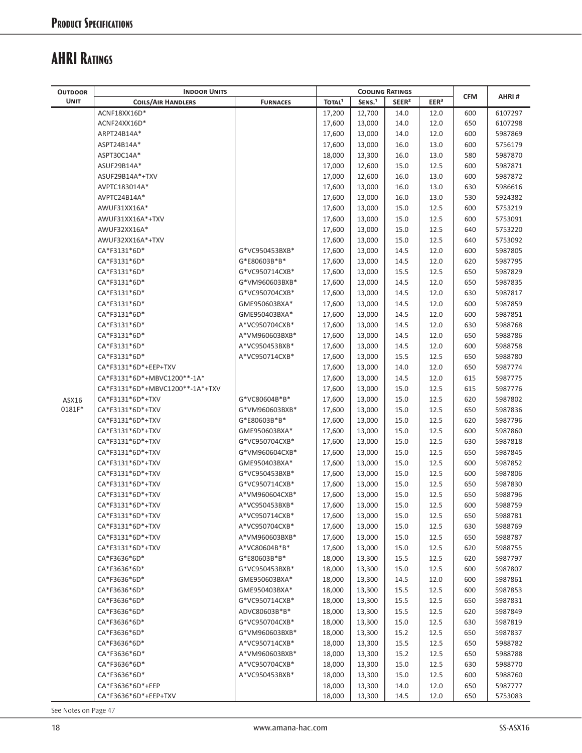#### **AHRI Ratings**

| <b>OUTDOOR</b> | <b>INDOOR UNITS</b>             |                                 |                    |                    | <b>COOLING RATINGS</b> |                  | <b>CFM</b> | AHRI#   |
|----------------|---------------------------------|---------------------------------|--------------------|--------------------|------------------------|------------------|------------|---------|
| <b>UNIT</b>    | <b>COILS/AIR HANDLERS</b>       | <b>FURNACES</b>                 | TOTAL <sup>1</sup> | SENS. <sup>1</sup> | SEER <sup>2</sup>      | EER <sup>3</sup> |            |         |
|                | ACNF18XX16D*                    |                                 | 17,200             | 12,700             | 14.0                   | 12.0             | 600        | 6107297 |
|                | ACNF24XX16D*                    |                                 | 17,600             | 13,000             | 14.0                   | 12.0             | 650        | 6107298 |
|                | ARPT24B14A*                     |                                 | 17,600             | 13,000             | 14.0                   | 12.0             | 600        | 5987869 |
|                | ASPT24B14A*                     |                                 | 17,600             | 13,000             | 16.0                   | 13.0             | 600        | 5756179 |
|                | ASPT30C14A*                     |                                 | 18,000             | 13,300             | 16.0                   | 13.0             | 580        | 5987870 |
|                | ASUF29B14A*                     |                                 | 17,000             | 12,600             | 15.0                   | 12.5             | 600        | 5987871 |
|                | ASUF29B14A*+TXV                 |                                 | 17,000             | 12,600             | 16.0                   | 13.0             | 600        | 5987872 |
|                | AVPTC183014A*                   |                                 | 17,600             | 13,000             | 16.0                   | 13.0             | 630        | 5986616 |
|                | AVPTC24B14A*                    |                                 | 17,600             | 13,000             | 16.0                   | 13.0             | 530        | 5924382 |
|                | AWUF31XX16A*                    |                                 | 17,600             | 13,000             | 15.0                   | 12.5             | 600        | 5753219 |
|                | AWUF31XX16A*+TXV                |                                 | 17,600             | 13,000             | 15.0                   | 12.5             | 600        | 5753091 |
|                | AWUF32XX16A*                    |                                 | 17,600             | 13,000             | 15.0                   | 12.5             | 640        | 5753220 |
|                | AWUF32XX16A*+TXV                |                                 | 17,600             | 13,000             | 15.0                   | 12.5             | 640        | 5753092 |
|                | CA*F3131*6D*                    | G*VC950453BXB*                  | 17,600             | 13,000             | 14.5                   | 12.0             | 600        | 5987805 |
|                | CA*F3131*6D*                    | G*E80603B*B*                    | 17,600             | 13,000             | 14.5                   | 12.0             | 620        | 5987795 |
|                | CA*F3131*6D*                    | G*VC950714CXB*                  | 17,600             | 13,000             | 15.5                   | 12.5             | 650        | 5987829 |
|                | CA*F3131*6D*                    | G*VM960603BXB*                  | 17,600             | 13,000             | 14.5                   | 12.0             | 650        | 5987835 |
|                | CA*F3131*6D*                    | G*VC950704CXB*                  | 17,600             | 13,000             | 14.5                   | 12.0             | 630        | 5987817 |
|                | CA*F3131*6D*                    | GME950603BXA*                   | 17,600             | 13,000             | 14.5                   | 12.0             | 600        | 5987859 |
|                | CA*F3131*6D*                    | GME950403BXA*                   | 17,600             | 13,000             | 14.5                   | 12.0             | 600        | 5987851 |
|                | CA*F3131*6D*                    | A*VC950704CXB*                  | 17,600             | 13,000             | 14.5                   | 12.0             | 630        | 5988768 |
|                | CA*F3131*6D*                    | A*VM960603BXB*                  | 17,600             | 13,000             | 14.5                   | 12.0             | 650        | 5988786 |
|                | CA*F3131*6D*                    | A*VC950453BXB*                  | 17,600             | 13,000             | 14.5                   | 12.0             | 600        | 5988758 |
|                | CA*F3131*6D*                    | A*VC950714CXB*                  | 17,600             | 13,000             | 15.5                   | 12.5             | 650        | 5988780 |
|                | CA*F3131*6D*+EEP+TXV            |                                 | 17,600             | 13,000             | 14.0                   | 12.0             | 650        | 5987774 |
|                | CA*F3131*6D*+MBVC1200**-1A*     |                                 | 17,600             | 13,000             | 14.5                   | 12.0             | 615        | 5987775 |
|                | CA*F3131*6D*+MBVC1200**-1A*+TXV |                                 | 17,600             | 13,000             | 15.0                   | 12.5             | 615        | 5987776 |
| ASX16          | CA*F3131*6D*+TXV                | G*VC80604B*B*                   | 17,600             | 13,000             | 15.0                   | 12.5             | 620        | 5987802 |
| 0181F*         | CA*F3131*6D*+TXV                | G*VM960603BXB*                  | 17,600             | 13,000             | 15.0                   | 12.5             | 650        | 5987836 |
|                | CA*F3131*6D*+TXV                | G*E80603B*B*                    | 17,600             | 13,000             | 15.0                   | 12.5             | 620        | 5987796 |
|                | CA*F3131*6D*+TXV                | GME950603BXA*                   | 17,600             | 13,000             | 15.0                   | 12.5             | 600        | 5987860 |
|                | CA*F3131*6D*+TXV                | G*VC950704CXB*                  | 17,600             | 13,000             | 15.0                   | 12.5             | 630        | 5987818 |
|                | CA*F3131*6D*+TXV                | G*VM960604CXB*                  | 17,600             | 13,000             | 15.0                   | 12.5             | 650        | 5987845 |
|                | CA*F3131*6D*+TXV                | GME950403BXA*                   | 17,600             | 13,000             | 15.0                   | 12.5             | 600        | 5987852 |
|                | CA*F3131*6D*+TXV                | G*VC950453BXB*                  | 17,600             | 13,000             | 15.0                   | 12.5             | 600        | 5987806 |
|                | CA*F3131*6D*+TXV                | G*VC950714CXB*                  | 17,600             | 13,000             | 15.0                   | 12.5             | 650        | 5987830 |
|                | CA*F3131*6D*+TXV                | A*VM960604CXB*                  |                    |                    | 15.0                   | 12.5             | 650        | 5988796 |
|                | CA*F3131*6D*+TXV                | A*VC950453BXB*                  | 17,600<br>17,600   | 13,000             | 15.0                   | 12.5             | 600        | 5988759 |
|                | CA*F3131*6D*+TXV                | A*VC950714CXB*                  | 17,600             | 13,000<br>13,000   | 15.0                   | 12.5             | 650        | 5988781 |
|                | CA*F3131*6D*+TXV                | A*VC950704CXB*                  | 17,600             |                    | 15.0                   | 12.5             | 630        | 5988769 |
|                | CA*F3131*6D*+TXV                | A*VM960603BXB*                  |                    | 13,000             | 15.0                   | 12.5             | 650        | 5988787 |
|                | CA*F3131*6D*+TXV                | A*VC80604B*B*                   | 17,600             | 13,000             |                        |                  |            | 5988755 |
|                | CA*F3636*6D*                    |                                 | 17,600             | 13,000             | 15.0                   | 12.5             | 620        | 5987797 |
|                |                                 | G*E80603B*B*<br>G*VC950453BXB*  | 18,000             | 13,300             | 15.5                   | 12.5             | 620        |         |
|                | CA*F3636*6D*                    |                                 | 18,000             | 13,300             | 15.0                   | 12.5             | 600        | 5987807 |
|                | CA*F3636*6D*                    | GME950603BXA*                   | 18,000             | 13,300             | 14.5                   | 12.0             | 600        | 5987861 |
|                | CA*F3636*6D*<br>CA*F3636*6D*    | GME950403BXA*<br>G*VC950714CXB* | 18,000             | 13,300             | 15.5                   | 12.5             | 600        | 5987853 |
|                |                                 |                                 | 18,000             | 13,300             | 15.5                   | 12.5             | 650        | 5987831 |
|                | CA*F3636*6D*                    | ADVC80603B*B*                   | 18,000             | 13,300             | 15.5                   | 12.5             | 620        | 5987849 |
|                | CA*F3636*6D*                    | G*VC950704CXB*                  | 18,000             | 13,300             | 15.0                   | 12.5             | 630        | 5987819 |
|                | CA*F3636*6D*                    | G*VM960603BXB*                  | 18,000             | 13,300             | 15.2                   | 12.5             | 650        | 5987837 |
|                | CA*F3636*6D*                    | A*VC950714CXB*                  | 18,000             | 13,300             | 15.5                   | 12.5             | 650        | 5988782 |
|                | CA*F3636*6D*                    | A*VM960603BXB*                  | 18,000             | 13,300             | 15.2                   | 12.5             | 650        | 5988788 |
|                | CA*F3636*6D*                    | A*VC950704CXB*                  | 18,000             | 13,300             | 15.0                   | 12.5             | 630        | 5988770 |
|                | CA*F3636*6D*                    | A*VC950453BXB*                  | 18,000             | 13,300             | 15.0                   | 12.5             | 600        | 5988760 |
|                | CA*F3636*6D*+EEP                |                                 | 18,000             | 13,300             | 14.0                   | 12.0             | 650        | 5987777 |
|                | CA*F3636*6D*+EEP+TXV            |                                 | 18,000             | 13,300             | 14.5                   | 12.0             | 650        | 5753083 |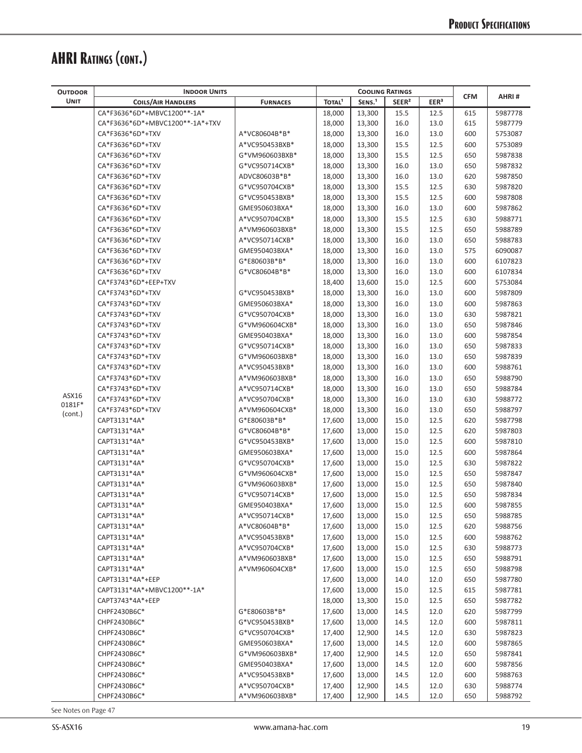| <b>OUTDOOR</b> | <b>INDOOR UNITS</b>             |                 |                    |                    | <b>COOLING RATINGS</b> |                  |            |         |
|----------------|---------------------------------|-----------------|--------------------|--------------------|------------------------|------------------|------------|---------|
| <b>UNIT</b>    | <b>COILS/AIR HANDLERS</b>       | <b>FURNACES</b> | TOTAL <sup>1</sup> | SENS. <sup>1</sup> | SEER <sup>2</sup>      | EER <sup>3</sup> | <b>CFM</b> | AHRI#   |
|                | CA*F3636*6D*+MBVC1200**-1A*     |                 | 18,000             | 13,300             | 15.5                   | 12.5             | 615        | 5987778 |
|                | CA*F3636*6D*+MBVC1200**-1A*+TXV |                 | 18,000             | 13,300             | 16.0                   | 13.0             | 615        | 5987779 |
|                | CA*F3636*6D*+TXV                | A*VC80604B*B*   | 18,000             | 13,300             | 16.0                   | 13.0             | 600        | 5753087 |
|                | CA*F3636*6D*+TXV                | A*VC950453BXB*  | 18,000             | 13,300             | 15.5                   | 12.5             | 600        | 5753089 |
|                | CA*F3636*6D*+TXV                | G*VM960603BXB*  | 18,000             | 13,300             | 15.5                   | 12.5             | 650        | 5987838 |
|                | CA*F3636*6D*+TXV                | G*VC950714CXB*  | 18,000             | 13,300             | 16.0                   | 13.0             | 650        | 5987832 |
|                | CA*F3636*6D*+TXV                | ADVC80603B*B*   | 18,000             | 13,300             | 16.0                   | 13.0             | 620        | 5987850 |
|                | CA*F3636*6D*+TXV                | G*VC950704CXB*  | 18,000             | 13,300             | 15.5                   | 12.5             | 630        | 5987820 |
|                | CA*F3636*6D*+TXV                | G*VC950453BXB*  | 18,000             | 13,300             | 15.5                   | 12.5             | 600        | 5987808 |
|                | CA*F3636*6D*+TXV                | GME950603BXA*   | 18,000             | 13,300             | 16.0                   | 13.0             | 600        | 5987862 |
|                | CA*F3636*6D*+TXV                | A*VC950704CXB*  | 18,000             | 13,300             | 15.5                   | 12.5             | 630        | 5988771 |
|                | CA*F3636*6D*+TXV                | A*VM960603BXB*  | 18,000             | 13,300             | 15.5                   | 12.5             | 650        | 5988789 |
|                | CA*F3636*6D*+TXV                | A*VC950714CXB*  | 18,000             | 13,300             | 16.0                   | 13.0             | 650        | 5988783 |
|                | CA*F3636*6D*+TXV                | GME950403BXA*   | 18,000             | 13,300             | 16.0                   | 13.0             | 575        | 6090087 |
|                | CA*F3636*6D*+TXV                | G*E80603B*B*    | 18,000             | 13,300             | 16.0                   | 13.0             | 600        | 6107823 |
|                | CA*F3636*6D*+TXV                | G*VC80604B*B*   | 18,000             | 13,300             | 16.0                   | 13.0             | 600        | 6107834 |
|                | CA*F3743*6D*+EEP+TXV            |                 | 18,400             | 13,600             | 15.0                   | 12.5             | 600        | 5753084 |
|                | CA*F3743*6D*+TXV                | G*VC950453BXB*  | 18,000             | 13,300             | 16.0                   | 13.0             | 600        | 5987809 |
|                | CA*F3743*6D*+TXV                | GME950603BXA*   | 18,000             | 13,300             | 16.0                   | 13.0             | 600        | 5987863 |
|                | CA*F3743*6D*+TXV                | G*VC950704CXB*  | 18,000             | 13,300             | 16.0                   | 13.0             | 630        | 5987821 |
|                | CA*F3743*6D*+TXV                | G*VM960604CXB*  | 18,000             | 13,300             | 16.0                   | 13.0             | 650        | 5987846 |
|                | CA*F3743*6D*+TXV                | GME950403BXA*   | 18,000             | 13,300             | 16.0                   | 13.0             | 600        | 5987854 |
|                | CA*F3743*6D*+TXV                | G*VC950714CXB*  | 18,000             | 13,300             | 16.0                   | 13.0             | 650        | 5987833 |
|                | CA*F3743*6D*+TXV                | G*VM960603BXB*  | 18,000             | 13,300             | 16.0                   | 13.0             | 650        | 5987839 |
|                | CA*F3743*6D*+TXV                | A*VC950453BXB*  | 18,000             | 13,300             | 16.0                   | 13.0             | 600        | 5988761 |
|                | CA*F3743*6D*+TXV                | A*VM960603BXB*  | 18,000             | 13,300             | 16.0                   | 13.0             | 650        | 5988790 |
|                | CA*F3743*6D*+TXV                | A*VC950714CXB*  | 18,000             | 13,300             | 16.0                   | 13.0             | 650        | 5988784 |
| ASX16          | CA*F3743*6D*+TXV                | A*VC950704CXB*  | 18,000             | 13,300             | 16.0                   | 13.0             | 630        | 5988772 |
| 0181F*         | CA*F3743*6D*+TXV                | A*VM960604CXB*  | 18,000             | 13,300             | 16.0                   | 13.0             | 650        | 5988797 |
| (cont.)        | CAPT3131*4A*                    | G*E80603B*B*    | 17,600             | 13,000             | 15.0                   | 12.5             | 620        | 5987798 |
|                | CAPT3131*4A*                    | G*VC80604B*B*   | 17,600             | 13,000             | 15.0                   | 12.5             | 620        | 5987803 |
|                | CAPT3131*4A*                    | G*VC950453BXB*  | 17,600             | 13,000             | 15.0                   | 12.5             | 600        | 5987810 |
|                | CAPT3131*4A*                    | GME950603BXA*   | 17,600             | 13,000             | 15.0                   | 12.5             | 600        | 5987864 |
|                | CAPT3131*4A*                    | G*VC950704CXB*  | 17,600             | 13,000             | 15.0                   | 12.5             | 630        | 5987822 |
|                | CAPT3131*4A*                    | G*VM960604CXB*  | 17,600             | 13,000             | 15.0                   | 12.5             | 650        | 5987847 |
|                | CAPT3131*4A*                    | G*VM960603BXB*  | 17,600             | 13,000             | 15.0                   | 12.5             | 650        | 5987840 |
|                | CAPT3131*4A*                    | G*VC950714CXB*  | 17,600             | 13,000             | 15.0                   | 12.5             | 650        | 5987834 |
|                | CAPT3131*4A*                    | GME950403BXA*   | 17,600             | 13,000             | 15.0                   | 12.5             | 600        | 5987855 |
|                | CAPT3131*4A*                    | A*VC950714CXB*  | 17,600             | 13,000             | 15.0                   | 12.5             | 650        | 5988785 |
|                | CAPT3131*4A*                    | A*VC80604B*B*   | 17,600             | 13,000             | 15.0                   | 12.5             | 620        | 5988756 |
|                | CAPT3131*4A*                    | A*VC950453BXB*  | 17,600             | 13,000             | 15.0                   | 12.5             | 600        | 5988762 |
|                | CAPT3131*4A*                    | A*VC950704CXB*  | 17,600             | 13,000             | 15.0                   | 12.5             | 630        | 5988773 |
|                | CAPT3131*4A*                    | A*VM960603BXB*  | 17,600             | 13,000             | 15.0                   | 12.5             | 650        | 5988791 |
|                | CAPT3131*4A*                    | A*VM960604CXB*  | 17,600             | 13,000             | 15.0                   | 12.5             | 650        | 5988798 |
|                | CAPT3131*4A*+EEP                |                 | 17,600             | 13,000             | 14.0                   | 12.0             | 650        | 5987780 |
|                | CAPT3131*4A*+MBVC1200**-1A*     |                 | 17,600             | 13,000             | 15.0                   | 12.5             | 615        | 5987781 |
|                | CAPT3743*4A*+EEP                |                 | 18,000             | 13,300             | 15.0                   | 12.5             | 650        | 5987782 |
|                | CHPF2430B6C*                    | G*E80603B*B*    | 17,600             | 13,000             | 14.5                   | 12.0             | 620        | 5987799 |
|                | CHPF2430B6C*                    | G*VC950453BXB*  | 17,600             | 13,000             | 14.5                   | 12.0             | 600        | 5987811 |
|                | CHPF2430B6C*                    | G*VC950704CXB*  | 17,400             | 12,900             | 14.5                   | 12.0             | 630        | 5987823 |
|                | CHPF2430B6C*                    | GME950603BXA*   | 17,600             | 13,000             | 14.5                   | 12.0             | 600        | 5987865 |
|                | CHPF2430B6C*                    | G*VM960603BXB*  | 17,400             | 12,900             | 14.5                   | 12.0             | 650        | 5987841 |
|                | CHPF2430B6C*                    | GME950403BXA*   | 17,600             | 13,000             | 14.5                   | 12.0             | 600        | 5987856 |
|                | CHPF2430B6C*                    | A*VC950453BXB*  | 17,600             | 13,000             | 14.5                   | 12.0             | 600        | 5988763 |
|                | CHPF2430B6C*                    | A*VC950704CXB*  | 17,400             | 12,900             | 14.5                   | 12.0             | 630        | 5988774 |
|                | CHPF2430B6C*                    | A*VM960603BXB*  | 17,400             | 12,900             | 14.5                   | 12.0             | 650        | 5988792 |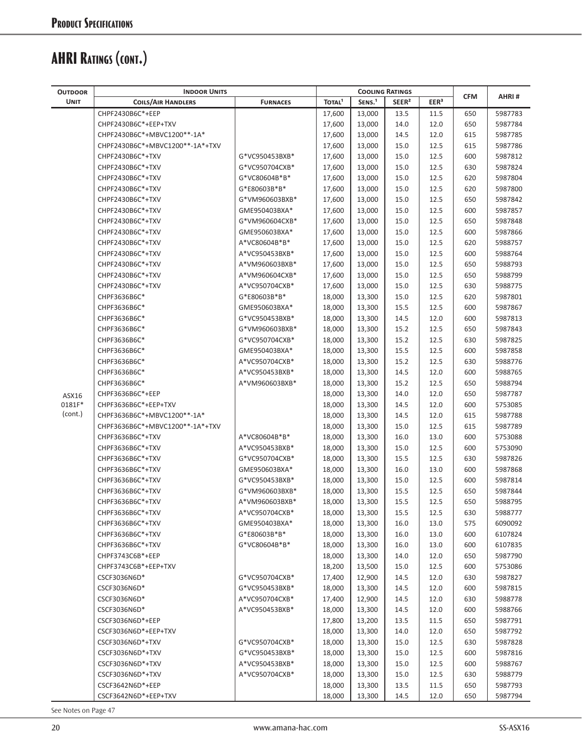| <b>OUTDOOR</b> | <b>INDOOR UNITS</b>                  |                                  |                    |                    | <b>COOLING RATINGS</b> |                  |            |                    |
|----------------|--------------------------------------|----------------------------------|--------------------|--------------------|------------------------|------------------|------------|--------------------|
| <b>UNIT</b>    | <b>COILS/AIR HANDLERS</b>            | <b>FURNACES</b>                  | TOTAL <sup>1</sup> | SENS. <sup>1</sup> | SEER <sup>2</sup>      | EER <sup>3</sup> | <b>CFM</b> | AHRI#              |
|                | CHPF2430B6C*+EEP                     |                                  | 17,600             | 13,000             | 13.5                   | 11.5             | 650        | 5987783            |
|                | CHPF2430B6C*+EEP+TXV                 |                                  | 17,600             | 13,000             | 14.0                   | 12.0             | 650        | 5987784            |
|                | CHPF2430B6C*+MBVC1200**-1A*          |                                  | 17,600             | 13,000             | 14.5                   | 12.0             | 615        | 5987785            |
|                | CHPF2430B6C*+MBVC1200**-1A*+TXV      |                                  | 17,600             | 13,000             | 15.0                   | 12.5             | 615        | 5987786            |
|                | CHPF2430B6C*+TXV                     | G*VC950453BXB*                   | 17,600             | 13,000             | 15.0                   | 12.5             | 600        | 5987812            |
|                | CHPF2430B6C*+TXV                     | G*VC950704CXB*                   | 17,600             | 13,000             | 15.0                   | 12.5             | 630        | 5987824            |
|                | CHPF2430B6C*+TXV                     | G*VC80604B*B*                    | 17,600             | 13,000             | 15.0                   | 12.5             | 620        | 5987804            |
|                | CHPF2430B6C*+TXV                     | G*E80603B*B*                     | 17,600             | 13,000             | 15.0                   | 12.5             | 620        | 5987800            |
|                | CHPF2430B6C*+TXV                     | G*VM960603BXB*                   | 17,600             | 13,000             | 15.0                   | 12.5             | 650        | 5987842            |
|                | CHPF2430B6C*+TXV                     | GME950403BXA*                    | 17,600             | 13,000             | 15.0                   | 12.5             | 600        | 5987857            |
|                | CHPF2430B6C*+TXV                     | G*VM960604CXB*                   | 17,600             | 13,000             | 15.0                   | 12.5             | 650        | 5987848            |
|                | CHPF2430B6C*+TXV                     | GME950603BXA*                    | 17,600             | 13,000             | 15.0                   | 12.5             | 600        | 5987866            |
|                | CHPF2430B6C*+TXV                     | A*VC80604B*B*                    | 17,600             | 13,000             | 15.0                   | 12.5             | 620        | 5988757            |
|                | CHPF2430B6C*+TXV                     | A*VC950453BXB*                   | 17,600             | 13,000             | 15.0                   | 12.5             | 600        | 5988764            |
|                | CHPF2430B6C*+TXV                     | A*VM960603BXB*                   | 17,600             | 13,000             | 15.0                   | 12.5             | 650        | 5988793            |
|                | CHPF2430B6C*+TXV                     | A*VM960604CXB*                   | 17,600             | 13,000             | 15.0                   | 12.5             | 650        | 5988799            |
|                | CHPF2430B6C*+TXV                     | A*VC950704CXB*                   | 17,600             | 13,000             | 15.0                   | 12.5             | 630        | 5988775            |
|                | CHPF3636B6C*                         | G*E80603B*B*                     | 18,000             | 13,300             | 15.0                   | 12.5             | 620        | 5987801            |
|                | CHPF3636B6C*                         | GME950603BXA*                    | 18,000             | 13,300             | 15.5                   | 12.5             | 600        | 5987867            |
|                | CHPF3636B6C*                         | G*VC950453BXB*                   | 18,000             | 13,300             | 14.5                   | 12.0             | 600        | 5987813            |
|                | CHPF3636B6C*                         | G*VM960603BXB*                   | 18,000             | 13,300             | 15.2                   | 12.5             | 650        | 5987843            |
|                | CHPF3636B6C*                         | G*VC950704CXB*                   | 18,000             | 13,300             | 15.2                   | 12.5             | 630        | 5987825            |
|                | CHPF3636B6C*                         | GME950403BXA*                    | 18,000             | 13,300             | 15.5                   | 12.5             | 600        | 5987858            |
|                | CHPF3636B6C*                         | A*VC950704CXB*                   | 18,000             | 13,300             | 15.2                   | 12.5             | 630        | 5988776            |
|                | CHPF3636B6C*                         | A*VC950453BXB*                   | 18,000             | 13,300             | 14.5                   | 12.0             | 600        | 5988765            |
|                | CHPF3636B6C*                         | A*VM960603BXB*                   | 18,000             | 13,300             | 15.2                   | 12.5             | 650        | 5988794            |
| ASX16          | CHPF3636B6C*+EEP                     |                                  | 18,000             | 13,300             | 14.0                   | 12.0             | 650        | 5987787            |
| 0181F*         | CHPF3636B6C*+EEP+TXV                 |                                  | 18,000             | 13,300             | 14.5                   | 12.0             | 600        | 5753085            |
| (cont.)        | CHPF3636B6C*+MBVC1200**-1A*          |                                  | 18,000             | 13,300             | 14.5                   | 12.0             | 615        | 5987788            |
|                | CHPF3636B6C*+MBVC1200**-1A*+TXV      |                                  | 18,000             | 13,300             | 15.0                   | 12.5             | 615        | 5987789            |
|                | CHPF3636B6C*+TXV                     | A*VC80604B*B*                    | 18,000             | 13,300             | 16.0                   | 13.0             | 600        | 5753088            |
|                | CHPF3636B6C*+TXV                     | A*VC950453BXB*                   | 18,000             | 13,300             | 15.0                   | 12.5             | 600        | 5753090            |
|                | CHPF3636B6C*+TXV                     | G*VC950704CXB*                   | 18,000             | 13,300             | 15.5                   | 12.5             | 630        | 5987826            |
|                | CHPF3636B6C*+TXV                     | GME950603BXA*                    | 18,000             | 13,300             | 16.0                   | 13.0             | 600        | 5987868            |
|                | CHPF3636B6C*+TXV                     | G*VC950453BXB*                   | 18,000             | 13,300             | 15.0                   | 12.5             | 600        | 5987814            |
|                | CHPF3636B6C*+TXV                     | G*VM960603BXB*                   | 18,000             | 13,300             | 15.5                   | 12.5             | 650        | 5987844            |
|                | CHPF3636B6C*+TXV                     | A*VM960603BXB*                   | 18,000             | 13,300             | 15.5                   | 12.5             | 650        | 5988795            |
|                | CHPF3636B6C*+TXV                     | A*VC950704CXB*                   | 18,000             | 13,300             | $15.5\,$               | 12.5             | 630        | 5988777            |
|                | CHPF3636B6C*+TXV                     | GME950403BXA*                    | 18,000             | 13,300             | 16.0                   | 13.0             | 575        | 6090092            |
|                | CHPF3636B6C*+TXV                     | G*E80603B*B*                     | 18,000             | 13,300             | 16.0                   | 13.0             | 600        | 6107824            |
|                | CHPF3636B6C*+TXV                     | G*VC80604B*B*                    | 18,000             | 13,300             | 16.0                   | 13.0             | 600        | 6107835            |
|                | CHPF3743C6B*+EEP                     |                                  | 18,000             | 13,300             | 14.0                   | 12.0             | 650        | 5987790            |
|                | CHPF3743C6B*+EEP+TXV                 |                                  | 18,200             | 13,500             | 15.0                   | 12.5             | 600        | 5753086            |
|                | CSCF3036N6D*                         | G*VC950704CXB*                   | 17,400             | 12,900             | 14.5                   | 12.0             | 630        | 5987827            |
|                | CSCF3036N6D*                         | G*VC950453BXB*                   | 18,000             | 13,300             | 14.5                   | 12.0             | 600        | 5987815            |
|                | CSCF3036N6D*                         | A*VC950704CXB*                   | 17,400             | 12,900             | 14.5                   | 12.0             | 630        | 5988778            |
|                | CSCF3036N6D*                         | A*VC950453BXB*                   | 18,000             | 13,300             | 14.5                   | 12.0             | 600        | 5988766            |
|                | CSCF3036N6D*+EEP                     |                                  | 17,800             | 13,200             | 13.5                   | 11.5             | 650        | 5987791            |
|                | CSCF3036N6D*+EEP+TXV                 |                                  | 18,000             | 13,300             | 14.0                   | 12.0             | 650        | 5987792            |
|                | CSCF3036N6D*+TXV                     | G*VC950704CXB*                   | 18,000             | 13,300             | 15.0                   | 12.5             | 630        | 5987828            |
|                | CSCF3036N6D*+TXV                     | G*VC950453BXB*                   | 18,000             | 13,300             | 15.0                   | 12.5             | 600        | 5987816            |
|                | CSCF3036N6D*+TXV                     | A*VC950453BXB*<br>A*VC950704CXB* | 18,000             | 13,300             | 15.0                   | 12.5             | 600        | 5988767            |
|                | CSCF3036N6D*+TXV<br>CSCF3642N6D*+EEP |                                  | 18,000<br>18,000   | 13,300             | 15.0<br>13.5           | 12.5<br>11.5     | 630<br>650 | 5988779<br>5987793 |
|                | CSCF3642N6D*+EEP+TXV                 |                                  | 18,000             | 13,300<br>13,300   | 14.5                   | 12.0             | 650        | 5987794            |
|                |                                      |                                  |                    |                    |                        |                  |            |                    |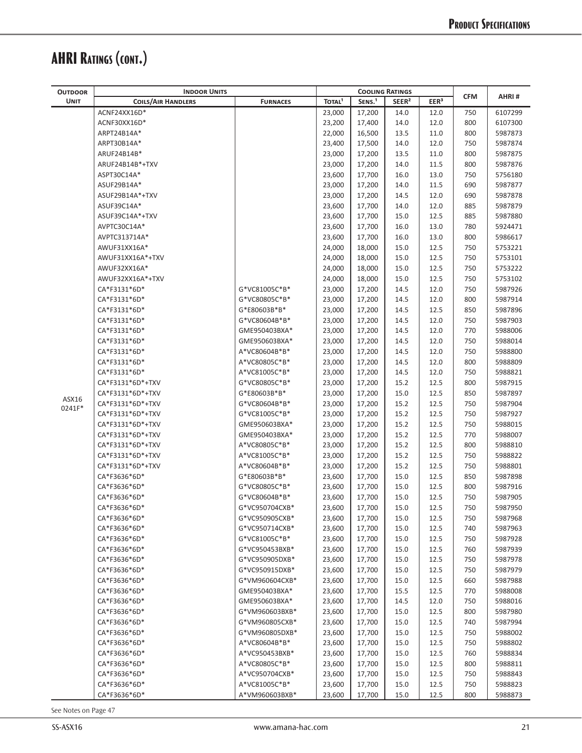| <b>OUTDOOR</b> | <b>INDOOR UNITS</b>       |                 |                    |                    | <b>COOLING RATINGS</b> |                  |            |         |
|----------------|---------------------------|-----------------|--------------------|--------------------|------------------------|------------------|------------|---------|
| <b>UNIT</b>    | <b>COILS/AIR HANDLERS</b> | <b>FURNACES</b> | TOTAL <sup>1</sup> | SENS. <sup>1</sup> | SEER <sup>2</sup>      | EER <sup>3</sup> | <b>CFM</b> | AHRI#   |
|                | ACNF24XX16D*              |                 | 23,000             | 17,200             | 14.0                   | 12.0             | 750        | 6107299 |
|                | ACNF30XX16D*              |                 | 23,200             | 17,400             | 14.0                   | 12.0             | 800        | 6107300 |
|                | ARPT24B14A*               |                 | 22,000             | 16,500             | 13.5                   | 11.0             | 800        | 5987873 |
|                | ARPT30B14A*               |                 | 23,400             | 17,500             | 14.0                   | 12.0             | 750        | 5987874 |
|                | ARUF24B14B*               |                 | 23,000             | 17,200             | 13.5                   | 11.0             | 800        | 5987875 |
|                | ARUF24B14B*+TXV           |                 | 23,000             | 17,200             | 14.0                   | 11.5             | 800        | 5987876 |
|                | ASPT30C14A*               |                 | 23,600             | 17,700             | 16.0                   | 13.0             | 750        | 5756180 |
|                | ASUF29B14A*               |                 | 23,000             | 17,200             | 14.0                   | 11.5             | 690        | 5987877 |
|                | ASUF29B14A*+TXV           |                 | 23,000             | 17,200             | 14.5                   | 12.0             | 690        | 5987878 |
|                | ASUF39C14A*               |                 | 23,600             |                    | 14.0                   | 12.0             | 885        | 5987879 |
|                | ASUF39C14A*+TXV           |                 | 23,600             | 17,700             | 15.0                   | 12.5             | 885        | 5987880 |
|                | AVPTC30C14A*              |                 |                    | 17,700             |                        |                  |            |         |
|                |                           |                 | 23,600             | 17,700             | 16.0                   | 13.0             | 780        | 5924471 |
|                | AVPTC313714A*             |                 | 23,600             | 17,700             | 16.0                   | 13.0             | 800        | 5986617 |
|                | AWUF31XX16A*              |                 | 24,000             | 18,000             | 15.0                   | 12.5             | 750        | 5753221 |
|                | AWUF31XX16A*+TXV          |                 | 24,000             | 18,000             | 15.0                   | 12.5             | 750        | 5753101 |
|                | AWUF32XX16A*              |                 | 24,000             | 18,000             | 15.0                   | 12.5             | 750        | 5753222 |
|                | AWUF32XX16A*+TXV          |                 | 24,000             | 18,000             | 15.0                   | 12.5             | 750        | 5753102 |
|                | CA*F3131*6D*              | G*VC81005C*B*   | 23,000             | 17,200             | 14.5                   | 12.0             | 750        | 5987926 |
|                | CA*F3131*6D*              | G*VC80805C*B*   | 23,000             | 17,200             | 14.5                   | 12.0             | 800        | 5987914 |
|                | CA*F3131*6D*              | G*E80603B*B*    | 23,000             | 17,200             | 14.5                   | 12.5             | 850        | 5987896 |
|                | CA*F3131*6D*              | G*VC80604B*B*   | 23,000             | 17,200             | 14.5                   | 12.0             | 750        | 5987903 |
|                | CA*F3131*6D*              | GME950403BXA*   | 23,000             | 17,200             | 14.5                   | 12.0             | 770        | 5988006 |
|                | CA*F3131*6D*              | GME950603BXA*   | 23,000             | 17,200             | 14.5                   | 12.0             | 750        | 5988014 |
|                | CA*F3131*6D*              | A*VC80604B*B*   | 23,000             | 17,200             | 14.5                   | 12.0             | 750        | 5988800 |
|                | CA*F3131*6D*              | A*VC80805C*B*   | 23,000             | 17,200             | 14.5                   | 12.0             | 800        | 5988809 |
|                | CA*F3131*6D*              | A*VC81005C*B*   | 23,000             | 17,200             | 14.5                   | 12.0             | 750        | 5988821 |
|                | CA*F3131*6D*+TXV          | G*VC80805C*B*   | 23,000             | 17,200             | 15.2                   | 12.5             | 800        | 5987915 |
|                | CA*F3131*6D*+TXV          | G*E80603B*B*    | 23,000             | 17,200             | 15.0                   | 12.5             | 850        | 5987897 |
| ASX16          | CA*F3131*6D*+TXV          | G*VC80604B*B*   | 23,000             | 17,200             | 15.2                   | 12.5             | 750        | 5987904 |
| 0241F*         | CA*F3131*6D*+TXV          | G*VC81005C*B*   | 23,000             | 17,200             | 15.2                   | 12.5             | 750        | 5987927 |
|                | CA*F3131*6D*+TXV          | GME950603BXA*   | 23,000             | 17,200             | 15.2                   | 12.5             | 750        | 5988015 |
|                | CA*F3131*6D*+TXV          | GME950403BXA*   | 23,000             | 17,200             | 15.2                   | 12.5             | 770        | 5988007 |
|                | CA*F3131*6D*+TXV          | A*VC80805C*B*   | 23,000             | 17,200             | 15.2                   | 12.5             | 800        | 5988810 |
|                | CA*F3131*6D*+TXV          | A*VC81005C*B*   | 23,000             | 17,200             | 15.2                   | 12.5             | 750        | 5988822 |
|                | CA*F3131*6D*+TXV          | A*VC80604B*B*   | 23,000             | 17,200             | 15.2                   | 12.5             | 750        | 5988801 |
|                | CA*F3636*6D*              | G*E80603B*B*    | 23,600             | 17,700             | 15.0                   | 12.5             | 850        | 5987898 |
|                | CA*F3636*6D*              | G*VC80805C*B*   | 23,600             | 17,700             | 15.0                   | 12.5             | 800        | 5987916 |
|                | CA*F3636*6D*              | G*VC80604B*B*   | 23,600             | 17,700             | 15.0                   | 12.5             | 750        | 5987905 |
|                | CA*F3636*6D*              | G*VC950704CXB*  | 23,600             | 17,700             | 15.0                   | 12.5             | 750        | 5987950 |
|                | CA*F3636*6D*              | G*VC950905CXB*  | 23,600             | 17,700             | 15.0                   | 12.5             | 750        | 5987968 |
|                | CA*F3636*6D*              | G*VC950714CXB*  |                    |                    | 15.0                   | 12.5             | 740        | 5987963 |
|                | CA*F3636*6D*              | G*VC81005C*B*   | 23,600             | 17,700             | 15.0                   |                  | 750        | 5987928 |
|                |                           |                 | 23,600             | 17,700             |                        | 12.5             |            |         |
|                | CA*F3636*6D*              | G*VC950453BXB*  | 23,600             | 17,700             | 15.0                   | 12.5             | 760        | 5987939 |
|                | CA*F3636*6D*              | G*VC950905DXB*  | 23,600             | 17,700             | 15.0                   | 12.5             | 750        | 5987978 |
|                | CA*F3636*6D*              | G*VC950915DXB*  | 23,600             | 17,700             | 15.0                   | 12.5             | 750        | 5987979 |
|                | CA*F3636*6D*              | G*VM960604CXB*  | 23,600             | 17,700             | 15.0                   | 12.5             | 660        | 5987988 |
|                | CA*F3636*6D*              | GME950403BXA*   | 23,600             | 17,700             | 15.5                   | 12.5             | 770        | 5988008 |
|                | CA*F3636*6D*              | GME950603BXA*   | 23,600             | 17,700             | 14.5                   | 12.0             | 750        | 5988016 |
|                | CA*F3636*6D*              | G*VM960603BXB*  | 23,600             | 17,700             | 15.0                   | 12.5             | 800        | 5987980 |
|                | CA*F3636*6D*              | G*VM960805CXB*  | 23,600             | 17,700             | 15.0                   | 12.5             | 740        | 5987994 |
|                | CA*F3636*6D*              | G*VM960805DXB*  | 23,600             | 17,700             | 15.0                   | 12.5             | 750        | 5988002 |
|                | CA*F3636*6D*              | A*VC80604B*B*   | 23,600             | 17,700             | 15.0                   | 12.5             | 750        | 5988802 |
|                | CA*F3636*6D*              | A*VC950453BXB*  | 23,600             | 17,700             | 15.0                   | 12.5             | 760        | 5988834 |
|                | CA*F3636*6D*              | A*VC80805C*B*   | 23,600             | 17,700             | 15.0                   | 12.5             | 800        | 5988811 |
|                | CA*F3636*6D*              | A*VC950704CXB*  | 23,600             | 17,700             | 15.0                   | 12.5             | 750        | 5988843 |
|                | CA*F3636*6D*              | A*VC81005C*B*   | 23,600             | 17,700             | 15.0                   | 12.5             | 750        | 5988823 |
|                | CA*F3636*6D*              | A*VM960603BXB*  | 23,600             | 17,700             | 15.0                   | 12.5             | 800        | 5988873 |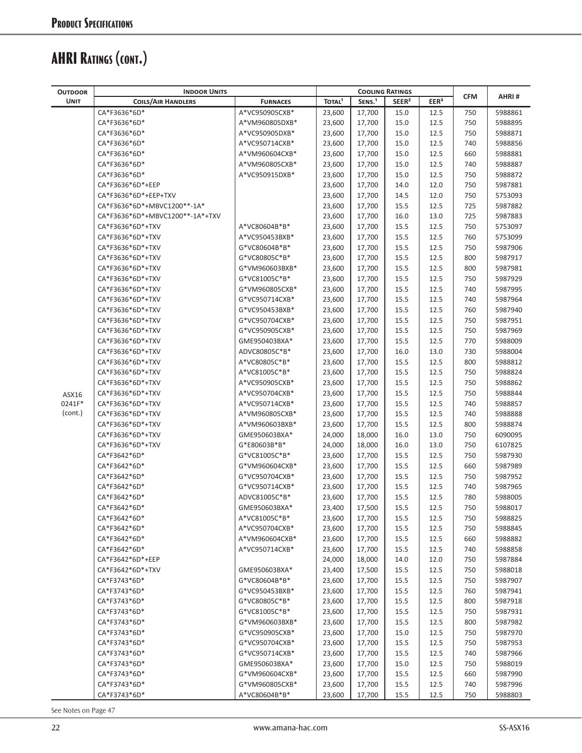See Notes on Page 47

| <b>UNIT</b><br>EER <sup>3</sup><br>TOTAL <sup>1</sup><br>SENS. <sup>1</sup><br>SEER <sup>2</sup><br><b>COILS/AIR HANDLERS</b><br><b>FURNACES</b><br>CA*F3636*6D*<br>5988861<br>A*VC950905CXB*<br>750<br>23,600<br>17,700<br>15.0<br>12.5<br>CA*F3636*6D*<br>A*VM960805DXB*<br>23,600<br>17,700<br>15.0<br>12.5<br>750<br>5988895<br>750<br>CA*F3636*6D*<br>A*VC950905DXB*<br>23,600<br>17,700<br>15.0<br>12.5<br>5988871<br>CA*F3636*6D*<br>A*VC950714CXB*<br>15.0<br>12.5<br>740<br>5988856<br>23,600<br>17,700<br>CA*F3636*6D*<br>A*VM960604CXB*<br>23,600<br>17,700<br>15.0<br>12.5<br>660<br>5988881<br>740<br>5988887<br>CA*F3636*6D*<br>A*VM960805CXB*<br>23,600<br>17,700<br>15.0<br>12.5<br>CA*F3636*6D*<br>A*VC950915DXB*<br>15.0<br>12.5<br>750<br>5988872<br>23,600<br>17,700<br>CA*F3636*6D*+EEP<br>12.0<br>750<br>5987881<br>23,600<br>17,700<br>14.0<br>750<br>5753093<br>CA*F3636*6D*+EEP+TXV<br>23,600<br>17,700<br>14.5<br>12.0<br>CA*F3636*6D*+MBVC1200**-1A*<br>23,600<br>15.5<br>12.5<br>725<br>5987882<br>17,700<br>725<br>CA*F3636*6D*+MBVC1200**-1A*+TXV<br>23,600<br>16.0<br>13.0<br>5987883<br>17,700<br>A*VC80604B*B*<br>23,600<br>12.5<br>750<br>5753097<br>CA*F3636*6D*+TXV<br>17,700<br>15.5<br>15.5<br>760<br>5753099<br>CA*F3636*6D*+TXV<br>A*VC950453BXB*<br>23,600<br>17,700<br>12.5<br>CA*F3636*6D*+TXV<br>G*VC80604B*B*<br>12.5<br>750<br>5987906<br>23,600<br>17,700<br>15.5<br>CA*F3636*6D*+TXV<br>G*VC80805C*B*<br>15.5<br>12.5<br>800<br>5987917<br>23,600<br>17,700<br>CA*F3636*6D*+TXV<br>15.5<br>800<br>5987981<br>G*VM960603BXB*<br>23,600<br>17,700<br>12.5<br>CA*F3636*6D*+TXV<br>G*VC81005C*B*<br>15.5<br>12.5<br>750<br>5987929<br>23,600<br>17,700<br>CA*F3636*6D*+TXV<br>G*VM960805CXB*<br>15.5<br>12.5<br>740<br>5987995<br>23,600<br>17,700<br>CA*F3636*6D*+TXV<br>G*VC950714CXB*<br>15.5<br>12.5<br>740<br>5987964<br>23,600<br>17,700<br>760<br>CA*F3636*6D*+TXV<br>G*VC950453BXB*<br>23,600<br>17,700<br>15.5<br>12.5<br>5987940<br>CA*F3636*6D*+TXV<br>G*VC950704CXB*<br>15.5<br>12.5<br>750<br>5987951<br>23,600<br>17,700<br>750<br>CA*F3636*6D*+TXV<br>G*VC950905CXB*<br>23,600<br>15.5<br>12.5<br>5987969<br>17,700<br>770<br>5988009<br>CA*F3636*6D*+TXV<br>GME950403BXA*<br>23,600<br>17,700<br>15.5<br>12.5<br>CA*F3636*6D*+TXV<br>730<br>5988004<br>ADVC80805C*B*<br>23,600<br>17,700<br>16.0<br>13.0<br>CA*F3636*6D*+TXV<br>A*VC80805C*B*<br>15.5<br>12.5<br>800<br>5988812<br>23,600<br>17,700<br>CA*F3636*6D*+TXV<br>750<br>5988824<br>A*VC81005C*B*<br>23,600<br>17,700<br>15.5<br>12.5<br>CA*F3636*6D*+TXV<br>A*VC950905CXB*<br>15.5<br>12.5<br>750<br>5988862<br>23,600<br>17,700<br>CA*F3636*6D*+TXV<br>A*VC950704CXB*<br>15.5<br>12.5<br>750<br>5988844<br>23,600<br>17,700<br>ASX16<br>A*VC950714CXB*<br>15.5<br>12.5<br>740<br>5988857<br>0241F*<br>CA*F3636*6D*+TXV<br>23,600<br>17,700<br>(cont.)<br>15.5<br>740<br>5988888<br>CA*F3636*6D*+TXV<br>A*VM960805CXB*<br>23,600<br>17,700<br>12.5<br>A*VM960603BXB*<br>15.5<br>12.5<br>800<br>5988874<br>CA*F3636*6D*+TXV<br>23,600<br>17,700<br>CA*F3636*6D*+TXV<br>GME950603BXA*<br>16.0<br>13.0<br>750<br>6090095<br>24,000<br>18,000<br>CA*F3636*6D*+TXV<br>16.0<br>750<br>G*E80603B*B*<br>24,000<br>18,000<br>13.0<br>6107825<br>CA*F3642*6D*<br>G*VC81005C*B*<br>12.5<br>750<br>5987930<br>23,600<br>17,700<br>15.5<br>CA*F3642*6D*<br>15.5<br>12.5<br>660<br>5987989<br>G*VM960604CXB*<br>23,600<br>17,700<br>G*VC950704CXB*<br>15.5<br>12.5<br>750<br>5987952<br>CA*F3642*6D*<br>23,600<br>17,700<br>G*VC950714CXB*<br>740<br>5987965<br>CA*F3642*6D*<br>23,600<br>17,700<br>15.5<br>12.5<br>ADVC81005C*B*<br>15.5<br>12.5<br>780<br>5988005<br>CA*F3642*6D*<br>23,600<br>17,700<br>CA*F3642*6D*<br>GME950603BXA*<br>23,400<br>17,500<br>15.5<br>12.5<br>750<br>5988017<br>CA*F3642*6D*<br>A*VC81005C*B*<br>23,600<br>17,700<br>15.5<br>12.5<br>750<br>5988825<br>CA*F3642*6D*<br>17,700<br>15.5<br>12.5<br>750<br>5988845<br>A*VC950704CXB*<br>23,600<br>15.5<br>12.5<br>660<br>5988882<br>CA*F3642*6D*<br>A*VM960604CXB*<br>23,600<br>17,700<br>CA*F3642*6D*<br>A*VC950714CXB*<br>740<br>23,600<br>17,700<br>15.5<br>12.5<br>5988858<br>CA*F3642*6D*+EEP<br>750<br>5987884<br>24,000<br>18,000<br>14.0<br>12.0<br>CA*F3642*6D*+TXV<br>15.5<br>12.5<br>750<br>5988018<br>GME950603BXA*<br>23,400<br>17,500<br>CA*F3743*6D*<br>G*VC80604B*B*<br>5987907<br>23,600<br>17,700<br>15.5<br>12.5<br>750<br>CA*F3743*6D*<br>G*VC950453BXB*<br>23,600<br>17,700<br>15.5<br>12.5<br>760<br>5987941<br>CA*F3743*6D*<br>G*VC80805C*B*<br>15.5<br>12.5<br>800<br>5987918<br>23,600<br>17,700<br>CA*F3743*6D*<br>G*VC81005C*B*<br>15.5<br>12.5<br>750<br>23,600<br>17,700<br>5987931<br>CA*F3743*6D*<br>G*VM960603BXB*<br>15.5<br>12.5<br>800<br>5987982<br>23,600<br>17,700<br>CA*F3743*6D*<br>G*VC950905CXB*<br>12.5<br>5987970<br>23,600<br>17,700<br>15.0<br>750<br>CA*F3743*6D*<br>12.5<br>750<br>5987953<br>G*VC950704CXB*<br>23,600<br>17,700<br>15.5<br>CA*F3743*6D*<br>G*VC950714CXB*<br>23,600<br>17,700<br>740<br>5987966<br>15.5<br>12.5<br>CA*F3743*6D*<br>GME950603BXA*<br>750<br>5988019<br>23,600<br>17,700<br>15.0<br>12.5<br>CA*F3743*6D*<br>G*VM960604CXB*<br>15.5<br>12.5<br>660<br>5987990<br>23,600<br>17,700<br>CA*F3743*6D*<br>G*VM960805CXB*<br>15.5<br>12.5<br>740<br>23,600<br>17,700<br>5987996<br>CA*F3743*6D*<br>A*VC80604B*B*<br>23,600<br>17,700<br>15.5<br>12.5<br>750<br>5988803 | <b>OUTDOOR</b> | <b>INDOOR UNITS</b> |  | <b>COOLING RATINGS</b> | <b>CFM</b> | AHRI# |
|---------------------------------------------------------------------------------------------------------------------------------------------------------------------------------------------------------------------------------------------------------------------------------------------------------------------------------------------------------------------------------------------------------------------------------------------------------------------------------------------------------------------------------------------------------------------------------------------------------------------------------------------------------------------------------------------------------------------------------------------------------------------------------------------------------------------------------------------------------------------------------------------------------------------------------------------------------------------------------------------------------------------------------------------------------------------------------------------------------------------------------------------------------------------------------------------------------------------------------------------------------------------------------------------------------------------------------------------------------------------------------------------------------------------------------------------------------------------------------------------------------------------------------------------------------------------------------------------------------------------------------------------------------------------------------------------------------------------------------------------------------------------------------------------------------------------------------------------------------------------------------------------------------------------------------------------------------------------------------------------------------------------------------------------------------------------------------------------------------------------------------------------------------------------------------------------------------------------------------------------------------------------------------------------------------------------------------------------------------------------------------------------------------------------------------------------------------------------------------------------------------------------------------------------------------------------------------------------------------------------------------------------------------------------------------------------------------------------------------------------------------------------------------------------------------------------------------------------------------------------------------------------------------------------------------------------------------------------------------------------------------------------------------------------------------------------------------------------------------------------------------------------------------------------------------------------------------------------------------------------------------------------------------------------------------------------------------------------------------------------------------------------------------------------------------------------------------------------------------------------------------------------------------------------------------------------------------------------------------------------------------------------------------------------------------------------------------------------------------------------------------------------------------------------------------------------------------------------------------------------------------------------------------------------------------------------------------------------------------------------------------------------------------------------------------------------------------------------------------------------------------------------------------------------------------------------------------------------------------------------------------------------------------------------------------------------------------------------------------------------------------------------------------------------------------------------------------------------------------------------------------------------------------------------------------------------------------------------------------------------------------------------------------------------------------------------------------------------------------------------------------------------------------------------------------------------------------------------------------------------------------------------------------------------------------------------------------------------------------------------------------------------------------------------------------------------------------------------------------------------------------------------------------------------------------------------------------------------------------------------------------------------------------------------------------------------------------------------------------------------------------------------------------------------------------------|----------------|---------------------|--|------------------------|------------|-------|
|                                                                                                                                                                                                                                                                                                                                                                                                                                                                                                                                                                                                                                                                                                                                                                                                                                                                                                                                                                                                                                                                                                                                                                                                                                                                                                                                                                                                                                                                                                                                                                                                                                                                                                                                                                                                                                                                                                                                                                                                                                                                                                                                                                                                                                                                                                                                                                                                                                                                                                                                                                                                                                                                                                                                                                                                                                                                                                                                                                                                                                                                                                                                                                                                                                                                                                                                                                                                                                                                                                                                                                                                                                                                                                                                                                                                                                                                                                                                                                                                                                                                                                                                                                                                                                                                                                                                                                                                                                                                                                                                                                                                                                                                                                                                                                                                                                                                                                                                                                                                                                                                                                                                                                                                                                                                                                                                                                                                                                       |                |                     |  |                        |            |       |
|                                                                                                                                                                                                                                                                                                                                                                                                                                                                                                                                                                                                                                                                                                                                                                                                                                                                                                                                                                                                                                                                                                                                                                                                                                                                                                                                                                                                                                                                                                                                                                                                                                                                                                                                                                                                                                                                                                                                                                                                                                                                                                                                                                                                                                                                                                                                                                                                                                                                                                                                                                                                                                                                                                                                                                                                                                                                                                                                                                                                                                                                                                                                                                                                                                                                                                                                                                                                                                                                                                                                                                                                                                                                                                                                                                                                                                                                                                                                                                                                                                                                                                                                                                                                                                                                                                                                                                                                                                                                                                                                                                                                                                                                                                                                                                                                                                                                                                                                                                                                                                                                                                                                                                                                                                                                                                                                                                                                                                       |                |                     |  |                        |            |       |
|                                                                                                                                                                                                                                                                                                                                                                                                                                                                                                                                                                                                                                                                                                                                                                                                                                                                                                                                                                                                                                                                                                                                                                                                                                                                                                                                                                                                                                                                                                                                                                                                                                                                                                                                                                                                                                                                                                                                                                                                                                                                                                                                                                                                                                                                                                                                                                                                                                                                                                                                                                                                                                                                                                                                                                                                                                                                                                                                                                                                                                                                                                                                                                                                                                                                                                                                                                                                                                                                                                                                                                                                                                                                                                                                                                                                                                                                                                                                                                                                                                                                                                                                                                                                                                                                                                                                                                                                                                                                                                                                                                                                                                                                                                                                                                                                                                                                                                                                                                                                                                                                                                                                                                                                                                                                                                                                                                                                                                       |                |                     |  |                        |            |       |
|                                                                                                                                                                                                                                                                                                                                                                                                                                                                                                                                                                                                                                                                                                                                                                                                                                                                                                                                                                                                                                                                                                                                                                                                                                                                                                                                                                                                                                                                                                                                                                                                                                                                                                                                                                                                                                                                                                                                                                                                                                                                                                                                                                                                                                                                                                                                                                                                                                                                                                                                                                                                                                                                                                                                                                                                                                                                                                                                                                                                                                                                                                                                                                                                                                                                                                                                                                                                                                                                                                                                                                                                                                                                                                                                                                                                                                                                                                                                                                                                                                                                                                                                                                                                                                                                                                                                                                                                                                                                                                                                                                                                                                                                                                                                                                                                                                                                                                                                                                                                                                                                                                                                                                                                                                                                                                                                                                                                                                       |                |                     |  |                        |            |       |
|                                                                                                                                                                                                                                                                                                                                                                                                                                                                                                                                                                                                                                                                                                                                                                                                                                                                                                                                                                                                                                                                                                                                                                                                                                                                                                                                                                                                                                                                                                                                                                                                                                                                                                                                                                                                                                                                                                                                                                                                                                                                                                                                                                                                                                                                                                                                                                                                                                                                                                                                                                                                                                                                                                                                                                                                                                                                                                                                                                                                                                                                                                                                                                                                                                                                                                                                                                                                                                                                                                                                                                                                                                                                                                                                                                                                                                                                                                                                                                                                                                                                                                                                                                                                                                                                                                                                                                                                                                                                                                                                                                                                                                                                                                                                                                                                                                                                                                                                                                                                                                                                                                                                                                                                                                                                                                                                                                                                                                       |                |                     |  |                        |            |       |
|                                                                                                                                                                                                                                                                                                                                                                                                                                                                                                                                                                                                                                                                                                                                                                                                                                                                                                                                                                                                                                                                                                                                                                                                                                                                                                                                                                                                                                                                                                                                                                                                                                                                                                                                                                                                                                                                                                                                                                                                                                                                                                                                                                                                                                                                                                                                                                                                                                                                                                                                                                                                                                                                                                                                                                                                                                                                                                                                                                                                                                                                                                                                                                                                                                                                                                                                                                                                                                                                                                                                                                                                                                                                                                                                                                                                                                                                                                                                                                                                                                                                                                                                                                                                                                                                                                                                                                                                                                                                                                                                                                                                                                                                                                                                                                                                                                                                                                                                                                                                                                                                                                                                                                                                                                                                                                                                                                                                                                       |                |                     |  |                        |            |       |
|                                                                                                                                                                                                                                                                                                                                                                                                                                                                                                                                                                                                                                                                                                                                                                                                                                                                                                                                                                                                                                                                                                                                                                                                                                                                                                                                                                                                                                                                                                                                                                                                                                                                                                                                                                                                                                                                                                                                                                                                                                                                                                                                                                                                                                                                                                                                                                                                                                                                                                                                                                                                                                                                                                                                                                                                                                                                                                                                                                                                                                                                                                                                                                                                                                                                                                                                                                                                                                                                                                                                                                                                                                                                                                                                                                                                                                                                                                                                                                                                                                                                                                                                                                                                                                                                                                                                                                                                                                                                                                                                                                                                                                                                                                                                                                                                                                                                                                                                                                                                                                                                                                                                                                                                                                                                                                                                                                                                                                       |                |                     |  |                        |            |       |
|                                                                                                                                                                                                                                                                                                                                                                                                                                                                                                                                                                                                                                                                                                                                                                                                                                                                                                                                                                                                                                                                                                                                                                                                                                                                                                                                                                                                                                                                                                                                                                                                                                                                                                                                                                                                                                                                                                                                                                                                                                                                                                                                                                                                                                                                                                                                                                                                                                                                                                                                                                                                                                                                                                                                                                                                                                                                                                                                                                                                                                                                                                                                                                                                                                                                                                                                                                                                                                                                                                                                                                                                                                                                                                                                                                                                                                                                                                                                                                                                                                                                                                                                                                                                                                                                                                                                                                                                                                                                                                                                                                                                                                                                                                                                                                                                                                                                                                                                                                                                                                                                                                                                                                                                                                                                                                                                                                                                                                       |                |                     |  |                        |            |       |
|                                                                                                                                                                                                                                                                                                                                                                                                                                                                                                                                                                                                                                                                                                                                                                                                                                                                                                                                                                                                                                                                                                                                                                                                                                                                                                                                                                                                                                                                                                                                                                                                                                                                                                                                                                                                                                                                                                                                                                                                                                                                                                                                                                                                                                                                                                                                                                                                                                                                                                                                                                                                                                                                                                                                                                                                                                                                                                                                                                                                                                                                                                                                                                                                                                                                                                                                                                                                                                                                                                                                                                                                                                                                                                                                                                                                                                                                                                                                                                                                                                                                                                                                                                                                                                                                                                                                                                                                                                                                                                                                                                                                                                                                                                                                                                                                                                                                                                                                                                                                                                                                                                                                                                                                                                                                                                                                                                                                                                       |                |                     |  |                        |            |       |
|                                                                                                                                                                                                                                                                                                                                                                                                                                                                                                                                                                                                                                                                                                                                                                                                                                                                                                                                                                                                                                                                                                                                                                                                                                                                                                                                                                                                                                                                                                                                                                                                                                                                                                                                                                                                                                                                                                                                                                                                                                                                                                                                                                                                                                                                                                                                                                                                                                                                                                                                                                                                                                                                                                                                                                                                                                                                                                                                                                                                                                                                                                                                                                                                                                                                                                                                                                                                                                                                                                                                                                                                                                                                                                                                                                                                                                                                                                                                                                                                                                                                                                                                                                                                                                                                                                                                                                                                                                                                                                                                                                                                                                                                                                                                                                                                                                                                                                                                                                                                                                                                                                                                                                                                                                                                                                                                                                                                                                       |                |                     |  |                        |            |       |
|                                                                                                                                                                                                                                                                                                                                                                                                                                                                                                                                                                                                                                                                                                                                                                                                                                                                                                                                                                                                                                                                                                                                                                                                                                                                                                                                                                                                                                                                                                                                                                                                                                                                                                                                                                                                                                                                                                                                                                                                                                                                                                                                                                                                                                                                                                                                                                                                                                                                                                                                                                                                                                                                                                                                                                                                                                                                                                                                                                                                                                                                                                                                                                                                                                                                                                                                                                                                                                                                                                                                                                                                                                                                                                                                                                                                                                                                                                                                                                                                                                                                                                                                                                                                                                                                                                                                                                                                                                                                                                                                                                                                                                                                                                                                                                                                                                                                                                                                                                                                                                                                                                                                                                                                                                                                                                                                                                                                                                       |                |                     |  |                        |            |       |
|                                                                                                                                                                                                                                                                                                                                                                                                                                                                                                                                                                                                                                                                                                                                                                                                                                                                                                                                                                                                                                                                                                                                                                                                                                                                                                                                                                                                                                                                                                                                                                                                                                                                                                                                                                                                                                                                                                                                                                                                                                                                                                                                                                                                                                                                                                                                                                                                                                                                                                                                                                                                                                                                                                                                                                                                                                                                                                                                                                                                                                                                                                                                                                                                                                                                                                                                                                                                                                                                                                                                                                                                                                                                                                                                                                                                                                                                                                                                                                                                                                                                                                                                                                                                                                                                                                                                                                                                                                                                                                                                                                                                                                                                                                                                                                                                                                                                                                                                                                                                                                                                                                                                                                                                                                                                                                                                                                                                                                       |                |                     |  |                        |            |       |
|                                                                                                                                                                                                                                                                                                                                                                                                                                                                                                                                                                                                                                                                                                                                                                                                                                                                                                                                                                                                                                                                                                                                                                                                                                                                                                                                                                                                                                                                                                                                                                                                                                                                                                                                                                                                                                                                                                                                                                                                                                                                                                                                                                                                                                                                                                                                                                                                                                                                                                                                                                                                                                                                                                                                                                                                                                                                                                                                                                                                                                                                                                                                                                                                                                                                                                                                                                                                                                                                                                                                                                                                                                                                                                                                                                                                                                                                                                                                                                                                                                                                                                                                                                                                                                                                                                                                                                                                                                                                                                                                                                                                                                                                                                                                                                                                                                                                                                                                                                                                                                                                                                                                                                                                                                                                                                                                                                                                                                       |                |                     |  |                        |            |       |
|                                                                                                                                                                                                                                                                                                                                                                                                                                                                                                                                                                                                                                                                                                                                                                                                                                                                                                                                                                                                                                                                                                                                                                                                                                                                                                                                                                                                                                                                                                                                                                                                                                                                                                                                                                                                                                                                                                                                                                                                                                                                                                                                                                                                                                                                                                                                                                                                                                                                                                                                                                                                                                                                                                                                                                                                                                                                                                                                                                                                                                                                                                                                                                                                                                                                                                                                                                                                                                                                                                                                                                                                                                                                                                                                                                                                                                                                                                                                                                                                                                                                                                                                                                                                                                                                                                                                                                                                                                                                                                                                                                                                                                                                                                                                                                                                                                                                                                                                                                                                                                                                                                                                                                                                                                                                                                                                                                                                                                       |                |                     |  |                        |            |       |
|                                                                                                                                                                                                                                                                                                                                                                                                                                                                                                                                                                                                                                                                                                                                                                                                                                                                                                                                                                                                                                                                                                                                                                                                                                                                                                                                                                                                                                                                                                                                                                                                                                                                                                                                                                                                                                                                                                                                                                                                                                                                                                                                                                                                                                                                                                                                                                                                                                                                                                                                                                                                                                                                                                                                                                                                                                                                                                                                                                                                                                                                                                                                                                                                                                                                                                                                                                                                                                                                                                                                                                                                                                                                                                                                                                                                                                                                                                                                                                                                                                                                                                                                                                                                                                                                                                                                                                                                                                                                                                                                                                                                                                                                                                                                                                                                                                                                                                                                                                                                                                                                                                                                                                                                                                                                                                                                                                                                                                       |                |                     |  |                        |            |       |
|                                                                                                                                                                                                                                                                                                                                                                                                                                                                                                                                                                                                                                                                                                                                                                                                                                                                                                                                                                                                                                                                                                                                                                                                                                                                                                                                                                                                                                                                                                                                                                                                                                                                                                                                                                                                                                                                                                                                                                                                                                                                                                                                                                                                                                                                                                                                                                                                                                                                                                                                                                                                                                                                                                                                                                                                                                                                                                                                                                                                                                                                                                                                                                                                                                                                                                                                                                                                                                                                                                                                                                                                                                                                                                                                                                                                                                                                                                                                                                                                                                                                                                                                                                                                                                                                                                                                                                                                                                                                                                                                                                                                                                                                                                                                                                                                                                                                                                                                                                                                                                                                                                                                                                                                                                                                                                                                                                                                                                       |                |                     |  |                        |            |       |
|                                                                                                                                                                                                                                                                                                                                                                                                                                                                                                                                                                                                                                                                                                                                                                                                                                                                                                                                                                                                                                                                                                                                                                                                                                                                                                                                                                                                                                                                                                                                                                                                                                                                                                                                                                                                                                                                                                                                                                                                                                                                                                                                                                                                                                                                                                                                                                                                                                                                                                                                                                                                                                                                                                                                                                                                                                                                                                                                                                                                                                                                                                                                                                                                                                                                                                                                                                                                                                                                                                                                                                                                                                                                                                                                                                                                                                                                                                                                                                                                                                                                                                                                                                                                                                                                                                                                                                                                                                                                                                                                                                                                                                                                                                                                                                                                                                                                                                                                                                                                                                                                                                                                                                                                                                                                                                                                                                                                                                       |                |                     |  |                        |            |       |
|                                                                                                                                                                                                                                                                                                                                                                                                                                                                                                                                                                                                                                                                                                                                                                                                                                                                                                                                                                                                                                                                                                                                                                                                                                                                                                                                                                                                                                                                                                                                                                                                                                                                                                                                                                                                                                                                                                                                                                                                                                                                                                                                                                                                                                                                                                                                                                                                                                                                                                                                                                                                                                                                                                                                                                                                                                                                                                                                                                                                                                                                                                                                                                                                                                                                                                                                                                                                                                                                                                                                                                                                                                                                                                                                                                                                                                                                                                                                                                                                                                                                                                                                                                                                                                                                                                                                                                                                                                                                                                                                                                                                                                                                                                                                                                                                                                                                                                                                                                                                                                                                                                                                                                                                                                                                                                                                                                                                                                       |                |                     |  |                        |            |       |
|                                                                                                                                                                                                                                                                                                                                                                                                                                                                                                                                                                                                                                                                                                                                                                                                                                                                                                                                                                                                                                                                                                                                                                                                                                                                                                                                                                                                                                                                                                                                                                                                                                                                                                                                                                                                                                                                                                                                                                                                                                                                                                                                                                                                                                                                                                                                                                                                                                                                                                                                                                                                                                                                                                                                                                                                                                                                                                                                                                                                                                                                                                                                                                                                                                                                                                                                                                                                                                                                                                                                                                                                                                                                                                                                                                                                                                                                                                                                                                                                                                                                                                                                                                                                                                                                                                                                                                                                                                                                                                                                                                                                                                                                                                                                                                                                                                                                                                                                                                                                                                                                                                                                                                                                                                                                                                                                                                                                                                       |                |                     |  |                        |            |       |
|                                                                                                                                                                                                                                                                                                                                                                                                                                                                                                                                                                                                                                                                                                                                                                                                                                                                                                                                                                                                                                                                                                                                                                                                                                                                                                                                                                                                                                                                                                                                                                                                                                                                                                                                                                                                                                                                                                                                                                                                                                                                                                                                                                                                                                                                                                                                                                                                                                                                                                                                                                                                                                                                                                                                                                                                                                                                                                                                                                                                                                                                                                                                                                                                                                                                                                                                                                                                                                                                                                                                                                                                                                                                                                                                                                                                                                                                                                                                                                                                                                                                                                                                                                                                                                                                                                                                                                                                                                                                                                                                                                                                                                                                                                                                                                                                                                                                                                                                                                                                                                                                                                                                                                                                                                                                                                                                                                                                                                       |                |                     |  |                        |            |       |
|                                                                                                                                                                                                                                                                                                                                                                                                                                                                                                                                                                                                                                                                                                                                                                                                                                                                                                                                                                                                                                                                                                                                                                                                                                                                                                                                                                                                                                                                                                                                                                                                                                                                                                                                                                                                                                                                                                                                                                                                                                                                                                                                                                                                                                                                                                                                                                                                                                                                                                                                                                                                                                                                                                                                                                                                                                                                                                                                                                                                                                                                                                                                                                                                                                                                                                                                                                                                                                                                                                                                                                                                                                                                                                                                                                                                                                                                                                                                                                                                                                                                                                                                                                                                                                                                                                                                                                                                                                                                                                                                                                                                                                                                                                                                                                                                                                                                                                                                                                                                                                                                                                                                                                                                                                                                                                                                                                                                                                       |                |                     |  |                        |            |       |
|                                                                                                                                                                                                                                                                                                                                                                                                                                                                                                                                                                                                                                                                                                                                                                                                                                                                                                                                                                                                                                                                                                                                                                                                                                                                                                                                                                                                                                                                                                                                                                                                                                                                                                                                                                                                                                                                                                                                                                                                                                                                                                                                                                                                                                                                                                                                                                                                                                                                                                                                                                                                                                                                                                                                                                                                                                                                                                                                                                                                                                                                                                                                                                                                                                                                                                                                                                                                                                                                                                                                                                                                                                                                                                                                                                                                                                                                                                                                                                                                                                                                                                                                                                                                                                                                                                                                                                                                                                                                                                                                                                                                                                                                                                                                                                                                                                                                                                                                                                                                                                                                                                                                                                                                                                                                                                                                                                                                                                       |                |                     |  |                        |            |       |
|                                                                                                                                                                                                                                                                                                                                                                                                                                                                                                                                                                                                                                                                                                                                                                                                                                                                                                                                                                                                                                                                                                                                                                                                                                                                                                                                                                                                                                                                                                                                                                                                                                                                                                                                                                                                                                                                                                                                                                                                                                                                                                                                                                                                                                                                                                                                                                                                                                                                                                                                                                                                                                                                                                                                                                                                                                                                                                                                                                                                                                                                                                                                                                                                                                                                                                                                                                                                                                                                                                                                                                                                                                                                                                                                                                                                                                                                                                                                                                                                                                                                                                                                                                                                                                                                                                                                                                                                                                                                                                                                                                                                                                                                                                                                                                                                                                                                                                                                                                                                                                                                                                                                                                                                                                                                                                                                                                                                                                       |                |                     |  |                        |            |       |
|                                                                                                                                                                                                                                                                                                                                                                                                                                                                                                                                                                                                                                                                                                                                                                                                                                                                                                                                                                                                                                                                                                                                                                                                                                                                                                                                                                                                                                                                                                                                                                                                                                                                                                                                                                                                                                                                                                                                                                                                                                                                                                                                                                                                                                                                                                                                                                                                                                                                                                                                                                                                                                                                                                                                                                                                                                                                                                                                                                                                                                                                                                                                                                                                                                                                                                                                                                                                                                                                                                                                                                                                                                                                                                                                                                                                                                                                                                                                                                                                                                                                                                                                                                                                                                                                                                                                                                                                                                                                                                                                                                                                                                                                                                                                                                                                                                                                                                                                                                                                                                                                                                                                                                                                                                                                                                                                                                                                                                       |                |                     |  |                        |            |       |
|                                                                                                                                                                                                                                                                                                                                                                                                                                                                                                                                                                                                                                                                                                                                                                                                                                                                                                                                                                                                                                                                                                                                                                                                                                                                                                                                                                                                                                                                                                                                                                                                                                                                                                                                                                                                                                                                                                                                                                                                                                                                                                                                                                                                                                                                                                                                                                                                                                                                                                                                                                                                                                                                                                                                                                                                                                                                                                                                                                                                                                                                                                                                                                                                                                                                                                                                                                                                                                                                                                                                                                                                                                                                                                                                                                                                                                                                                                                                                                                                                                                                                                                                                                                                                                                                                                                                                                                                                                                                                                                                                                                                                                                                                                                                                                                                                                                                                                                                                                                                                                                                                                                                                                                                                                                                                                                                                                                                                                       |                |                     |  |                        |            |       |
|                                                                                                                                                                                                                                                                                                                                                                                                                                                                                                                                                                                                                                                                                                                                                                                                                                                                                                                                                                                                                                                                                                                                                                                                                                                                                                                                                                                                                                                                                                                                                                                                                                                                                                                                                                                                                                                                                                                                                                                                                                                                                                                                                                                                                                                                                                                                                                                                                                                                                                                                                                                                                                                                                                                                                                                                                                                                                                                                                                                                                                                                                                                                                                                                                                                                                                                                                                                                                                                                                                                                                                                                                                                                                                                                                                                                                                                                                                                                                                                                                                                                                                                                                                                                                                                                                                                                                                                                                                                                                                                                                                                                                                                                                                                                                                                                                                                                                                                                                                                                                                                                                                                                                                                                                                                                                                                                                                                                                                       |                |                     |  |                        |            |       |
|                                                                                                                                                                                                                                                                                                                                                                                                                                                                                                                                                                                                                                                                                                                                                                                                                                                                                                                                                                                                                                                                                                                                                                                                                                                                                                                                                                                                                                                                                                                                                                                                                                                                                                                                                                                                                                                                                                                                                                                                                                                                                                                                                                                                                                                                                                                                                                                                                                                                                                                                                                                                                                                                                                                                                                                                                                                                                                                                                                                                                                                                                                                                                                                                                                                                                                                                                                                                                                                                                                                                                                                                                                                                                                                                                                                                                                                                                                                                                                                                                                                                                                                                                                                                                                                                                                                                                                                                                                                                                                                                                                                                                                                                                                                                                                                                                                                                                                                                                                                                                                                                                                                                                                                                                                                                                                                                                                                                                                       |                |                     |  |                        |            |       |
|                                                                                                                                                                                                                                                                                                                                                                                                                                                                                                                                                                                                                                                                                                                                                                                                                                                                                                                                                                                                                                                                                                                                                                                                                                                                                                                                                                                                                                                                                                                                                                                                                                                                                                                                                                                                                                                                                                                                                                                                                                                                                                                                                                                                                                                                                                                                                                                                                                                                                                                                                                                                                                                                                                                                                                                                                                                                                                                                                                                                                                                                                                                                                                                                                                                                                                                                                                                                                                                                                                                                                                                                                                                                                                                                                                                                                                                                                                                                                                                                                                                                                                                                                                                                                                                                                                                                                                                                                                                                                                                                                                                                                                                                                                                                                                                                                                                                                                                                                                                                                                                                                                                                                                                                                                                                                                                                                                                                                                       |                |                     |  |                        |            |       |
|                                                                                                                                                                                                                                                                                                                                                                                                                                                                                                                                                                                                                                                                                                                                                                                                                                                                                                                                                                                                                                                                                                                                                                                                                                                                                                                                                                                                                                                                                                                                                                                                                                                                                                                                                                                                                                                                                                                                                                                                                                                                                                                                                                                                                                                                                                                                                                                                                                                                                                                                                                                                                                                                                                                                                                                                                                                                                                                                                                                                                                                                                                                                                                                                                                                                                                                                                                                                                                                                                                                                                                                                                                                                                                                                                                                                                                                                                                                                                                                                                                                                                                                                                                                                                                                                                                                                                                                                                                                                                                                                                                                                                                                                                                                                                                                                                                                                                                                                                                                                                                                                                                                                                                                                                                                                                                                                                                                                                                       |                |                     |  |                        |            |       |
|                                                                                                                                                                                                                                                                                                                                                                                                                                                                                                                                                                                                                                                                                                                                                                                                                                                                                                                                                                                                                                                                                                                                                                                                                                                                                                                                                                                                                                                                                                                                                                                                                                                                                                                                                                                                                                                                                                                                                                                                                                                                                                                                                                                                                                                                                                                                                                                                                                                                                                                                                                                                                                                                                                                                                                                                                                                                                                                                                                                                                                                                                                                                                                                                                                                                                                                                                                                                                                                                                                                                                                                                                                                                                                                                                                                                                                                                                                                                                                                                                                                                                                                                                                                                                                                                                                                                                                                                                                                                                                                                                                                                                                                                                                                                                                                                                                                                                                                                                                                                                                                                                                                                                                                                                                                                                                                                                                                                                                       |                |                     |  |                        |            |       |
|                                                                                                                                                                                                                                                                                                                                                                                                                                                                                                                                                                                                                                                                                                                                                                                                                                                                                                                                                                                                                                                                                                                                                                                                                                                                                                                                                                                                                                                                                                                                                                                                                                                                                                                                                                                                                                                                                                                                                                                                                                                                                                                                                                                                                                                                                                                                                                                                                                                                                                                                                                                                                                                                                                                                                                                                                                                                                                                                                                                                                                                                                                                                                                                                                                                                                                                                                                                                                                                                                                                                                                                                                                                                                                                                                                                                                                                                                                                                                                                                                                                                                                                                                                                                                                                                                                                                                                                                                                                                                                                                                                                                                                                                                                                                                                                                                                                                                                                                                                                                                                                                                                                                                                                                                                                                                                                                                                                                                                       |                |                     |  |                        |            |       |
|                                                                                                                                                                                                                                                                                                                                                                                                                                                                                                                                                                                                                                                                                                                                                                                                                                                                                                                                                                                                                                                                                                                                                                                                                                                                                                                                                                                                                                                                                                                                                                                                                                                                                                                                                                                                                                                                                                                                                                                                                                                                                                                                                                                                                                                                                                                                                                                                                                                                                                                                                                                                                                                                                                                                                                                                                                                                                                                                                                                                                                                                                                                                                                                                                                                                                                                                                                                                                                                                                                                                                                                                                                                                                                                                                                                                                                                                                                                                                                                                                                                                                                                                                                                                                                                                                                                                                                                                                                                                                                                                                                                                                                                                                                                                                                                                                                                                                                                                                                                                                                                                                                                                                                                                                                                                                                                                                                                                                                       |                |                     |  |                        |            |       |
|                                                                                                                                                                                                                                                                                                                                                                                                                                                                                                                                                                                                                                                                                                                                                                                                                                                                                                                                                                                                                                                                                                                                                                                                                                                                                                                                                                                                                                                                                                                                                                                                                                                                                                                                                                                                                                                                                                                                                                                                                                                                                                                                                                                                                                                                                                                                                                                                                                                                                                                                                                                                                                                                                                                                                                                                                                                                                                                                                                                                                                                                                                                                                                                                                                                                                                                                                                                                                                                                                                                                                                                                                                                                                                                                                                                                                                                                                                                                                                                                                                                                                                                                                                                                                                                                                                                                                                                                                                                                                                                                                                                                                                                                                                                                                                                                                                                                                                                                                                                                                                                                                                                                                                                                                                                                                                                                                                                                                                       |                |                     |  |                        |            |       |
|                                                                                                                                                                                                                                                                                                                                                                                                                                                                                                                                                                                                                                                                                                                                                                                                                                                                                                                                                                                                                                                                                                                                                                                                                                                                                                                                                                                                                                                                                                                                                                                                                                                                                                                                                                                                                                                                                                                                                                                                                                                                                                                                                                                                                                                                                                                                                                                                                                                                                                                                                                                                                                                                                                                                                                                                                                                                                                                                                                                                                                                                                                                                                                                                                                                                                                                                                                                                                                                                                                                                                                                                                                                                                                                                                                                                                                                                                                                                                                                                                                                                                                                                                                                                                                                                                                                                                                                                                                                                                                                                                                                                                                                                                                                                                                                                                                                                                                                                                                                                                                                                                                                                                                                                                                                                                                                                                                                                                                       |                |                     |  |                        |            |       |
|                                                                                                                                                                                                                                                                                                                                                                                                                                                                                                                                                                                                                                                                                                                                                                                                                                                                                                                                                                                                                                                                                                                                                                                                                                                                                                                                                                                                                                                                                                                                                                                                                                                                                                                                                                                                                                                                                                                                                                                                                                                                                                                                                                                                                                                                                                                                                                                                                                                                                                                                                                                                                                                                                                                                                                                                                                                                                                                                                                                                                                                                                                                                                                                                                                                                                                                                                                                                                                                                                                                                                                                                                                                                                                                                                                                                                                                                                                                                                                                                                                                                                                                                                                                                                                                                                                                                                                                                                                                                                                                                                                                                                                                                                                                                                                                                                                                                                                                                                                                                                                                                                                                                                                                                                                                                                                                                                                                                                                       |                |                     |  |                        |            |       |
|                                                                                                                                                                                                                                                                                                                                                                                                                                                                                                                                                                                                                                                                                                                                                                                                                                                                                                                                                                                                                                                                                                                                                                                                                                                                                                                                                                                                                                                                                                                                                                                                                                                                                                                                                                                                                                                                                                                                                                                                                                                                                                                                                                                                                                                                                                                                                                                                                                                                                                                                                                                                                                                                                                                                                                                                                                                                                                                                                                                                                                                                                                                                                                                                                                                                                                                                                                                                                                                                                                                                                                                                                                                                                                                                                                                                                                                                                                                                                                                                                                                                                                                                                                                                                                                                                                                                                                                                                                                                                                                                                                                                                                                                                                                                                                                                                                                                                                                                                                                                                                                                                                                                                                                                                                                                                                                                                                                                                                       |                |                     |  |                        |            |       |
|                                                                                                                                                                                                                                                                                                                                                                                                                                                                                                                                                                                                                                                                                                                                                                                                                                                                                                                                                                                                                                                                                                                                                                                                                                                                                                                                                                                                                                                                                                                                                                                                                                                                                                                                                                                                                                                                                                                                                                                                                                                                                                                                                                                                                                                                                                                                                                                                                                                                                                                                                                                                                                                                                                                                                                                                                                                                                                                                                                                                                                                                                                                                                                                                                                                                                                                                                                                                                                                                                                                                                                                                                                                                                                                                                                                                                                                                                                                                                                                                                                                                                                                                                                                                                                                                                                                                                                                                                                                                                                                                                                                                                                                                                                                                                                                                                                                                                                                                                                                                                                                                                                                                                                                                                                                                                                                                                                                                                                       |                |                     |  |                        |            |       |
|                                                                                                                                                                                                                                                                                                                                                                                                                                                                                                                                                                                                                                                                                                                                                                                                                                                                                                                                                                                                                                                                                                                                                                                                                                                                                                                                                                                                                                                                                                                                                                                                                                                                                                                                                                                                                                                                                                                                                                                                                                                                                                                                                                                                                                                                                                                                                                                                                                                                                                                                                                                                                                                                                                                                                                                                                                                                                                                                                                                                                                                                                                                                                                                                                                                                                                                                                                                                                                                                                                                                                                                                                                                                                                                                                                                                                                                                                                                                                                                                                                                                                                                                                                                                                                                                                                                                                                                                                                                                                                                                                                                                                                                                                                                                                                                                                                                                                                                                                                                                                                                                                                                                                                                                                                                                                                                                                                                                                                       |                |                     |  |                        |            |       |
|                                                                                                                                                                                                                                                                                                                                                                                                                                                                                                                                                                                                                                                                                                                                                                                                                                                                                                                                                                                                                                                                                                                                                                                                                                                                                                                                                                                                                                                                                                                                                                                                                                                                                                                                                                                                                                                                                                                                                                                                                                                                                                                                                                                                                                                                                                                                                                                                                                                                                                                                                                                                                                                                                                                                                                                                                                                                                                                                                                                                                                                                                                                                                                                                                                                                                                                                                                                                                                                                                                                                                                                                                                                                                                                                                                                                                                                                                                                                                                                                                                                                                                                                                                                                                                                                                                                                                                                                                                                                                                                                                                                                                                                                                                                                                                                                                                                                                                                                                                                                                                                                                                                                                                                                                                                                                                                                                                                                                                       |                |                     |  |                        |            |       |
|                                                                                                                                                                                                                                                                                                                                                                                                                                                                                                                                                                                                                                                                                                                                                                                                                                                                                                                                                                                                                                                                                                                                                                                                                                                                                                                                                                                                                                                                                                                                                                                                                                                                                                                                                                                                                                                                                                                                                                                                                                                                                                                                                                                                                                                                                                                                                                                                                                                                                                                                                                                                                                                                                                                                                                                                                                                                                                                                                                                                                                                                                                                                                                                                                                                                                                                                                                                                                                                                                                                                                                                                                                                                                                                                                                                                                                                                                                                                                                                                                                                                                                                                                                                                                                                                                                                                                                                                                                                                                                                                                                                                                                                                                                                                                                                                                                                                                                                                                                                                                                                                                                                                                                                                                                                                                                                                                                                                                                       |                |                     |  |                        |            |       |
|                                                                                                                                                                                                                                                                                                                                                                                                                                                                                                                                                                                                                                                                                                                                                                                                                                                                                                                                                                                                                                                                                                                                                                                                                                                                                                                                                                                                                                                                                                                                                                                                                                                                                                                                                                                                                                                                                                                                                                                                                                                                                                                                                                                                                                                                                                                                                                                                                                                                                                                                                                                                                                                                                                                                                                                                                                                                                                                                                                                                                                                                                                                                                                                                                                                                                                                                                                                                                                                                                                                                                                                                                                                                                                                                                                                                                                                                                                                                                                                                                                                                                                                                                                                                                                                                                                                                                                                                                                                                                                                                                                                                                                                                                                                                                                                                                                                                                                                                                                                                                                                                                                                                                                                                                                                                                                                                                                                                                                       |                |                     |  |                        |            |       |
|                                                                                                                                                                                                                                                                                                                                                                                                                                                                                                                                                                                                                                                                                                                                                                                                                                                                                                                                                                                                                                                                                                                                                                                                                                                                                                                                                                                                                                                                                                                                                                                                                                                                                                                                                                                                                                                                                                                                                                                                                                                                                                                                                                                                                                                                                                                                                                                                                                                                                                                                                                                                                                                                                                                                                                                                                                                                                                                                                                                                                                                                                                                                                                                                                                                                                                                                                                                                                                                                                                                                                                                                                                                                                                                                                                                                                                                                                                                                                                                                                                                                                                                                                                                                                                                                                                                                                                                                                                                                                                                                                                                                                                                                                                                                                                                                                                                                                                                                                                                                                                                                                                                                                                                                                                                                                                                                                                                                                                       |                |                     |  |                        |            |       |
|                                                                                                                                                                                                                                                                                                                                                                                                                                                                                                                                                                                                                                                                                                                                                                                                                                                                                                                                                                                                                                                                                                                                                                                                                                                                                                                                                                                                                                                                                                                                                                                                                                                                                                                                                                                                                                                                                                                                                                                                                                                                                                                                                                                                                                                                                                                                                                                                                                                                                                                                                                                                                                                                                                                                                                                                                                                                                                                                                                                                                                                                                                                                                                                                                                                                                                                                                                                                                                                                                                                                                                                                                                                                                                                                                                                                                                                                                                                                                                                                                                                                                                                                                                                                                                                                                                                                                                                                                                                                                                                                                                                                                                                                                                                                                                                                                                                                                                                                                                                                                                                                                                                                                                                                                                                                                                                                                                                                                                       |                |                     |  |                        |            |       |
|                                                                                                                                                                                                                                                                                                                                                                                                                                                                                                                                                                                                                                                                                                                                                                                                                                                                                                                                                                                                                                                                                                                                                                                                                                                                                                                                                                                                                                                                                                                                                                                                                                                                                                                                                                                                                                                                                                                                                                                                                                                                                                                                                                                                                                                                                                                                                                                                                                                                                                                                                                                                                                                                                                                                                                                                                                                                                                                                                                                                                                                                                                                                                                                                                                                                                                                                                                                                                                                                                                                                                                                                                                                                                                                                                                                                                                                                                                                                                                                                                                                                                                                                                                                                                                                                                                                                                                                                                                                                                                                                                                                                                                                                                                                                                                                                                                                                                                                                                                                                                                                                                                                                                                                                                                                                                                                                                                                                                                       |                |                     |  |                        |            |       |
|                                                                                                                                                                                                                                                                                                                                                                                                                                                                                                                                                                                                                                                                                                                                                                                                                                                                                                                                                                                                                                                                                                                                                                                                                                                                                                                                                                                                                                                                                                                                                                                                                                                                                                                                                                                                                                                                                                                                                                                                                                                                                                                                                                                                                                                                                                                                                                                                                                                                                                                                                                                                                                                                                                                                                                                                                                                                                                                                                                                                                                                                                                                                                                                                                                                                                                                                                                                                                                                                                                                                                                                                                                                                                                                                                                                                                                                                                                                                                                                                                                                                                                                                                                                                                                                                                                                                                                                                                                                                                                                                                                                                                                                                                                                                                                                                                                                                                                                                                                                                                                                                                                                                                                                                                                                                                                                                                                                                                                       |                |                     |  |                        |            |       |
|                                                                                                                                                                                                                                                                                                                                                                                                                                                                                                                                                                                                                                                                                                                                                                                                                                                                                                                                                                                                                                                                                                                                                                                                                                                                                                                                                                                                                                                                                                                                                                                                                                                                                                                                                                                                                                                                                                                                                                                                                                                                                                                                                                                                                                                                                                                                                                                                                                                                                                                                                                                                                                                                                                                                                                                                                                                                                                                                                                                                                                                                                                                                                                                                                                                                                                                                                                                                                                                                                                                                                                                                                                                                                                                                                                                                                                                                                                                                                                                                                                                                                                                                                                                                                                                                                                                                                                                                                                                                                                                                                                                                                                                                                                                                                                                                                                                                                                                                                                                                                                                                                                                                                                                                                                                                                                                                                                                                                                       |                |                     |  |                        |            |       |
|                                                                                                                                                                                                                                                                                                                                                                                                                                                                                                                                                                                                                                                                                                                                                                                                                                                                                                                                                                                                                                                                                                                                                                                                                                                                                                                                                                                                                                                                                                                                                                                                                                                                                                                                                                                                                                                                                                                                                                                                                                                                                                                                                                                                                                                                                                                                                                                                                                                                                                                                                                                                                                                                                                                                                                                                                                                                                                                                                                                                                                                                                                                                                                                                                                                                                                                                                                                                                                                                                                                                                                                                                                                                                                                                                                                                                                                                                                                                                                                                                                                                                                                                                                                                                                                                                                                                                                                                                                                                                                                                                                                                                                                                                                                                                                                                                                                                                                                                                                                                                                                                                                                                                                                                                                                                                                                                                                                                                                       |                |                     |  |                        |            |       |
|                                                                                                                                                                                                                                                                                                                                                                                                                                                                                                                                                                                                                                                                                                                                                                                                                                                                                                                                                                                                                                                                                                                                                                                                                                                                                                                                                                                                                                                                                                                                                                                                                                                                                                                                                                                                                                                                                                                                                                                                                                                                                                                                                                                                                                                                                                                                                                                                                                                                                                                                                                                                                                                                                                                                                                                                                                                                                                                                                                                                                                                                                                                                                                                                                                                                                                                                                                                                                                                                                                                                                                                                                                                                                                                                                                                                                                                                                                                                                                                                                                                                                                                                                                                                                                                                                                                                                                                                                                                                                                                                                                                                                                                                                                                                                                                                                                                                                                                                                                                                                                                                                                                                                                                                                                                                                                                                                                                                                                       |                |                     |  |                        |            |       |
|                                                                                                                                                                                                                                                                                                                                                                                                                                                                                                                                                                                                                                                                                                                                                                                                                                                                                                                                                                                                                                                                                                                                                                                                                                                                                                                                                                                                                                                                                                                                                                                                                                                                                                                                                                                                                                                                                                                                                                                                                                                                                                                                                                                                                                                                                                                                                                                                                                                                                                                                                                                                                                                                                                                                                                                                                                                                                                                                                                                                                                                                                                                                                                                                                                                                                                                                                                                                                                                                                                                                                                                                                                                                                                                                                                                                                                                                                                                                                                                                                                                                                                                                                                                                                                                                                                                                                                                                                                                                                                                                                                                                                                                                                                                                                                                                                                                                                                                                                                                                                                                                                                                                                                                                                                                                                                                                                                                                                                       |                |                     |  |                        |            |       |
|                                                                                                                                                                                                                                                                                                                                                                                                                                                                                                                                                                                                                                                                                                                                                                                                                                                                                                                                                                                                                                                                                                                                                                                                                                                                                                                                                                                                                                                                                                                                                                                                                                                                                                                                                                                                                                                                                                                                                                                                                                                                                                                                                                                                                                                                                                                                                                                                                                                                                                                                                                                                                                                                                                                                                                                                                                                                                                                                                                                                                                                                                                                                                                                                                                                                                                                                                                                                                                                                                                                                                                                                                                                                                                                                                                                                                                                                                                                                                                                                                                                                                                                                                                                                                                                                                                                                                                                                                                                                                                                                                                                                                                                                                                                                                                                                                                                                                                                                                                                                                                                                                                                                                                                                                                                                                                                                                                                                                                       |                |                     |  |                        |            |       |
|                                                                                                                                                                                                                                                                                                                                                                                                                                                                                                                                                                                                                                                                                                                                                                                                                                                                                                                                                                                                                                                                                                                                                                                                                                                                                                                                                                                                                                                                                                                                                                                                                                                                                                                                                                                                                                                                                                                                                                                                                                                                                                                                                                                                                                                                                                                                                                                                                                                                                                                                                                                                                                                                                                                                                                                                                                                                                                                                                                                                                                                                                                                                                                                                                                                                                                                                                                                                                                                                                                                                                                                                                                                                                                                                                                                                                                                                                                                                                                                                                                                                                                                                                                                                                                                                                                                                                                                                                                                                                                                                                                                                                                                                                                                                                                                                                                                                                                                                                                                                                                                                                                                                                                                                                                                                                                                                                                                                                                       |                |                     |  |                        |            |       |
|                                                                                                                                                                                                                                                                                                                                                                                                                                                                                                                                                                                                                                                                                                                                                                                                                                                                                                                                                                                                                                                                                                                                                                                                                                                                                                                                                                                                                                                                                                                                                                                                                                                                                                                                                                                                                                                                                                                                                                                                                                                                                                                                                                                                                                                                                                                                                                                                                                                                                                                                                                                                                                                                                                                                                                                                                                                                                                                                                                                                                                                                                                                                                                                                                                                                                                                                                                                                                                                                                                                                                                                                                                                                                                                                                                                                                                                                                                                                                                                                                                                                                                                                                                                                                                                                                                                                                                                                                                                                                                                                                                                                                                                                                                                                                                                                                                                                                                                                                                                                                                                                                                                                                                                                                                                                                                                                                                                                                                       |                |                     |  |                        |            |       |
|                                                                                                                                                                                                                                                                                                                                                                                                                                                                                                                                                                                                                                                                                                                                                                                                                                                                                                                                                                                                                                                                                                                                                                                                                                                                                                                                                                                                                                                                                                                                                                                                                                                                                                                                                                                                                                                                                                                                                                                                                                                                                                                                                                                                                                                                                                                                                                                                                                                                                                                                                                                                                                                                                                                                                                                                                                                                                                                                                                                                                                                                                                                                                                                                                                                                                                                                                                                                                                                                                                                                                                                                                                                                                                                                                                                                                                                                                                                                                                                                                                                                                                                                                                                                                                                                                                                                                                                                                                                                                                                                                                                                                                                                                                                                                                                                                                                                                                                                                                                                                                                                                                                                                                                                                                                                                                                                                                                                                                       |                |                     |  |                        |            |       |
|                                                                                                                                                                                                                                                                                                                                                                                                                                                                                                                                                                                                                                                                                                                                                                                                                                                                                                                                                                                                                                                                                                                                                                                                                                                                                                                                                                                                                                                                                                                                                                                                                                                                                                                                                                                                                                                                                                                                                                                                                                                                                                                                                                                                                                                                                                                                                                                                                                                                                                                                                                                                                                                                                                                                                                                                                                                                                                                                                                                                                                                                                                                                                                                                                                                                                                                                                                                                                                                                                                                                                                                                                                                                                                                                                                                                                                                                                                                                                                                                                                                                                                                                                                                                                                                                                                                                                                                                                                                                                                                                                                                                                                                                                                                                                                                                                                                                                                                                                                                                                                                                                                                                                                                                                                                                                                                                                                                                                                       |                |                     |  |                        |            |       |
|                                                                                                                                                                                                                                                                                                                                                                                                                                                                                                                                                                                                                                                                                                                                                                                                                                                                                                                                                                                                                                                                                                                                                                                                                                                                                                                                                                                                                                                                                                                                                                                                                                                                                                                                                                                                                                                                                                                                                                                                                                                                                                                                                                                                                                                                                                                                                                                                                                                                                                                                                                                                                                                                                                                                                                                                                                                                                                                                                                                                                                                                                                                                                                                                                                                                                                                                                                                                                                                                                                                                                                                                                                                                                                                                                                                                                                                                                                                                                                                                                                                                                                                                                                                                                                                                                                                                                                                                                                                                                                                                                                                                                                                                                                                                                                                                                                                                                                                                                                                                                                                                                                                                                                                                                                                                                                                                                                                                                                       |                |                     |  |                        |            |       |
|                                                                                                                                                                                                                                                                                                                                                                                                                                                                                                                                                                                                                                                                                                                                                                                                                                                                                                                                                                                                                                                                                                                                                                                                                                                                                                                                                                                                                                                                                                                                                                                                                                                                                                                                                                                                                                                                                                                                                                                                                                                                                                                                                                                                                                                                                                                                                                                                                                                                                                                                                                                                                                                                                                                                                                                                                                                                                                                                                                                                                                                                                                                                                                                                                                                                                                                                                                                                                                                                                                                                                                                                                                                                                                                                                                                                                                                                                                                                                                                                                                                                                                                                                                                                                                                                                                                                                                                                                                                                                                                                                                                                                                                                                                                                                                                                                                                                                                                                                                                                                                                                                                                                                                                                                                                                                                                                                                                                                                       |                |                     |  |                        |            |       |
|                                                                                                                                                                                                                                                                                                                                                                                                                                                                                                                                                                                                                                                                                                                                                                                                                                                                                                                                                                                                                                                                                                                                                                                                                                                                                                                                                                                                                                                                                                                                                                                                                                                                                                                                                                                                                                                                                                                                                                                                                                                                                                                                                                                                                                                                                                                                                                                                                                                                                                                                                                                                                                                                                                                                                                                                                                                                                                                                                                                                                                                                                                                                                                                                                                                                                                                                                                                                                                                                                                                                                                                                                                                                                                                                                                                                                                                                                                                                                                                                                                                                                                                                                                                                                                                                                                                                                                                                                                                                                                                                                                                                                                                                                                                                                                                                                                                                                                                                                                                                                                                                                                                                                                                                                                                                                                                                                                                                                                       |                |                     |  |                        |            |       |
|                                                                                                                                                                                                                                                                                                                                                                                                                                                                                                                                                                                                                                                                                                                                                                                                                                                                                                                                                                                                                                                                                                                                                                                                                                                                                                                                                                                                                                                                                                                                                                                                                                                                                                                                                                                                                                                                                                                                                                                                                                                                                                                                                                                                                                                                                                                                                                                                                                                                                                                                                                                                                                                                                                                                                                                                                                                                                                                                                                                                                                                                                                                                                                                                                                                                                                                                                                                                                                                                                                                                                                                                                                                                                                                                                                                                                                                                                                                                                                                                                                                                                                                                                                                                                                                                                                                                                                                                                                                                                                                                                                                                                                                                                                                                                                                                                                                                                                                                                                                                                                                                                                                                                                                                                                                                                                                                                                                                                                       |                |                     |  |                        |            |       |
|                                                                                                                                                                                                                                                                                                                                                                                                                                                                                                                                                                                                                                                                                                                                                                                                                                                                                                                                                                                                                                                                                                                                                                                                                                                                                                                                                                                                                                                                                                                                                                                                                                                                                                                                                                                                                                                                                                                                                                                                                                                                                                                                                                                                                                                                                                                                                                                                                                                                                                                                                                                                                                                                                                                                                                                                                                                                                                                                                                                                                                                                                                                                                                                                                                                                                                                                                                                                                                                                                                                                                                                                                                                                                                                                                                                                                                                                                                                                                                                                                                                                                                                                                                                                                                                                                                                                                                                                                                                                                                                                                                                                                                                                                                                                                                                                                                                                                                                                                                                                                                                                                                                                                                                                                                                                                                                                                                                                                                       |                |                     |  |                        |            |       |

# **AHRI Ratings (cont.)**

**PRODUCT SPECIFICATIONS**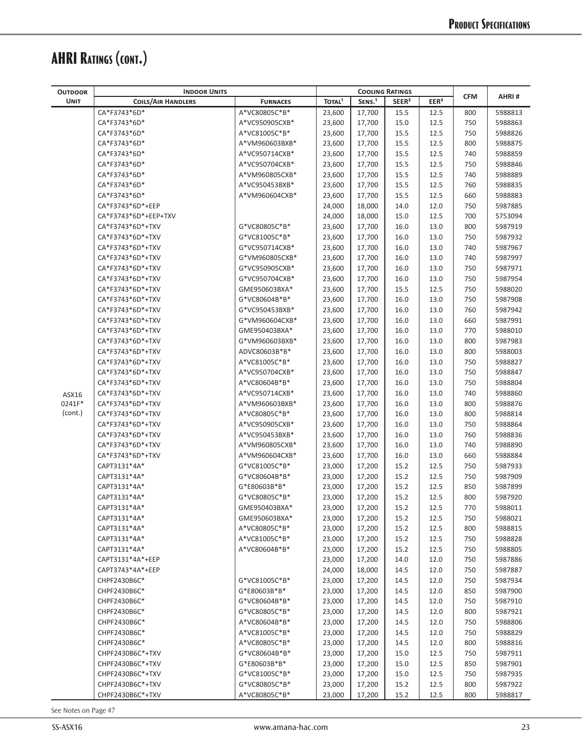| <b>OUTDOOR</b> | <b>INDOOR UNITS</b>       |                 |                    |                    | <b>COOLING RATINGS</b> |                  |            |         |
|----------------|---------------------------|-----------------|--------------------|--------------------|------------------------|------------------|------------|---------|
| <b>UNIT</b>    | <b>COILS/AIR HANDLERS</b> | <b>FURNACES</b> | TOTAL <sup>1</sup> | SENS. <sup>1</sup> | SEER <sup>2</sup>      | EER <sup>3</sup> | <b>CFM</b> | AHRI#   |
|                | CA*F3743*6D*              | A*VC80805C*B*   | 23,600             | 17,700             | 15.5                   | 12.5             | 800        | 5988813 |
|                | CA*F3743*6D*              | A*VC950905CXB*  | 23,600             | 17,700             | 15.0                   | 12.5             | 750        | 5988863 |
|                | CA*F3743*6D*              | A*VC81005C*B*   | 23,600             | 17,700             | 15.5                   | 12.5             | 750        | 5988826 |
|                | CA*F3743*6D*              | A*VM960603BXB*  | 23,600             | 17,700             | 15.5                   | 12.5             | 800        | 5988875 |
|                | CA*F3743*6D*              | A*VC950714CXB*  | 23,600             | 17,700             | 15.5                   | 12.5             | 740        | 5988859 |
|                | CA*F3743*6D*              | A*VC950704CXB*  | 23,600             | 17,700             | 15.5                   | 12.5             | 750        | 5988846 |
|                | CA*F3743*6D*              | A*VM960805CXB*  | 23,600             | 17,700             | 15.5                   | 12.5             | 740        | 5988889 |
|                | CA*F3743*6D*              | A*VC950453BXB*  | 23,600             | 17,700             | 15.5                   | 12.5             | 760        | 5988835 |
|                | CA*F3743*6D*              | A*VM960604CXB*  | 23,600             | 17,700             | 15.5                   | 12.5             | 660        | 5988883 |
|                | CA*F3743*6D*+EEP          |                 | 24,000             | 18,000             | 14.0                   | 12.0             | 750        | 5987885 |
|                | CA*F3743*6D*+EEP+TXV      |                 | 24,000             | 18,000             | 15.0                   | 12.5             | 700        | 5753094 |
|                | CA*F3743*6D*+TXV          | G*VC80805C*B*   | 23,600             | 17,700             | 16.0                   | 13.0             | 800        | 5987919 |
|                | CA*F3743*6D*+TXV          | G*VC81005C*B*   | 23,600             | 17,700             | 16.0                   | 13.0             | 750        | 5987932 |
|                | CA*F3743*6D*+TXV          | G*VC950714CXB*  | 23,600             | 17,700             | 16.0                   | 13.0             | 740        | 5987967 |
|                | CA*F3743*6D*+TXV          | G*VM960805CXB*  | 23,600             | 17,700             | 16.0                   | 13.0             | 740        | 5987997 |
|                | CA*F3743*6D*+TXV          | G*VC950905CXB*  | 23,600             | 17,700             | 16.0                   | 13.0             | 750        | 5987971 |
|                | CA*F3743*6D*+TXV          | G*VC950704CXB*  | 23,600             | 17,700             | 16.0                   | 13.0             | 750        | 5987954 |
|                | CA*F3743*6D*+TXV          | GME950603BXA*   | 23,600             | 17,700             | 15.5                   | 12.5             | 750        | 5988020 |
|                | CA*F3743*6D*+TXV          | G*VC80604B*B*   | 23,600             |                    | 16.0                   |                  | 750        | 5987908 |
|                |                           | G*VC950453BXB*  |                    | 17,700             |                        | 13.0             |            |         |
|                | CA*F3743*6D*+TXV          |                 | 23,600             | 17,700             | 16.0                   | 13.0             | 760        | 5987942 |
|                | CA*F3743*6D*+TXV          | G*VM960604CXB*  | 23,600             | 17,700             | 16.0                   | 13.0             | 660        | 5987991 |
|                | CA*F3743*6D*+TXV          | GME950403BXA*   | 23,600             | 17,700             | 16.0                   | 13.0             | 770        | 5988010 |
|                | CA*F3743*6D*+TXV          | G*VM960603BXB*  | 23,600             | 17,700             | 16.0                   | 13.0             | 800        | 5987983 |
|                | CA*F3743*6D*+TXV          | ADVC80603B*B*   | 23,600             | 17,700             | 16.0                   | 13.0             | 800        | 5988003 |
|                | CA*F3743*6D*+TXV          | A*VC81005C*B*   | 23,600             | 17,700             | 16.0                   | 13.0             | 750        | 5988827 |
|                | CA*F3743*6D*+TXV          | A*VC950704CXB*  | 23,600             | 17,700             | 16.0                   | 13.0             | 750        | 5988847 |
|                | CA*F3743*6D*+TXV          | A*VC80604B*B*   | 23,600             | 17,700             | 16.0                   | 13.0             | 750        | 5988804 |
| ASX16          | CA*F3743*6D*+TXV          | A*VC950714CXB*  | 23,600             | 17,700             | 16.0                   | 13.0             | 740        | 5988860 |
| 0241F*         | CA*F3743*6D*+TXV          | A*VM960603BXB*  | 23,600             | 17,700             | 16.0                   | 13.0             | 800        | 5988876 |
| (cont.)        | CA*F3743*6D*+TXV          | A*VC80805C*B*   | 23,600             | 17,700             | 16.0                   | 13.0             | 800        | 5988814 |
|                | CA*F3743*6D*+TXV          | A*VC950905CXB*  | 23,600             | 17,700             | 16.0                   | 13.0             | 750        | 5988864 |
|                | CA*F3743*6D*+TXV          | A*VC950453BXB*  | 23,600             | 17,700             | 16.0                   | 13.0             | 760        | 5988836 |
|                | CA*F3743*6D*+TXV          | A*VM960805CXB*  | 23,600             | 17,700             | 16.0                   | 13.0             | 740        | 5988890 |
|                | CA*F3743*6D*+TXV          | A*VM960604CXB*  | 23,600             | 17,700             | 16.0                   | 13.0             | 660        | 5988884 |
|                | CAPT3131*4A*              | G*VC81005C*B*   | 23,000             | 17,200             | 15.2                   | 12.5             | 750        | 5987933 |
|                | CAPT3131*4A*              | G*VC80604B*B*   | 23,000             | 17,200             | 15.2                   | 12.5             | 750        | 5987909 |
|                | CAPT3131*4A*              | G*E80603B*B*    | 23,000             | 17,200             | 15.2                   | 12.5             | 850        | 5987899 |
|                | CAPT3131*4A*              | G*VC80805C*B*   | 23,000             | 17,200             | 15.2                   | 12.5             | 800        | 5987920 |
|                | CAPT3131*4A*              | GME950403BXA*   | 23,000             | 17,200             | 15.2                   | 12.5             | 770        | 5988011 |
|                | CAPT3131*4A*              | GME950603BXA*   | 23,000             | 17,200             | 15.2                   | 12.5             | 750        | 5988021 |
|                | CAPT3131*4A*              | A*VC80805C*B*   | 23,000             | 17,200             | 15.2                   | 12.5             | 800        | 5988815 |
|                | CAPT3131*4A*              | A*VC81005C*B*   | 23,000             | 17,200             | 15.2                   | 12.5             | 750        | 5988828 |
|                | CAPT3131*4A*              | A*VC80604B*B*   | 23,000             | 17,200             | 15.2                   | 12.5             | 750        | 5988805 |
|                | CAPT3131*4A*+EEP          |                 | 23,000             | 17,200             | 14.0                   | 12.0             | 750        | 5987886 |
|                | CAPT3743*4A*+EEP          |                 | 24,000             | 18,000             | 14.5                   | 12.0             | 750        | 5987887 |
|                | CHPF2430B6C*              | G*VC81005C*B*   | 23,000             | 17,200             | 14.5                   | 12.0             | 750        | 5987934 |
|                | CHPF2430B6C*              | G*E80603B*B*    | 23,000             | 17,200             | 14.5                   | 12.0             | 850        | 5987900 |
|                | CHPF2430B6C*              | G*VC80604B*B*   | 23,000             | 17,200             | 14.5                   | 12.0             | 750        | 5987910 |
|                | CHPF2430B6C*              | G*VC80805C*B*   | 23,000             | 17,200             | 14.5                   | 12.0             | 800        | 5987921 |
|                | CHPF2430B6C*              | A*VC80604B*B*   | 23,000             | 17,200             | 14.5                   | 12.0             | 750        | 5988806 |
|                | CHPF2430B6C*              |                 | 23,000             |                    |                        |                  | 750        |         |
|                |                           | A*VC81005C*B*   |                    | 17,200             | 14.5                   | 12.0             |            | 5988829 |
|                | CHPF2430B6C*              | A*VC80805C*B*   | 23,000             | 17,200             | 14.5                   | 12.0             | 800        | 5988816 |
|                | CHPF2430B6C*+TXV          | G*VC80604B*B*   | 23,000             | 17,200             | 15.0                   | 12.5             | 750        | 5987911 |
|                | CHPF2430B6C*+TXV          | G*E80603B*B*    | 23,000             | 17,200             | 15.0                   | 12.5             | 850        | 5987901 |
|                | CHPF2430B6C*+TXV          | G*VC81005C*B*   | 23,000             | 17,200             | 15.0                   | 12.5             | 750        | 5987935 |
|                | CHPF2430B6C*+TXV          | G*VC80805C*B*   | 23,000             | 17,200             | 15.2                   | 12.5             | 800        | 5987922 |
|                | CHPF2430B6C*+TXV          | A*VC80805C*B*   | 23,000             | 17,200             | 15.2                   | 12.5             | 800        | 5988817 |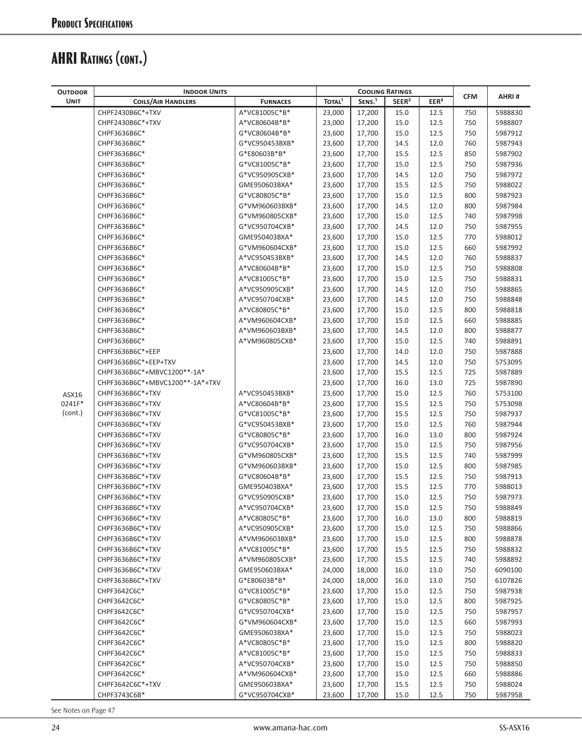| <b>OUTDOOR</b> | <b>INDOOR UNITS</b>             |                 |                    |                    | <b>COOLING RATINGS</b> |                  |            |         |
|----------------|---------------------------------|-----------------|--------------------|--------------------|------------------------|------------------|------------|---------|
| <b>UNIT</b>    | <b>COILS/AIR HANDLERS</b>       | <b>FURNACES</b> | TOTAL <sup>1</sup> | SENS. <sup>1</sup> | SEER <sup>2</sup>      | EER <sup>3</sup> | <b>CFM</b> | AHRI#   |
|                | CHPF2430B6C*+TXV                | A*VC81005C*B*   | 23,000             | 17,200             | 15.0                   | 12.5             | 750        | 5988830 |
|                | CHPF2430B6C*+TXV                | A*VC80604B*B*   | 23,000             | 17,200             | 15.0                   | 12.5             | 750        | 5988807 |
|                | CHPF3636B6C*                    | G*VC80604B*B*   | 23,600             | 17,700             | 15.0                   | 12.5             | 750        | 5987912 |
|                | CHPF3636B6C*                    | G*VC950453BXB*  | 23,600             | 17,700             | 14.5                   | 12.0             | 760        | 5987943 |
|                | CHPF3636B6C*                    | G*E80603B*B*    | 23,600             | 17,700             | 15.5                   | 12.5             | 850        | 5987902 |
|                | CHPF3636B6C*                    | G*VC81005C*B*   | 23,600             | 17,700             | 15.0                   | 12.5             | 750        | 5987936 |
|                | CHPF3636B6C*                    | G*VC950905CXB*  | 23,600             | 17,700             | 14.5                   | 12.0             | 750        | 5987972 |
|                | CHPF3636B6C*                    | GME950603BXA*   | 23,600             | 17,700             | 15.5                   | 12.5             | 750        | 5988022 |
|                | CHPF3636B6C*                    | G*VC80805C*B*   | 23,600             | 17,700             | 15.0                   | 12.5             | 800        | 5987923 |
|                | CHPF3636B6C*                    | G*VM960603BXB*  | 23,600             | 17,700             | 14.5                   | 12.0             | 800        | 5987984 |
|                | CHPF3636B6C*                    | G*VM960805CXB*  | 23,600             | 17,700             | 15.0                   | 12.5             | 740        | 5987998 |
|                | CHPF3636B6C*                    | G*VC950704CXB*  | 23,600             | 17,700             | 14.5                   | 12.0             | 750        | 5987955 |
|                | CHPF3636B6C*                    | GME950403BXA*   | 23,600             | 17,700             | 15.0                   | 12.5             | 770        | 5988012 |
|                | CHPF3636B6C*                    | G*VM960604CXB*  | 23,600             | 17,700             | 15.0                   | 12.5             | 660        | 5987992 |
|                | CHPF3636B6C*                    | A*VC950453BXB*  | 23,600             | 17,700             | 14.5                   | 12.0             | 760        | 5988837 |
|                | CHPF3636B6C*                    | A*VC80604B*B*   | 23,600             | 17,700             | 15.0                   | 12.5             | 750        | 5988808 |
|                | CHPF3636B6C*                    | A*VC81005C*B*   | 23,600             | 17,700             | 15.0                   | 12.5             | 750        | 5988831 |
|                | CHPF3636B6C*                    | A*VC950905CXB*  | 23,600             | 17,700             | 14.5                   | 12.0             | 750        | 5988865 |
|                | CHPF3636B6C*                    | A*VC950704CXB*  | 23,600             | 17,700             | 14.5                   | 12.0             | 750        | 5988848 |
|                | CHPF3636B6C*                    | A*VC80805C*B*   | 23,600             | 17,700             | 15.0                   | 12.5             | 800        | 5988818 |
|                | CHPF3636B6C*                    | A*VM960604CXB*  | 23,600             | 17,700             | 15.0                   | 12.5             | 660        | 5988885 |
|                | CHPF3636B6C*                    | A*VM960603BXB*  | 23,600             | 17,700             | 14.5                   | 12.0             | 800        | 5988877 |
|                | CHPF3636B6C*                    | A*VM960805CXB*  | 23,600             | 17,700             | 15.0                   | 12.5             | 740        | 5988891 |
|                | CHPF3636B6C*+EEP                |                 | 23,600             | 17,700             | 14.0                   | 12.0             | 750        | 5987888 |
|                | CHPF3636B6C*+EEP+TXV            |                 | 23,600             | 17,700             | 14.5                   | 12.0             | 750        | 5753095 |
|                | CHPF3636B6C*+MBVC1200**-1A*     |                 | 23,600             | 17,700             | 15.5                   | 12.5             | 725        | 5987889 |
|                | CHPF3636B6C*+MBVC1200**-1A*+TXV |                 | 23,600             | 17,700             | 16.0                   | 13.0             | 725        | 5987890 |
| ASX16          | CHPF3636B6C*+TXV                | A*VC950453BXB*  | 23,600             | 17,700             | 15.0                   | 12.5             | 760        | 5753100 |
| 0241F*         | CHPF3636B6C*+TXV                | A*VC80604B*B*   | 23,600             | 17,700             | 15.5                   | 12.5             | 750        | 5753098 |
| (cont.)        | CHPF3636B6C*+TXV                | G*VC81005C*B*   | 23,600             | 17,700             | 15.5                   | 12.5             | 750        | 5987937 |
|                | CHPF3636B6C*+TXV                | G*VC950453BXB*  | 23,600             | 17,700             | 15.0                   | 12.5             | 760        | 5987944 |
|                | CHPF3636B6C*+TXV                | G*VC80805C*B*   | 23,600             | 17,700             | 16.0                   | 13.0             | 800        | 5987924 |
|                | CHPF3636B6C*+TXV                | G*VC950704CXB*  | 23,600             | 17,700             | 15.0                   | 12.5             | 750        | 5987956 |
|                | CHPF3636B6C*+TXV                | G*VM960805CXB*  | 23,600             | 17,700             | 15.5                   | 12.5             | 740        | 5987999 |
|                | CHPF3636B6C*+TXV                | G*VM960603BXB*  | 23,600             | 17,700             | 15.0                   | 12.5             | 800        | 5987985 |
|                | CHPF3636B6C*+TXV                | G*VC80604B*B*   | 23,600             | 17,700             | 15.5                   | 12.5             | 750        | 5987913 |
|                | CHPF3636B6C*+TXV                | GME950403BXA*   | 23,600             | 17,700             | 15.5                   | 12.5             | 770        | 5988013 |
|                | CHPF3636B6C*+TXV                | G*VC950905CXB*  | 23,600             | 17,700             | 15.0                   | 12.5             | 750        | 5987973 |
|                | CHPF3636B6C*+TXV                | A*VC950704CXB*  | 23,600             | 17,700             | 15.0                   | 12.5             | 750        | 5988849 |
|                | CHPF3636B6C*+TXV                | A*VC80805C*B*   | 23,600             | 17,700             | 16.0                   | 13.0             | 800        | 5988819 |
|                | CHPF3636B6C*+TXV                | A*VC950905CXB*  | 23,600             | 17,700             | 15.0                   | 12.5             | 750        | 5988866 |
|                | CHPF3636B6C*+TXV                | A*VM960603BXB*  | 23,600             | 17,700             | 15.0                   | 12.5             | 800        | 5988878 |
|                | CHPF3636B6C*+TXV                | A*VC81005C*B*   | 23,600             | 17,700             | 15.5                   | 12.5             | 750        | 5988832 |
|                | CHPF3636B6C*+TXV                | A*VM960805CXB*  | 23,600             | 17,700             | 15.5                   | 12.5             | 740        | 5988892 |
|                | CHPF3636B6C*+TXV                | GME950603BXA*   | 24,000             | 18,000             | 16.0                   | 13.0             | 750        | 6090100 |
|                | CHPF3636B6C*+TXV                | G*E80603B*B*    | 24,000             | 18,000             | 16.0                   | 13.0             | 750        | 6107826 |
|                | CHPF3642C6C*                    | G*VC81005C*B*   | 23,600             | 17,700             | 15.0                   | 12.5             | 750        | 5987938 |
|                | CHPF3642C6C*                    | G*VC80805C*B*   | 23,600             | 17,700             | 15.0                   | 12.5             | 800        | 5987925 |
|                | CHPF3642C6C*                    | G*VC950704CXB*  | 23,600             | 17,700             | 15.0                   | 12.5             | 750        | 5987957 |
|                | CHPF3642C6C*                    | G*VM960604CXB*  | 23,600             | 17,700             | 15.0                   | 12.5             | 660        | 5987993 |
|                | CHPF3642C6C*                    | GME950603BXA*   | 23,600             | 17,700             | 15.0                   | 12.5             | 750        | 5988023 |
|                | CHPF3642C6C*                    | A*VC80805C*B*   | 23,600             | 17,700             | 15.0                   | 12.5             | 800        | 5988820 |
|                | CHPF3642C6C*                    | A*VC81005C*B*   | 23,600             | 17,700             | 15.0                   | 12.5             | 750        | 5988833 |
|                | CHPF3642C6C*                    | A*VC950704CXB*  | 23,600             | 17,700             | 15.0                   | 12.5             | 750        | 5988850 |
|                | CHPF3642C6C*                    | A*VM960604CXB*  | 23,600             | 17,700             | 15.0                   | 12.5             | 660        | 5988886 |
|                | CHPF3642C6C*+TXV                | GME950603BXA*   | 23,600             | 17,700             | 15.5                   | 12.5             | 750        | 5988024 |
|                | CHPF3743C6B*                    | G*VC950704CXB*  | 23,600             | 17,700             | 15.0                   | 12.5             | 750        | 5987958 |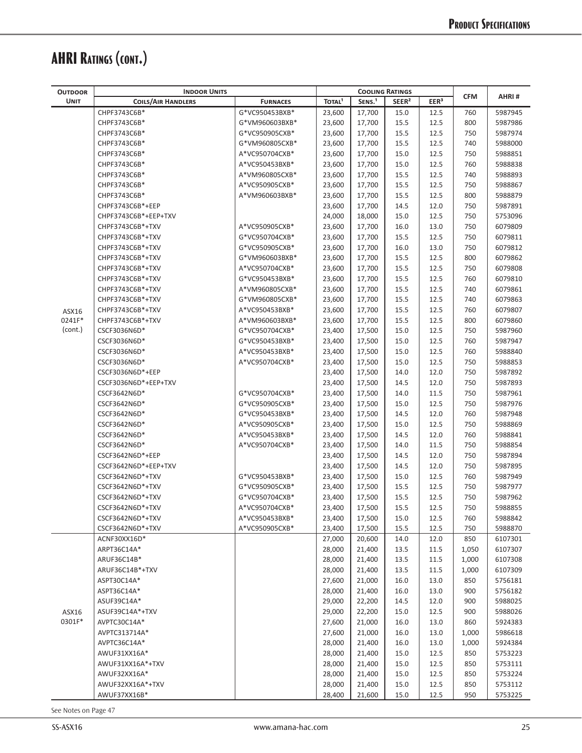| <b>OUTDOOR</b> | <b>INDOOR UNITS</b>       |                 |                    |                    | <b>COOLING RATINGS</b> |                  |            |         |
|----------------|---------------------------|-----------------|--------------------|--------------------|------------------------|------------------|------------|---------|
| <b>UNIT</b>    | <b>COILS/AIR HANDLERS</b> | <b>FURNACES</b> | TOTAL <sup>1</sup> | SENS. <sup>1</sup> | SEER <sup>2</sup>      | EER <sup>3</sup> | <b>CFM</b> | AHRI#   |
|                | CHPF3743C6B*              | G*VC950453BXB*  | 23,600             | 17,700             | 15.0                   | 12.5             | 760        | 5987945 |
|                | CHPF3743C6B*              | G*VM960603BXB*  | 23,600             | 17,700             | 15.5                   | 12.5             | 800        | 5987986 |
|                | CHPF3743C6B*              | G*VC950905CXB*  | 23,600             | 17,700             | 15.5                   | 12.5             | 750        | 5987974 |
|                | CHPF3743C6B*              | G*VM960805CXB*  | 23,600             | 17,700             | 15.5                   | 12.5             | 740        | 5988000 |
|                | CHPF3743C6B*              | A*VC950704CXB*  | 23,600             | 17,700             | 15.0                   | 12.5             | 750        | 5988851 |
|                | CHPF3743C6B*              | A*VC950453BXB*  | 23,600             | 17,700             | 15.0                   | 12.5             | 760        | 5988838 |
|                | CHPF3743C6B*              | A*VM960805CXB*  | 23,600             | 17,700             | 15.5                   | 12.5             | 740        | 5988893 |
|                | CHPF3743C6B*              | A*VC950905CXB*  | 23,600             | 17,700             | 15.5                   | 12.5             | 750        | 5988867 |
|                | CHPF3743C6B*              | A*VM960603BXB*  | 23,600             | 17,700             | 15.5                   | 12.5             | 800        | 5988879 |
|                | CHPF3743C6B*+EEP          |                 | 23,600             | 17,700             | 14.5                   | 12.0             | 750        | 5987891 |
|                | CHPF3743C6B*+EEP+TXV      |                 | 24,000             | 18,000             | 15.0                   | 12.5             | 750        | 5753096 |
|                | CHPF3743C6B*+TXV          | A*VC950905CXB*  | 23,600             | 17,700             | 16.0                   | 13.0             | 750        | 6079809 |
|                | CHPF3743C6B*+TXV          | G*VC950704CXB*  | 23,600             | 17,700             | 15.5                   | 12.5             | 750        | 6079811 |
|                | CHPF3743C6B*+TXV          | G*VC950905CXB*  | 23,600             | 17,700             | 16.0                   | 13.0             | 750        | 6079812 |
|                | CHPF3743C6B*+TXV          | G*VM960603BXB*  | 23,600             | 17,700             | 15.5                   | 12.5             | 800        | 6079862 |
|                | CHPF3743C6B*+TXV          | A*VC950704CXB*  | 23,600             | 17,700             | 15.5                   | 12.5             | 750        | 6079808 |
|                | CHPF3743C6B*+TXV          | G*VC950453BXB*  | 23,600             | 17,700             | 15.5                   | 12.5             | 760        | 6079810 |
|                | CHPF3743C6B*+TXV          | A*VM960805CXB*  | 23,600             | 17,700             | 15.5                   | 12.5             | 740        | 6079861 |
|                | CHPF3743C6B*+TXV          | G*VM960805CXB*  | 23,600             | 17,700             | 15.5                   | 12.5             | 740        | 6079863 |
| ASX16          | CHPF3743C6B*+TXV          | A*VC950453BXB*  | 23,600             | 17,700             | 15.5                   | 12.5             | 760        | 6079807 |
| 0241F*         | CHPF3743C6B*+TXV          | A*VM960603BXB*  | 23,600             | 17,700             | 15.5                   | 12.5             | 800        | 6079860 |
| (cont.)        | CSCF3036N6D*              | G*VC950704CXB*  | 23,400             | 17,500             | 15.0                   | 12.5             | 750        | 5987960 |
|                | CSCF3036N6D*              | G*VC950453BXB*  | 23,400             | 17,500             | 15.0                   | 12.5             | 760        | 5987947 |
|                | CSCF3036N6D*              | A*VC950453BXB*  | 23,400             | 17,500             | 15.0                   | 12.5             | 760        | 5988840 |
|                | CSCF3036N6D*              | A*VC950704CXB*  | 23,400             | 17,500             | 15.0                   | 12.5             | 750        | 5988853 |
|                | CSCF3036N6D*+EEP          |                 | 23,400             | 17,500             | 14.0                   | 12.0             | 750        | 5987892 |
|                | CSCF3036N6D*+EEP+TXV      |                 | 23,400             | 17,500             | 14.5                   | 12.0             | 750        | 5987893 |
|                | CSCF3642N6D*              | G*VC950704CXB*  | 23,400             | 17,500             | 14.0                   | 11.5             | 750        | 5987961 |
|                | CSCF3642N6D*              | G*VC950905CXB*  | 23,400             | 17,500             | 15.0                   | 12.5             | 750        | 5987976 |
|                | CSCF3642N6D*              | G*VC950453BXB*  | 23,400             | 17,500             | 14.5                   | 12.0             | 760        | 5987948 |
|                | CSCF3642N6D*              | A*VC950905CXB*  | 23,400             | 17,500             | 15.0                   | 12.5             | 750        | 5988869 |
|                | CSCF3642N6D*              | A*VC950453BXB*  | 23,400             | 17,500             | 14.5                   | 12.0             | 760        | 5988841 |
|                | CSCF3642N6D*              | A*VC950704CXB*  | 23,400             | 17,500             | 14.0                   | 11.5             | 750        | 5988854 |
|                | CSCF3642N6D*+EEP          |                 | 23,400             | 17,500             | 14.5                   | 12.0             | 750        | 5987894 |
|                | CSCF3642N6D*+EEP+TXV      |                 | 23,400             | 17,500             | 14.5                   | 12.0             | 750        | 5987895 |
|                | CSCF3642N6D*+TXV          | G*VC950453BXB*  | 23,400             | 17,500             | 15.0                   | 12.5             | 760        | 5987949 |
|                | CSCF3642N6D*+TXV          | G*VC950905CXB*  | 23,400             | 17,500             | 15.5                   | 12.5             | 750        | 5987977 |
|                | CSCF3642N6D*+TXV          | G*VC950704CXB*  | 23,400             | 17,500             | 15.5                   | 12.5             | 750        | 5987962 |
|                | CSCF3642N6D*+TXV          | A*VC950704CXB*  | 23,400             | 17,500             | 15.5                   | 12.5             | 750        | 5988855 |
|                | CSCF3642N6D*+TXV          | A*VC950453BXB*  | 23,400             | 17,500             | 15.0                   | 12.5             | 760        | 5988842 |
|                | CSCF3642N6D*+TXV          | A*VC950905CXB*  | 23,400             | 17,500             | 15.5                   | 12.5             | 750        | 5988870 |
|                | ACNF30XX16D*              |                 | 27,000             | 20,600             | 14.0                   | 12.0             | 850        | 6107301 |
|                | ARPT36C14A*               |                 | 28,000             | 21,400             | 13.5                   | 11.5             | 1,050      | 6107307 |
|                | ARUF36C14B*               |                 | 28,000             | 21,400             | 13.5                   | 11.5             | 1,000      | 6107308 |
|                | ARUF36C14B*+TXV           |                 | 28,000             | 21,400             | 13.5                   | 11.5             | 1,000      | 6107309 |
|                | ASPT30C14A*               |                 | 27,600             | 21,000             | 16.0                   | 13.0             | 850        | 5756181 |
|                | ASPT36C14A*               |                 | 28,000             | 21,400             | 16.0                   | 13.0             | 900        | 5756182 |
|                | ASUF39C14A*               |                 | 29,000             | 22,200             | 14.5                   | 12.0             | 900        | 5988025 |
| ASX16          | ASUF39C14A*+TXV           |                 | 29,000             | 22,200             | 15.0                   | 12.5             | 900        | 5988026 |
| 0301F*         | AVPTC30C14A*              |                 | 27,600             | 21,000             | 16.0                   | 13.0             | 860        | 5924383 |
|                | AVPTC313714A*             |                 | 27,600             | 21,000             | 16.0                   | 13.0             | 1,000      | 5986618 |
|                | AVPTC36C14A*              |                 | 28,000             | 21,400             | 16.0                   | 13.0             | 1,000      | 5924384 |
|                | AWUF31XX16A*              |                 | 28,000             | 21,400             | 15.0                   | 12.5             | 850        | 5753223 |
|                | AWUF31XX16A*+TXV          |                 | 28,000             | 21,400             | 15.0                   | 12.5             | 850        | 5753111 |
|                | AWUF32XX16A*              |                 | 28,000             | 21,400             | 15.0                   | 12.5             | 850        | 5753224 |
|                | AWUF32XX16A*+TXV          |                 | 28,000             | 21,400             | 15.0                   | 12.5             | 850        | 5753112 |
|                | AWUF37XX16B*              |                 | 28,400             | 21,600             | 15.0                   | 12.5             | 950        | 5753225 |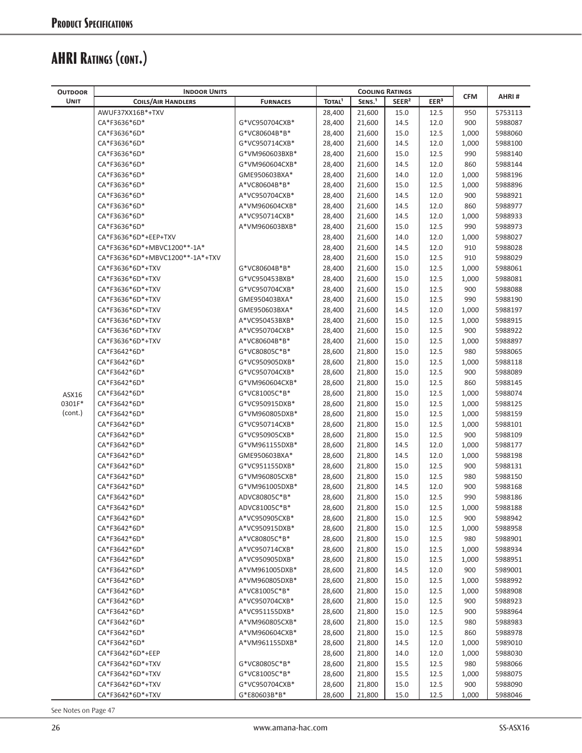| <b>UNIT</b><br>EER <sup>3</sup><br>TOTAL <sup>1</sup><br>SENS. <sup>1</sup><br>SEER <sup>2</sup><br><b>COILS/AIR HANDLERS</b><br><b>FURNACES</b><br>5753113<br>AWUF37XX16B*+TXV<br>950<br>28,400<br>21,600<br>15.0<br>12.5<br>CA*F3636*6D*<br>G*VC950704CXB*<br>12.0<br>900<br>5988087<br>28,400<br>21,600<br>14.5<br>CA*F3636*6D*<br>G*VC80604B*B*<br>28,400<br>21,600<br>15.0<br>12.5<br>1,000<br>5988060<br>CA*F3636*6D*<br>G*VC950714CXB*<br>5988100<br>28,400<br>21,600<br>14.5<br>12.0<br>1,000<br>CA*F3636*6D*<br>G*VM960603BXB*<br>15.0<br>12.5<br>990<br>5988140<br>28,400<br>21,600<br>5988144<br>CA*F3636*6D*<br>G*VM960604CXB*<br>28,400<br>21,600<br>14.5<br>12.0<br>860<br>5988196<br>CA*F3636*6D*<br>GME950603BXA*<br>28,400<br>21,600<br>14.0<br>12.0<br>1,000<br>A*VC80604B*B*<br>5988896<br>CA*F3636*6D*<br>28,400<br>21,600<br>15.0<br>12.5<br>1,000<br>900<br>5988921<br>CA*F3636*6D*<br>A*VC950704CXB*<br>28,400<br>14.5<br>12.0<br>21,600<br>CA*F3636*6D*<br>A*VM960604CXB*<br>860<br>5988977<br>28,400<br>21,600<br>14.5<br>12.0<br>CA*F3636*6D*<br>A*VC950714CXB*<br>5988933<br>28,400<br>21,600<br>14.5<br>12.0<br>1,000<br>CA*F3636*6D*<br>15.0<br>12.5<br>990<br>5988973<br>A*VM960603BXB*<br>28,400<br>21,600<br>CA*F3636*6D*+EEP+TXV<br>12.0<br>5988027<br>28,400<br>21,600<br>14.0<br>1,000<br>CA*F3636*6D*+MBVC1200**-1A*<br>28,400<br>21,600<br>14.5<br>12.0<br>910<br>5988028<br>CA*F3636*6D*+MBVC1200**-1A*+TXV<br>15.0<br>12.5<br>910<br>5988029<br>28,400<br>21,600<br>CA*F3636*6D*+TXV<br>G*VC80604B*B*<br>15.0<br>12.5<br>5988061<br>28,400<br>21,600<br>1,000<br>G*VC950453BXB*<br>CA*F3636*6D*+TXV<br>28,400<br>21,600<br>15.0<br>12.5<br>1,000<br>5988081<br>CA*F3636*6D*+TXV<br>G*VC950704CXB*<br>15.0<br>5988088<br>28,400<br>21,600<br>12.5<br>900<br>CA*F3636*6D*+TXV<br>GME950403BXA*<br>15.0<br>12.5<br>990<br>5988190<br>28,400<br>21,600<br>CA*F3636*6D*+TXV<br>GME950603BXA*<br>28,400<br>21,600<br>14.5<br>12.0<br>1,000<br>5988197<br>CA*F3636*6D*+TXV<br>A*VC950453BXB*<br>15.0<br>12.5<br>5988915<br>28,400<br>21,600<br>1,000<br>CA*F3636*6D*+TXV<br>A*VC950704CXB*<br>15.0<br>12.5<br>900<br>5988922<br>28,400<br>21,600<br>5988897<br>CA*F3636*6D*+TXV<br>A*VC80604B*B*<br>28,400<br>21,600<br>15.0<br>12.5<br>1,000<br>15.0<br>5988065<br>CA*F3642*6D*<br>G*VC80805C*B*<br>28,600<br>21,800<br>12.5<br>980<br>CA*F3642*6D*<br>G*VC950905DXB*<br>28,600<br>21,800<br>15.0<br>12.5<br>1,000<br>5988118<br>G*VC950704CXB*<br>900<br>5988089<br>CA*F3642*6D*<br>28,600<br>21,800<br>15.0<br>12.5<br>CA*F3642*6D*<br>G*VM960604CXB*<br>15.0<br>860<br>28,600<br>21,800<br>12.5<br>5988145<br>CA*F3642*6D*<br>G*VC81005C*B*<br>28,600<br>21,800<br>15.0<br>12.5<br>1,000<br>5988074<br>ASX16<br>CA*F3642*6D*<br>G*VC950915DXB*<br>15.0<br>5988125<br>0301F*<br>28,600<br>21,800<br>12.5<br>1,000<br>(cont.)<br>G*VM960805DXB*<br>15.0<br>12.5<br>5988159<br>CA*F3642*6D*<br>28,600<br>21,800<br>1,000<br>G*VC950714CXB*<br>CA*F3642*6D*<br>28,600<br>21,800<br>15.0<br>12.5<br>1,000<br>5988101<br>CA*F3642*6D*<br>G*VC950905CXB*<br>15.0<br>12.5<br>900<br>5988109<br>28,600<br>21,800<br>G*VM961155DXB*<br>28,600<br>12.0<br>5988177<br>CA*F3642*6D*<br>21,800<br>14.5<br>1,000<br>CA*F3642*6D*<br>GME950603BXA*<br>28,600<br>21,800<br>14.5<br>12.0<br>1,000<br>5988198<br>15.0<br>5988131<br>CA*F3642*6D*<br>G*VC951155DXB*<br>28,600<br>21,800<br>12.5<br>900<br>G*VM960805CXB*<br>15.0<br>12.5<br>980<br>5988150<br>CA*F3642*6D*<br>28,600<br>21,800<br>CA*F3642*6D*<br>G*VM961005DXB*<br>28,600<br>21,800<br>14.5<br>12.0<br>900<br>5988168<br>15.0<br>990<br>CA*F3642*6D*<br>ADVC80805C*B*<br>28,600<br>21,800<br>12.5<br>5988186<br>CA*F3642*6D*<br>ADVC81005C*B*<br>28,600<br>15.0<br>12.5<br>5988188<br>21,800<br>1,000<br>CA*F3642*6D*<br>A*VC950905CXB*<br>28,600<br>21,800<br>15.0<br>12.5<br>900<br>5988942<br>15.0<br>5988958<br>CA*F3642*6D*<br>A*VC950915DXB*<br>28,600<br>21,800<br>12.5<br>1,000<br>CA*F3642*6D*<br>A*VC80805C*B*<br>28,600<br>21,800<br>15.0<br>12.5<br>980<br>5988901<br>5988934<br>CA*F3642*6D*<br>A*VC950714CXB*<br>28,600<br>21,800<br>15.0<br>12.5<br>1,000<br>A*VC950905DXB*<br>15.0<br>CA*F3642*6D*<br>28,600<br>21,800<br>12.5<br>1,000<br>5988951<br>CA*F3642*6D*<br>A*VM961005DXB*<br>5989001<br>28,600<br>21,800<br>14.5<br>12.0<br>900<br>CA*F3642*6D*<br>A*VM960805DXB*<br>12.5<br>5988992<br>28,600<br>21,800<br>15.0<br>1,000<br>15.0<br>5988908<br>CA*F3642*6D*<br>A*VC81005C*B*<br>28,600<br>21,800<br>12.5<br>1,000<br>CA*F3642*6D*<br>A*VC950704CXB*<br>12.5<br>5988923<br>28,600<br>21,800<br>15.0<br>900<br>CA*F3642*6D*<br>A*VC951155DXB*<br>15.0<br>12.5<br>900<br>5988964<br>28,600<br>21,800<br>CA*F3642*6D*<br>A*VM960805CXB*<br>15.0<br>12.5<br>980<br>5988983<br>28,600<br>21,800<br>CA*F3642*6D*<br>A*VM960604CXB*<br>28,600<br>21,800<br>15.0<br>12.5<br>860<br>5988978<br>CA*F3642*6D*<br>5989010<br>A*VM961155DXB*<br>28,600<br>21,800<br>14.5<br>12.0<br>1,000<br>CA*F3642*6D*+EEP<br>5988030<br>28,600<br>21,800<br>14.0<br>12.0<br>1,000<br>CA*F3642*6D*+TXV<br>G*VC80805C*B*<br>28,600<br>21,800<br>15.5<br>12.5<br>980<br>5988066<br>CA*F3642*6D*+TXV<br>G*VC81005C*B*<br>15.5<br>5988075<br>28,600<br>21,800<br>12.5<br>1,000<br>CA*F3642*6D*+TXV<br>G*VC950704CXB*<br>15.0<br>12.5<br>900<br>5988090<br>28,600<br>21,800<br>CA*F3642*6D*+TXV<br>G*E80603B*B*<br>5988046<br>28,600<br>21,800<br>15.0<br>12.5<br>1,000 | <b>OUTDOOR</b> | <b>INDOOR UNITS</b> |  | <b>COOLING RATINGS</b> | <b>CFM</b> | AHRI# |
|------------------------------------------------------------------------------------------------------------------------------------------------------------------------------------------------------------------------------------------------------------------------------------------------------------------------------------------------------------------------------------------------------------------------------------------------------------------------------------------------------------------------------------------------------------------------------------------------------------------------------------------------------------------------------------------------------------------------------------------------------------------------------------------------------------------------------------------------------------------------------------------------------------------------------------------------------------------------------------------------------------------------------------------------------------------------------------------------------------------------------------------------------------------------------------------------------------------------------------------------------------------------------------------------------------------------------------------------------------------------------------------------------------------------------------------------------------------------------------------------------------------------------------------------------------------------------------------------------------------------------------------------------------------------------------------------------------------------------------------------------------------------------------------------------------------------------------------------------------------------------------------------------------------------------------------------------------------------------------------------------------------------------------------------------------------------------------------------------------------------------------------------------------------------------------------------------------------------------------------------------------------------------------------------------------------------------------------------------------------------------------------------------------------------------------------------------------------------------------------------------------------------------------------------------------------------------------------------------------------------------------------------------------------------------------------------------------------------------------------------------------------------------------------------------------------------------------------------------------------------------------------------------------------------------------------------------------------------------------------------------------------------------------------------------------------------------------------------------------------------------------------------------------------------------------------------------------------------------------------------------------------------------------------------------------------------------------------------------------------------------------------------------------------------------------------------------------------------------------------------------------------------------------------------------------------------------------------------------------------------------------------------------------------------------------------------------------------------------------------------------------------------------------------------------------------------------------------------------------------------------------------------------------------------------------------------------------------------------------------------------------------------------------------------------------------------------------------------------------------------------------------------------------------------------------------------------------------------------------------------------------------------------------------------------------------------------------------------------------------------------------------------------------------------------------------------------------------------------------------------------------------------------------------------------------------------------------------------------------------------------------------------------------------------------------------------------------------------------------------------------------------------------------------------------------------------------------------------------------------------------------------------------------------------------------------------------------------------------------------------------------------------------------------------------------------------------------------------------------------------------------------------------------------------------------------------------------------------------------------------------------------------------------------------------------------------------------------------------------------------------------------------------------------------------------------------------|----------------|---------------------|--|------------------------|------------|-------|
|                                                                                                                                                                                                                                                                                                                                                                                                                                                                                                                                                                                                                                                                                                                                                                                                                                                                                                                                                                                                                                                                                                                                                                                                                                                                                                                                                                                                                                                                                                                                                                                                                                                                                                                                                                                                                                                                                                                                                                                                                                                                                                                                                                                                                                                                                                                                                                                                                                                                                                                                                                                                                                                                                                                                                                                                                                                                                                                                                                                                                                                                                                                                                                                                                                                                                                                                                                                                                                                                                                                                                                                                                                                                                                                                                                                                                                                                                                                                                                                                                                                                                                                                                                                                                                                                                                                                                                                                                                                                                                                                                                                                                                                                                                                                                                                                                                                                                                                                                                                                                                                                                                                                                                                                                                                                                                                                                                                                                                                      |                |                     |  |                        |            |       |
|                                                                                                                                                                                                                                                                                                                                                                                                                                                                                                                                                                                                                                                                                                                                                                                                                                                                                                                                                                                                                                                                                                                                                                                                                                                                                                                                                                                                                                                                                                                                                                                                                                                                                                                                                                                                                                                                                                                                                                                                                                                                                                                                                                                                                                                                                                                                                                                                                                                                                                                                                                                                                                                                                                                                                                                                                                                                                                                                                                                                                                                                                                                                                                                                                                                                                                                                                                                                                                                                                                                                                                                                                                                                                                                                                                                                                                                                                                                                                                                                                                                                                                                                                                                                                                                                                                                                                                                                                                                                                                                                                                                                                                                                                                                                                                                                                                                                                                                                                                                                                                                                                                                                                                                                                                                                                                                                                                                                                                                      |                |                     |  |                        |            |       |
|                                                                                                                                                                                                                                                                                                                                                                                                                                                                                                                                                                                                                                                                                                                                                                                                                                                                                                                                                                                                                                                                                                                                                                                                                                                                                                                                                                                                                                                                                                                                                                                                                                                                                                                                                                                                                                                                                                                                                                                                                                                                                                                                                                                                                                                                                                                                                                                                                                                                                                                                                                                                                                                                                                                                                                                                                                                                                                                                                                                                                                                                                                                                                                                                                                                                                                                                                                                                                                                                                                                                                                                                                                                                                                                                                                                                                                                                                                                                                                                                                                                                                                                                                                                                                                                                                                                                                                                                                                                                                                                                                                                                                                                                                                                                                                                                                                                                                                                                                                                                                                                                                                                                                                                                                                                                                                                                                                                                                                                      |                |                     |  |                        |            |       |
|                                                                                                                                                                                                                                                                                                                                                                                                                                                                                                                                                                                                                                                                                                                                                                                                                                                                                                                                                                                                                                                                                                                                                                                                                                                                                                                                                                                                                                                                                                                                                                                                                                                                                                                                                                                                                                                                                                                                                                                                                                                                                                                                                                                                                                                                                                                                                                                                                                                                                                                                                                                                                                                                                                                                                                                                                                                                                                                                                                                                                                                                                                                                                                                                                                                                                                                                                                                                                                                                                                                                                                                                                                                                                                                                                                                                                                                                                                                                                                                                                                                                                                                                                                                                                                                                                                                                                                                                                                                                                                                                                                                                                                                                                                                                                                                                                                                                                                                                                                                                                                                                                                                                                                                                                                                                                                                                                                                                                                                      |                |                     |  |                        |            |       |
|                                                                                                                                                                                                                                                                                                                                                                                                                                                                                                                                                                                                                                                                                                                                                                                                                                                                                                                                                                                                                                                                                                                                                                                                                                                                                                                                                                                                                                                                                                                                                                                                                                                                                                                                                                                                                                                                                                                                                                                                                                                                                                                                                                                                                                                                                                                                                                                                                                                                                                                                                                                                                                                                                                                                                                                                                                                                                                                                                                                                                                                                                                                                                                                                                                                                                                                                                                                                                                                                                                                                                                                                                                                                                                                                                                                                                                                                                                                                                                                                                                                                                                                                                                                                                                                                                                                                                                                                                                                                                                                                                                                                                                                                                                                                                                                                                                                                                                                                                                                                                                                                                                                                                                                                                                                                                                                                                                                                                                                      |                |                     |  |                        |            |       |
|                                                                                                                                                                                                                                                                                                                                                                                                                                                                                                                                                                                                                                                                                                                                                                                                                                                                                                                                                                                                                                                                                                                                                                                                                                                                                                                                                                                                                                                                                                                                                                                                                                                                                                                                                                                                                                                                                                                                                                                                                                                                                                                                                                                                                                                                                                                                                                                                                                                                                                                                                                                                                                                                                                                                                                                                                                                                                                                                                                                                                                                                                                                                                                                                                                                                                                                                                                                                                                                                                                                                                                                                                                                                                                                                                                                                                                                                                                                                                                                                                                                                                                                                                                                                                                                                                                                                                                                                                                                                                                                                                                                                                                                                                                                                                                                                                                                                                                                                                                                                                                                                                                                                                                                                                                                                                                                                                                                                                                                      |                |                     |  |                        |            |       |
|                                                                                                                                                                                                                                                                                                                                                                                                                                                                                                                                                                                                                                                                                                                                                                                                                                                                                                                                                                                                                                                                                                                                                                                                                                                                                                                                                                                                                                                                                                                                                                                                                                                                                                                                                                                                                                                                                                                                                                                                                                                                                                                                                                                                                                                                                                                                                                                                                                                                                                                                                                                                                                                                                                                                                                                                                                                                                                                                                                                                                                                                                                                                                                                                                                                                                                                                                                                                                                                                                                                                                                                                                                                                                                                                                                                                                                                                                                                                                                                                                                                                                                                                                                                                                                                                                                                                                                                                                                                                                                                                                                                                                                                                                                                                                                                                                                                                                                                                                                                                                                                                                                                                                                                                                                                                                                                                                                                                                                                      |                |                     |  |                        |            |       |
|                                                                                                                                                                                                                                                                                                                                                                                                                                                                                                                                                                                                                                                                                                                                                                                                                                                                                                                                                                                                                                                                                                                                                                                                                                                                                                                                                                                                                                                                                                                                                                                                                                                                                                                                                                                                                                                                                                                                                                                                                                                                                                                                                                                                                                                                                                                                                                                                                                                                                                                                                                                                                                                                                                                                                                                                                                                                                                                                                                                                                                                                                                                                                                                                                                                                                                                                                                                                                                                                                                                                                                                                                                                                                                                                                                                                                                                                                                                                                                                                                                                                                                                                                                                                                                                                                                                                                                                                                                                                                                                                                                                                                                                                                                                                                                                                                                                                                                                                                                                                                                                                                                                                                                                                                                                                                                                                                                                                                                                      |                |                     |  |                        |            |       |
|                                                                                                                                                                                                                                                                                                                                                                                                                                                                                                                                                                                                                                                                                                                                                                                                                                                                                                                                                                                                                                                                                                                                                                                                                                                                                                                                                                                                                                                                                                                                                                                                                                                                                                                                                                                                                                                                                                                                                                                                                                                                                                                                                                                                                                                                                                                                                                                                                                                                                                                                                                                                                                                                                                                                                                                                                                                                                                                                                                                                                                                                                                                                                                                                                                                                                                                                                                                                                                                                                                                                                                                                                                                                                                                                                                                                                                                                                                                                                                                                                                                                                                                                                                                                                                                                                                                                                                                                                                                                                                                                                                                                                                                                                                                                                                                                                                                                                                                                                                                                                                                                                                                                                                                                                                                                                                                                                                                                                                                      |                |                     |  |                        |            |       |
|                                                                                                                                                                                                                                                                                                                                                                                                                                                                                                                                                                                                                                                                                                                                                                                                                                                                                                                                                                                                                                                                                                                                                                                                                                                                                                                                                                                                                                                                                                                                                                                                                                                                                                                                                                                                                                                                                                                                                                                                                                                                                                                                                                                                                                                                                                                                                                                                                                                                                                                                                                                                                                                                                                                                                                                                                                                                                                                                                                                                                                                                                                                                                                                                                                                                                                                                                                                                                                                                                                                                                                                                                                                                                                                                                                                                                                                                                                                                                                                                                                                                                                                                                                                                                                                                                                                                                                                                                                                                                                                                                                                                                                                                                                                                                                                                                                                                                                                                                                                                                                                                                                                                                                                                                                                                                                                                                                                                                                                      |                |                     |  |                        |            |       |
|                                                                                                                                                                                                                                                                                                                                                                                                                                                                                                                                                                                                                                                                                                                                                                                                                                                                                                                                                                                                                                                                                                                                                                                                                                                                                                                                                                                                                                                                                                                                                                                                                                                                                                                                                                                                                                                                                                                                                                                                                                                                                                                                                                                                                                                                                                                                                                                                                                                                                                                                                                                                                                                                                                                                                                                                                                                                                                                                                                                                                                                                                                                                                                                                                                                                                                                                                                                                                                                                                                                                                                                                                                                                                                                                                                                                                                                                                                                                                                                                                                                                                                                                                                                                                                                                                                                                                                                                                                                                                                                                                                                                                                                                                                                                                                                                                                                                                                                                                                                                                                                                                                                                                                                                                                                                                                                                                                                                                                                      |                |                     |  |                        |            |       |
|                                                                                                                                                                                                                                                                                                                                                                                                                                                                                                                                                                                                                                                                                                                                                                                                                                                                                                                                                                                                                                                                                                                                                                                                                                                                                                                                                                                                                                                                                                                                                                                                                                                                                                                                                                                                                                                                                                                                                                                                                                                                                                                                                                                                                                                                                                                                                                                                                                                                                                                                                                                                                                                                                                                                                                                                                                                                                                                                                                                                                                                                                                                                                                                                                                                                                                                                                                                                                                                                                                                                                                                                                                                                                                                                                                                                                                                                                                                                                                                                                                                                                                                                                                                                                                                                                                                                                                                                                                                                                                                                                                                                                                                                                                                                                                                                                                                                                                                                                                                                                                                                                                                                                                                                                                                                                                                                                                                                                                                      |                |                     |  |                        |            |       |
|                                                                                                                                                                                                                                                                                                                                                                                                                                                                                                                                                                                                                                                                                                                                                                                                                                                                                                                                                                                                                                                                                                                                                                                                                                                                                                                                                                                                                                                                                                                                                                                                                                                                                                                                                                                                                                                                                                                                                                                                                                                                                                                                                                                                                                                                                                                                                                                                                                                                                                                                                                                                                                                                                                                                                                                                                                                                                                                                                                                                                                                                                                                                                                                                                                                                                                                                                                                                                                                                                                                                                                                                                                                                                                                                                                                                                                                                                                                                                                                                                                                                                                                                                                                                                                                                                                                                                                                                                                                                                                                                                                                                                                                                                                                                                                                                                                                                                                                                                                                                                                                                                                                                                                                                                                                                                                                                                                                                                                                      |                |                     |  |                        |            |       |
|                                                                                                                                                                                                                                                                                                                                                                                                                                                                                                                                                                                                                                                                                                                                                                                                                                                                                                                                                                                                                                                                                                                                                                                                                                                                                                                                                                                                                                                                                                                                                                                                                                                                                                                                                                                                                                                                                                                                                                                                                                                                                                                                                                                                                                                                                                                                                                                                                                                                                                                                                                                                                                                                                                                                                                                                                                                                                                                                                                                                                                                                                                                                                                                                                                                                                                                                                                                                                                                                                                                                                                                                                                                                                                                                                                                                                                                                                                                                                                                                                                                                                                                                                                                                                                                                                                                                                                                                                                                                                                                                                                                                                                                                                                                                                                                                                                                                                                                                                                                                                                                                                                                                                                                                                                                                                                                                                                                                                                                      |                |                     |  |                        |            |       |
|                                                                                                                                                                                                                                                                                                                                                                                                                                                                                                                                                                                                                                                                                                                                                                                                                                                                                                                                                                                                                                                                                                                                                                                                                                                                                                                                                                                                                                                                                                                                                                                                                                                                                                                                                                                                                                                                                                                                                                                                                                                                                                                                                                                                                                                                                                                                                                                                                                                                                                                                                                                                                                                                                                                                                                                                                                                                                                                                                                                                                                                                                                                                                                                                                                                                                                                                                                                                                                                                                                                                                                                                                                                                                                                                                                                                                                                                                                                                                                                                                                                                                                                                                                                                                                                                                                                                                                                                                                                                                                                                                                                                                                                                                                                                                                                                                                                                                                                                                                                                                                                                                                                                                                                                                                                                                                                                                                                                                                                      |                |                     |  |                        |            |       |
|                                                                                                                                                                                                                                                                                                                                                                                                                                                                                                                                                                                                                                                                                                                                                                                                                                                                                                                                                                                                                                                                                                                                                                                                                                                                                                                                                                                                                                                                                                                                                                                                                                                                                                                                                                                                                                                                                                                                                                                                                                                                                                                                                                                                                                                                                                                                                                                                                                                                                                                                                                                                                                                                                                                                                                                                                                                                                                                                                                                                                                                                                                                                                                                                                                                                                                                                                                                                                                                                                                                                                                                                                                                                                                                                                                                                                                                                                                                                                                                                                                                                                                                                                                                                                                                                                                                                                                                                                                                                                                                                                                                                                                                                                                                                                                                                                                                                                                                                                                                                                                                                                                                                                                                                                                                                                                                                                                                                                                                      |                |                     |  |                        |            |       |
|                                                                                                                                                                                                                                                                                                                                                                                                                                                                                                                                                                                                                                                                                                                                                                                                                                                                                                                                                                                                                                                                                                                                                                                                                                                                                                                                                                                                                                                                                                                                                                                                                                                                                                                                                                                                                                                                                                                                                                                                                                                                                                                                                                                                                                                                                                                                                                                                                                                                                                                                                                                                                                                                                                                                                                                                                                                                                                                                                                                                                                                                                                                                                                                                                                                                                                                                                                                                                                                                                                                                                                                                                                                                                                                                                                                                                                                                                                                                                                                                                                                                                                                                                                                                                                                                                                                                                                                                                                                                                                                                                                                                                                                                                                                                                                                                                                                                                                                                                                                                                                                                                                                                                                                                                                                                                                                                                                                                                                                      |                |                     |  |                        |            |       |
|                                                                                                                                                                                                                                                                                                                                                                                                                                                                                                                                                                                                                                                                                                                                                                                                                                                                                                                                                                                                                                                                                                                                                                                                                                                                                                                                                                                                                                                                                                                                                                                                                                                                                                                                                                                                                                                                                                                                                                                                                                                                                                                                                                                                                                                                                                                                                                                                                                                                                                                                                                                                                                                                                                                                                                                                                                                                                                                                                                                                                                                                                                                                                                                                                                                                                                                                                                                                                                                                                                                                                                                                                                                                                                                                                                                                                                                                                                                                                                                                                                                                                                                                                                                                                                                                                                                                                                                                                                                                                                                                                                                                                                                                                                                                                                                                                                                                                                                                                                                                                                                                                                                                                                                                                                                                                                                                                                                                                                                      |                |                     |  |                        |            |       |
|                                                                                                                                                                                                                                                                                                                                                                                                                                                                                                                                                                                                                                                                                                                                                                                                                                                                                                                                                                                                                                                                                                                                                                                                                                                                                                                                                                                                                                                                                                                                                                                                                                                                                                                                                                                                                                                                                                                                                                                                                                                                                                                                                                                                                                                                                                                                                                                                                                                                                                                                                                                                                                                                                                                                                                                                                                                                                                                                                                                                                                                                                                                                                                                                                                                                                                                                                                                                                                                                                                                                                                                                                                                                                                                                                                                                                                                                                                                                                                                                                                                                                                                                                                                                                                                                                                                                                                                                                                                                                                                                                                                                                                                                                                                                                                                                                                                                                                                                                                                                                                                                                                                                                                                                                                                                                                                                                                                                                                                      |                |                     |  |                        |            |       |
|                                                                                                                                                                                                                                                                                                                                                                                                                                                                                                                                                                                                                                                                                                                                                                                                                                                                                                                                                                                                                                                                                                                                                                                                                                                                                                                                                                                                                                                                                                                                                                                                                                                                                                                                                                                                                                                                                                                                                                                                                                                                                                                                                                                                                                                                                                                                                                                                                                                                                                                                                                                                                                                                                                                                                                                                                                                                                                                                                                                                                                                                                                                                                                                                                                                                                                                                                                                                                                                                                                                                                                                                                                                                                                                                                                                                                                                                                                                                                                                                                                                                                                                                                                                                                                                                                                                                                                                                                                                                                                                                                                                                                                                                                                                                                                                                                                                                                                                                                                                                                                                                                                                                                                                                                                                                                                                                                                                                                                                      |                |                     |  |                        |            |       |
|                                                                                                                                                                                                                                                                                                                                                                                                                                                                                                                                                                                                                                                                                                                                                                                                                                                                                                                                                                                                                                                                                                                                                                                                                                                                                                                                                                                                                                                                                                                                                                                                                                                                                                                                                                                                                                                                                                                                                                                                                                                                                                                                                                                                                                                                                                                                                                                                                                                                                                                                                                                                                                                                                                                                                                                                                                                                                                                                                                                                                                                                                                                                                                                                                                                                                                                                                                                                                                                                                                                                                                                                                                                                                                                                                                                                                                                                                                                                                                                                                                                                                                                                                                                                                                                                                                                                                                                                                                                                                                                                                                                                                                                                                                                                                                                                                                                                                                                                                                                                                                                                                                                                                                                                                                                                                                                                                                                                                                                      |                |                     |  |                        |            |       |
|                                                                                                                                                                                                                                                                                                                                                                                                                                                                                                                                                                                                                                                                                                                                                                                                                                                                                                                                                                                                                                                                                                                                                                                                                                                                                                                                                                                                                                                                                                                                                                                                                                                                                                                                                                                                                                                                                                                                                                                                                                                                                                                                                                                                                                                                                                                                                                                                                                                                                                                                                                                                                                                                                                                                                                                                                                                                                                                                                                                                                                                                                                                                                                                                                                                                                                                                                                                                                                                                                                                                                                                                                                                                                                                                                                                                                                                                                                                                                                                                                                                                                                                                                                                                                                                                                                                                                                                                                                                                                                                                                                                                                                                                                                                                                                                                                                                                                                                                                                                                                                                                                                                                                                                                                                                                                                                                                                                                                                                      |                |                     |  |                        |            |       |
|                                                                                                                                                                                                                                                                                                                                                                                                                                                                                                                                                                                                                                                                                                                                                                                                                                                                                                                                                                                                                                                                                                                                                                                                                                                                                                                                                                                                                                                                                                                                                                                                                                                                                                                                                                                                                                                                                                                                                                                                                                                                                                                                                                                                                                                                                                                                                                                                                                                                                                                                                                                                                                                                                                                                                                                                                                                                                                                                                                                                                                                                                                                                                                                                                                                                                                                                                                                                                                                                                                                                                                                                                                                                                                                                                                                                                                                                                                                                                                                                                                                                                                                                                                                                                                                                                                                                                                                                                                                                                                                                                                                                                                                                                                                                                                                                                                                                                                                                                                                                                                                                                                                                                                                                                                                                                                                                                                                                                                                      |                |                     |  |                        |            |       |
|                                                                                                                                                                                                                                                                                                                                                                                                                                                                                                                                                                                                                                                                                                                                                                                                                                                                                                                                                                                                                                                                                                                                                                                                                                                                                                                                                                                                                                                                                                                                                                                                                                                                                                                                                                                                                                                                                                                                                                                                                                                                                                                                                                                                                                                                                                                                                                                                                                                                                                                                                                                                                                                                                                                                                                                                                                                                                                                                                                                                                                                                                                                                                                                                                                                                                                                                                                                                                                                                                                                                                                                                                                                                                                                                                                                                                                                                                                                                                                                                                                                                                                                                                                                                                                                                                                                                                                                                                                                                                                                                                                                                                                                                                                                                                                                                                                                                                                                                                                                                                                                                                                                                                                                                                                                                                                                                                                                                                                                      |                |                     |  |                        |            |       |
|                                                                                                                                                                                                                                                                                                                                                                                                                                                                                                                                                                                                                                                                                                                                                                                                                                                                                                                                                                                                                                                                                                                                                                                                                                                                                                                                                                                                                                                                                                                                                                                                                                                                                                                                                                                                                                                                                                                                                                                                                                                                                                                                                                                                                                                                                                                                                                                                                                                                                                                                                                                                                                                                                                                                                                                                                                                                                                                                                                                                                                                                                                                                                                                                                                                                                                                                                                                                                                                                                                                                                                                                                                                                                                                                                                                                                                                                                                                                                                                                                                                                                                                                                                                                                                                                                                                                                                                                                                                                                                                                                                                                                                                                                                                                                                                                                                                                                                                                                                                                                                                                                                                                                                                                                                                                                                                                                                                                                                                      |                |                     |  |                        |            |       |
|                                                                                                                                                                                                                                                                                                                                                                                                                                                                                                                                                                                                                                                                                                                                                                                                                                                                                                                                                                                                                                                                                                                                                                                                                                                                                                                                                                                                                                                                                                                                                                                                                                                                                                                                                                                                                                                                                                                                                                                                                                                                                                                                                                                                                                                                                                                                                                                                                                                                                                                                                                                                                                                                                                                                                                                                                                                                                                                                                                                                                                                                                                                                                                                                                                                                                                                                                                                                                                                                                                                                                                                                                                                                                                                                                                                                                                                                                                                                                                                                                                                                                                                                                                                                                                                                                                                                                                                                                                                                                                                                                                                                                                                                                                                                                                                                                                                                                                                                                                                                                                                                                                                                                                                                                                                                                                                                                                                                                                                      |                |                     |  |                        |            |       |
|                                                                                                                                                                                                                                                                                                                                                                                                                                                                                                                                                                                                                                                                                                                                                                                                                                                                                                                                                                                                                                                                                                                                                                                                                                                                                                                                                                                                                                                                                                                                                                                                                                                                                                                                                                                                                                                                                                                                                                                                                                                                                                                                                                                                                                                                                                                                                                                                                                                                                                                                                                                                                                                                                                                                                                                                                                                                                                                                                                                                                                                                                                                                                                                                                                                                                                                                                                                                                                                                                                                                                                                                                                                                                                                                                                                                                                                                                                                                                                                                                                                                                                                                                                                                                                                                                                                                                                                                                                                                                                                                                                                                                                                                                                                                                                                                                                                                                                                                                                                                                                                                                                                                                                                                                                                                                                                                                                                                                                                      |                |                     |  |                        |            |       |
|                                                                                                                                                                                                                                                                                                                                                                                                                                                                                                                                                                                                                                                                                                                                                                                                                                                                                                                                                                                                                                                                                                                                                                                                                                                                                                                                                                                                                                                                                                                                                                                                                                                                                                                                                                                                                                                                                                                                                                                                                                                                                                                                                                                                                                                                                                                                                                                                                                                                                                                                                                                                                                                                                                                                                                                                                                                                                                                                                                                                                                                                                                                                                                                                                                                                                                                                                                                                                                                                                                                                                                                                                                                                                                                                                                                                                                                                                                                                                                                                                                                                                                                                                                                                                                                                                                                                                                                                                                                                                                                                                                                                                                                                                                                                                                                                                                                                                                                                                                                                                                                                                                                                                                                                                                                                                                                                                                                                                                                      |                |                     |  |                        |            |       |
|                                                                                                                                                                                                                                                                                                                                                                                                                                                                                                                                                                                                                                                                                                                                                                                                                                                                                                                                                                                                                                                                                                                                                                                                                                                                                                                                                                                                                                                                                                                                                                                                                                                                                                                                                                                                                                                                                                                                                                                                                                                                                                                                                                                                                                                                                                                                                                                                                                                                                                                                                                                                                                                                                                                                                                                                                                                                                                                                                                                                                                                                                                                                                                                                                                                                                                                                                                                                                                                                                                                                                                                                                                                                                                                                                                                                                                                                                                                                                                                                                                                                                                                                                                                                                                                                                                                                                                                                                                                                                                                                                                                                                                                                                                                                                                                                                                                                                                                                                                                                                                                                                                                                                                                                                                                                                                                                                                                                                                                      |                |                     |  |                        |            |       |
|                                                                                                                                                                                                                                                                                                                                                                                                                                                                                                                                                                                                                                                                                                                                                                                                                                                                                                                                                                                                                                                                                                                                                                                                                                                                                                                                                                                                                                                                                                                                                                                                                                                                                                                                                                                                                                                                                                                                                                                                                                                                                                                                                                                                                                                                                                                                                                                                                                                                                                                                                                                                                                                                                                                                                                                                                                                                                                                                                                                                                                                                                                                                                                                                                                                                                                                                                                                                                                                                                                                                                                                                                                                                                                                                                                                                                                                                                                                                                                                                                                                                                                                                                                                                                                                                                                                                                                                                                                                                                                                                                                                                                                                                                                                                                                                                                                                                                                                                                                                                                                                                                                                                                                                                                                                                                                                                                                                                                                                      |                |                     |  |                        |            |       |
|                                                                                                                                                                                                                                                                                                                                                                                                                                                                                                                                                                                                                                                                                                                                                                                                                                                                                                                                                                                                                                                                                                                                                                                                                                                                                                                                                                                                                                                                                                                                                                                                                                                                                                                                                                                                                                                                                                                                                                                                                                                                                                                                                                                                                                                                                                                                                                                                                                                                                                                                                                                                                                                                                                                                                                                                                                                                                                                                                                                                                                                                                                                                                                                                                                                                                                                                                                                                                                                                                                                                                                                                                                                                                                                                                                                                                                                                                                                                                                                                                                                                                                                                                                                                                                                                                                                                                                                                                                                                                                                                                                                                                                                                                                                                                                                                                                                                                                                                                                                                                                                                                                                                                                                                                                                                                                                                                                                                                                                      |                |                     |  |                        |            |       |
|                                                                                                                                                                                                                                                                                                                                                                                                                                                                                                                                                                                                                                                                                                                                                                                                                                                                                                                                                                                                                                                                                                                                                                                                                                                                                                                                                                                                                                                                                                                                                                                                                                                                                                                                                                                                                                                                                                                                                                                                                                                                                                                                                                                                                                                                                                                                                                                                                                                                                                                                                                                                                                                                                                                                                                                                                                                                                                                                                                                                                                                                                                                                                                                                                                                                                                                                                                                                                                                                                                                                                                                                                                                                                                                                                                                                                                                                                                                                                                                                                                                                                                                                                                                                                                                                                                                                                                                                                                                                                                                                                                                                                                                                                                                                                                                                                                                                                                                                                                                                                                                                                                                                                                                                                                                                                                                                                                                                                                                      |                |                     |  |                        |            |       |
|                                                                                                                                                                                                                                                                                                                                                                                                                                                                                                                                                                                                                                                                                                                                                                                                                                                                                                                                                                                                                                                                                                                                                                                                                                                                                                                                                                                                                                                                                                                                                                                                                                                                                                                                                                                                                                                                                                                                                                                                                                                                                                                                                                                                                                                                                                                                                                                                                                                                                                                                                                                                                                                                                                                                                                                                                                                                                                                                                                                                                                                                                                                                                                                                                                                                                                                                                                                                                                                                                                                                                                                                                                                                                                                                                                                                                                                                                                                                                                                                                                                                                                                                                                                                                                                                                                                                                                                                                                                                                                                                                                                                                                                                                                                                                                                                                                                                                                                                                                                                                                                                                                                                                                                                                                                                                                                                                                                                                                                      |                |                     |  |                        |            |       |
|                                                                                                                                                                                                                                                                                                                                                                                                                                                                                                                                                                                                                                                                                                                                                                                                                                                                                                                                                                                                                                                                                                                                                                                                                                                                                                                                                                                                                                                                                                                                                                                                                                                                                                                                                                                                                                                                                                                                                                                                                                                                                                                                                                                                                                                                                                                                                                                                                                                                                                                                                                                                                                                                                                                                                                                                                                                                                                                                                                                                                                                                                                                                                                                                                                                                                                                                                                                                                                                                                                                                                                                                                                                                                                                                                                                                                                                                                                                                                                                                                                                                                                                                                                                                                                                                                                                                                                                                                                                                                                                                                                                                                                                                                                                                                                                                                                                                                                                                                                                                                                                                                                                                                                                                                                                                                                                                                                                                                                                      |                |                     |  |                        |            |       |
|                                                                                                                                                                                                                                                                                                                                                                                                                                                                                                                                                                                                                                                                                                                                                                                                                                                                                                                                                                                                                                                                                                                                                                                                                                                                                                                                                                                                                                                                                                                                                                                                                                                                                                                                                                                                                                                                                                                                                                                                                                                                                                                                                                                                                                                                                                                                                                                                                                                                                                                                                                                                                                                                                                                                                                                                                                                                                                                                                                                                                                                                                                                                                                                                                                                                                                                                                                                                                                                                                                                                                                                                                                                                                                                                                                                                                                                                                                                                                                                                                                                                                                                                                                                                                                                                                                                                                                                                                                                                                                                                                                                                                                                                                                                                                                                                                                                                                                                                                                                                                                                                                                                                                                                                                                                                                                                                                                                                                                                      |                |                     |  |                        |            |       |
|                                                                                                                                                                                                                                                                                                                                                                                                                                                                                                                                                                                                                                                                                                                                                                                                                                                                                                                                                                                                                                                                                                                                                                                                                                                                                                                                                                                                                                                                                                                                                                                                                                                                                                                                                                                                                                                                                                                                                                                                                                                                                                                                                                                                                                                                                                                                                                                                                                                                                                                                                                                                                                                                                                                                                                                                                                                                                                                                                                                                                                                                                                                                                                                                                                                                                                                                                                                                                                                                                                                                                                                                                                                                                                                                                                                                                                                                                                                                                                                                                                                                                                                                                                                                                                                                                                                                                                                                                                                                                                                                                                                                                                                                                                                                                                                                                                                                                                                                                                                                                                                                                                                                                                                                                                                                                                                                                                                                                                                      |                |                     |  |                        |            |       |
|                                                                                                                                                                                                                                                                                                                                                                                                                                                                                                                                                                                                                                                                                                                                                                                                                                                                                                                                                                                                                                                                                                                                                                                                                                                                                                                                                                                                                                                                                                                                                                                                                                                                                                                                                                                                                                                                                                                                                                                                                                                                                                                                                                                                                                                                                                                                                                                                                                                                                                                                                                                                                                                                                                                                                                                                                                                                                                                                                                                                                                                                                                                                                                                                                                                                                                                                                                                                                                                                                                                                                                                                                                                                                                                                                                                                                                                                                                                                                                                                                                                                                                                                                                                                                                                                                                                                                                                                                                                                                                                                                                                                                                                                                                                                                                                                                                                                                                                                                                                                                                                                                                                                                                                                                                                                                                                                                                                                                                                      |                |                     |  |                        |            |       |
|                                                                                                                                                                                                                                                                                                                                                                                                                                                                                                                                                                                                                                                                                                                                                                                                                                                                                                                                                                                                                                                                                                                                                                                                                                                                                                                                                                                                                                                                                                                                                                                                                                                                                                                                                                                                                                                                                                                                                                                                                                                                                                                                                                                                                                                                                                                                                                                                                                                                                                                                                                                                                                                                                                                                                                                                                                                                                                                                                                                                                                                                                                                                                                                                                                                                                                                                                                                                                                                                                                                                                                                                                                                                                                                                                                                                                                                                                                                                                                                                                                                                                                                                                                                                                                                                                                                                                                                                                                                                                                                                                                                                                                                                                                                                                                                                                                                                                                                                                                                                                                                                                                                                                                                                                                                                                                                                                                                                                                                      |                |                     |  |                        |            |       |
|                                                                                                                                                                                                                                                                                                                                                                                                                                                                                                                                                                                                                                                                                                                                                                                                                                                                                                                                                                                                                                                                                                                                                                                                                                                                                                                                                                                                                                                                                                                                                                                                                                                                                                                                                                                                                                                                                                                                                                                                                                                                                                                                                                                                                                                                                                                                                                                                                                                                                                                                                                                                                                                                                                                                                                                                                                                                                                                                                                                                                                                                                                                                                                                                                                                                                                                                                                                                                                                                                                                                                                                                                                                                                                                                                                                                                                                                                                                                                                                                                                                                                                                                                                                                                                                                                                                                                                                                                                                                                                                                                                                                                                                                                                                                                                                                                                                                                                                                                                                                                                                                                                                                                                                                                                                                                                                                                                                                                                                      |                |                     |  |                        |            |       |
|                                                                                                                                                                                                                                                                                                                                                                                                                                                                                                                                                                                                                                                                                                                                                                                                                                                                                                                                                                                                                                                                                                                                                                                                                                                                                                                                                                                                                                                                                                                                                                                                                                                                                                                                                                                                                                                                                                                                                                                                                                                                                                                                                                                                                                                                                                                                                                                                                                                                                                                                                                                                                                                                                                                                                                                                                                                                                                                                                                                                                                                                                                                                                                                                                                                                                                                                                                                                                                                                                                                                                                                                                                                                                                                                                                                                                                                                                                                                                                                                                                                                                                                                                                                                                                                                                                                                                                                                                                                                                                                                                                                                                                                                                                                                                                                                                                                                                                                                                                                                                                                                                                                                                                                                                                                                                                                                                                                                                                                      |                |                     |  |                        |            |       |
|                                                                                                                                                                                                                                                                                                                                                                                                                                                                                                                                                                                                                                                                                                                                                                                                                                                                                                                                                                                                                                                                                                                                                                                                                                                                                                                                                                                                                                                                                                                                                                                                                                                                                                                                                                                                                                                                                                                                                                                                                                                                                                                                                                                                                                                                                                                                                                                                                                                                                                                                                                                                                                                                                                                                                                                                                                                                                                                                                                                                                                                                                                                                                                                                                                                                                                                                                                                                                                                                                                                                                                                                                                                                                                                                                                                                                                                                                                                                                                                                                                                                                                                                                                                                                                                                                                                                                                                                                                                                                                                                                                                                                                                                                                                                                                                                                                                                                                                                                                                                                                                                                                                                                                                                                                                                                                                                                                                                                                                      |                |                     |  |                        |            |       |
|                                                                                                                                                                                                                                                                                                                                                                                                                                                                                                                                                                                                                                                                                                                                                                                                                                                                                                                                                                                                                                                                                                                                                                                                                                                                                                                                                                                                                                                                                                                                                                                                                                                                                                                                                                                                                                                                                                                                                                                                                                                                                                                                                                                                                                                                                                                                                                                                                                                                                                                                                                                                                                                                                                                                                                                                                                                                                                                                                                                                                                                                                                                                                                                                                                                                                                                                                                                                                                                                                                                                                                                                                                                                                                                                                                                                                                                                                                                                                                                                                                                                                                                                                                                                                                                                                                                                                                                                                                                                                                                                                                                                                                                                                                                                                                                                                                                                                                                                                                                                                                                                                                                                                                                                                                                                                                                                                                                                                                                      |                |                     |  |                        |            |       |
|                                                                                                                                                                                                                                                                                                                                                                                                                                                                                                                                                                                                                                                                                                                                                                                                                                                                                                                                                                                                                                                                                                                                                                                                                                                                                                                                                                                                                                                                                                                                                                                                                                                                                                                                                                                                                                                                                                                                                                                                                                                                                                                                                                                                                                                                                                                                                                                                                                                                                                                                                                                                                                                                                                                                                                                                                                                                                                                                                                                                                                                                                                                                                                                                                                                                                                                                                                                                                                                                                                                                                                                                                                                                                                                                                                                                                                                                                                                                                                                                                                                                                                                                                                                                                                                                                                                                                                                                                                                                                                                                                                                                                                                                                                                                                                                                                                                                                                                                                                                                                                                                                                                                                                                                                                                                                                                                                                                                                                                      |                |                     |  |                        |            |       |
|                                                                                                                                                                                                                                                                                                                                                                                                                                                                                                                                                                                                                                                                                                                                                                                                                                                                                                                                                                                                                                                                                                                                                                                                                                                                                                                                                                                                                                                                                                                                                                                                                                                                                                                                                                                                                                                                                                                                                                                                                                                                                                                                                                                                                                                                                                                                                                                                                                                                                                                                                                                                                                                                                                                                                                                                                                                                                                                                                                                                                                                                                                                                                                                                                                                                                                                                                                                                                                                                                                                                                                                                                                                                                                                                                                                                                                                                                                                                                                                                                                                                                                                                                                                                                                                                                                                                                                                                                                                                                                                                                                                                                                                                                                                                                                                                                                                                                                                                                                                                                                                                                                                                                                                                                                                                                                                                                                                                                                                      |                |                     |  |                        |            |       |
|                                                                                                                                                                                                                                                                                                                                                                                                                                                                                                                                                                                                                                                                                                                                                                                                                                                                                                                                                                                                                                                                                                                                                                                                                                                                                                                                                                                                                                                                                                                                                                                                                                                                                                                                                                                                                                                                                                                                                                                                                                                                                                                                                                                                                                                                                                                                                                                                                                                                                                                                                                                                                                                                                                                                                                                                                                                                                                                                                                                                                                                                                                                                                                                                                                                                                                                                                                                                                                                                                                                                                                                                                                                                                                                                                                                                                                                                                                                                                                                                                                                                                                                                                                                                                                                                                                                                                                                                                                                                                                                                                                                                                                                                                                                                                                                                                                                                                                                                                                                                                                                                                                                                                                                                                                                                                                                                                                                                                                                      |                |                     |  |                        |            |       |
|                                                                                                                                                                                                                                                                                                                                                                                                                                                                                                                                                                                                                                                                                                                                                                                                                                                                                                                                                                                                                                                                                                                                                                                                                                                                                                                                                                                                                                                                                                                                                                                                                                                                                                                                                                                                                                                                                                                                                                                                                                                                                                                                                                                                                                                                                                                                                                                                                                                                                                                                                                                                                                                                                                                                                                                                                                                                                                                                                                                                                                                                                                                                                                                                                                                                                                                                                                                                                                                                                                                                                                                                                                                                                                                                                                                                                                                                                                                                                                                                                                                                                                                                                                                                                                                                                                                                                                                                                                                                                                                                                                                                                                                                                                                                                                                                                                                                                                                                                                                                                                                                                                                                                                                                                                                                                                                                                                                                                                                      |                |                     |  |                        |            |       |
|                                                                                                                                                                                                                                                                                                                                                                                                                                                                                                                                                                                                                                                                                                                                                                                                                                                                                                                                                                                                                                                                                                                                                                                                                                                                                                                                                                                                                                                                                                                                                                                                                                                                                                                                                                                                                                                                                                                                                                                                                                                                                                                                                                                                                                                                                                                                                                                                                                                                                                                                                                                                                                                                                                                                                                                                                                                                                                                                                                                                                                                                                                                                                                                                                                                                                                                                                                                                                                                                                                                                                                                                                                                                                                                                                                                                                                                                                                                                                                                                                                                                                                                                                                                                                                                                                                                                                                                                                                                                                                                                                                                                                                                                                                                                                                                                                                                                                                                                                                                                                                                                                                                                                                                                                                                                                                                                                                                                                                                      |                |                     |  |                        |            |       |
|                                                                                                                                                                                                                                                                                                                                                                                                                                                                                                                                                                                                                                                                                                                                                                                                                                                                                                                                                                                                                                                                                                                                                                                                                                                                                                                                                                                                                                                                                                                                                                                                                                                                                                                                                                                                                                                                                                                                                                                                                                                                                                                                                                                                                                                                                                                                                                                                                                                                                                                                                                                                                                                                                                                                                                                                                                                                                                                                                                                                                                                                                                                                                                                                                                                                                                                                                                                                                                                                                                                                                                                                                                                                                                                                                                                                                                                                                                                                                                                                                                                                                                                                                                                                                                                                                                                                                                                                                                                                                                                                                                                                                                                                                                                                                                                                                                                                                                                                                                                                                                                                                                                                                                                                                                                                                                                                                                                                                                                      |                |                     |  |                        |            |       |
|                                                                                                                                                                                                                                                                                                                                                                                                                                                                                                                                                                                                                                                                                                                                                                                                                                                                                                                                                                                                                                                                                                                                                                                                                                                                                                                                                                                                                                                                                                                                                                                                                                                                                                                                                                                                                                                                                                                                                                                                                                                                                                                                                                                                                                                                                                                                                                                                                                                                                                                                                                                                                                                                                                                                                                                                                                                                                                                                                                                                                                                                                                                                                                                                                                                                                                                                                                                                                                                                                                                                                                                                                                                                                                                                                                                                                                                                                                                                                                                                                                                                                                                                                                                                                                                                                                                                                                                                                                                                                                                                                                                                                                                                                                                                                                                                                                                                                                                                                                                                                                                                                                                                                                                                                                                                                                                                                                                                                                                      |                |                     |  |                        |            |       |
|                                                                                                                                                                                                                                                                                                                                                                                                                                                                                                                                                                                                                                                                                                                                                                                                                                                                                                                                                                                                                                                                                                                                                                                                                                                                                                                                                                                                                                                                                                                                                                                                                                                                                                                                                                                                                                                                                                                                                                                                                                                                                                                                                                                                                                                                                                                                                                                                                                                                                                                                                                                                                                                                                                                                                                                                                                                                                                                                                                                                                                                                                                                                                                                                                                                                                                                                                                                                                                                                                                                                                                                                                                                                                                                                                                                                                                                                                                                                                                                                                                                                                                                                                                                                                                                                                                                                                                                                                                                                                                                                                                                                                                                                                                                                                                                                                                                                                                                                                                                                                                                                                                                                                                                                                                                                                                                                                                                                                                                      |                |                     |  |                        |            |       |
|                                                                                                                                                                                                                                                                                                                                                                                                                                                                                                                                                                                                                                                                                                                                                                                                                                                                                                                                                                                                                                                                                                                                                                                                                                                                                                                                                                                                                                                                                                                                                                                                                                                                                                                                                                                                                                                                                                                                                                                                                                                                                                                                                                                                                                                                                                                                                                                                                                                                                                                                                                                                                                                                                                                                                                                                                                                                                                                                                                                                                                                                                                                                                                                                                                                                                                                                                                                                                                                                                                                                                                                                                                                                                                                                                                                                                                                                                                                                                                                                                                                                                                                                                                                                                                                                                                                                                                                                                                                                                                                                                                                                                                                                                                                                                                                                                                                                                                                                                                                                                                                                                                                                                                                                                                                                                                                                                                                                                                                      |                |                     |  |                        |            |       |
|                                                                                                                                                                                                                                                                                                                                                                                                                                                                                                                                                                                                                                                                                                                                                                                                                                                                                                                                                                                                                                                                                                                                                                                                                                                                                                                                                                                                                                                                                                                                                                                                                                                                                                                                                                                                                                                                                                                                                                                                                                                                                                                                                                                                                                                                                                                                                                                                                                                                                                                                                                                                                                                                                                                                                                                                                                                                                                                                                                                                                                                                                                                                                                                                                                                                                                                                                                                                                                                                                                                                                                                                                                                                                                                                                                                                                                                                                                                                                                                                                                                                                                                                                                                                                                                                                                                                                                                                                                                                                                                                                                                                                                                                                                                                                                                                                                                                                                                                                                                                                                                                                                                                                                                                                                                                                                                                                                                                                                                      |                |                     |  |                        |            |       |
|                                                                                                                                                                                                                                                                                                                                                                                                                                                                                                                                                                                                                                                                                                                                                                                                                                                                                                                                                                                                                                                                                                                                                                                                                                                                                                                                                                                                                                                                                                                                                                                                                                                                                                                                                                                                                                                                                                                                                                                                                                                                                                                                                                                                                                                                                                                                                                                                                                                                                                                                                                                                                                                                                                                                                                                                                                                                                                                                                                                                                                                                                                                                                                                                                                                                                                                                                                                                                                                                                                                                                                                                                                                                                                                                                                                                                                                                                                                                                                                                                                                                                                                                                                                                                                                                                                                                                                                                                                                                                                                                                                                                                                                                                                                                                                                                                                                                                                                                                                                                                                                                                                                                                                                                                                                                                                                                                                                                                                                      |                |                     |  |                        |            |       |
|                                                                                                                                                                                                                                                                                                                                                                                                                                                                                                                                                                                                                                                                                                                                                                                                                                                                                                                                                                                                                                                                                                                                                                                                                                                                                                                                                                                                                                                                                                                                                                                                                                                                                                                                                                                                                                                                                                                                                                                                                                                                                                                                                                                                                                                                                                                                                                                                                                                                                                                                                                                                                                                                                                                                                                                                                                                                                                                                                                                                                                                                                                                                                                                                                                                                                                                                                                                                                                                                                                                                                                                                                                                                                                                                                                                                                                                                                                                                                                                                                                                                                                                                                                                                                                                                                                                                                                                                                                                                                                                                                                                                                                                                                                                                                                                                                                                                                                                                                                                                                                                                                                                                                                                                                                                                                                                                                                                                                                                      |                |                     |  |                        |            |       |
|                                                                                                                                                                                                                                                                                                                                                                                                                                                                                                                                                                                                                                                                                                                                                                                                                                                                                                                                                                                                                                                                                                                                                                                                                                                                                                                                                                                                                                                                                                                                                                                                                                                                                                                                                                                                                                                                                                                                                                                                                                                                                                                                                                                                                                                                                                                                                                                                                                                                                                                                                                                                                                                                                                                                                                                                                                                                                                                                                                                                                                                                                                                                                                                                                                                                                                                                                                                                                                                                                                                                                                                                                                                                                                                                                                                                                                                                                                                                                                                                                                                                                                                                                                                                                                                                                                                                                                                                                                                                                                                                                                                                                                                                                                                                                                                                                                                                                                                                                                                                                                                                                                                                                                                                                                                                                                                                                                                                                                                      |                |                     |  |                        |            |       |
|                                                                                                                                                                                                                                                                                                                                                                                                                                                                                                                                                                                                                                                                                                                                                                                                                                                                                                                                                                                                                                                                                                                                                                                                                                                                                                                                                                                                                                                                                                                                                                                                                                                                                                                                                                                                                                                                                                                                                                                                                                                                                                                                                                                                                                                                                                                                                                                                                                                                                                                                                                                                                                                                                                                                                                                                                                                                                                                                                                                                                                                                                                                                                                                                                                                                                                                                                                                                                                                                                                                                                                                                                                                                                                                                                                                                                                                                                                                                                                                                                                                                                                                                                                                                                                                                                                                                                                                                                                                                                                                                                                                                                                                                                                                                                                                                                                                                                                                                                                                                                                                                                                                                                                                                                                                                                                                                                                                                                                                      |                |                     |  |                        |            |       |
|                                                                                                                                                                                                                                                                                                                                                                                                                                                                                                                                                                                                                                                                                                                                                                                                                                                                                                                                                                                                                                                                                                                                                                                                                                                                                                                                                                                                                                                                                                                                                                                                                                                                                                                                                                                                                                                                                                                                                                                                                                                                                                                                                                                                                                                                                                                                                                                                                                                                                                                                                                                                                                                                                                                                                                                                                                                                                                                                                                                                                                                                                                                                                                                                                                                                                                                                                                                                                                                                                                                                                                                                                                                                                                                                                                                                                                                                                                                                                                                                                                                                                                                                                                                                                                                                                                                                                                                                                                                                                                                                                                                                                                                                                                                                                                                                                                                                                                                                                                                                                                                                                                                                                                                                                                                                                                                                                                                                                                                      |                |                     |  |                        |            |       |
|                                                                                                                                                                                                                                                                                                                                                                                                                                                                                                                                                                                                                                                                                                                                                                                                                                                                                                                                                                                                                                                                                                                                                                                                                                                                                                                                                                                                                                                                                                                                                                                                                                                                                                                                                                                                                                                                                                                                                                                                                                                                                                                                                                                                                                                                                                                                                                                                                                                                                                                                                                                                                                                                                                                                                                                                                                                                                                                                                                                                                                                                                                                                                                                                                                                                                                                                                                                                                                                                                                                                                                                                                                                                                                                                                                                                                                                                                                                                                                                                                                                                                                                                                                                                                                                                                                                                                                                                                                                                                                                                                                                                                                                                                                                                                                                                                                                                                                                                                                                                                                                                                                                                                                                                                                                                                                                                                                                                                                                      |                |                     |  |                        |            |       |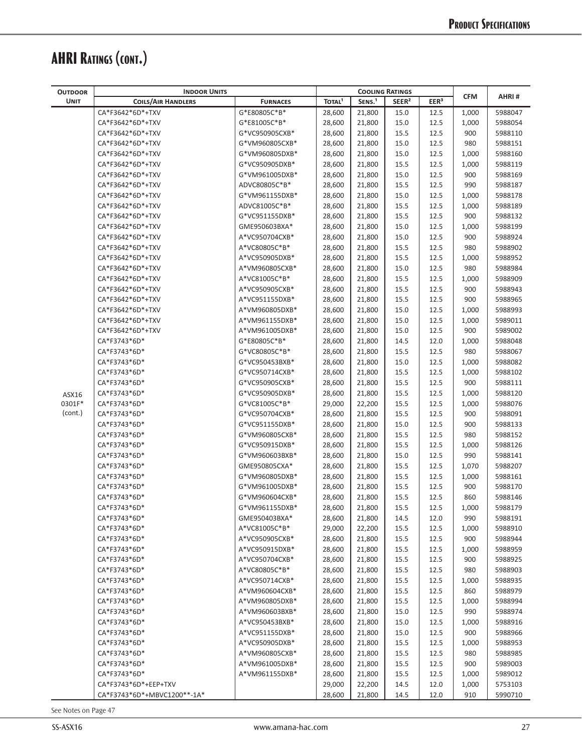| <b>OUTDOOR</b> | <b>INDOOR UNITS</b>         |                                 |                    |                    | <b>COOLING RATINGS</b> |                  | <b>CFM</b> | AHRI#   |
|----------------|-----------------------------|---------------------------------|--------------------|--------------------|------------------------|------------------|------------|---------|
| <b>UNIT</b>    | <b>COILS/AIR HANDLERS</b>   | <b>FURNACES</b>                 | TOTAL <sup>1</sup> | SENS. <sup>1</sup> | SEER <sup>2</sup>      | EER <sup>3</sup> |            |         |
|                | CA*F3642*6D*+TXV            | G*E80805C*B*                    | 28,600             | 21,800             | 15.0                   | 12.5             | 1,000      | 5988047 |
|                | CA*F3642*6D*+TXV            | G*E81005C*B*                    | 28,600             | 21,800             | 15.0                   | 12.5             | 1,000      | 5988054 |
|                | CA*F3642*6D*+TXV            | G*VC950905CXB*                  | 28,600             | 21,800             | 15.5                   | 12.5             | 900        | 5988110 |
|                | CA*F3642*6D*+TXV            | G*VM960805CXB*                  | 28,600             | 21,800             | 15.0                   | 12.5             | 980        | 5988151 |
|                | CA*F3642*6D*+TXV            | G*VM960805DXB*                  | 28,600             | 21,800             | 15.0                   | 12.5             | 1,000      | 5988160 |
|                | CA*F3642*6D*+TXV            | G*VC950905DXB*                  | 28,600             | 21,800             | 15.5                   | 12.5             | 1,000      | 5988119 |
|                | CA*F3642*6D*+TXV            | G*VM961005DXB*                  | 28,600             | 21,800             | 15.0                   | 12.5             | 900        | 5988169 |
|                | CA*F3642*6D*+TXV            | ADVC80805C*B*                   | 28,600             |                    | 15.5                   | 12.5             | 990        | 5988187 |
|                | CA*F3642*6D*+TXV            | G*VM961155DXB*                  |                    | 21,800             |                        |                  |            |         |
|                |                             |                                 | 28,600             | 21,800             | 15.0                   | 12.5             | 1,000      | 5988178 |
|                | CA*F3642*6D*+TXV            | ADVC81005C*B*                   | 28,600             | 21,800             | 15.5                   | 12.5             | 1,000      | 5988189 |
|                | CA*F3642*6D*+TXV            | G*VC951155DXB*                  | 28,600             | 21,800             | 15.5                   | 12.5             | 900        | 5988132 |
|                | CA*F3642*6D*+TXV            | GME950603BXA*                   | 28,600             | 21,800             | 15.0                   | 12.5             | 1,000      | 5988199 |
|                | CA*F3642*6D*+TXV            | A*VC950704CXB*                  | 28,600             | 21,800             | 15.0                   | 12.5             | 900        | 5988924 |
|                | CA*F3642*6D*+TXV            | A*VC80805C*B*                   | 28,600             | 21,800             | 15.5                   | 12.5             | 980        | 5988902 |
|                | CA*F3642*6D*+TXV            | A*VC950905DXB*                  | 28,600             | 21,800             | 15.5                   | 12.5             | 1,000      | 5988952 |
|                | CA*F3642*6D*+TXV            | A*VM960805CXB*                  | 28,600             | 21,800             | 15.0                   | 12.5             | 980        | 5988984 |
|                | CA*F3642*6D*+TXV            | A*VC81005C*B*                   | 28,600             | 21,800             | 15.5                   | 12.5             | 1,000      | 5988909 |
|                | CA*F3642*6D*+TXV            | A*VC950905CXB*                  | 28,600             | 21,800             | 15.5                   | 12.5             | 900        | 5988943 |
|                | CA*F3642*6D*+TXV            | A*VC951155DXB*                  | 28,600             | 21,800             | 15.5                   | 12.5             | 900        | 5988965 |
|                | CA*F3642*6D*+TXV            | A*VM960805DXB*                  | 28,600             | 21,800             | 15.0                   | 12.5             | 1,000      | 5988993 |
|                | CA*F3642*6D*+TXV            | A*VM961155DXB*                  | 28,600             | 21,800             | 15.0                   | 12.5             | 1,000      | 5989011 |
|                | CA*F3642*6D*+TXV            | A*VM961005DXB*                  | 28,600             | 21,800             | 15.0                   | 12.5             | 900        | 5989002 |
|                | CA*F3743*6D*                | G*E80805C*B*                    | 28,600             | 21,800             | 14.5                   | 12.0             | 1,000      | 5988048 |
|                | CA*F3743*6D*                | G*VC80805C*B*                   | 28,600             | 21,800             | 15.5                   | 12.5             | 980        | 5988067 |
|                | CA*F3743*6D*                | G*VC950453BXB*                  | 28,600             | 21,800             | 15.0                   | 12.5             | 1,000      | 5988082 |
|                | CA*F3743*6D*                | G*VC950714CXB*                  | 28,600             | 21,800             | 15.5                   | 12.5             | 1,000      | 5988102 |
|                | CA*F3743*6D*                | G*VC950905CXB*                  | 28,600             | 21,800             | 15.5                   | 12.5             | 900        | 5988111 |
| ASX16          | CA*F3743*6D*                | G*VC950905DXB*                  | 28,600             | 21,800             | 15.5                   | 12.5             | 1,000      | 5988120 |
| 0301F*         | CA*F3743*6D*                | G*VC81005C*B*                   | 29,000             | 22,200             | 15.5                   | 12.5             | 1,000      | 5988076 |
| (cont.)        | CA*F3743*6D*                | G*VC950704CXB*                  | 28,600             | 21,800             | 15.5                   | 12.5             | 900        | 5988091 |
|                | CA*F3743*6D*                | G*VC951155DXB*                  | 28,600             | 21,800             | 15.0                   | 12.5             | 900        | 5988133 |
|                | CA*F3743*6D*                | G*VM960805CXB*                  | 28,600             |                    | 15.5                   | 12.5             | 980        | 5988152 |
|                | CA*F3743*6D*                | G*VC950915DXB*                  | 28,600             | 21,800             | 15.5                   | 12.5             |            | 5988126 |
|                |                             |                                 |                    | 21,800             |                        |                  | 1,000      |         |
|                | CA*F3743*6D*                | G*VM960603BXB*<br>GME950805CXA* | 28,600             | 21,800             | 15.0                   | 12.5             | 990        | 5988141 |
|                | CA*F3743*6D*                |                                 | 28,600             | 21,800             | 15.5                   | 12.5             | 1,070      | 5988207 |
|                | CA*F3743*6D*                | G*VM960805DXB*                  | 28,600             | 21,800             | 15.5                   | 12.5             | 1,000      | 5988161 |
|                | CA*F3743*6D*                | G*VM961005DXB*                  | 28,600             | 21,800             | 15.5                   | 12.5             | 900        | 5988170 |
|                | CA*F3743*6D*                | G*VM960604CXB*                  | 28,600             | 21,800             | 15.5                   | 12.5             | 860        | 5988146 |
|                | CA*F3743*6D*                | G*VM961155DXB*                  | 28,600             | 21,800             | 15.5                   | 12.5             | 1,000      | 5988179 |
|                | CA*F3743*6D*                | GME950403BXA*                   | 28,600             | 21,800             | 14.5                   | 12.0             | 990        | 5988191 |
|                | CA*F3743*6D*                | A*VC81005C*B*                   | 29,000             | 22,200             | 15.5                   | 12.5             | 1,000      | 5988910 |
|                | CA*F3743*6D*                | A*VC950905CXB*                  | 28,600             | 21,800             | 15.5                   | 12.5             | 900        | 5988944 |
|                | CA*F3743*6D*                | A*VC950915DXB*                  | 28,600             | 21,800             | 15.5                   | 12.5             | 1,000      | 5988959 |
|                | CA*F3743*6D*                | A*VC950704CXB*                  | 28,600             | 21,800             | 15.5                   | 12.5             | 900        | 5988925 |
|                | CA*F3743*6D*                | A*VC80805C*B*                   | 28,600             | 21,800             | 15.5                   | 12.5             | 980        | 5988903 |
|                | CA*F3743*6D*                | A*VC950714CXB*                  | 28,600             | 21,800             | 15.5                   | 12.5             | 1,000      | 5988935 |
|                | CA*F3743*6D*                | A*VM960604CXB*                  | 28,600             | 21,800             | 15.5                   | 12.5             | 860        | 5988979 |
|                | CA*F3743*6D*                | A*VM960805DXB*                  | 28,600             | 21,800             | 15.5                   | 12.5             | 1,000      | 5988994 |
|                | CA*F3743*6D*                | A*VM960603BXB*                  | 28,600             | 21,800             | 15.0                   | 12.5             | 990        | 5988974 |
|                | CA*F3743*6D*                | A*VC950453BXB*                  | 28,600             | 21,800             | 15.0                   | 12.5             | 1,000      | 5988916 |
|                | CA*F3743*6D*                | A*VC951155DXB*                  | 28,600             | 21,800             | 15.0                   | 12.5             | 900        | 5988966 |
|                | CA*F3743*6D*                | A*VC950905DXB*                  | 28,600             | 21,800             | 15.5                   | 12.5             | 1,000      | 5988953 |
|                | CA*F3743*6D*                | A*VM960805CXB*                  | 28,600             | 21,800             | 15.5                   | 12.5             | 980        | 5988985 |
|                | CA*F3743*6D*                | A*VM961005DXB*                  | 28,600             | 21,800             | 15.5                   | 12.5             | 900        | 5989003 |
|                | CA*F3743*6D*                | A*VM961155DXB*                  | 28,600             | 21,800             | 15.5                   | 12.5             | 1,000      | 5989012 |
|                | CA*F3743*6D*+EEP+TXV        |                                 | 29,000             | 22,200             | 14.5                   | 12.0             | 1,000      | 5753103 |
|                | CA*F3743*6D*+MBVC1200**-1A* |                                 | 28,600             | 21,800             | 14.5                   | 12.0             | 910        | 5990710 |
|                |                             |                                 |                    |                    |                        |                  |            |         |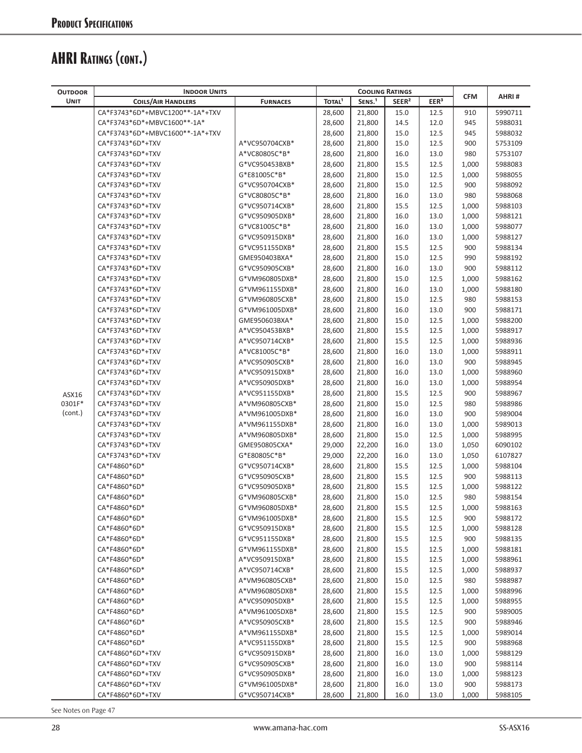| <b>OUTDOOR</b> | <b>INDOOR UNITS</b>             |                 |                    |                    | <b>COOLING RATINGS</b> |                  |            |         |
|----------------|---------------------------------|-----------------|--------------------|--------------------|------------------------|------------------|------------|---------|
| <b>UNIT</b>    | <b>COILS/AIR HANDLERS</b>       | <b>FURNACES</b> | TOTAL <sup>1</sup> | SENS. <sup>1</sup> | SEER <sup>2</sup>      | EER <sup>3</sup> | <b>CFM</b> | AHRI#   |
|                | CA*F3743*6D*+MBVC1200**-1A*+TXV |                 | 28,600             | 21,800             | 15.0                   | 12.5             | 910        | 5990711 |
|                | CA*F3743*6D*+MBVC1600**-1A*     |                 | 28,600             | 21,800             | 14.5                   | 12.0             | 945        | 5988031 |
|                | CA*F3743*6D*+MBVC1600**-1A*+TXV |                 | 28,600             | 21,800             | 15.0                   | 12.5             | 945        | 5988032 |
|                | CA*F3743*6D*+TXV                | A*VC950704CXB*  | 28,600             | 21,800             | 15.0                   | 12.5             | 900        | 5753109 |
|                | CA*F3743*6D*+TXV                | A*VC80805C*B*   | 28,600             | 21,800             | 16.0                   | 13.0             | 980        | 5753107 |
|                | CA*F3743*6D*+TXV                | G*VC950453BXB*  | 28,600             | 21,800             | 15.5                   | 12.5             | 1,000      | 5988083 |
|                | CA*F3743*6D*+TXV                | G*E81005C*B*    | 28,600             | 21,800             | 15.0                   | 12.5             | 1,000      | 5988055 |
|                | CA*F3743*6D*+TXV                | G*VC950704CXB*  | 28,600             | 21,800             | 15.0                   | 12.5             | 900        | 5988092 |
|                | CA*F3743*6D*+TXV                | G*VC80805C*B*   | 28,600             | 21,800             | 16.0                   | 13.0             | 980        | 5988068 |
|                | CA*F3743*6D*+TXV                | G*VC950714CXB*  | 28,600             | 21,800             | 15.5                   | 12.5             | 1,000      | 5988103 |
|                | CA*F3743*6D*+TXV                | G*VC950905DXB*  | 28,600             |                    | 16.0                   | 13.0             | 1,000      | 5988121 |
|                | CA*F3743*6D*+TXV                | G*VC81005C*B*   |                    | 21,800             |                        |                  |            | 5988077 |
|                |                                 |                 | 28,600             | 21,800             | 16.0                   | 13.0             | 1,000      |         |
|                | CA*F3743*6D*+TXV                | G*VC950915DXB*  | 28,600             | 21,800             | 16.0                   | 13.0             | 1,000      | 5988127 |
|                | CA*F3743*6D*+TXV                | G*VC951155DXB*  | 28,600             | 21,800             | 15.5                   | 12.5             | 900        | 5988134 |
|                | CA*F3743*6D*+TXV                | GME950403BXA*   | 28,600             | 21,800             | 15.0                   | 12.5             | 990        | 5988192 |
|                | CA*F3743*6D*+TXV                | G*VC950905CXB*  | 28,600             | 21,800             | 16.0                   | 13.0             | 900        | 5988112 |
|                | CA*F3743*6D*+TXV                | G*VM960805DXB*  | 28,600             | 21,800             | 15.0                   | 12.5             | 1,000      | 5988162 |
|                | CA*F3743*6D*+TXV                | G*VM961155DXB*  | 28,600             | 21,800             | 16.0                   | 13.0             | 1,000      | 5988180 |
|                | CA*F3743*6D*+TXV                | G*VM960805CXB*  | 28,600             | 21,800             | 15.0                   | 12.5             | 980        | 5988153 |
|                | CA*F3743*6D*+TXV                | G*VM961005DXB*  | 28,600             | 21,800             | 16.0                   | 13.0             | 900        | 5988171 |
|                | CA*F3743*6D*+TXV                | GME950603BXA*   | 28,600             | 21,800             | 15.0                   | 12.5             | 1,000      | 5988200 |
|                | CA*F3743*6D*+TXV                | A*VC950453BXB*  | 28,600             | 21,800             | 15.5                   | 12.5             | 1,000      | 5988917 |
|                | CA*F3743*6D*+TXV                | A*VC950714CXB*  | 28,600             | 21,800             | 15.5                   | 12.5             | 1,000      | 5988936 |
|                | CA*F3743*6D*+TXV                | A*VC81005C*B*   | 28,600             | 21,800             | 16.0                   | 13.0             | 1,000      | 5988911 |
|                | CA*F3743*6D*+TXV                | A*VC950905CXB*  | 28,600             | 21,800             | 16.0                   | 13.0             | 900        | 5988945 |
|                | CA*F3743*6D*+TXV                | A*VC950915DXB*  | 28,600             | 21,800             | 16.0                   | 13.0             | 1,000      | 5988960 |
|                | CA*F3743*6D*+TXV                | A*VC950905DXB*  | 28,600             | 21,800             | 16.0                   | 13.0             | 1,000      | 5988954 |
| ASX16          | CA*F3743*6D*+TXV                | A*VC951155DXB*  | 28,600             | 21,800             | 15.5                   | 12.5             | 900        | 5988967 |
| 0301F*         | CA*F3743*6D*+TXV                | A*VM960805CXB*  | 28,600             | 21,800             | 15.0                   | 12.5             | 980        | 5988986 |
| (cont.)        | CA*F3743*6D*+TXV                | A*VM961005DXB*  | 28,600             | 21,800             | 16.0                   | 13.0             | 900        | 5989004 |
|                | CA*F3743*6D*+TXV                | A*VM961155DXB*  | 28,600             | 21,800             | 16.0                   | 13.0             | 1,000      | 5989013 |
|                | CA*F3743*6D*+TXV                | A*VM960805DXB*  | 28,600             | 21,800             | 15.0                   | 12.5             | 1,000      | 5988995 |
|                | CA*F3743*6D*+TXV                | GME950805CXA*   | 29,000             | 22,200             | 16.0                   | 13.0             | 1,050      | 6090102 |
|                | CA*F3743*6D*+TXV                | G*E80805C*B*    | 29,000             | 22,200             | 16.0                   | 13.0             | 1,050      | 6107827 |
|                | CA*F4860*6D*                    | G*VC950714CXB*  | 28,600             | 21,800             | 15.5                   | 12.5             | 1,000      | 5988104 |
|                | CA*F4860*6D*                    | G*VC950905CXB*  | 28,600             | 21,800             | 15.5                   | 12.5             | 900        | 5988113 |
|                | CA*F4860*6D*                    | G*VC950905DXB*  | 28,600             | 21,800             | 15.5                   | 12.5             | 1,000      | 5988122 |
|                | CA*F4860*6D*                    | G*VM960805CXB*  | 28,600             | 21,800             | 15.0                   | 12.5             | 980        | 5988154 |
|                | CA*F4860*6D*                    | G*VM960805DXB*  | 28,600             | 21,800             | 15.5                   | 12.5             | 1,000      | 5988163 |
|                | CA*F4860*6D*                    | G*VM961005DXB*  | 28,600             | 21,800             | 15.5                   | 12.5             | 900        | 5988172 |
|                | CA*F4860*6D*                    | G*VC950915DXB*  | 28,600             | 21,800             | 15.5                   | 12.5             | 1,000      | 5988128 |
|                | CA*F4860*6D*                    | G*VC951155DXB*  | 28,600             | 21,800             | 15.5                   | 12.5             | 900        | 5988135 |
|                | CA*F4860*6D*                    | G*VM961155DXB*  | 28,600             | 21,800             | 15.5                   | 12.5             | 1,000      | 5988181 |
|                | CA*F4860*6D*                    | A*VC950915DXB*  | 28,600             | 21,800             | 15.5                   | 12.5             | 1,000      | 5988961 |
|                | CA*F4860*6D*                    | A*VC950714CXB*  | 28,600             | 21,800             | 15.5                   | 12.5             | 1,000      | 5988937 |
|                | CA*F4860*6D*                    | A*VM960805CXB*  | 28,600             | 21,800             | 15.0                   | 12.5             | 980        | 5988987 |
|                | CA*F4860*6D*                    | A*VM960805DXB*  |                    |                    |                        |                  |            | 5988996 |
|                |                                 |                 | 28,600             | 21,800             | 15.5                   | 12.5             | 1,000      |         |
|                | CA*F4860*6D*                    | A*VC950905DXB*  | 28,600             | 21,800             | 15.5                   | 12.5             | 1,000      | 5988955 |
|                | CA*F4860*6D*                    | A*VM961005DXB*  | 28,600             | 21,800             | 15.5                   | 12.5             | 900        | 5989005 |
|                | CA*F4860*6D*                    | A*VC950905CXB*  | 28,600             | 21,800             | 15.5                   | 12.5             | 900        | 5988946 |
|                | CA*F4860*6D*                    | A*VM961155DXB*  | 28,600             | 21,800             | 15.5                   | 12.5             | 1,000      | 5989014 |
|                | CA*F4860*6D*                    | A*VC951155DXB*  | 28,600             | 21,800             | 15.5                   | 12.5             | 900        | 5988968 |
|                | CA*F4860*6D*+TXV                | G*VC950915DXB*  | 28,600             | 21,800             | 16.0                   | 13.0             | 1,000      | 5988129 |
|                | CA*F4860*6D*+TXV                | G*VC950905CXB*  | 28,600             | 21,800             | 16.0                   | 13.0             | 900        | 5988114 |
|                | CA*F4860*6D*+TXV                | G*VC950905DXB*  | 28,600             | 21,800             | 16.0                   | 13.0             | 1,000      | 5988123 |
|                | CA*F4860*6D*+TXV                | G*VM961005DXB*  | 28,600             | 21,800             | 16.0                   | 13.0             | 900        | 5988173 |
|                | CA*F4860*6D*+TXV                | G*VC950714CXB*  | 28,600             | 21,800             | 16.0                   | 13.0             | 1,000      | 5988105 |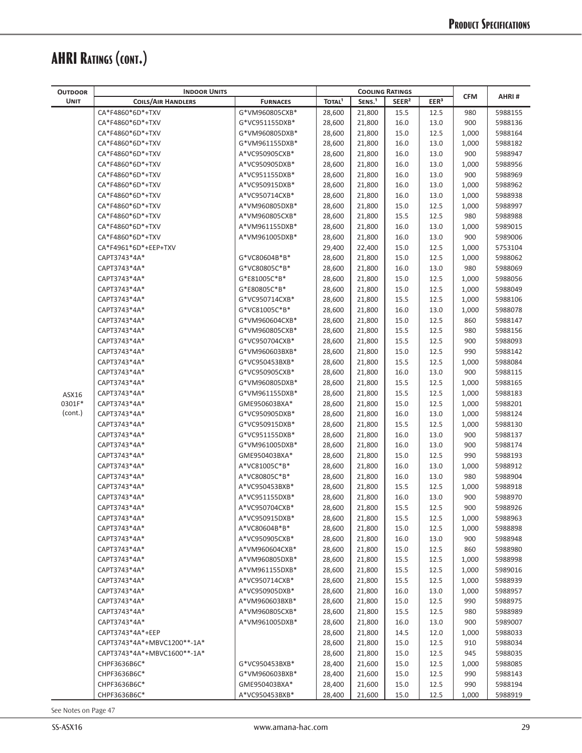| <b>OUTDOOR</b> | <b>INDOOR UNITS</b>         |                 |                    |                    | <b>COOLING RATINGS</b> |                  | <b>CFM</b> | AHRI#   |
|----------------|-----------------------------|-----------------|--------------------|--------------------|------------------------|------------------|------------|---------|
| <b>UNIT</b>    | <b>COILS/AIR HANDLERS</b>   | <b>FURNACES</b> | TOTAL <sup>1</sup> | SENS. <sup>1</sup> | SEER <sup>2</sup>      | EER <sup>3</sup> |            |         |
|                | CA*F4860*6D*+TXV            | G*VM960805CXB*  | 28,600             | 21,800             | 15.5                   | 12.5             | 980        | 5988155 |
|                | CA*F4860*6D*+TXV            | G*VC951155DXB*  | 28,600             | 21,800             | 16.0                   | 13.0             | 900        | 5988136 |
|                | CA*F4860*6D*+TXV            | G*VM960805DXB*  | 28,600             | 21,800             | 15.0                   | 12.5             | 1,000      | 5988164 |
|                | CA*F4860*6D*+TXV            | G*VM961155DXB*  | 28,600             | 21,800             | 16.0                   | 13.0             | 1,000      | 5988182 |
|                | CA*F4860*6D*+TXV            | A*VC950905CXB*  | 28,600             | 21,800             | 16.0                   | 13.0             | 900        | 5988947 |
|                | CA*F4860*6D*+TXV            | A*VC950905DXB*  | 28,600             | 21,800             | 16.0                   | 13.0             | 1,000      | 5988956 |
|                | CA*F4860*6D*+TXV            | A*VC951155DXB*  | 28,600             | 21,800             | 16.0                   | 13.0             | 900        | 5988969 |
|                | CA*F4860*6D*+TXV            | A*VC950915DXB*  | 28,600             | 21,800             | 16.0                   | 13.0             | 1,000      | 5988962 |
|                | CA*F4860*6D*+TXV            | A*VC950714CXB*  | 28,600             | 21,800             | 16.0                   | 13.0             | 1,000      | 5988938 |
|                |                             |                 |                    |                    |                        |                  |            |         |
|                | CA*F4860*6D*+TXV            | A*VM960805DXB*  | 28,600             | 21,800             | 15.0                   | 12.5             | 1,000      | 5988997 |
|                | CA*F4860*6D*+TXV            | A*VM960805CXB*  | 28,600             | 21,800             | 15.5                   | 12.5             | 980        | 5988988 |
|                | CA*F4860*6D*+TXV            | A*VM961155DXB*  | 28,600             | 21,800             | 16.0                   | 13.0             | 1,000      | 5989015 |
|                | CA*F4860*6D*+TXV            | A*VM961005DXB*  | 28,600             | 21,800             | 16.0                   | 13.0             | 900        | 5989006 |
|                | CA*F4961*6D*+EEP+TXV        |                 | 29,400             | 22,400             | 15.0                   | 12.5             | 1,000      | 5753104 |
|                | CAPT3743*4A*                | G*VC80604B*B*   | 28,600             | 21,800             | 15.0                   | 12.5             | 1,000      | 5988062 |
|                | CAPT3743*4A*                | G*VC80805C*B*   | 28,600             | 21,800             | 16.0                   | 13.0             | 980        | 5988069 |
|                | CAPT3743*4A*                | G*E81005C*B*    | 28,600             | 21,800             | 15.0                   | 12.5             | 1,000      | 5988056 |
|                | CAPT3743*4A*                | G*E80805C*B*    | 28,600             | 21,800             | 15.0                   | 12.5             | 1,000      | 5988049 |
|                | CAPT3743*4A*                | G*VC950714CXB*  | 28,600             | 21,800             | 15.5                   | 12.5             | 1,000      | 5988106 |
|                | CAPT3743*4A*                | G*VC81005C*B*   | 28,600             | 21,800             | 16.0                   | 13.0             | 1,000      | 5988078 |
|                | CAPT3743*4A*                | G*VM960604CXB*  | 28,600             | 21,800             | 15.0                   | 12.5             | 860        | 5988147 |
|                | CAPT3743*4A*                | G*VM960805CXB*  | 28,600             | 21,800             | 15.5                   | 12.5             | 980        | 5988156 |
|                | CAPT3743*4A*                | G*VC950704CXB*  | 28,600             | 21,800             | 15.5                   | 12.5             | 900        | 5988093 |
|                | CAPT3743*4A*                | G*VM960603BXB*  | 28,600             | 21,800             | 15.0                   | 12.5             | 990        | 5988142 |
|                | CAPT3743*4A*                | G*VC950453BXB*  | 28,600             | 21,800             | 15.5                   | 12.5             | 1,000      | 5988084 |
|                | CAPT3743*4A*                | G*VC950905CXB*  | 28,600             | 21,800             | 16.0                   | 13.0             | 900        | 5988115 |
|                | CAPT3743*4A*                | G*VM960805DXB*  | 28,600             | 21,800             | 15.5                   | 12.5             | 1,000      | 5988165 |
| ASX16          | CAPT3743*4A*                | G*VM961155DXB*  | 28,600             | 21,800             | 15.5                   | 12.5             | 1,000      | 5988183 |
| 0301F*         | CAPT3743*4A*                | GME950603BXA*   | 28,600             | 21,800             | 15.0                   | 12.5             | 1,000      | 5988201 |
| (cont.)        | CAPT3743*4A*                | G*VC950905DXB*  | 28,600             | 21,800             | 16.0                   | 13.0             | 1,000      | 5988124 |
|                | CAPT3743*4A*                | G*VC950915DXB*  | 28,600             | 21,800             | 15.5                   | 12.5             | 1,000      | 5988130 |
|                | CAPT3743*4A*                | G*VC951155DXB*  |                    |                    |                        | 13.0             | 900        | 5988137 |
|                |                             |                 | 28,600             | 21,800             | 16.0                   |                  |            |         |
|                | CAPT3743*4A*                | G*VM961005DXB*  | 28,600             | 21,800             | 16.0                   | 13.0             | 900        | 5988174 |
|                | CAPT3743*4A*                | GME950403BXA*   | 28,600             | 21,800             | 15.0                   | 12.5             | 990        | 5988193 |
|                | CAPT3743*4A*                | A*VC81005C*B*   | 28,600             | 21,800             | 16.0                   | 13.0             | 1,000      | 5988912 |
|                | CAPT3743*4A*                | A*VC80805C*B*   | 28,600             | 21,800             | 16.0                   | 13.0             | 980        | 5988904 |
|                | CAPT3743*4A*                | A*VC950453BXB*  | 28,600             | 21,800             | 15.5                   | 12.5             | 1,000      | 5988918 |
|                | CAPT3743*4A*                | A*VC951155DXB*  | 28,600             | 21,800             | 16.0                   | 13.0             | 900        | 5988970 |
|                | CAPT3743*4A*                | A*VC950704CXB*  | 28,600             | 21,800             | 15.5                   | 12.5             | 900        | 5988926 |
|                | CAPT3743*4A*                | A*VC950915DXB*  | 28,600             | 21,800             | 15.5                   | 12.5             | 1,000      | 5988963 |
|                | CAPT3743*4A*                | A*VC80604B*B*   | 28,600             | 21,800             | 15.0                   | 12.5             | 1,000      | 5988898 |
|                | CAPT3743*4A*                | A*VC950905CXB*  | 28,600             | 21,800             | 16.0                   | 13.0             | 900        | 5988948 |
|                | CAPT3743*4A*                | A*VM960604CXB*  | 28,600             | 21,800             | 15.0                   | 12.5             | 860        | 5988980 |
|                | CAPT3743*4A*                | A*VM960805DXB*  | 28,600             | 21,800             | 15.5                   | 12.5             | 1,000      | 5988998 |
|                | CAPT3743*4A*                | A*VM961155DXB*  | 28,600             | 21,800             | 15.5                   | 12.5             | 1,000      | 5989016 |
|                | CAPT3743*4A*                | A*VC950714CXB*  | 28,600             | 21,800             | 15.5                   | 12.5             | 1,000      | 5988939 |
|                | CAPT3743*4A*                | A*VC950905DXB*  | 28,600             | 21,800             | 16.0                   | 13.0             | 1,000      | 5988957 |
|                | CAPT3743*4A*                | A*VM960603BXB*  | 28,600             | 21,800             | 15.0                   | 12.5             | 990        | 5988975 |
|                | CAPT3743*4A*                | A*VM960805CXB*  | 28,600             | 21,800             | 15.5                   | 12.5             | 980        | 5988989 |
|                | CAPT3743*4A*                | A*VM961005DXB*  | 28,600             | 21,800             | 16.0                   | 13.0             | 900        | 5989007 |
|                | CAPT3743*4A*+EEP            |                 | 28,600             | 21,800             | 14.5                   | 12.0             | 1,000      | 5988033 |
|                | CAPT3743*4A*+MBVC1200**-1A* |                 | 28,600             | 21,800             | 15.0                   | 12.5             | 910        | 5988034 |
|                | CAPT3743*4A*+MBVC1600**-1A* |                 | 28,600             | 21,800             | 15.0                   | 12.5             | 945        | 5988035 |
|                | CHPF3636B6C*                | G*VC950453BXB*  | 28,400             | 21,600             | 15.0                   | 12.5             | 1,000      | 5988085 |
|                | CHPF3636B6C*                | G*VM960603BXB*  |                    |                    | 15.0                   | 12.5             | 990        | 5988143 |
|                | CHPF3636B6C*                | GME950403BXA*   | 28,400             | 21,600             | 15.0                   | 12.5             | 990        | 5988194 |
|                | CHPF3636B6C*                | A*VC950453BXB*  | 28,400<br>28,400   | 21,600             | 15.0                   | 12.5             |            | 5988919 |
|                |                             |                 |                    | 21,600             |                        |                  | 1,000      |         |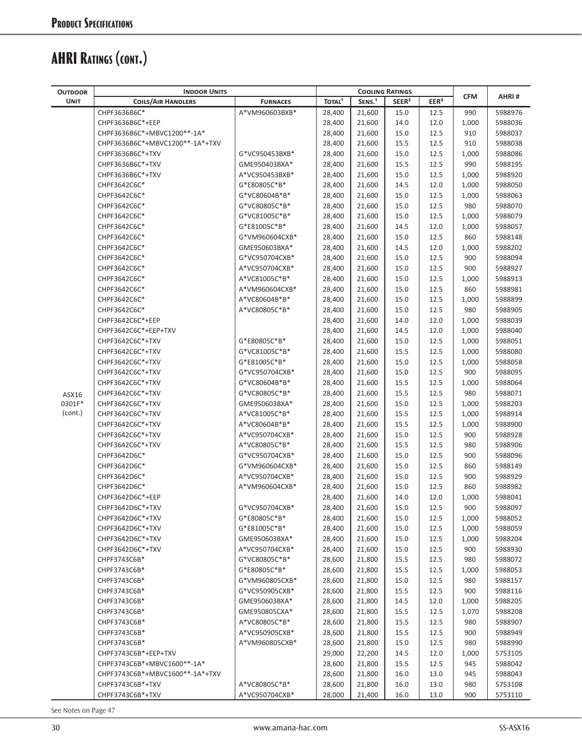| <b>OUTDOOR</b> | <b>INDOOR UNITS</b>             |                                 |                    |                    | <b>COOLING RATINGS</b> |                  |            |                    |
|----------------|---------------------------------|---------------------------------|--------------------|--------------------|------------------------|------------------|------------|--------------------|
| <b>UNIT</b>    | <b>COILS/AIR HANDLERS</b>       | <b>FURNACES</b>                 | TOTAL <sup>1</sup> | SENS. <sup>1</sup> | SEER <sup>2</sup>      | EER <sup>3</sup> | <b>CFM</b> | AHRI#              |
|                | CHPF3636B6C*                    | A*VM960603BXB*                  | 28,400             | 21,600             | 15.0                   | 12.5             | 990        | 5988976            |
|                | CHPF3636B6C*+EEP                |                                 | 28,400             | 21,600             | 14.0                   | 12.0             | 1,000      | 5988036            |
|                | CHPF3636B6C*+MBVC1200**-1A*     |                                 | 28,400             | 21,600             | 15.0                   | 12.5             | 910        | 5988037            |
|                | CHPF3636B6C*+MBVC1200**-1A*+TXV |                                 | 28,400             | 21,600             | 15.5                   | 12.5             | 910        | 5988038            |
|                | CHPF3636B6C*+TXV                | G*VC950453BXB*                  | 28,400             | 21,600             | 15.0                   | 12.5             | 1,000      | 5988086            |
|                | CHPF3636B6C*+TXV                | GME950403BXA*                   | 28,400             | 21,600             | 15.5                   | 12.5             | 990        | 5988195            |
|                | CHPF3636B6C*+TXV                | A*VC950453BXB*                  | 28,400             | 21,600             | 15.0                   | 12.5             | 1,000      | 5988920            |
|                | CHPF3642C6C*                    | G*E80805C*B*                    | 28,400             | 21,600             | 14.5                   | 12.0             | 1,000      | 5988050            |
|                | CHPF3642C6C*                    | G*VC80604B*B*                   | 28,400             | 21,600             | 15.0                   | 12.5             | 1,000      | 5988063            |
|                | CHPF3642C6C*                    | G*VC80805C*B*                   | 28,400             | 21,600             | 15.0                   | 12.5             | 980        | 5988070            |
|                | CHPF3642C6C*                    | G*VC81005C*B*                   | 28,400             | 21,600             | 15.0                   | 12.5             | 1,000      | 5988079            |
|                | CHPF3642C6C*                    | G*E81005C*B*                    | 28,400             | 21,600             | 14.5                   | 12.0             | 1,000      | 5988057            |
|                | CHPF3642C6C*                    | G*VM960604CXB*                  | 28,400             | 21,600             | 15.0                   | 12.5             | 860        | 5988148            |
|                | CHPF3642C6C*                    | GME950603BXA*                   | 28,400             | 21,600             | 14.5                   | 12.0             | 1,000      | 5988202            |
|                | CHPF3642C6C*                    | G*VC950704CXB*                  |                    |                    |                        |                  | 900        |                    |
|                | CHPF3642C6C*                    | A*VC950704CXB*                  | 28,400             | 21,600             | 15.0<br>15.0           | 12.5<br>12.5     | 900        | 5988094<br>5988927 |
|                | CHPF3642C6C*                    | A*VC81005C*B*                   | 28,400             | 21,600             | 15.0                   | 12.5             |            | 5988913            |
|                | CHPF3642C6C*                    |                                 | 28,400             | 21,600             |                        |                  | 1,000      |                    |
|                |                                 | A*VM960604CXB*<br>A*VC80604B*B* | 28,400             | 21,600             | 15.0                   | 12.5             | 860        | 5988981            |
|                | CHPF3642C6C*                    |                                 | 28,400             | 21,600             | 15.0                   | 12.5             | 1,000      | 5988899            |
|                | CHPF3642C6C*                    | A*VC80805C*B*                   | 28,400             | 21,600             | 15.0                   | 12.5             | 980        | 5988905            |
|                | CHPF3642C6C*+EEP                |                                 | 28,400             | 21,600             | 14.0                   | 12.0             | 1,000      | 5988039            |
|                | CHPF3642C6C*+EEP+TXV            |                                 | 28,400             | 21,600             | 14.5                   | 12.0             | 1,000      | 5988040            |
|                | CHPF3642C6C*+TXV                | G*E80805C*B*                    | 28,400             | 21,600             | 15.0                   | 12.5             | 1,000      | 5988051            |
|                | CHPF3642C6C*+TXV                | G*VC81005C*B*                   | 28,400             | 21,600             | 15.5                   | 12.5             | 1,000      | 5988080            |
|                | CHPF3642C6C*+TXV                | G*E81005C*B*                    | 28,400             | 21,600             | 15.0                   | 12.5             | 1,000      | 5988058            |
|                | CHPF3642C6C*+TXV                | G*VC950704CXB*                  | 28,400             | 21,600             | 15.0                   | 12.5             | 900        | 5988095            |
| ASX16          | CHPF3642C6C*+TXV                | G*VC80604B*B*                   | 28,400             | 21,600             | 15.5                   | 12.5             | 1,000      | 5988064            |
|                | CHPF3642C6C*+TXV                | G*VC80805C*B*                   | 28,400             | 21,600             | 15.5                   | 12.5             | 980        | 5988071            |
| 0301F*         | CHPF3642C6C*+TXV                | GME950603BXA*                   | 28,400             | 21,600             | 15.0                   | 12.5             | 1,000      | 5988203            |
| (cont.)        | CHPF3642C6C*+TXV                | A*VC81005C*B*                   | 28,400             | 21,600             | 15.5                   | 12.5             | 1,000      | 5988914            |
|                | CHPF3642C6C*+TXV                | A*VC80604B*B*                   | 28,400             | 21,600             | 15.5                   | 12.5             | 1,000      | 5988900            |
|                | CHPF3642C6C*+TXV                | A*VC950704CXB*                  | 28,400             | 21,600             | 15.0                   | 12.5             | 900        | 5988928            |
|                | CHPF3642C6C*+TXV                | A*VC80805C*B*                   | 28,400             | 21,600             | 15.5                   | 12.5             | 980        | 5988906            |
|                | CHPF3642D6C*                    | G*VC950704CXB*                  | 28,400             | 21,600             | 15.0                   | 12.5             | 900        | 5988096            |
|                | CHPF3642D6C*                    | G*VM960604CXB*                  | 28,400             | 21,600             | 15.0                   | 12.5             | 860        | 5988149            |
|                | CHPF3642D6C*                    | A*VC950704CXB*                  | 28,400             | 21,600             | 15.0                   | 12.5             | 900        | 5988929            |
|                | CHPF3642D6C*                    | A*VM960604CXB*                  | 28,400             | 21,600             | 15.0                   | 12.5             | 860        | 5988982            |
|                | CHPF3642D6C*+EEP                |                                 | 28,400             | 21,600             | 14.0                   | 12.0             | 1,000      | 5988041            |
|                | CHPF3642D6C*+TXV                | G*VC950704CXB*                  | 28,400             | 21,600             | 15.0                   | 12.5             | 900        | 5988097            |
|                | CHPF3642D6C*+TXV                | G*E80805C*B*                    | 28,400             | 21,600             | 15.0                   | 12.5             | 1,000      | 5988052            |
|                | CHPF3642D6C*+TXV                | G*E81005C*B*                    | 28,400             | 21,600             | 15.0                   | 12.5             | 1,000      | 5988059            |
|                | CHPF3642D6C*+TXV                | GME950603BXA*                   | 28,400             | 21,600             | 15.0                   | 12.5             | 1,000      | 5988204            |
|                | CHPF3642D6C*+TXV                | A*VC950704CXB*                  | 28,400             | 21,600             | 15.0                   | 12.5             | 900        | 5988930            |
|                | CHPF3743C6B*                    | G*VC80805C*B*                   | 28,600             | 21,800             | 15.5                   | 12.5             | 980        | 5988072            |
|                | CHPF3743C6B*                    | G*E80805C*B*                    | 28,600             | 21,800             | 15.5                   | 12.5             | 1,000      | 5988053            |
|                | CHPF3743C6B*                    | G*VM960805CXB*                  | 28,600             | 21,800             | 15.0                   | 12.5             | 980        | 5988157            |
|                | CHPF3743C6B*                    | G*VC950905CXB*                  | 28,600             | 21,800             | 15.5                   | 12.5             | 900        | 5988116            |
|                | CHPF3743C6B*                    | GME950603BXA*                   | 28,600             | 21,800             | 14.5                   | 12.0             | 1,000      | 5988205            |
|                | CHPF3743C6B*                    | GME950805CXA*                   | 28,600             | 21,800             | 15.5                   | 12.5             | 1,070      | 5988208            |
|                | CHPF3743C6B*                    | A*VC80805C*B*                   | 28,600             | 21,800             | 15.5                   | 12.5             | 980        | 5988907            |
|                | CHPF3743C6B*                    | A*VC950905CXB*                  | 28,600             | 21,800             | 15.5                   | 12.5             | 900        | 5988949            |
|                | CHPF3743C6B*                    | A*VM960805CXB*                  | 28,600             | 21,800             | 15.0                   | 12.5             | 980        | 5988990            |
|                | CHPF3743C6B*+EEP+TXV            |                                 | 29,000             | 22,200             | 14.5                   | 12.0             | 1,000      | 5753105            |
|                | CHPF3743C6B*+MBVC1600**-1A*     |                                 | 28,600             | 21,800             | 15.5                   | 12.5             | 945        | 5988042            |
|                | CHPF3743C6B*+MBVC1600**-1A*+TXV |                                 | 28,600             | 21,800             | 16.0                   | 13.0             | 945        | 5988043            |
|                | CHPF3743C6B*+TXV                | A*VC80805C*B*                   | 28,600             | 21,800             | 16.0                   | 13.0             | 980        | 5753108            |
|                | CHPF3743C6B*+TXV                | A*VC950704CXB*                  | 28,000             | 21,400             | 16.0                   | 13.0             | 900        | 5753110            |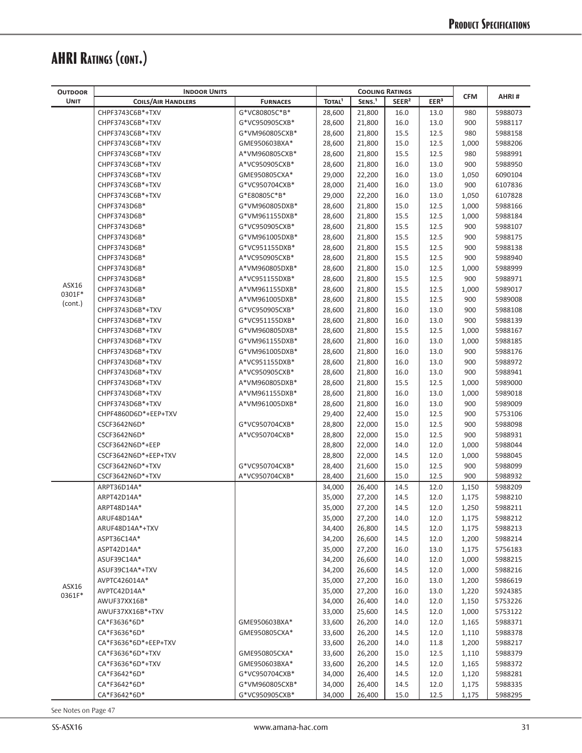| <b>OUTDOOR</b> | <b>INDOOR UNITS</b>                  |                                  |                    |                    | <b>COOLING RATINGS</b> |                  |                |                    |
|----------------|--------------------------------------|----------------------------------|--------------------|--------------------|------------------------|------------------|----------------|--------------------|
| <b>UNIT</b>    | <b>COILS/AIR HANDLERS</b>            | <b>FURNACES</b>                  | TOTAL <sup>1</sup> | SENS. <sup>1</sup> | SEER <sup>2</sup>      | EER <sup>3</sup> | <b>CFM</b>     | AHRI#              |
|                | CHPF3743C6B*+TXV                     | G*VC80805C*B*                    | 28,600             | 21,800             | 16.0                   | 13.0             | 980            | 5988073            |
|                | CHPF3743C6B*+TXV                     | G*VC950905CXB*                   | 28,600             | 21,800             | 16.0                   | 13.0             | 900            | 5988117            |
|                | CHPF3743C6B*+TXV                     | G*VM960805CXB*                   | 28,600             | 21,800             | 15.5                   | 12.5             | 980            | 5988158            |
|                | CHPF3743C6B*+TXV                     | GME950603BXA*                    | 28,600             | 21,800             | 15.0                   | 12.5             | 1,000          | 5988206            |
|                | CHPF3743C6B*+TXV                     | A*VM960805CXB*                   | 28,600             | 21,800             | 15.5                   | 12.5             | 980            | 5988991            |
|                | CHPF3743C6B*+TXV                     | A*VC950905CXB*                   | 28,600             | 21,800             | 16.0                   | 13.0             | 900            | 5988950            |
|                | CHPF3743C6B*+TXV                     | GME950805CXA*                    | 29,000             | 22,200             | 16.0                   | 13.0             | 1,050          | 6090104            |
|                | CHPF3743C6B*+TXV                     | G*VC950704CXB*                   | 28,000             | 21,400             | 16.0                   | 13.0             | 900            | 6107836            |
|                | CHPF3743C6B*+TXV                     | G*E80805C*B*                     | 29,000             | 22,200             | 16.0                   | 13.0             | 1,050          | 6107828            |
|                | CHPF3743D6B*                         | G*VM960805DXB*                   | 28,600             | 21,800             | 15.0                   | 12.5             | 1,000          | 5988166            |
|                | CHPF3743D6B*                         | G*VM961155DXB*                   | 28,600             | 21,800             | 15.5                   | 12.5             | 1,000          | 5988184            |
|                | CHPF3743D6B*                         | G*VC950905CXB*                   | 28,600             | 21,800             | 15.5                   | 12.5             | 900            | 5988107            |
|                | CHPF3743D6B*                         | G*VM961005DXB*                   | 28,600             | 21,800             | 15.5                   | 12.5             | 900            | 5988175            |
|                | CHPF3743D6B*                         | G*VC951155DXB*                   | 28,600             | 21,800             | 15.5                   | 12.5             | 900            | 5988138            |
|                | CHPF3743D6B*                         | A*VC950905CXB*                   | 28,600             | 21,800             | 15.5                   | 12.5             | 900            | 5988940            |
|                | CHPF3743D6B*                         | A*VM960805DXB*                   | 28,600             | 21,800             | 15.0                   | 12.5             | 1,000          | 5988999            |
|                | CHPF3743D6B*                         | A*VC951155DXB*                   | 28,600             | 21,800             | 15.5                   | 12.5             | 900            | 5988971            |
| ASX16          | CHPF3743D6B*                         | A*VM961155DXB*                   | 28,600             | 21,800             | 15.5                   | 12.5             | 1,000          | 5989017            |
| 0301F*         | CHPF3743D6B*                         | A*VM961005DXB*                   | 28,600             | 21,800             | 15.5                   | 12.5             | 900            | 5989008            |
| (cont.)        | CHPF3743D6B*+TXV                     | G*VC950905CXB*                   | 28,600             |                    | 16.0                   | 13.0             | 900            | 5988108            |
|                | CHPF3743D6B*+TXV                     | G*VC951155DXB*                   |                    | 21,800             |                        |                  |                |                    |
|                |                                      | G*VM960805DXB*                   | 28,600             | 21,800             | 16.0                   | 13.0             | 900            | 5988139            |
|                | CHPF3743D6B*+TXV<br>CHPF3743D6B*+TXV | G*VM961155DXB*                   | 28,600             | 21,800             | 15.5                   | 12.5             | 1,000          | 5988167            |
|                | CHPF3743D6B*+TXV                     | G*VM961005DXB*                   | 28,600             | 21,800             | 16.0                   | 13.0             | 1,000<br>900   | 5988185<br>5988176 |
|                | CHPF3743D6B*+TXV                     | A*VC951155DXB*                   | 28,600             | 21,800             | 16.0                   | 13.0             | 900            | 5988972            |
|                |                                      |                                  | 28,600             | 21,800             | 16.0                   | 13.0             |                |                    |
|                | CHPF3743D6B*+TXV<br>CHPF3743D6B*+TXV | A*VC950905CXB*<br>A*VM960805DXB* | 28,600             | 21,800             | 16.0                   | 13.0             | 900            | 5988941<br>5989000 |
|                | CHPF3743D6B*+TXV                     | A*VM961155DXB*                   | 28,600             | 21,800             | 15.5<br>16.0           | 12.5             | 1,000          | 5989018            |
|                | CHPF3743D6B*+TXV                     | A*VM961005DXB*                   | 28,600<br>28,600   | 21,800<br>21,800   | 16.0                   | 13.0<br>13.0     | 1,000<br>900   | 5989009            |
|                | CHPF4860D6D*+EEP+TXV                 |                                  | 29,400             | 22,400             | 15.0                   | 12.5             | 900            | 5753106            |
|                | CSCF3642N6D*                         | G*VC950704CXB*                   | 28,800             | 22,000             | 15.0                   | 12.5             | 900            | 5988098            |
|                | CSCF3642N6D*                         | A*VC950704CXB*                   |                    |                    |                        |                  | 900            | 5988931            |
|                | CSCF3642N6D*+EEP                     |                                  | 28,800<br>28,800   | 22,000             | 15.0<br>14.0           | 12.5<br>12.0     | 1,000          | 5988044            |
|                | CSCF3642N6D*+EEP+TXV                 |                                  | 28,800             | 22,000<br>22,000   | 14.5                   | 12.0             | 1,000          | 5988045            |
|                | CSCF3642N6D*+TXV                     | G*VC950704CXB*                   | 28,400             | 21,600             | 15.0                   | 12.5             | 900            | 5988099            |
|                | CSCF3642N6D*+TXV                     | A*VC950704CXB*                   | 28,400             | 21,600             | 15.0                   | 12.5             | 900            | 5988932            |
|                | ARPT36D14A*                          |                                  | 34,000             | 26,400             | 14.5                   | 12.0             | 1,150          | 5988209            |
|                | ARPT42D14A*                          |                                  | 35,000             | 27,200             | 14.5                   | 12.0             | 1,175          | 5988210            |
|                | ARPT48D14A*                          |                                  | 35,000             | 27,200             | 14.5                   | 12.0             | 1,250          | 5988211            |
|                | ARUF48D14A*                          |                                  | 35,000             | 27,200             | 14.0                   | 12.0             | 1,175          | 5988212            |
|                | ARUF48D14A*+TXV                      |                                  | 34,400             | 26,800             | 14.5                   | 12.0             | 1,175          | 5988213            |
|                | ASPT36C14A*                          |                                  | 34,200             | 26,600             | 14.5                   | 12.0             | 1,200          | 5988214            |
|                | ASPT42D14A*                          |                                  | 35,000             | 27,200             | 16.0                   | 13.0             | 1,175          | 5756183            |
|                | ASUF39C14A*                          |                                  | 34,200             | 26,600             | 14.0                   | 12.0             | 1,000          | 5988215            |
|                | ASUF39C14A*+TXV                      |                                  | 34,200             | 26,600             | 14.5                   | 12.0             | 1,000          | 5988216            |
|                | AVPTC426014A*                        |                                  | 35,000             | 27,200             | 16.0                   | 13.0             | 1,200          | 5986619            |
| ASX16          | AVPTC42D14A*                         |                                  | 35,000             | 27,200             | 16.0                   | 13.0             | 1,220          | 5924385            |
| 0361F*         | AWUF37XX16B*                         |                                  |                    |                    | 14.0                   | 12.0             |                | 5753226            |
|                |                                      |                                  | 34,000             | 26,400             |                        |                  | 1,150          |                    |
|                | AWUF37XX16B*+TXV<br>CA*F3636*6D*     | GME950603BXA*                    | 33,000<br>33,600   | 25,600<br>26,200   | 14.5<br>14.0           | 12.0<br>12.0     | 1,000<br>1,165 | 5753122<br>5988371 |
|                | CA*F3636*6D*                         | GME950805CXA*                    |                    |                    |                        | 12.0             |                | 5988378            |
|                | CA*F3636*6D*+EEP+TXV                 |                                  | 33,600<br>33,600   | 26,200<br>26,200   | 14.5<br>14.0           | 11.8             | 1,110<br>1,200 | 5988217            |
|                | CA*F3636*6D*+TXV                     | GME950805CXA*                    | 33,600             | 26,200             |                        |                  |                | 5988379            |
|                | CA*F3636*6D*+TXV                     | GME950603BXA*                    |                    |                    | 15.0                   | 12.5<br>12.0     | 1,110          | 5988372            |
|                | CA*F3642*6D*                         | G*VC950704CXB*                   | 33,600<br>34,000   | 26,200<br>26,400   | 14.5<br>14.5           | 12.0             | 1,165<br>1,120 | 5988281            |
|                | CA*F3642*6D*                         | G*VM960805CXB*                   | 34,000             | 26,400             | 14.5                   | 12.0             | 1,175          | 5988335            |
|                | CA*F3642*6D*                         | G*VC950905CXB*                   | 34,000             | 26,400             | 15.0                   | 12.5             | 1,175          | 5988295            |
|                |                                      |                                  |                    |                    |                        |                  |                |                    |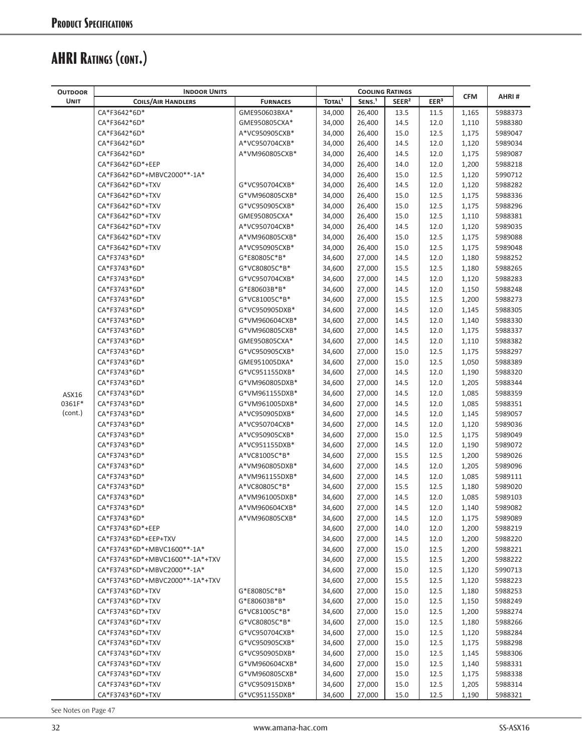See Notes on Page 47

| <b>UNIT</b><br>EER <sup>3</sup><br>TOTAL <sup>1</sup><br>SENS. <sup>1</sup><br>SEER <sup>2</sup><br><b>COILS/AIR HANDLERS</b><br><b>FURNACES</b><br>CA*F3642*6D*<br>5988373<br>GME950603BXA*<br>34,000<br>26,400<br>13.5<br>11.5<br>1,165<br>CA*F3642*6D*<br>GME950805CXA*<br>5988380<br>34,000<br>26,400<br>14.5<br>12.0<br>1,110<br>CA*F3642*6D*<br>A*VC950905CXB*<br>34,000<br>26,400<br>15.0<br>12.5<br>1,175<br>5989047<br>CA*F3642*6D*<br>A*VC950704CXB*<br>14.5<br>5989034<br>34,000<br>26,400<br>12.0<br>1,120<br>CA*F3642*6D*<br>A*VM960805CXB*<br>14.5<br>12.0<br>5989087<br>34,000<br>26,400<br>1,175<br>CA*F3642*6D*+EEP<br>34,000<br>26,400<br>14.0<br>12.0<br>1,200<br>5988218<br>CA*F3642*6D*+MBVC2000**-1A*<br>15.0<br>5990712<br>34,000<br>26,400<br>12.5<br>1,120<br>CA*F3642*6D*+TXV<br>G*VC950704CXB*<br>12.0<br>5988282<br>34,000<br>26,400<br>14.5<br>1,120<br>G*VM960805CXB*<br>5988336<br>CA*F3642*6D*+TXV<br>34,000<br>26,400<br>15.0<br>12.5<br>1,175<br>CA*F3642*6D*+TXV<br>G*VC950905CXB*<br>15.0<br>12.5<br>5988296<br>34,000<br>26,400<br>1,175<br>CA*F3642*6D*+TXV<br>GME950805CXA*<br>34,000<br>15.0<br>12.5<br>5988381<br>26,400<br>1,110<br>A*VC950704CXB*<br>5989035<br>CA*F3642*6D*+TXV<br>34,000<br>26,400<br>14.5<br>12.0<br>1,120<br>15.0<br>5989088<br>CA*F3642*6D*+TXV<br>A*VM960805CXB*<br>34,000<br>26,400<br>12.5<br>1,175<br>CA*F3642*6D*+TXV<br>A*VC950905CXB*<br>34,000<br>26,400<br>15.0<br>12.5<br>1,175<br>5989048<br>CA*F3743*6D*<br>G*E80805C*B*<br>5988252<br>34,600<br>27,000<br>14.5<br>12.0<br>1,180<br>CA*F3743*6D*<br>G*VC80805C*B*<br>15.5<br>5988265<br>34,600<br>27,000<br>12.5<br>1,180<br>CA*F3743*6D*<br>G*VC950704CXB*<br>5988283<br>34,600<br>27,000<br>14.5<br>12.0<br>1,120<br>CA*F3743*6D*<br>G*E80603B*B*<br>27,000<br>14.5<br>5988248<br>34,600<br>12.0<br>1,150<br>G*VC81005C*B*<br>15.5<br>5988273<br>CA*F3743*6D*<br>34,600<br>27,000<br>12.5<br>1,200<br>5988305<br>CA*F3743*6D*<br>G*VC950905DXB*<br>34,600<br>27,000<br>14.5<br>12.0<br>1,145<br>CA*F3743*6D*<br>G*VM960604CXB*<br>14.5<br>12.0<br>5988330<br>34,600<br>27,000<br>1,140<br>CA*F3743*6D*<br>G*VM960805CXB*<br>14.5<br>12.0<br>5988337<br>34,600<br>27,000<br>1,175<br>5988382<br>CA*F3743*6D*<br>GME950805CXA*<br>34,600<br>27,000<br>14.5<br>12.0<br>1,110<br>15.0<br>5988297<br>CA*F3743*6D*<br>G*VC950905CXB*<br>34,600<br>27,000<br>12.5<br>1,175<br>GME951005DXA*<br>15.0<br>12.5<br>5988389<br>CA*F3743*6D*<br>34,600<br>27,000<br>1,050<br>G*VC951155DXB*<br>5988320<br>CA*F3743*6D*<br>34,600<br>27,000<br>14.5<br>12.0<br>1,190<br>CA*F3743*6D*<br>G*VM960805DXB*<br>14.5<br>5988344<br>34,600<br>27,000<br>12.0<br>1,205<br>CA*F3743*6D*<br>G*VM961155DXB*<br>14.5<br>12.0<br>5988359<br>34,600<br>27,000<br>1,085<br>ASX16<br>5988351<br>0361F*<br>CA*F3743*6D*<br>G*VM961005DXB*<br>34,600<br>27,000<br>14.5<br>12.0<br>1,085<br>(cont.)<br>5989057<br>CA*F3743*6D*<br>A*VC950905DXB*<br>34,600<br>27,000<br>14.5<br>12.0<br>1,145<br>A*VC950704CXB*<br>5989036<br>CA*F3743*6D*<br>34,600<br>27,000<br>14.5<br>12.0<br>1,120<br>A*VC950905CXB*<br>15.0<br>12.5<br>5989049<br>CA*F3743*6D*<br>34,600<br>27,000<br>1,175<br>A*VC951155DXB*<br>14.5<br>CA*F3743*6D*<br>34,600<br>27,000<br>12.0<br>1,190<br>5989072<br>CA*F3743*6D*<br>A*VC81005C*B*<br>15.5<br>5989026<br>34,600<br>27,000<br>12.5<br>1,200<br>A*VM960805DXB*<br>5989096<br>CA*F3743*6D*<br>34,600<br>27,000<br>14.5<br>12.0<br>1,205<br>A*VM961155DXB*<br>5989111<br>CA*F3743*6D*<br>34,600<br>27,000<br>14.5<br>12.0<br>1,085<br>A*VC80805C*B*<br>5989020<br>CA*F3743*6D*<br>34,600<br>27,000<br>15.5<br>12.5<br>1,180<br>5989103<br>CA*F3743*6D*<br>A*VM961005DXB*<br>34,600<br>27,000<br>14.5<br>12.0<br>1,085<br>CA*F3743*6D*<br>34,600<br>14.5<br>A*VM960604CXB*<br>27,000<br>12.0<br>1,140<br>5989082<br>CA*F3743*6D*<br>A*VM960805CXB*<br>34,600<br>27,000<br>14.5<br>12.0<br>1,175<br>5989089<br>27,000<br>5988219<br>CA*F3743*6D*+EEP<br>34,600<br>14.0<br>12.0<br>1,200<br>CA*F3743*6D*+EEP+TXV<br>5988220<br>34,600<br>27,000<br>14.5<br>12.0<br>1,200<br>CA*F3743*6D*+MBVC1600**-1A*<br>5988221<br>34,600<br>27,000<br>15.0<br>12.5<br>1,200<br>CA*F3743*6D*+MBVC1600**-1A*+TXV<br>15.5<br>5988222<br>34,600<br>27,000<br>12.5<br>1,200<br>CA*F3743*6D*+MBVC2000**-1A*<br>15.0<br>12.5<br>5990713<br>34,600<br>27,000<br>1,120<br>CA*F3743*6D*+MBVC2000**-1A*+TXV<br>15.5<br>5988223<br>34,600<br>27,000<br>12.5<br>1,120<br>15.0<br>5988253<br>CA*F3743*6D*+TXV<br>G*E80805C*B*<br>34,600<br>27,000<br>12.5<br>1,180<br>CA*F3743*6D*+TXV<br>G*E80603B*B*<br>27,000<br>15.0<br>12.5<br>5988249<br>34,600<br>1,150<br>CA*F3743*6D*+TXV<br>15.0<br>12.5<br>5988274<br>G*VC81005C*B*<br>34,600<br>27,000<br>1,200<br>15.0<br>5988266<br>CA*F3743*6D*+TXV<br>G*VC80805C*B*<br>34,600<br>27,000<br>12.5<br>1,180<br>CA*F3743*6D*+TXV<br>G*VC950704CXB*<br>12.5<br>5988284<br>34,600<br>27,000<br>15.0<br>1,120<br>G*VC950905CXB*<br>27,000<br>5988298<br>CA*F3743*6D*+TXV<br>34,600<br>15.0<br>12.5<br>1,175<br>CA*F3743*6D*+TXV<br>G*VC950905DXB*<br>27,000<br>15.0<br>5988306<br>34,600<br>12.5<br>1,145<br>CA*F3743*6D*+TXV<br>G*VM960604CXB*<br>5988331<br>34,600<br>27,000<br>15.0<br>12.5<br>1,140<br>CA*F3743*6D*+TXV<br>G*VM960805CXB*<br>15.0<br>5988338<br>34,600<br>27,000<br>12.5<br>1,175<br>CA*F3743*6D*+TXV<br>G*VC950915DXB*<br>15.0<br>34,600<br>27,000<br>12.5<br>1,205<br>5988314<br>CA*F3743*6D*+TXV<br>G*VC951155DXB*<br>34,600<br>27,000<br>15.0<br>12.5<br>1,190<br>5988321 | <b>OUTDOOR</b> | <b>INDOOR UNITS</b> |  | <b>COOLING RATINGS</b> | <b>CFM</b> | AHRI# |
|----------------------------------------------------------------------------------------------------------------------------------------------------------------------------------------------------------------------------------------------------------------------------------------------------------------------------------------------------------------------------------------------------------------------------------------------------------------------------------------------------------------------------------------------------------------------------------------------------------------------------------------------------------------------------------------------------------------------------------------------------------------------------------------------------------------------------------------------------------------------------------------------------------------------------------------------------------------------------------------------------------------------------------------------------------------------------------------------------------------------------------------------------------------------------------------------------------------------------------------------------------------------------------------------------------------------------------------------------------------------------------------------------------------------------------------------------------------------------------------------------------------------------------------------------------------------------------------------------------------------------------------------------------------------------------------------------------------------------------------------------------------------------------------------------------------------------------------------------------------------------------------------------------------------------------------------------------------------------------------------------------------------------------------------------------------------------------------------------------------------------------------------------------------------------------------------------------------------------------------------------------------------------------------------------------------------------------------------------------------------------------------------------------------------------------------------------------------------------------------------------------------------------------------------------------------------------------------------------------------------------------------------------------------------------------------------------------------------------------------------------------------------------------------------------------------------------------------------------------------------------------------------------------------------------------------------------------------------------------------------------------------------------------------------------------------------------------------------------------------------------------------------------------------------------------------------------------------------------------------------------------------------------------------------------------------------------------------------------------------------------------------------------------------------------------------------------------------------------------------------------------------------------------------------------------------------------------------------------------------------------------------------------------------------------------------------------------------------------------------------------------------------------------------------------------------------------------------------------------------------------------------------------------------------------------------------------------------------------------------------------------------------------------------------------------------------------------------------------------------------------------------------------------------------------------------------------------------------------------------------------------------------------------------------------------------------------------------------------------------------------------------------------------------------------------------------------------------------------------------------------------------------------------------------------------------------------------------------------------------------------------------------------------------------------------------------------------------------------------------------------------------------------------------------------------------------------------------------------------------------------------------------------------------------------------------------------------------------------------------------------------------------------------------------------------------------------------------------------------------------------------------------------------------------------------------------------------------------------------------------------------------------------------------------------------------------------------------------------------------------------------------------------------------------------------------------------------------------------------------------------------------------------------|----------------|---------------------|--|------------------------|------------|-------|
|                                                                                                                                                                                                                                                                                                                                                                                                                                                                                                                                                                                                                                                                                                                                                                                                                                                                                                                                                                                                                                                                                                                                                                                                                                                                                                                                                                                                                                                                                                                                                                                                                                                                                                                                                                                                                                                                                                                                                                                                                                                                                                                                                                                                                                                                                                                                                                                                                                                                                                                                                                                                                                                                                                                                                                                                                                                                                                                                                                                                                                                                                                                                                                                                                                                                                                                                                                                                                                                                                                                                                                                                                                                                                                                                                                                                                                                                                                                                                                                                                                                                                                                                                                                                                                                                                                                                                                                                                                                                                                                                                                                                                                                                                                                                                                                                                                                                                                                                                                                                                                                                                                                                                                                                                                                                                                                                                                                                                                                                                                                                  |                |                     |  |                        |            |       |
|                                                                                                                                                                                                                                                                                                                                                                                                                                                                                                                                                                                                                                                                                                                                                                                                                                                                                                                                                                                                                                                                                                                                                                                                                                                                                                                                                                                                                                                                                                                                                                                                                                                                                                                                                                                                                                                                                                                                                                                                                                                                                                                                                                                                                                                                                                                                                                                                                                                                                                                                                                                                                                                                                                                                                                                                                                                                                                                                                                                                                                                                                                                                                                                                                                                                                                                                                                                                                                                                                                                                                                                                                                                                                                                                                                                                                                                                                                                                                                                                                                                                                                                                                                                                                                                                                                                                                                                                                                                                                                                                                                                                                                                                                                                                                                                                                                                                                                                                                                                                                                                                                                                                                                                                                                                                                                                                                                                                                                                                                                                                  |                |                     |  |                        |            |       |
|                                                                                                                                                                                                                                                                                                                                                                                                                                                                                                                                                                                                                                                                                                                                                                                                                                                                                                                                                                                                                                                                                                                                                                                                                                                                                                                                                                                                                                                                                                                                                                                                                                                                                                                                                                                                                                                                                                                                                                                                                                                                                                                                                                                                                                                                                                                                                                                                                                                                                                                                                                                                                                                                                                                                                                                                                                                                                                                                                                                                                                                                                                                                                                                                                                                                                                                                                                                                                                                                                                                                                                                                                                                                                                                                                                                                                                                                                                                                                                                                                                                                                                                                                                                                                                                                                                                                                                                                                                                                                                                                                                                                                                                                                                                                                                                                                                                                                                                                                                                                                                                                                                                                                                                                                                                                                                                                                                                                                                                                                                                                  |                |                     |  |                        |            |       |
|                                                                                                                                                                                                                                                                                                                                                                                                                                                                                                                                                                                                                                                                                                                                                                                                                                                                                                                                                                                                                                                                                                                                                                                                                                                                                                                                                                                                                                                                                                                                                                                                                                                                                                                                                                                                                                                                                                                                                                                                                                                                                                                                                                                                                                                                                                                                                                                                                                                                                                                                                                                                                                                                                                                                                                                                                                                                                                                                                                                                                                                                                                                                                                                                                                                                                                                                                                                                                                                                                                                                                                                                                                                                                                                                                                                                                                                                                                                                                                                                                                                                                                                                                                                                                                                                                                                                                                                                                                                                                                                                                                                                                                                                                                                                                                                                                                                                                                                                                                                                                                                                                                                                                                                                                                                                                                                                                                                                                                                                                                                                  |                |                     |  |                        |            |       |
|                                                                                                                                                                                                                                                                                                                                                                                                                                                                                                                                                                                                                                                                                                                                                                                                                                                                                                                                                                                                                                                                                                                                                                                                                                                                                                                                                                                                                                                                                                                                                                                                                                                                                                                                                                                                                                                                                                                                                                                                                                                                                                                                                                                                                                                                                                                                                                                                                                                                                                                                                                                                                                                                                                                                                                                                                                                                                                                                                                                                                                                                                                                                                                                                                                                                                                                                                                                                                                                                                                                                                                                                                                                                                                                                                                                                                                                                                                                                                                                                                                                                                                                                                                                                                                                                                                                                                                                                                                                                                                                                                                                                                                                                                                                                                                                                                                                                                                                                                                                                                                                                                                                                                                                                                                                                                                                                                                                                                                                                                                                                  |                |                     |  |                        |            |       |
|                                                                                                                                                                                                                                                                                                                                                                                                                                                                                                                                                                                                                                                                                                                                                                                                                                                                                                                                                                                                                                                                                                                                                                                                                                                                                                                                                                                                                                                                                                                                                                                                                                                                                                                                                                                                                                                                                                                                                                                                                                                                                                                                                                                                                                                                                                                                                                                                                                                                                                                                                                                                                                                                                                                                                                                                                                                                                                                                                                                                                                                                                                                                                                                                                                                                                                                                                                                                                                                                                                                                                                                                                                                                                                                                                                                                                                                                                                                                                                                                                                                                                                                                                                                                                                                                                                                                                                                                                                                                                                                                                                                                                                                                                                                                                                                                                                                                                                                                                                                                                                                                                                                                                                                                                                                                                                                                                                                                                                                                                                                                  |                |                     |  |                        |            |       |
|                                                                                                                                                                                                                                                                                                                                                                                                                                                                                                                                                                                                                                                                                                                                                                                                                                                                                                                                                                                                                                                                                                                                                                                                                                                                                                                                                                                                                                                                                                                                                                                                                                                                                                                                                                                                                                                                                                                                                                                                                                                                                                                                                                                                                                                                                                                                                                                                                                                                                                                                                                                                                                                                                                                                                                                                                                                                                                                                                                                                                                                                                                                                                                                                                                                                                                                                                                                                                                                                                                                                                                                                                                                                                                                                                                                                                                                                                                                                                                                                                                                                                                                                                                                                                                                                                                                                                                                                                                                                                                                                                                                                                                                                                                                                                                                                                                                                                                                                                                                                                                                                                                                                                                                                                                                                                                                                                                                                                                                                                                                                  |                |                     |  |                        |            |       |
|                                                                                                                                                                                                                                                                                                                                                                                                                                                                                                                                                                                                                                                                                                                                                                                                                                                                                                                                                                                                                                                                                                                                                                                                                                                                                                                                                                                                                                                                                                                                                                                                                                                                                                                                                                                                                                                                                                                                                                                                                                                                                                                                                                                                                                                                                                                                                                                                                                                                                                                                                                                                                                                                                                                                                                                                                                                                                                                                                                                                                                                                                                                                                                                                                                                                                                                                                                                                                                                                                                                                                                                                                                                                                                                                                                                                                                                                                                                                                                                                                                                                                                                                                                                                                                                                                                                                                                                                                                                                                                                                                                                                                                                                                                                                                                                                                                                                                                                                                                                                                                                                                                                                                                                                                                                                                                                                                                                                                                                                                                                                  |                |                     |  |                        |            |       |
|                                                                                                                                                                                                                                                                                                                                                                                                                                                                                                                                                                                                                                                                                                                                                                                                                                                                                                                                                                                                                                                                                                                                                                                                                                                                                                                                                                                                                                                                                                                                                                                                                                                                                                                                                                                                                                                                                                                                                                                                                                                                                                                                                                                                                                                                                                                                                                                                                                                                                                                                                                                                                                                                                                                                                                                                                                                                                                                                                                                                                                                                                                                                                                                                                                                                                                                                                                                                                                                                                                                                                                                                                                                                                                                                                                                                                                                                                                                                                                                                                                                                                                                                                                                                                                                                                                                                                                                                                                                                                                                                                                                                                                                                                                                                                                                                                                                                                                                                                                                                                                                                                                                                                                                                                                                                                                                                                                                                                                                                                                                                  |                |                     |  |                        |            |       |
|                                                                                                                                                                                                                                                                                                                                                                                                                                                                                                                                                                                                                                                                                                                                                                                                                                                                                                                                                                                                                                                                                                                                                                                                                                                                                                                                                                                                                                                                                                                                                                                                                                                                                                                                                                                                                                                                                                                                                                                                                                                                                                                                                                                                                                                                                                                                                                                                                                                                                                                                                                                                                                                                                                                                                                                                                                                                                                                                                                                                                                                                                                                                                                                                                                                                                                                                                                                                                                                                                                                                                                                                                                                                                                                                                                                                                                                                                                                                                                                                                                                                                                                                                                                                                                                                                                                                                                                                                                                                                                                                                                                                                                                                                                                                                                                                                                                                                                                                                                                                                                                                                                                                                                                                                                                                                                                                                                                                                                                                                                                                  |                |                     |  |                        |            |       |
|                                                                                                                                                                                                                                                                                                                                                                                                                                                                                                                                                                                                                                                                                                                                                                                                                                                                                                                                                                                                                                                                                                                                                                                                                                                                                                                                                                                                                                                                                                                                                                                                                                                                                                                                                                                                                                                                                                                                                                                                                                                                                                                                                                                                                                                                                                                                                                                                                                                                                                                                                                                                                                                                                                                                                                                                                                                                                                                                                                                                                                                                                                                                                                                                                                                                                                                                                                                                                                                                                                                                                                                                                                                                                                                                                                                                                                                                                                                                                                                                                                                                                                                                                                                                                                                                                                                                                                                                                                                                                                                                                                                                                                                                                                                                                                                                                                                                                                                                                                                                                                                                                                                                                                                                                                                                                                                                                                                                                                                                                                                                  |                |                     |  |                        |            |       |
|                                                                                                                                                                                                                                                                                                                                                                                                                                                                                                                                                                                                                                                                                                                                                                                                                                                                                                                                                                                                                                                                                                                                                                                                                                                                                                                                                                                                                                                                                                                                                                                                                                                                                                                                                                                                                                                                                                                                                                                                                                                                                                                                                                                                                                                                                                                                                                                                                                                                                                                                                                                                                                                                                                                                                                                                                                                                                                                                                                                                                                                                                                                                                                                                                                                                                                                                                                                                                                                                                                                                                                                                                                                                                                                                                                                                                                                                                                                                                                                                                                                                                                                                                                                                                                                                                                                                                                                                                                                                                                                                                                                                                                                                                                                                                                                                                                                                                                                                                                                                                                                                                                                                                                                                                                                                                                                                                                                                                                                                                                                                  |                |                     |  |                        |            |       |
|                                                                                                                                                                                                                                                                                                                                                                                                                                                                                                                                                                                                                                                                                                                                                                                                                                                                                                                                                                                                                                                                                                                                                                                                                                                                                                                                                                                                                                                                                                                                                                                                                                                                                                                                                                                                                                                                                                                                                                                                                                                                                                                                                                                                                                                                                                                                                                                                                                                                                                                                                                                                                                                                                                                                                                                                                                                                                                                                                                                                                                                                                                                                                                                                                                                                                                                                                                                                                                                                                                                                                                                                                                                                                                                                                                                                                                                                                                                                                                                                                                                                                                                                                                                                                                                                                                                                                                                                                                                                                                                                                                                                                                                                                                                                                                                                                                                                                                                                                                                                                                                                                                                                                                                                                                                                                                                                                                                                                                                                                                                                  |                |                     |  |                        |            |       |
|                                                                                                                                                                                                                                                                                                                                                                                                                                                                                                                                                                                                                                                                                                                                                                                                                                                                                                                                                                                                                                                                                                                                                                                                                                                                                                                                                                                                                                                                                                                                                                                                                                                                                                                                                                                                                                                                                                                                                                                                                                                                                                                                                                                                                                                                                                                                                                                                                                                                                                                                                                                                                                                                                                                                                                                                                                                                                                                                                                                                                                                                                                                                                                                                                                                                                                                                                                                                                                                                                                                                                                                                                                                                                                                                                                                                                                                                                                                                                                                                                                                                                                                                                                                                                                                                                                                                                                                                                                                                                                                                                                                                                                                                                                                                                                                                                                                                                                                                                                                                                                                                                                                                                                                                                                                                                                                                                                                                                                                                                                                                  |                |                     |  |                        |            |       |
|                                                                                                                                                                                                                                                                                                                                                                                                                                                                                                                                                                                                                                                                                                                                                                                                                                                                                                                                                                                                                                                                                                                                                                                                                                                                                                                                                                                                                                                                                                                                                                                                                                                                                                                                                                                                                                                                                                                                                                                                                                                                                                                                                                                                                                                                                                                                                                                                                                                                                                                                                                                                                                                                                                                                                                                                                                                                                                                                                                                                                                                                                                                                                                                                                                                                                                                                                                                                                                                                                                                                                                                                                                                                                                                                                                                                                                                                                                                                                                                                                                                                                                                                                                                                                                                                                                                                                                                                                                                                                                                                                                                                                                                                                                                                                                                                                                                                                                                                                                                                                                                                                                                                                                                                                                                                                                                                                                                                                                                                                                                                  |                |                     |  |                        |            |       |
|                                                                                                                                                                                                                                                                                                                                                                                                                                                                                                                                                                                                                                                                                                                                                                                                                                                                                                                                                                                                                                                                                                                                                                                                                                                                                                                                                                                                                                                                                                                                                                                                                                                                                                                                                                                                                                                                                                                                                                                                                                                                                                                                                                                                                                                                                                                                                                                                                                                                                                                                                                                                                                                                                                                                                                                                                                                                                                                                                                                                                                                                                                                                                                                                                                                                                                                                                                                                                                                                                                                                                                                                                                                                                                                                                                                                                                                                                                                                                                                                                                                                                                                                                                                                                                                                                                                                                                                                                                                                                                                                                                                                                                                                                                                                                                                                                                                                                                                                                                                                                                                                                                                                                                                                                                                                                                                                                                                                                                                                                                                                  |                |                     |  |                        |            |       |
|                                                                                                                                                                                                                                                                                                                                                                                                                                                                                                                                                                                                                                                                                                                                                                                                                                                                                                                                                                                                                                                                                                                                                                                                                                                                                                                                                                                                                                                                                                                                                                                                                                                                                                                                                                                                                                                                                                                                                                                                                                                                                                                                                                                                                                                                                                                                                                                                                                                                                                                                                                                                                                                                                                                                                                                                                                                                                                                                                                                                                                                                                                                                                                                                                                                                                                                                                                                                                                                                                                                                                                                                                                                                                                                                                                                                                                                                                                                                                                                                                                                                                                                                                                                                                                                                                                                                                                                                                                                                                                                                                                                                                                                                                                                                                                                                                                                                                                                                                                                                                                                                                                                                                                                                                                                                                                                                                                                                                                                                                                                                  |                |                     |  |                        |            |       |
|                                                                                                                                                                                                                                                                                                                                                                                                                                                                                                                                                                                                                                                                                                                                                                                                                                                                                                                                                                                                                                                                                                                                                                                                                                                                                                                                                                                                                                                                                                                                                                                                                                                                                                                                                                                                                                                                                                                                                                                                                                                                                                                                                                                                                                                                                                                                                                                                                                                                                                                                                                                                                                                                                                                                                                                                                                                                                                                                                                                                                                                                                                                                                                                                                                                                                                                                                                                                                                                                                                                                                                                                                                                                                                                                                                                                                                                                                                                                                                                                                                                                                                                                                                                                                                                                                                                                                                                                                                                                                                                                                                                                                                                                                                                                                                                                                                                                                                                                                                                                                                                                                                                                                                                                                                                                                                                                                                                                                                                                                                                                  |                |                     |  |                        |            |       |
|                                                                                                                                                                                                                                                                                                                                                                                                                                                                                                                                                                                                                                                                                                                                                                                                                                                                                                                                                                                                                                                                                                                                                                                                                                                                                                                                                                                                                                                                                                                                                                                                                                                                                                                                                                                                                                                                                                                                                                                                                                                                                                                                                                                                                                                                                                                                                                                                                                                                                                                                                                                                                                                                                                                                                                                                                                                                                                                                                                                                                                                                                                                                                                                                                                                                                                                                                                                                                                                                                                                                                                                                                                                                                                                                                                                                                                                                                                                                                                                                                                                                                                                                                                                                                                                                                                                                                                                                                                                                                                                                                                                                                                                                                                                                                                                                                                                                                                                                                                                                                                                                                                                                                                                                                                                                                                                                                                                                                                                                                                                                  |                |                     |  |                        |            |       |
|                                                                                                                                                                                                                                                                                                                                                                                                                                                                                                                                                                                                                                                                                                                                                                                                                                                                                                                                                                                                                                                                                                                                                                                                                                                                                                                                                                                                                                                                                                                                                                                                                                                                                                                                                                                                                                                                                                                                                                                                                                                                                                                                                                                                                                                                                                                                                                                                                                                                                                                                                                                                                                                                                                                                                                                                                                                                                                                                                                                                                                                                                                                                                                                                                                                                                                                                                                                                                                                                                                                                                                                                                                                                                                                                                                                                                                                                                                                                                                                                                                                                                                                                                                                                                                                                                                                                                                                                                                                                                                                                                                                                                                                                                                                                                                                                                                                                                                                                                                                                                                                                                                                                                                                                                                                                                                                                                                                                                                                                                                                                  |                |                     |  |                        |            |       |
|                                                                                                                                                                                                                                                                                                                                                                                                                                                                                                                                                                                                                                                                                                                                                                                                                                                                                                                                                                                                                                                                                                                                                                                                                                                                                                                                                                                                                                                                                                                                                                                                                                                                                                                                                                                                                                                                                                                                                                                                                                                                                                                                                                                                                                                                                                                                                                                                                                                                                                                                                                                                                                                                                                                                                                                                                                                                                                                                                                                                                                                                                                                                                                                                                                                                                                                                                                                                                                                                                                                                                                                                                                                                                                                                                                                                                                                                                                                                                                                                                                                                                                                                                                                                                                                                                                                                                                                                                                                                                                                                                                                                                                                                                                                                                                                                                                                                                                                                                                                                                                                                                                                                                                                                                                                                                                                                                                                                                                                                                                                                  |                |                     |  |                        |            |       |
|                                                                                                                                                                                                                                                                                                                                                                                                                                                                                                                                                                                                                                                                                                                                                                                                                                                                                                                                                                                                                                                                                                                                                                                                                                                                                                                                                                                                                                                                                                                                                                                                                                                                                                                                                                                                                                                                                                                                                                                                                                                                                                                                                                                                                                                                                                                                                                                                                                                                                                                                                                                                                                                                                                                                                                                                                                                                                                                                                                                                                                                                                                                                                                                                                                                                                                                                                                                                                                                                                                                                                                                                                                                                                                                                                                                                                                                                                                                                                                                                                                                                                                                                                                                                                                                                                                                                                                                                                                                                                                                                                                                                                                                                                                                                                                                                                                                                                                                                                                                                                                                                                                                                                                                                                                                                                                                                                                                                                                                                                                                                  |                |                     |  |                        |            |       |
|                                                                                                                                                                                                                                                                                                                                                                                                                                                                                                                                                                                                                                                                                                                                                                                                                                                                                                                                                                                                                                                                                                                                                                                                                                                                                                                                                                                                                                                                                                                                                                                                                                                                                                                                                                                                                                                                                                                                                                                                                                                                                                                                                                                                                                                                                                                                                                                                                                                                                                                                                                                                                                                                                                                                                                                                                                                                                                                                                                                                                                                                                                                                                                                                                                                                                                                                                                                                                                                                                                                                                                                                                                                                                                                                                                                                                                                                                                                                                                                                                                                                                                                                                                                                                                                                                                                                                                                                                                                                                                                                                                                                                                                                                                                                                                                                                                                                                                                                                                                                                                                                                                                                                                                                                                                                                                                                                                                                                                                                                                                                  |                |                     |  |                        |            |       |
|                                                                                                                                                                                                                                                                                                                                                                                                                                                                                                                                                                                                                                                                                                                                                                                                                                                                                                                                                                                                                                                                                                                                                                                                                                                                                                                                                                                                                                                                                                                                                                                                                                                                                                                                                                                                                                                                                                                                                                                                                                                                                                                                                                                                                                                                                                                                                                                                                                                                                                                                                                                                                                                                                                                                                                                                                                                                                                                                                                                                                                                                                                                                                                                                                                                                                                                                                                                                                                                                                                                                                                                                                                                                                                                                                                                                                                                                                                                                                                                                                                                                                                                                                                                                                                                                                                                                                                                                                                                                                                                                                                                                                                                                                                                                                                                                                                                                                                                                                                                                                                                                                                                                                                                                                                                                                                                                                                                                                                                                                                                                  |                |                     |  |                        |            |       |
|                                                                                                                                                                                                                                                                                                                                                                                                                                                                                                                                                                                                                                                                                                                                                                                                                                                                                                                                                                                                                                                                                                                                                                                                                                                                                                                                                                                                                                                                                                                                                                                                                                                                                                                                                                                                                                                                                                                                                                                                                                                                                                                                                                                                                                                                                                                                                                                                                                                                                                                                                                                                                                                                                                                                                                                                                                                                                                                                                                                                                                                                                                                                                                                                                                                                                                                                                                                                                                                                                                                                                                                                                                                                                                                                                                                                                                                                                                                                                                                                                                                                                                                                                                                                                                                                                                                                                                                                                                                                                                                                                                                                                                                                                                                                                                                                                                                                                                                                                                                                                                                                                                                                                                                                                                                                                                                                                                                                                                                                                                                                  |                |                     |  |                        |            |       |
|                                                                                                                                                                                                                                                                                                                                                                                                                                                                                                                                                                                                                                                                                                                                                                                                                                                                                                                                                                                                                                                                                                                                                                                                                                                                                                                                                                                                                                                                                                                                                                                                                                                                                                                                                                                                                                                                                                                                                                                                                                                                                                                                                                                                                                                                                                                                                                                                                                                                                                                                                                                                                                                                                                                                                                                                                                                                                                                                                                                                                                                                                                                                                                                                                                                                                                                                                                                                                                                                                                                                                                                                                                                                                                                                                                                                                                                                                                                                                                                                                                                                                                                                                                                                                                                                                                                                                                                                                                                                                                                                                                                                                                                                                                                                                                                                                                                                                                                                                                                                                                                                                                                                                                                                                                                                                                                                                                                                                                                                                                                                  |                |                     |  |                        |            |       |
|                                                                                                                                                                                                                                                                                                                                                                                                                                                                                                                                                                                                                                                                                                                                                                                                                                                                                                                                                                                                                                                                                                                                                                                                                                                                                                                                                                                                                                                                                                                                                                                                                                                                                                                                                                                                                                                                                                                                                                                                                                                                                                                                                                                                                                                                                                                                                                                                                                                                                                                                                                                                                                                                                                                                                                                                                                                                                                                                                                                                                                                                                                                                                                                                                                                                                                                                                                                                                                                                                                                                                                                                                                                                                                                                                                                                                                                                                                                                                                                                                                                                                                                                                                                                                                                                                                                                                                                                                                                                                                                                                                                                                                                                                                                                                                                                                                                                                                                                                                                                                                                                                                                                                                                                                                                                                                                                                                                                                                                                                                                                  |                |                     |  |                        |            |       |
|                                                                                                                                                                                                                                                                                                                                                                                                                                                                                                                                                                                                                                                                                                                                                                                                                                                                                                                                                                                                                                                                                                                                                                                                                                                                                                                                                                                                                                                                                                                                                                                                                                                                                                                                                                                                                                                                                                                                                                                                                                                                                                                                                                                                                                                                                                                                                                                                                                                                                                                                                                                                                                                                                                                                                                                                                                                                                                                                                                                                                                                                                                                                                                                                                                                                                                                                                                                                                                                                                                                                                                                                                                                                                                                                                                                                                                                                                                                                                                                                                                                                                                                                                                                                                                                                                                                                                                                                                                                                                                                                                                                                                                                                                                                                                                                                                                                                                                                                                                                                                                                                                                                                                                                                                                                                                                                                                                                                                                                                                                                                  |                |                     |  |                        |            |       |
|                                                                                                                                                                                                                                                                                                                                                                                                                                                                                                                                                                                                                                                                                                                                                                                                                                                                                                                                                                                                                                                                                                                                                                                                                                                                                                                                                                                                                                                                                                                                                                                                                                                                                                                                                                                                                                                                                                                                                                                                                                                                                                                                                                                                                                                                                                                                                                                                                                                                                                                                                                                                                                                                                                                                                                                                                                                                                                                                                                                                                                                                                                                                                                                                                                                                                                                                                                                                                                                                                                                                                                                                                                                                                                                                                                                                                                                                                                                                                                                                                                                                                                                                                                                                                                                                                                                                                                                                                                                                                                                                                                                                                                                                                                                                                                                                                                                                                                                                                                                                                                                                                                                                                                                                                                                                                                                                                                                                                                                                                                                                  |                |                     |  |                        |            |       |
|                                                                                                                                                                                                                                                                                                                                                                                                                                                                                                                                                                                                                                                                                                                                                                                                                                                                                                                                                                                                                                                                                                                                                                                                                                                                                                                                                                                                                                                                                                                                                                                                                                                                                                                                                                                                                                                                                                                                                                                                                                                                                                                                                                                                                                                                                                                                                                                                                                                                                                                                                                                                                                                                                                                                                                                                                                                                                                                                                                                                                                                                                                                                                                                                                                                                                                                                                                                                                                                                                                                                                                                                                                                                                                                                                                                                                                                                                                                                                                                                                                                                                                                                                                                                                                                                                                                                                                                                                                                                                                                                                                                                                                                                                                                                                                                                                                                                                                                                                                                                                                                                                                                                                                                                                                                                                                                                                                                                                                                                                                                                  |                |                     |  |                        |            |       |
|                                                                                                                                                                                                                                                                                                                                                                                                                                                                                                                                                                                                                                                                                                                                                                                                                                                                                                                                                                                                                                                                                                                                                                                                                                                                                                                                                                                                                                                                                                                                                                                                                                                                                                                                                                                                                                                                                                                                                                                                                                                                                                                                                                                                                                                                                                                                                                                                                                                                                                                                                                                                                                                                                                                                                                                                                                                                                                                                                                                                                                                                                                                                                                                                                                                                                                                                                                                                                                                                                                                                                                                                                                                                                                                                                                                                                                                                                                                                                                                                                                                                                                                                                                                                                                                                                                                                                                                                                                                                                                                                                                                                                                                                                                                                                                                                                                                                                                                                                                                                                                                                                                                                                                                                                                                                                                                                                                                                                                                                                                                                  |                |                     |  |                        |            |       |
|                                                                                                                                                                                                                                                                                                                                                                                                                                                                                                                                                                                                                                                                                                                                                                                                                                                                                                                                                                                                                                                                                                                                                                                                                                                                                                                                                                                                                                                                                                                                                                                                                                                                                                                                                                                                                                                                                                                                                                                                                                                                                                                                                                                                                                                                                                                                                                                                                                                                                                                                                                                                                                                                                                                                                                                                                                                                                                                                                                                                                                                                                                                                                                                                                                                                                                                                                                                                                                                                                                                                                                                                                                                                                                                                                                                                                                                                                                                                                                                                                                                                                                                                                                                                                                                                                                                                                                                                                                                                                                                                                                                                                                                                                                                                                                                                                                                                                                                                                                                                                                                                                                                                                                                                                                                                                                                                                                                                                                                                                                                                  |                |                     |  |                        |            |       |
|                                                                                                                                                                                                                                                                                                                                                                                                                                                                                                                                                                                                                                                                                                                                                                                                                                                                                                                                                                                                                                                                                                                                                                                                                                                                                                                                                                                                                                                                                                                                                                                                                                                                                                                                                                                                                                                                                                                                                                                                                                                                                                                                                                                                                                                                                                                                                                                                                                                                                                                                                                                                                                                                                                                                                                                                                                                                                                                                                                                                                                                                                                                                                                                                                                                                                                                                                                                                                                                                                                                                                                                                                                                                                                                                                                                                                                                                                                                                                                                                                                                                                                                                                                                                                                                                                                                                                                                                                                                                                                                                                                                                                                                                                                                                                                                                                                                                                                                                                                                                                                                                                                                                                                                                                                                                                                                                                                                                                                                                                                                                  |                |                     |  |                        |            |       |
|                                                                                                                                                                                                                                                                                                                                                                                                                                                                                                                                                                                                                                                                                                                                                                                                                                                                                                                                                                                                                                                                                                                                                                                                                                                                                                                                                                                                                                                                                                                                                                                                                                                                                                                                                                                                                                                                                                                                                                                                                                                                                                                                                                                                                                                                                                                                                                                                                                                                                                                                                                                                                                                                                                                                                                                                                                                                                                                                                                                                                                                                                                                                                                                                                                                                                                                                                                                                                                                                                                                                                                                                                                                                                                                                                                                                                                                                                                                                                                                                                                                                                                                                                                                                                                                                                                                                                                                                                                                                                                                                                                                                                                                                                                                                                                                                                                                                                                                                                                                                                                                                                                                                                                                                                                                                                                                                                                                                                                                                                                                                  |                |                     |  |                        |            |       |
|                                                                                                                                                                                                                                                                                                                                                                                                                                                                                                                                                                                                                                                                                                                                                                                                                                                                                                                                                                                                                                                                                                                                                                                                                                                                                                                                                                                                                                                                                                                                                                                                                                                                                                                                                                                                                                                                                                                                                                                                                                                                                                                                                                                                                                                                                                                                                                                                                                                                                                                                                                                                                                                                                                                                                                                                                                                                                                                                                                                                                                                                                                                                                                                                                                                                                                                                                                                                                                                                                                                                                                                                                                                                                                                                                                                                                                                                                                                                                                                                                                                                                                                                                                                                                                                                                                                                                                                                                                                                                                                                                                                                                                                                                                                                                                                                                                                                                                                                                                                                                                                                                                                                                                                                                                                                                                                                                                                                                                                                                                                                  |                |                     |  |                        |            |       |
|                                                                                                                                                                                                                                                                                                                                                                                                                                                                                                                                                                                                                                                                                                                                                                                                                                                                                                                                                                                                                                                                                                                                                                                                                                                                                                                                                                                                                                                                                                                                                                                                                                                                                                                                                                                                                                                                                                                                                                                                                                                                                                                                                                                                                                                                                                                                                                                                                                                                                                                                                                                                                                                                                                                                                                                                                                                                                                                                                                                                                                                                                                                                                                                                                                                                                                                                                                                                                                                                                                                                                                                                                                                                                                                                                                                                                                                                                                                                                                                                                                                                                                                                                                                                                                                                                                                                                                                                                                                                                                                                                                                                                                                                                                                                                                                                                                                                                                                                                                                                                                                                                                                                                                                                                                                                                                                                                                                                                                                                                                                                  |                |                     |  |                        |            |       |
|                                                                                                                                                                                                                                                                                                                                                                                                                                                                                                                                                                                                                                                                                                                                                                                                                                                                                                                                                                                                                                                                                                                                                                                                                                                                                                                                                                                                                                                                                                                                                                                                                                                                                                                                                                                                                                                                                                                                                                                                                                                                                                                                                                                                                                                                                                                                                                                                                                                                                                                                                                                                                                                                                                                                                                                                                                                                                                                                                                                                                                                                                                                                                                                                                                                                                                                                                                                                                                                                                                                                                                                                                                                                                                                                                                                                                                                                                                                                                                                                                                                                                                                                                                                                                                                                                                                                                                                                                                                                                                                                                                                                                                                                                                                                                                                                                                                                                                                                                                                                                                                                                                                                                                                                                                                                                                                                                                                                                                                                                                                                  |                |                     |  |                        |            |       |
|                                                                                                                                                                                                                                                                                                                                                                                                                                                                                                                                                                                                                                                                                                                                                                                                                                                                                                                                                                                                                                                                                                                                                                                                                                                                                                                                                                                                                                                                                                                                                                                                                                                                                                                                                                                                                                                                                                                                                                                                                                                                                                                                                                                                                                                                                                                                                                                                                                                                                                                                                                                                                                                                                                                                                                                                                                                                                                                                                                                                                                                                                                                                                                                                                                                                                                                                                                                                                                                                                                                                                                                                                                                                                                                                                                                                                                                                                                                                                                                                                                                                                                                                                                                                                                                                                                                                                                                                                                                                                                                                                                                                                                                                                                                                                                                                                                                                                                                                                                                                                                                                                                                                                                                                                                                                                                                                                                                                                                                                                                                                  |                |                     |  |                        |            |       |
|                                                                                                                                                                                                                                                                                                                                                                                                                                                                                                                                                                                                                                                                                                                                                                                                                                                                                                                                                                                                                                                                                                                                                                                                                                                                                                                                                                                                                                                                                                                                                                                                                                                                                                                                                                                                                                                                                                                                                                                                                                                                                                                                                                                                                                                                                                                                                                                                                                                                                                                                                                                                                                                                                                                                                                                                                                                                                                                                                                                                                                                                                                                                                                                                                                                                                                                                                                                                                                                                                                                                                                                                                                                                                                                                                                                                                                                                                                                                                                                                                                                                                                                                                                                                                                                                                                                                                                                                                                                                                                                                                                                                                                                                                                                                                                                                                                                                                                                                                                                                                                                                                                                                                                                                                                                                                                                                                                                                                                                                                                                                  |                |                     |  |                        |            |       |
|                                                                                                                                                                                                                                                                                                                                                                                                                                                                                                                                                                                                                                                                                                                                                                                                                                                                                                                                                                                                                                                                                                                                                                                                                                                                                                                                                                                                                                                                                                                                                                                                                                                                                                                                                                                                                                                                                                                                                                                                                                                                                                                                                                                                                                                                                                                                                                                                                                                                                                                                                                                                                                                                                                                                                                                                                                                                                                                                                                                                                                                                                                                                                                                                                                                                                                                                                                                                                                                                                                                                                                                                                                                                                                                                                                                                                                                                                                                                                                                                                                                                                                                                                                                                                                                                                                                                                                                                                                                                                                                                                                                                                                                                                                                                                                                                                                                                                                                                                                                                                                                                                                                                                                                                                                                                                                                                                                                                                                                                                                                                  |                |                     |  |                        |            |       |
|                                                                                                                                                                                                                                                                                                                                                                                                                                                                                                                                                                                                                                                                                                                                                                                                                                                                                                                                                                                                                                                                                                                                                                                                                                                                                                                                                                                                                                                                                                                                                                                                                                                                                                                                                                                                                                                                                                                                                                                                                                                                                                                                                                                                                                                                                                                                                                                                                                                                                                                                                                                                                                                                                                                                                                                                                                                                                                                                                                                                                                                                                                                                                                                                                                                                                                                                                                                                                                                                                                                                                                                                                                                                                                                                                                                                                                                                                                                                                                                                                                                                                                                                                                                                                                                                                                                                                                                                                                                                                                                                                                                                                                                                                                                                                                                                                                                                                                                                                                                                                                                                                                                                                                                                                                                                                                                                                                                                                                                                                                                                  |                |                     |  |                        |            |       |
|                                                                                                                                                                                                                                                                                                                                                                                                                                                                                                                                                                                                                                                                                                                                                                                                                                                                                                                                                                                                                                                                                                                                                                                                                                                                                                                                                                                                                                                                                                                                                                                                                                                                                                                                                                                                                                                                                                                                                                                                                                                                                                                                                                                                                                                                                                                                                                                                                                                                                                                                                                                                                                                                                                                                                                                                                                                                                                                                                                                                                                                                                                                                                                                                                                                                                                                                                                                                                                                                                                                                                                                                                                                                                                                                                                                                                                                                                                                                                                                                                                                                                                                                                                                                                                                                                                                                                                                                                                                                                                                                                                                                                                                                                                                                                                                                                                                                                                                                                                                                                                                                                                                                                                                                                                                                                                                                                                                                                                                                                                                                  |                |                     |  |                        |            |       |
|                                                                                                                                                                                                                                                                                                                                                                                                                                                                                                                                                                                                                                                                                                                                                                                                                                                                                                                                                                                                                                                                                                                                                                                                                                                                                                                                                                                                                                                                                                                                                                                                                                                                                                                                                                                                                                                                                                                                                                                                                                                                                                                                                                                                                                                                                                                                                                                                                                                                                                                                                                                                                                                                                                                                                                                                                                                                                                                                                                                                                                                                                                                                                                                                                                                                                                                                                                                                                                                                                                                                                                                                                                                                                                                                                                                                                                                                                                                                                                                                                                                                                                                                                                                                                                                                                                                                                                                                                                                                                                                                                                                                                                                                                                                                                                                                                                                                                                                                                                                                                                                                                                                                                                                                                                                                                                                                                                                                                                                                                                                                  |                |                     |  |                        |            |       |
|                                                                                                                                                                                                                                                                                                                                                                                                                                                                                                                                                                                                                                                                                                                                                                                                                                                                                                                                                                                                                                                                                                                                                                                                                                                                                                                                                                                                                                                                                                                                                                                                                                                                                                                                                                                                                                                                                                                                                                                                                                                                                                                                                                                                                                                                                                                                                                                                                                                                                                                                                                                                                                                                                                                                                                                                                                                                                                                                                                                                                                                                                                                                                                                                                                                                                                                                                                                                                                                                                                                                                                                                                                                                                                                                                                                                                                                                                                                                                                                                                                                                                                                                                                                                                                                                                                                                                                                                                                                                                                                                                                                                                                                                                                                                                                                                                                                                                                                                                                                                                                                                                                                                                                                                                                                                                                                                                                                                                                                                                                                                  |                |                     |  |                        |            |       |
|                                                                                                                                                                                                                                                                                                                                                                                                                                                                                                                                                                                                                                                                                                                                                                                                                                                                                                                                                                                                                                                                                                                                                                                                                                                                                                                                                                                                                                                                                                                                                                                                                                                                                                                                                                                                                                                                                                                                                                                                                                                                                                                                                                                                                                                                                                                                                                                                                                                                                                                                                                                                                                                                                                                                                                                                                                                                                                                                                                                                                                                                                                                                                                                                                                                                                                                                                                                                                                                                                                                                                                                                                                                                                                                                                                                                                                                                                                                                                                                                                                                                                                                                                                                                                                                                                                                                                                                                                                                                                                                                                                                                                                                                                                                                                                                                                                                                                                                                                                                                                                                                                                                                                                                                                                                                                                                                                                                                                                                                                                                                  |                |                     |  |                        |            |       |
|                                                                                                                                                                                                                                                                                                                                                                                                                                                                                                                                                                                                                                                                                                                                                                                                                                                                                                                                                                                                                                                                                                                                                                                                                                                                                                                                                                                                                                                                                                                                                                                                                                                                                                                                                                                                                                                                                                                                                                                                                                                                                                                                                                                                                                                                                                                                                                                                                                                                                                                                                                                                                                                                                                                                                                                                                                                                                                                                                                                                                                                                                                                                                                                                                                                                                                                                                                                                                                                                                                                                                                                                                                                                                                                                                                                                                                                                                                                                                                                                                                                                                                                                                                                                                                                                                                                                                                                                                                                                                                                                                                                                                                                                                                                                                                                                                                                                                                                                                                                                                                                                                                                                                                                                                                                                                                                                                                                                                                                                                                                                  |                |                     |  |                        |            |       |
|                                                                                                                                                                                                                                                                                                                                                                                                                                                                                                                                                                                                                                                                                                                                                                                                                                                                                                                                                                                                                                                                                                                                                                                                                                                                                                                                                                                                                                                                                                                                                                                                                                                                                                                                                                                                                                                                                                                                                                                                                                                                                                                                                                                                                                                                                                                                                                                                                                                                                                                                                                                                                                                                                                                                                                                                                                                                                                                                                                                                                                                                                                                                                                                                                                                                                                                                                                                                                                                                                                                                                                                                                                                                                                                                                                                                                                                                                                                                                                                                                                                                                                                                                                                                                                                                                                                                                                                                                                                                                                                                                                                                                                                                                                                                                                                                                                                                                                                                                                                                                                                                                                                                                                                                                                                                                                                                                                                                                                                                                                                                  |                |                     |  |                        |            |       |
|                                                                                                                                                                                                                                                                                                                                                                                                                                                                                                                                                                                                                                                                                                                                                                                                                                                                                                                                                                                                                                                                                                                                                                                                                                                                                                                                                                                                                                                                                                                                                                                                                                                                                                                                                                                                                                                                                                                                                                                                                                                                                                                                                                                                                                                                                                                                                                                                                                                                                                                                                                                                                                                                                                                                                                                                                                                                                                                                                                                                                                                                                                                                                                                                                                                                                                                                                                                                                                                                                                                                                                                                                                                                                                                                                                                                                                                                                                                                                                                                                                                                                                                                                                                                                                                                                                                                                                                                                                                                                                                                                                                                                                                                                                                                                                                                                                                                                                                                                                                                                                                                                                                                                                                                                                                                                                                                                                                                                                                                                                                                  |                |                     |  |                        |            |       |
|                                                                                                                                                                                                                                                                                                                                                                                                                                                                                                                                                                                                                                                                                                                                                                                                                                                                                                                                                                                                                                                                                                                                                                                                                                                                                                                                                                                                                                                                                                                                                                                                                                                                                                                                                                                                                                                                                                                                                                                                                                                                                                                                                                                                                                                                                                                                                                                                                                                                                                                                                                                                                                                                                                                                                                                                                                                                                                                                                                                                                                                                                                                                                                                                                                                                                                                                                                                                                                                                                                                                                                                                                                                                                                                                                                                                                                                                                                                                                                                                                                                                                                                                                                                                                                                                                                                                                                                                                                                                                                                                                                                                                                                                                                                                                                                                                                                                                                                                                                                                                                                                                                                                                                                                                                                                                                                                                                                                                                                                                                                                  |                |                     |  |                        |            |       |
|                                                                                                                                                                                                                                                                                                                                                                                                                                                                                                                                                                                                                                                                                                                                                                                                                                                                                                                                                                                                                                                                                                                                                                                                                                                                                                                                                                                                                                                                                                                                                                                                                                                                                                                                                                                                                                                                                                                                                                                                                                                                                                                                                                                                                                                                                                                                                                                                                                                                                                                                                                                                                                                                                                                                                                                                                                                                                                                                                                                                                                                                                                                                                                                                                                                                                                                                                                                                                                                                                                                                                                                                                                                                                                                                                                                                                                                                                                                                                                                                                                                                                                                                                                                                                                                                                                                                                                                                                                                                                                                                                                                                                                                                                                                                                                                                                                                                                                                                                                                                                                                                                                                                                                                                                                                                                                                                                                                                                                                                                                                                  |                |                     |  |                        |            |       |
|                                                                                                                                                                                                                                                                                                                                                                                                                                                                                                                                                                                                                                                                                                                                                                                                                                                                                                                                                                                                                                                                                                                                                                                                                                                                                                                                                                                                                                                                                                                                                                                                                                                                                                                                                                                                                                                                                                                                                                                                                                                                                                                                                                                                                                                                                                                                                                                                                                                                                                                                                                                                                                                                                                                                                                                                                                                                                                                                                                                                                                                                                                                                                                                                                                                                                                                                                                                                                                                                                                                                                                                                                                                                                                                                                                                                                                                                                                                                                                                                                                                                                                                                                                                                                                                                                                                                                                                                                                                                                                                                                                                                                                                                                                                                                                                                                                                                                                                                                                                                                                                                                                                                                                                                                                                                                                                                                                                                                                                                                                                                  |                |                     |  |                        |            |       |
|                                                                                                                                                                                                                                                                                                                                                                                                                                                                                                                                                                                                                                                                                                                                                                                                                                                                                                                                                                                                                                                                                                                                                                                                                                                                                                                                                                                                                                                                                                                                                                                                                                                                                                                                                                                                                                                                                                                                                                                                                                                                                                                                                                                                                                                                                                                                                                                                                                                                                                                                                                                                                                                                                                                                                                                                                                                                                                                                                                                                                                                                                                                                                                                                                                                                                                                                                                                                                                                                                                                                                                                                                                                                                                                                                                                                                                                                                                                                                                                                                                                                                                                                                                                                                                                                                                                                                                                                                                                                                                                                                                                                                                                                                                                                                                                                                                                                                                                                                                                                                                                                                                                                                                                                                                                                                                                                                                                                                                                                                                                                  |                |                     |  |                        |            |       |
|                                                                                                                                                                                                                                                                                                                                                                                                                                                                                                                                                                                                                                                                                                                                                                                                                                                                                                                                                                                                                                                                                                                                                                                                                                                                                                                                                                                                                                                                                                                                                                                                                                                                                                                                                                                                                                                                                                                                                                                                                                                                                                                                                                                                                                                                                                                                                                                                                                                                                                                                                                                                                                                                                                                                                                                                                                                                                                                                                                                                                                                                                                                                                                                                                                                                                                                                                                                                                                                                                                                                                                                                                                                                                                                                                                                                                                                                                                                                                                                                                                                                                                                                                                                                                                                                                                                                                                                                                                                                                                                                                                                                                                                                                                                                                                                                                                                                                                                                                                                                                                                                                                                                                                                                                                                                                                                                                                                                                                                                                                                                  |                |                     |  |                        |            |       |
|                                                                                                                                                                                                                                                                                                                                                                                                                                                                                                                                                                                                                                                                                                                                                                                                                                                                                                                                                                                                                                                                                                                                                                                                                                                                                                                                                                                                                                                                                                                                                                                                                                                                                                                                                                                                                                                                                                                                                                                                                                                                                                                                                                                                                                                                                                                                                                                                                                                                                                                                                                                                                                                                                                                                                                                                                                                                                                                                                                                                                                                                                                                                                                                                                                                                                                                                                                                                                                                                                                                                                                                                                                                                                                                                                                                                                                                                                                                                                                                                                                                                                                                                                                                                                                                                                                                                                                                                                                                                                                                                                                                                                                                                                                                                                                                                                                                                                                                                                                                                                                                                                                                                                                                                                                                                                                                                                                                                                                                                                                                                  |                |                     |  |                        |            |       |
|                                                                                                                                                                                                                                                                                                                                                                                                                                                                                                                                                                                                                                                                                                                                                                                                                                                                                                                                                                                                                                                                                                                                                                                                                                                                                                                                                                                                                                                                                                                                                                                                                                                                                                                                                                                                                                                                                                                                                                                                                                                                                                                                                                                                                                                                                                                                                                                                                                                                                                                                                                                                                                                                                                                                                                                                                                                                                                                                                                                                                                                                                                                                                                                                                                                                                                                                                                                                                                                                                                                                                                                                                                                                                                                                                                                                                                                                                                                                                                                                                                                                                                                                                                                                                                                                                                                                                                                                                                                                                                                                                                                                                                                                                                                                                                                                                                                                                                                                                                                                                                                                                                                                                                                                                                                                                                                                                                                                                                                                                                                                  |                |                     |  |                        |            |       |
|                                                                                                                                                                                                                                                                                                                                                                                                                                                                                                                                                                                                                                                                                                                                                                                                                                                                                                                                                                                                                                                                                                                                                                                                                                                                                                                                                                                                                                                                                                                                                                                                                                                                                                                                                                                                                                                                                                                                                                                                                                                                                                                                                                                                                                                                                                                                                                                                                                                                                                                                                                                                                                                                                                                                                                                                                                                                                                                                                                                                                                                                                                                                                                                                                                                                                                                                                                                                                                                                                                                                                                                                                                                                                                                                                                                                                                                                                                                                                                                                                                                                                                                                                                                                                                                                                                                                                                                                                                                                                                                                                                                                                                                                                                                                                                                                                                                                                                                                                                                                                                                                                                                                                                                                                                                                                                                                                                                                                                                                                                                                  |                |                     |  |                        |            |       |
|                                                                                                                                                                                                                                                                                                                                                                                                                                                                                                                                                                                                                                                                                                                                                                                                                                                                                                                                                                                                                                                                                                                                                                                                                                                                                                                                                                                                                                                                                                                                                                                                                                                                                                                                                                                                                                                                                                                                                                                                                                                                                                                                                                                                                                                                                                                                                                                                                                                                                                                                                                                                                                                                                                                                                                                                                                                                                                                                                                                                                                                                                                                                                                                                                                                                                                                                                                                                                                                                                                                                                                                                                                                                                                                                                                                                                                                                                                                                                                                                                                                                                                                                                                                                                                                                                                                                                                                                                                                                                                                                                                                                                                                                                                                                                                                                                                                                                                                                                                                                                                                                                                                                                                                                                                                                                                                                                                                                                                                                                                                                  |                |                     |  |                        |            |       |
|                                                                                                                                                                                                                                                                                                                                                                                                                                                                                                                                                                                                                                                                                                                                                                                                                                                                                                                                                                                                                                                                                                                                                                                                                                                                                                                                                                                                                                                                                                                                                                                                                                                                                                                                                                                                                                                                                                                                                                                                                                                                                                                                                                                                                                                                                                                                                                                                                                                                                                                                                                                                                                                                                                                                                                                                                                                                                                                                                                                                                                                                                                                                                                                                                                                                                                                                                                                                                                                                                                                                                                                                                                                                                                                                                                                                                                                                                                                                                                                                                                                                                                                                                                                                                                                                                                                                                                                                                                                                                                                                                                                                                                                                                                                                                                                                                                                                                                                                                                                                                                                                                                                                                                                                                                                                                                                                                                                                                                                                                                                                  |                |                     |  |                        |            |       |

# **AHRI Ratings (cont.)**

**PRODUCT SPECIFICATIONS**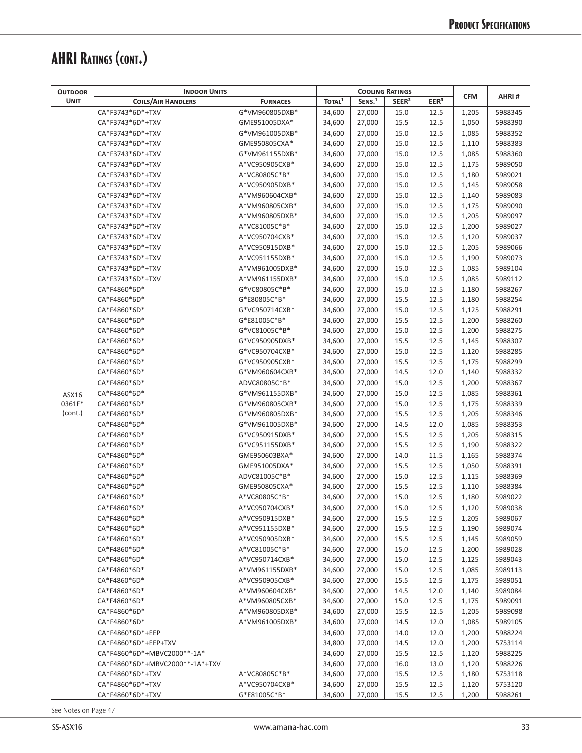| <b>OUTDOOR</b>  | <b>INDOOR UNITS</b>             |                 |                    |                    | <b>COOLING RATINGS</b> |                  | <b>CFM</b>     | AHRI#              |
|-----------------|---------------------------------|-----------------|--------------------|--------------------|------------------------|------------------|----------------|--------------------|
| <b>UNIT</b>     | <b>COILS/AIR HANDLERS</b>       | <b>FURNACES</b> | TOTAL <sup>1</sup> | SENS. <sup>1</sup> | SEER <sup>2</sup>      | EER <sup>3</sup> |                |                    |
|                 | CA*F3743*6D*+TXV                | G*VM960805DXB*  | 34,600             | 27,000             | 15.0                   | 12.5             | 1,205          | 5988345            |
|                 | CA*F3743*6D*+TXV                | GME951005DXA*   | 34,600             | 27,000             | 15.5                   | 12.5             | 1,050          | 5988390            |
|                 | CA*F3743*6D*+TXV                | G*VM961005DXB*  | 34,600             | 27,000             | 15.0                   | 12.5             | 1,085          | 5988352            |
|                 | CA*F3743*6D*+TXV                | GME950805CXA*   | 34,600             | 27,000             | 15.0                   | 12.5             | 1,110          | 5988383            |
|                 | CA*F3743*6D*+TXV                | G*VM961155DXB*  | 34,600             | 27,000             | 15.0                   | 12.5             | 1,085          | 5988360            |
|                 | CA*F3743*6D*+TXV                | A*VC950905CXB*  | 34,600             | 27,000             | 15.0                   | 12.5             | 1,175          | 5989050            |
|                 | CA*F3743*6D*+TXV                | A*VC80805C*B*   | 34,600             | 27,000             | 15.0                   | 12.5             | 1,180          | 5989021            |
|                 | CA*F3743*6D*+TXV                | A*VC950905DXB*  | 34,600             | 27,000             | 15.0                   | 12.5             | 1,145          | 5989058            |
|                 | CA*F3743*6D*+TXV                | A*VM960604CXB*  | 34,600             | 27,000             | 15.0                   | 12.5             | 1,140          | 5989083            |
|                 | CA*F3743*6D*+TXV                | A*VM960805CXB*  | 34,600             | 27,000             | 15.0                   | 12.5             | 1,175          | 5989090            |
|                 | CA*F3743*6D*+TXV                | A*VM960805DXB*  | 34,600             | 27,000             | 15.0                   | 12.5             | 1,205          | 5989097            |
|                 | CA*F3743*6D*+TXV                | A*VC81005C*B*   | 34,600             | 27,000             | 15.0                   | 12.5             | 1,200          | 5989027            |
|                 | CA*F3743*6D*+TXV                | A*VC950704CXB*  | 34,600             | 27,000             | 15.0                   | 12.5             | 1,120          | 5989037            |
|                 | CA*F3743*6D*+TXV                | A*VC950915DXB*  | 34,600             | 27,000             | 15.0                   | 12.5             | 1,205          | 5989066            |
|                 | CA*F3743*6D*+TXV                | A*VC951155DXB*  | 34,600             | 27,000             | 15.0                   | 12.5             | 1,190          | 5989073            |
|                 | CA*F3743*6D*+TXV                | A*VM961005DXB*  | 34,600             | 27,000             | 15.0                   | 12.5             | 1,085          | 5989104            |
|                 | CA*F3743*6D*+TXV                | A*VM961155DXB*  | 34,600             | 27,000             | 15.0                   | 12.5             | 1,085          | 5989112            |
|                 | CA*F4860*6D*                    | G*VC80805C*B*   | 34,600             | 27,000             | 15.0                   | 12.5             | 1,180          | 5988267            |
|                 | CA*F4860*6D*                    | G*E80805C*B*    | 34,600             | 27,000             | 15.5                   | 12.5             | 1,180          | 5988254            |
|                 | CA*F4860*6D*                    | G*VC950714CXB*  | 34,600             | 27,000             | 15.0                   | 12.5             | 1,125          | 5988291            |
|                 | CA*F4860*6D*                    | G*E81005C*B*    | 34,600             | 27,000             | 15.5                   | 12.5             |                | 5988260            |
|                 | CA*F4860*6D*                    | G*VC81005C*B*   | 34,600             | 27,000             | 15.0                   | 12.5             | 1,200<br>1,200 | 5988275            |
|                 | CA*F4860*6D*                    | G*VC950905DXB*  | 34,600             | 27,000             | 15.5                   | 12.5             | 1,145          | 5988307            |
|                 | CA*F4860*6D*                    | G*VC950704CXB*  | 34,600             | 27,000             | 15.0                   | 12.5             | 1,120          | 5988285            |
|                 | CA*F4860*6D*                    | G*VC950905CXB*  | 34,600             | 27,000             | 15.5                   | 12.5             | 1,175          | 5988299            |
|                 | CA*F4860*6D*                    | G*VM960604CXB*  | 34,600             | 27,000             | 14.5                   | 12.0             |                | 5988332            |
|                 | CA*F4860*6D*                    | ADVC80805C*B*   | 34,600             | 27,000             | 15.0                   | 12.5             | 1,140          | 5988367            |
|                 | CA*F4860*6D*                    | G*VM961155DXB*  | 34,600             | 27,000             | 15.0                   | 12.5             | 1,200<br>1,085 | 5988361            |
| ASX16<br>0361F* | CA*F4860*6D*                    | G*VM960805CXB*  | 34,600             | 27,000             | 15.0                   | 12.5             | 1,175          | 5988339            |
| (cont.)         | CA*F4860*6D*                    | G*VM960805DXB*  | 34,600             | 27,000             | 15.5                   | 12.5             | 1,205          | 5988346            |
|                 | CA*F4860*6D*                    | G*VM961005DXB*  | 34,600             | 27,000             | 14.5                   | 12.0             | 1,085          | 5988353            |
|                 | CA*F4860*6D*                    | G*VC950915DXB*  | 34,600             | 27,000             | 15.5                   | 12.5             | 1,205          | 5988315            |
|                 | CA*F4860*6D*                    | G*VC951155DXB*  | 34,600             | 27,000             | 15.5                   | 12.5             | 1,190          | 5988322            |
|                 | CA*F4860*6D*                    | GME950603BXA*   | 34,600             | 27,000             | 14.0                   | 11.5             | 1,165          | 5988374            |
|                 | CA*F4860*6D*                    | GME951005DXA*   | 34,600             | 27,000             | 15.5                   | 12.5             | 1,050          | 5988391            |
|                 | CA*F4860*6D*                    | ADVC81005C*B*   | 34,600             | 27,000             | 15.0                   | 12.5             | 1,115          | 5988369            |
|                 | CA*F4860*6D*                    | GME950805CXA*   | 34,600             | 27,000             | 15.5                   | 12.5             | 1,110          | 5988384            |
|                 | CA*F4860*6D*                    | A*VC80805C*B*   | 34,600             | 27,000             | 15.0                   | 12.5             | 1,180          | 5989022            |
|                 | CA*F4860*6D*                    | A*VC950704CXB*  | 34,600             | 27,000             | 15.0                   | 12.5             | 1,120          | 5989038            |
|                 | CA*F4860*6D*                    | A*VC950915DXB*  | 34,600             | 27,000             | 15.5                   | 12.5             | 1,205          | 5989067            |
|                 | CA*F4860*6D*                    | A*VC951155DXB*  | 34,600             | 27,000             | 15.5                   | 12.5             | 1,190          | 5989074            |
|                 | CA*F4860*6D*                    | A*VC950905DXB*  | 34,600             | 27,000             | 15.5                   | 12.5             | 1,145          | 5989059            |
|                 | CA*F4860*6D*                    | A*VC81005C*B*   | 34,600             | 27,000             | 15.0                   | 12.5             | 1,200          | 5989028            |
|                 | CA*F4860*6D*                    | A*VC950714CXB*  | 34,600             | 27,000             | 15.0                   | 12.5             | 1,125          | 5989043            |
|                 | CA*F4860*6D*                    | A*VM961155DXB*  | 34,600             | 27,000             | 15.0                   | 12.5             | 1,085          | 5989113            |
|                 | CA*F4860*6D*                    | A*VC950905CXB*  | 34,600             | 27,000             | 15.5                   | 12.5             | 1,175          | 5989051            |
|                 | CA*F4860*6D*                    | A*VM960604CXB*  | 34,600             | 27,000             | 14.5                   | 12.0             | 1,140          | 5989084            |
|                 | CA*F4860*6D*                    | A*VM960805CXB*  |                    |                    | 15.0                   |                  |                | 5989091            |
|                 | CA*F4860*6D*                    | A*VM960805DXB*  | 34,600             | 27,000<br>27,000   | 15.5                   | 12.5<br>12.5     | 1,175          | 5989098            |
|                 | CA*F4860*6D*                    | A*VM961005DXB*  | 34,600<br>34,600   | 27,000             | 14.5                   | 12.0             | 1,205<br>1,085 | 5989105            |
|                 | CA*F4860*6D*+EEP                |                 |                    |                    | 14.0                   |                  |                | 5988224            |
|                 | CA*F4860*6D*+EEP+TXV            |                 | 34,600<br>34,800   | 27,000<br>27,000   | 14.5                   | 12.0<br>12.0     | 1,200<br>1,200 | 5753114            |
|                 | CA*F4860*6D*+MBVC2000**-1A*     |                 |                    | 27,000             |                        |                  |                | 5988225            |
|                 | CA*F4860*6D*+MBVC2000**-1A*+TXV |                 | 34,600             |                    | 15.5                   | 12.5             | 1,120          |                    |
|                 | CA*F4860*6D*+TXV                | A*VC80805C*B*   | 34,600             | 27,000             | 16.0<br>15.5           | 13.0<br>12.5     | 1,120          | 5988226<br>5753118 |
|                 | CA*F4860*6D*+TXV                | A*VC950704CXB*  | 34,600<br>34,600   | 27,000<br>27,000   | 15.5                   | 12.5             | 1,180          | 5753120            |
|                 | CA*F4860*6D*+TXV                | G*E81005C*B*    | 34,600             | 27,000             | 15.5                   | 12.5             | 1,120<br>1,200 | 5988261            |
|                 |                                 |                 |                    |                    |                        |                  |                |                    |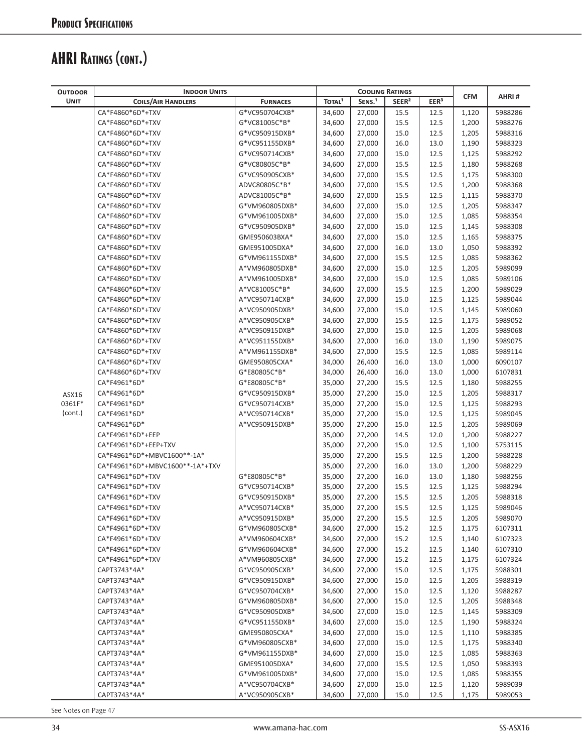See Notes on Page 47

| <b>OUTDOOR</b> | <b>INDOOR UNITS</b>             |                 |                    |                    | <b>COOLING RATINGS</b> |                  |            |         |
|----------------|---------------------------------|-----------------|--------------------|--------------------|------------------------|------------------|------------|---------|
| <b>UNIT</b>    | <b>COILS/AIR HANDLERS</b>       | <b>FURNACES</b> | TOTAL <sup>1</sup> | SENS. <sup>1</sup> | SEER <sup>2</sup>      | EER <sup>3</sup> | <b>CFM</b> | AHRI#   |
|                | CA*F4860*6D*+TXV                | G*VC950704CXB*  | 34,600             | 27,000             | 15.5                   | 12.5             | 1,120      | 5988286 |
|                | CA*F4860*6D*+TXV                | G*VC81005C*B*   | 34,600             | 27,000             | 15.5                   | 12.5             | 1,200      | 5988276 |
|                | CA*F4860*6D*+TXV                | G*VC950915DXB*  | 34,600             | 27,000             | 15.0                   | 12.5             | 1,205      | 5988316 |
|                | CA*F4860*6D*+TXV                | G*VC951155DXB*  | 34,600             | 27,000             | 16.0                   | 13.0             | 1,190      | 5988323 |
|                | CA*F4860*6D*+TXV                | G*VC950714CXB*  | 34,600             | 27,000             | 15.0                   | 12.5             | 1,125      | 5988292 |
|                | CA*F4860*6D*+TXV                | G*VC80805C*B*   | 34,600             | 27,000             | 15.5                   | 12.5             | 1,180      | 5988268 |
|                | CA*F4860*6D*+TXV                | G*VC950905CXB*  | 34,600             | 27,000             | 15.5                   | 12.5             | 1,175      | 5988300 |
|                | CA*F4860*6D*+TXV                | ADVC80805C*B*   | 34,600             | 27,000             | 15.5                   | 12.5             | 1,200      | 5988368 |
|                | CA*F4860*6D*+TXV                | ADVC81005C*B*   | 34,600             | 27,000             | 15.5                   | 12.5             | 1,115      | 5988370 |
|                | CA*F4860*6D*+TXV                | G*VM960805DXB*  | 34,600             | 27,000             | 15.0                   | 12.5             | 1,205      | 5988347 |
|                | CA*F4860*6D*+TXV                | G*VM961005DXB*  | 34,600             | 27,000             | 15.0                   | 12.5             | 1,085      | 5988354 |
|                | CA*F4860*6D*+TXV                | G*VC950905DXB*  | 34,600             |                    | 15.0                   | 12.5             |            | 5988308 |
|                | CA*F4860*6D*+TXV                | GME950603BXA*   |                    | 27,000             | 15.0                   | 12.5             | 1,145      | 5988375 |
|                | CA*F4860*6D*+TXV                |                 | 34,600             | 27,000             |                        |                  | 1,165      |         |
|                |                                 | GME951005DXA*   | 34,600             | 27,000             | 16.0                   | 13.0             | 1,050      | 5988392 |
|                | CA*F4860*6D*+TXV                | G*VM961155DXB*  | 34,600             | 27,000             | 15.5                   | 12.5             | 1,085      | 5988362 |
|                | CA*F4860*6D*+TXV                | A*VM960805DXB*  | 34,600             | 27,000             | 15.0                   | 12.5             | 1,205      | 5989099 |
|                | CA*F4860*6D*+TXV                | A*VM961005DXB*  | 34,600             | 27,000             | 15.0                   | 12.5             | 1,085      | 5989106 |
|                | CA*F4860*6D*+TXV                | A*VC81005C*B*   | 34,600             | 27,000             | 15.5                   | 12.5             | 1,200      | 5989029 |
|                | CA*F4860*6D*+TXV                | A*VC950714CXB*  | 34,600             | 27,000             | 15.0                   | 12.5             | 1,125      | 5989044 |
|                | CA*F4860*6D*+TXV                | A*VC950905DXB*  | 34,600             | 27,000             | 15.0                   | 12.5             | 1,145      | 5989060 |
|                | CA*F4860*6D*+TXV                | A*VC950905CXB*  | 34,600             | 27,000             | 15.5                   | 12.5             | 1,175      | 5989052 |
|                | CA*F4860*6D*+TXV                | A*VC950915DXB*  | 34,600             | 27,000             | 15.0                   | 12.5             | 1,205      | 5989068 |
|                | CA*F4860*6D*+TXV                | A*VC951155DXB*  | 34,600             | 27,000             | 16.0                   | 13.0             | 1,190      | 5989075 |
|                | CA*F4860*6D*+TXV                | A*VM961155DXB*  | 34,600             | 27,000             | 15.5                   | 12.5             | 1,085      | 5989114 |
|                | CA*F4860*6D*+TXV                | GME950805CXA*   | 34,000             | 26,400             | 16.0                   | 13.0             | 1,000      | 6090107 |
|                | CA*F4860*6D*+TXV                | G*E80805C*B*    | 34,000             | 26,400             | 16.0                   | 13.0             | 1,000      | 6107831 |
|                | CA*F4961*6D*                    | G*E80805C*B*    | 35,000             | 27,200             | 15.5                   | 12.5             | 1,180      | 5988255 |
| ASX16          | CA*F4961*6D*                    | G*VC950915DXB*  | 35,000             | 27,200             | 15.0                   | 12.5             | 1,205      | 5988317 |
| 0361F*         | CA*F4961*6D*                    | G*VC950714CXB*  | 35,000             | 27,200             | 15.0                   | 12.5             | 1,125      | 5988293 |
| (cont.)        | CA*F4961*6D*                    | A*VC950714CXB*  | 35,000             | 27,200             | 15.0                   | 12.5             | 1,125      | 5989045 |
|                | CA*F4961*6D*                    | A*VC950915DXB*  | 35,000             | 27,200             | 15.0                   | 12.5             | 1,205      | 5989069 |
|                | CA*F4961*6D*+EEP                |                 | 35,000             | 27,200             | 14.5                   | 12.0             | 1,200      | 5988227 |
|                | CA*F4961*6D*+EEP+TXV            |                 | 35,000             | 27,200             | 15.0                   | 12.5             | 1,100      | 5753115 |
|                | CA*F4961*6D*+MBVC1600**-1A*     |                 | 35,000             | 27,200             | 15.5                   | 12.5             | 1,200      | 5988228 |
|                | CA*F4961*6D*+MBVC1600**-1A*+TXV |                 | 35,000             | 27,200             | 16.0                   | 13.0             | 1,200      | 5988229 |
|                | CA*F4961*6D*+TXV                | G*E80805C*B*    | 35,000             | 27,200             | 16.0                   | 13.0             | 1,180      | 5988256 |
|                | CA*F4961*6D*+TXV                | G*VC950714CXB*  | 35,000             | 27,200             | 15.5                   | 12.5             | 1,125      | 5988294 |
|                | CA*F4961*6D*+TXV                | G*VC950915DXB*  | 35,000             | 27,200             | 15.5                   | 12.5             | 1,205      | 5988318 |
|                | CA*F4961*6D*+TXV                | A*VC950714CXB*  | 35,000             | 27,200             | 15.5                   | 12.5             | 1,125      | 5989046 |
|                | CA*F4961*6D*+TXV                | A*VC950915DXB*  | 35,000             | 27,200             | 15.5                   | 12.5             | 1,205      | 5989070 |
|                | CA*F4961*6D*+TXV                | G*VM960805CXB*  | 34,600             | 27,000             | 15.2                   | 12.5             | 1,175      | 6107311 |
|                | CA*F4961*6D*+TXV                | A*VM960604CXB*  | 34,600             | 27,000             | 15.2                   | 12.5             | 1,140      | 6107323 |
|                | CA*F4961*6D*+TXV                | G*VM960604CXB*  | 34,600             | 27,000             | 15.2                   | 12.5             | 1,140      | 6107310 |
|                | CA*F4961*6D*+TXV                | A*VM960805CXB*  | 34,600             | 27,000             | 15.2                   | 12.5             | 1,175      | 6107324 |
|                | CAPT3743*4A*                    | G*VC950905CXB*  | 34,600             | 27,000             | 15.0                   | 12.5             | 1,175      | 5988301 |
|                | CAPT3743*4A*                    | G*VC950915DXB*  | 34,600             | 27,000             | 15.0                   | 12.5             | 1,205      | 5988319 |
|                | CAPT3743*4A*                    | G*VC950704CXB*  | 34,600             | 27,000             | 15.0                   | 12.5             | 1,120      | 5988287 |
|                | CAPT3743*4A*                    | G*VM960805DXB*  | 34,600             | 27,000             | 15.0                   | 12.5             | 1,205      | 5988348 |
|                | CAPT3743*4A*                    | G*VC950905DXB*  | 34,600             | 27,000             | 15.0                   | 12.5             | 1,145      | 5988309 |
|                | CAPT3743*4A*                    | G*VC951155DXB*  | 34,600             | 27,000             | 15.0                   | 12.5             | 1,190      | 5988324 |
|                | CAPT3743*4A*                    | GME950805CXA*   | 34,600             | 27,000             | 15.0                   | 12.5             | 1,110      | 5988385 |
|                | CAPT3743*4A*                    | G*VM960805CXB*  | 34,600             | 27,000             | 15.0                   | 12.5             | 1,175      | 5988340 |
|                | CAPT3743*4A*                    | G*VM961155DXB*  | 34,600             | 27,000             | 15.0                   | 12.5             | 1,085      | 5988363 |
|                | CAPT3743*4A*                    | GME951005DXA*   | 34,600             | 27,000             | 15.5                   | 12.5             | 1,050      | 5988393 |
|                | CAPT3743*4A*                    | G*VM961005DXB*  | 34,600             | 27,000             | 15.0                   | 12.5             | 1,085      | 5988355 |
|                | CAPT3743*4A*                    | A*VC950704CXB*  | 34,600             | 27,000             | 15.0                   | 12.5             | 1,120      | 5989039 |
|                | CAPT3743*4A*                    | A*VC950905CXB*  | 34,600             | 27,000             | 15.0                   | 12.5             | 1,175      | 5989053 |
|                |                                 |                 |                    |                    |                        |                  |            |         |

# **AHRI Ratings (cont.)**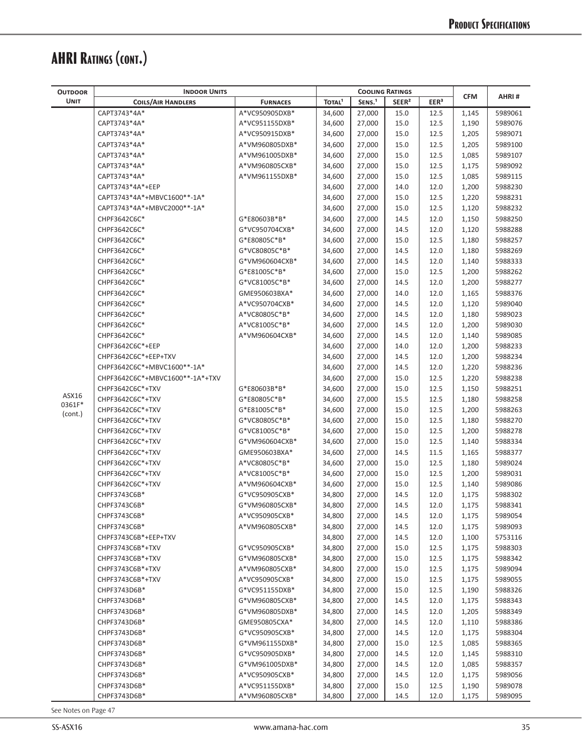| <b>UNIT</b><br>SENS. <sup>1</sup><br>EER <sup>3</sup><br>TOTAL <sup>1</sup><br>SEER <sup>2</sup><br><b>COILS/AIR HANDLERS</b><br><b>FURNACES</b><br>CAPT3743*4A*<br>A*VC950905DXB*<br>5989061<br>34,600<br>15.0<br>27,000<br>12.5<br>1,145<br>CAPT3743*4A*<br>A*VC951155DXB*<br>27,000<br>5989076<br>34,600<br>15.0<br>12.5<br>1,190<br>CAPT3743*4A*<br>A*VC950915DXB*<br>27,000<br>15.0<br>5989071<br>34,600<br>12.5<br>1,205<br>CAPT3743*4A*<br>A*VM960805DXB*<br>27,000<br>15.0<br>5989100<br>34,600<br>12.5<br>1,205<br>CAPT3743*4A*<br>A*VM961005DXB*<br>34,600<br>27,000<br>15.0<br>12.5<br>1,085<br>5989107<br>CAPT3743*4A*<br>A*VM960805CXB*<br>34,600<br>27,000<br>15.0<br>12.5<br>1,175<br>5989092<br>CAPT3743*4A*<br>A*VM961155DXB*<br>15.0<br>5989115<br>34,600<br>27,000<br>12.5<br>1,085<br>CAPT3743*4A*+EEP<br>12.0<br>5988230<br>34,600<br>27,000<br>14.0<br>1,200<br>CAPT3743*4A*+MBVC1600**-1A*<br>34,600<br>27,000<br>15.0<br>12.5<br>1,220<br>5988231<br>CAPT3743*4A*+MBVC2000**-1A*<br>27,000<br>15.0<br>5988232<br>34,600<br>12.5<br>1,120<br>CHPF3642C6C*<br>5988250<br>G*E80603B*B*<br>34,600<br>27,000<br>14.5<br>12.0<br>1,150<br>CHPF3642C6C*<br>G*VC950704CXB*<br>27,000<br>12.0<br>5988288<br>34,600<br>14.5<br>1,120<br>CHPF3642C6C*<br>G*E80805C*B*<br>5988257<br>34,600<br>27,000<br>15.0<br>12.5<br>1,180<br>14.5<br>5988269<br>CHPF3642C6C*<br>G*VC80805C*B*<br>34,600<br>27,000<br>12.0<br>1,180<br>G*VM960604CXB*<br>12.0<br>5988333<br>CHPF3642C6C*<br>34,600<br>27,000<br>14.5<br>1,140<br>CHPF3642C6C*<br>G*E81005C*B*<br>15.0<br>5988262<br>34,600<br>27,000<br>12.5<br>1,200<br>CHPF3642C6C*<br>G*VC81005C*B*<br>27,000<br>5988277<br>34,600<br>14.5<br>12.0<br>1,200<br>5988376<br>CHPF3642C6C*<br>GME950603BXA*<br>34,600<br>27,000<br>14.0<br>12.0<br>1,165<br>CHPF3642C6C*<br>A*VC950704CXB*<br>12.0<br>5989040<br>34,600<br>27,000<br>14.5<br>1,120<br>CHPF3642C6C*<br>A*VC80805C*B*<br>34,600<br>27,000<br>14.5<br>12.0<br>1,180<br>5989023<br>CHPF3642C6C*<br>A*VC81005C*B*<br>14.5<br>5989030<br>34,600<br>27,000<br>12.0<br>1,200<br>A*VM960604CXB*<br>CHPF3642C6C*<br>34,600<br>27,000<br>14.5<br>12.0<br>1,140<br>5989085<br>CHPF3642C6C*+EEP<br>5988233<br>34,600<br>27,000<br>14.0<br>12.0<br>1,200<br>CHPF3642C6C*+EEP+TXV<br>5988234<br>34,600<br>27,000<br>14.5<br>12.0<br>1,200<br>CHPF3642C6C*+MBVC1600**-1A*<br>27,000<br>14.5<br>5988236<br>34,600<br>12.0<br>1,220<br>CHPF3642C6C*+MBVC1600**-1A*+TXV<br>15.0<br>12.5<br>5988238<br>34,600<br>27,000<br>1,220<br>5988251<br>CHPF3642C6C*+TXV<br>G*E80603B*B*<br>34,600<br>27,000<br>15.0<br>12.5<br>1,150<br>ASX16<br>CHPF3642C6C*+TXV<br>G*E80805C*B*<br>15.5<br>12.5<br>5988258<br>34,600<br>27,000<br>1,180<br>0361F*<br>CHPF3642C6C*+TXV<br>G*E81005C*B*<br>15.0<br>5988263<br>34,600<br>27,000<br>12.5<br>1,200<br>(cont.)<br>5988270<br>CHPF3642C6C*+TXV<br>G*VC80805C*B*<br>34,600<br>27,000<br>15.0<br>12.5<br>1,180<br>G*VC81005C*B*<br>5988278<br>CHPF3642C6C*+TXV<br>34,600<br>27,000<br>15.0<br>12.5<br>1,200<br>CHPF3642C6C*+TXV<br>G*VM960604CXB*<br>15.0<br>5988334<br>34,600<br>27,000<br>12.5<br>1,140<br>CHPF3642C6C*+TXV<br>GME950603BXA*<br>5988377<br>34,600<br>27,000<br>14.5<br>11.5<br>1,165<br>CHPF3642C6C*+TXV<br>A*VC80805C*B*<br>34,600<br>27,000<br>15.0<br>12.5<br>1,180<br>5989024<br>CHPF3642C6C*+TXV<br>15.0<br>12.5<br>5989031<br>A*VC81005C*B*<br>34,600<br>27,000<br>1,200<br>CHPF3642C6C*+TXV<br>A*VM960604CXB*<br>34,600<br>27,000<br>15.0<br>12.5<br>1,140<br>5989086<br>G*VC950905CXB*<br>5988302<br>CHPF3743C6B*<br>34,800<br>27,000<br>14.5<br>12.0<br>1,175<br>CHPF3743C6B*<br>G*VM960805CXB*<br>34,800<br>27,000<br>14.5<br>12.0<br>1,175<br>5988341<br>CHPF3743C6B*<br>A*VC950905CXB*<br>34,800<br>27,000<br>14.5<br>12.0<br>5989054<br>1,175<br>5989093<br>CHPF3743C6B*<br>A*VM960805CXB*<br>34,800<br>27,000<br>14.5<br>12.0<br>1,175<br>CHPF3743C6B*+EEP+TXV<br>34,800<br>27,000<br>14.5<br>12.0<br>1,100<br>5753116<br>G*VC950905CXB*<br>5988303<br>CHPF3743C6B*+TXV<br>34,800<br>27,000<br>15.0<br>12.5<br>1,175<br>15.0<br>CHPF3743C6B*+TXV<br>G*VM960805CXB*<br>34,800<br>27,000<br>12.5<br>1,175<br>5988342<br>15.0<br>12.5<br>CHPF3743C6B*+TXV<br>A*VM960805CXB*<br>34,800<br>27,000<br>1,175<br>5989094<br>A*VC950905CXB*<br>CHPF3743C6B*+TXV<br>34,800<br>27,000<br>15.0<br>12.5<br>1,175<br>5989055<br>CHPF3743D6B*<br>G*VC951155DXB*<br>34,800<br>27,000<br>15.0<br>12.5<br>5988326<br>1,190<br>G*VM960805CXB*<br>5988343<br>CHPF3743D6B*<br>34,800<br>27,000<br>14.5<br>12.0<br>1,175<br>CHPF3743D6B*<br>G*VM960805DXB*<br>34,800<br>27,000<br>14.5<br>12.0<br>1,205<br>5988349<br>CHPF3743D6B*<br>GME950805CXA*<br>34,800<br>27,000<br>14.5<br>12.0<br>1,110<br>5988386<br>CHPF3743D6B*<br>G*VC950905CXB*<br>27,000<br>14.5<br>5988304<br>34,800<br>12.0<br>1,175<br>CHPF3743D6B*<br>G*VM961155DXB*<br>15.0<br>12.5<br>34,800<br>27,000<br>1,085<br>5988365<br>CHPF3743D6B*<br>G*VC950905DXB*<br>34,800<br>27,000<br>14.5<br>12.0<br>1,145<br>5988310<br>CHPF3743D6B*<br>G*VM961005DXB*<br>27,000<br>5988357<br>34,800<br>14.5<br>12.0<br>1,085 | <b>OUTDOOR</b> | <b>INDOOR UNITS</b> |  | <b>COOLING RATINGS</b> |            |       |
|---------------------------------------------------------------------------------------------------------------------------------------------------------------------------------------------------------------------------------------------------------------------------------------------------------------------------------------------------------------------------------------------------------------------------------------------------------------------------------------------------------------------------------------------------------------------------------------------------------------------------------------------------------------------------------------------------------------------------------------------------------------------------------------------------------------------------------------------------------------------------------------------------------------------------------------------------------------------------------------------------------------------------------------------------------------------------------------------------------------------------------------------------------------------------------------------------------------------------------------------------------------------------------------------------------------------------------------------------------------------------------------------------------------------------------------------------------------------------------------------------------------------------------------------------------------------------------------------------------------------------------------------------------------------------------------------------------------------------------------------------------------------------------------------------------------------------------------------------------------------------------------------------------------------------------------------------------------------------------------------------------------------------------------------------------------------------------------------------------------------------------------------------------------------------------------------------------------------------------------------------------------------------------------------------------------------------------------------------------------------------------------------------------------------------------------------------------------------------------------------------------------------------------------------------------------------------------------------------------------------------------------------------------------------------------------------------------------------------------------------------------------------------------------------------------------------------------------------------------------------------------------------------------------------------------------------------------------------------------------------------------------------------------------------------------------------------------------------------------------------------------------------------------------------------------------------------------------------------------------------------------------------------------------------------------------------------------------------------------------------------------------------------------------------------------------------------------------------------------------------------------------------------------------------------------------------------------------------------------------------------------------------------------------------------------------------------------------------------------------------------------------------------------------------------------------------------------------------------------------------------------------------------------------------------------------------------------------------------------------------------------------------------------------------------------------------------------------------------------------------------------------------------------------------------------------------------------------------------------------------------------------------------------------------------------------------------------------------------------------------------------------------------------------------------------------------------------------------------------------------------------------------------------------------------------------------------------------------------------------------------------------------------------------------------------------------------------------------------------------------------------------------------------------------------------------------------------------------------------------------------------------------------------------------------------------------------------------------------------------------------------------------------------------------------------------------------------------------------------------------------|----------------|---------------------|--|------------------------|------------|-------|
|                                                                                                                                                                                                                                                                                                                                                                                                                                                                                                                                                                                                                                                                                                                                                                                                                                                                                                                                                                                                                                                                                                                                                                                                                                                                                                                                                                                                                                                                                                                                                                                                                                                                                                                                                                                                                                                                                                                                                                                                                                                                                                                                                                                                                                                                                                                                                                                                                                                                                                                                                                                                                                                                                                                                                                                                                                                                                                                                                                                                                                                                                                                                                                                                                                                                                                                                                                                                                                                                                                                                                                                                                                                                                                                                                                                                                                                                                                                                                                                                                                                                                                                                                                                                                                                                                                                                                                                                                                                                                                                                                                                                                                                                                                                                                                                                                                                                                                                                                                                                                                                                                                                           |                |                     |  |                        | <b>CFM</b> | AHRI# |
|                                                                                                                                                                                                                                                                                                                                                                                                                                                                                                                                                                                                                                                                                                                                                                                                                                                                                                                                                                                                                                                                                                                                                                                                                                                                                                                                                                                                                                                                                                                                                                                                                                                                                                                                                                                                                                                                                                                                                                                                                                                                                                                                                                                                                                                                                                                                                                                                                                                                                                                                                                                                                                                                                                                                                                                                                                                                                                                                                                                                                                                                                                                                                                                                                                                                                                                                                                                                                                                                                                                                                                                                                                                                                                                                                                                                                                                                                                                                                                                                                                                                                                                                                                                                                                                                                                                                                                                                                                                                                                                                                                                                                                                                                                                                                                                                                                                                                                                                                                                                                                                                                                                           |                |                     |  |                        |            |       |
|                                                                                                                                                                                                                                                                                                                                                                                                                                                                                                                                                                                                                                                                                                                                                                                                                                                                                                                                                                                                                                                                                                                                                                                                                                                                                                                                                                                                                                                                                                                                                                                                                                                                                                                                                                                                                                                                                                                                                                                                                                                                                                                                                                                                                                                                                                                                                                                                                                                                                                                                                                                                                                                                                                                                                                                                                                                                                                                                                                                                                                                                                                                                                                                                                                                                                                                                                                                                                                                                                                                                                                                                                                                                                                                                                                                                                                                                                                                                                                                                                                                                                                                                                                                                                                                                                                                                                                                                                                                                                                                                                                                                                                                                                                                                                                                                                                                                                                                                                                                                                                                                                                                           |                |                     |  |                        |            |       |
|                                                                                                                                                                                                                                                                                                                                                                                                                                                                                                                                                                                                                                                                                                                                                                                                                                                                                                                                                                                                                                                                                                                                                                                                                                                                                                                                                                                                                                                                                                                                                                                                                                                                                                                                                                                                                                                                                                                                                                                                                                                                                                                                                                                                                                                                                                                                                                                                                                                                                                                                                                                                                                                                                                                                                                                                                                                                                                                                                                                                                                                                                                                                                                                                                                                                                                                                                                                                                                                                                                                                                                                                                                                                                                                                                                                                                                                                                                                                                                                                                                                                                                                                                                                                                                                                                                                                                                                                                                                                                                                                                                                                                                                                                                                                                                                                                                                                                                                                                                                                                                                                                                                           |                |                     |  |                        |            |       |
|                                                                                                                                                                                                                                                                                                                                                                                                                                                                                                                                                                                                                                                                                                                                                                                                                                                                                                                                                                                                                                                                                                                                                                                                                                                                                                                                                                                                                                                                                                                                                                                                                                                                                                                                                                                                                                                                                                                                                                                                                                                                                                                                                                                                                                                                                                                                                                                                                                                                                                                                                                                                                                                                                                                                                                                                                                                                                                                                                                                                                                                                                                                                                                                                                                                                                                                                                                                                                                                                                                                                                                                                                                                                                                                                                                                                                                                                                                                                                                                                                                                                                                                                                                                                                                                                                                                                                                                                                                                                                                                                                                                                                                                                                                                                                                                                                                                                                                                                                                                                                                                                                                                           |                |                     |  |                        |            |       |
|                                                                                                                                                                                                                                                                                                                                                                                                                                                                                                                                                                                                                                                                                                                                                                                                                                                                                                                                                                                                                                                                                                                                                                                                                                                                                                                                                                                                                                                                                                                                                                                                                                                                                                                                                                                                                                                                                                                                                                                                                                                                                                                                                                                                                                                                                                                                                                                                                                                                                                                                                                                                                                                                                                                                                                                                                                                                                                                                                                                                                                                                                                                                                                                                                                                                                                                                                                                                                                                                                                                                                                                                                                                                                                                                                                                                                                                                                                                                                                                                                                                                                                                                                                                                                                                                                                                                                                                                                                                                                                                                                                                                                                                                                                                                                                                                                                                                                                                                                                                                                                                                                                                           |                |                     |  |                        |            |       |
|                                                                                                                                                                                                                                                                                                                                                                                                                                                                                                                                                                                                                                                                                                                                                                                                                                                                                                                                                                                                                                                                                                                                                                                                                                                                                                                                                                                                                                                                                                                                                                                                                                                                                                                                                                                                                                                                                                                                                                                                                                                                                                                                                                                                                                                                                                                                                                                                                                                                                                                                                                                                                                                                                                                                                                                                                                                                                                                                                                                                                                                                                                                                                                                                                                                                                                                                                                                                                                                                                                                                                                                                                                                                                                                                                                                                                                                                                                                                                                                                                                                                                                                                                                                                                                                                                                                                                                                                                                                                                                                                                                                                                                                                                                                                                                                                                                                                                                                                                                                                                                                                                                                           |                |                     |  |                        |            |       |
|                                                                                                                                                                                                                                                                                                                                                                                                                                                                                                                                                                                                                                                                                                                                                                                                                                                                                                                                                                                                                                                                                                                                                                                                                                                                                                                                                                                                                                                                                                                                                                                                                                                                                                                                                                                                                                                                                                                                                                                                                                                                                                                                                                                                                                                                                                                                                                                                                                                                                                                                                                                                                                                                                                                                                                                                                                                                                                                                                                                                                                                                                                                                                                                                                                                                                                                                                                                                                                                                                                                                                                                                                                                                                                                                                                                                                                                                                                                                                                                                                                                                                                                                                                                                                                                                                                                                                                                                                                                                                                                                                                                                                                                                                                                                                                                                                                                                                                                                                                                                                                                                                                                           |                |                     |  |                        |            |       |
|                                                                                                                                                                                                                                                                                                                                                                                                                                                                                                                                                                                                                                                                                                                                                                                                                                                                                                                                                                                                                                                                                                                                                                                                                                                                                                                                                                                                                                                                                                                                                                                                                                                                                                                                                                                                                                                                                                                                                                                                                                                                                                                                                                                                                                                                                                                                                                                                                                                                                                                                                                                                                                                                                                                                                                                                                                                                                                                                                                                                                                                                                                                                                                                                                                                                                                                                                                                                                                                                                                                                                                                                                                                                                                                                                                                                                                                                                                                                                                                                                                                                                                                                                                                                                                                                                                                                                                                                                                                                                                                                                                                                                                                                                                                                                                                                                                                                                                                                                                                                                                                                                                                           |                |                     |  |                        |            |       |
|                                                                                                                                                                                                                                                                                                                                                                                                                                                                                                                                                                                                                                                                                                                                                                                                                                                                                                                                                                                                                                                                                                                                                                                                                                                                                                                                                                                                                                                                                                                                                                                                                                                                                                                                                                                                                                                                                                                                                                                                                                                                                                                                                                                                                                                                                                                                                                                                                                                                                                                                                                                                                                                                                                                                                                                                                                                                                                                                                                                                                                                                                                                                                                                                                                                                                                                                                                                                                                                                                                                                                                                                                                                                                                                                                                                                                                                                                                                                                                                                                                                                                                                                                                                                                                                                                                                                                                                                                                                                                                                                                                                                                                                                                                                                                                                                                                                                                                                                                                                                                                                                                                                           |                |                     |  |                        |            |       |
|                                                                                                                                                                                                                                                                                                                                                                                                                                                                                                                                                                                                                                                                                                                                                                                                                                                                                                                                                                                                                                                                                                                                                                                                                                                                                                                                                                                                                                                                                                                                                                                                                                                                                                                                                                                                                                                                                                                                                                                                                                                                                                                                                                                                                                                                                                                                                                                                                                                                                                                                                                                                                                                                                                                                                                                                                                                                                                                                                                                                                                                                                                                                                                                                                                                                                                                                                                                                                                                                                                                                                                                                                                                                                                                                                                                                                                                                                                                                                                                                                                                                                                                                                                                                                                                                                                                                                                                                                                                                                                                                                                                                                                                                                                                                                                                                                                                                                                                                                                                                                                                                                                                           |                |                     |  |                        |            |       |
|                                                                                                                                                                                                                                                                                                                                                                                                                                                                                                                                                                                                                                                                                                                                                                                                                                                                                                                                                                                                                                                                                                                                                                                                                                                                                                                                                                                                                                                                                                                                                                                                                                                                                                                                                                                                                                                                                                                                                                                                                                                                                                                                                                                                                                                                                                                                                                                                                                                                                                                                                                                                                                                                                                                                                                                                                                                                                                                                                                                                                                                                                                                                                                                                                                                                                                                                                                                                                                                                                                                                                                                                                                                                                                                                                                                                                                                                                                                                                                                                                                                                                                                                                                                                                                                                                                                                                                                                                                                                                                                                                                                                                                                                                                                                                                                                                                                                                                                                                                                                                                                                                                                           |                |                     |  |                        |            |       |
|                                                                                                                                                                                                                                                                                                                                                                                                                                                                                                                                                                                                                                                                                                                                                                                                                                                                                                                                                                                                                                                                                                                                                                                                                                                                                                                                                                                                                                                                                                                                                                                                                                                                                                                                                                                                                                                                                                                                                                                                                                                                                                                                                                                                                                                                                                                                                                                                                                                                                                                                                                                                                                                                                                                                                                                                                                                                                                                                                                                                                                                                                                                                                                                                                                                                                                                                                                                                                                                                                                                                                                                                                                                                                                                                                                                                                                                                                                                                                                                                                                                                                                                                                                                                                                                                                                                                                                                                                                                                                                                                                                                                                                                                                                                                                                                                                                                                                                                                                                                                                                                                                                                           |                |                     |  |                        |            |       |
|                                                                                                                                                                                                                                                                                                                                                                                                                                                                                                                                                                                                                                                                                                                                                                                                                                                                                                                                                                                                                                                                                                                                                                                                                                                                                                                                                                                                                                                                                                                                                                                                                                                                                                                                                                                                                                                                                                                                                                                                                                                                                                                                                                                                                                                                                                                                                                                                                                                                                                                                                                                                                                                                                                                                                                                                                                                                                                                                                                                                                                                                                                                                                                                                                                                                                                                                                                                                                                                                                                                                                                                                                                                                                                                                                                                                                                                                                                                                                                                                                                                                                                                                                                                                                                                                                                                                                                                                                                                                                                                                                                                                                                                                                                                                                                                                                                                                                                                                                                                                                                                                                                                           |                |                     |  |                        |            |       |
|                                                                                                                                                                                                                                                                                                                                                                                                                                                                                                                                                                                                                                                                                                                                                                                                                                                                                                                                                                                                                                                                                                                                                                                                                                                                                                                                                                                                                                                                                                                                                                                                                                                                                                                                                                                                                                                                                                                                                                                                                                                                                                                                                                                                                                                                                                                                                                                                                                                                                                                                                                                                                                                                                                                                                                                                                                                                                                                                                                                                                                                                                                                                                                                                                                                                                                                                                                                                                                                                                                                                                                                                                                                                                                                                                                                                                                                                                                                                                                                                                                                                                                                                                                                                                                                                                                                                                                                                                                                                                                                                                                                                                                                                                                                                                                                                                                                                                                                                                                                                                                                                                                                           |                |                     |  |                        |            |       |
|                                                                                                                                                                                                                                                                                                                                                                                                                                                                                                                                                                                                                                                                                                                                                                                                                                                                                                                                                                                                                                                                                                                                                                                                                                                                                                                                                                                                                                                                                                                                                                                                                                                                                                                                                                                                                                                                                                                                                                                                                                                                                                                                                                                                                                                                                                                                                                                                                                                                                                                                                                                                                                                                                                                                                                                                                                                                                                                                                                                                                                                                                                                                                                                                                                                                                                                                                                                                                                                                                                                                                                                                                                                                                                                                                                                                                                                                                                                                                                                                                                                                                                                                                                                                                                                                                                                                                                                                                                                                                                                                                                                                                                                                                                                                                                                                                                                                                                                                                                                                                                                                                                                           |                |                     |  |                        |            |       |
|                                                                                                                                                                                                                                                                                                                                                                                                                                                                                                                                                                                                                                                                                                                                                                                                                                                                                                                                                                                                                                                                                                                                                                                                                                                                                                                                                                                                                                                                                                                                                                                                                                                                                                                                                                                                                                                                                                                                                                                                                                                                                                                                                                                                                                                                                                                                                                                                                                                                                                                                                                                                                                                                                                                                                                                                                                                                                                                                                                                                                                                                                                                                                                                                                                                                                                                                                                                                                                                                                                                                                                                                                                                                                                                                                                                                                                                                                                                                                                                                                                                                                                                                                                                                                                                                                                                                                                                                                                                                                                                                                                                                                                                                                                                                                                                                                                                                                                                                                                                                                                                                                                                           |                |                     |  |                        |            |       |
|                                                                                                                                                                                                                                                                                                                                                                                                                                                                                                                                                                                                                                                                                                                                                                                                                                                                                                                                                                                                                                                                                                                                                                                                                                                                                                                                                                                                                                                                                                                                                                                                                                                                                                                                                                                                                                                                                                                                                                                                                                                                                                                                                                                                                                                                                                                                                                                                                                                                                                                                                                                                                                                                                                                                                                                                                                                                                                                                                                                                                                                                                                                                                                                                                                                                                                                                                                                                                                                                                                                                                                                                                                                                                                                                                                                                                                                                                                                                                                                                                                                                                                                                                                                                                                                                                                                                                                                                                                                                                                                                                                                                                                                                                                                                                                                                                                                                                                                                                                                                                                                                                                                           |                |                     |  |                        |            |       |
|                                                                                                                                                                                                                                                                                                                                                                                                                                                                                                                                                                                                                                                                                                                                                                                                                                                                                                                                                                                                                                                                                                                                                                                                                                                                                                                                                                                                                                                                                                                                                                                                                                                                                                                                                                                                                                                                                                                                                                                                                                                                                                                                                                                                                                                                                                                                                                                                                                                                                                                                                                                                                                                                                                                                                                                                                                                                                                                                                                                                                                                                                                                                                                                                                                                                                                                                                                                                                                                                                                                                                                                                                                                                                                                                                                                                                                                                                                                                                                                                                                                                                                                                                                                                                                                                                                                                                                                                                                                                                                                                                                                                                                                                                                                                                                                                                                                                                                                                                                                                                                                                                                                           |                |                     |  |                        |            |       |
|                                                                                                                                                                                                                                                                                                                                                                                                                                                                                                                                                                                                                                                                                                                                                                                                                                                                                                                                                                                                                                                                                                                                                                                                                                                                                                                                                                                                                                                                                                                                                                                                                                                                                                                                                                                                                                                                                                                                                                                                                                                                                                                                                                                                                                                                                                                                                                                                                                                                                                                                                                                                                                                                                                                                                                                                                                                                                                                                                                                                                                                                                                                                                                                                                                                                                                                                                                                                                                                                                                                                                                                                                                                                                                                                                                                                                                                                                                                                                                                                                                                                                                                                                                                                                                                                                                                                                                                                                                                                                                                                                                                                                                                                                                                                                                                                                                                                                                                                                                                                                                                                                                                           |                |                     |  |                        |            |       |
|                                                                                                                                                                                                                                                                                                                                                                                                                                                                                                                                                                                                                                                                                                                                                                                                                                                                                                                                                                                                                                                                                                                                                                                                                                                                                                                                                                                                                                                                                                                                                                                                                                                                                                                                                                                                                                                                                                                                                                                                                                                                                                                                                                                                                                                                                                                                                                                                                                                                                                                                                                                                                                                                                                                                                                                                                                                                                                                                                                                                                                                                                                                                                                                                                                                                                                                                                                                                                                                                                                                                                                                                                                                                                                                                                                                                                                                                                                                                                                                                                                                                                                                                                                                                                                                                                                                                                                                                                                                                                                                                                                                                                                                                                                                                                                                                                                                                                                                                                                                                                                                                                                                           |                |                     |  |                        |            |       |
|                                                                                                                                                                                                                                                                                                                                                                                                                                                                                                                                                                                                                                                                                                                                                                                                                                                                                                                                                                                                                                                                                                                                                                                                                                                                                                                                                                                                                                                                                                                                                                                                                                                                                                                                                                                                                                                                                                                                                                                                                                                                                                                                                                                                                                                                                                                                                                                                                                                                                                                                                                                                                                                                                                                                                                                                                                                                                                                                                                                                                                                                                                                                                                                                                                                                                                                                                                                                                                                                                                                                                                                                                                                                                                                                                                                                                                                                                                                                                                                                                                                                                                                                                                                                                                                                                                                                                                                                                                                                                                                                                                                                                                                                                                                                                                                                                                                                                                                                                                                                                                                                                                                           |                |                     |  |                        |            |       |
|                                                                                                                                                                                                                                                                                                                                                                                                                                                                                                                                                                                                                                                                                                                                                                                                                                                                                                                                                                                                                                                                                                                                                                                                                                                                                                                                                                                                                                                                                                                                                                                                                                                                                                                                                                                                                                                                                                                                                                                                                                                                                                                                                                                                                                                                                                                                                                                                                                                                                                                                                                                                                                                                                                                                                                                                                                                                                                                                                                                                                                                                                                                                                                                                                                                                                                                                                                                                                                                                                                                                                                                                                                                                                                                                                                                                                                                                                                                                                                                                                                                                                                                                                                                                                                                                                                                                                                                                                                                                                                                                                                                                                                                                                                                                                                                                                                                                                                                                                                                                                                                                                                                           |                |                     |  |                        |            |       |
|                                                                                                                                                                                                                                                                                                                                                                                                                                                                                                                                                                                                                                                                                                                                                                                                                                                                                                                                                                                                                                                                                                                                                                                                                                                                                                                                                                                                                                                                                                                                                                                                                                                                                                                                                                                                                                                                                                                                                                                                                                                                                                                                                                                                                                                                                                                                                                                                                                                                                                                                                                                                                                                                                                                                                                                                                                                                                                                                                                                                                                                                                                                                                                                                                                                                                                                                                                                                                                                                                                                                                                                                                                                                                                                                                                                                                                                                                                                                                                                                                                                                                                                                                                                                                                                                                                                                                                                                                                                                                                                                                                                                                                                                                                                                                                                                                                                                                                                                                                                                                                                                                                                           |                |                     |  |                        |            |       |
|                                                                                                                                                                                                                                                                                                                                                                                                                                                                                                                                                                                                                                                                                                                                                                                                                                                                                                                                                                                                                                                                                                                                                                                                                                                                                                                                                                                                                                                                                                                                                                                                                                                                                                                                                                                                                                                                                                                                                                                                                                                                                                                                                                                                                                                                                                                                                                                                                                                                                                                                                                                                                                                                                                                                                                                                                                                                                                                                                                                                                                                                                                                                                                                                                                                                                                                                                                                                                                                                                                                                                                                                                                                                                                                                                                                                                                                                                                                                                                                                                                                                                                                                                                                                                                                                                                                                                                                                                                                                                                                                                                                                                                                                                                                                                                                                                                                                                                                                                                                                                                                                                                                           |                |                     |  |                        |            |       |
|                                                                                                                                                                                                                                                                                                                                                                                                                                                                                                                                                                                                                                                                                                                                                                                                                                                                                                                                                                                                                                                                                                                                                                                                                                                                                                                                                                                                                                                                                                                                                                                                                                                                                                                                                                                                                                                                                                                                                                                                                                                                                                                                                                                                                                                                                                                                                                                                                                                                                                                                                                                                                                                                                                                                                                                                                                                                                                                                                                                                                                                                                                                                                                                                                                                                                                                                                                                                                                                                                                                                                                                                                                                                                                                                                                                                                                                                                                                                                                                                                                                                                                                                                                                                                                                                                                                                                                                                                                                                                                                                                                                                                                                                                                                                                                                                                                                                                                                                                                                                                                                                                                                           |                |                     |  |                        |            |       |
|                                                                                                                                                                                                                                                                                                                                                                                                                                                                                                                                                                                                                                                                                                                                                                                                                                                                                                                                                                                                                                                                                                                                                                                                                                                                                                                                                                                                                                                                                                                                                                                                                                                                                                                                                                                                                                                                                                                                                                                                                                                                                                                                                                                                                                                                                                                                                                                                                                                                                                                                                                                                                                                                                                                                                                                                                                                                                                                                                                                                                                                                                                                                                                                                                                                                                                                                                                                                                                                                                                                                                                                                                                                                                                                                                                                                                                                                                                                                                                                                                                                                                                                                                                                                                                                                                                                                                                                                                                                                                                                                                                                                                                                                                                                                                                                                                                                                                                                                                                                                                                                                                                                           |                |                     |  |                        |            |       |
|                                                                                                                                                                                                                                                                                                                                                                                                                                                                                                                                                                                                                                                                                                                                                                                                                                                                                                                                                                                                                                                                                                                                                                                                                                                                                                                                                                                                                                                                                                                                                                                                                                                                                                                                                                                                                                                                                                                                                                                                                                                                                                                                                                                                                                                                                                                                                                                                                                                                                                                                                                                                                                                                                                                                                                                                                                                                                                                                                                                                                                                                                                                                                                                                                                                                                                                                                                                                                                                                                                                                                                                                                                                                                                                                                                                                                                                                                                                                                                                                                                                                                                                                                                                                                                                                                                                                                                                                                                                                                                                                                                                                                                                                                                                                                                                                                                                                                                                                                                                                                                                                                                                           |                |                     |  |                        |            |       |
|                                                                                                                                                                                                                                                                                                                                                                                                                                                                                                                                                                                                                                                                                                                                                                                                                                                                                                                                                                                                                                                                                                                                                                                                                                                                                                                                                                                                                                                                                                                                                                                                                                                                                                                                                                                                                                                                                                                                                                                                                                                                                                                                                                                                                                                                                                                                                                                                                                                                                                                                                                                                                                                                                                                                                                                                                                                                                                                                                                                                                                                                                                                                                                                                                                                                                                                                                                                                                                                                                                                                                                                                                                                                                                                                                                                                                                                                                                                                                                                                                                                                                                                                                                                                                                                                                                                                                                                                                                                                                                                                                                                                                                                                                                                                                                                                                                                                                                                                                                                                                                                                                                                           |                |                     |  |                        |            |       |
|                                                                                                                                                                                                                                                                                                                                                                                                                                                                                                                                                                                                                                                                                                                                                                                                                                                                                                                                                                                                                                                                                                                                                                                                                                                                                                                                                                                                                                                                                                                                                                                                                                                                                                                                                                                                                                                                                                                                                                                                                                                                                                                                                                                                                                                                                                                                                                                                                                                                                                                                                                                                                                                                                                                                                                                                                                                                                                                                                                                                                                                                                                                                                                                                                                                                                                                                                                                                                                                                                                                                                                                                                                                                                                                                                                                                                                                                                                                                                                                                                                                                                                                                                                                                                                                                                                                                                                                                                                                                                                                                                                                                                                                                                                                                                                                                                                                                                                                                                                                                                                                                                                                           |                |                     |  |                        |            |       |
|                                                                                                                                                                                                                                                                                                                                                                                                                                                                                                                                                                                                                                                                                                                                                                                                                                                                                                                                                                                                                                                                                                                                                                                                                                                                                                                                                                                                                                                                                                                                                                                                                                                                                                                                                                                                                                                                                                                                                                                                                                                                                                                                                                                                                                                                                                                                                                                                                                                                                                                                                                                                                                                                                                                                                                                                                                                                                                                                                                                                                                                                                                                                                                                                                                                                                                                                                                                                                                                                                                                                                                                                                                                                                                                                                                                                                                                                                                                                                                                                                                                                                                                                                                                                                                                                                                                                                                                                                                                                                                                                                                                                                                                                                                                                                                                                                                                                                                                                                                                                                                                                                                                           |                |                     |  |                        |            |       |
|                                                                                                                                                                                                                                                                                                                                                                                                                                                                                                                                                                                                                                                                                                                                                                                                                                                                                                                                                                                                                                                                                                                                                                                                                                                                                                                                                                                                                                                                                                                                                                                                                                                                                                                                                                                                                                                                                                                                                                                                                                                                                                                                                                                                                                                                                                                                                                                                                                                                                                                                                                                                                                                                                                                                                                                                                                                                                                                                                                                                                                                                                                                                                                                                                                                                                                                                                                                                                                                                                                                                                                                                                                                                                                                                                                                                                                                                                                                                                                                                                                                                                                                                                                                                                                                                                                                                                                                                                                                                                                                                                                                                                                                                                                                                                                                                                                                                                                                                                                                                                                                                                                                           |                |                     |  |                        |            |       |
|                                                                                                                                                                                                                                                                                                                                                                                                                                                                                                                                                                                                                                                                                                                                                                                                                                                                                                                                                                                                                                                                                                                                                                                                                                                                                                                                                                                                                                                                                                                                                                                                                                                                                                                                                                                                                                                                                                                                                                                                                                                                                                                                                                                                                                                                                                                                                                                                                                                                                                                                                                                                                                                                                                                                                                                                                                                                                                                                                                                                                                                                                                                                                                                                                                                                                                                                                                                                                                                                                                                                                                                                                                                                                                                                                                                                                                                                                                                                                                                                                                                                                                                                                                                                                                                                                                                                                                                                                                                                                                                                                                                                                                                                                                                                                                                                                                                                                                                                                                                                                                                                                                                           |                |                     |  |                        |            |       |
|                                                                                                                                                                                                                                                                                                                                                                                                                                                                                                                                                                                                                                                                                                                                                                                                                                                                                                                                                                                                                                                                                                                                                                                                                                                                                                                                                                                                                                                                                                                                                                                                                                                                                                                                                                                                                                                                                                                                                                                                                                                                                                                                                                                                                                                                                                                                                                                                                                                                                                                                                                                                                                                                                                                                                                                                                                                                                                                                                                                                                                                                                                                                                                                                                                                                                                                                                                                                                                                                                                                                                                                                                                                                                                                                                                                                                                                                                                                                                                                                                                                                                                                                                                                                                                                                                                                                                                                                                                                                                                                                                                                                                                                                                                                                                                                                                                                                                                                                                                                                                                                                                                                           |                |                     |  |                        |            |       |
|                                                                                                                                                                                                                                                                                                                                                                                                                                                                                                                                                                                                                                                                                                                                                                                                                                                                                                                                                                                                                                                                                                                                                                                                                                                                                                                                                                                                                                                                                                                                                                                                                                                                                                                                                                                                                                                                                                                                                                                                                                                                                                                                                                                                                                                                                                                                                                                                                                                                                                                                                                                                                                                                                                                                                                                                                                                                                                                                                                                                                                                                                                                                                                                                                                                                                                                                                                                                                                                                                                                                                                                                                                                                                                                                                                                                                                                                                                                                                                                                                                                                                                                                                                                                                                                                                                                                                                                                                                                                                                                                                                                                                                                                                                                                                                                                                                                                                                                                                                                                                                                                                                                           |                |                     |  |                        |            |       |
|                                                                                                                                                                                                                                                                                                                                                                                                                                                                                                                                                                                                                                                                                                                                                                                                                                                                                                                                                                                                                                                                                                                                                                                                                                                                                                                                                                                                                                                                                                                                                                                                                                                                                                                                                                                                                                                                                                                                                                                                                                                                                                                                                                                                                                                                                                                                                                                                                                                                                                                                                                                                                                                                                                                                                                                                                                                                                                                                                                                                                                                                                                                                                                                                                                                                                                                                                                                                                                                                                                                                                                                                                                                                                                                                                                                                                                                                                                                                                                                                                                                                                                                                                                                                                                                                                                                                                                                                                                                                                                                                                                                                                                                                                                                                                                                                                                                                                                                                                                                                                                                                                                                           |                |                     |  |                        |            |       |
|                                                                                                                                                                                                                                                                                                                                                                                                                                                                                                                                                                                                                                                                                                                                                                                                                                                                                                                                                                                                                                                                                                                                                                                                                                                                                                                                                                                                                                                                                                                                                                                                                                                                                                                                                                                                                                                                                                                                                                                                                                                                                                                                                                                                                                                                                                                                                                                                                                                                                                                                                                                                                                                                                                                                                                                                                                                                                                                                                                                                                                                                                                                                                                                                                                                                                                                                                                                                                                                                                                                                                                                                                                                                                                                                                                                                                                                                                                                                                                                                                                                                                                                                                                                                                                                                                                                                                                                                                                                                                                                                                                                                                                                                                                                                                                                                                                                                                                                                                                                                                                                                                                                           |                |                     |  |                        |            |       |
|                                                                                                                                                                                                                                                                                                                                                                                                                                                                                                                                                                                                                                                                                                                                                                                                                                                                                                                                                                                                                                                                                                                                                                                                                                                                                                                                                                                                                                                                                                                                                                                                                                                                                                                                                                                                                                                                                                                                                                                                                                                                                                                                                                                                                                                                                                                                                                                                                                                                                                                                                                                                                                                                                                                                                                                                                                                                                                                                                                                                                                                                                                                                                                                                                                                                                                                                                                                                                                                                                                                                                                                                                                                                                                                                                                                                                                                                                                                                                                                                                                                                                                                                                                                                                                                                                                                                                                                                                                                                                                                                                                                                                                                                                                                                                                                                                                                                                                                                                                                                                                                                                                                           |                |                     |  |                        |            |       |
|                                                                                                                                                                                                                                                                                                                                                                                                                                                                                                                                                                                                                                                                                                                                                                                                                                                                                                                                                                                                                                                                                                                                                                                                                                                                                                                                                                                                                                                                                                                                                                                                                                                                                                                                                                                                                                                                                                                                                                                                                                                                                                                                                                                                                                                                                                                                                                                                                                                                                                                                                                                                                                                                                                                                                                                                                                                                                                                                                                                                                                                                                                                                                                                                                                                                                                                                                                                                                                                                                                                                                                                                                                                                                                                                                                                                                                                                                                                                                                                                                                                                                                                                                                                                                                                                                                                                                                                                                                                                                                                                                                                                                                                                                                                                                                                                                                                                                                                                                                                                                                                                                                                           |                |                     |  |                        |            |       |
|                                                                                                                                                                                                                                                                                                                                                                                                                                                                                                                                                                                                                                                                                                                                                                                                                                                                                                                                                                                                                                                                                                                                                                                                                                                                                                                                                                                                                                                                                                                                                                                                                                                                                                                                                                                                                                                                                                                                                                                                                                                                                                                                                                                                                                                                                                                                                                                                                                                                                                                                                                                                                                                                                                                                                                                                                                                                                                                                                                                                                                                                                                                                                                                                                                                                                                                                                                                                                                                                                                                                                                                                                                                                                                                                                                                                                                                                                                                                                                                                                                                                                                                                                                                                                                                                                                                                                                                                                                                                                                                                                                                                                                                                                                                                                                                                                                                                                                                                                                                                                                                                                                                           |                |                     |  |                        |            |       |
|                                                                                                                                                                                                                                                                                                                                                                                                                                                                                                                                                                                                                                                                                                                                                                                                                                                                                                                                                                                                                                                                                                                                                                                                                                                                                                                                                                                                                                                                                                                                                                                                                                                                                                                                                                                                                                                                                                                                                                                                                                                                                                                                                                                                                                                                                                                                                                                                                                                                                                                                                                                                                                                                                                                                                                                                                                                                                                                                                                                                                                                                                                                                                                                                                                                                                                                                                                                                                                                                                                                                                                                                                                                                                                                                                                                                                                                                                                                                                                                                                                                                                                                                                                                                                                                                                                                                                                                                                                                                                                                                                                                                                                                                                                                                                                                                                                                                                                                                                                                                                                                                                                                           |                |                     |  |                        |            |       |
|                                                                                                                                                                                                                                                                                                                                                                                                                                                                                                                                                                                                                                                                                                                                                                                                                                                                                                                                                                                                                                                                                                                                                                                                                                                                                                                                                                                                                                                                                                                                                                                                                                                                                                                                                                                                                                                                                                                                                                                                                                                                                                                                                                                                                                                                                                                                                                                                                                                                                                                                                                                                                                                                                                                                                                                                                                                                                                                                                                                                                                                                                                                                                                                                                                                                                                                                                                                                                                                                                                                                                                                                                                                                                                                                                                                                                                                                                                                                                                                                                                                                                                                                                                                                                                                                                                                                                                                                                                                                                                                                                                                                                                                                                                                                                                                                                                                                                                                                                                                                                                                                                                                           |                |                     |  |                        |            |       |
|                                                                                                                                                                                                                                                                                                                                                                                                                                                                                                                                                                                                                                                                                                                                                                                                                                                                                                                                                                                                                                                                                                                                                                                                                                                                                                                                                                                                                                                                                                                                                                                                                                                                                                                                                                                                                                                                                                                                                                                                                                                                                                                                                                                                                                                                                                                                                                                                                                                                                                                                                                                                                                                                                                                                                                                                                                                                                                                                                                                                                                                                                                                                                                                                                                                                                                                                                                                                                                                                                                                                                                                                                                                                                                                                                                                                                                                                                                                                                                                                                                                                                                                                                                                                                                                                                                                                                                                                                                                                                                                                                                                                                                                                                                                                                                                                                                                                                                                                                                                                                                                                                                                           |                |                     |  |                        |            |       |
|                                                                                                                                                                                                                                                                                                                                                                                                                                                                                                                                                                                                                                                                                                                                                                                                                                                                                                                                                                                                                                                                                                                                                                                                                                                                                                                                                                                                                                                                                                                                                                                                                                                                                                                                                                                                                                                                                                                                                                                                                                                                                                                                                                                                                                                                                                                                                                                                                                                                                                                                                                                                                                                                                                                                                                                                                                                                                                                                                                                                                                                                                                                                                                                                                                                                                                                                                                                                                                                                                                                                                                                                                                                                                                                                                                                                                                                                                                                                                                                                                                                                                                                                                                                                                                                                                                                                                                                                                                                                                                                                                                                                                                                                                                                                                                                                                                                                                                                                                                                                                                                                                                                           |                |                     |  |                        |            |       |
|                                                                                                                                                                                                                                                                                                                                                                                                                                                                                                                                                                                                                                                                                                                                                                                                                                                                                                                                                                                                                                                                                                                                                                                                                                                                                                                                                                                                                                                                                                                                                                                                                                                                                                                                                                                                                                                                                                                                                                                                                                                                                                                                                                                                                                                                                                                                                                                                                                                                                                                                                                                                                                                                                                                                                                                                                                                                                                                                                                                                                                                                                                                                                                                                                                                                                                                                                                                                                                                                                                                                                                                                                                                                                                                                                                                                                                                                                                                                                                                                                                                                                                                                                                                                                                                                                                                                                                                                                                                                                                                                                                                                                                                                                                                                                                                                                                                                                                                                                                                                                                                                                                                           |                |                     |  |                        |            |       |
|                                                                                                                                                                                                                                                                                                                                                                                                                                                                                                                                                                                                                                                                                                                                                                                                                                                                                                                                                                                                                                                                                                                                                                                                                                                                                                                                                                                                                                                                                                                                                                                                                                                                                                                                                                                                                                                                                                                                                                                                                                                                                                                                                                                                                                                                                                                                                                                                                                                                                                                                                                                                                                                                                                                                                                                                                                                                                                                                                                                                                                                                                                                                                                                                                                                                                                                                                                                                                                                                                                                                                                                                                                                                                                                                                                                                                                                                                                                                                                                                                                                                                                                                                                                                                                                                                                                                                                                                                                                                                                                                                                                                                                                                                                                                                                                                                                                                                                                                                                                                                                                                                                                           |                |                     |  |                        |            |       |
|                                                                                                                                                                                                                                                                                                                                                                                                                                                                                                                                                                                                                                                                                                                                                                                                                                                                                                                                                                                                                                                                                                                                                                                                                                                                                                                                                                                                                                                                                                                                                                                                                                                                                                                                                                                                                                                                                                                                                                                                                                                                                                                                                                                                                                                                                                                                                                                                                                                                                                                                                                                                                                                                                                                                                                                                                                                                                                                                                                                                                                                                                                                                                                                                                                                                                                                                                                                                                                                                                                                                                                                                                                                                                                                                                                                                                                                                                                                                                                                                                                                                                                                                                                                                                                                                                                                                                                                                                                                                                                                                                                                                                                                                                                                                                                                                                                                                                                                                                                                                                                                                                                                           |                |                     |  |                        |            |       |
|                                                                                                                                                                                                                                                                                                                                                                                                                                                                                                                                                                                                                                                                                                                                                                                                                                                                                                                                                                                                                                                                                                                                                                                                                                                                                                                                                                                                                                                                                                                                                                                                                                                                                                                                                                                                                                                                                                                                                                                                                                                                                                                                                                                                                                                                                                                                                                                                                                                                                                                                                                                                                                                                                                                                                                                                                                                                                                                                                                                                                                                                                                                                                                                                                                                                                                                                                                                                                                                                                                                                                                                                                                                                                                                                                                                                                                                                                                                                                                                                                                                                                                                                                                                                                                                                                                                                                                                                                                                                                                                                                                                                                                                                                                                                                                                                                                                                                                                                                                                                                                                                                                                           |                |                     |  |                        |            |       |
|                                                                                                                                                                                                                                                                                                                                                                                                                                                                                                                                                                                                                                                                                                                                                                                                                                                                                                                                                                                                                                                                                                                                                                                                                                                                                                                                                                                                                                                                                                                                                                                                                                                                                                                                                                                                                                                                                                                                                                                                                                                                                                                                                                                                                                                                                                                                                                                                                                                                                                                                                                                                                                                                                                                                                                                                                                                                                                                                                                                                                                                                                                                                                                                                                                                                                                                                                                                                                                                                                                                                                                                                                                                                                                                                                                                                                                                                                                                                                                                                                                                                                                                                                                                                                                                                                                                                                                                                                                                                                                                                                                                                                                                                                                                                                                                                                                                                                                                                                                                                                                                                                                                           |                |                     |  |                        |            |       |
|                                                                                                                                                                                                                                                                                                                                                                                                                                                                                                                                                                                                                                                                                                                                                                                                                                                                                                                                                                                                                                                                                                                                                                                                                                                                                                                                                                                                                                                                                                                                                                                                                                                                                                                                                                                                                                                                                                                                                                                                                                                                                                                                                                                                                                                                                                                                                                                                                                                                                                                                                                                                                                                                                                                                                                                                                                                                                                                                                                                                                                                                                                                                                                                                                                                                                                                                                                                                                                                                                                                                                                                                                                                                                                                                                                                                                                                                                                                                                                                                                                                                                                                                                                                                                                                                                                                                                                                                                                                                                                                                                                                                                                                                                                                                                                                                                                                                                                                                                                                                                                                                                                                           |                |                     |  |                        |            |       |
|                                                                                                                                                                                                                                                                                                                                                                                                                                                                                                                                                                                                                                                                                                                                                                                                                                                                                                                                                                                                                                                                                                                                                                                                                                                                                                                                                                                                                                                                                                                                                                                                                                                                                                                                                                                                                                                                                                                                                                                                                                                                                                                                                                                                                                                                                                                                                                                                                                                                                                                                                                                                                                                                                                                                                                                                                                                                                                                                                                                                                                                                                                                                                                                                                                                                                                                                                                                                                                                                                                                                                                                                                                                                                                                                                                                                                                                                                                                                                                                                                                                                                                                                                                                                                                                                                                                                                                                                                                                                                                                                                                                                                                                                                                                                                                                                                                                                                                                                                                                                                                                                                                                           |                |                     |  |                        |            |       |
|                                                                                                                                                                                                                                                                                                                                                                                                                                                                                                                                                                                                                                                                                                                                                                                                                                                                                                                                                                                                                                                                                                                                                                                                                                                                                                                                                                                                                                                                                                                                                                                                                                                                                                                                                                                                                                                                                                                                                                                                                                                                                                                                                                                                                                                                                                                                                                                                                                                                                                                                                                                                                                                                                                                                                                                                                                                                                                                                                                                                                                                                                                                                                                                                                                                                                                                                                                                                                                                                                                                                                                                                                                                                                                                                                                                                                                                                                                                                                                                                                                                                                                                                                                                                                                                                                                                                                                                                                                                                                                                                                                                                                                                                                                                                                                                                                                                                                                                                                                                                                                                                                                                           |                |                     |  |                        |            |       |
|                                                                                                                                                                                                                                                                                                                                                                                                                                                                                                                                                                                                                                                                                                                                                                                                                                                                                                                                                                                                                                                                                                                                                                                                                                                                                                                                                                                                                                                                                                                                                                                                                                                                                                                                                                                                                                                                                                                                                                                                                                                                                                                                                                                                                                                                                                                                                                                                                                                                                                                                                                                                                                                                                                                                                                                                                                                                                                                                                                                                                                                                                                                                                                                                                                                                                                                                                                                                                                                                                                                                                                                                                                                                                                                                                                                                                                                                                                                                                                                                                                                                                                                                                                                                                                                                                                                                                                                                                                                                                                                                                                                                                                                                                                                                                                                                                                                                                                                                                                                                                                                                                                                           |                |                     |  |                        |            |       |
|                                                                                                                                                                                                                                                                                                                                                                                                                                                                                                                                                                                                                                                                                                                                                                                                                                                                                                                                                                                                                                                                                                                                                                                                                                                                                                                                                                                                                                                                                                                                                                                                                                                                                                                                                                                                                                                                                                                                                                                                                                                                                                                                                                                                                                                                                                                                                                                                                                                                                                                                                                                                                                                                                                                                                                                                                                                                                                                                                                                                                                                                                                                                                                                                                                                                                                                                                                                                                                                                                                                                                                                                                                                                                                                                                                                                                                                                                                                                                                                                                                                                                                                                                                                                                                                                                                                                                                                                                                                                                                                                                                                                                                                                                                                                                                                                                                                                                                                                                                                                                                                                                                                           |                |                     |  |                        |            |       |
| A*VC950905CXB*<br>27,000<br>5989056<br>CHPF3743D6B*<br>34,800<br>14.5<br>12.0<br>1,175                                                                                                                                                                                                                                                                                                                                                                                                                                                                                                                                                                                                                                                                                                                                                                                                                                                                                                                                                                                                                                                                                                                                                                                                                                                                                                                                                                                                                                                                                                                                                                                                                                                                                                                                                                                                                                                                                                                                                                                                                                                                                                                                                                                                                                                                                                                                                                                                                                                                                                                                                                                                                                                                                                                                                                                                                                                                                                                                                                                                                                                                                                                                                                                                                                                                                                                                                                                                                                                                                                                                                                                                                                                                                                                                                                                                                                                                                                                                                                                                                                                                                                                                                                                                                                                                                                                                                                                                                                                                                                                                                                                                                                                                                                                                                                                                                                                                                                                                                                                                                                    |                |                     |  |                        |            |       |
| CHPF3743D6B*<br>A*VC951155DXB*<br>5989078<br>34,800<br>27,000<br>15.0<br>12.5<br>1,190                                                                                                                                                                                                                                                                                                                                                                                                                                                                                                                                                                                                                                                                                                                                                                                                                                                                                                                                                                                                                                                                                                                                                                                                                                                                                                                                                                                                                                                                                                                                                                                                                                                                                                                                                                                                                                                                                                                                                                                                                                                                                                                                                                                                                                                                                                                                                                                                                                                                                                                                                                                                                                                                                                                                                                                                                                                                                                                                                                                                                                                                                                                                                                                                                                                                                                                                                                                                                                                                                                                                                                                                                                                                                                                                                                                                                                                                                                                                                                                                                                                                                                                                                                                                                                                                                                                                                                                                                                                                                                                                                                                                                                                                                                                                                                                                                                                                                                                                                                                                                                    |                |                     |  |                        |            |       |
| CHPF3743D6B*<br>A*VM960805CXB*<br>34,800<br>27,000<br>14.5<br>12.0<br>1,175<br>5989095                                                                                                                                                                                                                                                                                                                                                                                                                                                                                                                                                                                                                                                                                                                                                                                                                                                                                                                                                                                                                                                                                                                                                                                                                                                                                                                                                                                                                                                                                                                                                                                                                                                                                                                                                                                                                                                                                                                                                                                                                                                                                                                                                                                                                                                                                                                                                                                                                                                                                                                                                                                                                                                                                                                                                                                                                                                                                                                                                                                                                                                                                                                                                                                                                                                                                                                                                                                                                                                                                                                                                                                                                                                                                                                                                                                                                                                                                                                                                                                                                                                                                                                                                                                                                                                                                                                                                                                                                                                                                                                                                                                                                                                                                                                                                                                                                                                                                                                                                                                                                                    |                |                     |  |                        |            |       |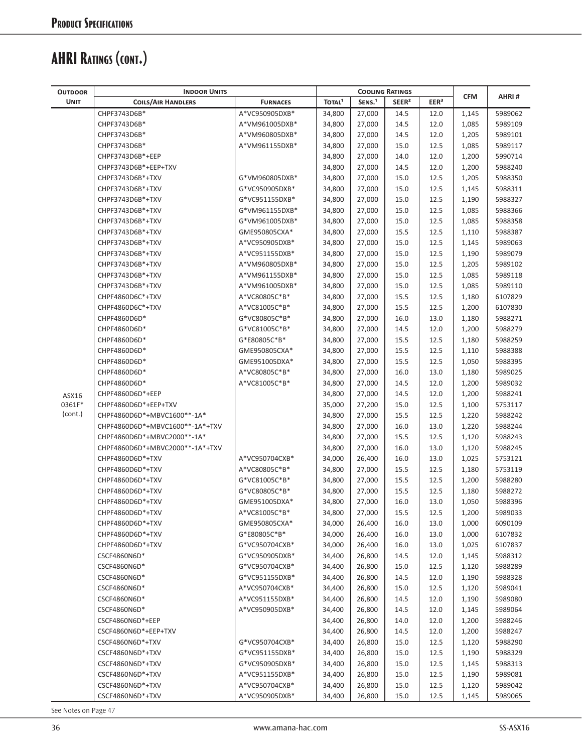| <b>CFM</b><br>AHRI#<br><b>UNIT</b><br>SENS. <sup>1</sup><br>EER <sup>3</sup><br>TOTAL <sup>1</sup><br>SEER <sup>2</sup><br><b>COILS/AIR HANDLERS</b><br><b>FURNACES</b><br>CHPF3743D6B*<br>A*VC950905DXB*<br>34,800<br>5989062<br>27,000<br>14.5<br>12.0<br>1,145<br>34,800<br>12.0<br>5989109<br>CHPF3743D6B*<br>A*VM961005DXB*<br>27,000<br>14.5<br>1,085<br>CHPF3743D6B*<br>5989101<br>A*VM960805DXB*<br>34,800<br>27,000<br>14.5<br>12.0<br>1,205<br>CHPF3743D6B*<br>34,800<br>27,000<br>15.0<br>5989117<br>A*VM961155DXB*<br>12.5<br>1,085<br>5990714<br>CHPF3743D6B*+EEP<br>34,800<br>27,000<br>14.0<br>12.0<br>1,200<br>CHPF3743D6B*+EEP+TXV<br>12.0<br>5988240<br>34,800<br>27,000<br>14.5<br>1,200<br>CHPF3743D6B*+TXV<br>G*VM960805DXB*<br>34,800<br>27,000<br>15.0<br>12.5<br>1,205<br>5988350<br>G*VC950905DXB*<br>CHPF3743D6B*+TXV<br>34,800<br>27,000<br>15.0<br>12.5<br>1,145<br>5988311<br>CHPF3743D6B*+TXV<br>G*VC951155DXB*<br>15.0<br>5988327<br>34,800<br>27,000<br>12.5<br>1,190<br>15.0<br>CHPF3743D6B*+TXV<br>G*VM961155DXB*<br>34,800<br>27,000<br>12.5<br>1,085<br>5988366<br>CHPF3743D6B*+TXV<br>G*VM961005DXB*<br>34,800<br>27,000<br>15.0<br>12.5<br>1,085<br>5988358<br>CHPF3743D6B*+TXV<br>GME950805CXA*<br>34,800<br>27,000<br>15.5<br>12.5<br>1,110<br>5988387<br>CHPF3743D6B*+TXV<br>A*VC950905DXB*<br>15.0<br>5989063<br>34,800<br>27,000<br>12.5<br>1,145<br>15.0<br>5989079<br>CHPF3743D6B*+TXV<br>A*VC951155DXB*<br>34,800<br>27,000<br>12.5<br>1,190<br>CHPF3743D6B*+TXV<br>A*VM960805DXB*<br>27,000<br>15.0<br>5989102<br>34,800<br>12.5<br>1,205<br>CHPF3743D6B*+TXV<br>A*VM961155DXB*<br>12.5<br>5989118<br>34,800<br>27,000<br>15.0<br>1,085<br>CHPF3743D6B*+TXV<br>A*VM961005DXB*<br>34,800<br>27,000<br>15.0<br>12.5<br>1,085<br>5989110<br>15.5<br>CHPF4860D6C*+TXV<br>A*VC80805C*B*<br>34,800<br>27,000<br>12.5<br>1,180<br>6107829 |  |
|-----------------------------------------------------------------------------------------------------------------------------------------------------------------------------------------------------------------------------------------------------------------------------------------------------------------------------------------------------------------------------------------------------------------------------------------------------------------------------------------------------------------------------------------------------------------------------------------------------------------------------------------------------------------------------------------------------------------------------------------------------------------------------------------------------------------------------------------------------------------------------------------------------------------------------------------------------------------------------------------------------------------------------------------------------------------------------------------------------------------------------------------------------------------------------------------------------------------------------------------------------------------------------------------------------------------------------------------------------------------------------------------------------------------------------------------------------------------------------------------------------------------------------------------------------------------------------------------------------------------------------------------------------------------------------------------------------------------------------------------------------------------------------------------------------------------------------------------------------------------------------------|--|
|                                                                                                                                                                                                                                                                                                                                                                                                                                                                                                                                                                                                                                                                                                                                                                                                                                                                                                                                                                                                                                                                                                                                                                                                                                                                                                                                                                                                                                                                                                                                                                                                                                                                                                                                                                                                                                                                                   |  |
|                                                                                                                                                                                                                                                                                                                                                                                                                                                                                                                                                                                                                                                                                                                                                                                                                                                                                                                                                                                                                                                                                                                                                                                                                                                                                                                                                                                                                                                                                                                                                                                                                                                                                                                                                                                                                                                                                   |  |
|                                                                                                                                                                                                                                                                                                                                                                                                                                                                                                                                                                                                                                                                                                                                                                                                                                                                                                                                                                                                                                                                                                                                                                                                                                                                                                                                                                                                                                                                                                                                                                                                                                                                                                                                                                                                                                                                                   |  |
|                                                                                                                                                                                                                                                                                                                                                                                                                                                                                                                                                                                                                                                                                                                                                                                                                                                                                                                                                                                                                                                                                                                                                                                                                                                                                                                                                                                                                                                                                                                                                                                                                                                                                                                                                                                                                                                                                   |  |
|                                                                                                                                                                                                                                                                                                                                                                                                                                                                                                                                                                                                                                                                                                                                                                                                                                                                                                                                                                                                                                                                                                                                                                                                                                                                                                                                                                                                                                                                                                                                                                                                                                                                                                                                                                                                                                                                                   |  |
|                                                                                                                                                                                                                                                                                                                                                                                                                                                                                                                                                                                                                                                                                                                                                                                                                                                                                                                                                                                                                                                                                                                                                                                                                                                                                                                                                                                                                                                                                                                                                                                                                                                                                                                                                                                                                                                                                   |  |
|                                                                                                                                                                                                                                                                                                                                                                                                                                                                                                                                                                                                                                                                                                                                                                                                                                                                                                                                                                                                                                                                                                                                                                                                                                                                                                                                                                                                                                                                                                                                                                                                                                                                                                                                                                                                                                                                                   |  |
|                                                                                                                                                                                                                                                                                                                                                                                                                                                                                                                                                                                                                                                                                                                                                                                                                                                                                                                                                                                                                                                                                                                                                                                                                                                                                                                                                                                                                                                                                                                                                                                                                                                                                                                                                                                                                                                                                   |  |
|                                                                                                                                                                                                                                                                                                                                                                                                                                                                                                                                                                                                                                                                                                                                                                                                                                                                                                                                                                                                                                                                                                                                                                                                                                                                                                                                                                                                                                                                                                                                                                                                                                                                                                                                                                                                                                                                                   |  |
|                                                                                                                                                                                                                                                                                                                                                                                                                                                                                                                                                                                                                                                                                                                                                                                                                                                                                                                                                                                                                                                                                                                                                                                                                                                                                                                                                                                                                                                                                                                                                                                                                                                                                                                                                                                                                                                                                   |  |
|                                                                                                                                                                                                                                                                                                                                                                                                                                                                                                                                                                                                                                                                                                                                                                                                                                                                                                                                                                                                                                                                                                                                                                                                                                                                                                                                                                                                                                                                                                                                                                                                                                                                                                                                                                                                                                                                                   |  |
|                                                                                                                                                                                                                                                                                                                                                                                                                                                                                                                                                                                                                                                                                                                                                                                                                                                                                                                                                                                                                                                                                                                                                                                                                                                                                                                                                                                                                                                                                                                                                                                                                                                                                                                                                                                                                                                                                   |  |
|                                                                                                                                                                                                                                                                                                                                                                                                                                                                                                                                                                                                                                                                                                                                                                                                                                                                                                                                                                                                                                                                                                                                                                                                                                                                                                                                                                                                                                                                                                                                                                                                                                                                                                                                                                                                                                                                                   |  |
|                                                                                                                                                                                                                                                                                                                                                                                                                                                                                                                                                                                                                                                                                                                                                                                                                                                                                                                                                                                                                                                                                                                                                                                                                                                                                                                                                                                                                                                                                                                                                                                                                                                                                                                                                                                                                                                                                   |  |
|                                                                                                                                                                                                                                                                                                                                                                                                                                                                                                                                                                                                                                                                                                                                                                                                                                                                                                                                                                                                                                                                                                                                                                                                                                                                                                                                                                                                                                                                                                                                                                                                                                                                                                                                                                                                                                                                                   |  |
|                                                                                                                                                                                                                                                                                                                                                                                                                                                                                                                                                                                                                                                                                                                                                                                                                                                                                                                                                                                                                                                                                                                                                                                                                                                                                                                                                                                                                                                                                                                                                                                                                                                                                                                                                                                                                                                                                   |  |
|                                                                                                                                                                                                                                                                                                                                                                                                                                                                                                                                                                                                                                                                                                                                                                                                                                                                                                                                                                                                                                                                                                                                                                                                                                                                                                                                                                                                                                                                                                                                                                                                                                                                                                                                                                                                                                                                                   |  |
|                                                                                                                                                                                                                                                                                                                                                                                                                                                                                                                                                                                                                                                                                                                                                                                                                                                                                                                                                                                                                                                                                                                                                                                                                                                                                                                                                                                                                                                                                                                                                                                                                                                                                                                                                                                                                                                                                   |  |
|                                                                                                                                                                                                                                                                                                                                                                                                                                                                                                                                                                                                                                                                                                                                                                                                                                                                                                                                                                                                                                                                                                                                                                                                                                                                                                                                                                                                                                                                                                                                                                                                                                                                                                                                                                                                                                                                                   |  |
| CHPF4860D6C*+TXV<br>15.5<br>A*VC81005C*B*<br>34,800<br>27,000<br>12.5<br>1,200<br>6107830                                                                                                                                                                                                                                                                                                                                                                                                                                                                                                                                                                                                                                                                                                                                                                                                                                                                                                                                                                                                                                                                                                                                                                                                                                                                                                                                                                                                                                                                                                                                                                                                                                                                                                                                                                                         |  |
| CHPF4860D6D*<br>G*VC80805C*B*<br>34,800<br>16.0<br>13.0<br>5988271<br>27,000<br>1,180                                                                                                                                                                                                                                                                                                                                                                                                                                                                                                                                                                                                                                                                                                                                                                                                                                                                                                                                                                                                                                                                                                                                                                                                                                                                                                                                                                                                                                                                                                                                                                                                                                                                                                                                                                                             |  |
| 5988279<br>CHPF4860D6D*<br>G*VC81005C*B*<br>34,800<br>27,000<br>14.5<br>12.0<br>1,200                                                                                                                                                                                                                                                                                                                                                                                                                                                                                                                                                                                                                                                                                                                                                                                                                                                                                                                                                                                                                                                                                                                                                                                                                                                                                                                                                                                                                                                                                                                                                                                                                                                                                                                                                                                             |  |
| CHPF4860D6D*<br>G*E80805C*B*<br>5988259<br>34,800<br>27,000<br>15.5<br>12.5<br>1,180                                                                                                                                                                                                                                                                                                                                                                                                                                                                                                                                                                                                                                                                                                                                                                                                                                                                                                                                                                                                                                                                                                                                                                                                                                                                                                                                                                                                                                                                                                                                                                                                                                                                                                                                                                                              |  |
| CHPF4860D6D*<br>GME950805CXA*<br>15.5<br>5988388<br>34,800<br>27,000<br>12.5<br>1,110                                                                                                                                                                                                                                                                                                                                                                                                                                                                                                                                                                                                                                                                                                                                                                                                                                                                                                                                                                                                                                                                                                                                                                                                                                                                                                                                                                                                                                                                                                                                                                                                                                                                                                                                                                                             |  |
| CHPF4860D6D*<br>15.5<br>12.5<br>5988395<br>GME951005DXA*<br>34,800<br>27,000<br>1,050                                                                                                                                                                                                                                                                                                                                                                                                                                                                                                                                                                                                                                                                                                                                                                                                                                                                                                                                                                                                                                                                                                                                                                                                                                                                                                                                                                                                                                                                                                                                                                                                                                                                                                                                                                                             |  |
| A*VC80805C*B*<br>5989025<br>CHPF4860D6D*<br>34,800<br>27,000<br>16.0<br>13.0<br>1,180                                                                                                                                                                                                                                                                                                                                                                                                                                                                                                                                                                                                                                                                                                                                                                                                                                                                                                                                                                                                                                                                                                                                                                                                                                                                                                                                                                                                                                                                                                                                                                                                                                                                                                                                                                                             |  |
| CHPF4860D6D*<br>A*VC81005C*B*<br>34,800<br>27,000<br>14.5<br>12.0<br>1,200<br>5989032                                                                                                                                                                                                                                                                                                                                                                                                                                                                                                                                                                                                                                                                                                                                                                                                                                                                                                                                                                                                                                                                                                                                                                                                                                                                                                                                                                                                                                                                                                                                                                                                                                                                                                                                                                                             |  |
| 5988241<br>CHPF4860D6D*+EEP<br>34,800<br>27,000<br>14.5<br>12.0<br>1,200<br>ASX16                                                                                                                                                                                                                                                                                                                                                                                                                                                                                                                                                                                                                                                                                                                                                                                                                                                                                                                                                                                                                                                                                                                                                                                                                                                                                                                                                                                                                                                                                                                                                                                                                                                                                                                                                                                                 |  |
| 0361F*<br>15.0<br>CHPF4860D6D*+EEP+TXV<br>35,000<br>27,200<br>12.5<br>1,100<br>5753117                                                                                                                                                                                                                                                                                                                                                                                                                                                                                                                                                                                                                                                                                                                                                                                                                                                                                                                                                                                                                                                                                                                                                                                                                                                                                                                                                                                                                                                                                                                                                                                                                                                                                                                                                                                            |  |
| (cont.)<br>CHPF4860D6D*+MBVC1600**-1A*<br>15.5<br>12.5<br>5988242<br>34,800<br>27,000<br>1,220                                                                                                                                                                                                                                                                                                                                                                                                                                                                                                                                                                                                                                                                                                                                                                                                                                                                                                                                                                                                                                                                                                                                                                                                                                                                                                                                                                                                                                                                                                                                                                                                                                                                                                                                                                                    |  |
| CHPF4860D6D*+MBVC1600**-1A*+TXV<br>5988244<br>34,800<br>27,000<br>16.0<br>13.0<br>1,220                                                                                                                                                                                                                                                                                                                                                                                                                                                                                                                                                                                                                                                                                                                                                                                                                                                                                                                                                                                                                                                                                                                                                                                                                                                                                                                                                                                                                                                                                                                                                                                                                                                                                                                                                                                           |  |
| CHPF4860D6D*+MBVC2000**-1A*<br>5988243<br>34,800<br>27,000<br>15.5<br>12.5<br>1,120                                                                                                                                                                                                                                                                                                                                                                                                                                                                                                                                                                                                                                                                                                                                                                                                                                                                                                                                                                                                                                                                                                                                                                                                                                                                                                                                                                                                                                                                                                                                                                                                                                                                                                                                                                                               |  |
| CHPF4860D6D*+MBVC2000**-1A*+TXV<br>5988245<br>34,800<br>27,000<br>16.0<br>13.0<br>1,120                                                                                                                                                                                                                                                                                                                                                                                                                                                                                                                                                                                                                                                                                                                                                                                                                                                                                                                                                                                                                                                                                                                                                                                                                                                                                                                                                                                                                                                                                                                                                                                                                                                                                                                                                                                           |  |
| 5753121<br>CHPF4860D6D*+TXV<br>A*VC950704CXB*<br>34,000<br>26,400<br>16.0<br>13.0<br>1,025                                                                                                                                                                                                                                                                                                                                                                                                                                                                                                                                                                                                                                                                                                                                                                                                                                                                                                                                                                                                                                                                                                                                                                                                                                                                                                                                                                                                                                                                                                                                                                                                                                                                                                                                                                                        |  |
| CHPF4860D6D*+TXV<br>A*VC80805C*B*<br>5753119<br>34,800<br>27,000<br>15.5<br>12.5<br>1,180                                                                                                                                                                                                                                                                                                                                                                                                                                                                                                                                                                                                                                                                                                                                                                                                                                                                                                                                                                                                                                                                                                                                                                                                                                                                                                                                                                                                                                                                                                                                                                                                                                                                                                                                                                                         |  |
| CHPF4860D6D*+TXV<br>G*VC81005C*B*<br>34,800<br>27,000<br>15.5<br>12.5<br>1,200<br>5988280                                                                                                                                                                                                                                                                                                                                                                                                                                                                                                                                                                                                                                                                                                                                                                                                                                                                                                                                                                                                                                                                                                                                                                                                                                                                                                                                                                                                                                                                                                                                                                                                                                                                                                                                                                                         |  |
| G*VC80805C*B*<br>15.5<br>12.5<br>5988272<br>CHPF4860D6D*+TXV<br>34,800<br>27,000<br>1,180                                                                                                                                                                                                                                                                                                                                                                                                                                                                                                                                                                                                                                                                                                                                                                                                                                                                                                                                                                                                                                                                                                                                                                                                                                                                                                                                                                                                                                                                                                                                                                                                                                                                                                                                                                                         |  |
| CHPF4860D6D*+TXV<br>GME951005DXA*<br>34,800<br>27,000<br>16.0<br>13.0<br>1,050<br>5988396                                                                                                                                                                                                                                                                                                                                                                                                                                                                                                                                                                                                                                                                                                                                                                                                                                                                                                                                                                                                                                                                                                                                                                                                                                                                                                                                                                                                                                                                                                                                                                                                                                                                                                                                                                                         |  |
| 34,800<br>27,000<br>$15.5\,$<br>1,200<br>CHPF4860D6D*+TXV<br>A*VC81005C*B*<br>12.5<br>5989033                                                                                                                                                                                                                                                                                                                                                                                                                                                                                                                                                                                                                                                                                                                                                                                                                                                                                                                                                                                                                                                                                                                                                                                                                                                                                                                                                                                                                                                                                                                                                                                                                                                                                                                                                                                     |  |
| CHPF4860D6D*+TXV<br>GME950805CXA*<br>34,000<br>26,400<br>13.0<br>1,000<br>6090109<br>16.0                                                                                                                                                                                                                                                                                                                                                                                                                                                                                                                                                                                                                                                                                                                                                                                                                                                                                                                                                                                                                                                                                                                                                                                                                                                                                                                                                                                                                                                                                                                                                                                                                                                                                                                                                                                         |  |
| G*E80805C*B*<br>CHPF4860D6D*+TXV<br>34,000<br>26,400<br>16.0<br>13.0<br>1,000<br>6107832                                                                                                                                                                                                                                                                                                                                                                                                                                                                                                                                                                                                                                                                                                                                                                                                                                                                                                                                                                                                                                                                                                                                                                                                                                                                                                                                                                                                                                                                                                                                                                                                                                                                                                                                                                                          |  |
| CHPF4860D6D*+TXV<br>16.0<br>6107837<br>G*VC950704CXB*<br>34,000<br>26,400<br>13.0<br>1,025                                                                                                                                                                                                                                                                                                                                                                                                                                                                                                                                                                                                                                                                                                                                                                                                                                                                                                                                                                                                                                                                                                                                                                                                                                                                                                                                                                                                                                                                                                                                                                                                                                                                                                                                                                                        |  |
| 5988312<br>CSCF4860N6D*<br>G*VC950905DXB*<br>34,400<br>26,800<br>14.5<br>12.0<br>1,145                                                                                                                                                                                                                                                                                                                                                                                                                                                                                                                                                                                                                                                                                                                                                                                                                                                                                                                                                                                                                                                                                                                                                                                                                                                                                                                                                                                                                                                                                                                                                                                                                                                                                                                                                                                            |  |
| G*VC950704CXB*<br>15.0<br>5988289<br>CSCF4860N6D*<br>34,400<br>26,800<br>12.5<br>1,120                                                                                                                                                                                                                                                                                                                                                                                                                                                                                                                                                                                                                                                                                                                                                                                                                                                                                                                                                                                                                                                                                                                                                                                                                                                                                                                                                                                                                                                                                                                                                                                                                                                                                                                                                                                            |  |
| CSCF4860N6D*<br>G*VC951155DXB*<br>34,400<br>26,800<br>14.5<br>12.0<br>1,190<br>5988328                                                                                                                                                                                                                                                                                                                                                                                                                                                                                                                                                                                                                                                                                                                                                                                                                                                                                                                                                                                                                                                                                                                                                                                                                                                                                                                                                                                                                                                                                                                                                                                                                                                                                                                                                                                            |  |
| A*VC950704CXB*<br>CSCF4860N6D*<br>34,400<br>26,800<br>15.0<br>12.5<br>1,120<br>5989041                                                                                                                                                                                                                                                                                                                                                                                                                                                                                                                                                                                                                                                                                                                                                                                                                                                                                                                                                                                                                                                                                                                                                                                                                                                                                                                                                                                                                                                                                                                                                                                                                                                                                                                                                                                            |  |
| CSCF4860N6D*<br>A*VC951155DXB*<br>14.5<br>34,400<br>26,800<br>12.0<br>1,190<br>5989080                                                                                                                                                                                                                                                                                                                                                                                                                                                                                                                                                                                                                                                                                                                                                                                                                                                                                                                                                                                                                                                                                                                                                                                                                                                                                                                                                                                                                                                                                                                                                                                                                                                                                                                                                                                            |  |
| CSCF4860N6D*<br>A*VC950905DXB*<br>34,400<br>26,800<br>14.5<br>12.0<br>1,145<br>5989064                                                                                                                                                                                                                                                                                                                                                                                                                                                                                                                                                                                                                                                                                                                                                                                                                                                                                                                                                                                                                                                                                                                                                                                                                                                                                                                                                                                                                                                                                                                                                                                                                                                                                                                                                                                            |  |
| CSCF4860N6D*+EEP<br>34,400<br>26,800<br>14.0<br>12.0<br>1,200<br>5988246                                                                                                                                                                                                                                                                                                                                                                                                                                                                                                                                                                                                                                                                                                                                                                                                                                                                                                                                                                                                                                                                                                                                                                                                                                                                                                                                                                                                                                                                                                                                                                                                                                                                                                                                                                                                          |  |
| CSCF4860N6D*+EEP+TXV<br>34,400<br>26,800<br>14.5<br>12.0<br>1,200<br>5988247                                                                                                                                                                                                                                                                                                                                                                                                                                                                                                                                                                                                                                                                                                                                                                                                                                                                                                                                                                                                                                                                                                                                                                                                                                                                                                                                                                                                                                                                                                                                                                                                                                                                                                                                                                                                      |  |
| G*VC950704CXB*<br>34,400<br>26,800<br>5988290<br>CSCF4860N6D*+TXV<br>15.0<br>12.5<br>1,120                                                                                                                                                                                                                                                                                                                                                                                                                                                                                                                                                                                                                                                                                                                                                                                                                                                                                                                                                                                                                                                                                                                                                                                                                                                                                                                                                                                                                                                                                                                                                                                                                                                                                                                                                                                        |  |
| CSCF4860N6D*+TXV<br>G*VC951155DXB*<br>34,400<br>26,800<br>5988329<br>15.0<br>12.5<br>1,190                                                                                                                                                                                                                                                                                                                                                                                                                                                                                                                                                                                                                                                                                                                                                                                                                                                                                                                                                                                                                                                                                                                                                                                                                                                                                                                                                                                                                                                                                                                                                                                                                                                                                                                                                                                        |  |
| G*VC950905DXB*<br>12.5<br>5988313<br>CSCF4860N6D*+TXV<br>34,400<br>26,800<br>15.0<br>1,145                                                                                                                                                                                                                                                                                                                                                                                                                                                                                                                                                                                                                                                                                                                                                                                                                                                                                                                                                                                                                                                                                                                                                                                                                                                                                                                                                                                                                                                                                                                                                                                                                                                                                                                                                                                        |  |
| CSCF4860N6D*+TXV<br>A*VC951155DXB*<br>34,400<br>26,800<br>15.0<br>12.5<br>1,190<br>5989081                                                                                                                                                                                                                                                                                                                                                                                                                                                                                                                                                                                                                                                                                                                                                                                                                                                                                                                                                                                                                                                                                                                                                                                                                                                                                                                                                                                                                                                                                                                                                                                                                                                                                                                                                                                        |  |
| CSCF4860N6D*+TXV<br>A*VC950704CXB*<br>34,400<br>26,800<br>15.0<br>12.5<br>1,120<br>5989042                                                                                                                                                                                                                                                                                                                                                                                                                                                                                                                                                                                                                                                                                                                                                                                                                                                                                                                                                                                                                                                                                                                                                                                                                                                                                                                                                                                                                                                                                                                                                                                                                                                                                                                                                                                        |  |
| CSCF4860N6D*+TXV<br>A*VC950905DXB*<br>34,400<br>26,800<br>15.0<br>12.5<br>1,145<br>5989065                                                                                                                                                                                                                                                                                                                                                                                                                                                                                                                                                                                                                                                                                                                                                                                                                                                                                                                                                                                                                                                                                                                                                                                                                                                                                                                                                                                                                                                                                                                                                                                                                                                                                                                                                                                        |  |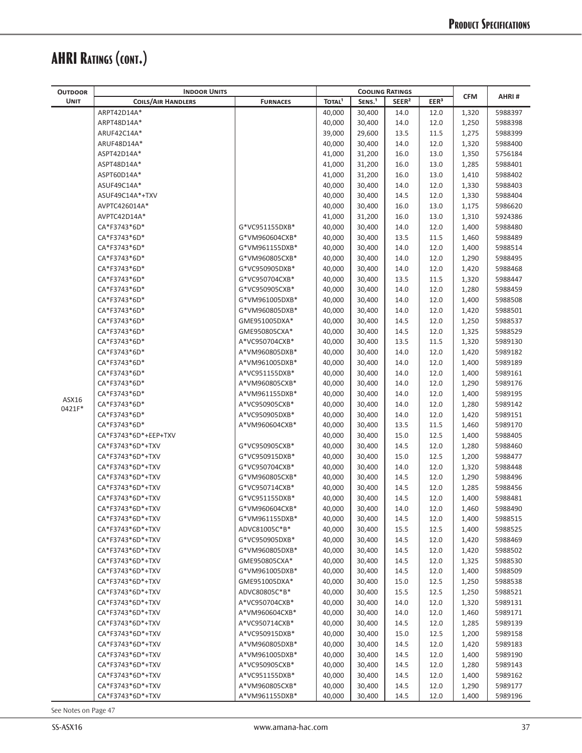| <b>OUTDOOR</b> | <b>INDOOR UNITS</b>       |                 |                    |                    | <b>COOLING RATINGS</b> |                  |            |         |
|----------------|---------------------------|-----------------|--------------------|--------------------|------------------------|------------------|------------|---------|
| <b>UNIT</b>    | <b>COILS/AIR HANDLERS</b> | <b>FURNACES</b> | TOTAL <sup>1</sup> | SENS. <sup>1</sup> | SEER <sup>2</sup>      | EER <sup>3</sup> | <b>CFM</b> | AHRI#   |
|                | ARPT42D14A*               |                 | 40,000             | 30,400             | 14.0                   | 12.0             | 1,320      | 5988397 |
|                | ARPT48D14A*               |                 | 40,000             | 30,400             | 14.0                   | 12.0             | 1,250      | 5988398 |
|                | ARUF42C14A*               |                 | 39,000             | 29,600             | 13.5                   | 11.5             | 1,275      | 5988399 |
|                | ARUF48D14A*               |                 | 40,000             | 30,400             | 14.0                   | 12.0             | 1,320      | 5988400 |
|                | ASPT42D14A*               |                 | 41,000             | 31,200             | 16.0                   | 13.0             | 1,350      | 5756184 |
|                | ASPT48D14A*               |                 | 41,000             | 31,200             | 16.0                   | 13.0             | 1,285      | 5988401 |
|                | ASPT60D14A*               |                 | 41,000             | 31,200             | 16.0                   | 13.0             | 1,410      | 5988402 |
|                | ASUF49C14A*               |                 | 40,000             | 30,400             | 14.0                   | 12.0             | 1,330      | 5988403 |
|                | ASUF49C14A*+TXV           |                 | 40,000             | 30,400             | 14.5                   | 12.0             | 1,330      | 5988404 |
|                | AVPTC426014A*             |                 | 40,000             | 30,400             | 16.0                   | 13.0             | 1,175      | 5986620 |
|                | AVPTC42D14A*              |                 | 41,000             | 31,200             | 16.0                   | 13.0             | 1,310      | 5924386 |
|                | CA*F3743*6D*              | G*VC951155DXB*  | 40,000             | 30,400             | 14.0                   | 12.0             | 1,400      | 5988480 |
|                | CA*F3743*6D*              | G*VM960604CXB*  | 40,000             | 30,400             | 13.5                   | 11.5             | 1,460      | 5988489 |
|                | CA*F3743*6D*              | G*VM961155DXB*  | 40,000             | 30,400             | 14.0                   | 12.0             | 1,400      | 5988514 |
|                | CA*F3743*6D*              | G*VM960805CXB*  | 40,000             | 30,400             | 14.0                   | 12.0             | 1,290      | 5988495 |
|                | CA*F3743*6D*              | G*VC950905DXB*  | 40,000             | 30,400             | 14.0                   | 12.0             | 1,420      | 5988468 |
|                | CA*F3743*6D*              | G*VC950704CXB*  | 40,000             | 30,400             | 13.5                   | 11.5             | 1,320      | 5988447 |
|                | CA*F3743*6D*              | G*VC950905CXB*  | 40,000             | 30,400             | 14.0                   | 12.0             | 1,280      | 5988459 |
|                | CA*F3743*6D*              | G*VM961005DXB*  | 40,000             | 30,400             | 14.0                   | 12.0             | 1,400      | 5988508 |
|                | CA*F3743*6D*              | G*VM960805DXB*  | 40,000             | 30,400             | 14.0                   | 12.0             | 1,420      | 5988501 |
|                | CA*F3743*6D*              | GME951005DXA*   | 40,000             | 30,400             | 14.5                   | 12.0             | 1,250      | 5988537 |
|                | CA*F3743*6D*              | GME950805CXA*   | 40,000             | 30,400             | 14.5                   | 12.0             | 1,325      | 5988529 |
|                | CA*F3743*6D*              | A*VC950704CXB*  | 40,000             | 30,400             | 13.5                   | 11.5             | 1,320      | 5989130 |
|                | CA*F3743*6D*              | A*VM960805DXB*  | 40,000             | 30,400             | 14.0                   | 12.0             | 1,420      | 5989182 |
|                | CA*F3743*6D*              | A*VM961005DXB*  | 40,000             | 30,400             | 14.0                   | 12.0             | 1,400      | 5989189 |
|                | CA*F3743*6D*              | A*VC951155DXB*  | 40,000             | 30,400             | 14.0                   | 12.0             | 1,400      | 5989161 |
|                | CA*F3743*6D*              | A*VM960805CXB*  | 40,000             | 30,400             | 14.0                   | 12.0             | 1,290      | 5989176 |
|                | CA*F3743*6D*              | A*VM961155DXB*  | 40,000             | 30,400             | 14.0                   | 12.0             | 1,400      | 5989195 |
| ASX16          | CA*F3743*6D*              | A*VC950905CXB*  | 40,000             | 30,400             | 14.0                   | 12.0             | 1,280      | 5989142 |
| 0421F*         | CA*F3743*6D*              | A*VC950905DXB*  | 40,000             | 30,400             | 14.0                   | 12.0             | 1,420      | 5989151 |
|                | CA*F3743*6D*              | A*VM960604CXB*  | 40,000             | 30,400             | 13.5                   | 11.5             | 1,460      | 5989170 |
|                | CA*F3743*6D*+EEP+TXV      |                 | 40,000             | 30,400             | 15.0                   | 12.5             | 1,400      | 5988405 |
|                | CA*F3743*6D*+TXV          | G*VC950905CXB*  | 40,000             | 30,400             | 14.5                   | 12.0             | 1,280      | 5988460 |
|                | CA*F3743*6D*+TXV          | G*VC950915DXB*  | 40,000             | 30,400             | 15.0                   | 12.5             | 1,200      | 5988477 |
|                | CA*F3743*6D*+TXV          | G*VC950704CXB*  | 40,000             | 30,400             | 14.0                   | 12.0             | 1,320      | 5988448 |
|                | CA*F3743*6D*+TXV          | G*VM960805CXB*  | 40,000             | 30,400             | 14.5                   | 12.0             | 1,290      | 5988496 |
|                | CA*F3743*6D*+TXV          | G*VC950714CXB*  | 40,000             | 30,400             | 14.5                   | 12.0             | 1,285      | 5988456 |
|                | CA*F3743*6D*+TXV          | G*VC951155DXB*  | 40,000             | 30,400             | 14.5                   | 12.0             | 1,400      | 5988481 |
|                | CA*F3743*6D*+TXV          | G*VM960604CXB*  | 40,000             | 30,400             | 14.0                   | 12.0             | 1,460      | 5988490 |
|                | CA*F3743*6D*+TXV          | G*VM961155DXB*  | 40,000             | 30,400             | 14.5                   | 12.0             | 1,400      | 5988515 |
|                | CA*F3743*6D*+TXV          | ADVC81005C*B*   | 40,000             | 30,400             | 15.5                   | 12.5             | 1,400      | 5988525 |
|                | CA*F3743*6D*+TXV          | G*VC950905DXB*  | 40,000             | 30,400             | 14.5                   | 12.0             | 1,420      | 5988469 |
|                | CA*F3743*6D*+TXV          | G*VM960805DXB*  | 40,000             | 30,400             | 14.5                   | 12.0             | 1,420      | 5988502 |
|                | CA*F3743*6D*+TXV          | GME950805CXA*   | 40,000             | 30,400             | 14.5                   | 12.0             | 1,325      | 5988530 |
|                | CA*F3743*6D*+TXV          | G*VM961005DXB*  | 40,000             | 30,400             | 14.5                   | 12.0             | 1,400      | 5988509 |
|                | CA*F3743*6D*+TXV          | GME951005DXA*   | 40,000             | 30,400             | 15.0                   | 12.5             | 1,250      | 5988538 |
|                | CA*F3743*6D*+TXV          | ADVC80805C*B*   | 40,000             | 30,400             | 15.5                   | 12.5             | 1,250      | 5988521 |
|                | CA*F3743*6D*+TXV          | A*VC950704CXB*  | 40,000             | 30,400             | 14.0                   | 12.0             | 1,320      | 5989131 |
|                | CA*F3743*6D*+TXV          | A*VM960604CXB*  | 40,000             |                    | 14.0                   |                  |            | 5989171 |
|                | CA*F3743*6D*+TXV          | A*VC950714CXB*  | 40,000             | 30,400<br>30,400   | 14.5                   | 12.0<br>12.0     | 1,460      | 5989139 |
|                |                           |                 |                    |                    |                        |                  | 1,285      | 5989158 |
|                | CA*F3743*6D*+TXV          | A*VC950915DXB*  | 40,000             | 30,400             | 15.0                   | 12.5             | 1,200      |         |
|                | CA*F3743*6D*+TXV          | A*VM960805DXB*  | 40,000             | 30,400             | 14.5                   | 12.0             | 1,420      | 5989183 |
|                | CA*F3743*6D*+TXV          | A*VM961005DXB*  | 40,000             | 30,400             | 14.5                   | 12.0             | 1,400      | 5989190 |
|                | CA*F3743*6D*+TXV          | A*VC950905CXB*  | 40,000             | 30,400             | 14.5                   | 12.0             | 1,280      | 5989143 |
|                | CA*F3743*6D*+TXV          | A*VC951155DXB*  | 40,000             | 30,400             | 14.5                   | 12.0             | 1,400      | 5989162 |
|                | CA*F3743*6D*+TXV          | A*VM960805CXB*  | 40,000             | 30,400             | 14.5                   | 12.0             | 1,290      | 5989177 |
|                | CA*F3743*6D*+TXV          | A*VM961155DXB*  | 40,000             | 30,400             | 14.5                   | 12.0             | 1,400      | 5989196 |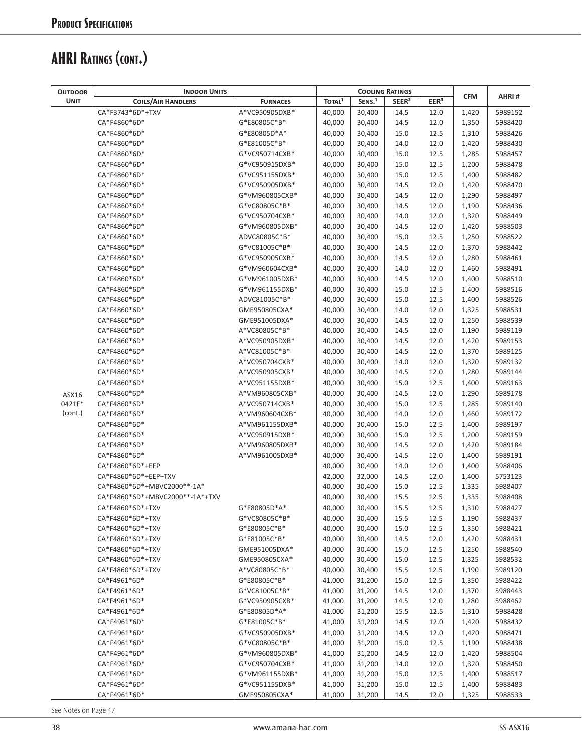| <b>OUTDOOR</b> | <b>COOLING RATINGS</b><br><b>INDOOR UNITS</b> |                                 |                    |                    |                   |                  |            |         |
|----------------|-----------------------------------------------|---------------------------------|--------------------|--------------------|-------------------|------------------|------------|---------|
| <b>UNIT</b>    | <b>COILS/AIR HANDLERS</b>                     | <b>FURNACES</b>                 | TOTAL <sup>1</sup> | SENS. <sup>1</sup> | SEER <sup>2</sup> | EER <sup>3</sup> | <b>CFM</b> | AHRI#   |
|                | CA*F3743*6D*+TXV                              | A*VC950905DXB*                  | 40,000             | 30,400             | 14.5              | 12.0             | 1,420      | 5989152 |
|                | CA*F4860*6D*                                  | G*E80805C*B*                    | 40,000             | 30,400             | 14.5              | 12.0             | 1,350      | 5988420 |
|                | CA*F4860*6D*                                  | G*E80805D*A*                    | 40,000             | 30,400             | 15.0              | 12.5             | 1,310      | 5988426 |
|                | CA*F4860*6D*                                  | G*E81005C*B*                    | 40,000             | 30,400             | 14.0              | 12.0             | 1,420      | 5988430 |
|                | CA*F4860*6D*                                  | G*VC950714CXB*                  | 40,000             | 30,400             | 15.0              | 12.5             | 1,285      | 5988457 |
|                | CA*F4860*6D*                                  | G*VC950915DXB*                  | 40,000             | 30,400             | 15.0              | 12.5             | 1,200      | 5988478 |
|                | CA*F4860*6D*                                  | G*VC951155DXB*                  | 40,000             | 30,400             | 15.0              | 12.5             | 1,400      | 5988482 |
|                | CA*F4860*6D*                                  | G*VC950905DXB*                  | 40,000             | 30,400             | 14.5              | 12.0             | 1,420      | 5988470 |
|                | CA*F4860*6D*                                  | G*VM960805CXB*                  | 40,000             | 30,400             | 14.5              | 12.0             | 1,290      | 5988497 |
|                | CA*F4860*6D*                                  | G*VC80805C*B*                   | 40,000             | 30,400             | 14.5              | 12.0             | 1,190      | 5988436 |
|                | CA*F4860*6D*                                  | G*VC950704CXB*                  | 40,000             | 30,400             | 14.0              | 12.0             | 1,320      | 5988449 |
|                | CA*F4860*6D*                                  | G*VM960805DXB*                  | 40,000             | 30,400             | 14.5              | 12.0             | 1,420      | 5988503 |
|                | CA*F4860*6D*                                  | ADVC80805C*B*                   | 40,000             | 30,400             | 15.0              | 12.5             | 1,250      | 5988522 |
|                | CA*F4860*6D*                                  | G*VC81005C*B*                   | 40,000             |                    | 14.5              | 12.0             |            | 5988442 |
|                |                                               |                                 |                    | 30,400             |                   |                  | 1,370      |         |
|                | CA*F4860*6D*                                  | G*VC950905CXB*                  | 40,000             | 30,400             | 14.5              | 12.0             | 1,280      | 5988461 |
|                | CA*F4860*6D*                                  | G*VM960604CXB*                  | 40,000             | 30,400             | 14.0              | 12.0             | 1,460      | 5988491 |
|                | CA*F4860*6D*                                  | G*VM961005DXB*                  | 40,000             | 30,400             | 14.5              | 12.0             | 1,400      | 5988510 |
|                | CA*F4860*6D*                                  | G*VM961155DXB*                  | 40,000             | 30,400             | 15.0              | 12.5             | 1,400      | 5988516 |
|                | CA*F4860*6D*                                  | ADVC81005C*B*                   | 40,000             | 30,400             | 15.0              | 12.5             | 1,400      | 5988526 |
|                | CA*F4860*6D*                                  | GME950805CXA*                   | 40,000             | 30,400             | 14.0              | 12.0             | 1,325      | 5988531 |
|                | CA*F4860*6D*                                  | GME951005DXA*                   | 40,000             | 30,400             | 14.5              | 12.0             | 1,250      | 5988539 |
|                | CA*F4860*6D*                                  | A*VC80805C*B*                   | 40,000             | 30,400             | 14.5              | 12.0             | 1,190      | 5989119 |
|                | CA*F4860*6D*                                  | A*VC950905DXB*                  | 40,000             | 30,400             | 14.5              | 12.0             | 1,420      | 5989153 |
|                | CA*F4860*6D*                                  | A*VC81005C*B*                   | 40,000             | 30,400             | 14.5              | 12.0             | 1,370      | 5989125 |
|                | CA*F4860*6D*                                  | A*VC950704CXB*                  | 40,000             | 30,400             | 14.0              | 12.0             | 1,320      | 5989132 |
|                | CA*F4860*6D*                                  | A*VC950905CXB*                  | 40,000             | 30,400             | 14.5              | 12.0             | 1,280      | 5989144 |
|                | CA*F4860*6D*                                  | A*VC951155DXB*                  | 40,000             | 30,400             | 15.0              | 12.5             | 1,400      | 5989163 |
| ASX16          | CA*F4860*6D*                                  | A*VM960805CXB*                  | 40,000             | 30,400             | 14.5              | 12.0             | 1,290      | 5989178 |
| 0421F*         | CA*F4860*6D*                                  | A*VC950714CXB*                  | 40,000             | 30,400             | 15.0              | 12.5             | 1,285      | 5989140 |
| (cont.)        | CA*F4860*6D*                                  | A*VM960604CXB*                  | 40,000             | 30,400             | 14.0              | 12.0             | 1,460      | 5989172 |
|                | CA*F4860*6D*                                  | A*VM961155DXB*                  | 40,000             | 30,400             | 15.0              | 12.5             | 1,400      | 5989197 |
|                | CA*F4860*6D*                                  | A*VC950915DXB*                  | 40,000             | 30,400             | 15.0              | 12.5             | 1,200      | 5989159 |
|                | CA*F4860*6D*                                  | A*VM960805DXB*                  | 40,000             | 30,400             | 14.5              | 12.0             | 1,420      | 5989184 |
|                | CA*F4860*6D*                                  | A*VM961005DXB*                  | 40,000             | 30,400             | 14.5              | 12.0             | 1,400      | 5989191 |
|                | CA*F4860*6D*+EEP                              |                                 | 40,000             | 30,400             | 14.0              | 12.0             | 1,400      | 5988406 |
|                | CA*F4860*6D*+EEP+TXV                          |                                 | 42,000             | 32,000             | 14.5              | 12.0             | 1,400      | 5753123 |
|                | CA*F4860*6D*+MBVC2000**-1A*                   |                                 | 40,000             | 30,400             | 15.0              | 12.5             | 1,335      | 5988407 |
|                | CA*F4860*6D*+MBVC2000**-1A*+TXV               |                                 | 40,000             | 30,400             | 15.5              | 12.5             | 1,335      | 5988408 |
|                | CA*F4860*6D*+TXV                              | G*E80805D*A*                    | 40,000             | 30,400             | 15.5              | 12.5             | 1,310      | 5988427 |
|                | CA*F4860*6D*+TXV                              | G*VC80805C*B*                   | 40,000             | 30,400             | 15.5              | 12.5             | 1,190      | 5988437 |
|                | CA*F4860*6D*+TXV                              | G*E80805C*B*                    | 40,000             | 30,400             | 15.0              | 12.5             | 1,350      | 5988421 |
|                | CA*F4860*6D*+TXV                              | G*E81005C*B*                    | 40,000             | 30,400             | 14.5              | 12.0             | 1,420      | 5988431 |
|                | CA*F4860*6D*+TXV                              | GME951005DXA*                   | 40,000             | 30,400             | 15.0              | 12.5             | 1,250      | 5988540 |
|                | CA*F4860*6D*+TXV                              | GME950805CXA*                   | 40,000             | 30,400             | 15.0              | 12.5             | 1,325      | 5988532 |
|                | CA*F4860*6D*+TXV                              | A*VC80805C*B*                   | 40,000             | 30,400             | 15.5              | 12.5             | 1,190      | 5989120 |
|                | CA*F4961*6D*                                  | G*E80805C*B*                    | 41,000             | 31,200             | 15.0              | 12.5             | 1,350      | 5988422 |
|                | CA*F4961*6D*                                  | G*VC81005C*B*                   | 41,000             | 31,200             | 14.5              | 12.0             | 1,370      | 5988443 |
|                | CA*F4961*6D*                                  | G*VC950905CXB*                  | 41,000             | 31,200             | 14.5              | 12.0             | 1,280      | 5988462 |
|                | CA*F4961*6D*                                  | G*E80805D*A*                    | 41,000             | 31,200             | 15.5              | 12.5             | 1,310      | 5988428 |
|                | CA*F4961*6D*                                  | G*E81005C*B*                    | 41,000             | 31,200             | 14.5              | 12.0             | 1,420      | 5988432 |
|                | CA*F4961*6D*                                  | G*VC950905DXB*                  | 41,000             | 31,200             | 14.5              | 12.0             | 1,420      | 5988471 |
|                | CA*F4961*6D*                                  | G*VC80805C*B*                   |                    |                    |                   |                  |            | 5988438 |
|                |                                               |                                 | 41,000             | 31,200             | 15.0              | 12.5             | 1,190      |         |
|                | CA*F4961*6D*                                  | G*VM960805DXB*                  | 41,000             | 31,200             | 14.5              | 12.0             | 1,420      | 5988504 |
|                | CA*F4961*6D*                                  | G*VC950704CXB*                  | 41,000             | 31,200             | 14.0              | 12.0             | 1,320      | 5988450 |
|                | CA*F4961*6D*                                  | G*VM961155DXB*                  | 41,000             | 31,200             | 15.0              | 12.5             | 1,400      | 5988517 |
|                | CA*F4961*6D*                                  | G*VC951155DXB*<br>GME950805CXA* | 41,000             | 31,200             | 15.0              | 12.5             | 1,400      | 5988483 |
|                | CA*F4961*6D*                                  |                                 | 41,000             | 31,200             | 14.5              | 12.0             | 1,325      | 5988533 |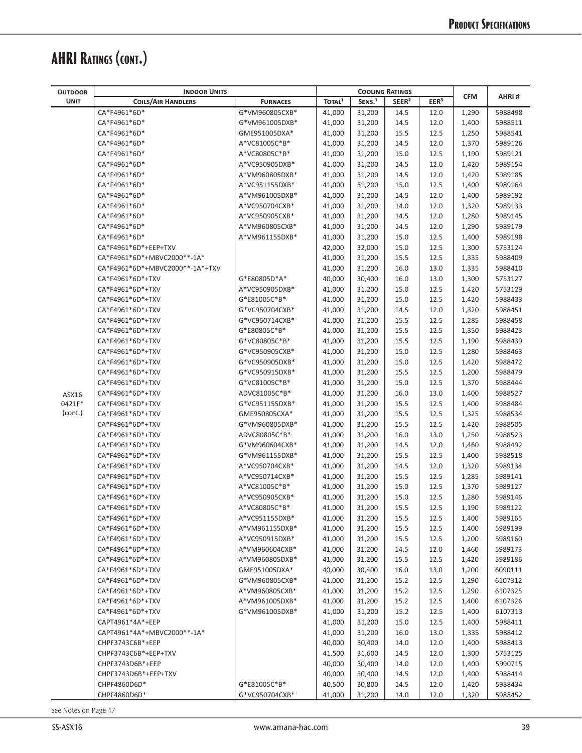| <b>OUTDOOR</b> | <b>INDOOR UNITS</b>             |                 | <b>COOLING RATINGS</b> |                    |                   |                  | <b>CFM</b> | AHRI#   |
|----------------|---------------------------------|-----------------|------------------------|--------------------|-------------------|------------------|------------|---------|
| <b>UNIT</b>    | <b>COILS/AIR HANDLERS</b>       | <b>FURNACES</b> | TOTAL <sup>1</sup>     | SENS. <sup>1</sup> | SEER <sup>2</sup> | EER <sup>3</sup> |            |         |
|                | CA*F4961*6D*                    | G*VM960805CXB*  | 41,000                 | 31,200             | 14.5              | 12.0             | 1,290      | 5988498 |
|                | CA*F4961*6D*                    | G*VM961005DXB*  | 41,000                 | 31,200             | 14.5              | 12.0             | 1,400      | 5988511 |
|                | CA*F4961*6D*                    | GME951005DXA*   | 41,000                 | 31,200             | 15.5              | 12.5             | 1,250      | 5988541 |
|                | CA*F4961*6D*                    | A*VC81005C*B*   | 41,000                 | 31,200             | 14.5              | 12.0             | 1,370      | 5989126 |
|                | CA*F4961*6D*                    | A*VC80805C*B*   | 41,000                 | 31,200             | 15.0              | 12.5             | 1,190      | 5989121 |
|                | CA*F4961*6D*                    | A*VC950905DXB*  | 41,000                 |                    |                   |                  |            | 5989154 |
|                |                                 |                 |                        | 31,200             | 14.5              | 12.0             | 1,420      |         |
|                | CA*F4961*6D*                    | A*VM960805DXB*  | 41,000                 | 31,200             | 14.5              | 12.0             | 1,420      | 5989185 |
|                | CA*F4961*6D*                    | A*VC951155DXB*  | 41,000                 | 31,200             | 15.0              | 12.5             | 1,400      | 5989164 |
|                | CA*F4961*6D*                    | A*VM961005DXB*  | 41,000                 | 31,200             | 14.5              | 12.0             | 1,400      | 5989192 |
|                | CA*F4961*6D*                    | A*VC950704CXB*  | 41,000                 | 31,200             | 14.0              | 12.0             | 1,320      | 5989133 |
|                | CA*F4961*6D*                    | A*VC950905CXB*  | 41,000                 | 31,200             | 14.5              | 12.0             | 1,280      | 5989145 |
|                | CA*F4961*6D*                    | A*VM960805CXB*  | 41,000                 | 31,200             | 14.5              | 12.0             | 1,290      | 5989179 |
|                | CA*F4961*6D*                    | A*VM961155DXB*  | 41,000                 | 31,200             | 15.0              | 12.5             | 1,400      | 5989198 |
|                | CA*F4961*6D*+EEP+TXV            |                 | 42,000                 | 32,000             | 15.0              | 12.5             | 1,300      | 5753124 |
|                | CA*F4961*6D*+MBVC2000**-1A*     |                 | 41,000                 | 31,200             | 15.5              | 12.5             | 1,335      | 5988409 |
|                | CA*F4961*6D*+MBVC2000**-1A*+TXV |                 | 41,000                 | 31,200             | 16.0              | 13.0             | 1,335      | 5988410 |
|                | CA*F4961*6D*+TXV                | G*E80805D*A*    | 40,000                 | 30,400             | 16.0              | 13.0             | 1,300      | 5753127 |
|                | CA*F4961*6D*+TXV                | A*VC950905DXB*  | 41,000                 | 31,200             | 15.0              | 12.5             | 1,420      | 5753129 |
|                | CA*F4961*6D*+TXV                | G*E81005C*B*    | 41,000                 | 31,200             | 15.0              | 12.5             | 1,420      | 5988433 |
|                | CA*F4961*6D*+TXV                | G*VC950704CXB*  | 41,000                 | 31,200             | 14.5              | 12.0             | 1,320      | 5988451 |
|                | CA*F4961*6D*+TXV                | G*VC950714CXB*  | 41,000                 | 31,200             | 15.5              | 12.5             | 1,285      | 5988458 |
|                | CA*F4961*6D*+TXV                | G*E80805C*B*    | 41,000                 | 31,200             | 15.5              | 12.5             | 1,350      | 5988423 |
|                | CA*F4961*6D*+TXV                | G*VC80805C*B*   | 41,000                 | 31,200             | 15.5              | 12.5             | 1,190      | 5988439 |
|                | CA*F4961*6D*+TXV                | G*VC950905CXB*  |                        |                    | 15.0              | 12.5             |            | 5988463 |
|                |                                 | G*VC950905DXB*  | 41,000                 | 31,200             |                   |                  | 1,280      |         |
|                | CA*F4961*6D*+TXV                |                 | 41,000                 | 31,200             | 15.0              | 12.5             | 1,420      | 5988472 |
|                | CA*F4961*6D*+TXV                | G*VC950915DXB*  | 41,000                 | 31,200             | 15.5              | 12.5             | 1,200      | 5988479 |
|                | CA*F4961*6D*+TXV                | G*VC81005C*B*   | 41,000                 | 31,200             | 15.0              | 12.5             | 1,370      | 5988444 |
| ASX16          | CA*F4961*6D*+TXV                | ADVC81005C*B*   | 41,000                 | 31,200             | 16.0              | 13.0             | 1,400      | 5988527 |
| 0421F*         | CA*F4961*6D*+TXV                | G*VC951155DXB*  | 41,000                 | 31,200             | 15.5              | 12.5             | 1,400      | 5988484 |
| (cont.)        | CA*F4961*6D*+TXV                | GME950805CXA*   | 41,000                 | 31,200             | 15.5              | 12.5             | 1,325      | 5988534 |
|                | CA*F4961*6D*+TXV                | G*VM960805DXB*  | 41,000                 | 31,200             | 15.5              | 12.5             | 1,420      | 5988505 |
|                | CA*F4961*6D*+TXV                | ADVC80805C*B*   | 41,000                 | 31,200             | 16.0              | 13.0             | 1,250      | 5988523 |
|                | CA*F4961*6D*+TXV                | G*VM960604CXB*  | 41,000                 | 31,200             | 14.5              | 12.0             | 1,460      | 5988492 |
|                | CA*F4961*6D*+TXV                | G*VM961155DXB*  | 41,000                 | 31,200             | 15.5              | 12.5             | 1,400      | 5988518 |
|                | CA*F4961*6D*+TXV                | A*VC950704CXB*  | 41,000                 | 31,200             | 14.5              | 12.0             | 1,320      | 5989134 |
|                | CA*F4961*6D*+TXV                | A*VC950714CXB*  | 41,000                 | 31,200             | 15.5              | 12.5             | 1,285      | 5989141 |
|                | CA*F4961*6D*+TXV                | A*VC81005C*B*   | 41,000                 | 31,200             | 15.0              | 12.5             | 1,370      | 5989127 |
|                | CA*F4961*6D*+TXV                | A*VC950905CXB*  | 41,000                 | 31,200             | 15.0              | 12.5             | 1,280      | 5989146 |
|                | CA*F4961*6D*+TXV                | A*VC80805C*B*   | 41,000                 | 31,200             | 15.5              | 12.5             | 1,190      | 5989122 |
|                | CA*F4961*6D*+TXV                | A*VC951155DXB*  | 41,000                 | 31,200             | 15.5              | 12.5             | 1,400      | 5989165 |
|                | CA*F4961*6D*+TXV                | A*VM961155DXB*  | 41,000                 | 31,200             | 15.5              | 12.5             | 1,400      | 5989199 |
|                | CA*F4961*6D*+TXV                | A*VC950915DXB*  | 41,000                 | 31,200             | 15.5              | 12.5             | 1,200      | 5989160 |
|                | CA*F4961*6D*+TXV                | A*VM960604CXB*  | 41,000                 | 31,200             | 14.5              | 12.0             | 1,460      | 5989173 |
|                | CA*F4961*6D*+TXV                | A*VM960805DXB*  | 41,000                 | 31,200             | 15.5              | 12.5             | 1,420      | 5989186 |
|                | CA*F4961*6D*+TXV                |                 |                        |                    |                   |                  |            | 6090111 |
|                |                                 | GME951005DXA*   | 40,000                 | 30,400             | 16.0              | 13.0             | 1,200      |         |
|                | CA*F4961*6D*+TXV                | G*VM960805CXB*  | 41,000                 | 31,200             | 15.2              | 12.5             | 1,290      | 6107312 |
|                | CA*F4961*6D*+TXV                | A*VM960805CXB*  | 41,000                 | 31,200             | 15.2              | 12.5             | 1,290      | 6107325 |
|                | CA*F4961*6D*+TXV                | A*VM961005DXB*  | 41,000                 | 31,200             | 15.2              | 12.5             | 1,400      | 6107326 |
|                | CA*F4961*6D*+TXV                | G*VM961005DXB*  | 41,000                 | 31,200             | 15.2              | 12.5             | 1,400      | 6107313 |
|                | CAPT4961*4A*+EEP                |                 | 41,000                 | 31,200             | 15.0              | 12.5             | 1,400      | 5988411 |
|                | CAPT4961*4A*+MBVC2000**-1A*     |                 | 41,000                 | 31,200             | 16.0              | 13.0             | 1,335      | 5988412 |
|                | CHPF3743C6B*+EEP                |                 | 40,000                 | 30,400             | 14.0              | 12.0             | 1,400      | 5988413 |
|                | CHPF3743C6B*+EEP+TXV            |                 | 41,500                 | 31,600             | 14.5              | 12.0             | 1,300      | 5753125 |
|                | CHPF3743D6B*+EEP                |                 | 40,000                 | 30,400             | 14.0              | 12.0             | 1,400      | 5990715 |
|                | CHPF3743D6B*+EEP+TXV            |                 | 40,000                 | 30,400             | 14.5              | 12.0             | 1,400      | 5988414 |
|                | CHPF4860D6D*                    | G*E81005C*B*    | 40,500                 | 30,800             | 14.5              | 12.0             | 1,420      | 5988434 |
|                | CHPF4860D6D*                    | G*VC950704CXB*  | 41,000                 | 31,200             | 14.0              | 12.0             | 1,320      | 5988452 |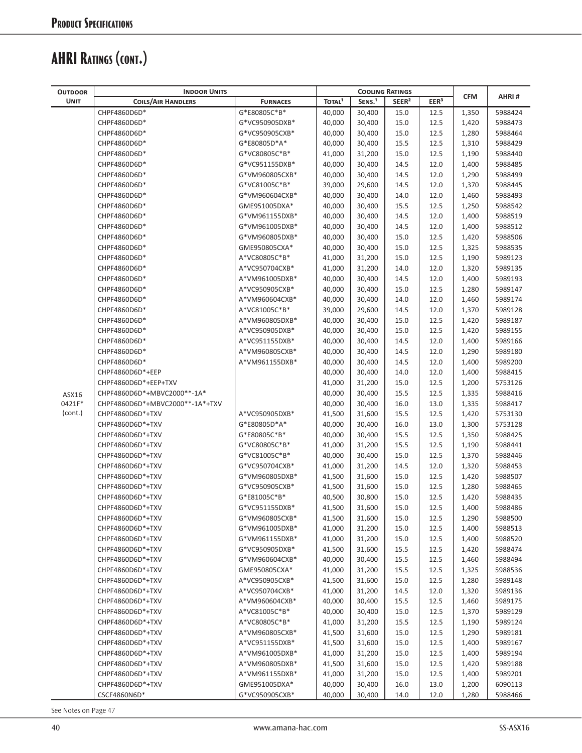| <b>OUTDOOR</b> | <b>INDOOR UNITS</b>             |                                  |                    |                    | <b>COOLING RATINGS</b> |                  |            |         |
|----------------|---------------------------------|----------------------------------|--------------------|--------------------|------------------------|------------------|------------|---------|
| <b>UNIT</b>    | <b>COILS/AIR HANDLERS</b>       | <b>FURNACES</b>                  | TOTAL <sup>1</sup> | SENS. <sup>1</sup> | SEER <sup>2</sup>      | EER <sup>3</sup> | <b>CFM</b> | AHRI#   |
|                | CHPF4860D6D*                    | G*E80805C*B*                     | 40,000             | 30,400             | 15.0                   | 12.5             | 1,350      | 5988424 |
|                | CHPF4860D6D*                    | G*VC950905DXB*                   | 40,000             | 30,400             | 15.0                   | 12.5             | 1,420      | 5988473 |
|                | CHPF4860D6D*                    | G*VC950905CXB*                   | 40,000             | 30,400             | 15.0                   | 12.5             | 1,280      | 5988464 |
|                | CHPF4860D6D*                    | G*E80805D*A*                     | 40,000             | 30,400             | 15.5                   | 12.5             | 1,310      | 5988429 |
|                | CHPF4860D6D*                    | G*VC80805C*B*                    | 41,000             | 31,200             | 15.0                   | 12.5             | 1,190      | 5988440 |
|                | CHPF4860D6D*                    | G*VC951155DXB*                   | 40,000             | 30,400             | 14.5                   | 12.0             | 1,400      | 5988485 |
|                | CHPF4860D6D*                    | G*VM960805CXB*                   | 40,000             | 30,400             | 14.5                   | 12.0             | 1,290      | 5988499 |
|                | CHPF4860D6D*                    | G*VC81005C*B*                    | 39,000             | 29,600             | 14.5                   | 12.0             | 1,370      | 5988445 |
|                | CHPF4860D6D*                    | G*VM960604CXB*                   | 40,000             | 30,400             | 14.0                   | 12.0             | 1,460      | 5988493 |
|                | CHPF4860D6D*                    | GME951005DXA*                    | 40,000             | 30,400             | 15.5                   | 12.5             | 1,250      | 5988542 |
|                | CHPF4860D6D*                    | G*VM961155DXB*                   | 40,000             | 30,400             | 14.5                   | 12.0             | 1,400      | 5988519 |
|                | CHPF4860D6D*                    | G*VM961005DXB*                   | 40,000             | 30,400             | 14.5                   | 12.0             | 1,400      | 5988512 |
|                | CHPF4860D6D*                    | G*VM960805DXB*                   | 40,000             | 30,400             | 15.0                   | 12.5             | 1,420      | 5988506 |
|                | CHPF4860D6D*                    | GME950805CXA*                    | 40,000             | 30,400             | 15.0                   | 12.5             | 1,325      | 5988535 |
|                | CHPF4860D6D*                    | A*VC80805C*B*                    | 41,000             | 31,200             | 15.0                   | 12.5             | 1,190      | 5989123 |
|                | CHPF4860D6D*                    | A*VC950704CXB*                   | 41,000             | 31,200             | 14.0                   | 12.0             | 1,320      | 5989135 |
|                | CHPF4860D6D*                    | A*VM961005DXB*                   | 40,000             | 30,400             | 14.5                   | 12.0             | 1,400      | 5989193 |
|                | CHPF4860D6D*                    | A*VC950905CXB*                   |                    |                    | 15.0                   | 12.5             |            | 5989147 |
|                | CHPF4860D6D*                    | A*VM960604CXB*                   | 40,000<br>40,000   | 30,400             | 14.0                   | 12.0             | 1,280      | 5989174 |
|                |                                 | A*VC81005C*B*                    |                    | 30,400             |                        |                  | 1,460      |         |
|                | CHPF4860D6D*                    |                                  | 39,000             | 29,600             | 14.5                   | 12.0             | 1,370      | 5989128 |
|                | CHPF4860D6D*                    | A*VM960805DXB*<br>A*VC950905DXB* | 40,000             | 30,400             | 15.0                   | 12.5             | 1,420      | 5989187 |
|                | CHPF4860D6D*<br>CHPF4860D6D*    | A*VC951155DXB*                   | 40,000             | 30,400             | 15.0                   | 12.5             | 1,420      | 5989155 |
|                | CHPF4860D6D*                    | A*VM960805CXB*                   | 40,000             | 30,400             | 14.5                   | 12.0             | 1,400      | 5989166 |
|                | CHPF4860D6D*                    |                                  | 40,000             | 30,400             | 14.5                   | 12.0             | 1,290      | 5989180 |
|                |                                 | A*VM961155DXB*                   | 40,000             | 30,400             | 14.5                   | 12.0             | 1,400      | 5989200 |
|                | CHPF4860D6D*+EEP                |                                  | 40,000             | 30,400             | 14.0                   | 12.0             | 1,400      | 5988415 |
|                | CHPF4860D6D*+EEP+TXV            |                                  | 41,000             | 31,200             | 15.0                   | 12.5             | 1,200      | 5753126 |
| ASX16          | CHPF4860D6D*+MBVC2000**-1A*     |                                  | 40,000             | 30,400             | 15.5                   | 12.5             | 1,335      | 5988416 |
| 0421F*         | CHPF4860D6D*+MBVC2000**-1A*+TXV |                                  | 40,000             | 30,400             | 16.0                   | 13.0             | 1,335      | 5988417 |
| (cont.)        | CHPF4860D6D*+TXV                | A*VC950905DXB*                   | 41,500             | 31,600             | 15.5                   | 12.5             | 1,420      | 5753130 |
|                | CHPF4860D6D*+TXV                | G*E80805D*A*                     | 40,000             | 30,400             | 16.0                   | 13.0             | 1,300      | 5753128 |
|                | CHPF4860D6D*+TXV                | G*E80805C*B*                     | 40,000             | 30,400             | 15.5                   | 12.5             | 1,350      | 5988425 |
|                | CHPF4860D6D*+TXV                | G*VC80805C*B*                    | 41,000             | 31,200             | 15.5                   | 12.5             | 1,190      | 5988441 |
|                | CHPF4860D6D*+TXV                | G*VC81005C*B*                    | 40,000             | 30,400             | 15.0                   | 12.5             | 1,370      | 5988446 |
|                | CHPF4860D6D*+TXV                | G*VC950704CXB*                   | 41,000             | 31,200             | 14.5                   | 12.0             | 1,320      | 5988453 |
|                | CHPF4860D6D*+TXV                | G*VM960805DXB*                   | 41,500             | 31,600             | 15.0                   | 12.5             | 1,420      | 5988507 |
|                | CHPF4860D6D*+TXV                | G*VC950905CXB*                   | 41,500             | 31,600             | 15.0                   | 12.5             | 1,280      | 5988465 |
|                | CHPF4860D6D*+TXV                | G*E81005C*B*                     | 40,500             | 30,800             | 15.0                   | 12.5             | 1,420      | 5988435 |
|                | CHPF4860D6D*+TXV                | G*VC951155DXB*                   | 41,500             | 31,600             | 15.0                   | 12.5             | 1,400      | 5988486 |
|                | CHPF4860D6D*+TXV                | G*VM960805CXB*                   | 41,500             | 31,600             | 15.0                   | 12.5             | 1,290      | 5988500 |
|                | CHPF4860D6D*+TXV                | G*VM961005DXB*                   | 41,000             | 31,200             | 15.0                   | 12.5             | 1,400      | 5988513 |
|                | CHPF4860D6D*+TXV                | G*VM961155DXB*                   | 41,000             | 31,200             | 15.0                   | 12.5             | 1,400      | 5988520 |
|                | CHPF4860D6D*+TXV                | G*VC950905DXB*                   | 41,500             | 31,600             | 15.5                   | 12.5             | 1,420      | 5988474 |
|                | CHPF4860D6D*+TXV                | G*VM960604CXB*                   | 40,000             | 30,400             | 15.5                   | 12.5             | 1,460      | 5988494 |
|                | CHPF4860D6D*+TXV                | GME950805CXA*                    | 41,000             | 31,200             | 15.5                   | 12.5             | 1,325      | 5988536 |
|                | CHPF4860D6D*+TXV                | A*VC950905CXB*                   | 41,500             | 31,600             | 15.0                   | 12.5             | 1,280      | 5989148 |
|                | CHPF4860D6D*+TXV                | A*VC950704CXB*                   | 41,000             | 31,200             | 14.5                   | 12.0             | 1,320      | 5989136 |
|                | CHPF4860D6D*+TXV                | A*VM960604CXB*                   | 40,000             | 30,400             | 15.5                   | 12.5             | 1,460      | 5989175 |
|                | CHPF4860D6D*+TXV                | A*VC81005C*B*                    | 40,000             | 30,400             | 15.0                   | 12.5             | 1,370      | 5989129 |
|                | CHPF4860D6D*+TXV                | A*VC80805C*B*                    | 41,000             | 31,200             | 15.5                   | 12.5             | 1,190      | 5989124 |
|                | CHPF4860D6D*+TXV                | A*VM960805CXB*                   | 41,500             | 31,600             | 15.0                   | 12.5             | 1,290      | 5989181 |
|                | CHPF4860D6D*+TXV                | A*VC951155DXB*                   | 41,500             | 31,600             | 15.0                   | 12.5             | 1,400      | 5989167 |
|                | CHPF4860D6D*+TXV                | A*VM961005DXB*                   | 41,000             | 31,200             | 15.0                   | 12.5             | 1,400      | 5989194 |
|                | CHPF4860D6D*+TXV                | A*VM960805DXB*                   | 41,500             | 31,600             | 15.0                   | 12.5             | 1,420      | 5989188 |
|                | CHPF4860D6D*+TXV                | A*VM961155DXB*                   | 41,000             | 31,200             | 15.0                   | 12.5             | 1,400      | 5989201 |
|                | CHPF4860D6D*+TXV                | GME951005DXA*                    | 40,000             | 30,400             | 16.0                   | 13.0             | 1,200      | 6090113 |
|                | CSCF4860N6D*                    | G*VC950905CXB*                   | 40,000             | 30,400             | 14.0                   | 12.0             | 1,280      | 5988466 |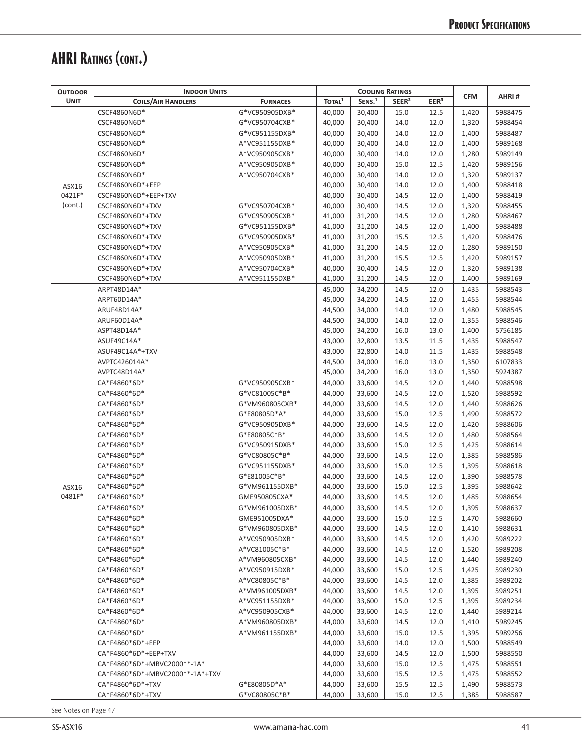| <b>OUTDOOR</b>  | <b>INDOOR UNITS</b>             |                 | <b>COOLING RATINGS</b> |                    |                   |                  |            |         |
|-----------------|---------------------------------|-----------------|------------------------|--------------------|-------------------|------------------|------------|---------|
| <b>UNIT</b>     | <b>COILS/AIR HANDLERS</b>       | <b>FURNACES</b> | TOTAL <sup>1</sup>     | SENS. <sup>1</sup> | SEER <sup>2</sup> | EER <sup>3</sup> | <b>CFM</b> | AHRI#   |
|                 | CSCF4860N6D*                    | G*VC950905DXB*  | 40,000                 | 30,400             | 15.0              | 12.5             | 1,420      | 5988475 |
|                 | CSCF4860N6D*                    | G*VC950704CXB*  | 40,000                 | 30,400             | 14.0              | 12.0             | 1,320      | 5988454 |
|                 | CSCF4860N6D*                    | G*VC951155DXB*  | 40,000                 | 30,400             | 14.0              | 12.0             | 1,400      | 5988487 |
|                 | CSCF4860N6D*                    | A*VC951155DXB*  | 40,000                 | 30,400             | 14.0              | 12.0             | 1,400      | 5989168 |
|                 | CSCF4860N6D*                    | A*VC950905CXB*  | 40,000                 | 30,400             | 14.0              | 12.0             | 1,280      | 5989149 |
|                 | CSCF4860N6D*                    | A*VC950905DXB*  | 40,000                 | 30,400             | 15.0              | 12.5             | 1,420      | 5989156 |
|                 | CSCF4860N6D*                    | A*VC950704CXB*  | 40,000                 | 30,400             | 14.0              | 12.0             | 1,320      | 5989137 |
|                 | CSCF4860N6D*+EEP                |                 | 40,000                 | 30,400             | 14.0              | 12.0             | 1,400      | 5988418 |
| ASX16<br>0421F* | CSCF4860N6D*+EEP+TXV            |                 | 40,000                 | 30,400             | 14.5              | 12.0             | 1,400      | 5988419 |
| (cont.)         | CSCF4860N6D*+TXV                | G*VC950704CXB*  | 40,000                 | 30,400             | 14.5              | 12.0             | 1,320      | 5988455 |
|                 | CSCF4860N6D*+TXV                | G*VC950905CXB*  |                        |                    | 14.5              | 12.0             |            | 5988467 |
|                 |                                 | G*VC951155DXB*  | 41,000                 | 31,200             |                   |                  | 1,280      |         |
|                 | CSCF4860N6D*+TXV                |                 | 41,000                 | 31,200             | 14.5              | 12.0             | 1,400      | 5988488 |
|                 | CSCF4860N6D*+TXV                | G*VC950905DXB*  | 41,000                 | 31,200             | 15.5              | 12.5             | 1,420      | 5988476 |
|                 | CSCF4860N6D*+TXV                | A*VC950905CXB*  | 41,000                 | 31,200             | 14.5              | 12.0             | 1,280      | 5989150 |
|                 | CSCF4860N6D*+TXV                | A*VC950905DXB*  | 41,000                 | 31,200             | 15.5              | 12.5             | 1,420      | 5989157 |
|                 | CSCF4860N6D*+TXV                | A*VC950704CXB*  | 40,000                 | 30,400             | 14.5              | 12.0             | 1,320      | 5989138 |
|                 | CSCF4860N6D*+TXV                | A*VC951155DXB*  | 41,000                 | 31,200             | 14.5              | 12.0             | 1,400      | 5989169 |
|                 | ARPT48D14A*                     |                 | 45,000                 | 34,200             | 14.5              | 12.0             | 1,435      | 5988543 |
|                 | ARPT60D14A*                     |                 | 45,000                 | 34,200             | 14.5              | 12.0             | 1,455      | 5988544 |
|                 | ARUF48D14A*                     |                 | 44,500                 | 34,000             | 14.0              | 12.0             | 1,480      | 5988545 |
|                 | ARUF60D14A*                     |                 | 44,500                 | 34,000             | 14.0              | 12.0             | 1,355      | 5988546 |
|                 | ASPT48D14A*                     |                 | 45,000                 | 34,200             | 16.0              | 13.0             | 1,400      | 5756185 |
|                 | ASUF49C14A*                     |                 | 43,000                 | 32,800             | 13.5              | 11.5             | 1,435      | 5988547 |
|                 | ASUF49C14A*+TXV                 |                 | 43,000                 | 32,800             | 14.0              | 11.5             | 1,435      | 5988548 |
|                 | AVPTC426014A*                   |                 | 44,500                 | 34,000             | 16.0              | 13.0             | 1,350      | 6107833 |
|                 | AVPTC48D14A*                    |                 | 45,000                 | 34,200             | 16.0              | 13.0             | 1,350      | 5924387 |
|                 | CA*F4860*6D*                    | G*VC950905CXB*  | 44,000                 | 33,600             | 14.5              | 12.0             | 1,440      | 5988598 |
|                 | CA*F4860*6D*                    | G*VC81005C*B*   | 44,000                 | 33,600             | 14.5              | 12.0             | 1,520      | 5988592 |
|                 | CA*F4860*6D*                    | G*VM960805CXB*  | 44,000                 | 33,600             | 14.5              | 12.0             | 1,440      | 5988626 |
|                 | CA*F4860*6D*                    | G*E80805D*A*    | 44,000                 | 33,600             | 15.0              | 12.5             | 1,490      | 5988572 |
|                 | CA*F4860*6D*                    | G*VC950905DXB*  | 44,000                 | 33,600             | 14.5              | 12.0             | 1,420      | 5988606 |
|                 | CA*F4860*6D*                    | G*E80805C*B*    | 44,000                 | 33,600             | 14.5              | 12.0             | 1,480      | 5988564 |
|                 | CA*F4860*6D*                    | G*VC950915DXB*  | 44,000                 | 33,600             | 15.0              | 12.5             | 1,425      | 5988614 |
|                 | CA*F4860*6D*                    | G*VC80805C*B*   | 44,000                 | 33,600             | 14.5              | 12.0             | 1,385      | 5988586 |
|                 | CA*F4860*6D*                    | G*VC951155DXB*  | 44,000                 | 33,600             | 15.0              | 12.5             | 1,395      | 5988618 |
|                 | CA*F4860*6D*                    | G*E81005C*B*    | 44,000                 | 33,600             | 14.5              | 12.0             | 1,390      | 5988578 |
| ASX16           | CA*F4860*6D*                    | G*VM961155DXB*  | 44,000                 | 33,600             | 15.0              | 12.5             | 1,395      | 5988642 |
| 0481F*          | CA*F4860*6D*                    | GME950805CXA*   | 44,000                 | 33,600             | 14.5              | 12.0             | 1,485      | 5988654 |
|                 | CA*F4860*6D*                    | G*VM961005DXB*  | 44,000                 | 33,600             | 14.5              | 12.0             | 1,395      | 5988637 |
|                 | CA*F4860*6D*                    | GME951005DXA*   | 44,000                 | 33,600             | 15.0              | 12.5             | 1,470      | 5988660 |
|                 | CA*F4860*6D*                    | G*VM960805DXB*  | 44,000                 | 33,600             | 14.5              | 12.0             | 1,410      | 5988631 |
|                 | CA*F4860*6D*                    | A*VC950905DXB*  | 44,000                 | 33,600             | 14.5              | 12.0             | 1,420      | 5989222 |
|                 | CA*F4860*6D*                    | A*VC81005C*B*   |                        |                    |                   |                  |            | 5989208 |
|                 | CA*F4860*6D*                    |                 | 44,000                 | 33,600             | 14.5              | 12.0             | 1,520      |         |
|                 |                                 | A*VM960805CXB*  | 44,000                 | 33,600             | 14.5              | 12.0             | 1,440      | 5989240 |
|                 | CA*F4860*6D*                    | A*VC950915DXB*  | 44,000                 | 33,600             | 15.0              | 12.5             | 1,425      | 5989230 |
|                 | CA*F4860*6D*                    | A*VC80805C*B*   | 44,000                 | 33,600             | 14.5              | 12.0             | 1,385      | 5989202 |
|                 | CA*F4860*6D*                    | A*VM961005DXB*  | 44,000                 | 33,600             | 14.5              | 12.0             | 1,395      | 5989251 |
|                 | CA*F4860*6D*                    | A*VC951155DXB*  | 44,000                 | 33,600             | 15.0              | 12.5             | 1,395      | 5989234 |
|                 | CA*F4860*6D*                    | A*VC950905CXB*  | 44,000                 | 33,600             | 14.5              | 12.0             | 1,440      | 5989214 |
|                 | CA*F4860*6D*                    | A*VM960805DXB*  | 44,000                 | 33,600             | 14.5              | 12.0             | 1,410      | 5989245 |
|                 | CA*F4860*6D*                    | A*VM961155DXB*  | 44,000                 | 33,600             | 15.0              | 12.5             | 1,395      | 5989256 |
|                 | CA*F4860*6D*+EEP                |                 | 44,000                 | 33,600             | 14.0              | 12.0             | 1,500      | 5988549 |
|                 | CA*F4860*6D*+EEP+TXV            |                 | 44,000                 | 33,600             | 14.5              | 12.0             | 1,500      | 5988550 |
|                 | CA*F4860*6D*+MBVC2000**-1A*     |                 | 44,000                 | 33,600             | 15.0              | 12.5             | 1,475      | 5988551 |
|                 | CA*F4860*6D*+MBVC2000**-1A*+TXV |                 | 44,000                 | 33,600             | 15.5              | 12.5             | 1,475      | 5988552 |
|                 | CA*F4860*6D*+TXV                | G*E80805D*A*    | 44,000                 | 33,600             | 15.5              | 12.5             | 1,490      | 5988573 |
|                 | CA*F4860*6D*+TXV                | G*VC80805C*B*   | 44,000                 | 33,600             | 15.0              | 12.5             | 1,385      | 5988587 |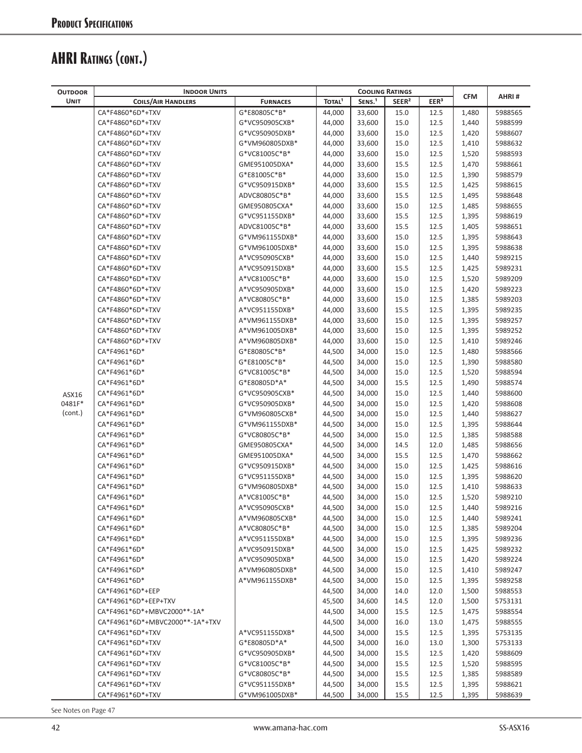See Notes on Page 47

| <b>OUTDOOR</b> | <b>INDOOR UNITS</b>             |                 |                    |                    | <b>COOLING RATINGS</b> |                  | <b>CFM</b> | AHRI#   |
|----------------|---------------------------------|-----------------|--------------------|--------------------|------------------------|------------------|------------|---------|
| <b>UNIT</b>    | <b>COILS/AIR HANDLERS</b>       | <b>FURNACES</b> | TOTAL <sup>1</sup> | SENS. <sup>1</sup> | SEER <sup>2</sup>      | EER <sup>3</sup> |            |         |
|                | CA*F4860*6D*+TXV                | G*E80805C*B*    | 44,000             | 33,600             | 15.0                   | 12.5             | 1,480      | 5988565 |
|                | CA*F4860*6D*+TXV                | G*VC950905CXB*  | 44,000             | 33,600             | 15.0                   | 12.5             | 1,440      | 5988599 |
|                | CA*F4860*6D*+TXV                | G*VC950905DXB*  | 44,000             | 33,600             | 15.0                   | 12.5             | 1,420      | 5988607 |
|                | CA*F4860*6D*+TXV                | G*VM960805DXB*  | 44,000             | 33,600             | 15.0                   | 12.5             | 1,410      | 5988632 |
|                | CA*F4860*6D*+TXV                | G*VC81005C*B*   | 44,000             | 33,600             | 15.0                   | 12.5             | 1,520      | 5988593 |
|                | CA*F4860*6D*+TXV                | GME951005DXA*   | 44,000             | 33,600             | 15.5                   | 12.5             | 1,470      | 5988661 |
|                | CA*F4860*6D*+TXV                | G*E81005C*B*    | 44,000             | 33,600             | 15.0                   | 12.5             | 1,390      | 5988579 |
|                | CA*F4860*6D*+TXV                | G*VC950915DXB*  | 44,000             | 33,600             | 15.5                   | 12.5             | 1,425      | 5988615 |
|                | CA*F4860*6D*+TXV                | ADVC80805C*B*   | 44,000             | 33,600             | 15.5                   | 12.5             | 1,495      | 5988648 |
|                | CA*F4860*6D*+TXV                | GME950805CXA*   | 44,000             | 33,600             | 15.0                   | 12.5             | 1,485      | 5988655 |
|                | CA*F4860*6D*+TXV                | G*VC951155DXB*  | 44,000             | 33,600             | 15.5                   | 12.5             | 1,395      | 5988619 |
|                | CA*F4860*6D*+TXV                | ADVC81005C*B*   | 44,000             | 33,600             | 15.5                   | 12.5             | 1,405      | 5988651 |
|                | CA*F4860*6D*+TXV                | G*VM961155DXB*  | 44,000             | 33,600             | 15.0                   | 12.5             | 1,395      | 5988643 |
|                | CA*F4860*6D*+TXV                | G*VM961005DXB*  | 44,000             | 33,600             | 15.0                   | 12.5             | 1,395      | 5988638 |
|                | CA*F4860*6D*+TXV                | A*VC950905CXB*  | 44,000             | 33,600             | 15.0                   | 12.5             | 1,440      | 5989215 |
|                | CA*F4860*6D*+TXV                | A*VC950915DXB*  | 44,000             | 33,600             | 15.5                   | 12.5             | 1,425      | 5989231 |
|                | CA*F4860*6D*+TXV                | A*VC81005C*B*   | 44,000             | 33,600             | 15.0                   | 12.5             | 1,520      | 5989209 |
|                | CA*F4860*6D*+TXV                | A*VC950905DXB*  | 44,000             | 33,600             | 15.0                   | 12.5             | 1,420      | 5989223 |
|                | CA*F4860*6D*+TXV                | A*VC80805C*B*   | 44,000             |                    | 15.0                   | 12.5             |            | 5989203 |
|                | CA*F4860*6D*+TXV                |                 |                    | 33,600             |                        |                  | 1,385      |         |
|                |                                 | A*VC951155DXB*  | 44,000             | 33,600             | 15.5                   | 12.5             | 1,395      | 5989235 |
|                | CA*F4860*6D*+TXV                | A*VM961155DXB*  | 44,000             | 33,600             | 15.0                   | 12.5             | 1,395      | 5989257 |
|                | CA*F4860*6D*+TXV                | A*VM961005DXB*  | 44,000             | 33,600             | 15.0                   | 12.5             | 1,395      | 5989252 |
|                | CA*F4860*6D*+TXV                | A*VM960805DXB*  | 44,000             | 33,600             | 15.0                   | 12.5             | 1,410      | 5989246 |
|                | CA*F4961*6D*                    | G*E80805C*B*    | 44,500             | 34,000             | 15.0                   | 12.5             | 1,480      | 5988566 |
|                | CA*F4961*6D*                    | G*E81005C*B*    | 44,500             | 34,000             | 15.0                   | 12.5             | 1,390      | 5988580 |
|                | CA*F4961*6D*                    | G*VC81005C*B*   | 44,500             | 34,000             | 15.0                   | 12.5             | 1,520      | 5988594 |
|                | CA*F4961*6D*                    | G*E80805D*A*    | 44,500             | 34,000             | 15.5                   | 12.5             | 1,490      | 5988574 |
| ASX16          | CA*F4961*6D*                    | G*VC950905CXB*  | 44,500             | 34,000             | 15.0                   | 12.5             | 1,440      | 5988600 |
| 0481F*         | CA*F4961*6D*                    | G*VC950905DXB*  | 44,500             | 34,000             | 15.0                   | 12.5             | 1,420      | 5988608 |
| (cont.)        | CA*F4961*6D*                    | G*VM960805CXB*  | 44,500             | 34,000             | 15.0                   | 12.5             | 1,440      | 5988627 |
|                | CA*F4961*6D*                    | G*VM961155DXB*  | 44,500             | 34,000             | 15.0                   | 12.5             | 1,395      | 5988644 |
|                | CA*F4961*6D*                    | G*VC80805C*B*   | 44,500             | 34,000             | 15.0                   | 12.5             | 1,385      | 5988588 |
|                | CA*F4961*6D*                    | GME950805CXA*   | 44,500             | 34,000             | 14.5                   | 12.0             | 1,485      | 5988656 |
|                | CA*F4961*6D*                    | GME951005DXA*   | 44,500             | 34,000             | 15.5                   | 12.5             | 1,470      | 5988662 |
|                | CA*F4961*6D*                    | G*VC950915DXB*  | 44,500             | 34,000             | 15.0                   | 12.5             | 1,425      | 5988616 |
|                | CA*F4961*6D*                    | G*VC951155DXB*  | 44,500             | 34,000             | 15.0                   | 12.5             | 1,395      | 5988620 |
|                | CA*F4961*6D*                    | G*VM960805DXB*  | 44,500             | 34,000             | 15.0                   | 12.5             | 1,410      | 5988633 |
|                | CA*F4961*6D*                    | A*VC81005C*B*   | 44,500             | 34,000             | 15.0                   | 12.5             | 1,520      | 5989210 |
|                | CA*F4961*6D*                    | A*VC950905CXB*  | 44,500             | 34,000             | 15.0                   | 12.5             | 1,440      | 5989216 |
|                | CA*F4961*6D*                    | A*VM960805CXB*  | 44,500             | 34,000             | 15.0                   | 12.5             | 1,440      | 5989241 |
|                | CA*F4961*6D*                    | A*VC80805C*B*   | 44,500             | 34,000             | 15.0                   | 12.5             | 1,385      | 5989204 |
|                | CA*F4961*6D*                    | A*VC951155DXB*  | 44,500             | 34,000             | 15.0                   | 12.5             | 1,395      | 5989236 |
|                | CA*F4961*6D*                    | A*VC950915DXB*  | 44,500             | 34,000             | 15.0                   | 12.5             | 1,425      | 5989232 |
|                | CA*F4961*6D*                    | A*VC950905DXB*  | 44,500             | 34,000             | 15.0                   | 12.5             | 1,420      | 5989224 |
|                | CA*F4961*6D*                    | A*VM960805DXB*  | 44,500             | 34,000             | 15.0                   | 12.5             | 1,410      | 5989247 |
|                | CA*F4961*6D*                    | A*VM961155DXB*  | 44,500             | 34,000             | 15.0                   | 12.5             | 1,395      | 5989258 |
|                | CA*F4961*6D*+EEP                |                 | 44,500             | 34,000             | 14.0                   | 12.0             | 1,500      | 5988553 |
|                | CA*F4961*6D*+EEP+TXV            |                 | 45,500             | 34,600             | 14.5                   | 12.0             | 1,500      | 5753131 |
|                | CA*F4961*6D*+MBVC2000**-1A*     |                 | 44,500             | 34,000             | 15.5                   | 12.5             | 1,475      | 5988554 |
|                | CA*F4961*6D*+MBVC2000**-1A*+TXV |                 | 44,500             | 34,000             | 16.0                   | 13.0             | 1,475      | 5988555 |
|                | CA*F4961*6D*+TXV                | A*VC951155DXB*  | 44,500             | 34,000             | 15.5                   | 12.5             | 1,395      | 5753135 |
|                | CA*F4961*6D*+TXV                | G*E80805D*A*    | 44,500             | 34,000             | 16.0                   | 13.0             | 1,300      | 5753133 |
|                | CA*F4961*6D*+TXV                | G*VC950905DXB*  | 44,500             | 34,000             | 15.5                   | 12.5             | 1,420      | 5988609 |
|                | CA*F4961*6D*+TXV                | G*VC81005C*B*   | 44,500             | 34,000             | 15.5                   | 12.5             | 1,520      | 5988595 |
|                | CA*F4961*6D*+TXV                | G*VC80805C*B*   | 44,500             | 34,000             | 15.5                   | 12.5             | 1,385      | 5988589 |
|                | CA*F4961*6D*+TXV                | G*VC951155DXB*  | 44,500             | 34,000             | 15.5                   | 12.5             | 1,395      | 5988621 |
|                | CA*F4961*6D*+TXV                | G*VM961005DXB*  | 44,500             | 34,000             | 15.5                   | 12.5             | 1,395      | 5988639 |
|                |                                 |                 |                    |                    |                        |                  |            |         |

# **AHRI Ratings (cont.)**

**PRODUCT SPECIFICATIONS**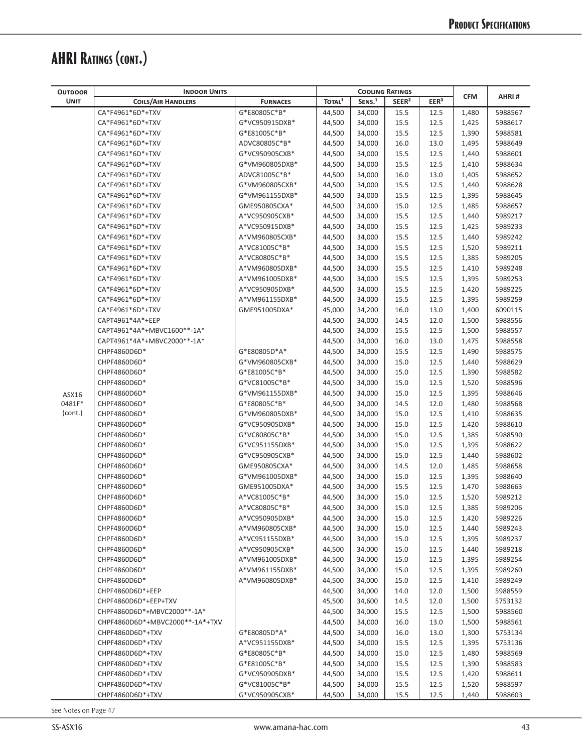| <b>OUTDOOR</b> | <b>COOLING RATINGS</b><br><b>INDOOR UNITS</b> |                 |                    |                    |                   |                  |            |         |
|----------------|-----------------------------------------------|-----------------|--------------------|--------------------|-------------------|------------------|------------|---------|
| <b>UNIT</b>    | <b>COILS/AIR HANDLERS</b>                     | <b>FURNACES</b> | TOTAL <sup>1</sup> | SENS. <sup>1</sup> | SEER <sup>2</sup> | EER <sup>3</sup> | <b>CFM</b> | AHRI#   |
|                | CA*F4961*6D*+TXV                              | G*E80805C*B*    | 44,500             | 34,000             | 15.5              | 12.5             | 1,480      | 5988567 |
|                | CA*F4961*6D*+TXV                              | G*VC950915DXB*  | 44,500             | 34,000             | 15.5              | 12.5             | 1,425      | 5988617 |
|                | CA*F4961*6D*+TXV                              | G*E81005C*B*    | 44,500             | 34,000             | 15.5              | 12.5             | 1,390      | 5988581 |
|                | CA*F4961*6D*+TXV                              | ADVC80805C*B*   | 44,500             | 34,000             | 16.0              | 13.0             | 1,495      | 5988649 |
|                | CA*F4961*6D*+TXV                              | G*VC950905CXB*  | 44,500             | 34,000             | 15.5              | 12.5             | 1,440      | 5988601 |
|                | CA*F4961*6D*+TXV                              | G*VM960805DXB*  | 44,500             | 34,000             | 15.5              | 12.5             | 1,410      | 5988634 |
|                | CA*F4961*6D*+TXV                              | ADVC81005C*B*   | 44,500             | 34,000             | 16.0              | 13.0             | 1,405      | 5988652 |
|                | CA*F4961*6D*+TXV                              | G*VM960805CXB*  | 44,500             | 34,000             | 15.5              | 12.5             | 1,440      | 5988628 |
|                | CA*F4961*6D*+TXV                              | G*VM961155DXB*  | 44,500             | 34,000             | 15.5              | 12.5             | 1,395      | 5988645 |
|                | CA*F4961*6D*+TXV                              | GME950805CXA*   | 44,500             | 34,000             | 15.0              | 12.5             | 1,485      | 5988657 |
|                | CA*F4961*6D*+TXV                              | A*VC950905CXB*  | 44,500             | 34,000             | 15.5              | 12.5             | 1,440      | 5989217 |
|                | CA*F4961*6D*+TXV                              | A*VC950915DXB*  | 44,500             | 34,000             | 15.5              | 12.5             | 1,425      | 5989233 |
|                | CA*F4961*6D*+TXV                              | A*VM960805CXB*  | 44,500             | 34,000             | 15.5              | 12.5             | 1,440      | 5989242 |
|                | CA*F4961*6D*+TXV                              | A*VC81005C*B*   | 44,500             | 34,000             | 15.5              | 12.5             | 1,520      | 5989211 |
|                | CA*F4961*6D*+TXV                              | A*VC80805C*B*   | 44,500             | 34,000             | 15.5              | 12.5             | 1,385      | 5989205 |
|                | CA*F4961*6D*+TXV                              | A*VM960805DXB*  | 44,500             | 34,000             | 15.5              | 12.5             | 1,410      | 5989248 |
|                |                                               | A*VM961005DXB*  |                    |                    |                   |                  |            |         |
|                | CA*F4961*6D*+TXV                              |                 | 44,500             | 34,000             | 15.5              | 12.5             | 1,395      | 5989253 |
|                | CA*F4961*6D*+TXV                              | A*VC950905DXB*  | 44,500             | 34,000             | 15.5              | 12.5             | 1,420      | 5989225 |
|                | CA*F4961*6D*+TXV                              | A*VM961155DXB*  | 44,500             | 34,000             | 15.5              | 12.5             | 1,395      | 5989259 |
|                | CA*F4961*6D*+TXV                              | GME951005DXA*   | 45,000             | 34,200             | 16.0              | 13.0             | 1,400      | 6090115 |
|                | CAPT4961*4A*+EEP                              |                 | 44,500             | 34,000             | 14.5              | 12.0             | 1,500      | 5988556 |
|                | CAPT4961*4A*+MBVC1600**-1A*                   |                 | 44,500             | 34,000             | 15.5              | 12.5             | 1,500      | 5988557 |
|                | CAPT4961*4A*+MBVC2000**-1A*                   |                 | 44,500             | 34,000             | 16.0              | 13.0             | 1,475      | 5988558 |
|                | CHPF4860D6D*                                  | G*E80805D*A*    | 44,500             | 34,000             | 15.5              | 12.5             | 1,490      | 5988575 |
|                | CHPF4860D6D*                                  | G*VM960805CXB*  | 44,500             | 34,000             | 15.0              | 12.5             | 1,440      | 5988629 |
|                | CHPF4860D6D*                                  | G*E81005C*B*    | 44,500             | 34,000             | 15.0              | 12.5             | 1,390      | 5988582 |
|                | CHPF4860D6D*                                  | G*VC81005C*B*   | 44,500             | 34,000             | 15.0              | 12.5             | 1,520      | 5988596 |
| ASX16          | CHPF4860D6D*                                  | G*VM961155DXB*  | 44,500             | 34,000             | 15.0              | 12.5             | 1,395      | 5988646 |
| 0481F*         | CHPF4860D6D*                                  | G*E80805C*B*    | 44,500             | 34,000             | 14.5              | 12.0             | 1,480      | 5988568 |
| (cont.)        | CHPF4860D6D*                                  | G*VM960805DXB*  | 44,500             | 34,000             | 15.0              | 12.5             | 1,410      | 5988635 |
|                | CHPF4860D6D*                                  | G*VC950905DXB*  | 44,500             | 34,000             | 15.0              | 12.5             | 1,420      | 5988610 |
|                | CHPF4860D6D*                                  | G*VC80805C*B*   | 44,500             | 34,000             | 15.0              | 12.5             | 1,385      | 5988590 |
|                | CHPF4860D6D*                                  | G*VC951155DXB*  | 44,500             | 34,000             | 15.0              | 12.5             | 1,395      | 5988622 |
|                | CHPF4860D6D*                                  | G*VC950905CXB*  | 44,500             | 34,000             | 15.0              | 12.5             | 1,440      | 5988602 |
|                | CHPF4860D6D*                                  | GME950805CXA*   | 44,500             | 34,000             | 14.5              | 12.0             | 1,485      | 5988658 |
|                | CHPF4860D6D*                                  | G*VM961005DXB*  |                    |                    | 15.0              | 12.5             |            | 5988640 |
|                |                                               |                 | 44,500             | 34,000             |                   |                  | 1,395      |         |
|                | CHPF4860D6D*                                  | GME951005DXA*   | 44,500             | 34,000             | 15.5              | 12.5             | 1,470      | 5988663 |
|                | CHPF4860D6D*                                  | A*VC81005C*B*   | 44,500             | 34,000             | 15.0              | 12.5             | 1,520      | 5989212 |
|                | CHPF4860D6D*                                  | A*VC80805C*B*   | 44,500             | 34,000             | 15.0              | 12.5             | 1,385      | 5989206 |
|                | CHPF4860D6D*                                  | A*VC950905DXB*  | 44,500             | 34,000             | 15.0              | 12.5             | 1,420      | 5989226 |
|                | CHPF4860D6D*                                  | A*VM960805CXB*  | 44,500             | 34,000             | 15.0              | 12.5             | 1,440      | 5989243 |
|                | CHPF4860D6D*                                  | A*VC951155DXB*  | 44,500             | 34,000             | 15.0              | 12.5             | 1,395      | 5989237 |
|                | CHPF4860D6D*                                  | A*VC950905CXB*  | 44,500             | 34,000             | 15.0              | 12.5             | 1,440      | 5989218 |
|                | CHPF4860D6D*                                  | A*VM961005DXB*  | 44,500             | 34,000             | 15.0              | 12.5             | 1,395      | 5989254 |
|                | CHPF4860D6D*                                  | A*VM961155DXB*  | 44,500             | 34,000             | 15.0              | 12.5             | 1,395      | 5989260 |
|                | CHPF4860D6D*                                  | A*VM960805DXB*  | 44,500             | 34,000             | 15.0              | 12.5             | 1,410      | 5989249 |
|                | CHPF4860D6D*+EEP                              |                 | 44,500             | 34,000             | 14.0              | 12.0             | 1,500      | 5988559 |
|                | CHPF4860D6D*+EEP+TXV                          |                 | 45,500             | 34,600             | 14.5              | 12.0             | 1,500      | 5753132 |
|                | CHPF4860D6D*+MBVC2000**-1A*                   |                 | 44,500             | 34,000             | 15.5              | 12.5             | 1,500      | 5988560 |
|                | CHPF4860D6D*+MBVC2000**-1A*+TXV               |                 | 44,500             | 34,000             | 16.0              | 13.0             | 1,500      | 5988561 |
|                | CHPF4860D6D*+TXV                              | G*E80805D*A*    | 44,500             | 34,000             | 16.0              | 13.0             | 1,300      | 5753134 |
|                | CHPF4860D6D*+TXV                              | A*VC951155DXB*  | 44,500             | 34,000             | 15.5              | 12.5             | 1,395      | 5753136 |
|                | CHPF4860D6D*+TXV                              | G*E80805C*B*    | 44,500             | 34,000             | 15.0              | 12.5             | 1,480      | 5988569 |
|                | CHPF4860D6D*+TXV                              | G*E81005C*B*    | 44,500             | 34,000             | 15.5              | 12.5             | 1,390      | 5988583 |
|                | CHPF4860D6D*+TXV                              | G*VC950905DXB*  | 44,500             | 34,000             | 15.5              | 12.5             | 1,420      | 5988611 |
|                | CHPF4860D6D*+TXV                              | G*VC81005C*B*   | 44,500             | 34,000             | 15.5              | 12.5             | 1,520      | 5988597 |
|                | CHPF4860D6D*+TXV                              | G*VC950905CXB*  | 44,500             | 34,000             | 15.5              | 12.5             | 1,440      | 5988603 |
|                |                                               |                 |                    |                    |                   |                  |            |         |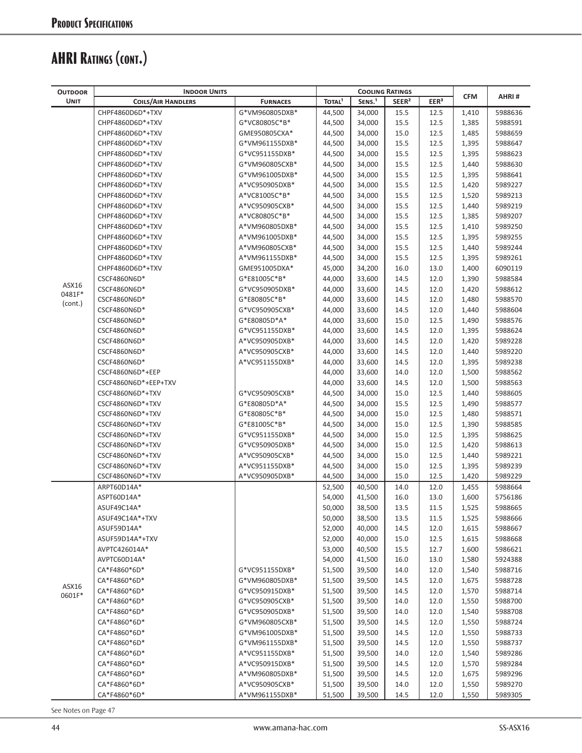| <b>OUTDOOR</b>  | <b>INDOOR UNITS</b>       |                 |                    |                    | <b>COOLING RATINGS</b> |                  | <b>CFM</b> |         |
|-----------------|---------------------------|-----------------|--------------------|--------------------|------------------------|------------------|------------|---------|
| <b>UNIT</b>     | <b>COILS/AIR HANDLERS</b> | <b>FURNACES</b> | TOTAL <sup>1</sup> | SENS. <sup>1</sup> | SEER <sup>2</sup>      | EER <sup>3</sup> |            | AHRI#   |
|                 | CHPF4860D6D*+TXV          | G*VM960805DXB*  | 44,500             | 34,000             | 15.5                   | 12.5             | 1,410      | 5988636 |
|                 | CHPF4860D6D*+TXV          | G*VC80805C*B*   | 44,500             | 34,000             | 15.5                   | 12.5             | 1,385      | 5988591 |
|                 | CHPF4860D6D*+TXV          | GME950805CXA*   | 44,500             | 34,000             | 15.0                   | 12.5             | 1,485      | 5988659 |
|                 | CHPF4860D6D*+TXV          | G*VM961155DXB*  | 44,500             | 34,000             | 15.5                   | 12.5             | 1,395      | 5988647 |
|                 | CHPF4860D6D*+TXV          | G*VC951155DXB*  | 44,500             | 34,000             | 15.5                   | 12.5             | 1,395      | 5988623 |
|                 | CHPF4860D6D*+TXV          | G*VM960805CXB*  | 44,500             | 34,000             | 15.5                   | 12.5             | 1,440      | 5988630 |
|                 | CHPF4860D6D*+TXV          | G*VM961005DXB*  | 44,500             | 34,000             | 15.5                   | 12.5             | 1,395      | 5988641 |
|                 | CHPF4860D6D*+TXV          | A*VC950905DXB*  | 44,500             | 34,000             | 15.5                   | 12.5             | 1,420      | 5989227 |
|                 | CHPF4860D6D*+TXV          | A*VC81005C*B*   | 44,500             | 34,000             | 15.5                   | 12.5             | 1,520      | 5989213 |
|                 | CHPF4860D6D*+TXV          | A*VC950905CXB*  | 44,500             | 34,000             | 15.5                   | 12.5             | 1,440      | 5989219 |
|                 | CHPF4860D6D*+TXV          | A*VC80805C*B*   | 44,500             | 34,000             | 15.5                   | 12.5             | 1,385      | 5989207 |
|                 | CHPF4860D6D*+TXV          | A*VM960805DXB*  | 44,500             | 34,000             | 15.5                   | 12.5             | 1,410      | 5989250 |
|                 | CHPF4860D6D*+TXV          | A*VM961005DXB*  | 44,500             | 34,000             | 15.5                   | 12.5             | 1,395      | 5989255 |
|                 | CHPF4860D6D*+TXV          | A*VM960805CXB*  | 44,500             | 34,000             | 15.5                   | 12.5             | 1,440      | 5989244 |
|                 | CHPF4860D6D*+TXV          | A*VM961155DXB*  | 44,500             | 34,000             | 15.5                   | 12.5             | 1,395      | 5989261 |
|                 | CHPF4860D6D*+TXV          | GME951005DXA*   | 45,000             | 34,200             | 16.0                   | 13.0             | 1,400      | 6090119 |
|                 | CSCF4860N6D*              | G*E81005C*B*    | 44,000             | 33,600             | 14.5                   | 12.0             | 1,390      | 5988584 |
| ASX16<br>0481F* | CSCF4860N6D*              | G*VC950905DXB*  | 44,000             | 33,600             | 14.5                   | 12.0             | 1,420      | 5988612 |
| (cont.)         | CSCF4860N6D*              | G*E80805C*B*    | 44,000             | 33,600             | 14.5                   | 12.0             | 1,480      | 5988570 |
|                 | CSCF4860N6D*              | G*VC950905CXB*  | 44,000             | 33,600             | 14.5                   | 12.0             | 1,440      | 5988604 |
|                 | CSCF4860N6D*              | G*E80805D*A*    | 44,000             | 33,600             | 15.0                   | 12.5             | 1,490      | 5988576 |
|                 | CSCF4860N6D*              | G*VC951155DXB*  | 44,000             | 33,600             | 14.5                   | 12.0             | 1,395      | 5988624 |
|                 | CSCF4860N6D*              | A*VC950905DXB*  | 44,000             | 33,600             | 14.5                   | 12.0             | 1,420      | 5989228 |
|                 | CSCF4860N6D*              | A*VC950905CXB*  | 44,000             | 33,600             | 14.5                   | 12.0             | 1,440      | 5989220 |
|                 | CSCF4860N6D*              | A*VC951155DXB*  | 44,000             | 33,600             | 14.5                   | 12.0             | 1,395      | 5989238 |
|                 | CSCF4860N6D*+EEP          |                 | 44,000             | 33,600             | 14.0                   | 12.0             | 1,500      | 5988562 |
|                 | CSCF4860N6D*+EEP+TXV      |                 | 44,000             | 33,600             | 14.5                   | 12.0             | 1,500      | 5988563 |
|                 | CSCF4860N6D*+TXV          | G*VC950905CXB*  | 44,500             | 34,000             | 15.0                   | 12.5             | 1,440      | 5988605 |
|                 | CSCF4860N6D*+TXV          | G*E80805D*A*    | 44,500             | 34,000             | 15.5                   | 12.5             | 1,490      | 5988577 |
|                 | CSCF4860N6D*+TXV          | G*E80805C*B*    | 44,500             | 34,000             | 15.0                   | 12.5             | 1,480      | 5988571 |
|                 | CSCF4860N6D*+TXV          | G*E81005C*B*    | 44,500             | 34,000             | 15.0                   | 12.5             | 1,390      | 5988585 |
|                 | CSCF4860N6D*+TXV          | G*VC951155DXB*  | 44,500             | 34,000             | 15.0                   | 12.5             | 1,395      | 5988625 |
|                 | CSCF4860N6D*+TXV          | G*VC950905DXB*  | 44,500             | 34,000             | 15.0                   | 12.5             | 1,420      | 5988613 |
|                 | CSCF4860N6D*+TXV          | A*VC950905CXB*  | 44,500             | 34,000             | 15.0                   | 12.5             | 1,440      | 5989221 |
|                 | CSCF4860N6D*+TXV          | A*VC951155DXB*  | 44,500             | 34,000             | 15.0                   | 12.5             | 1,395      | 5989239 |
|                 | CSCF4860N6D*+TXV          | A*VC950905DXB*  | 44,500             | 34,000             | 15.0                   | 12.5             | 1,420      | 5989229 |
|                 | ARPT60D14A*               |                 | 52,500             | 40,500             | 14.0                   | 12.0             | 1,455      | 5988664 |
|                 | ASPT60D14A*               |                 | 54,000             | 41,500             | 16.0                   | 13.0             | 1,600      | 5756186 |
|                 | ASUF49C14A*               |                 | 50,000             | 38,500             | 13.5                   | 11.5             | 1,525      | 5988665 |
|                 | ASUF49C14A*+TXV           |                 | 50,000             | 38,500             | 13.5                   | 11.5             | 1,525      | 5988666 |
|                 | ASUF59D14A*               |                 | 52,000             | 40,000             | 14.5                   | 12.0             | 1,615      | 5988667 |
|                 | ASUF59D14A*+TXV           |                 | 52,000             | 40,000             | 15.0                   | 12.5             | 1,615      | 5988668 |
|                 | AVPTC426014A*             |                 | 53,000             | 40,500             | 15.5                   | 12.7             | 1,600      | 5986621 |
|                 | AVPTC60D14A*              |                 | 54,000             | 41,500             | 16.0                   | 13.0             | 1,580      | 5924388 |
|                 | CA*F4860*6D*              | G*VC951155DXB*  | 51,500             | 39,500             | 14.0                   | 12.0             | 1,540      | 5988716 |
| ASX16           | CA*F4860*6D*              | G*VM960805DXB*  | 51,500             | 39,500             | 14.5                   | 12.0             | 1,675      | 5988728 |
| 0601F*          | CA*F4860*6D*              | G*VC950915DXB*  | 51,500             | 39,500             | 14.5                   | 12.0             | 1,570      | 5988714 |
|                 | CA*F4860*6D*              | G*VC950905CXB*  | 51,500             | 39,500             | 14.0                   | 12.0             | 1,550      | 5988700 |
|                 | CA*F4860*6D*              | G*VC950905DXB*  | 51,500             | 39,500             | 14.0                   | 12.0             | 1,540      | 5988708 |
|                 | CA*F4860*6D*              | G*VM960805CXB*  | 51,500             | 39,500             | 14.5                   | 12.0             | 1,550      | 5988724 |
|                 | CA*F4860*6D*              | G*VM961005DXB*  | 51,500             | 39,500             | 14.5                   | 12.0             | 1,550      | 5988733 |
|                 | CA*F4860*6D*              | G*VM961155DXB*  | 51,500             | 39,500             | 14.5                   | 12.0             | 1,550      | 5988737 |
|                 | CA*F4860*6D*              | A*VC951155DXB*  | 51,500             | 39,500             | 14.0                   | 12.0             | 1,540      | 5989286 |
|                 | CA*F4860*6D*              | A*VC950915DXB*  | 51,500             | 39,500             | 14.5                   | 12.0             | 1,570      | 5989284 |
|                 | CA*F4860*6D*              | A*VM960805DXB*  | 51,500             | 39,500             | 14.5                   | 12.0             | 1,675      | 5989296 |
|                 | CA*F4860*6D*              | A*VC950905CXB*  | 51,500             | 39,500             | 14.0                   | 12.0             | 1,550      | 5989270 |
|                 | CA*F4860*6D*              | A*VM961155DXB*  | 51,500             | 39,500             | 14.5                   | 12.0             | 1,550      | 5989305 |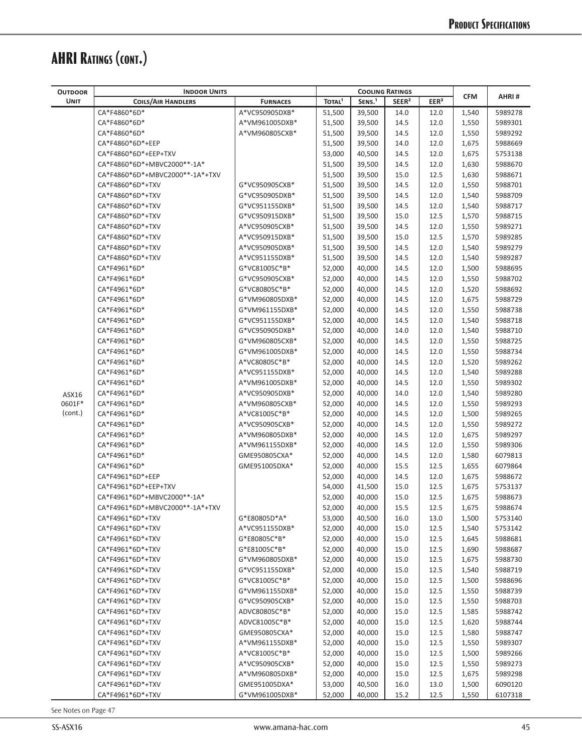| <b>OUTDOOR</b> | <b>INDOOR UNITS</b>             |                 |                    |                    | <b>COOLING RATINGS</b> |                  |            |         |
|----------------|---------------------------------|-----------------|--------------------|--------------------|------------------------|------------------|------------|---------|
| <b>UNIT</b>    | <b>COILS/AIR HANDLERS</b>       | <b>FURNACES</b> | TOTAL <sup>1</sup> | SENS. <sup>1</sup> | SEER <sup>2</sup>      | EER <sup>3</sup> | <b>CFM</b> | AHRI#   |
|                | CA*F4860*6D*                    | A*VC950905DXB*  | 51,500             | 39,500             | 14.0                   | 12.0             | 1,540      | 5989278 |
|                | CA*F4860*6D*                    | A*VM961005DXB*  | 51,500             | 39,500             | 14.5                   | 12.0             | 1,550      | 5989301 |
|                | CA*F4860*6D*                    | A*VM960805CXB*  | 51,500             | 39,500             | 14.5                   | 12.0             | 1,550      | 5989292 |
|                | CA*F4860*6D*+EEP                |                 | 51,500             | 39,500             | 14.0                   | 12.0             | 1,675      | 5988669 |
|                | CA*F4860*6D*+EEP+TXV            |                 | 53,000             | 40,500             | 14.5                   | 12.0             | 1,675      | 5753138 |
|                | CA*F4860*6D*+MBVC2000**-1A*     |                 | 51,500             | 39,500             | 14.5                   | 12.0             | 1,630      | 5988670 |
|                | CA*F4860*6D*+MBVC2000**-1A*+TXV |                 | 51,500             | 39,500             | 15.0                   | 12.5             | 1,630      | 5988671 |
|                | CA*F4860*6D*+TXV                | G*VC950905CXB*  | 51,500             | 39,500             | 14.5                   | 12.0             | 1,550      | 5988701 |
|                | CA*F4860*6D*+TXV                | G*VC950905DXB*  | 51,500             | 39,500             | 14.5                   | 12.0             | 1,540      | 5988709 |
|                | CA*F4860*6D*+TXV                | G*VC951155DXB*  | 51,500             | 39,500             | 14.5                   | 12.0             | 1,540      | 5988717 |
|                | CA*F4860*6D*+TXV                | G*VC950915DXB*  | 51,500             | 39,500             | 15.0                   | 12.5             | 1,570      | 5988715 |
|                | CA*F4860*6D*+TXV                | A*VC950905CXB*  | 51,500             | 39,500             | 14.5                   | 12.0             | 1,550      | 5989271 |
|                | CA*F4860*6D*+TXV                | A*VC950915DXB*  | 51,500             | 39,500             | 15.0                   | 12.5             | 1,570      | 5989285 |
|                | CA*F4860*6D*+TXV                | A*VC950905DXB*  | 51,500             | 39,500             | 14.5                   | 12.0             | 1,540      | 5989279 |
|                | CA*F4860*6D*+TXV                | A*VC951155DXB*  | 51,500             | 39,500             | 14.5                   | 12.0             | 1,540      | 5989287 |
|                | CA*F4961*6D*                    | G*VC81005C*B*   | 52,000             | 40,000             | 14.5                   | 12.0             | 1,500      | 5988695 |
|                | CA*F4961*6D*                    | G*VC950905CXB*  | 52,000             | 40,000             | 14.5                   | 12.0             | 1,550      | 5988702 |
|                | CA*F4961*6D*                    | G*VC80805C*B*   | 52,000             | 40,000             | 14.5                   | 12.0             | 1,520      | 5988692 |
|                | CA*F4961*6D*                    | G*VM960805DXB*  | 52,000             | 40,000             | 14.5                   | 12.0             | 1,675      | 5988729 |
|                | CA*F4961*6D*                    | G*VM961155DXB*  | 52,000             | 40,000             | 14.5                   | 12.0             | 1,550      | 5988738 |
|                | CA*F4961*6D*                    | G*VC951155DXB*  | 52,000             | 40,000             | 14.5                   | 12.0             | 1,540      | 5988718 |
|                | CA*F4961*6D*                    | G*VC950905DXB*  | 52,000             | 40,000             | 14.0                   | 12.0             | 1,540      | 5988710 |
|                | CA*F4961*6D*                    | G*VM960805CXB*  | 52,000             | 40,000             | 14.5                   | 12.0             | 1,550      | 5988725 |
|                | CA*F4961*6D*                    | G*VM961005DXB*  | 52,000             | 40,000             | 14.5                   | 12.0             | 1,550      | 5988734 |
|                | CA*F4961*6D*                    | A*VC80805C*B*   | 52,000             | 40,000             | 14.5                   | 12.0             | 1,520      | 5989262 |
|                | CA*F4961*6D*                    | A*VC951155DXB*  | 52,000             | 40,000             | 14.5                   | 12.0             | 1,540      | 5989288 |
|                | CA*F4961*6D*                    | A*VM961005DXB*  | 52,000             | 40,000             | 14.5                   | 12.0             | 1,550      | 5989302 |
| ASX16          | CA*F4961*6D*                    | A*VC950905DXB*  | 52,000             | 40,000             | 14.0                   | 12.0             | 1,540      | 5989280 |
| 0601F*         | CA*F4961*6D*                    | A*VM960805CXB*  | 52,000             | 40,000             | 14.5                   | 12.0             | 1,550      | 5989293 |
| (cont.)        | CA*F4961*6D*                    | A*VC81005C*B*   | 52,000             | 40,000             | 14.5                   | 12.0             | 1,500      | 5989265 |
|                | CA*F4961*6D*                    | A*VC950905CXB*  | 52,000             | 40,000             | 14.5                   | 12.0             | 1,550      | 5989272 |
|                | CA*F4961*6D*                    | A*VM960805DXB*  | 52,000             | 40,000             | 14.5                   | 12.0             | 1,675      | 5989297 |
|                | CA*F4961*6D*                    | A*VM961155DXB*  | 52,000             | 40,000             | 14.5                   | 12.0             | 1,550      | 5989306 |
|                | CA*F4961*6D*                    | GME950805CXA*   | 52,000             | 40,000             | 14.5                   | 12.0             | 1,580      | 6079813 |
|                | CA*F4961*6D*                    | GME951005DXA*   | 52,000             | 40,000             | 15.5                   | 12.5             | 1,655      | 6079864 |
|                | CA*F4961*6D*+EEP                |                 | 52,000             | 40,000             | 14.5                   | 12.0             | 1,675      | 5988672 |
|                | CA*F4961*6D*+EEP+TXV            |                 | 54,000             | 41,500             | 15.0                   | 12.5             | 1,675      | 5753137 |
|                | CA*F4961*6D*+MBVC2000**-1A*     |                 | 52,000             | 40,000             | 15.0                   | 12.5             | 1,675      | 5988673 |
|                | CA*F4961*6D*+MBVC2000**-1A*+TXV |                 | 52,000             | 40,000             | 15.5                   | 12.5             | 1,675      | 5988674 |
|                | CA*F4961*6D*+TXV                | G*E80805D*A*    | 53,000             | 40,500             | 16.0                   | 13.0             | 1,500      | 5753140 |
|                | CA*F4961*6D*+TXV                | A*VC951155DXB*  | 52,000             | 40,000             | 15.0                   | 12.5             | 1,540      | 5753142 |
|                | CA*F4961*6D*+TXV                | G*E80805C*B*    | 52,000             | 40,000             | 15.0                   | 12.5             | 1,645      | 5988681 |
|                | CA*F4961*6D*+TXV                | G*E81005C*B*    | 52,000             | 40,000             | 15.0                   | 12.5             | 1,690      | 5988687 |
|                | CA*F4961*6D*+TXV                | G*VM960805DXB*  | 52,000             | 40,000             | 15.0                   | 12.5             | 1,675      | 5988730 |
|                | CA*F4961*6D*+TXV                | G*VC951155DXB*  | 52,000             | 40,000             | 15.0                   | 12.5             | 1,540      | 5988719 |
|                | CA*F4961*6D*+TXV                | G*VC81005C*B*   | 52,000             | 40,000             | 15.0                   | 12.5             | 1,500      | 5988696 |
|                | CA*F4961*6D*+TXV                | G*VM961155DXB*  | 52,000             | 40,000             | 15.0                   | 12.5             | 1,550      | 5988739 |
|                | CA*F4961*6D*+TXV                | G*VC950905CXB*  | 52,000             | 40,000             | 15.0                   | 12.5             | 1,550      | 5988703 |
|                | CA*F4961*6D*+TXV                | ADVC80805C*B*   | 52,000             | 40,000             | 15.0                   | 12.5             | 1,585      | 5988742 |
|                | CA*F4961*6D*+TXV                | ADVC81005C*B*   | 52,000             | 40,000             | 15.0                   | 12.5             | 1,620      | 5988744 |
|                | CA*F4961*6D*+TXV                | GME950805CXA*   | 52,000             | 40,000             | 15.0                   | 12.5             | 1,580      | 5988747 |
|                | CA*F4961*6D*+TXV                | A*VM961155DXB*  | 52,000             | 40,000             | 15.0                   | 12.5             | 1,550      | 5989307 |
|                | CA*F4961*6D*+TXV                | A*VC81005C*B*   | 52,000             | 40,000             | 15.0                   | 12.5             | 1,500      | 5989266 |
|                | CA*F4961*6D*+TXV                | A*VC950905CXB*  | 52,000             | 40,000             | 15.0                   | 12.5             | 1,550      | 5989273 |
|                | CA*F4961*6D*+TXV                | A*VM960805DXB*  | 52,000             | 40,000             | 15.0                   | 12.5             | 1,675      | 5989298 |
|                | CA*F4961*6D*+TXV                | GME951005DXA*   | 53,000             | 40,500             | 16.0                   | 13.0             | 1,500      | 6090120 |
|                | CA*F4961*6D*+TXV                | G*VM961005DXB*  | 52,000             | 40,000             | 15.2                   | 12.5             | 1,550      | 6107318 |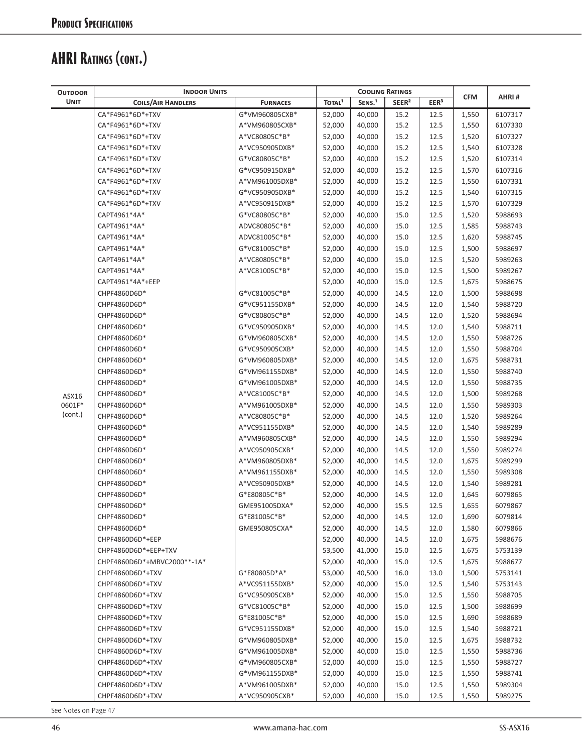| <b>OUTDOOR</b>  | <b>INDOOR UNITS</b>         |                 |                          |                    | <b>COOLING RATINGS</b> |                  | <b>CFM</b> | AHRI#              |
|-----------------|-----------------------------|-----------------|--------------------------|--------------------|------------------------|------------------|------------|--------------------|
| <b>UNIT</b>     | <b>COILS/AIR HANDLERS</b>   | <b>FURNACES</b> | <b>TOTAL<sup>1</sup></b> | SENS. <sup>1</sup> | SEER <sup>2</sup>      | EER <sup>3</sup> |            |                    |
|                 | CA*F4961*6D*+TXV            | G*VM960805CXB*  | 52,000                   | 40,000             | 15.2                   | 12.5             | 1,550      | 6107317            |
|                 | CA*F4961*6D*+TXV            | A*VM960805CXB*  | 52,000                   | 40,000             | 15.2                   | 12.5             | 1,550      | 6107330            |
|                 | CA*F4961*6D*+TXV            | A*VC80805C*B*   | 52,000                   | 40,000             | 15.2                   | 12.5             | 1,520      | 6107327            |
|                 | CA*F4961*6D*+TXV            | A*VC950905DXB*  | 52,000                   | 40,000             | 15.2                   | 12.5             | 1,540      | 6107328            |
|                 | CA*F4961*6D*+TXV            | G*VC80805C*B*   | 52,000                   | 40,000             | 15.2                   | 12.5             | 1,520      | 6107314            |
|                 | CA*F4961*6D*+TXV            | G*VC950915DXB*  | 52,000                   | 40,000             | 15.2                   | 12.5             | 1,570      | 6107316            |
|                 | CA*F4961*6D*+TXV            | A*VM961005DXB*  | 52,000                   | 40,000             | 15.2                   | 12.5             | 1,550      | 6107331            |
|                 | CA*F4961*6D*+TXV            | G*VC950905DXB*  | 52,000                   | 40,000             | 15.2                   | 12.5             | 1,540      | 6107315            |
|                 | CA*F4961*6D*+TXV            | A*VC950915DXB*  | 52,000                   | 40,000             | 15.2                   | 12.5             | 1,570      | 6107329            |
|                 | CAPT4961*4A*                | G*VC80805C*B*   | 52,000                   | 40,000             | 15.0                   | 12.5             | 1,520      | 5988693            |
|                 | CAPT4961*4A*                | ADVC80805C*B*   | 52,000                   | 40,000             | 15.0                   | 12.5             | 1,585      | 5988743            |
|                 | CAPT4961*4A*                | ADVC81005C*B*   | 52,000                   | 40,000             | 15.0                   | 12.5             | 1,620      | 5988745            |
|                 | CAPT4961*4A*                | G*VC81005C*B*   | 52,000                   | 40,000             | 15.0                   | 12.5             | 1,500      | 5988697            |
|                 | CAPT4961*4A*                | A*VC80805C*B*   | 52,000                   | 40,000             | 15.0                   | 12.5             | 1,520      | 5989263            |
|                 | CAPT4961*4A*                | A*VC81005C*B*   | 52,000                   | 40,000             | 15.0                   | 12.5             | 1,500      | 5989267            |
|                 | CAPT4961*4A*+EEP            |                 | 52,000                   | 40,000             | 15.0                   | 12.5             | 1,675      | 5988675            |
|                 | CHPF4860D6D*                | G*VC81005C*B*   | 52,000                   | 40,000             | 14.5                   | 12.0             | 1,500      | 5988698            |
|                 | CHPF4860D6D*                | G*VC951155DXB*  | 52,000                   | 40,000             | 14.5                   | 12.0             | 1,540      | 5988720            |
|                 | CHPF4860D6D*                | G*VC80805C*B*   | 52,000                   | 40,000             | 14.5                   | 12.0             | 1,520      | 5988694            |
|                 | CHPF4860D6D*                | G*VC950905DXB*  | 52,000                   | 40,000             | 14.5                   | 12.0             | 1,540      | 5988711            |
|                 | CHPF4860D6D*                | G*VM960805CXB*  | 52,000                   | 40,000             | 14.5                   | 12.0             | 1,550      | 5988726            |
|                 | CHPF4860D6D*                | G*VC950905CXB*  | 52,000                   | 40,000             | 14.5                   | 12.0             | 1,550      | 5988704            |
|                 | CHPF4860D6D*                | G*VM960805DXB*  | 52,000                   | 40,000             | 14.5                   | 12.0             | 1,675      | 5988731            |
|                 | CHPF4860D6D*                | G*VM961155DXB*  | 52,000                   | 40,000             | 14.5                   | 12.0             | 1,550      | 5988740            |
|                 | CHPF4860D6D*                | G*VM961005DXB*  | 52,000                   | 40,000             | 14.5                   | 12.0             | 1,550      | 5988735            |
|                 | CHPF4860D6D*                | A*VC81005C*B*   | 52,000                   | 40,000             | 14.5                   | 12.0             | 1,500      | 5989268            |
| ASX16<br>0601F* | CHPF4860D6D*                | A*VM961005DXB*  | 52,000                   | 40,000             | 14.5                   | 12.0             | 1,550      | 5989303            |
| (cont.)         | CHPF4860D6D*                | A*VC80805C*B*   | 52,000                   | 40,000             | 14.5                   | 12.0             | 1,520      | 5989264            |
|                 | CHPF4860D6D*                | A*VC951155DXB*  | 52,000                   | 40,000             | 14.5                   | 12.0             | 1,540      | 5989289            |
|                 | CHPF4860D6D*                | A*VM960805CXB*  | 52,000                   | 40,000             | 14.5                   | 12.0             | 1,550      | 5989294            |
|                 | CHPF4860D6D*                | A*VC950905CXB*  | 52,000                   | 40,000             | 14.5                   | 12.0             | 1,550      | 5989274            |
|                 | CHPF4860D6D*                | A*VM960805DXB*  | 52,000                   | 40,000             | 14.5                   | 12.0             | 1,675      | 5989299            |
|                 | CHPF4860D6D*                | A*VM961155DXB*  | 52,000                   | 40,000             | 14.5                   | 12.0             | 1,550      | 5989308            |
|                 | CHPF4860D6D*                | A*VC950905DXB*  | 52,000                   | 40,000             | 14.5                   | 12.0             | 1,540      | 5989281            |
|                 | CHPF4860D6D*                | G*E80805C*B*    | 52,000                   | 40,000             | 14.5                   | 12.0             | 1,645      | 6079865            |
|                 | CHPF4860D6D*                | GME951005DXA*   | 52,000                   | 40,000             | 15.5                   | 12.5             | 1,655      | 6079867            |
|                 | CHPF4860D6D*                | G*E81005C*B*    | 52,000                   | 40,000             | 14.5                   | 12.0             | 1,690      | 6079814            |
|                 | CHPF4860D6D*                | GME950805CXA*   | 52,000                   | 40,000             | 14.5                   | 12.0             | 1,580      | 6079866            |
|                 | CHPF4860D6D*+EEP            |                 | 52,000                   | 40,000             | 14.5                   | 12.0             | 1,675      | 5988676            |
|                 | CHPF4860D6D*+EEP+TXV        |                 | 53,500                   | 41,000             | 15.0                   | 12.5             | 1,675      | 5753139            |
|                 | CHPF4860D6D*+MBVC2000**-1A* |                 | 52,000                   | 40,000             | 15.0                   | 12.5             | 1,675      | 5988677            |
|                 | CHPF4860D6D*+TXV            | G*E80805D*A*    | 53,000                   | 40,500             | 16.0                   | 13.0             | 1,500      | 5753141            |
|                 | CHPF4860D6D*+TXV            | A*VC951155DXB*  | 52,000                   | 40,000             | 15.0                   | 12.5             | 1,540      | 5753143            |
|                 | CHPF4860D6D*+TXV            | G*VC950905CXB*  |                          |                    |                        |                  |            |                    |
|                 | CHPF4860D6D*+TXV            |                 | 52,000                   | 40,000             | 15.0                   | 12.5             | 1,550      | 5988705<br>5988699 |
|                 |                             | G*VC81005C*B*   | 52,000                   | 40,000             | 15.0                   | 12.5             | 1,500      |                    |
|                 | CHPF4860D6D*+TXV            | G*E81005C*B*    | 52,000                   | 40,000             | 15.0                   | 12.5             | 1,690      | 5988689            |
|                 | CHPF4860D6D*+TXV            | G*VC951155DXB*  | 52,000                   | 40,000             | 15.0                   | 12.5             | 1,540      | 5988721            |
|                 | CHPF4860D6D*+TXV            | G*VM960805DXB*  | 52,000                   | 40,000             | 15.0                   | 12.5             | 1,675      | 5988732            |
|                 | CHPF4860D6D*+TXV            | G*VM961005DXB*  | 52,000                   | 40,000             | 15.0                   | 12.5             | 1,550      | 5988736            |
|                 | CHPF4860D6D*+TXV            | G*VM960805CXB*  | 52,000                   | 40,000             | 15.0                   | 12.5             | 1,550      | 5988727            |
|                 | CHPF4860D6D*+TXV            | G*VM961155DXB*  | 52,000                   | 40,000             | 15.0                   | 12.5             | 1,550      | 5988741            |
|                 | CHPF4860D6D*+TXV            | A*VM961005DXB*  | 52,000                   | 40,000             | 15.0                   | 12.5             | 1,550      | 5989304            |
|                 | CHPF4860D6D*+TXV            | A*VC950905CXB*  | 52,000                   | 40,000             | 15.0                   | 12.5             | 1,550      | 5989275            |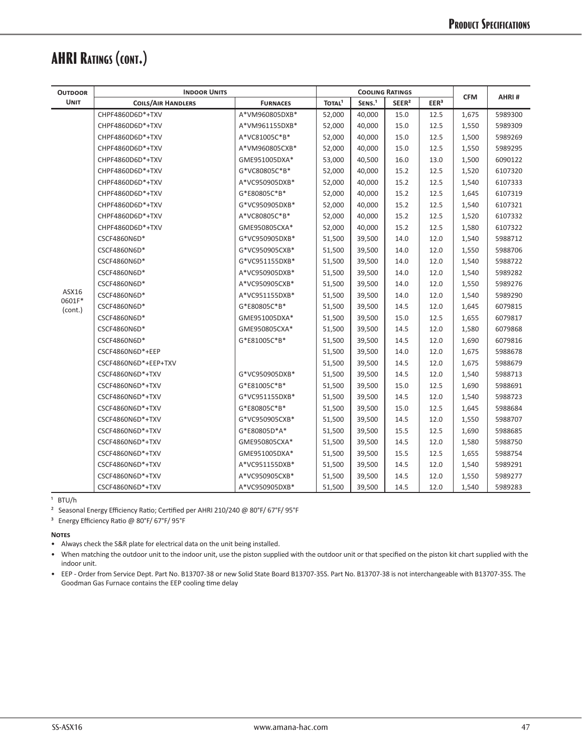| <b>OUTDOOR</b>  | <b>INDOOR UNITS</b>       |                 |                    |                    | <b>COOLING RATINGS</b> | <b>CFM</b>       |       |         |
|-----------------|---------------------------|-----------------|--------------------|--------------------|------------------------|------------------|-------|---------|
| <b>UNIT</b>     | <b>COILS/AIR HANDLERS</b> | <b>FURNACES</b> | TOTAL <sup>1</sup> | SENS. <sup>1</sup> | SEER <sup>2</sup>      | EER <sup>3</sup> |       | AHRI#   |
|                 | CHPF4860D6D*+TXV          | A*VM960805DXB*  | 52,000             | 40,000             | 15.0                   | 12.5             | 1,675 | 5989300 |
|                 | CHPF4860D6D*+TXV          | A*VM961155DXB*  | 52,000             | 40,000             | 15.0                   | 12.5             | 1,550 | 5989309 |
|                 | CHPF4860D6D*+TXV          | A*VC81005C*B*   | 52,000             | 40,000             | 15.0                   | 12.5             | 1,500 | 5989269 |
|                 | CHPF4860D6D*+TXV          | A*VM960805CXB*  | 52,000             | 40,000             | 15.0                   | 12.5             | 1,550 | 5989295 |
|                 | CHPF4860D6D*+TXV          | GME951005DXA*   | 53,000             | 40,500             | 16.0                   | 13.0             | 1,500 | 6090122 |
|                 | CHPF4860D6D*+TXV          | G*VC80805C*B*   | 52,000             | 40,000             | 15.2                   | 12.5             | 1,520 | 6107320 |
|                 | CHPF4860D6D*+TXV          | A*VC950905DXB*  | 52,000             | 40,000             | 15.2                   | 12.5             | 1,540 | 6107333 |
|                 | CHPF4860D6D*+TXV          | G*E80805C*B*    | 52,000             | 40,000             | 15.2                   | 12.5             | 1,645 | 6107319 |
|                 | CHPF4860D6D*+TXV          | G*VC950905DXB*  | 52,000             | 40,000             | 15.2                   | 12.5             | 1,540 | 6107321 |
|                 | CHPF4860D6D*+TXV          | A*VC80805C*B*   | 52,000             | 40,000             | 15.2                   | 12.5             | 1,520 | 6107332 |
|                 | CHPF4860D6D*+TXV          | GME950805CXA*   | 52,000             | 40,000             | 15.2                   | 12.5             | 1,580 | 6107322 |
|                 | CSCF4860N6D*              | G*VC950905DXB*  | 51,500             | 39,500             | 14.0                   | 12.0             | 1,540 | 5988712 |
|                 | CSCF4860N6D*              | G*VC950905CXB*  | 51,500             | 39,500             | 14.0                   | 12.0             | 1,550 | 5988706 |
|                 | CSCF4860N6D*              | G*VC951155DXB*  | 51,500             | 39,500             | 14.0                   | 12.0             | 1,540 | 5988722 |
|                 | CSCF4860N6D*              | A*VC950905DXB*  | 51,500             | 39,500             | 14.0                   | 12.0             | 1,540 | 5989282 |
|                 | CSCF4860N6D*              | A*VC950905CXB*  | 51,500             | 39,500             | 14.0                   | 12.0             | 1,550 | 5989276 |
| ASX16<br>0601F* | CSCF4860N6D*              | A*VC951155DXB*  | 51,500             | 39,500             | 14.0                   | 12.0             | 1,540 | 5989290 |
| (cont.)         | CSCF4860N6D*              | G*E80805C*B*    | 51,500             | 39,500             | 14.5                   | 12.0             | 1,645 | 6079815 |
|                 | CSCF4860N6D*              | GME951005DXA*   | 51,500             | 39,500             | 15.0                   | 12.5             | 1,655 | 6079817 |
|                 | CSCF4860N6D*              | GME950805CXA*   | 51,500             | 39,500             | 14.5                   | 12.0             | 1,580 | 6079868 |
|                 | CSCF4860N6D*              | G*E81005C*B*    | 51,500             | 39,500             | 14.5                   | 12.0             | 1,690 | 6079816 |
|                 | CSCF4860N6D*+EEP          |                 | 51,500             | 39,500             | 14.0                   | 12.0             | 1,675 | 5988678 |
|                 | CSCF4860N6D*+EEP+TXV      |                 | 51,500             | 39,500             | 14.5                   | 12.0             | 1,675 | 5988679 |
|                 | CSCF4860N6D*+TXV          | G*VC950905DXB*  | 51,500             | 39,500             | 14.5                   | 12.0             | 1,540 | 5988713 |
|                 | CSCF4860N6D*+TXV          | G*E81005C*B*    | 51,500             | 39,500             | 15.0                   | 12.5             | 1,690 | 5988691 |
|                 | CSCF4860N6D*+TXV          | G*VC951155DXB*  | 51,500             | 39,500             | 14.5                   | 12.0             | 1,540 | 5988723 |
|                 | CSCF4860N6D*+TXV          | G*E80805C*B*    | 51,500             | 39,500             | 15.0                   | 12.5             | 1,645 | 5988684 |
|                 | CSCF4860N6D*+TXV          | G*VC950905CXB*  | 51,500             | 39,500             | 14.5                   | 12.0             | 1,550 | 5988707 |
|                 | CSCF4860N6D*+TXV          | G*E80805D*A*    | 51,500             | 39,500             | 15.5                   | 12.5             | 1,690 | 5988685 |
|                 | CSCF4860N6D*+TXV          | GME950805CXA*   | 51,500             | 39,500             | 14.5                   | 12.0             | 1,580 | 5988750 |
|                 | CSCF4860N6D*+TXV          | GME951005DXA*   | 51,500             | 39,500             | 15.5                   | 12.5             | 1,655 | 5988754 |
|                 | CSCF4860N6D*+TXV          | A*VC951155DXB*  | 51,500             | 39,500             | 14.5                   | 12.0             | 1,540 | 5989291 |
|                 | CSCF4860N6D*+TXV          | A*VC950905CXB*  | 51,500             | 39,500             | 14.5                   | 12.0             | 1,550 | 5989277 |
|                 | CSCF4860N6D*+TXV          | A*VC950905DXB*  | 51,500             | 39,500             | 14.5                   | 12.0             | 1,540 | 5989283 |

 $1$  BTU/h

² Seasonal Energy Efficiency Ratio; Certified per AHRI 210/240 @ 80°F/ 67°F/ 95°F

³ Energy Efficiency Ratio @ 80°F/ 67°F/ 95°F

**Notes**

• Always check the S&R plate for electrical data on the unit being installed.

• When matching the outdoor unit to the indoor unit, use the piston supplied with the outdoor unit or that specified on the piston kit chart supplied with the indoor unit.

• EEP - Order from Service Dept. Part No. B13707-38 or new Solid State Board B13707-35S. Part No. B13707-38 is not interchangeable with B13707-35S. The Goodman Gas Furnace contains the EEP cooling time delay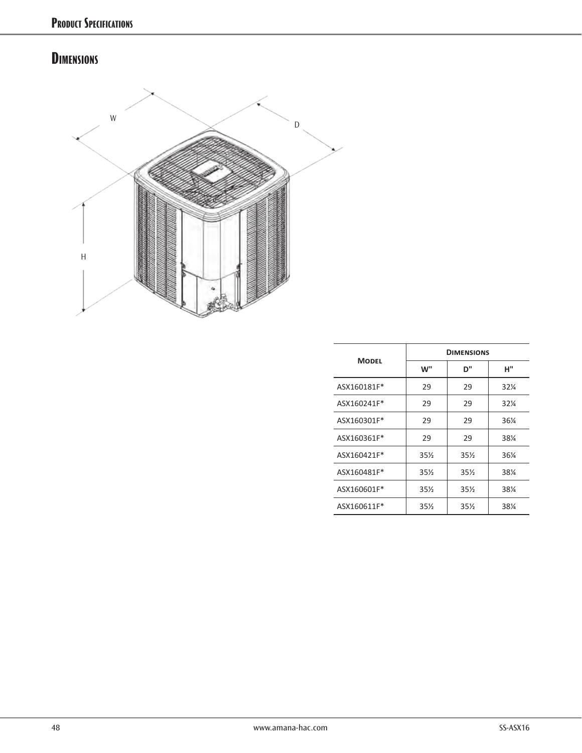#### **Dimensions**



|              |        | <b>DIMENSIONS</b> |        |
|--------------|--------|-------------------|--------|
| <b>MODEL</b> | W"     | D"                | н"     |
| ASX160181F*  | 29     | 29                | 32%    |
| ASX160241F*  | 29     | 29                | $32\%$ |
| ASX160301F*  | 29     | 29                | 36¼    |
| ASX160361F*  | 29     | 29                | 38%    |
| ASX160421F*  | 35½    | 35½               | 36¼    |
| ASX160481F*  | 35½    | 35½               | 38¼    |
| ASX160601F*  | 35½    | 35½               | 38¼    |
| ASX160611F*  | $35\%$ | $35\%$            | 38¼    |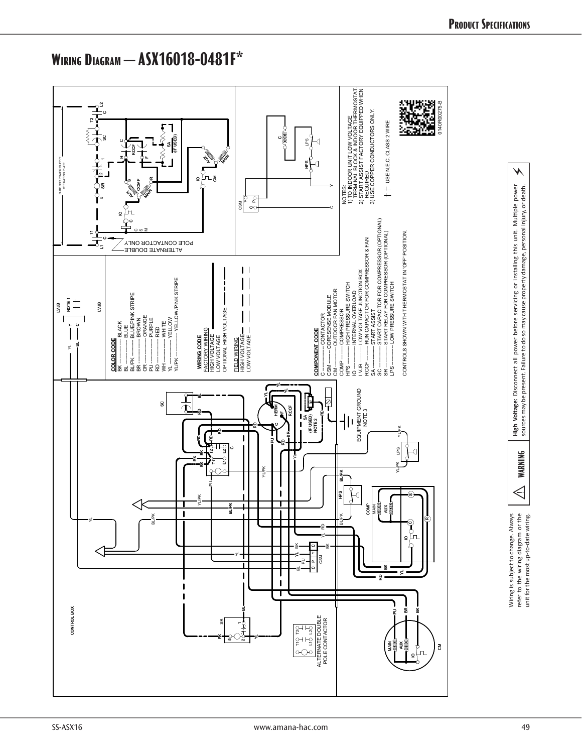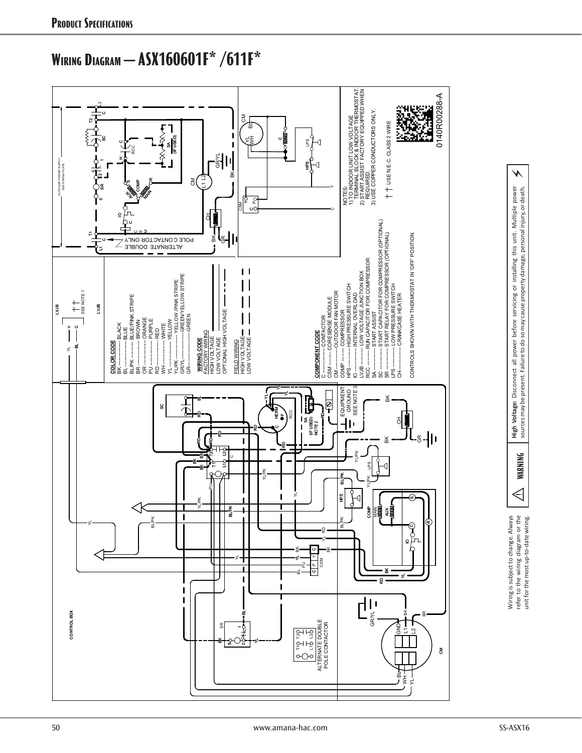#### **Wiring Diagram — ASX160601F\* /611F\***



High Voltage: Disconnect all power before servicing or installing this unit. Multiple power<br>sources may be present. Failure to do so may cause property damage, personal injury, or death. ⚠ **WARNING High Voltage:** Disconnect all power before servicing or installing this unit. Multiple power sources may be present. Failure to do so may cause property damage, personal injury, or death. WARNING

⚡

 $\Leftrightarrow$ 

refer to the wiring diagram or the<br>unit for the most up-to-date wiring. Wiring is subject to change. Always Wiring is subject to change. Always refer to the wiring diagram or the unit for the most up-to-date wiring.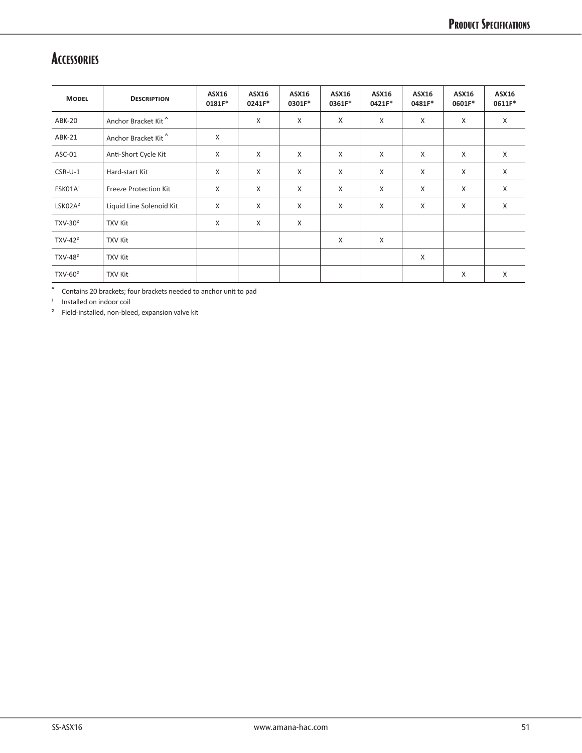#### **Accessories**

| <b>MODEL</b>        | <b>DESCRIPTION</b>              | <b>ASX16</b><br>0181F* | ASX16<br>0241F* | <b>ASX16</b><br>0301F* | ASX16<br>0361F* | <b>ASX16</b><br>0421F* | <b>ASX16</b><br>0481F* | <b>ASX16</b><br>0601F* | ASX16<br>0611F* |
|---------------------|---------------------------------|------------------------|-----------------|------------------------|-----------------|------------------------|------------------------|------------------------|-----------------|
| <b>ABK-20</b>       | Anchor Bracket Kit <sup>^</sup> |                        | X               | X                      | X               | X                      | X                      | X                      | X               |
| ABK-21              | Anchor Bracket Kit <sup>^</sup> | X                      |                 |                        |                 |                        |                        |                        |                 |
| ASC-01              | Anti-Short Cycle Kit            | X                      | $\chi$          | $\mathsf{X}$           | X               | X                      | X                      | X                      | X               |
| CSR-U-1             | Hard-start Kit                  | X                      | X               | X                      | X               | X                      | X                      | X                      | X               |
| FSK01A <sup>1</sup> | Freeze Protection Kit           | X                      | $\chi$          | $\mathsf{X}$           | X               | X                      | $\times$               | $\mathsf{X}$           | X               |
| LSKO2A <sup>2</sup> | Liquid Line Solenoid Kit        | X                      | X               | $\mathsf{X}$           | X               | X                      | X                      | $\mathsf{X}$           | X               |
| $TXV-302$           | <b>TXV Kit</b>                  | X                      | $\mathsf{X}$    | X                      |                 |                        |                        |                        |                 |
| $TXV-42^2$          | <b>TXV Kit</b>                  |                        |                 |                        | X               | $\chi$                 |                        |                        |                 |
| $TXV-482$           | <b>TXV Kit</b>                  |                        |                 |                        |                 |                        | X                      |                        |                 |
| $TXV-60^2$          | <b>TXV Kit</b>                  |                        |                 |                        |                 |                        |                        | Χ                      | X               |

**^** Contains 20 brackets; four brackets needed to anchor unit to pad

 $1$  Installed on indoor coil

² Field-installed, non-bleed, expansion valve kit